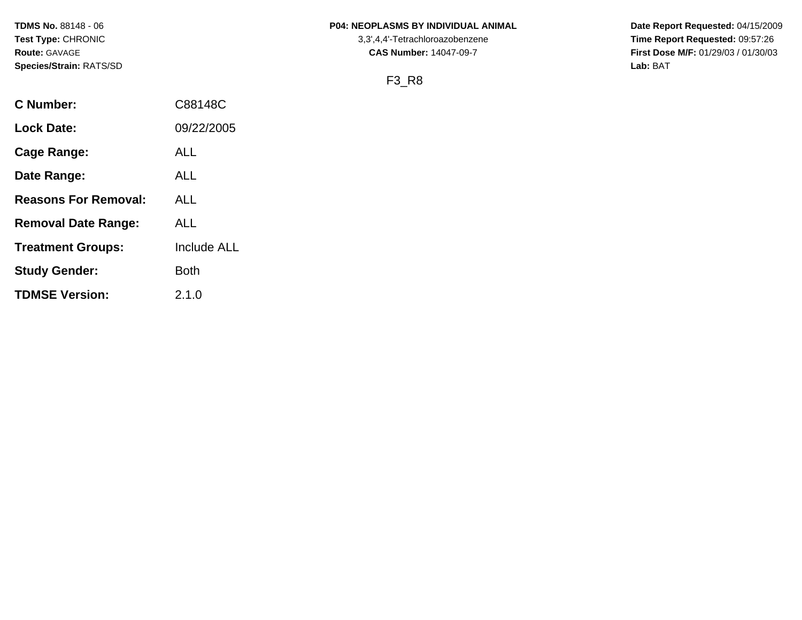## **TDMS No.** 88148 - 06 **P04: NEOPLASMS BY INDIVIDUAL ANIMAL** Date Report Requested: 04/15/2009

**Test Type:** CHRONIC 3,3',4,4'-Tetrachloroazobenzene **Time Report Requested:** 09:57:26 **Route:** GAVAGE **CAS Number:** 14047-09-7 **First Dose M/F:** 01/29/03 / 01/30/03

# F3\_R8

| C Number:                   | C88148C            |
|-----------------------------|--------------------|
| <b>Lock Date:</b>           | 09/22/2005         |
| <b>Cage Range:</b>          | ALL                |
| Date Range:                 | ALL                |
| <b>Reasons For Removal:</b> | <b>ALL</b>         |
| <b>Removal Date Range:</b>  | ALL                |
| <b>Treatment Groups:</b>    | <b>Include ALL</b> |
| <b>Study Gender:</b>        | <b>Both</b>        |
| <b>TDMSE Version:</b>       | 2.1.0              |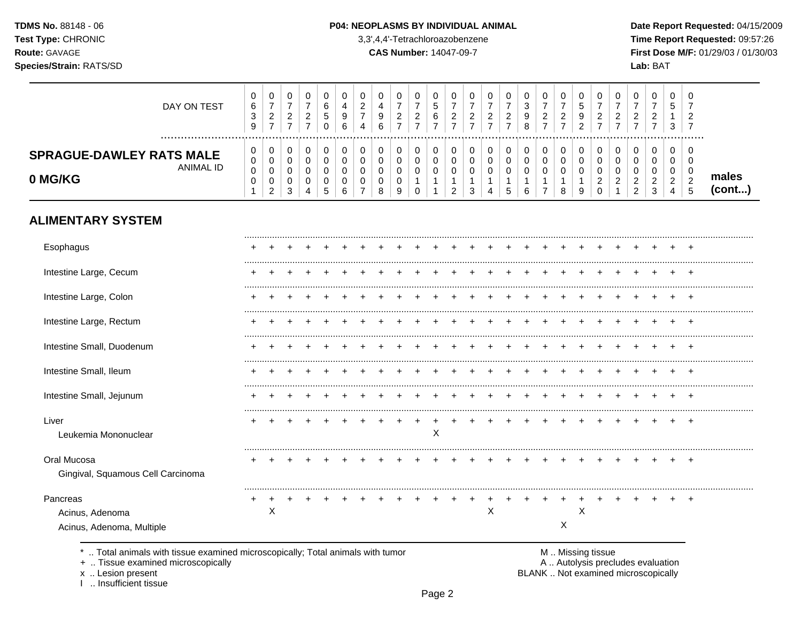#### P04: NEOPLASMS BY INDIVIDUAL ANIMAL

3,3',4,4'-Tetrachloroazobenzene

**CAS Number: 14047-09-7** 

Date Report Requested: 04/15/2009 Time Report Requested: 09:57:26 First Dose M/F: 01/29/03 / 01/30/03 Lab: BAT

| DAY ON TEST                                             | U<br>6<br>3<br>9 | 0<br>-<br>ົ<br><u>_</u><br>$\rightarrow$ | U<br><u>.</u>         | _ | 6<br>∽ | 6 | 0<br>$\sim$<br><u>.</u><br>4 | 4<br>C<br>6 | 0<br>◠<br><u>.</u> | v<br><u>_</u> | U<br>u<br>6 | v           | U<br>_           | U           | u<br><u>_</u> | $\rightarrow$ | υ<br>ົ<br><u>_</u><br>- | C | υ                  | . U<br>_ | v<br><u>_</u>      | υ      | 0<br>đ<br>3                       | 0<br>-<br>ົ<br><u>_</u><br>$\rightarrow$ |                 |
|---------------------------------------------------------|------------------|------------------------------------------|-----------------------|---|--------|---|------------------------------|-------------|--------------------|---------------|-------------|-------------|------------------|-------------|---------------|---------------|-------------------------|---|--------------------|----------|--------------------|--------|-----------------------------------|------------------------------------------|-----------------|
| <b>SPRAGUE-DAWLEY RATS MALE</b><br>ANIMAL ID<br>0 MG/KG | 0<br>0<br>0<br>v | 0<br>0<br>0<br>0<br>ົ<br>$\epsilon$      | U<br>◡<br>v<br>ົ<br>C |   | ৾৾     |   | 0<br>u<br>v                  |             | 0<br>υ<br>9        | v             | J           | v<br>U<br>c | U<br>U<br>U<br>J | U<br>U<br>v |               |               | O<br>o                  | g | υ<br>⌒<br><u>_</u> |          | J<br><u>_</u><br>_ | υ<br>◠ | 0<br>0<br>0<br>ົ<br><u>_</u><br>4 | 0<br>0<br>0<br>ົ<br><u>_</u><br>.5       | males<br>(cont) |

# **ALIMENTARY SYSTEM**

| Esophagus                                                |   |  |  |  |  |   |  |   |  |   |   |  |  |                |
|----------------------------------------------------------|---|--|--|--|--|---|--|---|--|---|---|--|--|----------------|
| Intestine Large, Cecum                                   |   |  |  |  |  |   |  |   |  |   |   |  |  |                |
| Intestine Large, Colon                                   |   |  |  |  |  |   |  |   |  |   |   |  |  |                |
| Intestine Large, Rectum                                  |   |  |  |  |  |   |  |   |  |   |   |  |  |                |
| Intestine Small, Duodenum                                |   |  |  |  |  |   |  |   |  |   |   |  |  |                |
| Intestine Small, Ileum                                   |   |  |  |  |  |   |  |   |  |   |   |  |  | +              |
| Intestine Small, Jejunum                                 |   |  |  |  |  |   |  |   |  |   |   |  |  |                |
| Liver<br>Leukemia Mononuclear                            |   |  |  |  |  | Х |  |   |  |   |   |  |  | $\overline{ }$ |
| Oral Mucosa<br>Gingival, Squamous Cell Carcinoma         |   |  |  |  |  |   |  |   |  |   |   |  |  |                |
| Pancreas<br>Acinus, Adenoma<br>Acinus, Adenoma, Multiple | X |  |  |  |  |   |  | х |  | Χ | X |  |  | +              |

\* .. Total animals with tissue examined microscopically; Total animals with tumor

+ .. Tissue examined microscopically

x .. Lesion present<br>I .. Insufficient tissue

M .. Missing tissue<br>A .. Autolysis precludes evaluation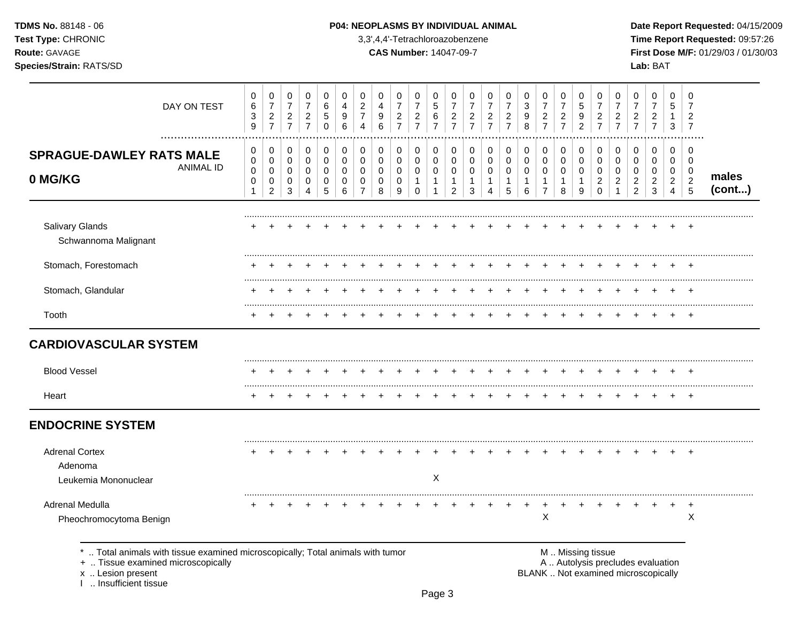| <b>TDMS No. 88148 - 06</b> |
|----------------------------|
| <b>Test Type: CHRONIC</b>  |
| <b>Route: GAVAGE</b>       |
| ----<br>.                  |

## **P04: NEOPLASMS BY INDIVIDUAL ANIMAL Date Report Requested: 04/15/2009**

**Time Report Requested:** 09:57:26 **CAS Number:** 14047-09-7 **First Dose M/F:** 01/29/03 / 01/30/03 **Species/Strain:** RATS/SD **Lab:** BAT

| DAY ON TEST                                                                                                        | 0<br>6<br>3<br>9 | $\mathbf 0$<br>$\boldsymbol{7}$<br>$\overline{c}$<br>$\overline{7}$ | 0<br>$\overline{7}$<br>$\overline{c}$<br>$\overline{7}$ | 0<br>$\overline{7}$<br>$\overline{c}$<br>$\overline{7}$ | 0<br>6<br>5<br>$\Omega$                | 0<br>4<br>9<br>6      | $\mathbf 0$<br>$\overline{c}$<br>$\overline{7}$<br>Δ | 0<br>4<br>9<br>6                | $\mathbf 0$<br>$\overline{7}$<br>$\overline{c}$<br>$\overline{7}$ | 0<br>$\overline{7}$<br>$\overline{\mathbf{c}}$<br>$\overline{7}$ | 0<br>5<br>6<br>$\overline{7}$ | 0<br>7<br>$\overline{c}$<br>$\overline{7}$   | 0<br>$\overline{7}$<br>$\overline{c}$<br>$\overline{7}$ | 0<br>$\overline{7}$<br>$\overline{c}$<br>$\overline{7}$         | 0<br>$\overline{7}$<br>$\overline{\mathbf{c}}$<br>$\overline{7}$ | 0<br>$\sqrt{3}$<br>9<br>8       | 0<br>$\boldsymbol{7}$<br>$\overline{c}$<br>$\overline{7}$ | 0<br>$\overline{7}$<br>$\overline{c}$<br>$\overline{7}$ | 0<br>5<br>9<br>$\overline{2}$ | 0<br>7<br>$\overline{c}$<br>$\overline{7}$ | 0<br>$\overline{7}$<br>$\overline{c}$<br>$\overline{7}$ | 0<br>$\overline{7}$<br>$\overline{c}$<br>$\overline{7}$ | 0<br>$\overline{7}$<br>$\overline{c}$<br>$\overline{7}$ | $\mathbf 0$<br>5<br>1<br>3                      | 0<br>$\overline{7}$<br>$\overline{2}$<br>$\overline{7}$ |                 |
|--------------------------------------------------------------------------------------------------------------------|------------------|---------------------------------------------------------------------|---------------------------------------------------------|---------------------------------------------------------|----------------------------------------|-----------------------|------------------------------------------------------|---------------------------------|-------------------------------------------------------------------|------------------------------------------------------------------|-------------------------------|----------------------------------------------|---------------------------------------------------------|-----------------------------------------------------------------|------------------------------------------------------------------|---------------------------------|-----------------------------------------------------------|---------------------------------------------------------|-------------------------------|--------------------------------------------|---------------------------------------------------------|---------------------------------------------------------|---------------------------------------------------------|-------------------------------------------------|---------------------------------------------------------|-----------------|
| <b>SPRAGUE-DAWLEY RATS MALE</b><br><b>ANIMAL ID</b><br>0 MG/KG                                                     | 0<br>0<br>0<br>0 | 0<br>$\mathbf 0$<br>0<br>$\mathbf 0$<br>$\overline{c}$              | 0<br>$\mathbf 0$<br>0<br>$\mathbf 0$<br>3               | 0<br>$\mathbf 0$<br>0<br>0<br>4                         | 0<br>$\mathbf 0$<br>0<br>$\Omega$<br>5 | 0<br>0<br>0<br>0<br>6 | 0<br>$\mathbf 0$<br>0<br>$\mathbf 0$                 | 0<br>$\mathbf 0$<br>0<br>0<br>8 | 0<br>$\mathbf 0$<br>0<br>$\mathbf 0$<br>9                         | 0<br>0<br>0<br>$\mathbf{1}$<br>$\Omega$                          | 0<br>0<br>0<br>1              | $\mathbf 0$<br>0<br>0<br>1<br>$\overline{2}$ | 0<br>0<br>0<br>$\mathbf{1}$<br>3                        | 0<br>$\mathbf 0$<br>0<br>$\mathbf{1}$<br>$\boldsymbol{\Lambda}$ | 0<br>0<br>0<br>$\mathbf{1}$<br>5                                 | 0<br>$\mathbf 0$<br>0<br>1<br>6 | 0<br>0<br>0<br>$\mathbf{1}$<br>$\overline{7}$             | 0<br>$\mathbf 0$<br>0<br>$\overline{1}$<br>8            | 0<br>0<br>0<br>1<br>9         | 0<br>0<br>0<br>2<br>$\Omega$               | 0<br>$\mathbf 0$<br>$\Omega$<br>2                       | 0<br>0<br>0<br>$\overline{c}$<br>2                      | 0<br>$\mathbf 0$<br>0<br>$\overline{c}$<br>3            | 0<br>0<br>0<br>$\overline{a}$<br>$\overline{4}$ | $\mathbf 0$<br>$\mathbf 0$<br>0<br>$\overline{c}$<br>5  | males<br>(cont) |
| Salivary Glands<br>Schwannoma Malignant                                                                            |                  |                                                                     |                                                         |                                                         |                                        |                       |                                                      |                                 |                                                                   |                                                                  |                               |                                              |                                                         |                                                                 |                                                                  |                                 |                                                           |                                                         |                               |                                            |                                                         |                                                         |                                                         |                                                 |                                                         |                 |
| Stomach, Forestomach                                                                                               |                  |                                                                     |                                                         |                                                         |                                        |                       |                                                      |                                 |                                                                   |                                                                  |                               |                                              |                                                         |                                                                 |                                                                  |                                 |                                                           |                                                         |                               |                                            |                                                         |                                                         |                                                         |                                                 |                                                         |                 |
| Stomach, Glandular                                                                                                 |                  |                                                                     |                                                         |                                                         |                                        |                       |                                                      |                                 |                                                                   |                                                                  |                               |                                              |                                                         |                                                                 |                                                                  |                                 |                                                           |                                                         |                               |                                            |                                                         |                                                         |                                                         |                                                 |                                                         |                 |
| Tooth                                                                                                              |                  |                                                                     |                                                         |                                                         |                                        |                       |                                                      |                                 |                                                                   |                                                                  |                               |                                              |                                                         |                                                                 |                                                                  |                                 |                                                           |                                                         |                               |                                            |                                                         |                                                         |                                                         |                                                 |                                                         |                 |
| <b>CARDIOVASCULAR SYSTEM</b>                                                                                       |                  |                                                                     |                                                         |                                                         |                                        |                       |                                                      |                                 |                                                                   |                                                                  |                               |                                              |                                                         |                                                                 |                                                                  |                                 |                                                           |                                                         |                               |                                            |                                                         |                                                         |                                                         |                                                 |                                                         |                 |
| <b>Blood Vessel</b>                                                                                                |                  |                                                                     |                                                         |                                                         |                                        |                       |                                                      |                                 |                                                                   |                                                                  |                               |                                              |                                                         |                                                                 |                                                                  |                                 |                                                           |                                                         |                               |                                            |                                                         |                                                         |                                                         |                                                 |                                                         |                 |
| Heart                                                                                                              |                  |                                                                     |                                                         |                                                         |                                        |                       |                                                      |                                 |                                                                   |                                                                  |                               |                                              |                                                         |                                                                 |                                                                  |                                 |                                                           |                                                         |                               |                                            |                                                         |                                                         |                                                         | ÷                                               | $+$                                                     |                 |
| <b>ENDOCRINE SYSTEM</b>                                                                                            |                  |                                                                     |                                                         |                                                         |                                        |                       |                                                      |                                 |                                                                   |                                                                  |                               |                                              |                                                         |                                                                 |                                                                  |                                 |                                                           |                                                         |                               |                                            |                                                         |                                                         |                                                         |                                                 |                                                         |                 |
| <b>Adrenal Cortex</b><br>Adenoma<br>Leukemia Mononuclear                                                           |                  |                                                                     |                                                         |                                                         |                                        |                       |                                                      |                                 |                                                                   |                                                                  | X                             |                                              |                                                         |                                                                 |                                                                  |                                 |                                                           |                                                         |                               |                                            |                                                         |                                                         |                                                         |                                                 |                                                         |                 |
| Adrenal Medulla<br>Pheochromocytoma Benign                                                                         |                  |                                                                     |                                                         |                                                         |                                        |                       |                                                      |                                 |                                                                   |                                                                  |                               |                                              |                                                         |                                                                 |                                                                  | $\ddot{}$                       | ÷<br>X                                                    |                                                         |                               |                                            |                                                         |                                                         | +                                                       | $\ddot{}$                                       | $^{+}$<br>$\times$                                      |                 |
| Total animals with tissue examined microscopically; Total animals with tumor<br>+  Tissue examined microscopically |                  |                                                                     |                                                         |                                                         |                                        |                       |                                                      |                                 |                                                                   |                                                                  |                               |                                              |                                                         |                                                                 |                                                                  |                                 |                                                           |                                                         | M  Missing tissue             |                                            |                                                         | A  Autolysis precludes evaluation                       |                                                         |                                                 |                                                         |                 |

x .. Lesion present<br>I .. Insufficient tissue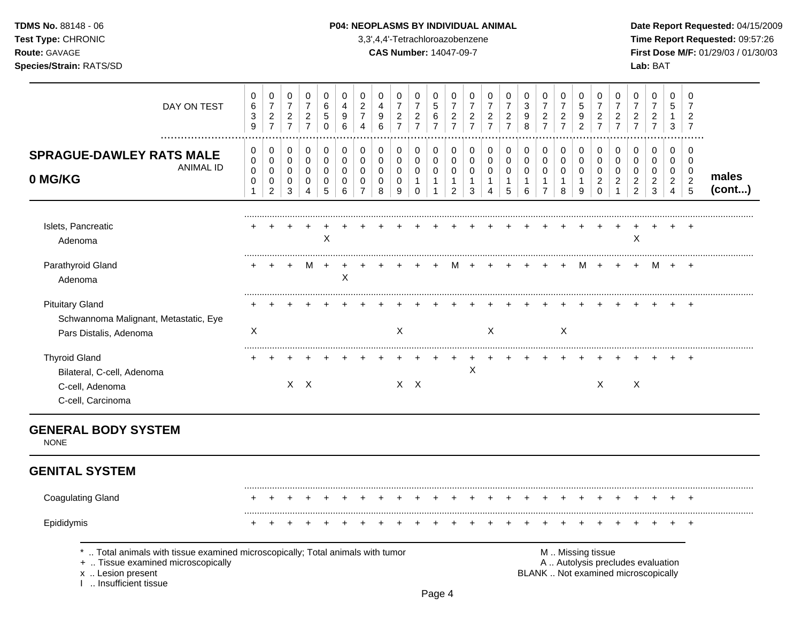| <b>TDMS No. 88148 - 06</b> |
|----------------------------|
| <b>Test Type: CHRONIC</b>  |
| <b>Route: GAVAGE</b>       |
|                            |

## **P04: NEOPLASMS BY INDIVIDUAL ANIMAL Date Report Requested:** 04/15/2009

**Time Report Requested:** 09:57:26 **CAS Number:** 14047-09-7 **First Dose M/F:** 01/29/03 / 01/30/03 **Species/Strain:** RATS/SD **Lab:** BAT

| DAY ON TEST                                                                                                                                                       | $\mathbf 0$<br>$\,6$<br>$\ensuremath{\mathsf{3}}$<br>9 | 0<br>$\overline{7}$<br>$\overline{c}$<br>$\overline{7}$ | 0<br>$\overline{7}$<br>$\overline{a}$<br>$\overline{7}$ | $\mathbf 0$<br>$\overline{7}$<br>$\overline{2}$<br>$\overline{7}$ | 0<br>6<br>5<br>0                | 0<br>4<br>9<br>6                                  | $\mathbf 0$<br>$\overline{c}$<br>$\overline{7}$<br>4           | 0<br>4<br>$9\,$<br>6                      | $\mathbf 0$<br>$\overline{7}$<br>$\overline{2}$<br>$\overline{7}$ | $\mathbf 0$<br>$\overline{7}$<br>$\boldsymbol{2}$<br>$\overline{7}$ | $\mathbf 0$<br>5<br>$\,6$<br>$\overline{7}$   | 0<br>$\overline{7}$<br>$\overline{2}$<br>$\overline{7}$ | 0<br>$\overline{7}$<br>$\overline{a}$<br>$\overline{7}$ | $\mathbf 0$<br>$\overline{7}$<br>$\overline{2}$<br>$\overline{7}$ | 0<br>$\overline{7}$<br>$\overline{c}$<br>$\overline{7}$ | $\mathbf 0$<br>$\mathbf{3}$<br>9<br>8      | $\pmb{0}$<br>$\overline{7}$<br>$\boldsymbol{2}$<br>$\overline{7}$ | 0<br>$\overline{7}$<br>$\overline{2}$<br>$\overline{7}$      | 0<br>$\overline{5}$<br>9<br>$\overline{2}$                     | 0<br>$\overline{7}$<br>$\overline{2}$<br>$\overline{7}$       | $\mathbf 0$<br>$\overline{7}$<br>$\boldsymbol{2}$<br>$\overline{7}$ | 0<br>$\overline{7}$<br>$\overline{c}$<br>$\overline{7}$ | 0<br>$\overline{7}$<br>$\frac{2}{7}$                                     | $\mathbf 0$<br>5<br>$\mathbf{1}$<br>3                                         | 0<br>7<br>$\overline{2}$<br>$\overline{7}$                          |                 |
|-------------------------------------------------------------------------------------------------------------------------------------------------------------------|--------------------------------------------------------|---------------------------------------------------------|---------------------------------------------------------|-------------------------------------------------------------------|---------------------------------|---------------------------------------------------|----------------------------------------------------------------|-------------------------------------------|-------------------------------------------------------------------|---------------------------------------------------------------------|-----------------------------------------------|---------------------------------------------------------|---------------------------------------------------------|-------------------------------------------------------------------|---------------------------------------------------------|--------------------------------------------|-------------------------------------------------------------------|--------------------------------------------------------------|----------------------------------------------------------------|---------------------------------------------------------------|---------------------------------------------------------------------|---------------------------------------------------------|--------------------------------------------------------------------------|-------------------------------------------------------------------------------|---------------------------------------------------------------------|-----------------|
| .<br><b>SPRAGUE-DAWLEY RATS MALE</b><br><b>ANIMAL ID</b><br>0 MG/KG                                                                                               | 0<br>$\mathbf 0$<br>$\mathbf 0$<br>$\mathbf 0$         | 0<br>$\mathbf 0$<br>0<br>$\pmb{0}$<br>$\overline{2}$    | 0<br>$\mathbf 0$<br>0<br>0<br>3                         | $\mathbf 0$<br>$\mathbf 0$<br>$\mathbf 0$<br>0<br>4               | 0<br>0<br>$\mathbf 0$<br>0<br>5 | $\pmb{0}$<br>$\mathbf 0$<br>$\mathbf 0$<br>0<br>6 | $\pmb{0}$<br>$\mathbf 0$<br>$\mathbf 0$<br>0<br>$\overline{7}$ | 0<br>$\mathbf 0$<br>0<br>$\mathbf 0$<br>8 | 0<br>$\mathbf 0$<br>$\mathbf 0$<br>$\mathbf 0$<br>9               | 0<br>$\pmb{0}$<br>$\mathbf 0$<br>$\mathbf{1}$<br>$\Omega$           | 0<br>$\pmb{0}$<br>$\mathbf 0$<br>$\mathbf{1}$ | 0<br>$\pmb{0}$<br>0<br>$\mathbf{1}$<br>$\overline{2}$   | 0<br>$\mathbf 0$<br>0<br>$\mathbf{1}$<br>3              | 0<br>$\mathbf 0$<br>$\mathbf 0$<br>$\mathbf{1}$<br>$\Delta$       | 0<br>$\pmb{0}$<br>0<br>1<br>5                           | 0<br>$\mathsf 0$<br>0<br>$\mathbf{1}$<br>6 | 0<br>$\mathbf 0$<br>$\mathbf 0$<br>$\mathbf{1}$<br>$\overline{7}$ | $\pmb{0}$<br>$\mathbf 0$<br>$\mathbf 0$<br>$\mathbf{1}$<br>8 | $\mathbf 0$<br>$\mathbf 0$<br>$\mathbf 0$<br>$\mathbf{1}$<br>9 | 0<br>$\mathbf 0$<br>$\mathbf 0$<br>$\overline{c}$<br>$\Omega$ | 0<br>$\mathbf 0$<br>$\mathbf 0$<br>$\overline{c}$                   | 0<br>$\mathbf 0$<br>0<br>$\overline{c}$<br>2            | 0<br>$\mathbf 0$<br>0<br>$\sqrt{2}$<br>3                                 | $\mathbf 0$<br>$\mathbf 0$<br>$\mathbf 0$<br>$\overline{2}$<br>$\overline{4}$ | $\mathbf 0$<br>$\mathbf 0$<br>$\overline{0}$<br>$\overline{c}$<br>5 | males<br>(cont) |
| Islets, Pancreatic<br>Adenoma                                                                                                                                     |                                                        |                                                         |                                                         |                                                                   | X                               |                                                   |                                                                |                                           |                                                                   |                                                                     |                                               |                                                         |                                                         |                                                                   |                                                         |                                            |                                                                   |                                                              |                                                                |                                                               |                                                                     | Χ                                                       |                                                                          |                                                                               |                                                                     |                 |
| Parathyroid Gland<br>Adenoma                                                                                                                                      |                                                        |                                                         | $\ddot{}$                                               | M                                                                 | $\ddot{}$                       | X                                                 |                                                                |                                           |                                                                   |                                                                     |                                               | м                                                       |                                                         |                                                                   |                                                         |                                            |                                                                   | $\ddot{}$                                                    | м                                                              |                                                               |                                                                     | $\ddot{}$                                               | M                                                                        | $+$                                                                           | $+$                                                                 |                 |
| <b>Pituitary Gland</b><br>Schwannoma Malignant, Metastatic, Eye<br>Pars Distalis, Adenoma                                                                         | X                                                      |                                                         |                                                         |                                                                   |                                 |                                                   |                                                                |                                           | $\mathsf{X}$                                                      |                                                                     |                                               |                                                         |                                                         | $\mathsf{X}$                                                      |                                                         |                                            |                                                                   | X                                                            |                                                                |                                                               |                                                                     |                                                         |                                                                          |                                                                               |                                                                     |                 |
| <b>Thyroid Gland</b><br>Bilateral, C-cell, Adenoma<br>C-cell, Adenoma<br>C-cell, Carcinoma                                                                        |                                                        |                                                         |                                                         | $X$ $X$                                                           |                                 |                                                   |                                                                |                                           |                                                                   | $X$ $X$                                                             |                                               |                                                         | X                                                       |                                                                   |                                                         |                                            |                                                                   |                                                              |                                                                | X                                                             |                                                                     | $\boldsymbol{X}$                                        |                                                                          |                                                                               |                                                                     |                 |
| <b>GENERAL BODY SYSTEM</b><br><b>NONE</b>                                                                                                                         |                                                        |                                                         |                                                         |                                                                   |                                 |                                                   |                                                                |                                           |                                                                   |                                                                     |                                               |                                                         |                                                         |                                                                   |                                                         |                                            |                                                                   |                                                              |                                                                |                                                               |                                                                     |                                                         |                                                                          |                                                                               |                                                                     |                 |
| <b>GENITAL SYSTEM</b>                                                                                                                                             |                                                        |                                                         |                                                         |                                                                   |                                 |                                                   |                                                                |                                           |                                                                   |                                                                     |                                               |                                                         |                                                         |                                                                   |                                                         |                                            |                                                                   |                                                              |                                                                |                                                               |                                                                     |                                                         |                                                                          |                                                                               |                                                                     |                 |
| <b>Coagulating Gland</b>                                                                                                                                          |                                                        |                                                         |                                                         |                                                                   |                                 |                                                   |                                                                |                                           |                                                                   |                                                                     |                                               |                                                         |                                                         |                                                                   |                                                         |                                            |                                                                   |                                                              |                                                                |                                                               |                                                                     |                                                         |                                                                          |                                                                               |                                                                     |                 |
| Epididymis                                                                                                                                                        |                                                        |                                                         |                                                         |                                                                   |                                 |                                                   |                                                                |                                           |                                                                   |                                                                     |                                               |                                                         |                                                         |                                                                   |                                                         |                                            |                                                                   |                                                              |                                                                |                                                               |                                                                     |                                                         |                                                                          |                                                                               |                                                                     |                 |
| Total animals with tissue examined microscopically; Total animals with tumor<br>+  Tissue examined microscopically<br>x  Lesion present<br>1  Insufficient tissue |                                                        |                                                         |                                                         |                                                                   |                                 |                                                   |                                                                |                                           |                                                                   |                                                                     |                                               |                                                         |                                                         |                                                                   |                                                         |                                            |                                                                   |                                                              | M  Missing tissue                                              |                                                               |                                                                     |                                                         | A  Autolysis precludes evaluation<br>BLANK  Not examined microscopically |                                                                               |                                                                     |                 |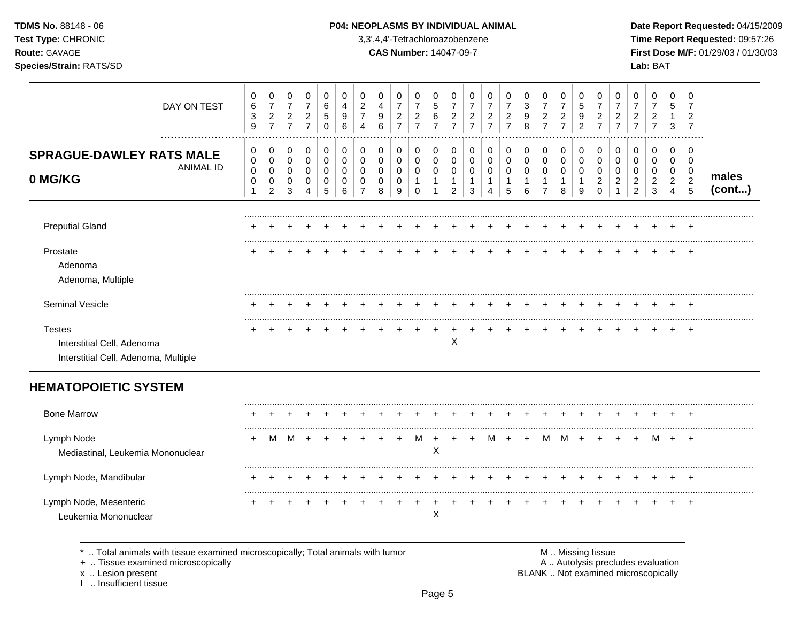### **TDMS No.** 88148 - 06 **P04: NEOPLASMS BY INDIVIDUAL ANIMAL** Date Report Requested: 04/15/2009

**Test Type:** CHRONIC 3,3',4,4'-Tetrachloroazobenzene **Time Report Requested:** 09:57:26 **Route:** GAVAGE **CAS Number:** 14047-09-7 **First Dose M/F:** 01/29/03 / 01/30/03

| DAY ON TEST                                                                         | 0<br>6<br>3<br>9                           | 0<br>$\boldsymbol{7}$<br>$\overline{2}$<br>$\overline{7}$ | 0<br>$\boldsymbol{7}$<br>$\overline{a}$<br>$\overline{7}$ | 0<br>$\overline{7}$<br>$\overline{2}$<br>$\overline{7}$ | 0<br>$\,6\,$<br>5<br>$\mathbf 0$              | 0<br>$\overline{4}$<br>9<br>6                   | 0<br>$\boldsymbol{2}$<br>$\overline{7}$<br>4 | 0<br>$\overline{4}$<br>9<br>6             | 0<br>$\overline{7}$<br>$\overline{c}$<br>$\overline{7}$ | 0<br>$\boldsymbol{7}$<br>$\overline{c}$<br>$\overline{7}$ | 0<br>$\sqrt{5}$<br>6<br>$\overline{7}$     | 0<br>$\boldsymbol{7}$<br>$\overline{2}$<br>$\overline{7}$ | 0<br>$\overline{7}$<br>$\overline{c}$<br>$\overline{7}$ | 0<br>$\boldsymbol{7}$<br>$\overline{a}$<br>$\overline{7}$ | 0<br>$\overline{7}$<br>$\overline{c}$<br>$\overline{7}$ | 0<br>$\ensuremath{\mathsf{3}}$<br>9<br>8 | 0<br>$\overline{7}$<br>$\overline{a}$<br>$\overline{7}$ | 0<br>$\overline{7}$<br>$\overline{2}$<br>$\overline{7}$ | 0<br>$\sqrt{5}$<br>9<br>2                            | 0<br>$\overline{7}$<br>$\overline{c}$<br>$\overline{7}$       | $\mathbf 0$<br>$\overline{7}$<br>$\overline{c}$<br>$\overline{7}$ | 0<br>$\overline{7}$<br>2<br>$\overline{7}$       | 0<br>$\overline{7}$<br>2<br>$\overline{7}$ | 0<br>5<br>3                        | 0<br>$\overline{7}$<br>2<br>$\overline{7}$            |                 |
|-------------------------------------------------------------------------------------|--------------------------------------------|-----------------------------------------------------------|-----------------------------------------------------------|---------------------------------------------------------|-----------------------------------------------|-------------------------------------------------|----------------------------------------------|-------------------------------------------|---------------------------------------------------------|-----------------------------------------------------------|--------------------------------------------|-----------------------------------------------------------|---------------------------------------------------------|-----------------------------------------------------------|---------------------------------------------------------|------------------------------------------|---------------------------------------------------------|---------------------------------------------------------|------------------------------------------------------|---------------------------------------------------------------|-------------------------------------------------------------------|--------------------------------------------------|--------------------------------------------|------------------------------------|-------------------------------------------------------|-----------------|
| <br><b>SPRAGUE-DAWLEY RATS MALE</b><br><b>ANIMAL ID</b><br>0 MG/KG                  | $\pmb{0}$<br>0<br>$\pmb{0}$<br>$\mathbf 0$ | 0<br>$\mathbf 0$<br>$\pmb{0}$<br>0<br>$\overline{2}$      | 0<br>$\mathsf 0$<br>$\pmb{0}$<br>0<br>3                   | 0<br>$\mathbf 0$<br>0<br>0<br>4                         | $\mathbf 0$<br>$\pmb{0}$<br>$\,0\,$<br>0<br>5 | $\,0\,$<br>$\mathbf 0$<br>$\mathbf 0$<br>0<br>6 | 0<br>0<br>0                                  | $\mathbf 0$<br>$\mathbf 0$<br>0<br>0<br>8 | $\pmb{0}$<br>0<br>0<br>0<br>9                           | 0<br>$\mathbf 0$<br>$\mathbf 0$<br>-1<br>$\Omega$         | 0<br>$\mathbf 0$<br>0<br>$\mathbf{1}$<br>1 | 0<br>$\mathbf 0$<br>0<br>$\mathbf{1}$<br>2                | 0<br>0<br>0<br>1<br>3                                   | 0<br>$\mathbf 0$<br>0<br>4                                | 0<br>$\mathbf 0$<br>0<br>1<br>5                         | $\,0\,$<br>$\pmb{0}$<br>$\pmb{0}$<br>6   | 0<br>$\mathbf 0$<br>$\mathbf 0$<br>1<br>$\overline{7}$  | 0<br>$\mathsf{O}\xspace$<br>0<br>1<br>8                 | 0<br>$\mathbf 0$<br>$\mathbf 0$<br>$\mathbf{1}$<br>9 | 0<br>$\mathbf 0$<br>$\mathbf 0$<br>$\overline{2}$<br>$\Omega$ | $\mathbf 0$<br>$\mathbf 0$<br>0<br>2                              | 0<br>$\Omega$<br>$\Omega$<br>2<br>$\overline{2}$ | 0<br>$\Omega$<br>$\Omega$<br>2<br>3        | 0<br>0<br>0<br>$\overline{2}$<br>4 | 0<br>$\mathbf 0$<br>0<br>$\sqrt{2}$<br>$\overline{5}$ | males<br>(cont) |
| <b>Preputial Gland</b>                                                              |                                            |                                                           |                                                           |                                                         |                                               |                                                 |                                              |                                           |                                                         |                                                           |                                            |                                                           |                                                         |                                                           |                                                         |                                          |                                                         |                                                         |                                                      |                                                               |                                                                   |                                                  |                                            |                                    |                                                       |                 |
| Prostate<br>Adenoma<br>Adenoma, Multiple                                            |                                            |                                                           |                                                           |                                                         |                                               |                                                 |                                              |                                           |                                                         |                                                           |                                            |                                                           |                                                         |                                                           |                                                         |                                          |                                                         |                                                         |                                                      |                                                               |                                                                   |                                                  |                                            |                                    |                                                       |                 |
| Seminal Vesicle                                                                     |                                            |                                                           |                                                           |                                                         |                                               |                                                 |                                              |                                           |                                                         |                                                           |                                            |                                                           |                                                         |                                                           |                                                         |                                          |                                                         |                                                         |                                                      |                                                               |                                                                   |                                                  |                                            |                                    |                                                       |                 |
| <b>Testes</b><br>Interstitial Cell, Adenoma<br>Interstitial Cell, Adenoma, Multiple |                                            |                                                           |                                                           |                                                         |                                               |                                                 |                                              |                                           |                                                         |                                                           |                                            | X                                                         |                                                         |                                                           |                                                         |                                          |                                                         |                                                         |                                                      |                                                               |                                                                   |                                                  |                                            |                                    | $\overline{+}$                                        |                 |
| <b>HEMATOPOIETIC SYSTEM</b>                                                         |                                            |                                                           |                                                           |                                                         |                                               |                                                 |                                              |                                           |                                                         |                                                           |                                            |                                                           |                                                         |                                                           |                                                         |                                          |                                                         |                                                         |                                                      |                                                               |                                                                   |                                                  |                                            |                                    |                                                       |                 |
| <b>Bone Marrow</b>                                                                  |                                            |                                                           |                                                           |                                                         |                                               |                                                 |                                              |                                           |                                                         |                                                           |                                            |                                                           |                                                         |                                                           |                                                         |                                          |                                                         |                                                         |                                                      |                                                               |                                                                   |                                                  |                                            |                                    |                                                       |                 |
| Lymph Node<br>Mediastinal, Leukemia Mononuclear                                     |                                            | м                                                         | M                                                         |                                                         |                                               |                                                 |                                              |                                           |                                                         |                                                           | X                                          |                                                           |                                                         |                                                           |                                                         |                                          | м                                                       | М                                                       |                                                      |                                                               |                                                                   |                                                  | м                                          |                                    | $\ddot{}$                                             |                 |
| Lymph Node, Mandibular                                                              |                                            |                                                           |                                                           |                                                         |                                               |                                                 |                                              |                                           |                                                         |                                                           |                                            |                                                           |                                                         |                                                           |                                                         |                                          |                                                         |                                                         |                                                      |                                                               |                                                                   |                                                  |                                            |                                    |                                                       |                 |
| Lymph Node, Mesenteric<br>Leukemia Mononuclear                                      |                                            |                                                           |                                                           |                                                         |                                               |                                                 |                                              |                                           |                                                         |                                                           | X                                          |                                                           |                                                         |                                                           |                                                         |                                          |                                                         |                                                         |                                                      |                                                               |                                                                   |                                                  |                                            |                                    |                                                       |                 |

\* .. Total animals with tissue examined microscopically; Total animals with tumor **M** metally more than M .. Missing tissue<br>  $\blacksquare$  Tissue examined microscopically

+ .. Tissue examined microscopically

x .. Lesion present<br>I .. Insufficient tissue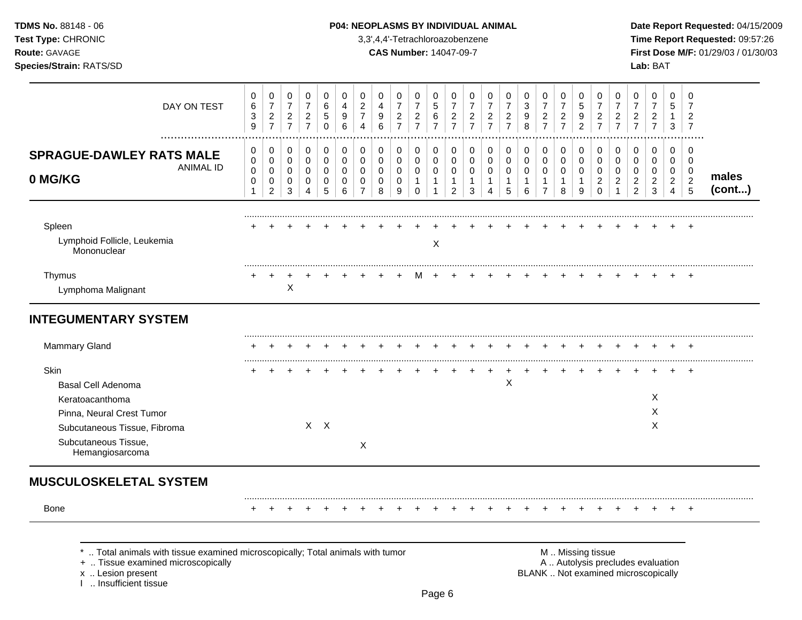## **TDMS No.** 88148 - 06 **P04: NEOPLASMS BY INDIVIDUAL ANIMAL** Date Report Requested: 04/15/2009

**Test Type:** CHRONIC 3,3',4,4'-Tetrachloroazobenzene **Time Report Requested:** 09:57:26 **Route:** GAVAGE **CAS Number:** 14047-09-7 **First Dose M/F:** 01/29/03 / 01/30/03

| DAY ON TEST                                                                                                                                                       | 0<br>$\,6$<br>$\ensuremath{\mathsf{3}}$<br>9                   | 0<br>$\overline{7}$<br>$\boldsymbol{2}$<br>$\overline{7}$ | 0<br>$\overline{7}$<br>$\frac{2}{7}$                           | 0<br>$\overline{7}$<br>$\boldsymbol{2}$<br>$\overline{7}$ | 0<br>$\,6$<br>5<br>$\mathbf 0$                    | $\mathbf 0$<br>$\overline{4}$<br>9<br>6           | 0<br>$\overline{c}$<br>7<br>$\overline{4}$                 | 0<br>$\overline{4}$<br>$\boldsymbol{9}$<br>6     | 0<br>$\overline{7}$<br>$\overline{c}$<br>$\overline{7}$ | 0<br>$\overline{7}$<br>$\frac{2}{7}$                 | $\Omega$<br>5<br>6<br>$\overline{7}$                         | 0<br>$\overline{7}$<br>$\overline{c}$<br>$\overline{7}$           | 0<br>$\overline{7}$<br>$\frac{2}{7}$                            | 0<br>$\overline{7}$<br>$\boldsymbol{2}$<br>$\overline{7}$ | 0<br>$\overline{7}$<br>$\frac{2}{7}$                 | 0<br>3<br>9<br>8                                       | 0<br>$\overline{7}$<br>$\boldsymbol{2}$<br>$\overline{7}$         | 0<br>$\overline{7}$<br>$\boldsymbol{2}$<br>$\overline{7}$ | 0<br>$\sqrt{5}$<br>$\boldsymbol{9}$<br>$\overline{2}$ | 0<br>$\boldsymbol{7}$<br>$\overline{2}$<br>$\overline{7}$     | 0<br>$\overline{7}$<br>$\boldsymbol{2}$<br>$\overline{7}$ | 0<br>$\overline{7}$<br>$\boldsymbol{2}$<br>$\overline{7}$                | 0<br>$\boldsymbol{7}$<br>$\frac{2}{7}$                            | 0<br>5<br>$\mathbf 1$<br>3                                    | 0<br>$\overline{7}$<br>2<br>$\overline{7}$                       |                 |
|-------------------------------------------------------------------------------------------------------------------------------------------------------------------|----------------------------------------------------------------|-----------------------------------------------------------|----------------------------------------------------------------|-----------------------------------------------------------|---------------------------------------------------|---------------------------------------------------|------------------------------------------------------------|--------------------------------------------------|---------------------------------------------------------|------------------------------------------------------|--------------------------------------------------------------|-------------------------------------------------------------------|-----------------------------------------------------------------|-----------------------------------------------------------|------------------------------------------------------|--------------------------------------------------------|-------------------------------------------------------------------|-----------------------------------------------------------|-------------------------------------------------------|---------------------------------------------------------------|-----------------------------------------------------------|--------------------------------------------------------------------------|-------------------------------------------------------------------|---------------------------------------------------------------|------------------------------------------------------------------|-----------------|
| <b>SPRAGUE-DAWLEY RATS MALE</b><br><b>ANIMAL ID</b><br>0 MG/KG                                                                                                    | 0<br>$\mathbf 0$<br>$\mathbf 0$<br>$\mathbf 0$<br>$\mathbf{1}$ | 0<br>$\mathbf 0$<br>$\mathbf 0$<br>0<br>$\overline{2}$    | 0<br>$\mathbf 0$<br>$\mathbf 0$<br>$\mathbf 0$<br>$\mathbf{3}$ | 0<br>$\mathbf 0$<br>$\mathbf 0$<br>$\mathbf 0$<br>4       | 0<br>$\mathbf 0$<br>$\mathbf 0$<br>$\pmb{0}$<br>5 | $\pmb{0}$<br>$\mathbf 0$<br>$\mathbf 0$<br>0<br>6 | 0<br>$\Omega$<br>$\Omega$<br>$\mathbf 0$<br>$\overline{7}$ | 0<br>$\mathbf 0$<br>$\Omega$<br>$\mathbf 0$<br>8 | 0<br>$\mathbf 0$<br>$\mathbf 0$<br>$\mathbf 0$<br>9     | 0<br>$\mathbf 0$<br>0<br>$\mathbf{1}$<br>$\mathbf 0$ | $\Omega$<br>$\mathbf 0$<br>$\mathbf 0$<br>$\mathbf{1}$<br>-1 | 0<br>$\mathbf 0$<br>$\mathbf 0$<br>$\mathbf{1}$<br>$\overline{a}$ | 0<br>$\mathbf 0$<br>$\mathbf 0$<br>$\mathbf{1}$<br>$\mathbf{3}$ | 0<br>$\mathbf 0$<br>$\Omega$<br>$\mathbf{1}$<br>4         | 0<br>$\mathbf 0$<br>$\mathbf 0$<br>$\mathbf{1}$<br>5 | 0<br>$\mathbf 0$<br>$\mathbf 0$<br>$\overline{1}$<br>6 | 0<br>$\mathbf 0$<br>$\mathbf 0$<br>$\mathbf{1}$<br>$\overline{7}$ | 0<br>$\mathbf 0$<br>$\mathbf 0$<br>$\mathbf{1}$<br>8      | 0<br>$\mathbf 0$<br>$\mathbf 0$<br>$\mathbf{1}$<br>9  | 0<br>$\mathbf 0$<br>$\mathbf 0$<br>$\overline{2}$<br>$\Omega$ | $\Omega$<br>$\Omega$<br>$\Omega$<br>$\overline{2}$        | 0<br>$\mathbf 0$<br>$\mathbf 0$<br>$\overline{2}$<br>$\overline{c}$      | 0<br>$\mathbf 0$<br>$\mathbf 0$<br>$\overline{2}$<br>$\mathbf{3}$ | $\Omega$<br>$\mathbf 0$<br>$\mathbf 0$<br>$\overline{2}$<br>4 | $\Omega$<br>$\mathbf 0$<br>0<br>$\overline{2}$<br>$\overline{5}$ | males<br>(cont) |
| Spleen<br>Lymphoid Follicle, Leukemia<br>Mononuclear                                                                                                              |                                                                |                                                           |                                                                |                                                           |                                                   |                                                   |                                                            |                                                  |                                                         |                                                      | X                                                            |                                                                   |                                                                 |                                                           |                                                      |                                                        |                                                                   |                                                           |                                                       |                                                               |                                                           |                                                                          |                                                                   |                                                               | $\pm$                                                            |                 |
| Thymus<br>Lymphoma Malignant                                                                                                                                      |                                                                |                                                           | $\boldsymbol{\mathsf{X}}$                                      |                                                           |                                                   |                                                   |                                                            |                                                  |                                                         |                                                      |                                                              |                                                                   |                                                                 |                                                           |                                                      |                                                        |                                                                   |                                                           |                                                       |                                                               |                                                           |                                                                          |                                                                   |                                                               |                                                                  |                 |
| <b>INTEGUMENTARY SYSTEM</b>                                                                                                                                       |                                                                |                                                           |                                                                |                                                           |                                                   |                                                   |                                                            |                                                  |                                                         |                                                      |                                                              |                                                                   |                                                                 |                                                           |                                                      |                                                        |                                                                   |                                                           |                                                       |                                                               |                                                           |                                                                          |                                                                   |                                                               |                                                                  |                 |
| <b>Mammary Gland</b>                                                                                                                                              |                                                                |                                                           |                                                                |                                                           |                                                   |                                                   |                                                            |                                                  |                                                         |                                                      |                                                              |                                                                   |                                                                 |                                                           |                                                      |                                                        |                                                                   |                                                           |                                                       |                                                               |                                                           |                                                                          |                                                                   |                                                               |                                                                  |                 |
| Skin<br><b>Basal Cell Adenoma</b><br>Keratoacanthoma<br>Pinna, Neural Crest Tumor<br>Subcutaneous Tissue, Fibroma<br>Subcutaneous Tissue,<br>Hemangiosarcoma      |                                                                |                                                           |                                                                |                                                           | $X$ $X$                                           |                                                   | $\boldsymbol{\mathsf{X}}$                                  |                                                  |                                                         |                                                      |                                                              |                                                                   |                                                                 |                                                           | $\times$                                             |                                                        |                                                                   |                                                           |                                                       |                                                               |                                                           |                                                                          | X<br>X<br>X                                                       |                                                               |                                                                  |                 |
| <b>MUSCULOSKELETAL SYSTEM</b>                                                                                                                                     |                                                                |                                                           |                                                                |                                                           |                                                   |                                                   |                                                            |                                                  |                                                         |                                                      |                                                              |                                                                   |                                                                 |                                                           |                                                      |                                                        |                                                                   |                                                           |                                                       |                                                               |                                                           |                                                                          |                                                                   |                                                               |                                                                  |                 |
| <b>Bone</b>                                                                                                                                                       |                                                                |                                                           |                                                                |                                                           |                                                   |                                                   |                                                            |                                                  |                                                         |                                                      |                                                              |                                                                   |                                                                 |                                                           |                                                      |                                                        |                                                                   |                                                           |                                                       |                                                               |                                                           |                                                                          |                                                                   |                                                               | $^{+}$                                                           |                 |
| Total animals with tissue examined microscopically; Total animals with tumor<br>+  Tissue examined microscopically<br>x  Lesion present<br>1  Insufficient tissue |                                                                |                                                           |                                                                |                                                           |                                                   |                                                   |                                                            |                                                  |                                                         |                                                      |                                                              |                                                                   |                                                                 |                                                           |                                                      |                                                        |                                                                   |                                                           | M  Missing tissue                                     |                                                               |                                                           | A  Autolysis precludes evaluation<br>BLANK  Not examined microscopically |                                                                   |                                                               |                                                                  |                 |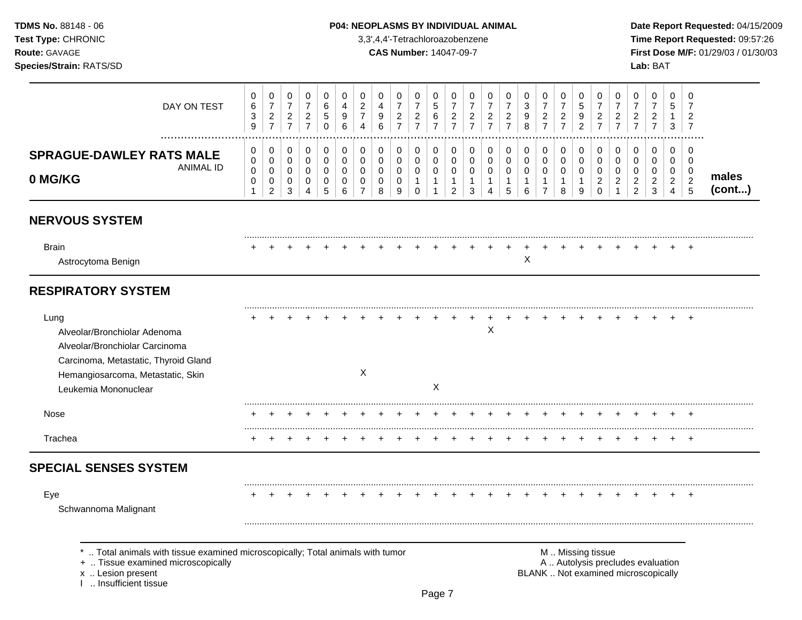## **TDMS No.** 88148 - 06 **P04: NEOPLASMS BY INDIVIDUAL ANIMAL** Date Report Requested: 04/15/2009

**Test Type:** CHRONIC 3,3',4,4'-Tetrachloroazobenzene **Time Report Requested:** 09:57:26 **Route:** GAVAGE **CAS Number:** 14047-09-7 **First Dose M/F:** 01/29/03 / 01/30/03

| DAY ON TEST                                                                                                                                                                 | 0<br>$\,6$<br>3<br>$\boldsymbol{9}$                | $\pmb{0}$<br>$\overline{7}$<br>$\sqrt{2}$<br>$\overline{7}$          | $\pmb{0}$<br>$\overline{7}$<br>$\overline{2}$<br>$\overline{7}$ | $\pmb{0}$<br>$\boldsymbol{7}$<br>$\overline{2}$<br>$\overline{7}$ | $\mathbf 0$<br>$\,6$<br>$\mathbf 5$<br>$\mathbf 0$            | $\mathbf 0$<br>4<br>9<br>6      | $\mathbf 0$<br>$\overline{c}$<br>$\overline{7}$<br>$\overline{4}$ | 0<br>$\overline{4}$<br>9<br>$6\phantom{1}6$      | $\mathbf 0$<br>$\overline{7}$<br>$\overline{2}$<br>$\overline{7}$ | 0<br>$\boldsymbol{7}$<br>$\sqrt{2}$<br>$\overline{7}$ | $\mathbf 0$<br>$\,$ 5 $\,$<br>6<br>$\overline{7}$                         | $\pmb{0}$<br>$\overline{7}$<br>$\overline{c}$<br>$\overline{7}$ | 0<br>$\overline{7}$<br>$\overline{2}$<br>$\overline{7}$ | 0<br>$\overline{7}$<br>$\overline{2}$<br>$\overline{7}$ | 0<br>$\overline{7}$<br>$\overline{c}$<br>$\overline{7}$    | 0<br>$\mathbf{3}$<br>9<br>8                          | $\pmb{0}$<br>$\overline{7}$<br>$\overline{c}$<br>$\overline{7}$ | 0<br>$\overline{7}$<br>$\sqrt{2}$<br>$\overline{7}$  | 0<br>$\mathbf 5$<br>$\boldsymbol{9}$<br>$\overline{2}$ | 0<br>$\overline{7}$<br>$\boldsymbol{2}$<br>$\overline{7}$                                     | 0<br>$\overline{7}$<br>$\overline{c}$<br>$\overline{7}$   | $\pmb{0}$<br>$\overline{7}$<br>$\overline{c}$<br>$\overline{7}$ | $\pmb{0}$<br>$\overline{7}$<br>$\sqrt{2}$<br>$\overline{7}$ | 0<br>5<br>1<br>3                                          | $\mathbf 0$<br>$\overline{7}$<br>$\overline{2}$<br>$\overline{7}$         |                 |
|-----------------------------------------------------------------------------------------------------------------------------------------------------------------------------|----------------------------------------------------|----------------------------------------------------------------------|-----------------------------------------------------------------|-------------------------------------------------------------------|---------------------------------------------------------------|---------------------------------|-------------------------------------------------------------------|--------------------------------------------------|-------------------------------------------------------------------|-------------------------------------------------------|---------------------------------------------------------------------------|-----------------------------------------------------------------|---------------------------------------------------------|---------------------------------------------------------|------------------------------------------------------------|------------------------------------------------------|-----------------------------------------------------------------|------------------------------------------------------|--------------------------------------------------------|-----------------------------------------------------------------------------------------------|-----------------------------------------------------------|-----------------------------------------------------------------|-------------------------------------------------------------|-----------------------------------------------------------|---------------------------------------------------------------------------|-----------------|
| <b>SPRAGUE-DAWLEY RATS MALE</b><br><b>ANIMAL ID</b><br>0 MG/KG                                                                                                              | 0<br>0<br>$\pmb{0}$<br>$\mathbf 0$<br>$\mathbf{1}$ | $\pmb{0}$<br>$\pmb{0}$<br>$\mathsf 0$<br>$\pmb{0}$<br>$\overline{c}$ | 0<br>$\mathbf 0$<br>$\overline{0}$<br>$\mathbf 0$<br>3          | $\pmb{0}$<br>$\pmb{0}$<br>$\mathbf 0$<br>0<br>4                   | $\mathbf 0$<br>$\mathbf 0$<br>$\mathbf 0$<br>$\mathbf 0$<br>5 | 0<br>0<br>$\mathbf 0$<br>0<br>6 | 0<br>0<br>$\mathbf 0$<br>0<br>$\overline{7}$                      | 0<br>$\mathbf 0$<br>$\Omega$<br>$\mathbf 0$<br>8 | $\mathbf 0$<br>0<br>$\mathbf 0$<br>0<br>9                         | 0<br>$\mathbf 0$<br>0<br>$\mathbf{1}$<br>$\mathbf 0$  | $\mathbf 0$<br>$\mathbf 0$<br>$\mathbf 0$<br>$\mathbf{1}$<br>$\mathbf{1}$ | 0<br>0<br>$\mathbf 0$<br>$\mathbf{1}$<br>$\overline{2}$         | $\mathbf 0$<br>0<br>$\mathbf 0$<br>$\mathbf{1}$<br>3    | 0<br>0<br>0<br>$\mathbf{1}$<br>4                        | $\mathbf 0$<br>$\pmb{0}$<br>$\pmb{0}$<br>$\mathbf{1}$<br>5 | 0<br>$\mathbf 0$<br>$\mathbf 0$<br>$\mathbf{1}$<br>6 | $\pmb{0}$<br>$\mathbf 0$<br>0<br>$\mathbf{1}$<br>$\overline{7}$ | 0<br>$\mathbf 0$<br>$\mathbf 0$<br>$\mathbf{1}$<br>8 | 0<br>0<br>$\mathbf 0$<br>$\mathbf{1}$<br>9             | $\mathbf 0$<br>0<br>$\mathbf 0$<br>$\overline{2}$<br>$\mathbf 0$                              | $\pmb{0}$<br>$\mathbf 0$<br>$\mathbf 0$<br>$\overline{2}$ | 0<br>0<br>0<br>$\overline{a}$<br>$\overline{2}$                 | 0<br>0<br>$\mathbf 0$<br>$\sqrt{2}$<br>$\mathbf{3}$         | $\mathbf 0$<br>0<br>0<br>$\overline{2}$<br>$\overline{4}$ | $\mathbf 0$<br>$\mathbf 0$<br>$\mathbf 0$<br>$\overline{2}$<br>$\sqrt{5}$ | males<br>(cont) |
| <b>NERVOUS SYSTEM</b>                                                                                                                                                       |                                                    |                                                                      |                                                                 |                                                                   |                                                               |                                 |                                                                   |                                                  |                                                                   |                                                       |                                                                           |                                                                 |                                                         |                                                         |                                                            |                                                      |                                                                 |                                                      |                                                        |                                                                                               |                                                           |                                                                 |                                                             |                                                           |                                                                           |                 |
| <b>Brain</b><br>Astrocytoma Benign                                                                                                                                          |                                                    |                                                                      |                                                                 |                                                                   |                                                               |                                 |                                                                   |                                                  |                                                                   |                                                       |                                                                           |                                                                 |                                                         |                                                         |                                                            | X                                                    |                                                                 |                                                      |                                                        |                                                                                               |                                                           |                                                                 |                                                             |                                                           |                                                                           |                 |
| <b>RESPIRATORY SYSTEM</b>                                                                                                                                                   |                                                    |                                                                      |                                                                 |                                                                   |                                                               |                                 |                                                                   |                                                  |                                                                   |                                                       |                                                                           |                                                                 |                                                         |                                                         |                                                            |                                                      |                                                                 |                                                      |                                                        |                                                                                               |                                                           |                                                                 |                                                             |                                                           |                                                                           |                 |
| Lung<br>Alveolar/Bronchiolar Adenoma<br>Alveolar/Bronchiolar Carcinoma<br>Carcinoma, Metastatic, Thyroid Gland<br>Hemangiosarcoma, Metastatic, Skin<br>Leukemia Mononuclear |                                                    |                                                                      |                                                                 |                                                                   |                                                               |                                 | $\times$                                                          |                                                  |                                                                   |                                                       | X                                                                         |                                                                 |                                                         | X                                                       |                                                            |                                                      |                                                                 |                                                      |                                                        |                                                                                               |                                                           |                                                                 |                                                             |                                                           | $\ddot{}$                                                                 |                 |
| Nose                                                                                                                                                                        |                                                    |                                                                      |                                                                 |                                                                   |                                                               |                                 |                                                                   |                                                  |                                                                   |                                                       |                                                                           |                                                                 |                                                         |                                                         |                                                            |                                                      |                                                                 |                                                      |                                                        |                                                                                               |                                                           |                                                                 |                                                             |                                                           |                                                                           |                 |
| Trachea                                                                                                                                                                     |                                                    |                                                                      |                                                                 |                                                                   |                                                               |                                 |                                                                   |                                                  |                                                                   |                                                       |                                                                           |                                                                 |                                                         |                                                         |                                                            |                                                      |                                                                 |                                                      |                                                        |                                                                                               |                                                           |                                                                 |                                                             |                                                           | $\overline{+}$                                                            |                 |
| <b>SPECIAL SENSES SYSTEM</b>                                                                                                                                                |                                                    |                                                                      |                                                                 |                                                                   |                                                               |                                 |                                                                   |                                                  |                                                                   |                                                       |                                                                           |                                                                 |                                                         |                                                         |                                                            |                                                      |                                                                 |                                                      |                                                        |                                                                                               |                                                           |                                                                 |                                                             |                                                           |                                                                           |                 |
| Eye<br>Schwannoma Malignant                                                                                                                                                 |                                                    |                                                                      |                                                                 |                                                                   |                                                               |                                 |                                                                   |                                                  |                                                                   |                                                       |                                                                           |                                                                 |                                                         |                                                         |                                                            |                                                      |                                                                 |                                                      |                                                        |                                                                                               |                                                           |                                                                 |                                                             |                                                           |                                                                           |                 |
| Total animals with tissue examined microscopically; Total animals with tumor<br>+  Tissue examined microscopically<br>x  Lesion present<br>I  Insufficient tissue           |                                                    |                                                                      |                                                                 |                                                                   |                                                               |                                 |                                                                   |                                                  |                                                                   |                                                       |                                                                           |                                                                 |                                                         |                                                         |                                                            |                                                      |                                                                 |                                                      |                                                        | M  Missing tissue<br>A  Autolysis precludes evaluation<br>BLANK  Not examined microscopically |                                                           |                                                                 |                                                             |                                                           |                                                                           |                 |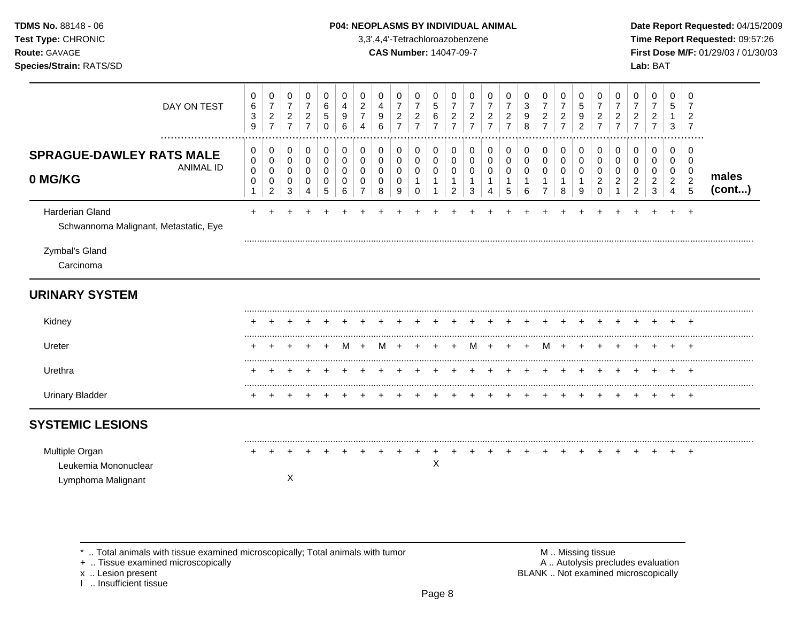| <b>TDMS No. 88148 - 06</b>     | <b>P04: NEOPLASMS BY INDIVIDUAL ANIMAL</b> | Date Rep         |
|--------------------------------|--------------------------------------------|------------------|
| <b>Test Type: CHRONIC</b>      | 3,3',4,4'-Tetrachloroazobenzene            | Time Rep         |
| <b>Route: GAVAGE</b>           | <b>CAS Number: 14047-09-7</b>              | <b>First Dos</b> |
| <b>Species/Strain: RATS/SD</b> |                                            | <b>Lab: BAT</b>  |

## **P04: NEOPLASMS BY INDIVIDUAL ANIMAL Date Report Requested: 04/15/2009**

**Time Report Requested:** 09:57:26 **Route:** GAVAGE **CAS Number:** 14047-09-7 **First Dose M/F:** 01/29/03 / 01/30/03

| DAY ON TEST                                                    | 0<br>6<br>$\ensuremath{\mathsf{3}}$<br>9 | $\mathbf 0$<br>$\boldsymbol{7}$<br>$\sqrt{2}$<br>$\overline{7}$ | 0<br>$\boldsymbol{7}$<br>$\overline{c}$<br>$\overline{7}$ | 0<br>$\boldsymbol{7}$<br>$\overline{2}$<br>$\overline{7}$ | 0<br>$\,6$<br>$\,$ 5 $\,$<br>$\mathbf 0$ | 0<br>4<br>9<br>6                       | 0<br>$\boldsymbol{2}$<br>$\overline{7}$<br>$\overline{4}$ | 0<br>$\overline{\mathbf{4}}$<br>9<br>6              | 0<br>$\overline{7}$<br>$\overline{2}$<br>$\overline{7}$ | 0<br>$\boldsymbol{7}$<br>$\overline{c}$<br>$\overline{7}$ | 0<br>$\,$ 5 $\,$<br>6<br>$\overline{7}$ | 0<br>$\boldsymbol{7}$<br>$\overline{\mathbf{c}}$<br>$\overline{7}$ | 0<br>$\overline{7}$<br>$\overline{2}$<br>$\overline{7}$ | 0<br>$\overline{7}$<br>$\overline{c}$<br>$\overline{7}$ | 0<br>$\overline{7}$<br>$\overline{c}$<br>$\overline{7}$ | 0<br>$\sqrt{3}$<br>9<br>8        | 0<br>$\boldsymbol{7}$<br>$\overline{2}$<br>$\overline{7}$       | 0<br>$\overline{7}$<br>$\overline{2}$<br>$\overline{7}$ | 0<br>5<br>9<br>$\overline{c}$ | 0<br>$\overline{7}$<br>$\overline{c}$<br>$\overline{7}$ | 0<br>$\overline{7}$<br>$\overline{c}$<br>$\overline{7}$ | 0<br>$\overline{7}$<br>$\overline{c}$<br>$\overline{7}$ | 0<br>$\overline{7}$<br>$\overline{c}$<br>$\overline{7}$ | 0<br>$\,$ 5 $\,$<br>$\mathbf{1}$<br>3                  | 0<br>7<br>$\overline{\mathbf{c}}$<br>$\overline{7}$ |                 |
|----------------------------------------------------------------|------------------------------------------|-----------------------------------------------------------------|-----------------------------------------------------------|-----------------------------------------------------------|------------------------------------------|----------------------------------------|-----------------------------------------------------------|-----------------------------------------------------|---------------------------------------------------------|-----------------------------------------------------------|-----------------------------------------|--------------------------------------------------------------------|---------------------------------------------------------|---------------------------------------------------------|---------------------------------------------------------|----------------------------------|-----------------------------------------------------------------|---------------------------------------------------------|-------------------------------|---------------------------------------------------------|---------------------------------------------------------|---------------------------------------------------------|---------------------------------------------------------|--------------------------------------------------------|-----------------------------------------------------|-----------------|
| <b>SPRAGUE-DAWLEY RATS MALE</b><br><b>ANIMAL ID</b><br>0 MG/KG | 0<br>$\mathbf 0$<br>$\pmb{0}$<br>0<br>1  | 0<br>$\pmb{0}$<br>$\pmb{0}$<br>$\pmb{0}$<br>$\overline{c}$      | 0<br>$\mathbf 0$<br>$\mathbf 0$<br>0<br>$\sqrt{3}$        | 0<br>$\mathsf{O}\xspace$<br>$\mathbf 0$<br>0<br>4         | 0<br>$\mathbf 0$<br>0<br>0<br>5          | 0<br>$\mathbf 0$<br>$\Omega$<br>0<br>6 | 0<br>0<br>0<br>0<br>7                                     | $\mathbf 0$<br>$\mathbf 0$<br>$\mathbf 0$<br>0<br>8 | 0<br>0<br>0<br>0<br>9                                   | 0<br>0<br>0<br>0                                          | 0<br>$\mathbf 0$<br>0<br>1<br>1         | 0<br>0<br>$\pmb{0}$<br>1<br>$\overline{c}$                         | 0<br>$\mathbf 0$<br>$\mathbf 0$<br>$\mathbf 1$<br>3     | 0<br>$\mathbf 0$<br>0<br>1<br>4                         | 0<br>$\pmb{0}$<br>$\mathbf 0$<br>5                      | 0<br>$\mathsf{O}$<br>0<br>1<br>6 | 0<br>$\mathsf{O}\xspace$<br>0<br>$\mathbf{1}$<br>$\overline{7}$ | 0<br>$\mathbf 0$<br>0<br>$\overline{1}$<br>8            | 0<br>0<br>0<br>1<br>9         | 0<br>0<br>0<br>$\overline{2}$<br>0                      | 0<br>$\mathbf 0$<br>0<br>$\overline{c}$<br>1            | 0<br>0<br>0<br>$\overline{2}$<br>$\overline{2}$         | 0<br>0<br>0<br>$\overline{c}$<br>$\mathbf{3}$           | $\mathbf 0$<br>$\mathbf 0$<br>0<br>$\overline{2}$<br>4 | 0<br>$\mathbf 0$<br>$\mathbf 0$<br>$\sqrt{2}$<br>5  | males<br>(cont) |
| Harderian Gland<br>Schwannoma Malignant, Metastatic, Eye       |                                          |                                                                 |                                                           |                                                           |                                          |                                        |                                                           |                                                     |                                                         |                                                           |                                         |                                                                    |                                                         |                                                         |                                                         |                                  |                                                                 |                                                         |                               |                                                         |                                                         |                                                         |                                                         |                                                        |                                                     |                 |
| Zymbal's Gland<br>Carcinoma                                    |                                          |                                                                 |                                                           |                                                           |                                          |                                        |                                                           |                                                     |                                                         |                                                           |                                         |                                                                    |                                                         |                                                         |                                                         |                                  |                                                                 |                                                         |                               |                                                         |                                                         |                                                         |                                                         |                                                        |                                                     |                 |
| <b>URINARY SYSTEM</b>                                          |                                          |                                                                 |                                                           |                                                           |                                          |                                        |                                                           |                                                     |                                                         |                                                           |                                         |                                                                    |                                                         |                                                         |                                                         |                                  |                                                                 |                                                         |                               |                                                         |                                                         |                                                         |                                                         |                                                        |                                                     |                 |
| Kidney                                                         |                                          |                                                                 |                                                           |                                                           |                                          |                                        |                                                           |                                                     |                                                         |                                                           |                                         |                                                                    |                                                         |                                                         |                                                         |                                  |                                                                 |                                                         |                               |                                                         |                                                         |                                                         |                                                         |                                                        |                                                     |                 |
| Ureter                                                         |                                          |                                                                 |                                                           |                                                           |                                          | м                                      |                                                           |                                                     |                                                         |                                                           |                                         |                                                                    |                                                         |                                                         |                                                         |                                  |                                                                 |                                                         |                               |                                                         |                                                         |                                                         |                                                         |                                                        |                                                     |                 |
| Urethra                                                        |                                          |                                                                 |                                                           |                                                           |                                          |                                        |                                                           |                                                     |                                                         |                                                           |                                         |                                                                    |                                                         |                                                         |                                                         |                                  |                                                                 |                                                         |                               |                                                         |                                                         |                                                         |                                                         |                                                        |                                                     |                 |
| <b>Urinary Bladder</b>                                         |                                          |                                                                 |                                                           |                                                           |                                          |                                        |                                                           |                                                     |                                                         |                                                           |                                         |                                                                    |                                                         |                                                         |                                                         |                                  |                                                                 |                                                         |                               |                                                         |                                                         |                                                         |                                                         |                                                        | $\pm$                                               |                 |
| <b>SYSTEMIC LESIONS</b>                                        |                                          |                                                                 |                                                           |                                                           |                                          |                                        |                                                           |                                                     |                                                         |                                                           |                                         |                                                                    |                                                         |                                                         |                                                         |                                  |                                                                 |                                                         |                               |                                                         |                                                         |                                                         |                                                         |                                                        |                                                     |                 |
| Multiple Organ<br>Leukemia Mononuclear<br>Lymphoma Malignant   |                                          |                                                                 | X                                                         |                                                           |                                          |                                        |                                                           |                                                     |                                                         |                                                           | X                                       |                                                                    |                                                         |                                                         |                                                         |                                  |                                                                 |                                                         |                               |                                                         |                                                         |                                                         |                                                         |                                                        |                                                     |                 |

 $*$  .. Total animals with tissue examined microscopically; Total animals with tumor  $\blacksquare$  M .. Missing tissue

x .. Lesion present<br>I .. Insufficient tissue

+ .. Tissue examined microscopically  $\blacksquare$  A .. Autolysis precludes evaluation M .. Missing tissue<br>A .. Autolysis precludes evaluation<br>BLANK .. Not examined microscopically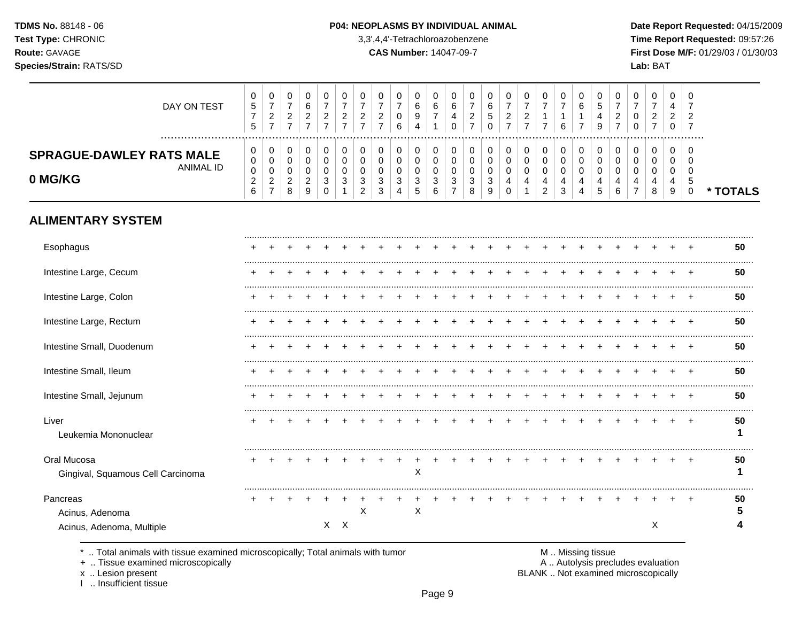#### P04: NEOPLASMS BY INDIVIDUAL ANIMAL

3,3',4,4'-Tetrachloroazobenzene

**CAS Number: 14047-09-7** 

Date Report Requested: 04/15/2009 Time Report Requested: 09:57:26 First Dose M/F: 01/29/03 / 01/30/03 Lab: BAT

| DAY ON TEST                                             | 0<br>5<br>$\overline{ }$<br>5        | 0<br>⇁<br>2<br>-           | 0<br>⇁<br>2           | 6<br>$\sqrt{2}$<br>∠ | 0<br>ົ<br>∠      | 0<br>⇁<br>ົ<br>$\epsilon$ | 0<br>◠<br>∠ | ົ<br>∠ | 0<br>0<br>6      | 0<br>6<br>9<br>4      | 0<br>6<br>⇁ | 0<br>6<br>4<br>0 | 0<br>⇁<br>2<br>⇁      | U<br>6<br>5 | 0<br>⇁<br>2<br>⇁ |   | 0<br>⇁                | -U<br>⇁<br>6     | 0<br>6      | 0<br>G<br>4<br>9 | ∠ | 0<br>0<br>0      | 0<br>$\epsilon$<br>$\overline{ }$ | 0<br>4<br>◠<br>∠<br>0 | 0<br>ົ<br>∠<br>7 |        |
|---------------------------------------------------------|--------------------------------------|----------------------------|-----------------------|----------------------|------------------|---------------------------|-------------|--------|------------------|-----------------------|-------------|------------------|-----------------------|-------------|------------------|---|-----------------------|------------------|-------------|------------------|---|------------------|-----------------------------------|-----------------------|------------------|--------|
| <b>SPRAGUE-DAWLEY RATS MALE</b><br>ANIMAL ID<br>0 MG/KG | 0<br>0<br>0<br>ົ<br>∠<br>$\sim$<br>b | 0<br>0<br>0<br>ົ<br>۷<br>- | 0<br>0<br>0<br>2<br>8 | $\sqrt{2}$<br>∠<br>9 | 0<br>0<br>0<br>З | 0<br>0<br>0<br>3          | 3<br>◠      | 3<br>3 | 0<br>0<br>3<br>4 | 0<br>0<br>0<br>3<br>5 | 3<br>⌒<br>n | 0<br>0<br>0<br>3 | 0<br>0<br>0<br>3<br>8 | 3           | 0<br>0<br>0<br>4 | 4 | 0<br>0<br>0<br>4<br>2 | 0<br>U<br>4<br>3 | 0<br>0<br>0 | C                |   | 0<br>0<br>0<br>- | 0<br>0<br>4<br>8                  | 0<br>0<br>0<br>4<br>9 | <br>0<br>0<br>.5 | TOTALS |
| <b>ALIMENTARY SYSTEM</b>                                |                                      |                            |                       |                      |                  |                           |             |        |                  |                       |             |                  |                       |             |                  |   |                       |                  |             |                  |   |                  |                                   |                       |                  |        |
| Esophagus                                               |                                      |                            |                       |                      |                  |                           |             |        |                  |                       |             |                  |                       |             |                  |   |                       |                  |             |                  |   |                  |                                   |                       |                  | 50     |
| Intestine Large, Cecum                                  |                                      |                            |                       |                      |                  |                           |             |        |                  |                       |             |                  |                       |             |                  |   |                       |                  |             |                  |   |                  |                                   |                       |                  | 50     |

| Esophagus                                        |  |  |         |   |  |   |  |  |  |  |  |  |   |  | 50 |
|--------------------------------------------------|--|--|---------|---|--|---|--|--|--|--|--|--|---|--|----|
| Intestine Large, Cecum                           |  |  |         |   |  |   |  |  |  |  |  |  |   |  | 50 |
| Intestine Large, Colon                           |  |  |         |   |  |   |  |  |  |  |  |  |   |  | 50 |
| Intestine Large, Rectum                          |  |  |         |   |  |   |  |  |  |  |  |  |   |  | 50 |
| Intestine Small, Duodenum                        |  |  |         |   |  |   |  |  |  |  |  |  |   |  | 50 |
| Intestine Small, Ileum                           |  |  |         |   |  |   |  |  |  |  |  |  |   |  | 50 |
| Intestine Small, Jejunum                         |  |  |         |   |  |   |  |  |  |  |  |  |   |  | 50 |
| Liver<br>Leukemia Mononuclear                    |  |  |         |   |  |   |  |  |  |  |  |  |   |  | 50 |
| Oral Mucosa<br>Gingival, Squamous Cell Carcinoma |  |  |         |   |  | X |  |  |  |  |  |  |   |  | 50 |
| Pancreas                                         |  |  |         | X |  | X |  |  |  |  |  |  |   |  | 50 |
| Acinus, Adenoma<br>Acinus, Adenoma, Multiple     |  |  | $X$ $X$ |   |  |   |  |  |  |  |  |  | Χ |  | 4  |
|                                                  |  |  |         |   |  |   |  |  |  |  |  |  |   |  |    |

\* .. Total animals with tissue examined microscopically; Total animals with tumor

+ .. Tissue examined microscopically

x .. Lesion present<br>I .. Insufficient tissue

M .. Missing tissue

A .. Autolysis precludes evaluation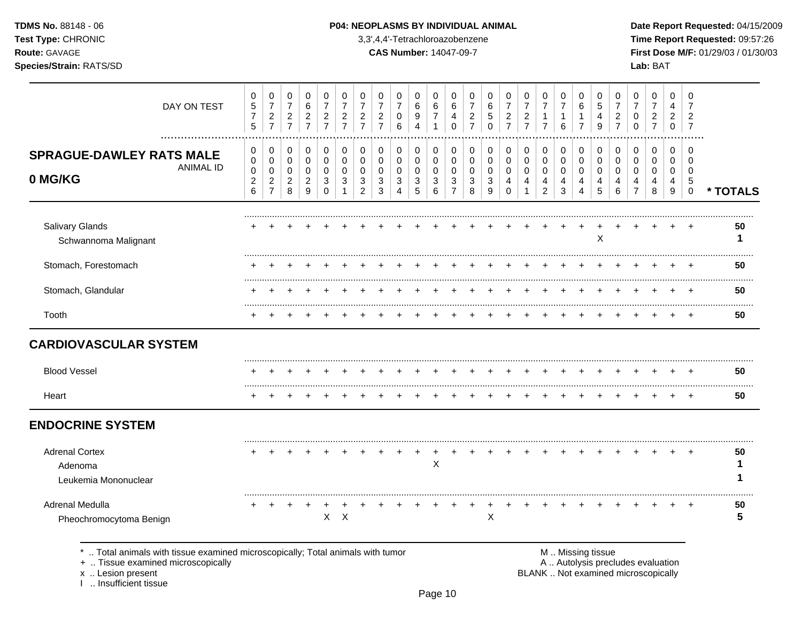### **TDMS No.** 88148 - 06 **P04: NEOPLASMS BY INDIVIDUAL ANIMAL** Date Report Requested: 04/15/2009

**Test Type:** CHRONIC 3,3',4,4'-Tetrachloroazobenzene **Time Report Requested:** 09:57:26 **Route:** GAVAGE **CAS Number:** 14047-09-7 **First Dose M/F:** 01/29/03 / 01/30/03

| DAY ON TEST                                                                                                        | 0<br>$\frac{5}{7}$<br>5            | 0<br>$\overline{7}$<br>$\frac{2}{7}$             | 0<br>$\boldsymbol{7}$<br>$\frac{2}{7}$     | 0<br>6<br>$\frac{2}{7}$                                | 0<br>$\overline{7}$<br>$\overline{c}$<br>$\overline{7}$ | 0<br>$\overline{7}$<br>$\overline{c}$<br>$\overline{7}$ | 0<br>$\overline{7}$<br>$\overline{c}$<br>$\overline{7}$ | 0<br>$\overline{7}$<br>$\overline{c}$<br>$\overline{7}$ | 0<br>$\overline{7}$<br>$\pmb{0}$<br>6 | 0<br>6<br>9<br>$\overline{4}$   | 0<br>$\,6$<br>$\overline{7}$<br>$\mathbf{1}$ | 0<br>$\,6$<br>4<br>$\Omega$                          | 0<br>$\overline{7}$<br>$\overline{c}$<br>$\overline{7}$ | 0<br>6<br>5<br>$\Omega$ | 0<br>$\overline{7}$<br>$\boldsymbol{2}$<br>$\overline{7}$ | 0<br>$\overline{7}$<br>$\overline{c}$<br>$\overline{7}$ | 0<br>$\overline{7}$<br>$\mathbf{1}$<br>$\overline{7}$ | 0<br>$\overline{7}$<br>1<br>6   | 0<br>6<br>$\mathbf 1$<br>$\overline{7}$ | 0<br>$\sqrt{5}$<br>4<br>9            | 0<br>$\overline{7}$<br>$\overline{2}$<br>$\overline{7}$ | 0<br>$\overline{7}$<br>0<br>$\Omega$             | 0<br>$\overline{7}$<br>$\boldsymbol{2}$<br>$\overline{7}$ | 0<br>4<br>$\overline{2}$<br>$\mathbf 0$ | 0<br>$\overline{7}$<br>$\overline{c}$<br>$\overline{7}$ |          |
|--------------------------------------------------------------------------------------------------------------------|------------------------------------|--------------------------------------------------|--------------------------------------------|--------------------------------------------------------|---------------------------------------------------------|---------------------------------------------------------|---------------------------------------------------------|---------------------------------------------------------|---------------------------------------|---------------------------------|----------------------------------------------|------------------------------------------------------|---------------------------------------------------------|-------------------------|-----------------------------------------------------------|---------------------------------------------------------|-------------------------------------------------------|---------------------------------|-----------------------------------------|--------------------------------------|---------------------------------------------------------|--------------------------------------------------|-----------------------------------------------------------|-----------------------------------------|---------------------------------------------------------|----------|
| <b>SPRAGUE-DAWLEY RATS MALE</b><br><b>ANIMAL ID</b><br>0 MG/KG                                                     | 0<br>0<br>0<br>$\overline{c}$<br>6 | 0<br>$\mathbf 0$<br>$\mathbf 0$<br>$\frac{2}{7}$ | 0<br>$\pmb{0}$<br>0<br>$\overline{c}$<br>8 | 0<br>$\mathbf 0$<br>$\mathbf 0$<br>$\overline{2}$<br>9 | 0<br>$\Omega$<br>0<br>3<br>$\Omega$                     | 0<br>$\Omega$<br>$\Omega$<br>3                          | 0<br>$\Omega$<br>$\Omega$<br>3<br>$\overline{2}$        | 0<br>$\mathbf 0$<br>0<br>3<br>3                         | 0<br>0<br>$\mathbf 0$<br>3<br>4       | 0<br>$\mathbf 0$<br>0<br>3<br>5 | 0<br>$\mathbf 0$<br>0<br>3<br>6              | 0<br>$\pmb{0}$<br>$\mathbf 0$<br>3<br>$\overline{7}$ | 0<br>$\mathbf 0$<br>$\mathbf 0$<br>3<br>8               | 0<br>0<br>0<br>3<br>9   | 0<br>$\Omega$<br>$\Omega$<br>4<br>$\Omega$                | 0<br>$\pmb{0}$<br>0<br>4                                | 0<br>$\mathbf 0$<br>0<br>4<br>$\overline{2}$          | 0<br>$\mathbf 0$<br>0<br>4<br>3 | 0<br>0<br>$\mathbf 0$<br>4<br>4         | 0<br>$\boldsymbol{0}$<br>0<br>4<br>5 | 0<br>0<br>0<br>4<br>6                                   | 0<br>$\Omega$<br>$\Omega$<br>4<br>$\overline{7}$ | 0<br>0<br>0<br>4<br>8                                     | 0<br>$\Omega$<br>$\mathbf 0$<br>4<br>9  | 0<br>$\Omega$<br>$\mathbf 0$<br>5<br>$\mathbf 0$        | * TOTALS |
| <b>Salivary Glands</b><br>Schwannoma Malignant                                                                     |                                    |                                                  |                                            |                                                        |                                                         |                                                         |                                                         |                                                         |                                       |                                 |                                              |                                                      |                                                         |                         |                                                           |                                                         |                                                       |                                 |                                         | X                                    |                                                         |                                                  |                                                           |                                         |                                                         | 50<br>1  |
| Stomach, Forestomach                                                                                               |                                    |                                                  |                                            |                                                        |                                                         |                                                         |                                                         |                                                         |                                       |                                 |                                              |                                                      |                                                         |                         |                                                           |                                                         |                                                       |                                 |                                         |                                      |                                                         |                                                  |                                                           |                                         |                                                         | 50       |
| Stomach, Glandular                                                                                                 |                                    |                                                  |                                            |                                                        |                                                         |                                                         |                                                         |                                                         |                                       |                                 |                                              |                                                      |                                                         |                         |                                                           |                                                         |                                                       |                                 |                                         |                                      |                                                         |                                                  |                                                           |                                         |                                                         | 50       |
| Tooth                                                                                                              |                                    |                                                  |                                            |                                                        |                                                         |                                                         |                                                         |                                                         |                                       |                                 |                                              |                                                      |                                                         |                         |                                                           |                                                         |                                                       |                                 |                                         |                                      |                                                         |                                                  |                                                           |                                         |                                                         | 50       |
| <b>CARDIOVASCULAR SYSTEM</b>                                                                                       |                                    |                                                  |                                            |                                                        |                                                         |                                                         |                                                         |                                                         |                                       |                                 |                                              |                                                      |                                                         |                         |                                                           |                                                         |                                                       |                                 |                                         |                                      |                                                         |                                                  |                                                           |                                         |                                                         |          |
| <b>Blood Vessel</b>                                                                                                |                                    |                                                  |                                            |                                                        |                                                         |                                                         |                                                         |                                                         |                                       |                                 |                                              |                                                      |                                                         |                         |                                                           |                                                         |                                                       |                                 |                                         |                                      |                                                         |                                                  |                                                           |                                         |                                                         | 50       |
| Heart                                                                                                              |                                    |                                                  |                                            |                                                        |                                                         |                                                         |                                                         |                                                         |                                       |                                 |                                              |                                                      |                                                         |                         |                                                           |                                                         |                                                       |                                 |                                         |                                      |                                                         |                                                  |                                                           |                                         |                                                         | 50       |
| <b>ENDOCRINE SYSTEM</b>                                                                                            |                                    |                                                  |                                            |                                                        |                                                         |                                                         |                                                         |                                                         |                                       |                                 |                                              |                                                      |                                                         |                         |                                                           |                                                         |                                                       |                                 |                                         |                                      |                                                         |                                                  |                                                           |                                         |                                                         |          |
| <b>Adrenal Cortex</b><br>Adenoma<br>Leukemia Mononuclear                                                           |                                    |                                                  |                                            |                                                        |                                                         |                                                         |                                                         |                                                         |                                       |                                 | $\boldsymbol{\mathsf{X}}$                    | $\ddot{}$                                            |                                                         |                         |                                                           |                                                         |                                                       |                                 |                                         |                                      |                                                         |                                                  |                                                           |                                         |                                                         | 50<br>1  |
| Adrenal Medulla<br>Pheochromocytoma Benign                                                                         |                                    |                                                  | $\ddot{}$                                  | +                                                      | $\mathsf{X}$                                            | $\mathsf{X}$                                            |                                                         |                                                         |                                       |                                 |                                              |                                                      |                                                         | $\sf X$                 |                                                           |                                                         |                                                       |                                 |                                         |                                      |                                                         |                                                  |                                                           |                                         |                                                         | 50<br>5  |
| Total animals with tissue examined microscopically; Total animals with tumor<br>+  Tissue examined microscopically |                                    |                                                  |                                            |                                                        |                                                         |                                                         |                                                         |                                                         |                                       |                                 |                                              |                                                      |                                                         |                         |                                                           |                                                         |                                                       |                                 | M  Missing tissue                       |                                      |                                                         | A  Autolysis precludes evaluation                |                                                           |                                         |                                                         |          |

x .. Lesion present<br>I .. Insufficient tissue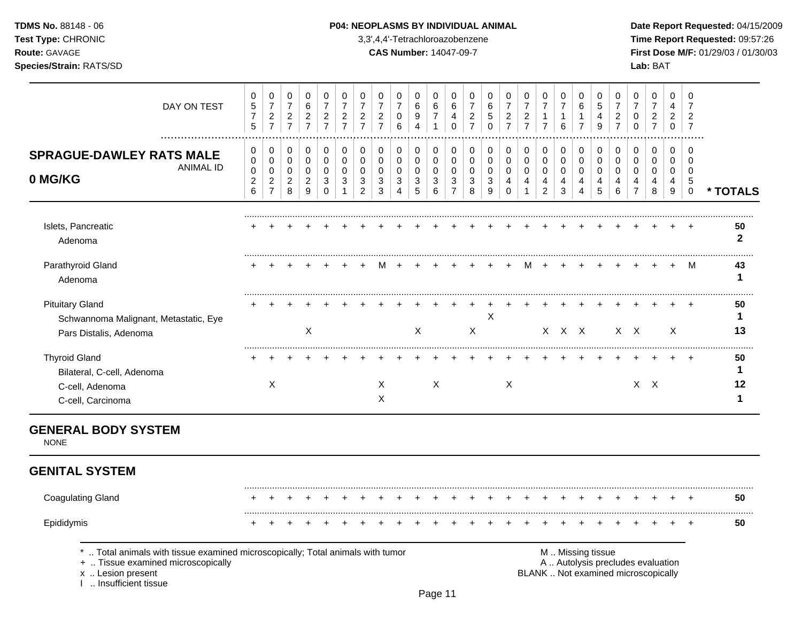I .. Insufficient tissue

## **TDMS No.** 88148 - 06 **P04: NEOPLASMS BY INDIVIDUAL ANIMAL** Date Report Requested: 04/15/2009

**Test Type:** CHRONIC 3,3',4,4'-Tetrachloroazobenzene **Time Report Requested:** 09:57:26 **Route:** GAVAGE **CAS Number:** 14047-09-7 **First Dose M/F:** 01/29/03 / 01/30/03

| DAY ON TEST                                                                                                                             | 0<br>$\mathbf 5$<br>$\overline{7}$<br>5                             | 0<br>$\boldsymbol{7}$<br>$\sqrt{2}$<br>$\overline{7}$ | 0<br>$\boldsymbol{7}$<br>$\sqrt{2}$<br>$\overline{7}$ | 0<br>$\,6$<br>$\overline{a}$<br>$\overline{7}$ | 0<br>$\overline{7}$<br>$\sqrt{2}$<br>$\overline{7}$          | 0<br>$\overline{7}$<br>$\boldsymbol{2}$<br>$\overline{7}$ | 0<br>$\overline{7}$<br>$\boldsymbol{2}$<br>$\overline{7}$ | 0<br>$\overline{7}$<br>$\overline{c}$<br>$\overline{7}$ | 0<br>$\overline{7}$<br>$\mathbf 0$<br>6                 | 0<br>6<br>9<br>$\overline{4}$                                 | 0<br>$\,6\,$<br>$\boldsymbol{7}$<br>$\mathbf{1}$             | 0<br>$\,6$<br>4<br>$\mathbf 0$                                             | 0<br>$\overline{7}$<br>$\boldsymbol{2}$<br>$\overline{7}$ | 0<br>6<br>5<br>$\overline{0}$ | 0<br>$\overline{7}$<br>$\sqrt{2}$<br>$\overline{7}$        | 0<br>$\overline{7}$<br>$\overline{c}$<br>$\overline{7}$ | 0<br>$\overline{7}$<br>$\mathbf{1}$<br>$\overline{7}$ | 0<br>$\overline{7}$<br>$\mathbf{1}$<br>6  | 0<br>6<br>$\mathbf{1}$<br>$\overline{7}$                   | 0<br>$\sqrt{5}$<br>4<br>9                 | 0<br>$\overline{7}$<br>$\overline{c}$<br>$\overline{7}$ | $\Omega$<br>$\overline{7}$<br>0<br>$\Omega$                              | 0<br>$\overline{7}$<br>$\overline{c}$<br>$\overline{7}$ | $\mathbf 0$<br>4<br>$\overline{2}$<br>$\mathbf 0$ | 0<br>$\overline{7}$<br>$\overline{2}$<br>$\overline{7}$ |                              |
|-----------------------------------------------------------------------------------------------------------------------------------------|---------------------------------------------------------------------|-------------------------------------------------------|-------------------------------------------------------|------------------------------------------------|--------------------------------------------------------------|-----------------------------------------------------------|-----------------------------------------------------------|---------------------------------------------------------|---------------------------------------------------------|---------------------------------------------------------------|--------------------------------------------------------------|----------------------------------------------------------------------------|-----------------------------------------------------------|-------------------------------|------------------------------------------------------------|---------------------------------------------------------|-------------------------------------------------------|-------------------------------------------|------------------------------------------------------------|-------------------------------------------|---------------------------------------------------------|--------------------------------------------------------------------------|---------------------------------------------------------|---------------------------------------------------|---------------------------------------------------------|------------------------------|
| <b>SPRAGUE-DAWLEY RATS MALE</b><br><b>ANIMAL ID</b><br>0 MG/KG                                                                          | 0<br>$\mathbf 0$<br>$\pmb{0}$<br>$\boldsymbol{2}$<br>$6\phantom{a}$ | 0<br>$\mathbf 0$<br>$\mathbf 0$<br>$\frac{2}{7}$      | 0<br>$\mathbf 0$<br>$\mathbf 0$<br>$\sqrt{2}$<br>8    | 0<br>$\mathbf 0$<br>0<br>$\overline{c}$<br>9   | 0<br>$\mathbf 0$<br>$\pmb{0}$<br>$\mathbf{3}$<br>$\mathbf 0$ | 0<br>$\mathbf 0$<br>$\mathbf 0$<br>3<br>$\mathbf{1}$      | 0<br>$\mathbf 0$<br>0<br>3<br>$\overline{2}$              | 0<br>$\mathbf 0$<br>$\mathbf 0$<br>$\sqrt{3}$<br>3      | 0<br>$\mathsf 0$<br>0<br>$\mathbf{3}$<br>$\overline{4}$ | 0<br>$\pmb{0}$<br>$\pmb{0}$<br>$\ensuremath{\mathsf{3}}$<br>5 | 0<br>$\mathsf{O}\xspace$<br>$\mathbf 0$<br>$\mathbf{3}$<br>6 | 0<br>$\pmb{0}$<br>$\pmb{0}$<br>$\ensuremath{\mathsf{3}}$<br>$\overline{7}$ | 0<br>$\mathbf 0$<br>$\mathbf 0$<br>$\mathbf{3}$<br>8      | 0<br>$\pmb{0}$<br>0<br>3<br>9 | $\mathbf 0$<br>$\mathbf 0$<br>$\mathbf 0$<br>4<br>$\Omega$ | 0<br>$\mathsf 0$<br>0<br>4<br>1                         | 0<br>$\pmb{0}$<br>$\pmb{0}$<br>4<br>$\overline{c}$    | 0<br>$\mathbf 0$<br>$\mathbf 0$<br>4<br>3 | $\pmb{0}$<br>$\pmb{0}$<br>$\pmb{0}$<br>4<br>$\overline{4}$ | 0<br>$\mathbf 0$<br>$\mathbf 0$<br>4<br>5 | 0<br>$\mathbf 0$<br>$\mathbf 0$<br>4<br>6               | 0<br>$\mathbf 0$<br>$\mathbf 0$<br>$\overline{4}$<br>$\overline{7}$      | 0<br>$\mathbf 0$<br>$\mathbf 0$<br>4<br>8               | 0<br>$\mathbf 0$<br>$\mathbf 0$<br>4<br>9         | $\Omega$<br>$\Omega$<br>$\mathbf 0$<br>5<br>$\mathbf 0$ | * TOTALS                     |
| Islets, Pancreatic<br>Adenoma                                                                                                           |                                                                     |                                                       |                                                       |                                                |                                                              |                                                           |                                                           |                                                         |                                                         |                                                               |                                                              |                                                                            |                                                           |                               |                                                            |                                                         |                                                       |                                           |                                                            |                                           |                                                         |                                                                          |                                                         |                                                   |                                                         | 50<br>$\mathbf{2}$           |
| Parathyroid Gland<br>Adenoma                                                                                                            |                                                                     |                                                       |                                                       |                                                |                                                              |                                                           |                                                           |                                                         |                                                         |                                                               |                                                              |                                                                            |                                                           |                               |                                                            |                                                         |                                                       |                                           |                                                            |                                           |                                                         |                                                                          |                                                         |                                                   | M                                                       | 43<br>1                      |
| <b>Pituitary Gland</b><br>Schwannoma Malignant, Metastatic, Eye<br>Pars Distalis, Adenoma                                               |                                                                     |                                                       |                                                       | $\pmb{\times}$                                 |                                                              |                                                           |                                                           |                                                         |                                                         | $\mathsf{X}$                                                  |                                                              |                                                                            | $\boldsymbol{X}$                                          | X                             |                                                            |                                                         |                                                       | $X$ $X$ $X$                               |                                                            |                                           |                                                         | $X \times$                                                               |                                                         | X                                                 |                                                         | 50<br>1<br>13                |
| <b>Thyroid Gland</b><br>Bilateral, C-cell, Adenoma<br>C-cell, Adenoma<br>C-cell, Carcinoma                                              |                                                                     | X                                                     |                                                       |                                                |                                                              |                                                           |                                                           | $\mathsf{X}$<br>$\mathsf X$                             |                                                         |                                                               | $\mathsf{X}$                                                 |                                                                            |                                                           |                               | $\mathsf{X}$                                               |                                                         |                                                       |                                           |                                                            |                                           |                                                         |                                                                          | $X$ $X$                                                 |                                                   |                                                         | 50<br>1<br>12<br>$\mathbf 1$ |
| <b>GENERAL BODY SYSTEM</b><br><b>NONE</b>                                                                                               |                                                                     |                                                       |                                                       |                                                |                                                              |                                                           |                                                           |                                                         |                                                         |                                                               |                                                              |                                                                            |                                                           |                               |                                                            |                                                         |                                                       |                                           |                                                            |                                           |                                                         |                                                                          |                                                         |                                                   |                                                         |                              |
| <b>GENITAL SYSTEM</b>                                                                                                                   |                                                                     |                                                       |                                                       |                                                |                                                              |                                                           |                                                           |                                                         |                                                         |                                                               |                                                              |                                                                            |                                                           |                               |                                                            |                                                         |                                                       |                                           |                                                            |                                           |                                                         |                                                                          |                                                         |                                                   |                                                         |                              |
| <b>Coagulating Gland</b>                                                                                                                |                                                                     |                                                       |                                                       |                                                |                                                              |                                                           |                                                           |                                                         |                                                         |                                                               |                                                              |                                                                            |                                                           |                               |                                                            |                                                         |                                                       |                                           |                                                            |                                           |                                                         |                                                                          |                                                         |                                                   |                                                         | 50                           |
| Epididymis                                                                                                                              |                                                                     |                                                       |                                                       |                                                |                                                              |                                                           |                                                           |                                                         |                                                         |                                                               |                                                              |                                                                            |                                                           |                               |                                                            |                                                         |                                                       |                                           |                                                            |                                           |                                                         |                                                                          |                                                         |                                                   |                                                         | 50                           |
| Total animals with tissue examined microscopically; Total animals with tumor<br>+  Tissue examined microscopically<br>x  Lesion present |                                                                     |                                                       |                                                       |                                                |                                                              |                                                           |                                                           |                                                         |                                                         |                                                               |                                                              |                                                                            |                                                           |                               |                                                            |                                                         |                                                       |                                           |                                                            | M  Missing tissue                         |                                                         | A  Autolysis precludes evaluation<br>BLANK  Not examined microscopically |                                                         |                                                   |                                                         |                              |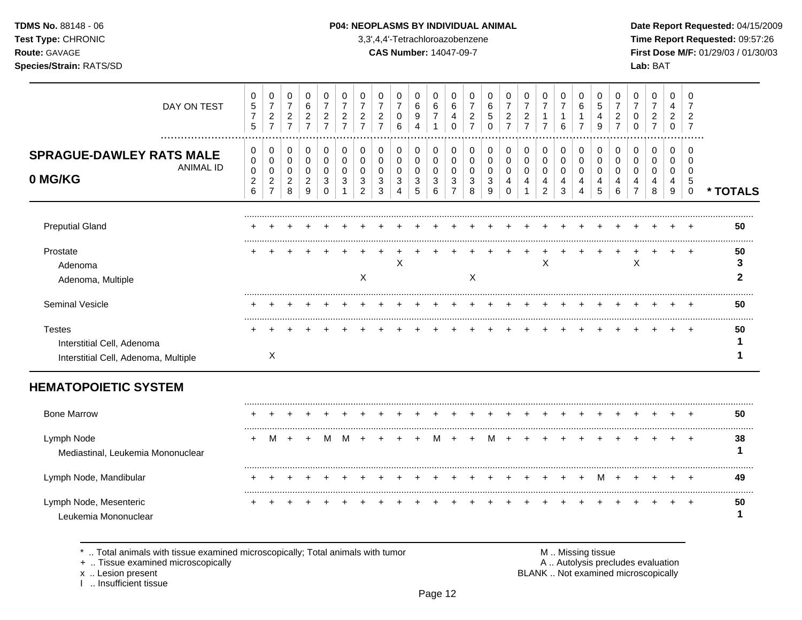## **TDMS No.** 88148 - 06 **P04: NEOPLASMS BY INDIVIDUAL ANIMAL** Date Report Requested: 04/15/2009

**Test Type:** CHRONIC 3,3',4,4'-Tetrachloroazobenzene **Time Report Requested:** 09:57:26 **Route:** GAVAGE **CAS Number:** 14047-09-7 **First Dose M/F:** 01/29/03 / 01/30/03

| DAY ON TEST                                                                         | 0<br>$\mathbf 5$<br>$\overline{7}$<br>$\overline{5}$ | 0<br>$\overline{7}$<br>$\overline{c}$<br>$\overline{7}$                      | 0<br>$\overline{7}$<br>$\sqrt{2}$<br>$\overline{7}$ | 0<br>$\,6\,$<br>$\overline{c}$<br>$\overline{7}$ | 0<br>$\overline{7}$<br>$\overline{a}$<br>$\overline{7}$ | 0<br>$\overline{7}$<br>$\overline{c}$<br>$\overline{7}$ | 0<br>$\overline{7}$<br>$\overline{c}$<br>$\overline{7}$ | 0<br>$\overline{7}$<br>$\boldsymbol{2}$<br>$\overline{7}$ | 0<br>$\overline{7}$<br>0<br>6   | 0<br>6<br>9<br>4      | 0<br>6<br>7           | 0<br>$\,6$<br>4<br>$\Omega$        | 0<br>$\overline{7}$<br>$\overline{c}$<br>$\overline{7}$ | 0<br>6<br>5<br>$\Omega$ | 0<br>$\overline{7}$<br>$\overline{c}$<br>$\overline{7}$   | 0<br>$\overline{7}$<br>$\overline{c}$<br>$\overline{7}$ | 0<br>$\overline{7}$<br>$\mathbf 1$<br>$\overline{7}$ | 0<br>$\overline{7}$<br>$\mathbf{1}$<br>6 | 0<br>$\,6\,$<br>1<br>$\overline{7}$ | 0<br>$\sqrt{5}$<br>$\overline{4}$<br>9 | 0<br>$\overline{7}$<br>$\overline{c}$<br>$\overline{7}$ | 0<br>$\overline{7}$<br>0<br>$\Omega$                | 0<br>$\overline{7}$<br>2<br>$\overline{7}$ | 0<br>4<br>2<br>$\mathbf 0$ | 0<br>$\overline{7}$<br>$\overline{2}$<br>$\overline{7}$ |              |
|-------------------------------------------------------------------------------------|------------------------------------------------------|------------------------------------------------------------------------------|-----------------------------------------------------|--------------------------------------------------|---------------------------------------------------------|---------------------------------------------------------|---------------------------------------------------------|-----------------------------------------------------------|---------------------------------|-----------------------|-----------------------|------------------------------------|---------------------------------------------------------|-------------------------|-----------------------------------------------------------|---------------------------------------------------------|------------------------------------------------------|------------------------------------------|-------------------------------------|----------------------------------------|---------------------------------------------------------|-----------------------------------------------------|--------------------------------------------|----------------------------|---------------------------------------------------------|--------------|
| <b>SPRAGUE-DAWLEY RATS MALE</b><br><b>ANIMAL ID</b><br>0 MG/KG                      | 0<br>0<br>0<br>$\sqrt{2}$<br>$6\phantom{a}$          | $\pmb{0}$<br>$\boldsymbol{0}$<br>$\mathbf 0$<br>$\sqrt{2}$<br>$\overline{7}$ | 0<br>0<br>0<br>$\overline{c}$<br>8                  | $\,0\,$<br>$\pmb{0}$<br>0<br>$\overline{c}$<br>9 | 0<br>0<br>0<br>3<br>$\Omega$                            | 0<br>0<br>0<br>3                                        | $\mathbf 0$<br>0<br>0<br>3<br>$\overline{2}$            | 0<br>0<br>0<br>$\mathbf{3}$<br>3                          | $\mathbf 0$<br>0<br>0<br>3<br>4 | 0<br>0<br>0<br>3<br>5 | 0<br>0<br>0<br>3<br>6 | 0<br>0<br>0<br>3<br>$\overline{7}$ | 0<br>0<br>0<br>3<br>8                                   | 0<br>0<br>0<br>3<br>9   | $\pmb{0}$<br>$\pmb{0}$<br>$\mathbf 0$<br>4<br>$\mathbf 0$ | 0<br>$\mathbf 0$<br>0<br>4<br>$\mathbf 1$               | 0<br>$\pmb{0}$<br>0<br>4<br>$\overline{2}$           | 0<br>0<br>0<br>4<br>3                    | 0<br>$\mathbf 0$<br>0<br>4<br>4     | $\mathbf 0$<br>0<br>0<br>4<br>5        | $\mathbf 0$<br>0<br>0<br>4<br>6                         | $\mathbf 0$<br>0<br>$\Omega$<br>4<br>$\overline{7}$ | 0<br>0<br>$\Omega$<br>4<br>8               | 0<br>0<br>0<br>4<br>9      | $\mathbf 0$<br>$\Omega$<br>0<br>5<br>$\mathbf 0$        | * TOTALS     |
| <b>Preputial Gland</b>                                                              |                                                      |                                                                              |                                                     |                                                  |                                                         |                                                         |                                                         |                                                           |                                 |                       |                       |                                    |                                                         |                         |                                                           |                                                         |                                                      |                                          |                                     |                                        |                                                         |                                                     |                                            |                            |                                                         | 50           |
| Prostate<br>Adenoma<br>Adenoma, Multiple                                            |                                                      |                                                                              |                                                     |                                                  |                                                         |                                                         | $\boldsymbol{\mathsf{X}}$                               |                                                           | X                               |                       |                       |                                    | $\sf X$                                                 |                         |                                                           |                                                         | X                                                    |                                          |                                     |                                        |                                                         | X                                                   |                                            |                            |                                                         | 50<br>3<br>2 |
| Seminal Vesicle                                                                     |                                                      |                                                                              |                                                     |                                                  |                                                         |                                                         |                                                         |                                                           |                                 |                       |                       |                                    |                                                         |                         |                                                           |                                                         |                                                      |                                          |                                     |                                        |                                                         |                                                     |                                            |                            |                                                         | 50           |
| <b>Testes</b><br>Interstitial Cell, Adenoma<br>Interstitial Cell, Adenoma, Multiple |                                                      | X                                                                            |                                                     |                                                  |                                                         |                                                         |                                                         |                                                           |                                 |                       |                       |                                    |                                                         |                         |                                                           |                                                         |                                                      |                                          |                                     |                                        |                                                         |                                                     |                                            |                            |                                                         | 50           |
| <b>HEMATOPOIETIC SYSTEM</b>                                                         |                                                      |                                                                              |                                                     |                                                  |                                                         |                                                         |                                                         |                                                           |                                 |                       |                       |                                    |                                                         |                         |                                                           |                                                         |                                                      |                                          |                                     |                                        |                                                         |                                                     |                                            |                            |                                                         |              |
| <b>Bone Marrow</b>                                                                  |                                                      |                                                                              |                                                     |                                                  |                                                         |                                                         |                                                         |                                                           |                                 |                       |                       |                                    |                                                         |                         |                                                           |                                                         |                                                      |                                          |                                     |                                        |                                                         |                                                     |                                            |                            |                                                         | 50           |
| Lymph Node<br>Mediastinal, Leukemia Mononuclear                                     |                                                      | м                                                                            |                                                     |                                                  |                                                         |                                                         |                                                         |                                                           |                                 |                       |                       |                                    |                                                         |                         |                                                           |                                                         |                                                      |                                          |                                     |                                        |                                                         |                                                     |                                            |                            |                                                         | 38           |
| Lymph Node, Mandibular                                                              |                                                      |                                                                              |                                                     |                                                  |                                                         |                                                         |                                                         |                                                           |                                 |                       |                       |                                    |                                                         |                         |                                                           |                                                         |                                                      |                                          |                                     | м                                      |                                                         |                                                     |                                            |                            |                                                         | 49           |
| Lymph Node, Mesenteric<br>Leukemia Mononuclear                                      |                                                      |                                                                              |                                                     |                                                  |                                                         |                                                         |                                                         |                                                           |                                 |                       |                       |                                    |                                                         |                         |                                                           |                                                         |                                                      |                                          |                                     |                                        |                                                         |                                                     |                                            |                            |                                                         | 50           |

\* .. Total animals with tissue examined microscopically; Total animals with tumor **M** metally more than M .. Missing tissue<br>  $\blacksquare$  Tissue examined microscopically

+ .. Tissue examined microscopically

x .. Lesion present<br>I .. Insufficient tissue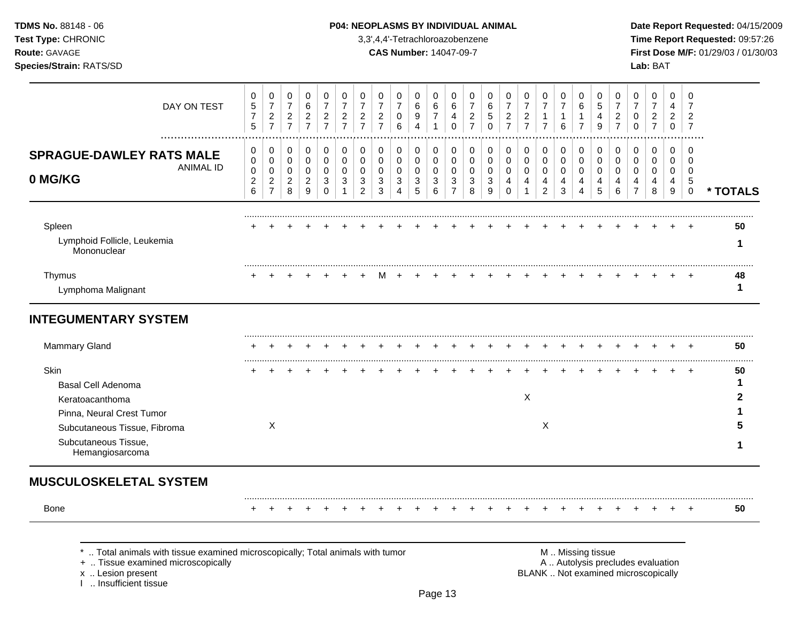I .. Insufficient tissue

## **TDMS No.** 88148 - 06 **P04: NEOPLASMS BY INDIVIDUAL ANIMAL** Date Report Requested: 04/15/2009

**Test Type:** CHRONIC 3,3',4,4'-Tetrachloroazobenzene **Time Report Requested:** 09:57:26 **Route:** GAVAGE **CAS Number:** 14047-09-7 **First Dose M/F:** 01/29/03 / 01/30/03

| DAY ON TEST                                                                  | 0<br>5                   | 0<br>$\overline{7}$                             | 0<br>$\overline{7}$                | 0<br>6                   | 0<br>$\overline{7}$   | 0<br>$\overline{7}$                | 0<br>$\overline{7}$                | 0<br>$\overline{7}$                | 0<br>$\overline{7}$      | 0<br>6                | 0<br>6                         | 0<br>6                   | 0<br>$\overline{7}$              | 0<br>6           | 0<br>$\overline{7}$                | 0<br>$\overline{7}$              | 0<br>$\overline{7}$            | 0<br>$\overline{7}$   | 0<br>$\,6$                         | 0<br>5                | $\overline{7}$ | 0                  | 0<br>$\overline{7}$             | 0<br>$\overline{7}$                                                      | 0<br>$\overline{4}$           | 0<br>7                                   |              |
|------------------------------------------------------------------------------|--------------------------|-------------------------------------------------|------------------------------------|--------------------------|-----------------------|------------------------------------|------------------------------------|------------------------------------|--------------------------|-----------------------|--------------------------------|--------------------------|----------------------------------|------------------|------------------------------------|----------------------------------|--------------------------------|-----------------------|------------------------------------|-----------------------|----------------|--------------------|---------------------------------|--------------------------------------------------------------------------|-------------------------------|------------------------------------------|--------------|
|                                                                              | $\overline{7}$<br>5      | $\boldsymbol{2}$<br>$\overline{7}$              | $\frac{2}{7}$                      | $\frac{2}{7}$            | $\frac{2}{7}$         | $\boldsymbol{2}$<br>$\overline{7}$ | $\boldsymbol{2}$<br>$\overline{7}$ | $\boldsymbol{2}$<br>$\overline{7}$ | 0<br>$6\phantom{1}6$     | 9<br>$\overline{4}$   | $\overline{7}$<br>$\mathbf{1}$ | 4<br>$\mathbf 0$         | $\overline{c}$<br>$\overline{7}$ | 5<br>$\mathbf 0$ | $\boldsymbol{2}$<br>$\overline{7}$ | $\overline{c}$<br>$\overline{7}$ | $\mathbf{1}$<br>$\overline{7}$ | 1<br>6                | 1<br>$\overline{7}$                | $\overline{4}$<br>9   | $\overline{7}$ | $\overline{c}$     | 0<br>$\Omega$                   | $\overline{c}$<br>$\overline{7}$                                         | $\overline{2}$<br>$\mathbf 0$ | $\overline{2}$<br>$\overline{7}$         |              |
|                                                                              |                          |                                                 |                                    |                          |                       |                                    |                                    |                                    |                          |                       |                                |                          |                                  |                  |                                    |                                  |                                |                       |                                    |                       |                |                    |                                 |                                                                          |                               | $\Omega$                                 |              |
| <b>SPRAGUE-DAWLEY RATS MALE</b><br><b>ANIMAL ID</b>                          | 0<br>$\mathbf 0$         | 0<br>$\pmb{0}$                                  | 0<br>0                             | 0<br>0                   | 0<br>$\mathbf 0$      | 0<br>$\mathbf 0$                   | 0<br>$\mathbf 0$                   | 0<br>$\mathbf 0$                   | 0<br>0                   | 0<br>$\mathbf 0$      | 0<br>$\mathbf 0$               | 0<br>$\mathbf 0$         | 0<br>$\mathbf 0$                 | 0<br>0           | 0<br>$\mathbf 0$                   | 0<br>$\mathbf 0$                 | $\pmb{0}$<br>$\mathsf 0$       | 0<br>$\mathbf 0$      | 0<br>0                             | 0<br>$\Omega$         |                | 0<br>$\mathbf 0$   | 0<br>$\mathbf 0$                | 0<br>$\mathbf 0$                                                         | 0<br>0                        | $\Omega$                                 |              |
| 0 MG/KG                                                                      | 0<br>$\overline{c}$<br>6 | $\mathbf 0$<br>$\overline{c}$<br>$\overline{7}$ | $\mathbf 0$<br>$\overline{2}$<br>8 | 0<br>$\overline{2}$<br>9 | 0<br>3<br>$\mathbf 0$ | 0<br>3                             | 0<br>3<br>$\overline{c}$           | $\Omega$<br>3<br>3                 | 0<br>3<br>$\overline{4}$ | $\mathbf 0$<br>3<br>5 | $\mathbf 0$<br>3<br>6          | 0<br>3<br>$\overline{7}$ | $\mathbf 0$<br>3<br>8            | 0<br>3<br>9      | $\mathbf 0$<br>4<br>$\Omega$       | 0<br>4                           | 0<br>4<br>$\overline{c}$       | $\mathbf 0$<br>4<br>3 | $\mathbf 0$<br>4<br>$\overline{4}$ | $\mathbf 0$<br>4<br>5 |                | $\Omega$<br>4<br>6 | $\Omega$<br>4<br>$\overline{7}$ | 0<br>4<br>8                                                              | 0<br>4<br>$9\,$               | $\mathbf 0$<br>$\sqrt{5}$<br>$\mathbf 0$ | * TOTALS     |
| Spleen                                                                       |                          |                                                 |                                    |                          |                       |                                    |                                    |                                    |                          |                       |                                |                          |                                  |                  |                                    |                                  |                                |                       |                                    |                       |                |                    |                                 |                                                                          |                               |                                          | 50           |
| Lymphoid Follicle, Leukemia<br>Mononuclear                                   |                          |                                                 |                                    |                          |                       |                                    |                                    |                                    |                          |                       |                                |                          |                                  |                  |                                    |                                  |                                |                       |                                    |                       |                |                    |                                 |                                                                          |                               |                                          | -1           |
| Thymus                                                                       |                          |                                                 |                                    |                          |                       |                                    |                                    |                                    |                          |                       |                                |                          |                                  |                  |                                    |                                  |                                |                       |                                    |                       |                |                    |                                 |                                                                          |                               |                                          | 48           |
| Lymphoma Malignant                                                           |                          |                                                 |                                    |                          |                       |                                    |                                    |                                    |                          |                       |                                |                          |                                  |                  |                                    |                                  |                                |                       |                                    |                       |                |                    |                                 |                                                                          |                               |                                          | 1            |
| <b>INTEGUMENTARY SYSTEM</b>                                                  |                          |                                                 |                                    |                          |                       |                                    |                                    |                                    |                          |                       |                                |                          |                                  |                  |                                    |                                  |                                |                       |                                    |                       |                |                    |                                 |                                                                          |                               |                                          |              |
| Mammary Gland                                                                |                          |                                                 |                                    |                          |                       |                                    |                                    |                                    |                          |                       |                                |                          |                                  |                  |                                    |                                  |                                |                       |                                    |                       |                |                    |                                 |                                                                          |                               |                                          | 50           |
| Skin                                                                         |                          |                                                 |                                    |                          |                       |                                    |                                    |                                    |                          |                       |                                |                          |                                  |                  |                                    |                                  |                                |                       |                                    |                       |                |                    |                                 |                                                                          |                               | $\div$                                   | 50           |
| <b>Basal Cell Adenoma</b>                                                    |                          |                                                 |                                    |                          |                       |                                    |                                    |                                    |                          |                       |                                |                          |                                  |                  |                                    |                                  |                                |                       |                                    |                       |                |                    |                                 |                                                                          |                               |                                          | $\mathbf{1}$ |
| Keratoacanthoma                                                              |                          |                                                 |                                    |                          |                       |                                    |                                    |                                    |                          |                       |                                |                          |                                  |                  |                                    | Χ                                |                                |                       |                                    |                       |                |                    |                                 |                                                                          |                               |                                          | 2            |
| Pinna, Neural Crest Tumor                                                    |                          |                                                 |                                    |                          |                       |                                    |                                    |                                    |                          |                       |                                |                          |                                  |                  |                                    |                                  |                                |                       |                                    |                       |                |                    |                                 |                                                                          |                               |                                          |              |
| Subcutaneous Tissue, Fibroma                                                 |                          | X                                               |                                    |                          |                       |                                    |                                    |                                    |                          |                       |                                |                          |                                  |                  |                                    |                                  | X                              |                       |                                    |                       |                |                    |                                 |                                                                          |                               |                                          |              |
| Subcutaneous Tissue,<br>Hemangiosarcoma                                      |                          |                                                 |                                    |                          |                       |                                    |                                    |                                    |                          |                       |                                |                          |                                  |                  |                                    |                                  |                                |                       |                                    |                       |                |                    |                                 |                                                                          |                               |                                          |              |
| <b>MUSCULOSKELETAL SYSTEM</b>                                                |                          |                                                 |                                    |                          |                       |                                    |                                    |                                    |                          |                       |                                |                          |                                  |                  |                                    |                                  |                                |                       |                                    |                       |                |                    |                                 |                                                                          |                               |                                          |              |
| Bone                                                                         |                          |                                                 |                                    |                          |                       |                                    |                                    |                                    |                          |                       |                                |                          |                                  |                  |                                    |                                  |                                |                       |                                    |                       |                |                    |                                 |                                                                          | $\div$                        | $\overline{+}$                           | 50           |
| Total animals with tissue examined microscopically; Total animals with tumor |                          |                                                 |                                    |                          |                       |                                    |                                    |                                    |                          |                       |                                |                          |                                  |                  |                                    |                                  |                                |                       |                                    | M  Missing tissue     |                |                    |                                 |                                                                          |                               |                                          |              |
| +  Tissue examined microscopically<br>x  Lesion present                      |                          |                                                 |                                    |                          |                       |                                    |                                    |                                    |                          |                       |                                |                          |                                  |                  |                                    |                                  |                                |                       |                                    |                       |                |                    |                                 | A  Autolysis precludes evaluation<br>BLANK  Not examined microscopically |                               |                                          |              |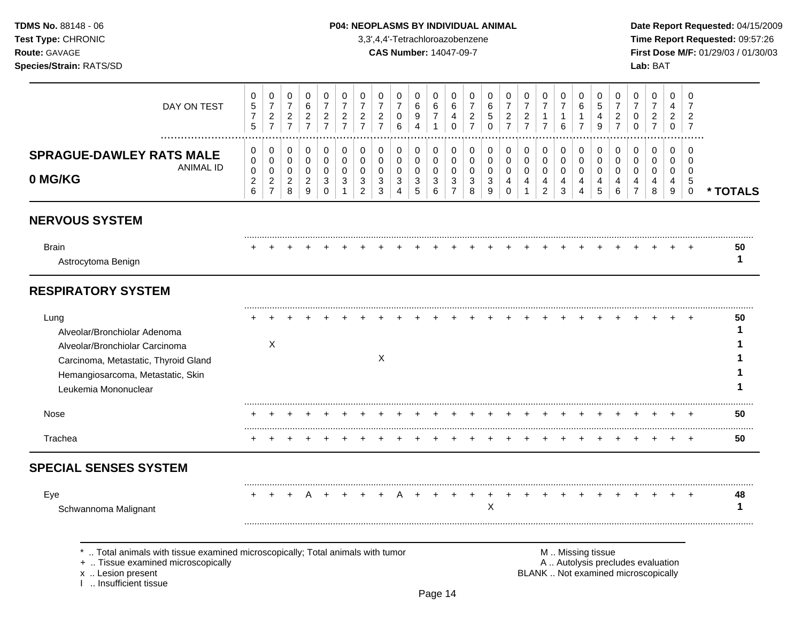## **TDMS No.** 88148 - 06 **P04: NEOPLASMS BY INDIVIDUAL ANIMAL** Date Report Requested: 04/15/2009

**Test Type:** CHRONIC 3,3',4,4'-Tetrachloroazobenzene **Time Report Requested:** 09:57:26 **Route:** GAVAGE **CAS Number:** 14047-09-7 **First Dose M/F:** 01/29/03 / 01/30/03

| DAY ON TEST                                                                                                                                                                 | 0<br>$\sqrt{5}$<br>$\boldsymbol{7}$<br>5     | 0<br>$\overline{7}$<br>$\overline{a}$<br>$\overline{7}$             | 0<br>$\overline{7}$<br>$\overline{c}$<br>$\overline{7}$ | 0<br>$\,6\,$<br>$\overline{2}$<br>$\overline{7}$          | 0<br>$\overline{7}$<br>$\overline{c}$<br>$\overline{7}$ | 0<br>$\overline{7}$<br>$\overline{2}$<br>$\overline{7}$ | 0<br>$\overline{7}$<br>$\overline{c}$<br>$\overline{7}$ | 0<br>$\overline{7}$<br>$\overline{2}$<br>$\overline{7}$ | 0<br>$\overline{7}$<br>0<br>6                | 0<br>6<br>9<br>$\boldsymbol{\Lambda}$                | $\Omega$<br>6<br>$\overline{7}$<br>1 | $\Omega$<br>6<br>4<br>$\mathbf 0$                                | 0<br>$\overline{7}$<br>$\overline{c}$<br>$\overline{7}$ | 0<br>6<br>5<br>$\mathbf 0$      | 0<br>$\overline{7}$<br>$\overline{c}$<br>$\overline{7}$ | 0<br>$\overline{7}$<br>$\overline{c}$<br>$\overline{7}$ | 0<br>$\overline{7}$<br>$\mathbf{1}$<br>$\overline{7}$ | 0<br>$\overline{7}$<br>$\mathbf{1}$<br>6             | 0<br>6<br>$\mathbf{1}$<br>$\overline{7}$     | 0<br>$\sqrt{5}$<br>4<br>9              | $\Omega$<br>$\overline{7}$<br>$\overline{2}$<br>$\overline{7}$ | $\Omega$<br>$\overline{7}$<br>0<br>$\Omega$                              | 0<br>$\overline{7}$<br>$\overline{c}$<br>$\overline{7}$ | 0<br>4<br>$\overline{2}$<br>0    | 0<br>$\overline{7}$<br>$\overline{2}$<br>$\overline{7}$          |          |
|-----------------------------------------------------------------------------------------------------------------------------------------------------------------------------|----------------------------------------------|---------------------------------------------------------------------|---------------------------------------------------------|-----------------------------------------------------------|---------------------------------------------------------|---------------------------------------------------------|---------------------------------------------------------|---------------------------------------------------------|----------------------------------------------|------------------------------------------------------|--------------------------------------|------------------------------------------------------------------|---------------------------------------------------------|---------------------------------|---------------------------------------------------------|---------------------------------------------------------|-------------------------------------------------------|------------------------------------------------------|----------------------------------------------|----------------------------------------|----------------------------------------------------------------|--------------------------------------------------------------------------|---------------------------------------------------------|----------------------------------|------------------------------------------------------------------|----------|
| <b>SPRAGUE-DAWLEY RATS MALE</b><br><b>ANIMAL ID</b><br>0 MG/KG                                                                                                              | 0<br>0<br>$\mathbf 0$<br>$\overline{c}$<br>6 | 0<br>$\mathbf 0$<br>$\mathbf 0$<br>$\overline{2}$<br>$\overline{7}$ | 0<br>0<br>$\overline{0}$<br>$\overline{2}$<br>8         | 0<br>$\pmb{0}$<br>0<br>$\overline{2}$<br>$\boldsymbol{9}$ | 0<br>$\mathbf 0$<br>$\mathbf 0$<br>3<br>$\mathbf 0$     | 0<br>$\mathbf 0$<br>$\Omega$<br>3<br>$\mathbf 1$        | 0<br>$\mathbf 0$<br>$\Omega$<br>3<br>$\overline{2}$     | 0<br>$\mathbf 0$<br>$\Omega$<br>3<br>3                  | 0<br>0<br>$\mathbf 0$<br>3<br>$\overline{4}$ | 0<br>$\mathbf 0$<br>$\mathbf 0$<br>$\mathbf{3}$<br>5 | 0<br>0<br>$\mathbf 0$<br>3<br>6      | $\mathbf 0$<br>$\mathbf 0$<br>$\mathbf 0$<br>3<br>$\overline{7}$ | 0<br>0<br>$\mathbf 0$<br>3<br>8                         | 0<br>0<br>$\mathbf 0$<br>3<br>9 | 0<br>$\mathbf 0$<br>$\mathbf 0$<br>4<br>$\Omega$        | 0<br>0<br>$\mathbf 0$<br>4<br>$\mathbf{1}$              | 0<br>$\pmb{0}$<br>$\mathbf 0$<br>4<br>$\overline{2}$  | 0<br>$\mathbf 0$<br>$\mathbf 0$<br>4<br>$\mathbf{3}$ | 0<br>0<br>$\mathbf 0$<br>4<br>$\overline{4}$ | 0<br>$\mathbf 0$<br>$\Omega$<br>4<br>5 | 0<br>$\mathbf 0$<br>$\Omega$<br>4<br>6                         | 0<br>$\Omega$<br>$\Omega$<br>4<br>$\overline{7}$                         | 0<br>$\mathbf 0$<br>$\mathbf 0$<br>4<br>8               | 0<br>0<br>$\mathbf{0}$<br>4<br>9 | $\Omega$<br>$\mathbf 0$<br>$\Omega$<br>$\sqrt{5}$<br>$\mathbf 0$ | * TOTALS |
| <b>NERVOUS SYSTEM</b>                                                                                                                                                       |                                              |                                                                     |                                                         |                                                           |                                                         |                                                         |                                                         |                                                         |                                              |                                                      |                                      |                                                                  |                                                         |                                 |                                                         |                                                         |                                                       |                                                      |                                              |                                        |                                                                |                                                                          |                                                         |                                  |                                                                  |          |
| <b>Brain</b><br>Astrocytoma Benign                                                                                                                                          |                                              |                                                                     |                                                         |                                                           |                                                         |                                                         |                                                         |                                                         |                                              |                                                      |                                      |                                                                  |                                                         |                                 |                                                         |                                                         |                                                       |                                                      |                                              |                                        |                                                                |                                                                          |                                                         |                                  |                                                                  | 50<br>-1 |
| <b>RESPIRATORY SYSTEM</b>                                                                                                                                                   |                                              |                                                                     |                                                         |                                                           |                                                         |                                                         |                                                         |                                                         |                                              |                                                      |                                      |                                                                  |                                                         |                                 |                                                         |                                                         |                                                       |                                                      |                                              |                                        |                                                                |                                                                          |                                                         |                                  |                                                                  |          |
| Lung<br>Alveolar/Bronchiolar Adenoma<br>Alveolar/Bronchiolar Carcinoma<br>Carcinoma, Metastatic, Thyroid Gland<br>Hemangiosarcoma, Metastatic, Skin<br>Leukemia Mononuclear |                                              | $\boldsymbol{\mathsf{X}}$                                           |                                                         |                                                           |                                                         |                                                         |                                                         | X                                                       |                                              |                                                      |                                      |                                                                  |                                                         |                                 |                                                         |                                                         |                                                       |                                                      |                                              |                                        |                                                                |                                                                          |                                                         |                                  |                                                                  | 50<br>1  |
| Nose                                                                                                                                                                        |                                              |                                                                     |                                                         |                                                           |                                                         |                                                         |                                                         |                                                         |                                              |                                                      |                                      |                                                                  |                                                         |                                 |                                                         |                                                         |                                                       |                                                      |                                              |                                        |                                                                |                                                                          |                                                         |                                  |                                                                  | 50       |
| Trachea                                                                                                                                                                     |                                              |                                                                     |                                                         |                                                           |                                                         |                                                         |                                                         |                                                         |                                              |                                                      |                                      |                                                                  |                                                         |                                 |                                                         |                                                         |                                                       |                                                      |                                              |                                        |                                                                |                                                                          |                                                         |                                  |                                                                  | 50       |
| <b>SPECIAL SENSES SYSTEM</b>                                                                                                                                                |                                              |                                                                     |                                                         |                                                           |                                                         |                                                         |                                                         |                                                         |                                              |                                                      |                                      |                                                                  |                                                         |                                 |                                                         |                                                         |                                                       |                                                      |                                              |                                        |                                                                |                                                                          |                                                         |                                  |                                                                  |          |
| Eye<br>Schwannoma Malignant                                                                                                                                                 |                                              |                                                                     |                                                         |                                                           |                                                         |                                                         |                                                         |                                                         |                                              |                                                      |                                      |                                                                  |                                                         | X                               |                                                         |                                                         |                                                       |                                                      |                                              |                                        |                                                                |                                                                          |                                                         |                                  |                                                                  | 48<br>1  |
| *  Total animals with tissue examined microscopically; Total animals with tumor<br>+  Tissue examined microscopically<br>x  Lesion present<br>I  Insufficient tissue        |                                              |                                                                     |                                                         |                                                           |                                                         |                                                         |                                                         |                                                         |                                              |                                                      |                                      |                                                                  |                                                         |                                 |                                                         |                                                         |                                                       |                                                      | M  Missing tissue                            |                                        |                                                                | A  Autolysis precludes evaluation<br>BLANK  Not examined microscopically |                                                         |                                  |                                                                  |          |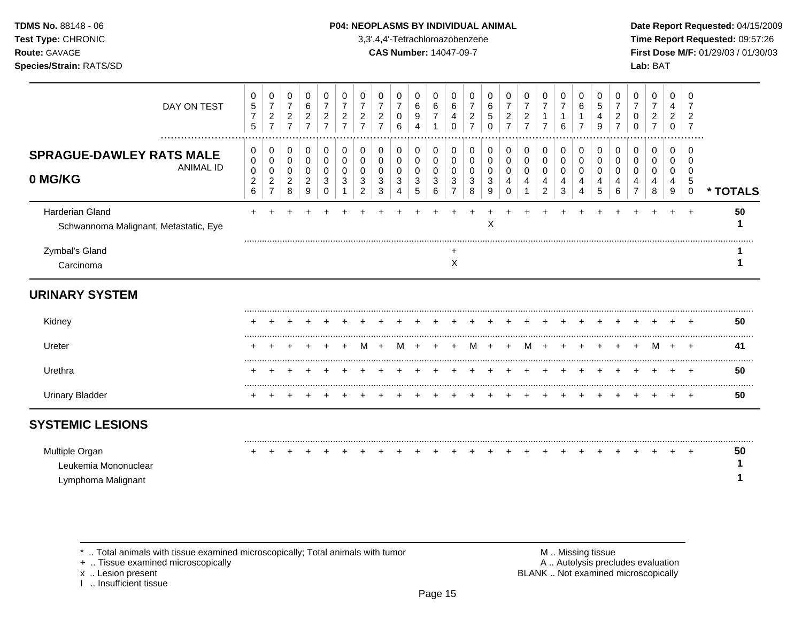### **TDMS No.** 88148 - 06 **P04: NEOPLASMS BY INDIVIDUAL ANIMAL** Date Report Requested: 04/15/2009

**Test Type:** CHRONIC 3,3',4,4'-Tetrachloroazobenzene **Time Report Requested:** 09:57:26 **Route:** GAVAGE **CAS Number:** 14047-09-7 **First Dose M/F:** 01/29/03 / 01/30/03

| DAY ON TEST                                                    | 0<br>$\sqrt{5}$<br>$\overline{7}$<br>5               | 0<br>$\overline{7}$<br>$\sqrt{2}$<br>$\overline{7}$ | 0<br>$\boldsymbol{7}$<br>$\overline{c}$<br>$\overline{7}$ | 0<br>6<br>$\overline{c}$<br>$\overline{7}$ | 0<br>$\overline{7}$<br>$\overline{c}$<br>$\overline{7}$ | 0<br>7<br>$\overline{c}$<br>$\overline{7}$ | 0<br>$\overline{7}$<br>$\overline{2}$<br>$\overline{7}$ | 0<br>$\overline{7}$<br>$\overline{2}$ | 0<br>$\overline{7}$<br>0<br>6 | 0<br>$\,6$<br>9<br>Δ                     | 0<br>6<br>$\overline{7}$ | 0<br>$\,6$<br>4<br>$\Omega$        | 0<br>7<br>$\overline{c}$<br>7 | 0<br>6<br>5<br>$\Omega$ | 0<br>$\overline{7}$<br>$\overline{2}$<br>$\overline{7}$ | 0<br>$\overline{7}$<br>$\overline{c}$<br>$\overline{7}$ | 0<br>$\overline{7}$<br>-1<br>$\overline{7}$        | 0<br>$\overline{7}$<br>1<br>6 | 0<br>6                | 0<br>5<br>4<br>9      | 0<br>$\overline{7}$<br>2 | 0<br>$\overline{7}$<br>0<br>0      | 0<br>$\overline{7}$<br>$\overline{\mathbf{c}}$<br>$\overline{7}$ | 0<br>4<br>$\overline{2}$<br>$\Omega$ | 0<br>7<br>2                                          |          |
|----------------------------------------------------------------|------------------------------------------------------|-----------------------------------------------------|-----------------------------------------------------------|--------------------------------------------|---------------------------------------------------------|--------------------------------------------|---------------------------------------------------------|---------------------------------------|-------------------------------|------------------------------------------|--------------------------|------------------------------------|-------------------------------|-------------------------|---------------------------------------------------------|---------------------------------------------------------|----------------------------------------------------|-------------------------------|-----------------------|-----------------------|--------------------------|------------------------------------|------------------------------------------------------------------|--------------------------------------|------------------------------------------------------|----------|
| <b>SPRAGUE-DAWLEY RATS MALE</b><br><b>ANIMAL ID</b><br>0 MG/KG | 0<br>$\pmb{0}$<br>$\pmb{0}$<br>$\boldsymbol{2}$<br>6 | 0<br>0<br>$\pmb{0}$<br>$\sqrt{2}$<br>$\overline{7}$ | 0<br>$\mathbf 0$<br>0<br>$\sqrt{2}$<br>$\,8\,$            | 0<br>0<br>0<br>$\overline{c}$<br>9         | 0<br>0<br>0<br>3<br>$\mathbf 0$                         | 0<br>0<br>0<br>3                           | 0<br>0<br>0<br>3<br>$\overline{c}$                      | 0<br>0<br>$\Omega$<br>3<br>3          | 0<br>0<br>0<br>3<br>4         | 0<br>$\mathbf 0$<br>0<br>$\sqrt{3}$<br>5 | 0<br>0<br>0<br>3<br>6    | 0<br>0<br>0<br>3<br>$\overline{7}$ | 0<br>0<br>0<br>3<br>8         | 0<br>0<br>0<br>3<br>9   | 0<br>0<br>0<br>4<br>$\Omega$                            | 0<br>0<br>0<br>4                                        | 0<br>$\pmb{0}$<br>$\pmb{0}$<br>4<br>$\overline{2}$ | 0<br>0<br>0<br>4<br>3         | 0<br>0<br>0<br>4<br>4 | 0<br>0<br>0<br>4<br>5 | 0<br>0<br>0<br>4<br>6    | 0<br>0<br>0<br>4<br>$\overline{7}$ | 0<br>0<br>0<br>4<br>8                                            | 0<br>0<br>0<br>4<br>$\overline{9}$   | $\Omega$<br>$\Omega$<br>$\Omega$<br>5<br>$\mathbf 0$ | * TOTALS |
| Harderian Gland<br>Schwannoma Malignant, Metastatic, Eye       |                                                      |                                                     |                                                           |                                            |                                                         |                                            |                                                         |                                       |                               |                                          |                          |                                    |                               | X                       |                                                         |                                                         |                                                    |                               |                       |                       |                          |                                    |                                                                  |                                      |                                                      | 50       |
| Zymbal's Gland<br>Carcinoma                                    |                                                      |                                                     |                                                           |                                            |                                                         |                                            |                                                         |                                       |                               |                                          |                          | X                                  |                               |                         |                                                         |                                                         |                                                    |                               |                       |                       |                          |                                    |                                                                  |                                      |                                                      |          |
| <b>URINARY SYSTEM</b>                                          |                                                      |                                                     |                                                           |                                            |                                                         |                                            |                                                         |                                       |                               |                                          |                          |                                    |                               |                         |                                                         |                                                         |                                                    |                               |                       |                       |                          |                                    |                                                                  |                                      |                                                      |          |
| Kidney                                                         |                                                      |                                                     |                                                           |                                            |                                                         |                                            |                                                         |                                       |                               |                                          |                          |                                    |                               |                         |                                                         |                                                         |                                                    |                               |                       |                       |                          |                                    |                                                                  |                                      |                                                      | 50       |
| Ureter                                                         |                                                      |                                                     |                                                           |                                            |                                                         |                                            | М                                                       |                                       | м                             |                                          |                          |                                    | M                             |                         |                                                         | м                                                       |                                                    |                               |                       |                       |                          |                                    | M                                                                | $\ddot{}$                            | $+$                                                  | 41       |
| Urethra                                                        |                                                      |                                                     |                                                           |                                            |                                                         |                                            |                                                         |                                       |                               |                                          |                          |                                    |                               |                         |                                                         |                                                         |                                                    |                               |                       |                       |                          |                                    |                                                                  |                                      |                                                      | 50       |
| <b>Urinary Bladder</b>                                         |                                                      |                                                     |                                                           |                                            |                                                         |                                            |                                                         |                                       |                               |                                          |                          |                                    |                               |                         |                                                         |                                                         |                                                    |                               |                       |                       |                          |                                    |                                                                  |                                      |                                                      | 50       |
| <b>SYSTEMIC LESIONS</b>                                        |                                                      |                                                     |                                                           |                                            |                                                         |                                            |                                                         |                                       |                               |                                          |                          |                                    |                               |                         |                                                         |                                                         |                                                    |                               |                       |                       |                          |                                    |                                                                  |                                      |                                                      |          |
| Multiple Organ<br>Leukemia Mononuclear<br>Lymphoma Malignant   |                                                      |                                                     |                                                           |                                            |                                                         |                                            |                                                         |                                       |                               |                                          |                          |                                    |                               |                         |                                                         |                                                         |                                                    |                               |                       |                       |                          |                                    |                                                                  |                                      |                                                      | 50       |

+ .. Tissue examined microscopically

x .. Lesion present<br>I .. Insufficient tissue

\* .. Total animals with tissue examined microscopically; Total animals with tumor **M** metally more than M .. Missing tissue<br>  $\blacksquare$  Tissue examined microscopically BLANK .. Not examined microscopically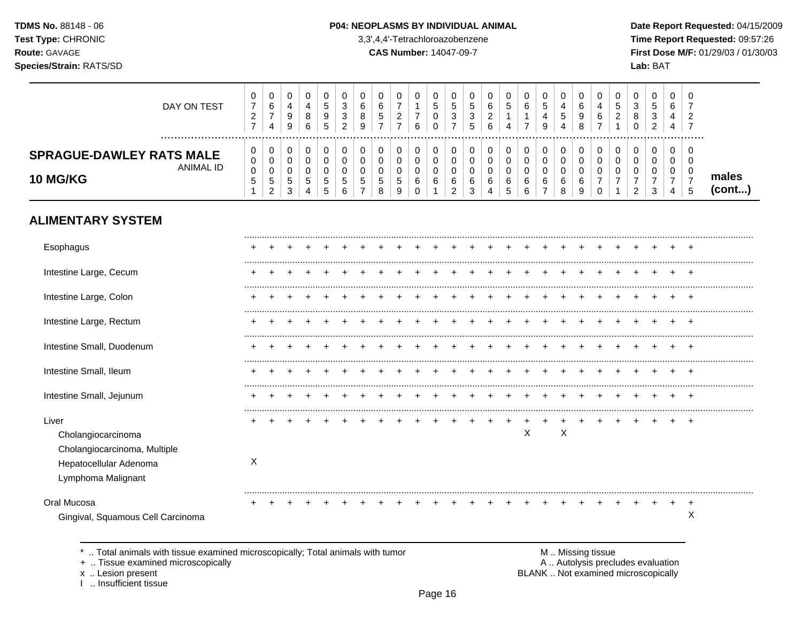#### P04: NEOPLASMS BY INDIVIDUAL ANIMAL

3,3',4,4'-Tetrachloroazobenzene

**CAS Number: 14047-09-7** 

Date Report Requested: 04/15/2009 Time Report Requested: 09:57:26 First Dose M/F: 01/29/03 / 01/30/03 Lab: BAT

| DAY ON TEST                                                     | _      | 0<br>6<br>4                                | 9<br>9           | J<br>4<br>8<br>6 | ◡<br>∽<br>IJ<br>9<br><sub>5</sub> | v<br>3<br>3<br>ົ<br><u>_</u> | U<br>6<br>8<br>9 |   | 0<br>-<br><u>_</u><br>- | 6 | v<br>5<br>ັບ<br>ν | ৾৾৾<br>3 | υ<br>đ<br>3<br>đ | υ<br>O<br>-<br>6 | v                     | v<br>-                       | U<br>b.<br>9 | 4<br>$\mathbf b$<br>4 |        | U<br>4<br>6 | _ | U<br>8<br>u        | J<br>3<br>c              | 0<br>6<br>4<br>4            | 0<br>-<br>റ<br><u>_</u><br>- |                 |
|-----------------------------------------------------------------|--------|--------------------------------------------|------------------|------------------|-----------------------------------|------------------------------|------------------|---|-------------------------|---|-------------------|----------|------------------|------------------|-----------------------|------------------------------|--------------|-----------------------|--------|-------------|---|--------------------|--------------------------|-----------------------------|------------------------------|-----------------|
| <b>SPRAGUE-DAWLEY RATS MALE</b><br>ANIMAL ID<br><b>10 MG/KG</b> | υ<br>U | $\mathbf{0}$<br>0<br>v<br>∽<br>J<br>ົ<br>_ | v<br>ບ<br>◠<br>ື | ╰<br>i.<br>д.    | ν<br>v<br>v<br>G<br>∽<br>ົບ       | υ<br>v<br>v<br>5<br>⌒<br>6   | υ<br>ν<br>C      | J | U<br>G<br>9             |   | ν<br>ν<br>ν<br>6  |          | ь                | ь                | u<br>u<br>$\sim$<br>u | ν<br>ັບ<br>ັບ<br>v<br>$\sim$ | 0<br>v<br>6  | 6                     | $\sim$ |             |   | U<br>◠<br><u>_</u> | $\overline{\phantom{a}}$ | $\mathbf{0}$<br>0<br>0<br>4 | 0<br>0<br>0<br>₿             | males<br>(cont) |

# **ALIMENTARY SYSTEM**

| Esophagus                                        |   |  |  |  |  |  |  |  |   |   |  |  |  |        |
|--------------------------------------------------|---|--|--|--|--|--|--|--|---|---|--|--|--|--------|
| Intestine Large, Cecum                           |   |  |  |  |  |  |  |  |   |   |  |  |  |        |
| Intestine Large, Colon                           |   |  |  |  |  |  |  |  |   |   |  |  |  |        |
| Intestine Large, Rectum                          |   |  |  |  |  |  |  |  |   |   |  |  |  |        |
| Intestine Small, Duodenum                        | ÷ |  |  |  |  |  |  |  |   |   |  |  |  | $\div$ |
| Intestine Small, Ileum                           |   |  |  |  |  |  |  |  |   |   |  |  |  |        |
| Intestine Small, Jejunum                         |   |  |  |  |  |  |  |  |   |   |  |  |  |        |
| Liver                                            |   |  |  |  |  |  |  |  |   |   |  |  |  |        |
| Cholangiocarcinoma                               |   |  |  |  |  |  |  |  | X | X |  |  |  |        |
| Cholangiocarcinoma, Multiple                     |   |  |  |  |  |  |  |  |   |   |  |  |  |        |
| Hepatocellular Adenoma                           | Χ |  |  |  |  |  |  |  |   |   |  |  |  |        |
| Lymphoma Malignant                               |   |  |  |  |  |  |  |  |   |   |  |  |  |        |
| Oral Mucosa<br>Gingival, Squamous Cell Carcinoma |   |  |  |  |  |  |  |  |   |   |  |  |  | ⋏      |

\* .. Total animals with tissue examined microscopically; Total animals with tumor

+ .. Tissue examined microscopically

x .. Lesion present

1 .. Insufficient tissue

M .. Missing tissue<br>A .. Autolysis precludes evaluation BLANK .. Not examined microscopically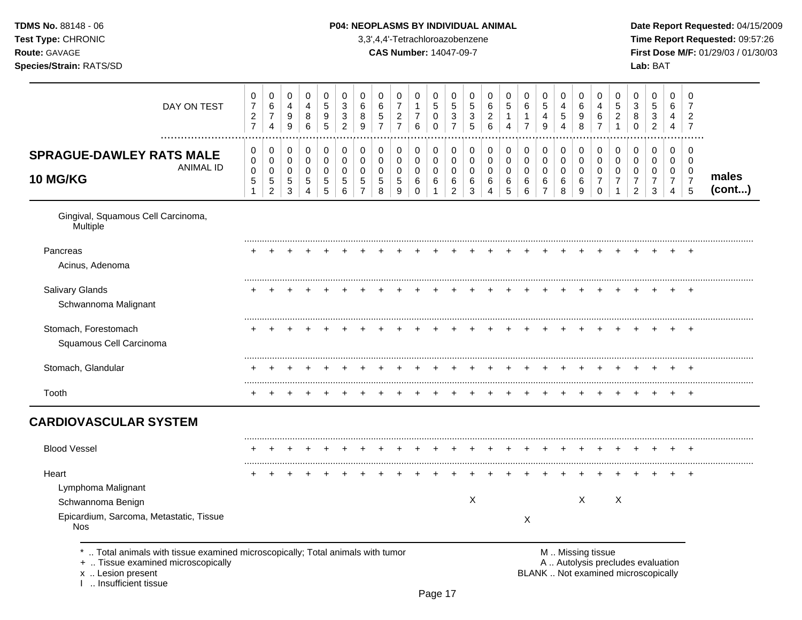| <b>TDMS No. 88148 - 06</b><br><b>Test Type: CHRONIC</b><br><b>Route: GAVAGE</b><br>Species/Strain: RATS/SD |             |                     |             |                  |                  |                         |                  | <b>P04: NEOPLASMS BY INDIVIDUAL ANIMAL</b> | 3,3',4,4'-Tetrachloroazobenzene<br><b>CAS Number: 14047-09-7</b> |   |   |                  |                  |                  |                    |        |                  |             |             |        |        |                  | Date Rep<br><b>Time Rep</b><br><b>First Dos</b><br>Lab: BAT |  |
|------------------------------------------------------------------------------------------------------------|-------------|---------------------|-------------|------------------|------------------|-------------------------|------------------|--------------------------------------------|------------------------------------------------------------------|---|---|------------------|------------------|------------------|--------------------|--------|------------------|-------------|-------------|--------|--------|------------------|-------------------------------------------------------------|--|
|                                                                                                            | DAY ON TEST | 0<br>$\overline{c}$ | 0<br>6<br>4 | 0<br>4<br>9<br>9 | 0<br>4<br>8<br>6 | $\Omega$<br>5<br>9<br>5 | 0<br>3<br>3<br>2 | 0<br>6<br>8<br>9                           | 0<br>6<br>5<br>$\overline{ }$                                    | 6 | 5 | 0<br>5<br>3<br>⇁ | 0<br>5<br>3<br>5 | 0<br>6<br>ົ<br>6 | $\Omega$<br>5<br>4 | 0<br>6 | 0<br>5<br>4<br>9 | 4<br>5<br>4 | 6<br>9<br>8 | 4<br>6 | 5<br>ົ | 0<br>3<br>8<br>0 | 5<br>3<br>2                                                 |  |
| CODACHE DAWLEY DATE MALE                                                                                   |             | $\overline{0}$      | 0           | 0                |                  |                         | 0                | 0                                          | 0                                                                | 0 |   |                  | 0                | 0                | 0                  |        |                  |             |             |        |        | 0                |                                                             |  |

## **P04: NEOPLASMS BY INDIVIDUAL ANIMAL Date Report Requested:** 04/15/2009

**Time Report Requested:** 09:57:26 **CAS Number:** 14047-09-7 **First Dose M/F:** 01/29/03 / 01/30/03

| DAY ON TEST                                                                                                                                                       | 0<br>$\boldsymbol{7}$<br>$\boldsymbol{2}$<br>$\overline{7}$ | 0<br>$\,6\,$<br>$\boldsymbol{7}$<br>4                           | 0<br>$\overline{\mathbf{4}}$<br>9<br>9 | $\mathbf 0$<br>4<br>8<br>6                       | 0<br>$\sqrt{5}$<br>9<br>5                        | $\mathbf 0$<br>$\mathbf{3}$<br>$\mathbf{3}$<br>$\overline{c}$ | $\mathbf 0$<br>6<br>8<br>9                             | 0<br>$\,6$<br>$\mathbf 5$<br>$\overline{7}$        | 0<br>$\overline{7}$<br>$\overline{2}$<br>$\overline{7}$ | 0<br>$\mathbf{1}$<br>$\boldsymbol{7}$<br>$\,6\,$ | $\mathbf 0$<br>$\overline{5}$<br>$\pmb{0}$<br>$\mathbf 0$      | 0<br>$\mathbf 5$<br>3<br>$\overline{7}$          | 0<br>$\sqrt{5}$<br>$\sqrt{3}$<br>$\sqrt{5}$ | 0<br>6<br>$\overline{c}$<br>6             | $\pmb{0}$<br>$\sqrt{5}$<br>$\mathbf{1}$<br>$\overline{4}$ | 0<br>$\,6$<br>$\mathbf{1}$<br>$\overline{7}$ | 0<br>$\,$ 5 $\,$<br>4<br>$\mathsf g$ | $\mathbf 0$<br>$\overline{4}$<br>$\sqrt{5}$<br>4        | 0<br>6<br>9<br>8                          | $\mathbf 0$<br>4<br>6<br>$\overline{7}$ | 0<br>$\mathbf 5$<br>$\overline{2}$<br>1   | 0<br>$\sqrt{3}$<br>8<br>$\Omega$                                         | 0<br>$\sqrt{5}$<br>3<br>$\overline{2}$         | $\mathbf 0$<br>6<br>4<br>4                                | $\mathbf 0$<br>$\overline{7}$<br>$\overline{c}$<br>$\overline{7}$ |                 |
|-------------------------------------------------------------------------------------------------------------------------------------------------------------------|-------------------------------------------------------------|-----------------------------------------------------------------|----------------------------------------|--------------------------------------------------|--------------------------------------------------|---------------------------------------------------------------|--------------------------------------------------------|----------------------------------------------------|---------------------------------------------------------|--------------------------------------------------|----------------------------------------------------------------|--------------------------------------------------|---------------------------------------------|-------------------------------------------|-----------------------------------------------------------|----------------------------------------------|--------------------------------------|---------------------------------------------------------|-------------------------------------------|-----------------------------------------|-------------------------------------------|--------------------------------------------------------------------------|------------------------------------------------|-----------------------------------------------------------|-------------------------------------------------------------------|-----------------|
| <b>SPRAGUE-DAWLEY RATS MALE</b><br><b>ANIMAL ID</b><br>10 MG/KG                                                                                                   | 0<br>$\pmb{0}$<br>$\mathbf 0$<br>5<br>$\mathbf{1}$          | 0<br>$\mathbf 0$<br>$\mathbf 0$<br>$\sqrt{5}$<br>$\overline{2}$ | 0<br>0<br>0<br>$\,$ 5 $\,$<br>3        | 0<br>$\pmb{0}$<br>$\mathbf 0$<br>$\sqrt{5}$<br>4 | 0<br>$\pmb{0}$<br>$\mathbf 0$<br>$\sqrt{5}$<br>5 | 0<br>$\mathbf 0$<br>$\mathbf 0$<br>5<br>6                     | 0<br>$\mathbf 0$<br>$\mathbf 0$<br>5<br>$\overline{7}$ | 0<br>$\mathbf 0$<br>$\mathbf 0$<br>$\sqrt{5}$<br>8 | 0<br>0<br>$\mathbf 0$<br>$\,$ 5 $\,$<br>9               | 0<br>0<br>0<br>6<br>0                            | $\mathbf 0$<br>$\mathbf 0$<br>$\mathbf 0$<br>6<br>$\mathbf{1}$ | 0<br>0<br>$\mathbf 0$<br>$\,6$<br>$\overline{2}$ | 0<br>0<br>0<br>$\,6$<br>3                   | 0<br>$\mathbf 0$<br>$\mathbf 0$<br>6<br>4 | 0<br>$\pmb{0}$<br>0<br>$\,6\,$<br>5                       | 0<br>0<br>0<br>$\,6\,$<br>6                  | 0<br>0<br>0<br>6<br>$\overline{7}$   | 0<br>$\mathsf{O}\xspace$<br>$\mathbf 0$<br>$\,6\,$<br>8 | 0<br>$\mathbf 0$<br>$\mathbf 0$<br>6<br>9 | 0<br>0<br>0<br>7<br>$\mathbf 0$         | 0<br>$\mathbf 0$<br>$\mathbf 0$<br>7<br>1 | 0<br>$\pmb{0}$<br>0<br>$\overline{7}$<br>2                               | 0<br>$\mathbf 0$<br>0<br>$\boldsymbol{7}$<br>3 | $\mathbf 0$<br>0<br>0<br>$\overline{7}$<br>$\overline{4}$ | 0<br>$\mathbf 0$<br>0<br>$\overline{7}$<br>5                      | males<br>(cont) |
| Gingival, Squamous Cell Carcinoma,<br>Multiple                                                                                                                    |                                                             |                                                                 |                                        |                                                  |                                                  |                                                               |                                                        |                                                    |                                                         |                                                  |                                                                |                                                  |                                             |                                           |                                                           |                                              |                                      |                                                         |                                           |                                         |                                           |                                                                          |                                                |                                                           |                                                                   |                 |
| Pancreas<br>Acinus, Adenoma                                                                                                                                       |                                                             |                                                                 |                                        |                                                  |                                                  |                                                               |                                                        |                                                    |                                                         |                                                  |                                                                |                                                  |                                             |                                           |                                                           |                                              |                                      |                                                         |                                           |                                         |                                           |                                                                          |                                                |                                                           |                                                                   |                 |
| Salivary Glands<br>Schwannoma Malignant                                                                                                                           |                                                             |                                                                 |                                        |                                                  |                                                  |                                                               |                                                        |                                                    |                                                         |                                                  |                                                                |                                                  |                                             |                                           |                                                           |                                              |                                      |                                                         |                                           |                                         |                                           |                                                                          |                                                |                                                           |                                                                   |                 |
| Stomach, Forestomach<br>Squamous Cell Carcinoma                                                                                                                   |                                                             |                                                                 |                                        |                                                  |                                                  |                                                               |                                                        |                                                    |                                                         |                                                  |                                                                |                                                  |                                             |                                           |                                                           |                                              |                                      |                                                         |                                           |                                         |                                           |                                                                          |                                                |                                                           | $\div$                                                            |                 |
| Stomach, Glandular                                                                                                                                                |                                                             |                                                                 |                                        |                                                  |                                                  |                                                               |                                                        |                                                    |                                                         |                                                  |                                                                |                                                  |                                             |                                           |                                                           |                                              |                                      |                                                         |                                           |                                         |                                           |                                                                          |                                                |                                                           |                                                                   |                 |
| Tooth                                                                                                                                                             |                                                             |                                                                 |                                        |                                                  |                                                  |                                                               |                                                        |                                                    |                                                         |                                                  |                                                                |                                                  |                                             |                                           |                                                           |                                              |                                      |                                                         |                                           |                                         |                                           |                                                                          |                                                |                                                           |                                                                   |                 |
| <b>CARDIOVASCULAR SYSTEM</b>                                                                                                                                      |                                                             |                                                                 |                                        |                                                  |                                                  |                                                               |                                                        |                                                    |                                                         |                                                  |                                                                |                                                  |                                             |                                           |                                                           |                                              |                                      |                                                         |                                           |                                         |                                           |                                                                          |                                                |                                                           |                                                                   |                 |
| <b>Blood Vessel</b>                                                                                                                                               |                                                             |                                                                 |                                        |                                                  |                                                  |                                                               |                                                        |                                                    |                                                         |                                                  |                                                                |                                                  |                                             |                                           |                                                           |                                              |                                      |                                                         |                                           |                                         |                                           |                                                                          |                                                |                                                           |                                                                   |                 |
| Heart<br>Lymphoma Malignant<br>Schwannoma Benign<br>Epicardium, Sarcoma, Metastatic, Tissue<br><b>Nos</b>                                                         |                                                             |                                                                 |                                        |                                                  |                                                  |                                                               |                                                        |                                                    |                                                         |                                                  |                                                                |                                                  | X                                           |                                           |                                                           | X                                            |                                      |                                                         | $\times$                                  |                                         | $\times$                                  |                                                                          |                                                |                                                           | $\overline{ }$                                                    |                 |
| Total animals with tissue examined microscopically; Total animals with tumor<br>+  Tissue examined microscopically<br>x  Lesion present<br>1  Insufficient tissue |                                                             |                                                                 |                                        |                                                  |                                                  |                                                               |                                                        |                                                    |                                                         |                                                  |                                                                |                                                  |                                             |                                           |                                                           |                                              |                                      |                                                         | M  Missing tissue                         |                                         |                                           | A  Autolysis precludes evaluation<br>BLANK  Not examined microscopically |                                                |                                                           |                                                                   |                 |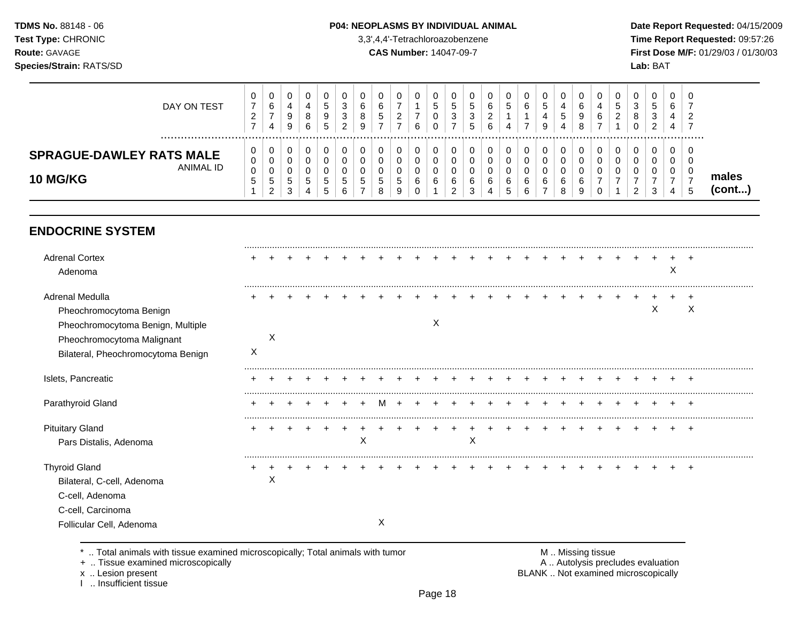#### P04: NEOPLASMS BY INDIVIDUAL ANIMAL

3,3',4,4'-Tetrachloroazobenzene

**CAS Number: 14047-09-7** 

Date Report Requested: 04/15/2009 Time Report Requested: 09:57:26 First Dose M/F: 01/29/03 / 01/30/03 Lab: BAT

| DAY ON TEST                                                     | ν                       | 0<br>6<br>4                           | 4<br>9<br>9                              | U<br>4<br>8<br>6 | v<br>G<br>9<br>5                 | 0<br>3<br>3<br>ົ<br><u>_</u> | υ<br>6<br>8<br>9 | э  | 0<br>-<br>∠            | ◡<br>$\mathbf{c}$<br>ັບ<br>ັ | ৾৾<br>3 | υ<br>.5<br>3<br>5 | 0<br>6<br>6 | U<br>∽<br>IJ          | U<br>6<br>-                | 0<br>5<br>9           | U<br>4<br>$\mathbf{p}$<br>4 | .g       | <b>U</b><br>4<br>6 | G<br>∼ | O<br>3<br>8   | J<br>-2<br>J | 0<br>6<br>4<br>4 | 0<br>-<br>◠<br>_<br>- |                 |
|-----------------------------------------------------------------|-------------------------|---------------------------------------|------------------------------------------|------------------|----------------------------------|------------------------------|------------------|----|------------------------|------------------------------|---------|-------------------|-------------|-----------------------|----------------------------|-----------------------|-----------------------------|----------|--------------------|--------|---------------|--------------|------------------|-----------------------|-----------------|
| <b>SPRAGUE-DAWLEY RATS MALE</b><br>ANIMAL ID<br><b>10 MG/KG</b> | υ<br>$\Omega$<br>υ<br>N | 0<br>0<br>0<br><sub>5</sub><br>ົ<br>∼ | v<br>$\ddot{\phantom{1}}$<br>ັ<br>⌒<br>ັ | b.               | ν<br>ν<br>ν<br><sub>5</sub><br>G | 0<br>0<br>U<br>5<br>⌒<br>6   | υ<br>ν<br>.5     | J. | 0<br>0<br>0<br>.5<br>9 | v<br>ν<br>ν<br>6             | 6       | b<br>J            | ◠<br>b      | u<br>u<br>6<br>∽<br>N | U<br>υ<br>v<br>$\sim$<br>ь | 0<br>0<br>0<br>6<br>- | 6<br>8                      | <u>ي</u> | 0                  |        | u<br><u>_</u> | J            | 0<br>0<br>0<br>4 | 0<br>0<br>0<br>.5     | males<br>(cont) |

# **ENDOCRINE SYSTEM**

| <b>Adrenal Cortex</b><br>Adenoma                                                                                                                    |   |   |  |  |   |   |  |   |   |  |  |  |  |   | X |                |
|-----------------------------------------------------------------------------------------------------------------------------------------------------|---|---|--|--|---|---|--|---|---|--|--|--|--|---|---|----------------|
| Adrenal Medulla<br>Pheochromocytoma Benign<br>Pheochromocytoma Benign, Multiple<br>Pheochromocytoma Malignant<br>Bilateral, Pheochromocytoma Benign | X | X |  |  |   |   |  | Χ |   |  |  |  |  | Χ |   | ٠<br>X         |
| Islets, Pancreatic                                                                                                                                  |   |   |  |  |   |   |  |   |   |  |  |  |  |   |   |                |
| Parathyroid Gland                                                                                                                                   |   |   |  |  |   |   |  |   |   |  |  |  |  |   |   |                |
| <b>Pituitary Gland</b><br>Pars Distalis, Adenoma                                                                                                    |   |   |  |  | X |   |  |   | Χ |  |  |  |  |   |   | $\overline{+}$ |
| <b>Thyroid Gland</b><br>Bilateral, C-cell, Adenoma<br>C-cell, Adenoma<br>C-cell, Carcinoma<br>Follicular Cell, Adenoma                              |   | Χ |  |  |   | X |  |   |   |  |  |  |  |   |   | $\pm$          |
|                                                                                                                                                     |   |   |  |  |   |   |  |   |   |  |  |  |  |   |   |                |

\* .. Total animals with tissue examined microscopically; Total animals with tumor

+ .. Tissue examined microscopically

x .. Lesion present<br>I .. Insufficient tissue

M .. Missing tissue A .. Autolysis precludes evaluation BLANK .. Not examined microscopically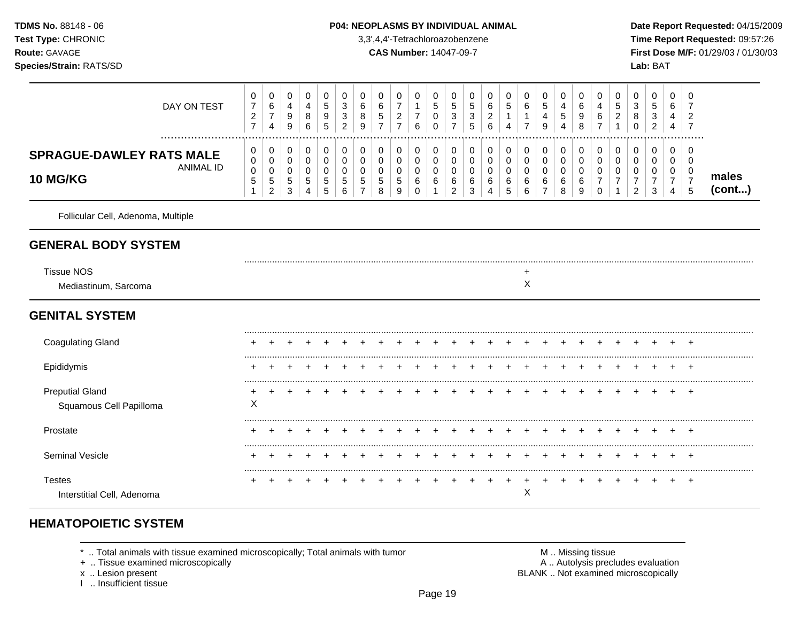#### P04: NEOPLASMS BY INDIVIDUAL ANIMAL

3,3',4,4'-Tetrachloroazobenzene

**CAS Number: 14047-09-7** 

Date Report Requested: 04/15/2009 Time Report Requested: 09:57:26 First Dose M/F: 01/29/03 / 01/30/03 Lab: BAT

| DAY ON TEST<br>                                                        | 0<br>$\boldsymbol{7}$<br>$\sqrt{2}$<br>$\overline{7}$ | 0<br>6<br>$\overline{7}$<br>$\overline{4}$             | 0<br>$\overline{4}$<br>9<br>$\boldsymbol{9}$ | 0<br>4<br>8<br>6                          | 0<br>$\sqrt{5}$<br>9<br>5                           | 0<br>$\mathbf{3}$<br>$\mathbf{3}$<br>$\overline{2}$ | 0<br>6<br>8<br>9 | 0<br>6<br>$\,$ 5 $\,$<br>$\overline{ }$ | 0<br>$\overline{7}$<br>$\overline{c}$<br>$\overline{7}$ | 0<br>$\mathbf{1}$<br>$\boldsymbol{7}$<br>6 | 0<br>$\sqrt{5}$<br>0<br>$\Omega$ | 0<br>5<br>3<br>$\overline{7}$                | 0<br>$\sqrt{5}$<br>$\sqrt{3}$<br>5 | 0<br>6<br>$\overline{c}$<br>$6\phantom{1}6$ | 0<br>$\sqrt{5}$<br>$\boldsymbol{\Lambda}$ | 0<br>$6\phantom{.}6$<br>1<br>$\overline{7}$ | 0<br>$\sqrt{5}$<br>4<br>9                         | 0<br>4<br>$\mathbf 5$<br>$\overline{4}$ | 0<br>6<br>9<br>8                | 0<br>4<br>6<br>$\overline{7}$ | 0<br>$\overline{5}$<br>$\overline{c}$<br>$\overline{1}$ | 0<br>$\ensuremath{\mathsf{3}}$<br>$\bf 8$<br>$\Omega$ | 0<br>$\sqrt{5}$<br>$\mathsf 3$<br>$\overline{2}$ | 0<br>6<br>4                                  | 0<br>7<br>$\overline{2}$<br>7                         |                       |
|------------------------------------------------------------------------|-------------------------------------------------------|--------------------------------------------------------|----------------------------------------------|-------------------------------------------|-----------------------------------------------------|-----------------------------------------------------|------------------|-----------------------------------------|---------------------------------------------------------|--------------------------------------------|----------------------------------|----------------------------------------------|------------------------------------|---------------------------------------------|-------------------------------------------|---------------------------------------------|---------------------------------------------------|-----------------------------------------|---------------------------------|-------------------------------|---------------------------------------------------------|-------------------------------------------------------|--------------------------------------------------|----------------------------------------------|-------------------------------------------------------|-----------------------|
| <b>SPRAGUE-DAWLEY RATS MALE</b><br><b>ANIMAL ID</b><br><b>10 MG/KG</b> | 0<br>$\pmb{0}$<br>$\pmb{0}$<br>$\sqrt{5}$<br>1        | 0<br>0<br>$\mathbf 0$<br>$\mathbf 5$<br>$\overline{2}$ | 0<br>0<br>$\mathbf 0$<br>$\,$ 5 $\,$<br>3    | 0<br>$\mathbf 0$<br>$\mathbf 0$<br>5<br>4 | 0<br>$\mathbf 0$<br>$\mathbf 0$<br>$\mathbf 5$<br>5 | 0<br>$\mathbf 0$<br>0<br>5<br>6                     | 0<br>0<br>0<br>5 | 0<br>0<br>0<br>5<br>8                   | 0<br>$\mathbf 0$<br>0<br>$\mathbf 5$<br>9               | 0<br>0<br>$\pmb{0}$<br>6<br>0              | 0<br>$\mathbf 0$<br>0<br>6       | 0<br>$\mathbf 0$<br>0<br>6<br>$\overline{2}$ | 0<br>$\mathbf 0$<br>0<br>6<br>3    | 0<br>$\mathbf 0$<br>0<br>6                  | 0<br>$\pmb{0}$<br>$\pmb{0}$<br>6<br>5     | 0<br>0<br>0<br>6<br>6                       | 0<br>0<br>$\boldsymbol{0}$<br>6<br>$\overline{7}$ | 0<br>$\mathbf 0$<br>0<br>6<br>8         | 0<br>$\mathbf 0$<br>0<br>6<br>9 | 0<br>0<br>0<br>7<br>$\Omega$  | 0<br>$\mathbf 0$<br>0<br>7                              | 0<br>0<br>0<br>$\overline{7}$<br>$\overline{2}$       | 0<br>$\mathbf 0$<br>0<br>$\overline{7}$<br>3     | 0<br>$\mathbf 0$<br>0<br>$\overline{7}$<br>4 | 0<br>$\mathbf 0$<br>0<br>$\overline{7}$<br>$\sqrt{5}$ | males<br>$($ cont $)$ |
| Follicular Cell, Adenoma, Multiple                                     |                                                       |                                                        |                                              |                                           |                                                     |                                                     |                  |                                         |                                                         |                                            |                                  |                                              |                                    |                                             |                                           |                                             |                                                   |                                         |                                 |                               |                                                         |                                                       |                                                  |                                              |                                                       |                       |
| <b>GENERAL BODY SYSTEM</b>                                             |                                                       |                                                        |                                              |                                           |                                                     |                                                     |                  |                                         |                                                         |                                            |                                  |                                              |                                    |                                             |                                           |                                             |                                                   |                                         |                                 |                               |                                                         |                                                       |                                                  |                                              |                                                       |                       |
| <b>Tissue NOS</b><br>Mediastinum, Sarcoma                              |                                                       |                                                        |                                              |                                           |                                                     |                                                     |                  |                                         |                                                         |                                            |                                  |                                              |                                    |                                             |                                           | +<br>X                                      |                                                   |                                         |                                 |                               |                                                         |                                                       |                                                  |                                              |                                                       |                       |
| <b>GENITAL SYSTEM</b>                                                  |                                                       |                                                        |                                              |                                           |                                                     |                                                     |                  |                                         |                                                         |                                            |                                  |                                              |                                    |                                             |                                           |                                             |                                                   |                                         |                                 |                               |                                                         |                                                       |                                                  |                                              |                                                       |                       |
| <b>Coagulating Gland</b>                                               |                                                       |                                                        |                                              |                                           |                                                     |                                                     |                  |                                         |                                                         |                                            |                                  |                                              |                                    |                                             |                                           |                                             |                                                   |                                         |                                 |                               |                                                         |                                                       |                                                  |                                              | $\overline{ }$                                        |                       |
| Epididymis                                                             |                                                       |                                                        |                                              |                                           |                                                     |                                                     |                  |                                         |                                                         |                                            |                                  |                                              |                                    |                                             |                                           |                                             |                                                   |                                         |                                 |                               |                                                         |                                                       |                                                  |                                              |                                                       |                       |
| <b>Preputial Gland</b><br>Squamous Cell Papilloma                      | X                                                     |                                                        |                                              |                                           |                                                     |                                                     |                  |                                         |                                                         |                                            |                                  |                                              |                                    |                                             |                                           |                                             |                                                   |                                         |                                 |                               |                                                         |                                                       |                                                  |                                              |                                                       |                       |
| Prostate                                                               |                                                       |                                                        |                                              |                                           |                                                     |                                                     |                  |                                         |                                                         |                                            |                                  |                                              |                                    |                                             |                                           |                                             |                                                   |                                         |                                 |                               |                                                         |                                                       |                                                  |                                              |                                                       |                       |
| <b>Seminal Vesicle</b>                                                 |                                                       |                                                        |                                              |                                           |                                                     |                                                     |                  |                                         |                                                         |                                            |                                  |                                              |                                    |                                             |                                           |                                             |                                                   |                                         |                                 |                               |                                                         |                                                       |                                                  |                                              | ٠                                                     |                       |
| <b>Testes</b><br>Interstitial Cell, Adenoma                            |                                                       |                                                        |                                              |                                           |                                                     |                                                     |                  |                                         |                                                         |                                            |                                  |                                              |                                    |                                             |                                           | Χ                                           |                                                   |                                         |                                 |                               |                                                         |                                                       |                                                  |                                              | $\overline{ }$                                        |                       |

# **HEMATOPOIETIC SYSTEM**

\* .. Total animals with tissue examined microscopically; Total animals with tumor

+ .. Tissue examined microscopically

x .. Lesion present<br>I .. Insufficient tissue

M .. Missing tissue A .. Autolysis precludes evaluation BLANK .. Not examined microscopically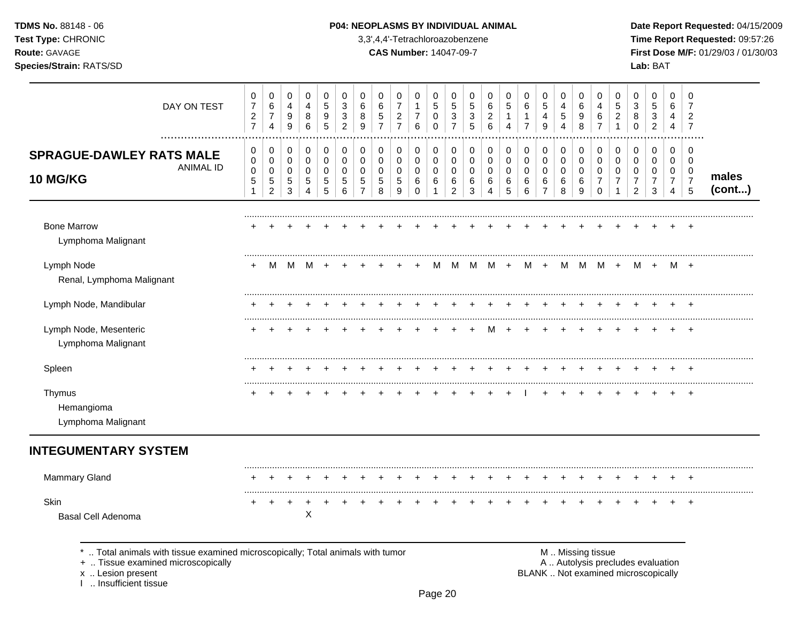| <b>TDMS No. 88148 - 06</b>     | <b>P04: NEOPLASMS BY INDIVIDUAL ANIMAL</b> | Date Repo         |
|--------------------------------|--------------------------------------------|-------------------|
| <b>Test Type: CHRONIC</b>      | 3,3',4,4'-Tetrachloroazobenzene            | Time Rep          |
| <b>Route:</b> GAVAGE           | <b>CAS Number: 14047-09-7</b>              | <b>First Dose</b> |
| <b>Species/Strain: RATS/SD</b> |                                            | Lab: BAT          |

I .. Insufficient tissue

## **P04: NEOPLASMS BY INDIVIDUAL ANIMAL Date Report Requested:** 04/15/2009

**Time Report Requested:** 09:57:26 **CAS Number:** 14047-09-7 **First Dose M/F:** 01/29/03 / 01/30/03

| DAY ON TEST                                                                                                                             | 0<br>$\overline{7}$<br>$\sqrt{2}$<br>$\overline{7}$ | 0<br>$\,6\,$<br>$\overline{7}$<br>$\overline{4}$                       | 0<br>4<br>9<br>$\boldsymbol{9}$                     | 0<br>4<br>8<br>6                                    | 0<br>5<br>9<br>$\overline{5}$                    | 0<br>$\mathbf{3}$<br>3<br>$\overline{c}$         | 0<br>6<br>8<br>9                          | 0<br>6<br>$\sqrt{5}$<br>$\overline{7}$                  | 0<br>$\overline{7}$<br>$\boldsymbol{2}$<br>$\overline{7}$ | 0<br>$\mathbf{1}$<br>7<br>6                   | 0<br>5<br>0<br>$\mathbf 0$           | 0<br>$\overline{5}$<br>$\ensuremath{\mathsf{3}}$<br>$\overline{7}$ | 0<br>$\sqrt{5}$<br>$\sqrt{3}$<br>5        | 0<br>6<br>$\overline{c}$<br>6   | $\mathbf 0$<br>$\overline{5}$<br>-1<br>4         | 0<br>$\,6$<br>1<br>$\overline{7}$ | 0<br>$\sqrt{5}$<br>4<br>$\boldsymbol{9}$     | 0<br>4<br>5<br>4                    | $\pmb{0}$<br>$\,6$<br>9<br>8                  | 0<br>4<br>$\,6$<br>$\overline{7}$                      | 0<br>5<br>$\overline{c}$<br>1                          | 0<br>3<br>8<br>$\mathbf 0$                                               | 0<br>5<br>3<br>$\overline{c}$                | 0<br>6<br>4<br>4                             | $\mathbf 0$<br>$\overline{7}$<br>$\overline{2}$<br>$\overline{7}$ |                 |
|-----------------------------------------------------------------------------------------------------------------------------------------|-----------------------------------------------------|------------------------------------------------------------------------|-----------------------------------------------------|-----------------------------------------------------|--------------------------------------------------|--------------------------------------------------|-------------------------------------------|---------------------------------------------------------|-----------------------------------------------------------|-----------------------------------------------|--------------------------------------|--------------------------------------------------------------------|-------------------------------------------|---------------------------------|--------------------------------------------------|-----------------------------------|----------------------------------------------|-------------------------------------|-----------------------------------------------|--------------------------------------------------------|--------------------------------------------------------|--------------------------------------------------------------------------|----------------------------------------------|----------------------------------------------|-------------------------------------------------------------------|-----------------|
| <b>SPRAGUE-DAWLEY RATS MALE</b><br><b>ANIMAL ID</b><br>10 MG/KG                                                                         | 0<br>$\mathbf 0$<br>$\mathbf 0$<br>$\sqrt{5}$<br>-1 | $\pmb{0}$<br>$\mathbf 0$<br>$\pmb{0}$<br>$\,$ 5 $\,$<br>$\overline{2}$ | 0<br>$\mathbf 0$<br>0<br>$\sqrt{5}$<br>$\mathbf{3}$ | $\mathbf 0$<br>$\mathbf 0$<br>0<br>$\,$ 5 $\,$<br>4 | $\pmb{0}$<br>$\mathbf 0$<br>0<br>$\sqrt{5}$<br>5 | $\mathbf 0$<br>$\mathbf 0$<br>$\Omega$<br>5<br>6 | 0<br>0<br>$\Omega$<br>5<br>$\overline{7}$ | $\pmb{0}$<br>$\mathbf 0$<br>$\Omega$<br>$\sqrt{5}$<br>8 | 0<br>$\mathbf 0$<br>0<br>5<br>9                           | 0<br>$\mathbf 0$<br>0<br>$\,6$<br>$\mathbf 0$ | 0<br>$\mathbf 0$<br>0<br>$\,6$<br>-1 | $\pmb{0}$<br>$\pmb{0}$<br>0<br>6<br>$\overline{c}$                 | $\mathbf 0$<br>$\mathbf 0$<br>0<br>6<br>3 | 0<br>$\mathbf 0$<br>0<br>6<br>4 | $\mathbf 0$<br>$\mathbf 0$<br>$\Omega$<br>6<br>5 | 0<br>$\mathbf 0$<br>0<br>6<br>6   | $\mathbf 0$<br>0<br>0<br>6<br>$\overline{7}$ | 0<br>$\mathbf 0$<br>0<br>$\,6$<br>8 | $\mathbf 0$<br>$\pmb{0}$<br>0<br>$\,6\,$<br>9 | $\mathbf 0$<br>$\mathbf 0$<br>0<br>$\overline{7}$<br>0 | $\pmb{0}$<br>$\mathbf 0$<br>$\Omega$<br>$\overline{7}$ | 0<br>$\Omega$<br>$\Omega$<br>$\overline{7}$<br>$\overline{2}$            | 0<br>$\mathbf 0$<br>0<br>$\overline{7}$<br>3 | 0<br>$\mathbf 0$<br>0<br>$\overline{7}$<br>4 | $\mathbf 0$<br>$\mathbf 0$<br>0<br>$\overline{7}$<br>5            | males<br>(cont) |
| <b>Bone Marrow</b><br>Lymphoma Malignant                                                                                                |                                                     |                                                                        |                                                     |                                                     |                                                  |                                                  |                                           |                                                         |                                                           |                                               |                                      |                                                                    |                                           |                                 |                                                  |                                   |                                              |                                     |                                               |                                                        |                                                        |                                                                          |                                              |                                              |                                                                   |                 |
| Lymph Node<br>Renal, Lymphoma Malignant                                                                                                 |                                                     | м                                                                      | M                                                   | M                                                   |                                                  |                                                  |                                           |                                                         |                                                           |                                               | M                                    | M                                                                  |                                           |                                 |                                                  |                                   |                                              |                                     |                                               |                                                        |                                                        | $M$ $M$ + $M$ + $M$ $M$ $M$ + $M$ +                                      |                                              | M +                                          |                                                                   |                 |
| Lymph Node, Mandibular                                                                                                                  |                                                     |                                                                        |                                                     |                                                     |                                                  |                                                  |                                           |                                                         |                                                           |                                               |                                      |                                                                    |                                           |                                 |                                                  |                                   |                                              |                                     |                                               |                                                        |                                                        |                                                                          |                                              |                                              |                                                                   |                 |
| Lymph Node, Mesenteric<br>Lymphoma Malignant                                                                                            |                                                     |                                                                        |                                                     |                                                     |                                                  |                                                  |                                           |                                                         |                                                           |                                               |                                      |                                                                    |                                           |                                 |                                                  |                                   |                                              |                                     |                                               |                                                        |                                                        |                                                                          |                                              | $\ddot{}$                                    | $+$                                                               |                 |
| Spleen                                                                                                                                  |                                                     |                                                                        |                                                     |                                                     |                                                  |                                                  |                                           |                                                         |                                                           |                                               |                                      |                                                                    |                                           |                                 |                                                  |                                   |                                              |                                     |                                               |                                                        |                                                        |                                                                          |                                              |                                              |                                                                   |                 |
| Thymus<br>Hemangioma<br>Lymphoma Malignant                                                                                              |                                                     |                                                                        |                                                     |                                                     |                                                  |                                                  |                                           |                                                         |                                                           |                                               |                                      |                                                                    |                                           |                                 |                                                  |                                   |                                              |                                     |                                               |                                                        |                                                        |                                                                          |                                              |                                              |                                                                   |                 |
| <b>INTEGUMENTARY SYSTEM</b>                                                                                                             |                                                     |                                                                        |                                                     |                                                     |                                                  |                                                  |                                           |                                                         |                                                           |                                               |                                      |                                                                    |                                           |                                 |                                                  |                                   |                                              |                                     |                                               |                                                        |                                                        |                                                                          |                                              |                                              |                                                                   |                 |
| Mammary Gland                                                                                                                           |                                                     |                                                                        |                                                     |                                                     |                                                  |                                                  |                                           |                                                         |                                                           |                                               |                                      |                                                                    |                                           |                                 |                                                  |                                   |                                              |                                     |                                               |                                                        |                                                        |                                                                          |                                              |                                              |                                                                   |                 |
| Skin<br>Basal Cell Adenoma                                                                                                              |                                                     | $\ddot{}$                                                              | $\div$                                              | X                                                   |                                                  |                                                  |                                           |                                                         |                                                           |                                               |                                      |                                                                    |                                           |                                 |                                                  |                                   |                                              |                                     |                                               |                                                        |                                                        |                                                                          |                                              |                                              | $\div$                                                            |                 |
| Total animals with tissue examined microscopically; Total animals with tumor<br>+  Tissue examined microscopically<br>x  Lesion present |                                                     |                                                                        |                                                     |                                                     |                                                  |                                                  |                                           |                                                         |                                                           |                                               |                                      |                                                                    |                                           |                                 |                                                  |                                   |                                              |                                     | M  Missing tissue                             |                                                        |                                                        | A  Autolysis precludes evaluation<br>BLANK  Not examined microscopically |                                              |                                              |                                                                   |                 |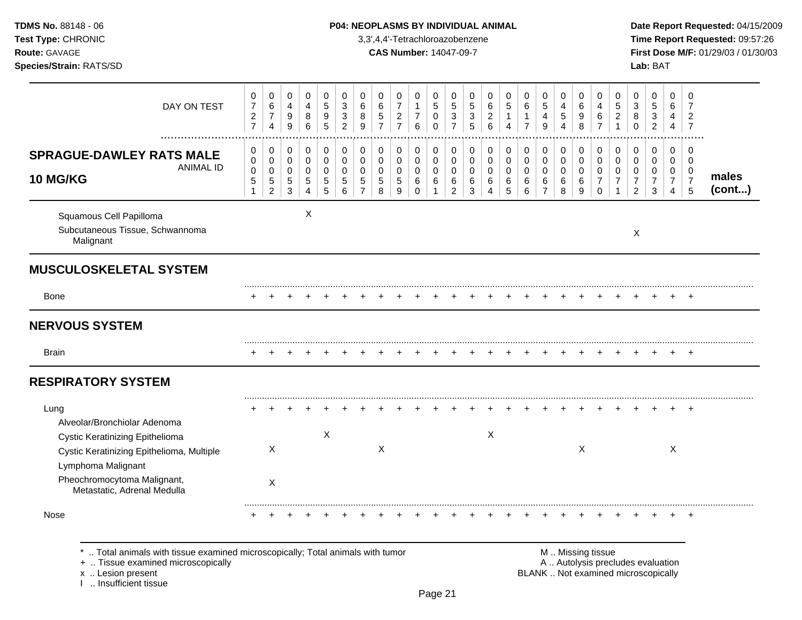Squamous Cell Papilloma X Subcutaneous Tissue, Schwannoma Malignant X **MUSCULOSKELETAL SYSTEM** ......................................................................................................................................................................................................... Bone + + + + + + + + + + + + + + + + + + + + + + + + + **NERVOUS SYSTEM** ......................................................................................................................................................................................................... Brain + + + + + + + + + + + + + + + + + + + + + + + + + **RESPIRATORY SYSTEM** ......................................................................................................................................................................................................... Lung + + + + + + + + + + + + + + + + + + + + + + + + + Alveolar/Bronchiolar Adenoma Cystic Keratinizing Epithelioma X X Cystic Keratinizing Epithelioma, Multiple X X X X Lymphoma Malignant Pheochromocytoma Malignant, Metastatic, Adrenal Medulla X ......................................................................................................................................................................................................... Nose + + + + + + + + + + + + + + + + + + + + + + + + + **Test Type:** CHRONIC 3,3',4,4'-Tetrachloroazobenzene **Time Report Requested:** 09:57:26 **Route:** GAVAGE **CAS Number:** 14047-09-7 **First Dose M/F:** 01/29/03 / 01/30/03 **Species/Strain:** RATS/SD **Lab:** BAT DAY ON TEST  $\Omega$   $\Omega$  ................................................................................................................................................................. **SPRAGUE-DAWLEY RATS MALE** ANIMAL ID **10 MG/KG males (cont...)**

**TDMS No.** 88148 - 06 **P04: NEOPLASMS BY INDIVIDUAL ANIMAL** Date Report Requested: 04/15/2009

\* .. Total animals with tissue examined microscopically; Total animals with tumor  $\blacksquare$  M .. Missing tissue<br>A .. Autolysis precting the microscopically

I .. Insufficient tissue

A .. Autolysis precludes evaluation x .. Lesion present **BLANK** .. Not examined microscopically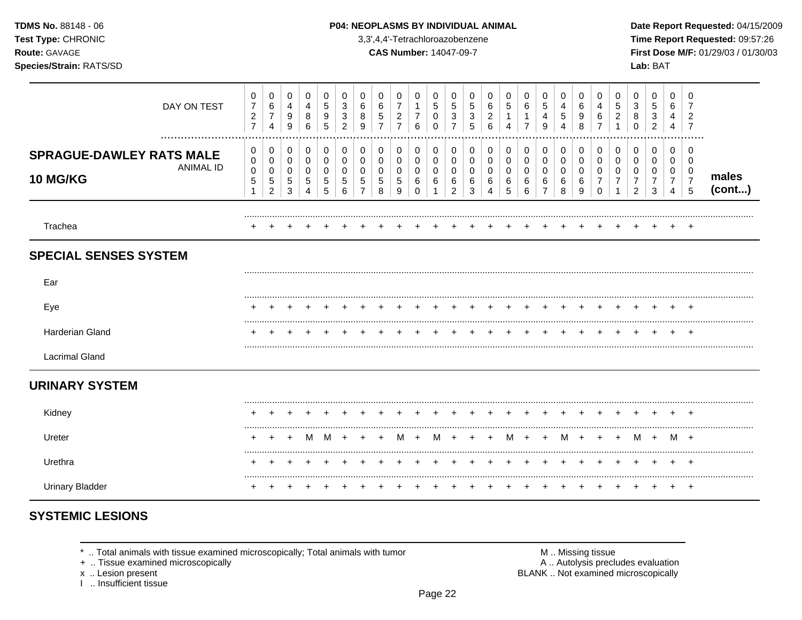| <b>TDMS No. 88148 - 06</b> |
|----------------------------|
| <b>Test Type: CHRONIC</b>  |
| <b>Route: GAVAGE</b>       |
| Species/Strain: RATS/SD    |

#### P04: NEOPLASMS BY INDIVIDUAL ANIMAL

3,3',4,4'-Tetrachloroazobenzene

**CAS Number: 14047-09-7** 

Date Report Requested: 04/15/2009 Time Report Requested: 09:57:26 First Dose M/F: 01/29/03 / 01/30/03 Lab: BAT

| DAY ON TEST                                                     | 0<br>7<br>$\boldsymbol{2}$<br>$\overline{7}$  | 0<br>6<br>$\overline{7}$<br>$\overline{4}$           | 0<br>$\overline{4}$<br>9<br>9 | $\mathbf 0$<br>$\overline{4}$<br>8<br>6 | 0<br>$\sqrt{5}$<br>9<br>5 | 0<br>3<br>3<br>2      | 0<br>6<br>8<br>$\mathbf{Q}$ | 0<br>6<br>5                    | 0<br>7<br>$\sqrt{2}$<br>$\overline{7}$ | 0<br>1<br>$\overline{7}$<br>6 | 0<br>5<br>0<br>0      | 0<br>5<br>3<br>7                   | 0<br>5<br>$\mathbf{3}$<br>5 | 0<br>6<br>2<br>6      | 0<br>5<br>4           | 0<br>6<br>$\overline{7}$                    | 0<br>$\,$ 5 $\,$<br>4<br>9                        | 0<br>4<br>5<br>4      | 0<br>6<br>9<br>8      | 0<br>4<br>6                     | 0<br>5<br>2      | 0<br>3<br>8<br>$\Omega$       | 0<br>5<br>3<br>$\overline{c}$   | 0<br>6<br>4<br>4                   | 0<br>7<br>$\overline{2}$<br>7                          |                 |
|-----------------------------------------------------------------|-----------------------------------------------|------------------------------------------------------|-------------------------------|-----------------------------------------|---------------------------|-----------------------|-----------------------------|--------------------------------|----------------------------------------|-------------------------------|-----------------------|------------------------------------|-----------------------------|-----------------------|-----------------------|---------------------------------------------|---------------------------------------------------|-----------------------|-----------------------|---------------------------------|------------------|-------------------------------|---------------------------------|------------------------------------|--------------------------------------------------------|-----------------|
| <b>SPRAGUE-DAWLEY RATS MALE</b><br><b>ANIMAL ID</b><br>10 MG/KG | 0<br>$\mathbf 0$<br>$\mathbf 0$<br>$\sqrt{5}$ | $\pmb{0}$<br>0<br>0<br>$\mathbf 5$<br>$\overline{2}$ | 0<br>0<br>0<br>5<br>3         | 0<br>0<br>0<br>5<br>4                   | 0<br>0<br>0<br>5<br>5     | 0<br>0<br>0<br>5<br>6 | 0<br>0<br>0<br>5            | 0<br>0<br>0<br>$\sqrt{5}$<br>8 | 0<br>0<br>0<br>5<br>9                  | 0<br>0<br>0<br>6<br>$\Omega$  | 0<br>0<br>0<br>6<br>1 | 0<br>0<br>0<br>6<br>$\overline{2}$ | 0<br>0<br>0<br>6<br>3       | 0<br>0<br>0<br>6<br>4 | 0<br>0<br>0<br>6<br>5 | $\pmb{0}$<br>0<br>0<br>6<br>$6\phantom{1}6$ | 0<br>$\boldsymbol{0}$<br>0<br>6<br>$\overline{7}$ | 0<br>0<br>0<br>6<br>8 | 0<br>0<br>0<br>6<br>9 | 0<br>0<br>0<br>7<br>$\mathbf 0$ | 0<br>0<br>0<br>7 | 0<br>0<br>0<br>$\overline{2}$ | $\mathbf 0$<br>0<br>0<br>7<br>3 | 0<br>0<br>0<br>$\overline{7}$<br>4 | $\mathbf 0$<br>$\mathbf 0$<br>0<br>$\overline{7}$<br>5 | males<br>(cont) |
| Trachea                                                         |                                               |                                                      |                               |                                         |                           |                       |                             |                                |                                        |                               |                       |                                    |                             |                       |                       |                                             |                                                   |                       |                       |                                 |                  |                               |                                 |                                    |                                                        |                 |
| <b>SPECIAL SENSES SYSTEM</b>                                    |                                               |                                                      |                               |                                         |                           |                       |                             |                                |                                        |                               |                       |                                    |                             |                       |                       |                                             |                                                   |                       |                       |                                 |                  |                               |                                 |                                    |                                                        |                 |
| Ear                                                             |                                               |                                                      |                               |                                         |                           |                       |                             |                                |                                        |                               |                       |                                    |                             |                       |                       |                                             |                                                   |                       |                       |                                 |                  |                               |                                 |                                    |                                                        |                 |
| Eye                                                             |                                               |                                                      |                               |                                         |                           |                       |                             |                                |                                        |                               |                       |                                    |                             |                       |                       |                                             |                                                   |                       |                       |                                 |                  |                               |                                 |                                    |                                                        |                 |
| Harderian Gland                                                 |                                               |                                                      |                               |                                         |                           |                       |                             |                                |                                        |                               |                       |                                    |                             |                       |                       |                                             |                                                   |                       |                       |                                 |                  |                               |                                 |                                    |                                                        |                 |
| <b>Lacrimal Gland</b>                                           |                                               |                                                      |                               |                                         |                           |                       |                             |                                |                                        |                               |                       |                                    |                             |                       |                       |                                             |                                                   |                       |                       |                                 |                  |                               |                                 |                                    |                                                        |                 |
| <b>URINARY SYSTEM</b>                                           |                                               |                                                      |                               |                                         |                           |                       |                             |                                |                                        |                               |                       |                                    |                             |                       |                       |                                             |                                                   |                       |                       |                                 |                  |                               |                                 |                                    |                                                        |                 |
| Kidney                                                          |                                               |                                                      |                               |                                         |                           |                       |                             |                                |                                        |                               |                       |                                    |                             |                       |                       |                                             |                                                   |                       |                       |                                 |                  |                               |                                 |                                    |                                                        |                 |
| Ureter                                                          |                                               | $\div$                                               | $\pm$                         | M                                       | M                         |                       |                             |                                | M                                      | $\ddot{}$                     | M                     |                                    |                             |                       | M                     | $+$                                         | $+$                                               | M                     | $+$                   | $\ddot{}$                       |                  | M +                           |                                 | M +                                |                                                        |                 |
| Urethra                                                         |                                               |                                                      |                               |                                         |                           |                       |                             |                                |                                        |                               |                       |                                    |                             |                       |                       |                                             |                                                   |                       |                       |                                 |                  |                               |                                 |                                    |                                                        |                 |
| <b>Urinary Bladder</b>                                          |                                               |                                                      |                               |                                         |                           |                       |                             |                                |                                        |                               |                       |                                    |                             |                       |                       |                                             |                                                   |                       |                       |                                 |                  |                               |                                 |                                    | $\pm$                                                  |                 |

# **SYSTEMIC LESIONS**

\* .. Total animals with tissue examined microscopically; Total animals with tumor

+ .. Tissue examined microscopically

x .. Lesion present<br>I .. Insufficient tissue

M .. Missing tissue<br>A .. Autolysis precludes evaluation BLANK .. Not examined microscopically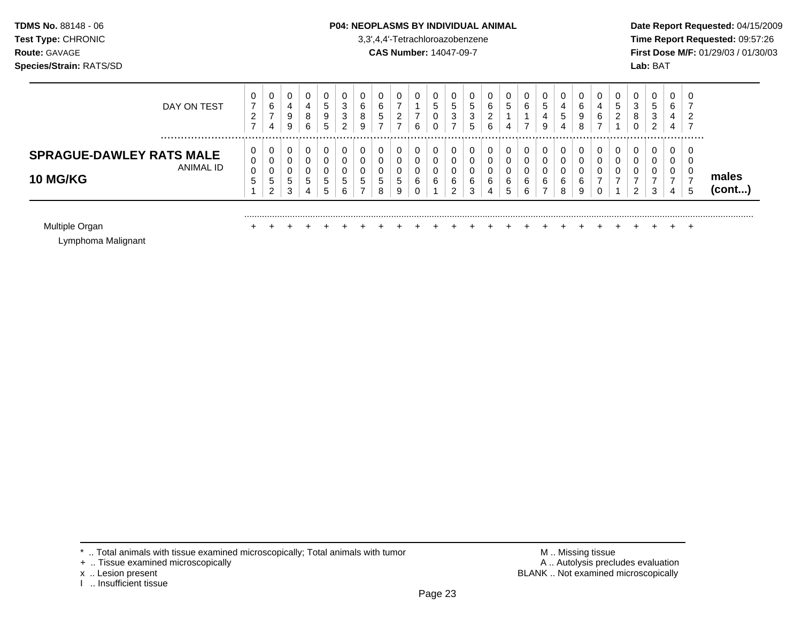### **TDMS No.** 88148 - 06 **P04: NEOPLASMS BY INDIVIDUAL ANIMAL** Date Report Requested: 04/15/2009

**Test Type:** CHRONIC 3,3',4,4'-Tetrachloroazobenzene **Time Report Requested:** 09:57:26 **Route:** GAVAGE **CAS Number:** 14047-09-7 **First Dose M/F:** 01/29/03 / 01/30/03

| DAY ON TEST                                                     | 0<br>⇁<br>ົ<br><u>_</u><br>⇁ | 6<br>-<br>4 | 0<br>4<br>9<br>9      | 0<br>4<br>8<br>6       | 5<br>9<br>5       | 0<br>3<br>3<br>2                 | 0<br>6<br>8<br>9 | 6<br>◡<br>- | υ<br>-<br>◠<br><u>_</u><br>- | 6 | U<br>5<br>U<br>v | v<br>J.<br>$\sim$<br>చ<br>⇁ | 0<br>ა<br>3<br>5      | 0<br>6<br>◠<br>∼<br>6 |   | 0<br>6      | 0<br>G.<br>4<br>9     | U<br>4<br>5<br>4 | 0<br>6<br>9<br>8      | 4<br>6 | 0<br>ς<br>$\overline{\phantom{a}}$<br>ົ<br><u>_</u> | U<br>3<br>8<br>$\sim$<br>v          | 0<br>đ<br>◠<br>ა<br>ົ<br>∼ | U<br>6<br>4<br>4 | ັ∪<br>⇁ |                 |
|-----------------------------------------------------------------|------------------------------|-------------|-----------------------|------------------------|-------------------|----------------------------------|------------------|-------------|------------------------------|---|------------------|-----------------------------|-----------------------|-----------------------|---|-------------|-----------------------|------------------|-----------------------|--------|-----------------------------------------------------|-------------------------------------|----------------------------|------------------|---------|-----------------|
| <b>SPRAGUE-DAWLEY RATS MALE</b><br>ANIMAL ID<br><b>10 MG/KG</b> | 0<br>0<br>0<br><sub>5</sub>  | u<br>റ      | 0<br>0<br>0<br>5<br>3 | 0<br>0<br>0<br>5.<br>4 | <sub>5</sub><br>5 | 0<br>0<br>0<br>$\mathbf{p}$<br>6 | G                | 0<br>8      | υ<br>C<br>9                  | 6 | U<br>0<br>v<br>6 | 6<br>ີ                      | C<br>U<br>U<br>6<br>3 | 6<br>4                | 6 | 0<br>6<br>6 | 0<br>0<br>0<br>6<br>- | υ<br>6<br>8      | 0<br>0<br>0<br>6<br>9 |        | 0<br>0<br>0                                         | υ<br>υ<br>$\sqrt{2}$<br>υ<br>-<br>ົ | 0<br>υ<br>3                | 0<br>0<br>U<br>4 | c       | males<br>(cont) |
| Multiple Organ                                                  |                              |             |                       |                        |                   |                                  |                  |             |                              |   |                  |                             |                       |                       |   |             |                       |                  |                       |        |                                                     |                                     |                            |                  |         |                 |

Lymphoma Malignant

- + .. Tissue examined microscopically
- 
- x .. Lesion present<br>I .. Insufficient tissue

\* .. Total animals with tissue examined microscopically; Total animals with tumor <br>
+ .. Tissue examined microscopically<br>
+ .. Tissue examined microscopically BLANK .. Not examined microscopically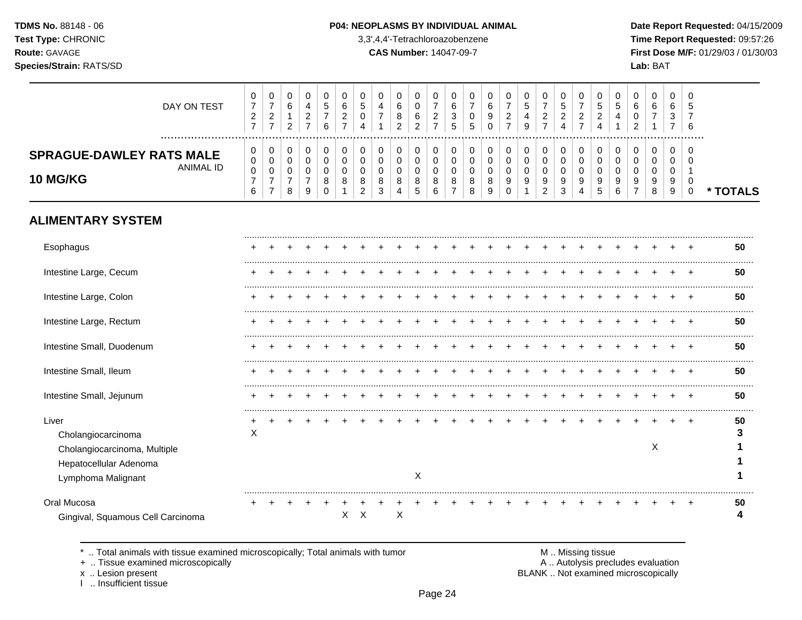#### P04: NEOPLASMS BY INDIVIDUAL ANIMAL

3,3',4,4'-Tetrachloroazobenzene

**CAS Number: 14047-09-7** 

Date Report Requested: 04/15/2009 Time Report Requested: 09:57:26 First Dose M/F: 01/29/03 / 01/30/03 Lab: BAT

| DAY ON TEST                                  | 0      | 0<br>⇁                               | U<br>6             | 4           | đ      | 0<br>6             | C                 | 0<br>4                 | 0<br>6      | 0<br>υ      | –             | 6           | 0<br>⇁      | U<br>6 | 0<br>-               | 0<br><sub>5</sub> |        | 0<br>ಎ      |             | 0<br>5      | 0<br>G      | 0<br>6      | 0<br>6         | 6       | 0<br>ა   |          |
|----------------------------------------------|--------|--------------------------------------|--------------------|-------------|--------|--------------------|-------------------|------------------------|-------------|-------------|---------------|-------------|-------------|--------|----------------------|-------------------|--------|-------------|-------------|-------------|-------------|-------------|----------------|---------|----------|----------|
|                                              | ົ<br>∼ | $\sim$<br><u>_</u><br>$\overline{ }$ | 2                  | ◠<br>∼<br>- | –<br>6 | ົ<br><u>_</u><br>⇁ | 4                 |                        | 8<br>2      | 6<br>2      | ົ<br><u>_</u> | ◠<br>د<br>b | 0<br>5      | 9      | റ<br>$\epsilon$<br>- | 4<br>9            | 2      | ົ<br>∠<br>4 | $\sim$<br>∼ | ົ<br>∼<br>4 |             | 0<br>າ<br>ے | $\overline{ }$ | చ       | 6        |          |
| <b>SPRAGUE-DAWLEY RATS MALE</b><br>ANIMAL ID | 0<br>0 | U<br>0                               | U<br>$\Omega$<br>U | U           | 0      | 0<br>0             |                   | 0<br>0                 | 0<br>0      | 0<br>0      | υ             |             | 0<br>0      |        | 0<br>0               | 0<br>0            |        | 0<br>0      |             | 0<br>0      | υ<br>0      | 0<br>0      | 0<br>0         | - 0     | -0<br>-0 |          |
| <b>10 MG/KG</b>                              | 0<br>6 | U<br>⇁                               | U<br>8             | 9           | 8<br>0 | 0<br>8             | $\circ$<br>O<br>2 | $\mathbf{0}$<br>8<br>3 | 0<br>8<br>4 | C<br>8<br>5 | 8<br>6        | 8           | 0<br>8<br>8 | 8<br>9 | 0<br>9<br>0          | 0<br>9<br>-4      | 9<br>2 | 0<br>9<br>3 | 9<br>4      | 9<br>5      | 0<br>9<br>6 | 0<br>9<br>⇁ | 0<br>9<br>8    | -9<br>9 | 0<br>0   | * TOTALS |
| <b>ALIMENTARY SYSTEM</b>                     |        |                                      |                    |             |        |                    |                   |                        |             |             |               |             |             |        |                      |                   |        |             |             |             |             |             |                |         |          |          |

| Esophagus                         |   |  |  |    |   |   |   |  |  |  |  |  |  |   |  | 50 |
|-----------------------------------|---|--|--|----|---|---|---|--|--|--|--|--|--|---|--|----|
| Intestine Large, Cecum            |   |  |  |    |   |   |   |  |  |  |  |  |  |   |  | 50 |
| Intestine Large, Colon            |   |  |  |    |   |   |   |  |  |  |  |  |  |   |  | 50 |
| Intestine Large, Rectum           |   |  |  |    |   |   |   |  |  |  |  |  |  |   |  | 50 |
| Intestine Small, Duodenum         |   |  |  |    |   |   |   |  |  |  |  |  |  |   |  | 50 |
| Intestine Small, Ileum            |   |  |  |    |   |   |   |  |  |  |  |  |  |   |  | 50 |
| Intestine Small, Jejunum          |   |  |  |    |   |   |   |  |  |  |  |  |  |   |  | 50 |
| Liver                             |   |  |  |    |   |   |   |  |  |  |  |  |  |   |  | 50 |
| Cholangiocarcinoma                | X |  |  |    |   |   |   |  |  |  |  |  |  |   |  |    |
| Cholangiocarcinoma, Multiple      |   |  |  |    |   |   |   |  |  |  |  |  |  | Χ |  |    |
| Hepatocellular Adenoma            |   |  |  |    |   |   |   |  |  |  |  |  |  |   |  |    |
| Lymphoma Malignant                |   |  |  |    |   |   | X |  |  |  |  |  |  |   |  |    |
| Oral Mucosa                       |   |  |  |    |   |   |   |  |  |  |  |  |  |   |  | 50 |
| Gingival, Squamous Cell Carcinoma |   |  |  | X. | х | X |   |  |  |  |  |  |  |   |  |    |

\* .. Total animals with tissue examined microscopically; Total animals with tumor

+ .. Tissue examined microscopically

x .. Lesion present<br>I .. Insufficient tissue

M .. Missing tissue A .. Autolysis precludes evaluation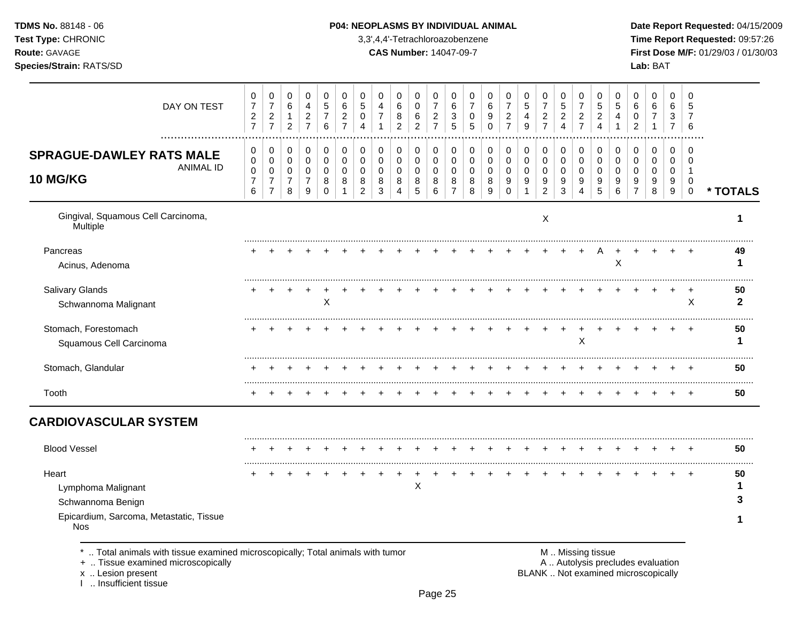## **TDMS No.** 88148 - 06 **P04: NEOPLASMS BY INDIVIDUAL ANIMAL** Date Report Requested: 04/15/2009

**Test Type:** CHRONIC 3,3',4,4'-Tetrachloroazobenzene **Time Report Requested:** 09:57:26 **Route:** GAVAGE **CAS Number:** 14047-09-7 **First Dose M/F:** 01/29/03 / 01/30/03

| 0                                | 0                                                 | 0                                | 0                                  | 0                          | 0                                | 0                     | 0                                | 0                                        | 0                    | 0                                | 0                        | 0           | 0                   | 0                                | 0                              | 0                                  | 0                                | 0                                | 0                                | 0                          | 0                                  | 0                     | 0                   | $\mathbf 0$                         |                    |
|----------------------------------|---------------------------------------------------|----------------------------------|------------------------------------|----------------------------|----------------------------------|-----------------------|----------------------------------|------------------------------------------|----------------------|----------------------------------|--------------------------|-------------|---------------------|----------------------------------|--------------------------------|------------------------------------|----------------------------------|----------------------------------|----------------------------------|----------------------------|------------------------------------|-----------------------|---------------------|-------------------------------------|--------------------|
| $\overline{c}$<br>$\overline{7}$ | $\overline{2}$<br>$\overline{7}$                  | $\mathbf{1}$<br>$\overline{2}$   | $\overline{c}$<br>$\overline{7}$   | 7<br>$\,6$                 | $\overline{2}$<br>$\overline{7}$ | 0<br>$\Delta$         | $\overline{7}$<br>$\overline{1}$ | 8<br>$\overline{2}$                      | 6<br>$\overline{2}$  | $\overline{2}$<br>$\overline{7}$ | 3<br>5                   | 0<br>5      | 9<br>$\Omega$       | $\overline{c}$<br>$\overline{7}$ | $\overline{4}$<br>9            | $\overline{c}$<br>$\overline{7}$   | $\overline{c}$<br>$\overline{4}$ | $\overline{2}$<br>$\overline{7}$ | $\overline{c}$<br>$\overline{4}$ | 4<br>$\overline{1}$        | 0<br>$\overline{2}$                | $\overline{7}$<br>1   | 3<br>$\overline{7}$ | 7<br>6                              |                    |
| 0                                | 0                                                 | 0                                | 0                                  | 0<br>0                     | 0<br>$\mathbf 0$                 | 0<br>0                | 0                                | 0                                        | 0                    | 0                                | 0<br>$\mathbf 0$         | 0           | 0                   | 0                                | 0                              | 0                                  | 0                                | 0<br>$\mathbf 0$                 | 0<br>$\mathbf 0$                 | 0                          | 0                                  | 0                     | 0                   | 0<br>$\Omega$                       |                    |
| 0<br>$\overline{7}$<br>6         | $\mathbf 0$<br>$\boldsymbol{7}$<br>$\overline{7}$ | $\pmb{0}$<br>$\overline{7}$<br>8 | $\mathbf 0$<br>$\overline{7}$<br>9 | $\pmb{0}$<br>8<br>$\Omega$ | 0<br>8                           | $\mathbf 0$<br>8<br>2 | 0<br>8<br>3                      | $\mathbf 0$<br>$\,8\,$<br>$\overline{4}$ | $\pmb{0}$<br>8<br>5  | $\pmb{0}$<br>8<br>6              | 0<br>8<br>$\overline{7}$ | 0<br>8<br>8 | 0<br>8<br>9         | $\pmb{0}$<br>9<br>$\Omega$       | $\pmb{0}$<br>9<br>$\mathbf{1}$ | $\mathbf 0$<br>9<br>$\overline{c}$ | $\mathbf 0$<br>9<br>3            | $\mathbf 0$<br>9<br>4            | $\mathbf 0$<br>9<br>5            | 0<br>$\boldsymbol{9}$<br>6 | $\mathbf 0$<br>9<br>$\overline{7}$ | $\mathbf 0$<br>9<br>8 | 0<br>9<br>9         | -1<br>$\mathbf 0$<br>$\overline{0}$ | * TOTALS           |
|                                  |                                                   |                                  |                                    |                            |                                  |                       |                                  |                                          |                      |                                  |                          |             |                     |                                  |                                | X                                  |                                  |                                  |                                  |                            |                                    |                       |                     |                                     | 1                  |
|                                  |                                                   |                                  |                                    |                            |                                  |                       |                                  |                                          |                      |                                  |                          |             |                     |                                  |                                |                                    |                                  |                                  |                                  | X                          |                                    |                       |                     |                                     | 49<br>1            |
|                                  |                                                   |                                  |                                    | $\mathsf X$                |                                  |                       |                                  |                                          |                      |                                  |                          |             |                     |                                  |                                |                                    |                                  |                                  |                                  |                            |                                    |                       |                     | X                                   | 50<br>$\mathbf{2}$ |
|                                  |                                                   |                                  |                                    |                            |                                  |                       |                                  |                                          |                      |                                  |                          |             |                     |                                  |                                |                                    |                                  | X                                |                                  |                            |                                    |                       |                     |                                     | 50<br>1            |
|                                  |                                                   |                                  |                                    |                            |                                  |                       |                                  |                                          |                      |                                  |                          |             |                     |                                  |                                |                                    |                                  |                                  |                                  |                            |                                    |                       |                     |                                     | 50                 |
|                                  |                                                   |                                  |                                    |                            |                                  |                       |                                  |                                          |                      |                                  |                          |             |                     |                                  |                                |                                    |                                  |                                  |                                  |                            |                                    |                       |                     |                                     | 50                 |
|                                  |                                                   |                                  |                                    |                            |                                  |                       |                                  |                                          |                      |                                  |                          |             |                     |                                  |                                |                                    |                                  |                                  |                                  |                            |                                    |                       |                     |                                     |                    |
|                                  |                                                   |                                  |                                    |                            |                                  |                       |                                  |                                          |                      |                                  |                          |             |                     |                                  |                                |                                    |                                  |                                  |                                  |                            |                                    |                       |                     |                                     | 50                 |
|                                  |                                                   |                                  |                                    |                            |                                  |                       |                                  |                                          |                      |                                  |                          |             |                     |                                  |                                |                                    |                                  |                                  |                                  |                            |                                    |                       |                     |                                     | 50                 |
|                                  |                                                   |                                  |                                    |                            |                                  |                       |                                  |                                          |                      |                                  |                          |             |                     |                                  |                                |                                    |                                  |                                  |                                  |                            |                                    |                       |                     |                                     | 1                  |
|                                  |                                                   |                                  |                                    |                            |                                  |                       |                                  |                                          |                      |                                  |                          |             |                     |                                  |                                |                                    |                                  |                                  |                                  |                            |                                    |                       |                     |                                     | 3                  |
|                                  |                                                   |                                  |                                    |                            |                                  |                       |                                  |                                          |                      |                                  |                          |             |                     |                                  |                                |                                    |                                  |                                  |                                  |                            |                                    |                       |                     |                                     | 1                  |
|                                  | $\overline{7}$<br>.<br>0                          | $\boldsymbol{7}$<br>0            | 6<br>0                             | 4<br>0                     | 5                                | 6                     | 5                                | 4<br>$\pmb{0}$                           | $\,6$<br>$\mathbf 0$ | 0<br>0<br>X                      | $\overline{7}$<br>0      | 6           | $\overline{7}$<br>0 | $\,6\,$<br>0                     | $\overline{7}$<br>0            | $\sqrt{5}$<br>$\pmb{0}$            | $\overline{7}$<br>$\pmb{0}$      | $\sqrt{5}$<br>$\pmb{0}$          | $\overline{7}$                   | $\sqrt{5}$                 | $\sqrt{5}$<br>$\pmb{0}$            | $\,6\,$<br>0          | 6<br>0              | 6<br>0                              | 5                  |

x .. Lesion present<br>I .. Insufficient tissue

x .. Lesion present BLANK .. Not examined microscopically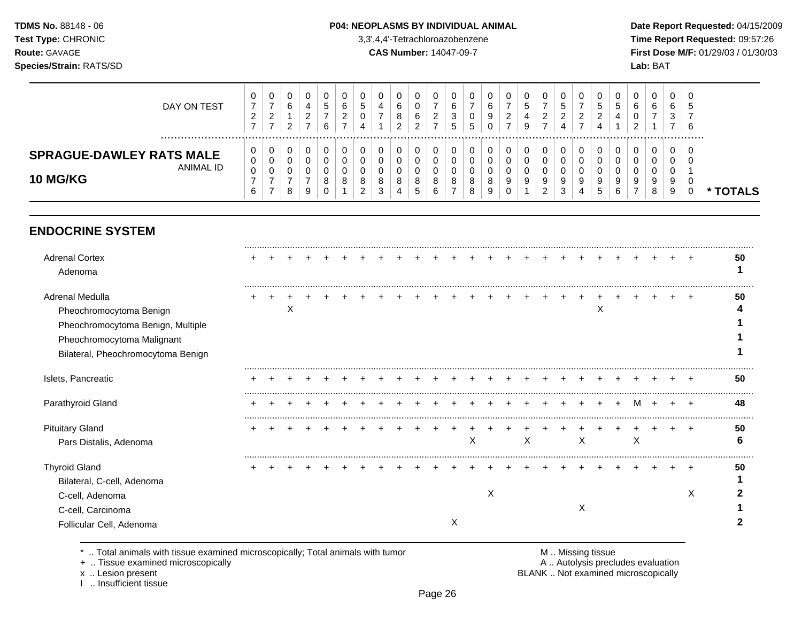### **TDMS No.** 88148 - 06 **P04: NEOPLASMS BY INDIVIDUAL ANIMAL** Date Report Requested: 04/15/2009

**Test Type:** CHRONIC 3,3',4,4'-Tetrachloroazobenzene **Time Report Requested:** 09:57:26 **Route:** GAVAGE **CAS Number:** 14047-09-7 **First Dose M/F:** 01/29/03 / 01/30/03

| DAY ON TEST                                                     | 0<br>◠<br>∼<br>$\rightarrow$ | ◡<br>-<br>_<br>$\overline{\phantom{0}}$ | v<br>6<br>◠      | 4<br>_ | 0<br>đ<br>6 | 0<br>b<br><u>_</u><br>- | u<br>◡                            |             | 6<br>8<br>ົ | υ<br>υ<br>6<br>ົ<br><u>_</u>     | ∼      | 6<br>J<br>∽<br>◡ | υ<br>υ<br>∽<br>ັ | u<br>9      | U<br><u>_</u><br>-    | 0<br>ມ<br>9 | ົ<br><u>_</u>      | ÷.     | υ           | v<br>ູບ<br>$\sqrt{2}$<br>_<br>4 |        | υ<br>U<br>ν<br>$\sqrt{2}$ | 0<br>6                | 0<br>6<br>3      | C<br>-3<br>- 6 |        |
|-----------------------------------------------------------------|------------------------------|-----------------------------------------|------------------|--------|-------------|-------------------------|-----------------------------------|-------------|-------------|----------------------------------|--------|------------------|------------------|-------------|-----------------------|-------------|--------------------|--------|-------------|---------------------------------|--------|---------------------------|-----------------------|------------------|----------------|--------|
| <b>SPRAGUE-DAWLEY RATS MALE</b><br>ANIMAL ID<br><b>10 MG/KG</b> | 0<br>0<br>0<br>6             | ν<br>$\rightarrow$                      | v<br>v<br>v<br>8 | 9      | 0<br>8<br>U | 0<br>0<br>0<br>8        | U<br>u<br>u<br>8<br>ົ<br><u>_</u> | ◡<br>8<br>J | 8           | U<br>υ<br>υ<br>o<br><sub>5</sub> | 8<br>O | 8                | 0<br>8<br>8      | u<br>8<br>9 | U<br>u<br>v<br>9<br>u | 9           | 9<br>ົ<br><u>_</u> | ō<br>đ | 0<br>9<br>4 | υ<br>9<br>∽<br>ັບ               | S<br>6 | U<br>ν<br>υ<br>9<br>-     | 0<br>0<br>0<br>9<br>8 | 0<br>0<br>9<br>9 | - 6            | TOTALS |

# **ENDOCRINE SYSTEM**

| <b>Adrenal Cortex</b>              |  |   |  |  |  |  |   |   |   |   |  |   |   |   |  |   | 50 |
|------------------------------------|--|---|--|--|--|--|---|---|---|---|--|---|---|---|--|---|----|
| Adenoma                            |  |   |  |  |  |  |   |   |   |   |  |   |   |   |  |   |    |
|                                    |  |   |  |  |  |  |   |   |   |   |  |   |   |   |  |   |    |
| Adrenal Medulla                    |  | Χ |  |  |  |  |   |   |   |   |  |   | X |   |  |   | 50 |
| Pheochromocytoma Benign            |  |   |  |  |  |  |   |   |   |   |  |   |   |   |  |   |    |
| Pheochromocytoma Benign, Multiple  |  |   |  |  |  |  |   |   |   |   |  |   |   |   |  |   |    |
| Pheochromocytoma Malignant         |  |   |  |  |  |  |   |   |   |   |  |   |   |   |  |   |    |
| Bilateral, Pheochromocytoma Benign |  |   |  |  |  |  |   |   |   |   |  |   |   |   |  |   |    |
| Islets, Pancreatic                 |  |   |  |  |  |  |   |   |   |   |  |   |   |   |  |   | 50 |
| Parathyroid Gland                  |  |   |  |  |  |  |   |   |   |   |  |   |   | м |  |   | 48 |
| <b>Pituitary Gland</b>             |  |   |  |  |  |  |   |   |   |   |  |   |   |   |  |   | 50 |
| Pars Distalis, Adenoma             |  |   |  |  |  |  |   | X |   | X |  | X |   | X |  |   |    |
| <b>Thyroid Gland</b>               |  |   |  |  |  |  |   |   |   |   |  |   |   |   |  |   | 50 |
| Bilateral, C-cell, Adenoma         |  |   |  |  |  |  |   |   |   |   |  |   |   |   |  |   |    |
| C-cell, Adenoma                    |  |   |  |  |  |  |   |   | X |   |  |   |   |   |  | X |    |
| C-cell, Carcinoma                  |  |   |  |  |  |  |   |   |   |   |  | X |   |   |  |   |    |
| Follicular Cell, Adenoma           |  |   |  |  |  |  | X |   |   |   |  |   |   |   |  |   |    |
|                                    |  |   |  |  |  |  |   |   |   |   |  |   |   |   |  |   |    |

\* .. Total animals with tissue examined microscopically; Total animals with tumor **M** metally more than M .. Missing tissue<br>  $\blacksquare$  Tissue examined microscopically

+ .. Tissue examined microscopically

I .. Insufficient tissue

x .. Lesion present **BLANK** .. Not examined microscopically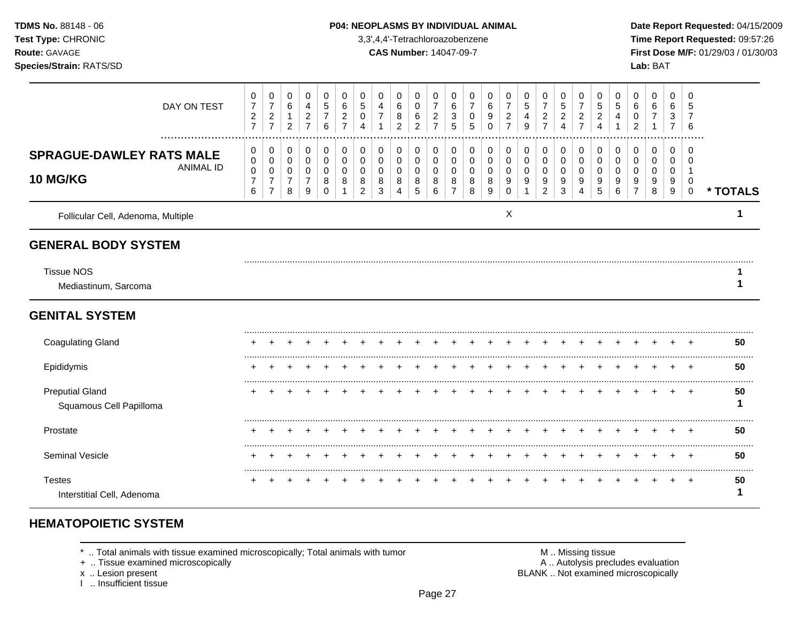### **TDMS No.** 88148 - 06 **P04: NEOPLASMS BY INDIVIDUAL ANIMAL** Date Report Requested: 04/15/2009

**Test Type:** CHRONIC 3,3',4,4'-Tetrachloroazobenzene **Time Report Requested:** 09:57:26 **Route:** GAVAGE **CAS Number:** 14047-09-7 **First Dose M/F:** 01/29/03 / 01/30/03

| DAY ON TEST                                                     | 0<br>$\overline{7}$<br>$\overline{c}$<br>$\overline{7}$ | 0<br>$\overline{7}$<br>$\overline{\mathbf{c}}$<br>$\overline{7}$         | 0<br>$\,6\,$<br>$\mathbf{1}$<br>$\overline{2}$ | 0<br>4<br>$\overline{c}$<br>$\overline{7}$   | 0<br>$\sqrt{5}$<br>$\overline{7}$<br>6 | 0<br>6<br>2<br>$\overline{7}$ | 0<br>5<br>0<br>4                   | 0<br>4<br>$\overline{7}$        | 0<br>6<br>8<br>$\overline{2}$             | 0<br>0<br>6<br>$\overline{2}$ | 0<br>$\overline{7}$<br>$\overline{c}$<br>$\overline{7}$ | 0<br>6<br>$\sqrt{3}$<br>$\sqrt{5}$ | 0<br>$\overline{7}$<br>0<br>5 | 0<br>6<br>9<br>$\mathbf 0$ | 0<br>$\overline{7}$<br>$\overline{c}$<br>$\overline{7}$ | 0<br>$\sqrt{5}$<br>4<br>9          | 0<br>$\overline{7}$<br>$\overline{c}$<br>$\overline{7}$   | 0<br>$\mathbf 5$<br>$\overline{c}$<br>$\overline{A}$ | 0<br>$\overline{7}$<br>$\overline{c}$<br>$\overline{7}$ | 0<br>5<br>$\overline{c}$<br>4 | 0<br>5                       | 0<br>6<br>0<br>$\overline{2}$ | 0<br>6<br>7           | 0<br>6<br>3<br>$\overline{7}$                      | 0<br>5<br>6                                 |          |
|-----------------------------------------------------------------|---------------------------------------------------------|--------------------------------------------------------------------------|------------------------------------------------|----------------------------------------------|----------------------------------------|-------------------------------|------------------------------------|---------------------------------|-------------------------------------------|-------------------------------|---------------------------------------------------------|------------------------------------|-------------------------------|----------------------------|---------------------------------------------------------|------------------------------------|-----------------------------------------------------------|------------------------------------------------------|---------------------------------------------------------|-------------------------------|------------------------------|-------------------------------|-----------------------|----------------------------------------------------|---------------------------------------------|----------|
| <b>SPRAGUE-DAWLEY RATS MALE</b><br><b>ANIMAL ID</b><br>10 MG/KG | 0<br>$\pmb{0}$<br>$\pmb{0}$<br>$\overline{7}$<br>6      | 0<br>$\pmb{0}$<br>$\boldsymbol{0}$<br>$\boldsymbol{7}$<br>$\overline{7}$ | 0<br>0<br>0<br>$\overline{7}$<br>8             | 0<br>$\mathbf 0$<br>0<br>$\overline{7}$<br>9 | 0<br>$\pmb{0}$<br>0<br>8<br>0          | 0<br>0<br>$\Omega$<br>8       | 0<br>0<br>0<br>8<br>$\overline{2}$ | 0<br>0<br>$\mathbf 0$<br>8<br>3 | 0<br>$\mathbf 0$<br>$\mathbf 0$<br>8<br>4 | 0<br>0<br>0<br>8<br>5         | 0<br>0<br>$\mathbf 0$<br>8<br>6                         | 0<br>0<br>$\mathbf 0$<br>8<br>7    | 0<br>0<br>0<br>8<br>8         | 0<br>0<br>0<br>8<br>9      | 0<br>0<br>0<br>9<br>$\Omega$                            | 0<br>$\mathsf{O}\xspace$<br>0<br>9 | 0<br>$\pmb{0}$<br>0<br>$\boldsymbol{9}$<br>$\overline{c}$ | 0<br>$\mathbf 0$<br>0<br>9<br>3                      | 0<br>0<br>$\mathbf 0$<br>9<br>4                         | 0<br>0<br>$\Omega$<br>9<br>5  | 0<br>0<br>$\Omega$<br>9<br>6 | 0<br>0<br>$\Omega$<br>9       | 0<br>0<br>0<br>9<br>8 | 0<br>0<br>$\mathbf 0$<br>$\boldsymbol{9}$<br>$9\,$ | $\Omega$<br>n<br>$\mathbf 0$<br>$\mathbf 0$ | * TOTALS |
| Follicular Cell, Adenoma, Multiple                              |                                                         |                                                                          |                                                |                                              |                                        |                               |                                    |                                 |                                           |                               |                                                         |                                    |                               |                            | X                                                       |                                    |                                                           |                                                      |                                                         |                               |                              |                               |                       |                                                    |                                             |          |
| <b>GENERAL BODY SYSTEM</b>                                      |                                                         |                                                                          |                                                |                                              |                                        |                               |                                    |                                 |                                           |                               |                                                         |                                    |                               |                            |                                                         |                                    |                                                           |                                                      |                                                         |                               |                              |                               |                       |                                                    |                                             |          |
| <b>Tissue NOS</b><br>Mediastinum, Sarcoma                       |                                                         |                                                                          |                                                |                                              |                                        |                               |                                    |                                 |                                           |                               |                                                         |                                    |                               |                            |                                                         |                                    |                                                           |                                                      |                                                         |                               |                              |                               |                       |                                                    |                                             |          |
| <b>GENITAL SYSTEM</b>                                           |                                                         |                                                                          |                                                |                                              |                                        |                               |                                    |                                 |                                           |                               |                                                         |                                    |                               |                            |                                                         |                                    |                                                           |                                                      |                                                         |                               |                              |                               |                       |                                                    |                                             |          |
| <b>Coagulating Gland</b>                                        |                                                         |                                                                          |                                                |                                              |                                        |                               |                                    |                                 |                                           |                               |                                                         |                                    |                               |                            |                                                         |                                    |                                                           |                                                      |                                                         |                               |                              |                               |                       |                                                    |                                             | 50       |
| Epididymis                                                      |                                                         |                                                                          |                                                |                                              |                                        |                               |                                    |                                 |                                           |                               |                                                         |                                    |                               |                            |                                                         |                                    |                                                           |                                                      |                                                         |                               |                              |                               |                       |                                                    |                                             | 50       |
| <b>Preputial Gland</b><br>Squamous Cell Papilloma               |                                                         |                                                                          |                                                |                                              |                                        |                               |                                    |                                 |                                           |                               |                                                         |                                    |                               |                            |                                                         |                                    |                                                           |                                                      |                                                         |                               |                              |                               |                       |                                                    | $\div$                                      | 50       |
| Prostate                                                        |                                                         |                                                                          |                                                |                                              |                                        |                               |                                    |                                 |                                           |                               |                                                         |                                    |                               |                            |                                                         |                                    |                                                           |                                                      |                                                         |                               |                              |                               | ÷                     | $\ddot{}$                                          | $\overline{ }$                              | 50       |
| Seminal Vesicle                                                 |                                                         |                                                                          |                                                |                                              |                                        |                               |                                    |                                 |                                           |                               |                                                         |                                    |                               |                            |                                                         |                                    |                                                           |                                                      |                                                         |                               |                              |                               |                       |                                                    |                                             | 50       |
| <b>Testes</b><br>Interstitial Cell, Adenoma                     |                                                         |                                                                          |                                                |                                              |                                        |                               |                                    |                                 |                                           |                               |                                                         |                                    |                               |                            |                                                         |                                    |                                                           |                                                      |                                                         |                               |                              |                               |                       |                                                    | $\div$                                      | 50       |

# **HEMATOPOIETIC SYSTEM**

 $*$  .. Total animals with tissue examined microscopically; Total animals with tumor  $\blacksquare$  M .. Missing tissue

+ .. Tissue examined microscopically  $\blacksquare$  A .. Autolysis precludes evaluation

x .. Lesion present<br>I .. Insufficient tissue

M .. Missing tissue<br>A .. Autolysis precludes evaluation<br>BLANK .. Not examined microscopically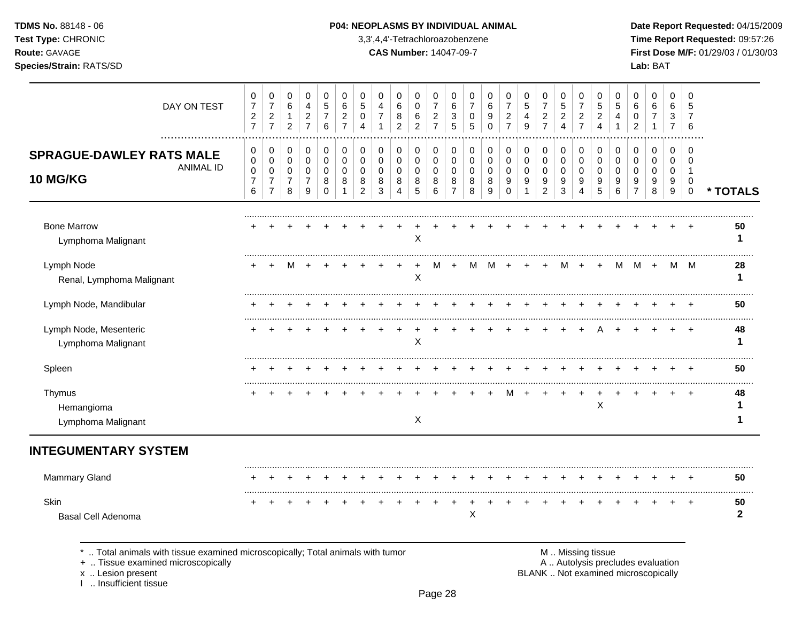## **TDMS No.** 88148 - 06 **P04: NEOPLASMS BY INDIVIDUAL ANIMAL** Date Report Requested: 04/15/2009

**Test Type:** CHRONIC 3,3',4,4'-Tetrachloroazobenzene **Time Report Requested:** 09:57:26 **Route:** GAVAGE **CAS Number:** 14047-09-7 **First Dose M/F:** 01/29/03 / 01/30/03 **Species/Strain:** RATS/SD **Lab:** BAT

| DAY ON TEST                                                                     | 0<br>$\overline{7}$<br>$\mathbf 2$<br>$\overline{7}$ | 0<br>$\overline{7}$<br>$\sqrt{2}$<br>$\overline{7}$                 | 0<br>6<br>$\mathbf{1}$<br>$\overline{2}$             | 0<br>$\overline{4}$<br>$\overline{c}$<br>$\overline{7}$ | 0<br>5<br>$\overline{7}$<br>6          | 0<br>6<br>$\overline{c}$<br>$\overline{7}$ | 0<br>5<br>0<br>$\Delta$         | 0<br>4<br>$\overline{7}$                  | 0<br>6<br>8<br>$\overline{c}$   | 0<br>0<br>$\,6$<br>$\overline{2}$ | 0<br>$\overline{7}$<br>$\overline{c}$<br>$\overline{7}$ | 0<br>6<br>3<br>5                             | 0<br>7<br>0<br>5                | 0<br>6<br>9<br>$\Omega$         | 0<br>$\overline{7}$<br>$\overline{c}$<br>$\overline{7}$ | 0<br>$\sqrt{5}$<br>4<br>9       | 0<br>$\overline{7}$<br>$\boldsymbol{2}$<br>$\overline{7}$ | 0<br>$\,$ 5 $\,$<br>$\overline{c}$<br>4 | 0<br>$\overline{7}$<br>$\overline{c}$<br>$\overline{7}$ | 0<br>5<br>$\overline{c}$<br>4   | 0<br>5<br>4<br>1                    | 0<br>6<br>0<br>$\overline{2}$                | 0<br>6<br>$\overline{7}$<br>$\mathbf{1}$ | 0<br>6<br>3<br>$\overline{7}$ | $\mathbf 0$<br>5<br>7<br>6                     |                    |
|---------------------------------------------------------------------------------|------------------------------------------------------|---------------------------------------------------------------------|------------------------------------------------------|---------------------------------------------------------|----------------------------------------|--------------------------------------------|---------------------------------|-------------------------------------------|---------------------------------|-----------------------------------|---------------------------------------------------------|----------------------------------------------|---------------------------------|---------------------------------|---------------------------------------------------------|---------------------------------|-----------------------------------------------------------|-----------------------------------------|---------------------------------------------------------|---------------------------------|-------------------------------------|----------------------------------------------|------------------------------------------|-------------------------------|------------------------------------------------|--------------------|
| .<br><b>SPRAGUE-DAWLEY RATS MALE</b><br><b>ANIMAL ID</b><br><b>10 MG/KG</b>     | 0<br>$\pmb{0}$<br>0<br>$\overline{7}$<br>6           | 0<br>$\mathbf 0$<br>$\mathbf 0$<br>$\overline{7}$<br>$\overline{7}$ | 0<br>$\mathbf 0$<br>$\pmb{0}$<br>$\overline{7}$<br>8 | 0<br>$\mathbf 0$<br>0<br>$\overline{7}$<br>9            | 0<br>$\mathbf 0$<br>0<br>8<br>$\Omega$ | 0<br>$\mathbf 0$<br>0<br>8                 | 0<br>$\mathbf 0$<br>0<br>8<br>2 | 0<br>$\mathbf 0$<br>$\mathbf 0$<br>8<br>3 | 0<br>$\mathbf 0$<br>0<br>8<br>4 | 0<br>0<br>$\mathbf 0$<br>8<br>5   | 0<br>$\mathbf 0$<br>0<br>8<br>6                         | 0<br>$\mathbf 0$<br>0<br>8<br>$\overline{7}$ | 0<br>$\mathbf 0$<br>0<br>8<br>8 | 0<br>$\mathbf 0$<br>0<br>8<br>9 | 0<br>$\mathbf 0$<br>0<br>9<br>$\Omega$                  | 0<br>0<br>$\mathbf 0$<br>9<br>1 | 0<br>0<br>0<br>9<br>$\overline{c}$                        | 0<br>$\mathbf 0$<br>0<br>9<br>3         | 0<br>$\mathbf 0$<br>0<br>9<br>4                         | 0<br>$\mathbf 0$<br>0<br>9<br>5 | 0<br>$\Omega$<br>$\Omega$<br>9<br>6 | 0<br>$\mathbf 0$<br>0<br>9<br>$\overline{7}$ | 0<br>$\mathbf 0$<br>0<br>9<br>8          | 0<br>0<br>0<br>9<br>9         | $\Omega$<br>$\Omega$<br>-1<br>0<br>$\mathbf 0$ | * TOTALS           |
| <b>Bone Marrow</b><br>Lymphoma Malignant                                        |                                                      |                                                                     |                                                      |                                                         |                                        |                                            |                                 |                                           |                                 | X                                 |                                                         |                                              |                                 |                                 |                                                         |                                 |                                                           |                                         |                                                         |                                 |                                     |                                              |                                          |                               |                                                | 50<br>1            |
| Lymph Node<br>Renal, Lymphoma Malignant                                         |                                                      |                                                                     |                                                      |                                                         |                                        |                                            |                                 |                                           |                                 | $\boldsymbol{\mathsf{X}}$         |                                                         |                                              | м                               | м                               |                                                         |                                 | $+$                                                       | м                                       | $+$                                                     | $+$                             | м                                   | M                                            | $+$                                      | M                             | M                                              | 28<br>1            |
| Lymph Node, Mandibular                                                          |                                                      |                                                                     |                                                      |                                                         |                                        |                                            |                                 |                                           |                                 |                                   |                                                         |                                              |                                 |                                 |                                                         |                                 |                                                           |                                         |                                                         |                                 |                                     |                                              |                                          |                               |                                                | 50                 |
| Lymph Node, Mesenteric<br>Lymphoma Malignant                                    |                                                      |                                                                     |                                                      |                                                         |                                        |                                            |                                 |                                           |                                 | X                                 |                                                         |                                              |                                 |                                 |                                                         |                                 |                                                           |                                         |                                                         |                                 |                                     |                                              |                                          |                               |                                                | 48<br>1            |
| Spleen                                                                          |                                                      |                                                                     |                                                      |                                                         |                                        |                                            |                                 |                                           |                                 |                                   |                                                         |                                              |                                 |                                 |                                                         |                                 |                                                           |                                         |                                                         |                                 |                                     |                                              |                                          |                               |                                                | 50                 |
| Thymus<br>Hemangioma<br>Lymphoma Malignant                                      |                                                      |                                                                     |                                                      |                                                         |                                        |                                            |                                 |                                           |                                 | X                                 |                                                         |                                              |                                 |                                 |                                                         |                                 |                                                           |                                         |                                                         | $\pmb{\times}$                  |                                     |                                              |                                          |                               |                                                | 48                 |
| <b>INTEGUMENTARY SYSTEM</b>                                                     |                                                      |                                                                     |                                                      |                                                         |                                        |                                            |                                 |                                           |                                 |                                   |                                                         |                                              |                                 |                                 |                                                         |                                 |                                                           |                                         |                                                         |                                 |                                     |                                              |                                          |                               |                                                |                    |
| Mammary Gland                                                                   |                                                      |                                                                     |                                                      |                                                         |                                        |                                            |                                 |                                           |                                 |                                   |                                                         |                                              |                                 |                                 |                                                         |                                 |                                                           |                                         |                                                         |                                 |                                     |                                              |                                          |                               | <b>+</b>                                       | 50                 |
| Skin<br><b>Basal Cell Adenoma</b>                                               |                                                      |                                                                     |                                                      |                                                         |                                        |                                            |                                 |                                           |                                 |                                   |                                                         |                                              | X                               |                                 |                                                         |                                 |                                                           |                                         |                                                         |                                 |                                     |                                              |                                          |                               |                                                | 50<br>$\mathbf{2}$ |
| *  Total animals with tissue examined microscopically; Total animals with tumor |                                                      |                                                                     |                                                      |                                                         |                                        |                                            |                                 |                                           |                                 |                                   |                                                         |                                              |                                 |                                 |                                                         |                                 |                                                           |                                         | M  Missing tissue                                       |                                 |                                     |                                              |                                          |                               |                                                |                    |

x .. Lesion present<br>I .. Insufficient tissue

+ .. Tissue examined microscopically and the state of the state of the state of the A .. Autolysis precludes evaluation BLANK .. Not examined microscopically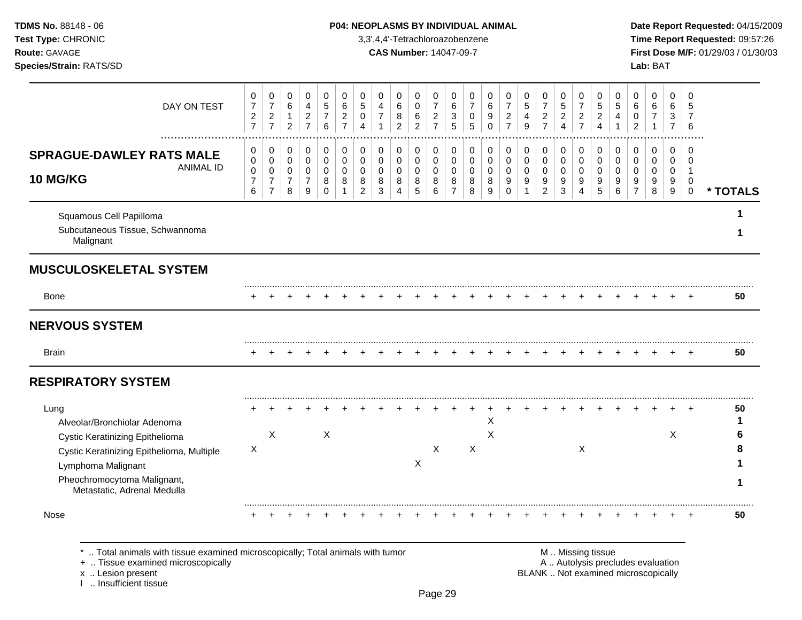### **TDMS No.** 88148 - 06 **P04: NEOPLASMS BY INDIVIDUAL ANIMAL** Date Report Requested: 04/15/2009

**Test Type:** CHRONIC 3,3',4,4'-Tetrachloroazobenzene **Time Report Requested:** 09:57:26 **Route:** GAVAGE **CAS Number:** 14047-09-7 **First Dose M/F:** 01/29/03 / 01/30/03

| DAY ON TEST                                                                                                                       | 0<br>$\overline{7}$<br>$\overline{c}$<br>$\overline{7}$ | 0<br>$\overline{7}$<br>$\boldsymbol{2}$<br>$\overline{7}$           | 0<br>$\,6\,$<br>1<br>$\overline{c}$        | 0<br>$\overline{a}$<br>$\sqrt{2}$<br>$\overline{7}$                      | 0<br>5<br>$\overline{7}$<br>6                            | $\mathbf 0$<br>$\,6\,$<br>$\overline{c}$<br>$\overline{7}$ | 0<br>5<br>0<br>4                                    | $\mathbf 0$<br>$\overline{4}$<br>$\overline{7}$ | $\mathbf 0$<br>6<br>8<br>$\overline{2}$             | 0<br>$\mathbf 0$<br>6<br>$\overline{2}$   | 0<br>$\overline{7}$<br>$\boldsymbol{2}$<br>$\overline{7}$ | 0<br>$\,6\,$<br>3<br>5                                 | 0<br>$\overline{7}$<br>$\pmb{0}$<br>5           | 0<br>$\,6\,$<br>9<br>$\Omega$             | 0<br>$\overline{7}$<br>$\overline{c}$<br>$\overline{7}$ | 0<br>$\overline{5}$<br>4<br>9        | 0<br>$\overline{7}$<br>$\overline{c}$<br>$\overline{7}$ | 0<br>5<br>$\overline{c}$<br>$\overline{4}$ | 0<br>$\overline{7}$<br>$\overline{c}$<br>$\overline{7}$       | 0<br>5<br>$\overline{c}$<br>4                     | 0<br>5<br>4                                      | 0<br>6<br>0<br>$\overline{2}$               | 0<br>6                                           | 0<br>6<br>3<br>$\overline{7}$ | 0<br>5<br>$\overline{7}$<br>6                     |          |
|-----------------------------------------------------------------------------------------------------------------------------------|---------------------------------------------------------|---------------------------------------------------------------------|--------------------------------------------|--------------------------------------------------------------------------|----------------------------------------------------------|------------------------------------------------------------|-----------------------------------------------------|-------------------------------------------------|-----------------------------------------------------|-------------------------------------------|-----------------------------------------------------------|--------------------------------------------------------|-------------------------------------------------|-------------------------------------------|---------------------------------------------------------|--------------------------------------|---------------------------------------------------------|--------------------------------------------|---------------------------------------------------------------|---------------------------------------------------|--------------------------------------------------|---------------------------------------------|--------------------------------------------------|-------------------------------|---------------------------------------------------|----------|
| <b>SPRAGUE-DAWLEY RATS MALE</b><br><b>ANIMAL ID</b><br>10 MG/KG                                                                   | 0<br>0<br>$\pmb{0}$<br>$\boldsymbol{7}$<br>6            | 0<br>$\mathbf 0$<br>$\mathbf 0$<br>$\overline{7}$<br>$\overline{7}$ | 0<br>$\pmb{0}$<br>0<br>$\overline{7}$<br>8 | $\mathbf 0$<br>$\mathsf{O}\xspace$<br>$\mathbf 0$<br>$\overline{7}$<br>9 | $\mathbf 0$<br>$\pmb{0}$<br>$\mathbf 0$<br>8<br>$\Omega$ | $\mathbf 0$<br>$\pmb{0}$<br>$\mathbf 0$<br>8               | 0<br>$\mathbf 0$<br>$\Omega$<br>8<br>$\overline{2}$ | 0<br>0<br>$\mathbf 0$<br>8<br>3                 | $\mathbf 0$<br>$\mathbf 0$<br>$\mathbf 0$<br>8<br>4 | 0<br>$\mathsf 0$<br>$\mathbf 0$<br>8<br>5 | 0<br>$\mathbf 0$<br>$\mathbf 0$<br>8<br>6                 | 0<br>$\mathbf 0$<br>$\mathbf 0$<br>8<br>$\overline{7}$ | $\mathbf 0$<br>$\pmb{0}$<br>$\pmb{0}$<br>8<br>8 | 0<br>$\mathbf 0$<br>$\mathbf 0$<br>8<br>9 | 0<br>0<br>$\mathbf 0$<br>9<br>$\Omega$                  | 0<br>$\mathbf 0$<br>$\mathbf 0$<br>9 | 0<br>$\mathbf 0$<br>$\mathbf 0$<br>9<br>$\overline{2}$  | $\pmb{0}$<br>$\pmb{0}$<br>0<br>9<br>3      | 0<br>$\pmb{0}$<br>$\mathbf 0$<br>9<br>$\overline{\mathbf{4}}$ | $\mathbf 0$<br>$\pmb{0}$<br>$\mathbf 0$<br>9<br>5 | $\mathbf 0$<br>$\mathbf 0$<br>$\Omega$<br>9<br>6 | 0<br>$\Omega$<br>$\Omega$<br>$\overline{7}$ | $\mathbf 0$<br>$\mathbf 0$<br>$\Omega$<br>9<br>8 | $\pmb{0}$<br>0<br>0<br>9<br>9 | $\Omega$<br>0<br>$\mathbf{1}$<br>0<br>$\mathbf 0$ | * TOTALS |
| Squamous Cell Papilloma<br>Subcutaneous Tissue, Schwannoma<br>Malignant                                                           |                                                         |                                                                     |                                            |                                                                          |                                                          |                                                            |                                                     |                                                 |                                                     |                                           |                                                           |                                                        |                                                 |                                           |                                                         |                                      |                                                         |                                            |                                                               |                                                   |                                                  |                                             |                                                  |                               |                                                   |          |
| <b>MUSCULOSKELETAL SYSTEM</b>                                                                                                     |                                                         |                                                                     |                                            |                                                                          |                                                          |                                                            |                                                     |                                                 |                                                     |                                           |                                                           |                                                        |                                                 |                                           |                                                         |                                      |                                                         |                                            |                                                               |                                                   |                                                  |                                             |                                                  |                               |                                                   |          |
| <b>Bone</b>                                                                                                                       |                                                         |                                                                     |                                            |                                                                          |                                                          |                                                            |                                                     |                                                 |                                                     |                                           |                                                           |                                                        |                                                 |                                           |                                                         |                                      |                                                         |                                            |                                                               |                                                   |                                                  |                                             |                                                  |                               |                                                   | 50       |
| <b>NERVOUS SYSTEM</b>                                                                                                             |                                                         |                                                                     |                                            |                                                                          |                                                          |                                                            |                                                     |                                                 |                                                     |                                           |                                                           |                                                        |                                                 |                                           |                                                         |                                      |                                                         |                                            |                                                               |                                                   |                                                  |                                             |                                                  |                               |                                                   |          |
| <b>Brain</b>                                                                                                                      |                                                         |                                                                     |                                            |                                                                          |                                                          |                                                            |                                                     |                                                 |                                                     |                                           |                                                           |                                                        |                                                 |                                           |                                                         |                                      |                                                         |                                            |                                                               |                                                   |                                                  |                                             |                                                  |                               |                                                   | 50       |
| <b>RESPIRATORY SYSTEM</b>                                                                                                         |                                                         |                                                                     |                                            |                                                                          |                                                          |                                                            |                                                     |                                                 |                                                     |                                           |                                                           |                                                        |                                                 |                                           |                                                         |                                      |                                                         |                                            |                                                               |                                                   |                                                  |                                             |                                                  |                               |                                                   |          |
| Lung<br>Alveolar/Bronchiolar Adenoma                                                                                              |                                                         | $\boldsymbol{\mathsf{X}}$                                           |                                            |                                                                          | X                                                        |                                                            |                                                     |                                                 |                                                     |                                           |                                                           |                                                        |                                                 | Χ<br>X                                    |                                                         |                                      |                                                         |                                            |                                                               |                                                   |                                                  |                                             |                                                  | X                             |                                                   | 50       |
| Cystic Keratinizing Epithelioma<br>Cystic Keratinizing Epithelioma, Multiple<br>Lymphoma Malignant<br>Pheochromocytoma Malignant, | Χ                                                       |                                                                     |                                            |                                                                          |                                                          |                                                            |                                                     |                                                 |                                                     | X                                         | X                                                         |                                                        | X                                               |                                           |                                                         |                                      |                                                         |                                            | X                                                             |                                                   |                                                  |                                             |                                                  |                               |                                                   |          |
| Metastatic, Adrenal Medulla<br>Nose                                                                                               |                                                         |                                                                     |                                            |                                                                          |                                                          |                                                            |                                                     |                                                 |                                                     |                                           |                                                           |                                                        |                                                 |                                           |                                                         |                                      |                                                         |                                            |                                                               |                                                   |                                                  |                                             |                                                  |                               |                                                   | 50       |

\* .. Total animals with tissue examined microscopically; Total animals with tumor **M** metally more than M .. Missing tissue<br>  $\blacksquare$  Tissue examined microscopically

+ .. Tissue examined microscopically

x .. Lesion present<br>I .. Insufficient tissue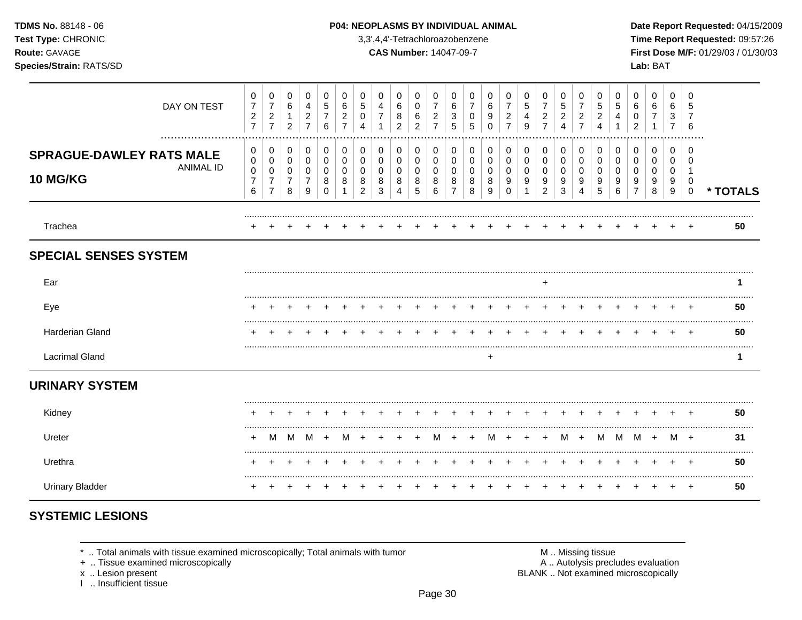| <b>TDMS No. 88148 - 06</b>     |
|--------------------------------|
| <b>Test Type: CHRONIC</b>      |
| <b>Route: GAVAGE</b>           |
| <b>Species/Strain: RATS/SD</b> |

#### P04: NEOPLASMS BY INDIVIDUAL ANIMAL

3,3',4,4'-Tetrachloroazobenzene

**CAS Number: 14047-09-7** 

Date Report Requested: 04/15/2009 Time Report Requested: 09:57:26 First Dose M/F: 01/29/03 / 01/30/03 Lab: BAT

| DAY ON TEST                                                         | 0<br>$\overline{7}$<br>$\overline{c}$<br>$\overline{7}$      | 0<br>$\boldsymbol{7}$<br>$\overline{c}$<br>$\overline{7}$ | 0<br>6<br>2           | 0<br>4<br>$\overline{c}$<br>$\overline{7}$ | 0<br>5<br>6           | 0<br>6<br>$\overline{c}$ | 0<br>$\sqrt{5}$<br>0<br>4                    | 0<br>4<br>$\overline{7}$         | 0<br>6<br>8<br>$\overline{2}$ | 0<br>0<br>6<br>2                | 0<br>$\overline{\mathbf{c}}$<br>$\overline{7}$ | 0<br>6<br>3<br>5 | 0<br>0<br>5           | 0<br>6<br>9<br>$\Omega$ | 0<br>$\overline{7}$<br>$\overline{c}$<br>$\overline{7}$ | 0<br>5<br>4<br>9                        | 0<br>$\overline{7}$<br>$\overline{\mathbf{c}}$<br>$\overline{7}$ | 0<br>5<br>$\overline{\mathbf{c}}$<br>4 | 0<br>7<br>2<br>$\overline{7}$ | 0<br>5<br>$\overline{c}$<br>4 | 0<br>5<br>4           | 0<br>6<br>0<br>$\overline{2}$      | 0<br>6<br>7<br>-1     | 0<br>6<br>3<br>7      | 0<br>5<br>6                       |          |
|---------------------------------------------------------------------|--------------------------------------------------------------|-----------------------------------------------------------|-----------------------|--------------------------------------------|-----------------------|--------------------------|----------------------------------------------|----------------------------------|-------------------------------|---------------------------------|------------------------------------------------|------------------|-----------------------|-------------------------|---------------------------------------------------------|-----------------------------------------|------------------------------------------------------------------|----------------------------------------|-------------------------------|-------------------------------|-----------------------|------------------------------------|-----------------------|-----------------------|-----------------------------------|----------|
| <br><b>SPRAGUE-DAWLEY RATS MALE</b><br><b>ANIMAL ID</b><br>10 MG/KG | $\mathbf 0$<br>$\pmb{0}$<br>$\pmb{0}$<br>$\overline{7}$<br>6 | 0<br>0<br>0<br>$\overline{7}$<br>$\overline{7}$           | 0<br>0<br>0<br>7<br>8 | 0<br>0<br>0<br>7<br>9                      | 0<br>0<br>0<br>8<br>0 | 0<br>0<br>0<br>8         | 0<br>0<br>$\mathbf 0$<br>8<br>$\overline{2}$ | 0<br>0<br>0<br>8<br>$\mathbf{3}$ | 0<br>0<br>0<br>8<br>4         | 0<br>0<br>$\mathbf 0$<br>8<br>5 | 0<br>0<br>0<br>8<br>6                          | 0<br>0<br>0<br>8 | 0<br>0<br>0<br>8<br>8 | 0<br>0<br>0<br>8<br>9   | 0<br>0<br>0<br>9<br>0                                   | $\pmb{0}$<br>$\boldsymbol{0}$<br>0<br>9 | 0<br>$\pmb{0}$<br>0<br>9<br>$\overline{2}$                       | 0<br>0<br>0<br>9<br>3                  | 0<br>0<br>0<br>9<br>4         | 0<br>0<br>0<br>9<br>5         | 0<br>0<br>0<br>9<br>6 | 0<br>0<br>0<br>9<br>$\overline{7}$ | 0<br>0<br>0<br>9<br>8 | 0<br>0<br>0<br>9<br>9 | 0<br>$\Omega$<br>0<br>$\mathbf 0$ | * TOTALS |
| Trachea                                                             |                                                              |                                                           |                       |                                            |                       |                          |                                              |                                  |                               |                                 |                                                |                  |                       |                         |                                                         |                                         |                                                                  |                                        |                               |                               |                       |                                    |                       |                       |                                   | 50       |
| <b>SPECIAL SENSES SYSTEM</b>                                        |                                                              |                                                           |                       |                                            |                       |                          |                                              |                                  |                               |                                 |                                                |                  |                       |                         |                                                         |                                         |                                                                  |                                        |                               |                               |                       |                                    |                       |                       |                                   |          |
| Ear                                                                 |                                                              |                                                           |                       |                                            |                       |                          |                                              |                                  |                               |                                 |                                                |                  |                       |                         |                                                         |                                         |                                                                  |                                        |                               |                               |                       |                                    |                       |                       |                                   |          |
| Eye                                                                 |                                                              |                                                           |                       |                                            |                       |                          |                                              |                                  |                               |                                 |                                                |                  |                       |                         |                                                         |                                         |                                                                  |                                        |                               |                               |                       |                                    |                       |                       |                                   | 50       |
| Harderian Gland                                                     |                                                              |                                                           |                       |                                            |                       |                          |                                              |                                  |                               |                                 |                                                |                  |                       |                         |                                                         |                                         |                                                                  |                                        |                               |                               |                       |                                    |                       |                       |                                   | 50       |
| <b>Lacrimal Gland</b>                                               |                                                              |                                                           |                       |                                            |                       |                          |                                              |                                  |                               |                                 |                                                |                  |                       | $\div$                  |                                                         |                                         |                                                                  |                                        |                               |                               |                       |                                    |                       |                       |                                   | 1        |
| <b>URINARY SYSTEM</b>                                               |                                                              |                                                           |                       |                                            |                       |                          |                                              |                                  |                               |                                 |                                                |                  |                       |                         |                                                         |                                         |                                                                  |                                        |                               |                               |                       |                                    |                       |                       |                                   |          |
| Kidney                                                              |                                                              |                                                           |                       |                                            |                       |                          |                                              |                                  |                               |                                 |                                                |                  |                       |                         |                                                         |                                         |                                                                  |                                        |                               |                               |                       |                                    |                       |                       |                                   | 50       |
| Ureter                                                              | $\ddot{}$                                                    | M                                                         | M                     | M                                          | $\ddot{}$             | M                        |                                              |                                  |                               |                                 | M                                              | $\ddot{}$        | $+$                   | M +                     |                                                         | $+$                                     | $+$                                                              |                                        | M +                           | M                             |                       | M M +                              |                       | M +                   |                                   | 31       |
| Urethra                                                             |                                                              |                                                           |                       |                                            |                       |                          |                                              |                                  |                               |                                 |                                                |                  |                       |                         |                                                         |                                         |                                                                  |                                        |                               |                               |                       |                                    |                       |                       |                                   | 50       |
| <b>Urinary Bladder</b>                                              |                                                              |                                                           |                       |                                            |                       |                          |                                              |                                  |                               |                                 |                                                |                  |                       |                         |                                                         |                                         |                                                                  |                                        |                               |                               |                       |                                    |                       |                       | $\pm$                             | 50       |

# **SYSTEMIC LESIONS**

\* .. Total animals with tissue examined microscopically; Total animals with tumor

+ .. Tissue examined microscopically

x .. Lesion present<br>I .. Insufficient tissue

M .. Missing tissue<br>A .. Autolysis precludes evaluation BLANK .. Not examined microscopically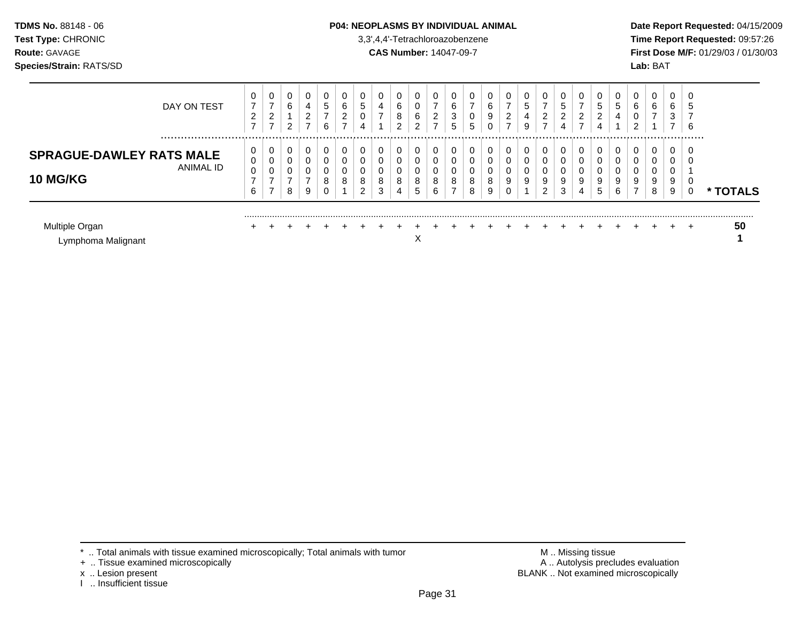### **TDMS No.** 88148 - 06 **P04: NEOPLASMS BY INDIVIDUAL ANIMAL** Date Report Requested: 04/15/2009

**Test Type:** CHRONIC 3,3',4,4'-Tetrachloroazobenzene **Time Report Requested:** 09:57:26 **Route:** GAVAGE **CAS Number:** 14047-09-7 **First Dose M/F:** 01/29/03 / 01/30/03

| Multiple Organ<br>Lymphoma Malignant               |             |                  |                       |                  |                                              |                   |                                    |             |        | $+$                                     | $+$<br>$\check{ }$<br>∧ | $\div$                                     |                  |        |                       |        | $+$              | $+$                   |                       | $+$                                          |             | $\div$ | $+$        |                       | ÷                                       | +      | 50            |
|----------------------------------------------------|-------------|------------------|-----------------------|------------------|----------------------------------------------|-------------------|------------------------------------|-------------|--------|-----------------------------------------|-------------------------|--------------------------------------------|------------------|--------|-----------------------|--------|------------------|-----------------------|-----------------------|----------------------------------------------|-------------|--------|------------|-----------------------|-----------------------------------------|--------|---------------|
| <b>SPRAGUE-DAWLEY RATS MALE</b><br><b>10 MG/KG</b> | ANIMAL ID   | 0<br>0<br>0<br>6 | -                     | 0<br>0<br>0<br>8 | 0<br>0<br>0<br>-<br>9                        | $\mathbf{0}$<br>8 | 0<br>0<br>0<br>8                   | 8<br>$\sim$ | 8<br>3 | U<br>υ<br>υ<br>8<br>4                   | 0<br>0<br>0<br>8<br>5   | 0<br>0<br>0<br>8<br>6                      | റ<br>O           | 8<br>8 | 0<br>0<br>0<br>8<br>9 | 9      | 0<br>0<br>0<br>9 | 9<br>ົ                | 0<br>0<br>0<br>9<br>3 | U<br>9<br>4                                  | 9<br>5      | 9<br>6 | ⇁          | U<br>0<br>0<br>9<br>8 | 0<br>0<br>0<br>9<br>9                   |        | <b>TOTALS</b> |
|                                                    | DAY ON TEST | 0<br>⇁<br>2<br>⇁ | ⇁<br>$\sim$<br>∼<br>⇁ | 0<br>6<br>റ      | 0<br>4<br>າ<br>∠<br>$\overline{\phantom{0}}$ | υ<br>5<br>6       | 0<br>6<br>ົ<br>∠<br>$\overline{ }$ | 5<br>4      | 4<br>- | U<br>$\sim$<br>ь<br>8<br>$\overline{2}$ | 0<br>υ<br>6<br>ົ        | 0<br>$\overline{ }$<br>2<br>$\overline{ }$ | ⌒<br>ь<br>3<br>G | 0<br>5 | 0<br>6<br>9<br>0      | ∠<br>⇁ | 0<br>ა<br>4<br>9 | ⇁<br>$\sim$<br>∠<br>⇁ | 0<br>5<br>2<br>4      | U<br>–<br>າ<br>∠<br>$\overline{\phantom{0}}$ | 5<br>ົ<br>∠ | 5<br>4 | $\sqrt{2}$ | 0<br>6                | 0<br>6<br>3<br>$\overline{\phantom{0}}$ | €<br>6 |               |

+ .. Tissue examined microscopically

x .. Lesion present<br>I .. Insufficient tissue

\* .. Total animals with tissue examined microscopically; Total animals with tumor <br>
+ .. Tissue examined microscopically<br>
+ .. Tissue examined microscopically BLANK .. Not examined microscopically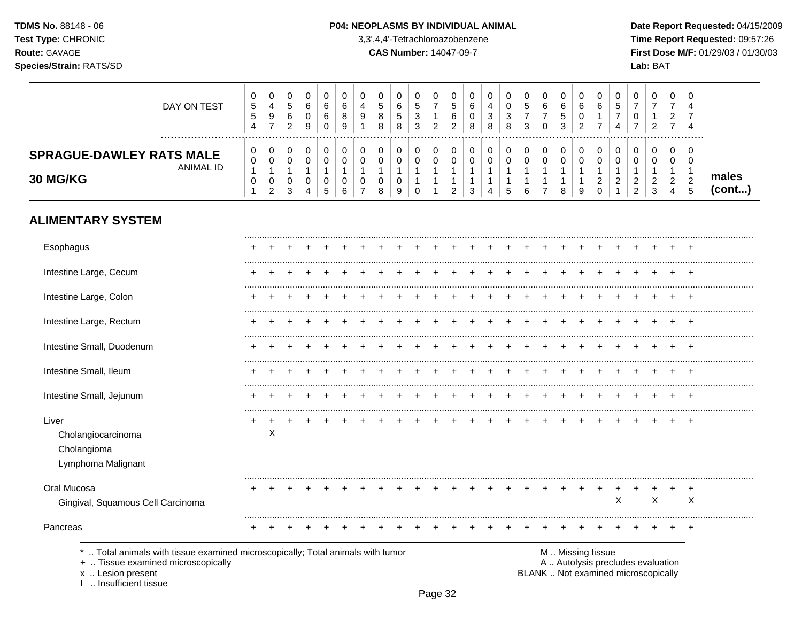#### P04: NEOPLASMS BY INDIVIDUAL ANIMAL

3,3',4,4'-Tetrachloroazobenzene

**CAS Number: 14047-09-7** 

Date Report Requested: 04/15/2009 Time Report Requested: 09:57:26 First Dose M/F: 01/29/03 / 01/30/03 Lab: BAT

| DAY ON TEST                                                         | 0<br><sub>5</sub><br><sub>5</sub><br>4 | ◡<br>4<br>9<br>$\overline{\phantom{0}}$ | ν<br>5<br>6<br>ົ<br><u>.</u> | 6<br>9 | U<br>6<br>6<br>0 | υ<br>6<br>8<br>9 | C<br>4<br>9 | 0<br>∽<br>ັບ<br>8<br>8 | 0<br>6<br>5<br>8 | 0<br>C.<br>વ<br>◡<br>3 | v<br>າ<br>∼ | ν<br>≎<br>ь | υ<br>6<br>0<br>8 | 4<br>3<br>8 | -3 | U<br><sub>5</sub><br>3 | 6 | 0<br>6<br>$\mathbf b$<br>3 | 6<br>£, | 0<br>6      | <sub>5</sub><br>4 | U<br>U<br>-                              | f.                     | $\mathbf{0}$<br>ി<br><u>_</u>           | 0<br>4<br>-<br>4  |                 |
|---------------------------------------------------------------------|----------------------------------------|-----------------------------------------|------------------------------|--------|------------------|------------------|-------------|------------------------|------------------|------------------------|-------------|-------------|------------------|-------------|----|------------------------|---|----------------------------|---------|-------------|-------------------|------------------------------------------|------------------------|-----------------------------------------|-------------------|-----------------|
| <br><b>SPRAGUE-DAWLEY RATS MALE</b><br>ANIMAL ID<br><b>30 MG/KG</b> | 0<br>0<br>0                            | ◡<br>v<br>v<br>ົ<br><u>_</u>            | v<br>3                       | 4      | O<br>∽<br>نٽ     | 0<br>6           | 0           | 0<br>0<br>ν<br>8       | 0<br>0<br>0<br>9 | 0<br>0<br>U            | υ<br>υ      | ν<br>ν      |                  | 4           | Ä. | 0<br>0<br>6            |   | 0<br>0<br>8                | č       | 0<br>0<br>ົ | ◠<br><u>_</u>     | 0<br>0<br>ົ<br><u>.</u><br>ົ<br><u>_</u> | $\sim$<br>C.<br>ູ<br>J | $\mathbf{0}$<br>0<br>ົ<br><u>_</u><br>4 | 0<br>0<br>◠<br>ູບ | males<br>(cont) |

# **ALIMENTARY SYSTEM**

| Esophagus                                                                                                                               |   |  |  |  |  |  |  |  |                   |  |   |                                                                          |       |
|-----------------------------------------------------------------------------------------------------------------------------------------|---|--|--|--|--|--|--|--|-------------------|--|---|--------------------------------------------------------------------------|-------|
| Intestine Large, Cecum                                                                                                                  |   |  |  |  |  |  |  |  |                   |  |   |                                                                          |       |
| Intestine Large, Colon                                                                                                                  |   |  |  |  |  |  |  |  |                   |  |   |                                                                          |       |
| Intestine Large, Rectum                                                                                                                 |   |  |  |  |  |  |  |  |                   |  |   |                                                                          |       |
| Intestine Small, Duodenum                                                                                                               |   |  |  |  |  |  |  |  |                   |  |   |                                                                          |       |
| Intestine Small, Ileum                                                                                                                  |   |  |  |  |  |  |  |  |                   |  |   |                                                                          |       |
| Intestine Small, Jejunum                                                                                                                |   |  |  |  |  |  |  |  |                   |  |   |                                                                          |       |
| Liver<br>Cholangiocarcinoma<br>Cholangioma<br>Lymphoma Malignant                                                                        | Χ |  |  |  |  |  |  |  |                   |  |   |                                                                          | $\pm$ |
| Oral Mucosa<br>Gingival, Squamous Cell Carcinoma                                                                                        |   |  |  |  |  |  |  |  |                   |  | Χ | X                                                                        | X     |
| Pancreas                                                                                                                                |   |  |  |  |  |  |  |  |                   |  |   |                                                                          |       |
| Total animals with tissue examined microscopically; Total animals with tumor<br>+  Tissue examined microscopically<br>x  Lesion present |   |  |  |  |  |  |  |  | M  Missing tissue |  |   | A  Autolysis precludes evaluation<br>BLANK  Not examined microscopically |       |

x .. Lesion present<br>I .. Insufficient tissue

Page 32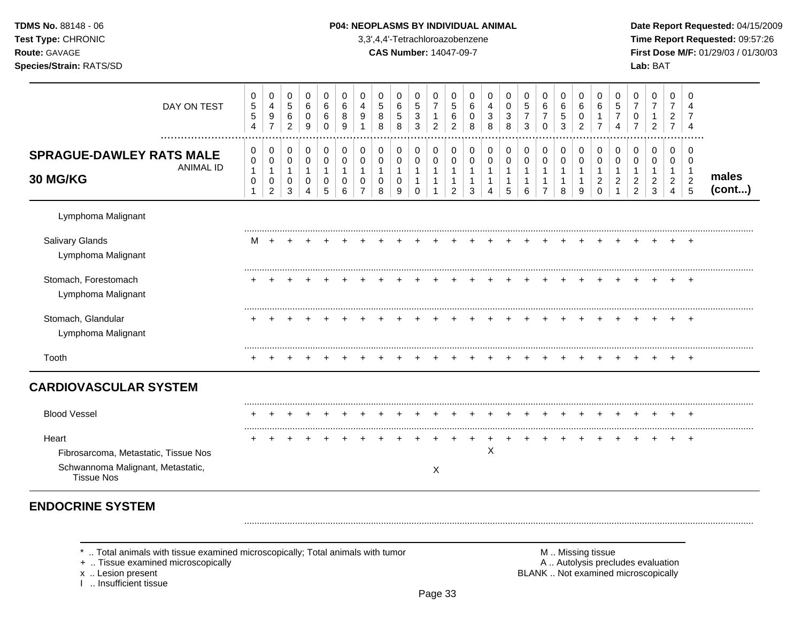| <b>TDMS No. 88148 - 06</b>     | <b>P04: NEOPLASMS BY INDIVIDUAL ANIMAL</b> | Date Rep         |
|--------------------------------|--------------------------------------------|------------------|
| <b>Test Type: CHRONIC</b>      | 3,3',4,4'-Tetrachloroazobenzene            | Time Rer         |
| <b>Route: GAVAGE</b>           | <b>CAS Number: 14047-09-7</b>              | <b>First Dos</b> |
| <b>Species/Strain: RATS/SD</b> |                                            | <b>Lab: BAT</b>  |

### **P04: NEOPLASMS BY INDIVIDUAL ANIMAL Date Report Requested: 04/15/2009**

**Time Report Requested:** 09:57:26 **Route:** GAVAGE **CAS Number:** 14047-09-7 **First Dose M/F:** 01/29/03 / 01/30/03

| DAY ON TEST<br>                                                                                         | 0<br>$\sqrt{5}$<br>$\,$ 5 $\,$<br>$\overline{4}$    | 0<br>4<br>9<br>$\overline{7}$                         | 0<br>$5\phantom{.0}$<br>$\,6\,$<br>$\overline{c}$ | 0<br>6<br>$\pmb{0}$<br>9                                        | 0<br>6<br>6<br>0                         | 0<br>6<br>8<br>9                          | 0<br>4<br>9        | 0<br>5<br>8<br>8                  | 0<br>6<br>$\sqrt{5}$<br>8 | 0<br>$\sqrt{5}$<br>3<br>3              | 0<br>$\overline{7}$<br>$\mathbf{1}$<br>$\overline{2}$ | 0<br>$\sqrt{5}$<br>6<br>2                                        | 0<br>6<br>0<br>8           | 0<br>4<br>3<br>8      | 0<br>$\mathbf 0$<br>3<br>8      | 0<br>$\sqrt{5}$<br>$\overline{7}$<br>3 | 0<br>$\,6\,$<br>$\overline{7}$<br>$\Omega$ | 0<br>$\,6\,$<br>$\mathbf 5$<br>3                     | 0<br>$\,6\,$<br>0<br>2 | 0<br>6<br>$\overline{7}$       | 0<br>5<br>$\overline{7}$<br>4 | 0<br>$\overline{7}$<br>0<br>$\overline{7}$                 | 0<br>$\overline{7}$<br>1<br>$\overline{2}$ | 0<br>$\overline{7}$<br>$\overline{c}$<br>$\overline{7}$ | 0<br>Δ<br>4                                                                                |                 |
|---------------------------------------------------------------------------------------------------------|-----------------------------------------------------|-------------------------------------------------------|---------------------------------------------------|-----------------------------------------------------------------|------------------------------------------|-------------------------------------------|--------------------|-----------------------------------|---------------------------|----------------------------------------|-------------------------------------------------------|------------------------------------------------------------------|----------------------------|-----------------------|---------------------------------|----------------------------------------|--------------------------------------------|------------------------------------------------------|------------------------|--------------------------------|-------------------------------|------------------------------------------------------------|--------------------------------------------|---------------------------------------------------------|--------------------------------------------------------------------------------------------|-----------------|
| <b>SPRAGUE-DAWLEY RATS MALE</b><br><b>ANIMAL ID</b><br>30 MG/KG                                         | 0<br>$\pmb{0}$<br>$\mathbf{1}$<br>0<br>$\mathbf{1}$ | 0<br>$\pmb{0}$<br>$\mathbf{1}$<br>0<br>$\overline{2}$ | 0<br>$\mathbf 0$<br>0<br>3                        | 0<br>$\mathsf{O}\xspace$<br>$\mathbf{1}$<br>0<br>$\overline{4}$ | 0<br>$\pmb{0}$<br>$\mathbf{1}$<br>0<br>5 | 0<br>$\mathbf 0$<br>$\mathbf 1$<br>0<br>6 | 0<br>$\Omega$<br>0 | 0<br>$\mathbf 0$<br>$\Omega$<br>8 | 0<br>$\pmb{0}$<br>0<br>9  | 0<br>$\mathbf 0$<br>1<br>1<br>$\Omega$ | 0<br>$\mathbf 0$<br>$\mathbf{1}$<br>$\mathbf{1}$      | $\mathbf 0$<br>$\mathbf 0$<br>$\mathbf 1$<br>1<br>$\overline{2}$ | 0<br>$\mathbf 0$<br>1<br>3 | 0<br>$\mathbf 0$<br>4 | 0<br>$\mathbf 0$<br>1<br>1<br>5 | 0<br>0<br>6                            | 0<br>$\mathbf 0$<br>$\overline{7}$         | 0<br>$\mathbf 0$<br>$\mathbf 1$<br>$\mathbf{1}$<br>8 | 0<br>$\mathbf 0$<br>9  | 0<br>$\Omega$<br>2<br>$\Omega$ | 0<br>$\mathbf 0$<br>2         | 0<br>$\mathbf 0$<br>-1<br>$\overline{c}$<br>$\overline{2}$ | 0<br>$\mathbf 0$<br>$\overline{2}$<br>3    | 0<br>$\mathbf 0$<br>$\overline{2}$<br>$\overline{4}$    | $\Omega$<br>$\overline{0}$<br>$\overline{\phantom{a}}$<br>$\overline{2}$<br>$\overline{5}$ | males<br>(cont) |
| Lymphoma Malignant                                                                                      |                                                     |                                                       |                                                   |                                                                 |                                          |                                           |                    |                                   |                           |                                        |                                                       |                                                                  |                            |                       |                                 |                                        |                                            |                                                      |                        |                                |                               |                                                            |                                            |                                                         |                                                                                            |                 |
| Salivary Glands<br>Lymphoma Malignant                                                                   | м                                                   |                                                       |                                                   |                                                                 |                                          |                                           |                    |                                   |                           |                                        |                                                       |                                                                  |                            |                       |                                 |                                        |                                            |                                                      |                        |                                |                               |                                                            |                                            |                                                         |                                                                                            |                 |
| Stomach, Forestomach<br>Lymphoma Malignant                                                              |                                                     |                                                       |                                                   |                                                                 |                                          |                                           |                    |                                   |                           |                                        |                                                       |                                                                  |                            |                       |                                 |                                        |                                            |                                                      |                        |                                |                               |                                                            |                                            |                                                         |                                                                                            |                 |
| Stomach, Glandular<br>Lymphoma Malignant                                                                |                                                     |                                                       |                                                   |                                                                 |                                          |                                           |                    |                                   |                           |                                        |                                                       |                                                                  |                            |                       |                                 |                                        |                                            |                                                      |                        |                                |                               |                                                            |                                            |                                                         |                                                                                            |                 |
| Tooth                                                                                                   |                                                     |                                                       |                                                   |                                                                 |                                          |                                           |                    |                                   |                           |                                        |                                                       |                                                                  |                            |                       |                                 |                                        |                                            |                                                      |                        |                                |                               |                                                            |                                            |                                                         | +                                                                                          |                 |
| <b>CARDIOVASCULAR SYSTEM</b>                                                                            |                                                     |                                                       |                                                   |                                                                 |                                          |                                           |                    |                                   |                           |                                        |                                                       |                                                                  |                            |                       |                                 |                                        |                                            |                                                      |                        |                                |                               |                                                            |                                            |                                                         |                                                                                            |                 |
| <b>Blood Vessel</b>                                                                                     |                                                     |                                                       |                                                   |                                                                 |                                          |                                           |                    |                                   |                           |                                        |                                                       |                                                                  |                            |                       |                                 |                                        |                                            |                                                      |                        |                                |                               |                                                            |                                            |                                                         |                                                                                            |                 |
| Heart<br>Fibrosarcoma, Metastatic, Tissue Nos<br>Schwannoma Malignant, Metastatic,<br><b>Tissue Nos</b> |                                                     |                                                       |                                                   |                                                                 |                                          |                                           |                    |                                   |                           |                                        | X                                                     |                                                                  |                            | X                     |                                 |                                        |                                            |                                                      |                        |                                |                               |                                                            |                                            |                                                         | $+$                                                                                        |                 |

# **ENDOCRINE SYSTEM**

\* .. Total animals with tissue examined microscopically; Total animals with tumor <br>
+ .. Tissue examined microscopically<br>
+ .. Tissue examined microscopically

+ .. Tissue examined microscopically

x .. Lesion present<br>I .. Insufficient tissue

BLANK .. Not examined microscopically

.........................................................................................................................................................................................................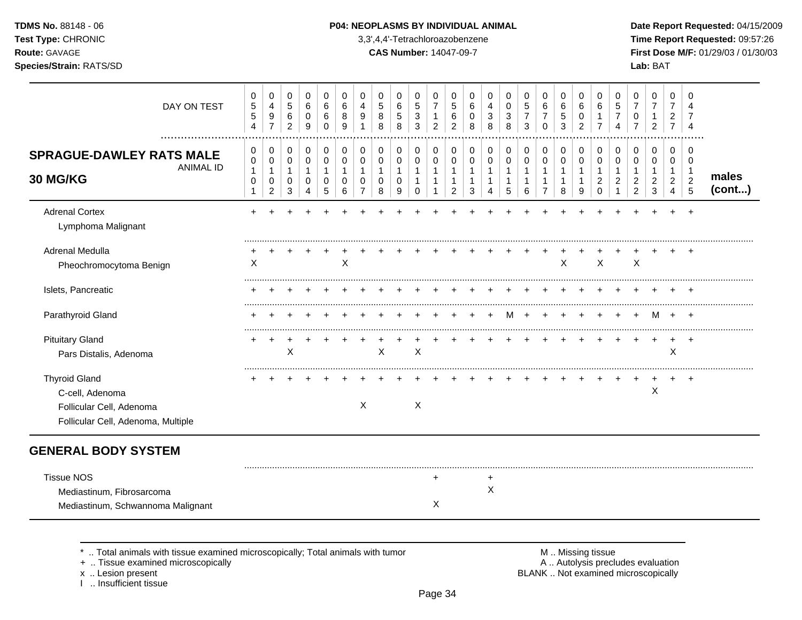### **TDMS No.** 88148 - 06 **P04: NEOPLASMS BY INDIVIDUAL ANIMAL** Date Report Requested: 04/15/2009

**Test Type:** CHRONIC 3,3',4,4'-Tetrachloroazobenzene **Time Report Requested:** 09:57:26 **Route:** GAVAGE **CAS Number:** 14047-09-7 **First Dose M/F:** 01/29/03 / 01/30/03

| DAY ON TEST                                                                                               | 0<br>$\sqrt{5}$<br>$\sqrt{5}$<br>$\overline{4}$                     | 0<br>4<br>9<br>$\overline{7}$                           | 0<br>$\overline{5}$<br>$\,6\,$<br>$\overline{2}$    | 0<br>6<br>$\mathbf 0$<br>9                   | 0<br>6<br>6<br>$\Omega$                    | 0<br>6<br>8<br>9                           | 0<br>4<br>9                                             | 0<br>5<br>8<br>8                                         | 0<br>$\,6\,$<br>$\sqrt{5}$<br>8          | 0<br>5<br>$\mathfrak{S}$<br>3                                   | 0<br>$\overline{7}$<br>$\mathbf{1}$<br>$\overline{c}$   | 0<br>5<br>6<br>$\overline{c}$                            | 0<br>6<br>$\mathbf 0$<br>8                  | 0<br>$\overline{4}$<br>3<br>8             | 0<br>$\pmb{0}$<br>$\mathbf{3}$<br>8              | 0<br>$\sqrt{5}$<br>$\overline{7}$<br>3              | 0<br>6<br>$\overline{7}$<br>$\Omega$                               | 0<br>6<br>$\mathbf 5$<br>3                            | 0<br>6<br>$\mathbf 0$<br>$\overline{2}$ | 0<br>6<br>$\overline{7}$                             | 0<br>$\overline{5}$<br>$\overline{7}$<br>4          | 0<br>$\overline{7}$<br>0<br>$\overline{7}$                                | 0<br>$\overline{7}$<br>$\mathbf 1$<br>$\overline{c}$                           | 0<br>$\overline{7}$<br>$\overline{2}$<br>$\overline{7}$ | 0<br>Δ<br>4                                                     |                 |
|-----------------------------------------------------------------------------------------------------------|---------------------------------------------------------------------|---------------------------------------------------------|-----------------------------------------------------|----------------------------------------------|--------------------------------------------|--------------------------------------------|---------------------------------------------------------|----------------------------------------------------------|------------------------------------------|-----------------------------------------------------------------|---------------------------------------------------------|----------------------------------------------------------|---------------------------------------------|-------------------------------------------|--------------------------------------------------|-----------------------------------------------------|--------------------------------------------------------------------|-------------------------------------------------------|-----------------------------------------|------------------------------------------------------|-----------------------------------------------------|---------------------------------------------------------------------------|--------------------------------------------------------------------------------|---------------------------------------------------------|-----------------------------------------------------------------|-----------------|
| <b>SPRAGUE-DAWLEY RATS MALE</b><br><b>ANIMAL ID</b><br><b>30 MG/KG</b>                                    | $\pmb{0}$<br>$\pmb{0}$<br>$\mathbf{1}$<br>$\pmb{0}$<br>$\mathbf{1}$ | 0<br>$\mathbf 0$<br>$\mathbf{1}$<br>0<br>$\overline{2}$ | 0<br>$\pmb{0}$<br>$\mathbf{1}$<br>0<br>$\mathbf{3}$ | 0<br>$\mathbf 0$<br>$\overline{1}$<br>0<br>4 | 0<br>$\mathbf 0$<br>$\mathbf{1}$<br>0<br>5 | 0<br>$\mathbf 0$<br>$\mathbf{1}$<br>0<br>6 | 0<br>$\mathbf 0$<br>$\mathbf{1}$<br>0<br>$\overline{7}$ | $\,0\,$<br>$\pmb{0}$<br>$\mathbf{1}$<br>$\mathbf 0$<br>8 | 0<br>$\pmb{0}$<br>$\mathbf{1}$<br>0<br>9 | 0<br>$\mathsf 0$<br>$\mathbf{1}$<br>$\mathbf{1}$<br>$\mathbf 0$ | 0<br>$\mathbf 0$<br>$\overline{1}$<br>$\mathbf{1}$<br>1 | 0<br>0<br>$\mathbf{1}$<br>$\mathbf{1}$<br>$\overline{2}$ | 0<br>0<br>$\mathbf{1}$<br>$\mathbf{1}$<br>3 | 0<br>$\pmb{0}$<br>$\mathbf{1}$<br>-1<br>4 | $\pmb{0}$<br>$\pmb{0}$<br>$\mathbf{1}$<br>1<br>5 | 0<br>$\pmb{0}$<br>$\mathbf{1}$<br>$\mathbf{1}$<br>6 | 0<br>$\pmb{0}$<br>$\mathbf{1}$<br>$\overline{1}$<br>$\overline{7}$ | 0<br>$\mathbf 0$<br>$\mathbf{1}$<br>$\mathbf{1}$<br>8 | 0<br>0<br>1<br>9                        | 0<br>0<br>$\mathbf{1}$<br>$\overline{c}$<br>$\Omega$ | 0<br>$\pmb{0}$<br>$\mathbf{1}$<br>2<br>$\mathbf{1}$ | $\boldsymbol{0}$<br>0<br>$\mathbf{1}$<br>$\overline{c}$<br>$\overline{c}$ | $\mathbf 0$<br>$\mathbf 0$<br>$\overline{1}$<br>$\overline{c}$<br>$\mathbf{3}$ | 0<br>$\mathbf 0$<br>$\mathbf{1}$<br>$\overline{2}$<br>4 | 0<br>$\mathbf 0$<br>$\mathbf 1$<br>$\overline{c}$<br>$\sqrt{5}$ | males<br>(cont) |
| <b>Adrenal Cortex</b><br>Lymphoma Malignant                                                               |                                                                     |                                                         |                                                     |                                              |                                            |                                            |                                                         |                                                          |                                          |                                                                 |                                                         |                                                          |                                             |                                           |                                                  |                                                     |                                                                    |                                                       |                                         |                                                      |                                                     |                                                                           |                                                                                |                                                         |                                                                 |                 |
| Adrenal Medulla<br>Pheochromocytoma Benign                                                                | Χ                                                                   |                                                         |                                                     |                                              |                                            | X                                          |                                                         |                                                          |                                          |                                                                 |                                                         |                                                          |                                             |                                           |                                                  |                                                     |                                                                    | X                                                     |                                         | X                                                    |                                                     | X                                                                         |                                                                                |                                                         |                                                                 |                 |
| Islets, Pancreatic                                                                                        |                                                                     |                                                         |                                                     |                                              |                                            |                                            |                                                         |                                                          |                                          |                                                                 |                                                         |                                                          |                                             |                                           |                                                  |                                                     |                                                                    |                                                       |                                         |                                                      |                                                     |                                                                           |                                                                                |                                                         |                                                                 |                 |
| Parathyroid Gland                                                                                         |                                                                     |                                                         |                                                     |                                              |                                            |                                            |                                                         |                                                          |                                          |                                                                 |                                                         |                                                          |                                             |                                           | м                                                |                                                     |                                                                    |                                                       |                                         |                                                      |                                                     |                                                                           | M                                                                              |                                                         |                                                                 |                 |
| <b>Pituitary Gland</b><br>Pars Distalis, Adenoma                                                          |                                                                     | $\div$                                                  | X                                                   |                                              |                                            |                                            |                                                         | X                                                        |                                          | X                                                               |                                                         |                                                          |                                             |                                           |                                                  |                                                     |                                                                    |                                                       |                                         |                                                      |                                                     |                                                                           |                                                                                | X                                                       |                                                                 |                 |
| <b>Thyroid Gland</b><br>C-cell, Adenoma<br>Follicular Cell, Adenoma<br>Follicular Cell, Adenoma, Multiple |                                                                     |                                                         |                                                     |                                              |                                            |                                            | X                                                       |                                                          |                                          | X                                                               |                                                         |                                                          |                                             |                                           |                                                  |                                                     |                                                                    |                                                       |                                         |                                                      |                                                     |                                                                           | $\mathsf X$                                                                    |                                                         | $\ddot{}$                                                       |                 |
| <b>GENERAL BODY SYSTEM</b>                                                                                |                                                                     |                                                         |                                                     |                                              |                                            |                                            |                                                         |                                                          |                                          |                                                                 |                                                         |                                                          |                                             |                                           |                                                  |                                                     |                                                                    |                                                       |                                         |                                                      |                                                     |                                                                           |                                                                                |                                                         |                                                                 |                 |
| <b>Tissue NOS</b><br>Mediastinum, Fibrosarcoma<br>Mediastinum, Schwannoma Malignant                       |                                                                     |                                                         |                                                     |                                              |                                            |                                            |                                                         |                                                          |                                          |                                                                 | ٠<br>X                                                  |                                                          |                                             | +<br>X                                    |                                                  |                                                     |                                                                    |                                                       |                                         |                                                      |                                                     |                                                                           |                                                                                |                                                         |                                                                 |                 |

\* .. Total animals with tissue examined microscopically; Total animals with tumor <br>
+ .. Tissue examined microscopically<br>
+ .. Tissue examined microscopically

+ .. Tissue examined microscopically

x .. Lesion present<br>I .. Insufficient tissue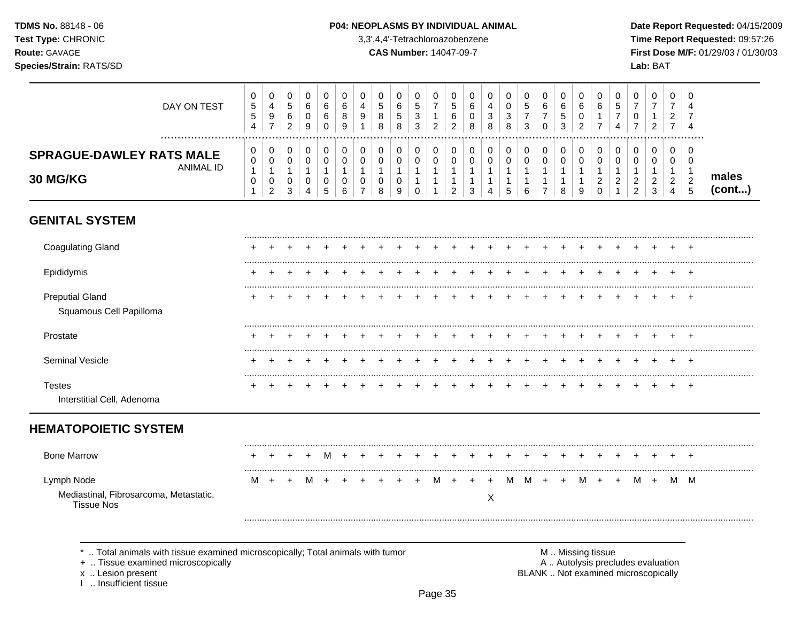#### P04: NEOPLASMS BY INDIVIDUAL ANIMAL

3,3',4,4'-Tetrachloroazobenzene

**CAS Number: 14047-09-7** 

Date Report Requested: 04/15/2009 Time Report Requested: 09:57:26 First Dose M/F: 01/29/03 / 01/30/03 Lab: BAT

| DAY ON TEST                                                                                                                                                    | 0<br>5<br>5<br>$\overline{\mathbf{4}}$      | 0<br>$\overline{4}$<br>$\boldsymbol{9}$<br>$\overline{7}$             | 0<br>5<br>6<br>$\overline{c}$                          | $\Omega$<br>6<br>0<br>9                                | $\Omega$<br>6<br>6<br>0                    | 0<br>6<br>8<br>9                           | $\Omega$<br>4<br>9                                               | 0<br>$\sqrt{5}$<br>8<br>8                                    | 0<br>$\,6\,$<br>$\sqrt{5}$<br>$\,8\,$ | 0<br>5<br>3<br>$\mathbf{3}$                                 | $\mathbf 0$<br>$\overline{7}$<br>1<br>$\overline{c}$            | 0<br>5<br>6<br>$\overline{c}$                                              | 0<br>6<br>0<br>8                                                               | 0<br>$\overline{4}$<br>3<br>8                                     | 0<br>0<br>3<br>8                           | 0<br>5<br>7<br>3                | 0<br>6<br>7<br>$\mathbf 0$                                                 | $\Omega$<br>6<br>5<br>3                                         | 0<br>6<br>0<br>$\overline{c}$                            | 0<br>6<br>1<br>$\overline{7}$                                     | 0<br>5<br>7<br>4                                                         | $\mathbf 0$<br>$\overline{7}$<br>0<br>$\overline{7}$                 | 0<br>$\overline{7}$<br>$\overline{2}$        | $\Omega$<br>$\overline{7}$<br>$\overline{2}$<br>$\overline{7}$ | $\Omega$<br>Δ<br>7<br>$\overline{4}$                             |                 |
|----------------------------------------------------------------------------------------------------------------------------------------------------------------|---------------------------------------------|-----------------------------------------------------------------------|--------------------------------------------------------|--------------------------------------------------------|--------------------------------------------|--------------------------------------------|------------------------------------------------------------------|--------------------------------------------------------------|---------------------------------------|-------------------------------------------------------------|-----------------------------------------------------------------|----------------------------------------------------------------------------|--------------------------------------------------------------------------------|-------------------------------------------------------------------|--------------------------------------------|---------------------------------|----------------------------------------------------------------------------|-----------------------------------------------------------------|----------------------------------------------------------|-------------------------------------------------------------------|--------------------------------------------------------------------------|----------------------------------------------------------------------|----------------------------------------------|----------------------------------------------------------------|------------------------------------------------------------------|-----------------|
| <br><b>SPRAGUE-DAWLEY RATS MALE</b><br><b>ANIMAL ID</b><br>30 MG/KG                                                                                            | 0<br>0<br>$\mathbf{1}$<br>0<br>$\mathbf{1}$ | $\mathbf 0$<br>$\pmb{0}$<br>$\mathbf{1}$<br>$\mathbf 0$<br>$\sqrt{2}$ | $\mathbf 0$<br>$\mathbf 0$<br>$\overline{1}$<br>0<br>3 | $\mathbf 0$<br>$\mathbf 0$<br>$\overline{1}$<br>0<br>4 | $\mathbf 0$<br>0<br>$\mathbf{1}$<br>0<br>5 | $\mathbf 0$<br>0<br>$\mathbf{1}$<br>0<br>6 | $\mathbf 0$<br>$\mathbf 0$<br>1<br>$\mathbf 0$<br>$\overline{7}$ | $\pmb{0}$<br>$\mathbf 0$<br>$\mathbf{1}$<br>$\mathbf 0$<br>8 | 0<br>0<br>1<br>$\mathbf 0$<br>9       | $\pmb{0}$<br>$\pmb{0}$<br>$\mathbf{1}$<br>$\mathbf{1}$<br>0 | $\mathbf 0$<br>$\mathbf 0$<br>$\mathbf{1}$<br>$\mathbf{1}$<br>1 | $\mathbf 0$<br>$\pmb{0}$<br>$\mathbf{1}$<br>$\mathbf{1}$<br>$\overline{2}$ | $\mathbf 0$<br>$\mathbf 0$<br>$\overline{1}$<br>$\overline{1}$<br>$\mathbf{3}$ | $\mathbf 0$<br>0<br>$\mathbf 1$<br>$\mathbf{1}$<br>$\overline{4}$ | $\mathbf 0$<br>0<br>1<br>$\mathbf{1}$<br>5 | 0<br>0<br>1<br>$\mathbf 1$<br>6 | $\mathbf 0$<br>$\pmb{0}$<br>$\mathbf{1}$<br>$\mathbf{1}$<br>$\overline{7}$ | $\mathbf 0$<br>$\mathbf 0$<br>$\mathbf{1}$<br>$\mathbf{1}$<br>8 | $\pmb{0}$<br>$\,0\,$<br>$\mathbf 1$<br>$\mathbf{1}$<br>9 | $\mathbf 0$<br>$\mathbf 0$<br>$\mathbf{1}$<br>$\overline{2}$<br>0 | 0<br>0<br>$\mathbf{1}$<br>$\overline{2}$<br>$\mathbf{1}$                 | $\mathbf 0$<br>0<br>$\mathbf{1}$<br>$\overline{c}$<br>$\overline{c}$ | $\mathbf 0$<br>0<br>1<br>$\overline{c}$<br>3 | 0<br>0<br>$\mathbf{1}$<br>$\overline{2}$<br>$\overline{4}$     | $\Omega$<br>0<br>$\mathbf 1$<br>$\overline{c}$<br>$\overline{5}$ | males<br>(cont) |
| <b>GENITAL SYSTEM</b>                                                                                                                                          |                                             |                                                                       |                                                        |                                                        |                                            |                                            |                                                                  |                                                              |                                       |                                                             |                                                                 |                                                                            |                                                                                |                                                                   |                                            |                                 |                                                                            |                                                                 |                                                          |                                                                   |                                                                          |                                                                      |                                              |                                                                |                                                                  |                 |
| <b>Coagulating Gland</b>                                                                                                                                       |                                             |                                                                       |                                                        |                                                        |                                            |                                            |                                                                  |                                                              |                                       |                                                             |                                                                 |                                                                            |                                                                                |                                                                   |                                            |                                 |                                                                            |                                                                 |                                                          |                                                                   |                                                                          |                                                                      |                                              |                                                                |                                                                  |                 |
| Epididymis                                                                                                                                                     |                                             |                                                                       |                                                        |                                                        |                                            |                                            |                                                                  |                                                              |                                       |                                                             |                                                                 |                                                                            |                                                                                |                                                                   |                                            |                                 |                                                                            |                                                                 |                                                          |                                                                   |                                                                          |                                                                      |                                              |                                                                |                                                                  |                 |
| <b>Preputial Gland</b><br>Squamous Cell Papilloma                                                                                                              |                                             |                                                                       |                                                        |                                                        |                                            |                                            |                                                                  |                                                              |                                       |                                                             |                                                                 |                                                                            |                                                                                |                                                                   |                                            |                                 |                                                                            |                                                                 |                                                          |                                                                   |                                                                          |                                                                      |                                              |                                                                | $\overline{ }$                                                   |                 |
| Prostate                                                                                                                                                       |                                             |                                                                       |                                                        |                                                        |                                            |                                            |                                                                  |                                                              |                                       |                                                             |                                                                 |                                                                            |                                                                                |                                                                   |                                            |                                 |                                                                            |                                                                 |                                                          |                                                                   |                                                                          |                                                                      |                                              |                                                                |                                                                  |                 |
| Seminal Vesicle                                                                                                                                                |                                             |                                                                       |                                                        |                                                        |                                            |                                            |                                                                  |                                                              |                                       |                                                             |                                                                 |                                                                            |                                                                                |                                                                   |                                            |                                 |                                                                            |                                                                 |                                                          |                                                                   |                                                                          |                                                                      |                                              |                                                                |                                                                  |                 |
| <b>Testes</b><br>Interstitial Cell, Adenoma                                                                                                                    |                                             |                                                                       |                                                        |                                                        |                                            |                                            |                                                                  |                                                              |                                       |                                                             |                                                                 |                                                                            |                                                                                |                                                                   |                                            |                                 |                                                                            |                                                                 |                                                          |                                                                   |                                                                          |                                                                      |                                              | $\div$                                                         | $\overline{1}$                                                   |                 |
| <b>HEMATOPOIETIC SYSTEM</b>                                                                                                                                    |                                             |                                                                       |                                                        |                                                        |                                            |                                            |                                                                  |                                                              |                                       |                                                             |                                                                 |                                                                            |                                                                                |                                                                   |                                            |                                 |                                                                            |                                                                 |                                                          |                                                                   |                                                                          |                                                                      |                                              |                                                                |                                                                  |                 |
| <b>Bone Marrow</b>                                                                                                                                             |                                             |                                                                       |                                                        |                                                        |                                            |                                            |                                                                  |                                                              |                                       |                                                             |                                                                 |                                                                            |                                                                                |                                                                   |                                            |                                 |                                                                            |                                                                 |                                                          |                                                                   |                                                                          |                                                                      |                                              |                                                                |                                                                  |                 |
| Lymph Node<br>Mediastinal, Fibrosarcoma, Metastatic,<br><b>Tissue Nos</b>                                                                                      | м                                           | $+$                                                                   |                                                        |                                                        |                                            |                                            |                                                                  |                                                              |                                       |                                                             | м                                                               |                                                                            |                                                                                | Х                                                                 | M                                          | м                               | $+$                                                                        | $\ddot{}$                                                       | м                                                        | $+$                                                               | $+$                                                                      | M                                                                    | $+$                                          | M                                                              | M                                                                |                 |
| Total animals with tissue examined microscopically; Total animals with tumor<br>+  Tissue examined microscopically<br>x  Lesion present<br>Insufficient tissue |                                             |                                                                       |                                                        |                                                        |                                            |                                            |                                                                  |                                                              |                                       |                                                             |                                                                 |                                                                            |                                                                                |                                                                   |                                            |                                 |                                                                            |                                                                 |                                                          | M  Missing tissue                                                 | A  Autolysis precludes evaluation<br>BLANK  Not examined microscopically |                                                                      |                                              |                                                                |                                                                  |                 |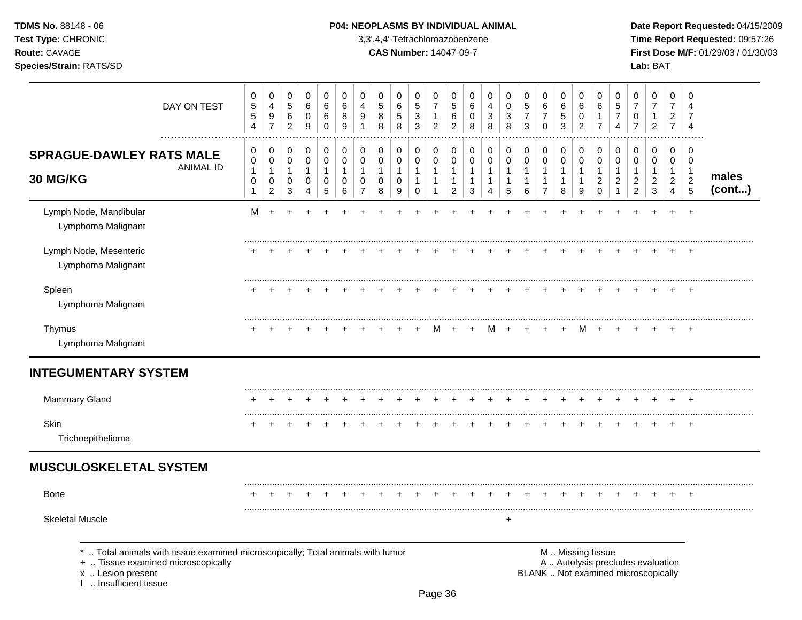## **TDMS No.** 88148 - 06 **P04: NEOPLASMS BY INDIVIDUAL ANIMAL** Date Report Requested: 04/15/2009

**Test Type:** CHRONIC 3,3',4,4'-Tetrachloroazobenzene **Time Report Requested:** 09:57:26 **Route:** GAVAGE **CAS Number:** 14047-09-7 **First Dose M/F:** 01/29/03 / 01/30/03

| DAY ON TEST                                                                                                                                                                                                                                                                     | 0<br>$\sqrt{5}$<br>$\sqrt{5}$<br>$\overline{4}$ | 0<br>$\overline{4}$<br>$\boldsymbol{9}$<br>$\overline{7}$ | 0<br>$\mathbf 5$<br>6<br>$\overline{c}$  | $\pmb{0}$<br>6<br>$\mathbf 0$<br>9         | 0<br>$\,6$<br>6<br>0                                | 0<br>$\,6\,$<br>8<br>9                       | 0<br>4<br>9<br>1                                                  | 0<br>$\sqrt{5}$<br>8<br>8                | 0<br>6<br>$\sqrt{5}$<br>8                | 0<br>$\sqrt{5}$<br>$\sqrt{3}$<br>$\mathbf{3}$       | 0<br>$\overline{7}$<br>$\mathbf{1}$<br>$\overline{2}$            | 0<br>5<br>$\,6$<br>$\overline{c}$                                  | 0<br>6<br>0<br>8                 | 0<br>4<br>$\mathbf{3}$<br>8      | 0<br>0<br>3<br>8                 | 0<br>$\sqrt{5}$<br>$\boldsymbol{7}$<br>$\mathbf{3}$ | 0<br>$\,6$<br>$\overline{7}$<br>$\mathbf 0$                      | 0<br>6<br>$\sqrt{5}$<br>$\mathbf{3}$                | 0<br>$\,6$<br>$\pmb{0}$<br>$\overline{2}$           | 0<br>6<br>$\mathbf{1}$<br>$\overline{7}$                        | 0<br>$\sqrt{5}$<br>$\overline{7}$<br>4  | 0<br>$\overline{7}$<br>0<br>$\overline{7}$                 | 0<br>$\boldsymbol{7}$<br>$\mathbf{1}$<br>$\overline{2}$          | $\mathbf 0$<br>$\overline{7}$<br>$\overline{2}$<br>$\overline{7}$ | 0<br>$\overline{4}$<br>7<br>$\overline{4}$                |                 |
|---------------------------------------------------------------------------------------------------------------------------------------------------------------------------------------------------------------------------------------------------------------------------------|-------------------------------------------------|-----------------------------------------------------------|------------------------------------------|--------------------------------------------|-----------------------------------------------------|----------------------------------------------|-------------------------------------------------------------------|------------------------------------------|------------------------------------------|-----------------------------------------------------|------------------------------------------------------------------|--------------------------------------------------------------------|----------------------------------|----------------------------------|----------------------------------|-----------------------------------------------------|------------------------------------------------------------------|-----------------------------------------------------|-----------------------------------------------------|-----------------------------------------------------------------|-----------------------------------------|------------------------------------------------------------|------------------------------------------------------------------|-------------------------------------------------------------------|-----------------------------------------------------------|-----------------|
| <b>SPRAGUE-DAWLEY RATS MALE</b><br><b>ANIMAL ID</b><br>30 MG/KG                                                                                                                                                                                                                 | 0<br>0<br>$\mathbf{1}$<br>0<br>$\mathbf{1}$     | 0<br>$\pmb{0}$<br>$\mathbf{1}$<br>0<br>$\overline{c}$     | 0<br>$\pmb{0}$<br>$\mathbf{1}$<br>0<br>3 | 0<br>$\mathbf 0$<br>$\mathbf{1}$<br>0<br>4 | 0<br>$\mathsf 0$<br>$\mathbf{1}$<br>0<br>$\sqrt{5}$ | 0<br>$\mathbf 0$<br>$\overline{1}$<br>0<br>6 | 0<br>$\mathbf 0$<br>$\mathbf{1}$<br>$\mathbf 0$<br>$\overline{7}$ | 0<br>$\pmb{0}$<br>$\mathbf{1}$<br>0<br>8 | 0<br>$\pmb{0}$<br>$\mathbf{1}$<br>0<br>9 | 0<br>$\pmb{0}$<br>$\mathbf{1}$<br>$\mathbf{1}$<br>0 | 0<br>$\mathbf 0$<br>$\mathbf{1}$<br>$\mathbf{1}$<br>$\mathbf{1}$ | 0<br>$\mathbf 0$<br>$\mathbf{1}$<br>$\mathbf{1}$<br>$\overline{c}$ | 0<br>0<br>$\mathbf{1}$<br>1<br>3 | 0<br>0<br>$\mathbf{1}$<br>1<br>4 | 0<br>0<br>$\mathbf{1}$<br>1<br>5 | 0<br>$\pmb{0}$<br>$\mathbf{1}$<br>$\mathbf{1}$<br>6 | 0<br>$\pmb{0}$<br>$\mathbf{1}$<br>$\mathbf{1}$<br>$\overline{7}$ | 0<br>$\pmb{0}$<br>$\mathbf{1}$<br>$\mathbf{1}$<br>8 | 0<br>$\pmb{0}$<br>$\mathbf{1}$<br>$\mathbf{1}$<br>9 | 0<br>$\pmb{0}$<br>$\mathbf{1}$<br>$\overline{c}$<br>$\mathbf 0$ | 0<br>$\mathbf 0$<br>1<br>$\overline{c}$ | 0<br>0<br>$\mathbf{1}$<br>$\overline{c}$<br>$\overline{2}$ | 0<br>$\pmb{0}$<br>$\mathbf{1}$<br>$\overline{c}$<br>$\mathbf{3}$ | 0<br>0<br>$\mathbf{1}$<br>$\overline{2}$<br>$\overline{4}$        | 0<br>$\mathbf 0$<br>$\overline{1}$<br>$\overline{c}$<br>5 | males<br>(cont) |
| Lymph Node, Mandibular<br>Lymphoma Malignant                                                                                                                                                                                                                                    | м                                               |                                                           |                                          |                                            |                                                     |                                              |                                                                   |                                          |                                          |                                                     |                                                                  |                                                                    |                                  |                                  |                                  |                                                     |                                                                  |                                                     |                                                     |                                                                 |                                         |                                                            |                                                                  |                                                                   | $\ddot{}$                                                 |                 |
| Lymph Node, Mesenteric<br>Lymphoma Malignant                                                                                                                                                                                                                                    |                                                 |                                                           |                                          |                                            |                                                     |                                              |                                                                   |                                          |                                          |                                                     |                                                                  |                                                                    |                                  |                                  |                                  |                                                     |                                                                  |                                                     |                                                     |                                                                 |                                         |                                                            |                                                                  |                                                                   |                                                           |                 |
| Spleen<br>Lymphoma Malignant                                                                                                                                                                                                                                                    |                                                 |                                                           |                                          |                                            |                                                     |                                              |                                                                   |                                          |                                          |                                                     |                                                                  |                                                                    |                                  |                                  |                                  |                                                     |                                                                  |                                                     |                                                     |                                                                 |                                         |                                                            |                                                                  |                                                                   | $\div$                                                    |                 |
| Thymus<br>Lymphoma Malignant                                                                                                                                                                                                                                                    |                                                 |                                                           |                                          |                                            |                                                     |                                              |                                                                   |                                          |                                          |                                                     | м                                                                |                                                                    |                                  | м                                | $\ddot{}$                        | $\div$                                              |                                                                  | $\ddot{}$                                           | м                                                   |                                                                 |                                         |                                                            |                                                                  |                                                                   | $\ddot{}$                                                 |                 |
| <b>INTEGUMENTARY SYSTEM</b>                                                                                                                                                                                                                                                     |                                                 |                                                           |                                          |                                            |                                                     |                                              |                                                                   |                                          |                                          |                                                     |                                                                  |                                                                    |                                  |                                  |                                  |                                                     |                                                                  |                                                     |                                                     |                                                                 |                                         |                                                            |                                                                  |                                                                   |                                                           |                 |
| <b>Mammary Gland</b>                                                                                                                                                                                                                                                            |                                                 |                                                           |                                          |                                            |                                                     |                                              |                                                                   |                                          |                                          |                                                     |                                                                  |                                                                    |                                  |                                  |                                  |                                                     |                                                                  |                                                     |                                                     |                                                                 |                                         |                                                            |                                                                  |                                                                   |                                                           |                 |
| Skin<br>Trichoepithelioma                                                                                                                                                                                                                                                       |                                                 |                                                           |                                          |                                            |                                                     |                                              |                                                                   |                                          |                                          |                                                     |                                                                  |                                                                    |                                  |                                  |                                  |                                                     |                                                                  |                                                     |                                                     |                                                                 |                                         |                                                            |                                                                  | $\pm$                                                             | $\ddot{}$                                                 |                 |
| <b>MUSCULOSKELETAL SYSTEM</b>                                                                                                                                                                                                                                                   |                                                 |                                                           |                                          |                                            |                                                     |                                              |                                                                   |                                          |                                          |                                                     |                                                                  |                                                                    |                                  |                                  |                                  |                                                     |                                                                  |                                                     |                                                     |                                                                 |                                         |                                                            |                                                                  |                                                                   |                                                           |                 |
| <b>Bone</b>                                                                                                                                                                                                                                                                     |                                                 |                                                           |                                          |                                            |                                                     |                                              |                                                                   |                                          |                                          |                                                     |                                                                  |                                                                    |                                  |                                  |                                  |                                                     |                                                                  |                                                     |                                                     |                                                                 |                                         |                                                            |                                                                  |                                                                   |                                                           |                 |
| <b>Skeletal Muscle</b>                                                                                                                                                                                                                                                          |                                                 |                                                           |                                          |                                            |                                                     |                                              |                                                                   |                                          |                                          |                                                     |                                                                  |                                                                    |                                  |                                  | +                                |                                                     |                                                                  |                                                     |                                                     |                                                                 |                                         |                                                            |                                                                  |                                                                   |                                                           |                 |
| Total animals with tissue examined microscopically; Total animals with tumor<br>M  Missing tissue<br>A  Autolysis precludes evaluation<br>+  Tissue examined microscopically<br>BLANK  Not examined microscopically<br>x  Lesion present<br>I  Insufficient tissue<br>$D - 220$ |                                                 |                                                           |                                          |                                            |                                                     |                                              |                                                                   |                                          |                                          |                                                     |                                                                  |                                                                    |                                  |                                  |                                  |                                                     |                                                                  |                                                     |                                                     |                                                                 |                                         |                                                            |                                                                  |                                                                   |                                                           |                 |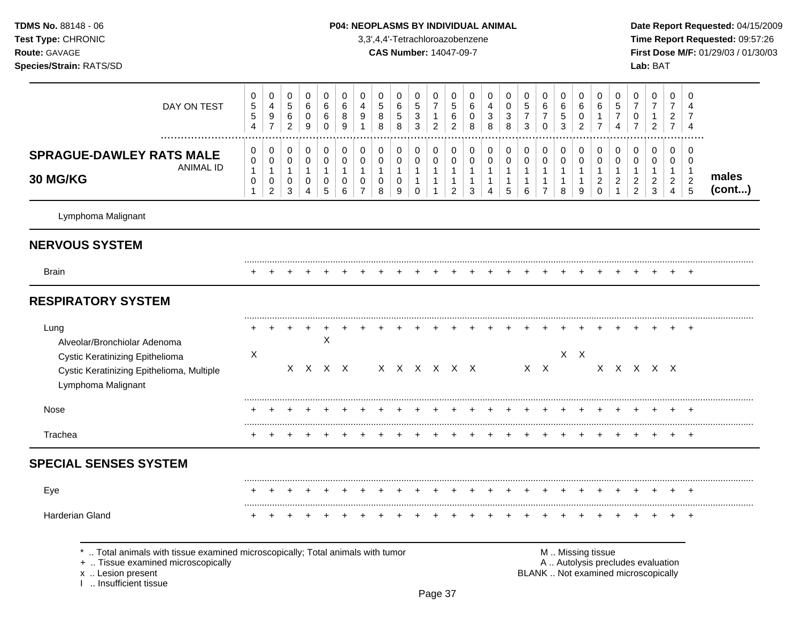# **TDMS No.** 88148 - 06 **P04: NEOPLASMS BY INDIVIDUAL ANIMAL** Date Report Requested: 04/15/2009

**Test Type:** CHRONIC 3,3',4,4'-Tetrachloroazobenzene **Time Report Requested:** 09:57:26 **Route:** GAVAGE **CAS Number:** 14047-09-7 **First Dose M/F:** 01/29/03 / 01/30/03

| DAY ON TEST<br>.                                                                                                                                                     | 0<br>$\mathbf 5$<br>5<br>$\overline{4}$     | $\pmb{0}$<br>$\overline{4}$<br>$\boldsymbol{9}$<br>$\overline{7}$     | $\pmb{0}$<br>$\sqrt{5}$<br>$\,6\,$<br>$\overline{c}$          | $\pmb{0}$<br>6<br>$\mathbf 0$<br>$\boldsymbol{9}$                    | $\mathbf 0$<br>6<br>6<br>$\mathbf 0$                        | $\mathbf 0$<br>6<br>8<br>9                                           | 0<br>4<br>9<br>$\mathbf{1}$                                             | 0<br>$\,$ 5 $\,$<br>8<br>8                                   | $\pmb{0}$<br>$\,6\,$<br>$\sqrt{5}$<br>8                      | 0<br>$\,$ 5 $\,$<br>$\ensuremath{\mathsf{3}}$<br>$\mathfrak{Z}$ | 0<br>$\overline{7}$<br>$\mathbf{1}$<br>$\overline{2}$                      | $\pmb{0}$<br>$\,$ 5 $\,$<br>6<br>$\overline{c}$                            | $\mathbf 0$<br>$\,6$<br>$\pmb{0}$<br>$\,8\,$                               | 0<br>4<br>$\ensuremath{\mathsf{3}}$<br>8                                 | 0<br>$\pmb{0}$<br>$\sqrt{3}$<br>8                          | 0<br>$\sqrt{5}$<br>$\overline{7}$<br>3                | 0<br>6<br>$\boldsymbol{7}$<br>0                                  | $\mathbf 0$<br>6<br>5<br>3                                        | 0<br>6<br>$\mathbf 0$<br>$\overline{c}$                       | 0<br>6<br>$\mathbf{1}$<br>$\overline{7}$                                | $\pmb{0}$<br>$\overline{5}$<br>$\overline{7}$<br>$\boldsymbol{\Lambda}$  | 0<br>$\overline{7}$<br>$\pmb{0}$<br>$\overline{7}$                       | $\,0\,$<br>$\boldsymbol{7}$<br>$\mathbf{1}$<br>$\overline{c}$        | $\mathbf 0$<br>$\overline{7}$<br>$\overline{2}$<br>$\overline{7}$              | $\mathbf 0$<br>$\overline{4}$<br>7<br>$\overline{4}$                      |                 |
|----------------------------------------------------------------------------------------------------------------------------------------------------------------------|---------------------------------------------|-----------------------------------------------------------------------|---------------------------------------------------------------|----------------------------------------------------------------------|-------------------------------------------------------------|----------------------------------------------------------------------|-------------------------------------------------------------------------|--------------------------------------------------------------|--------------------------------------------------------------|-----------------------------------------------------------------|----------------------------------------------------------------------------|----------------------------------------------------------------------------|----------------------------------------------------------------------------|--------------------------------------------------------------------------|------------------------------------------------------------|-------------------------------------------------------|------------------------------------------------------------------|-------------------------------------------------------------------|---------------------------------------------------------------|-------------------------------------------------------------------------|--------------------------------------------------------------------------|--------------------------------------------------------------------------|----------------------------------------------------------------------|--------------------------------------------------------------------------------|---------------------------------------------------------------------------|-----------------|
| <b>SPRAGUE-DAWLEY RATS MALE</b><br><b>ANIMAL ID</b><br><b>30 MG/KG</b>                                                                                               | 0<br>0<br>$\mathbf{1}$<br>0<br>$\mathbf{1}$ | $\pmb{0}$<br>$\pmb{0}$<br>$\mathbf{1}$<br>$\pmb{0}$<br>$\overline{c}$ | 0<br>$\mathbf 0$<br>$\mathbf{1}$<br>$\mathbf 0$<br>$\sqrt{3}$ | $\pmb{0}$<br>$\mathsf{O}\xspace$<br>$\mathbf{1}$<br>$\mathbf 0$<br>4 | $\mathbf 0$<br>$\pmb{0}$<br>$\mathbf{1}$<br>0<br>$\sqrt{5}$ | $\mathbf 0$<br>$\mathbf 0$<br>$\mathbf{1}$<br>$\mathbf 0$<br>$\,6\,$ | $\pmb{0}$<br>$\pmb{0}$<br>$\mathbf{1}$<br>$\mathbf 0$<br>$\overline{7}$ | $\mathbf 0$<br>$\pmb{0}$<br>$\mathbf{1}$<br>$\mathbf 0$<br>8 | $\mathbf 0$<br>$\pmb{0}$<br>$\mathbf{1}$<br>$\mathbf 0$<br>9 | 0<br>$\pmb{0}$<br>$\mathbf{1}$<br>$\mathbf{1}$<br>$\mathbf 0$   | $\pmb{0}$<br>$\mathbf 0$<br>$\mathbf{1}$<br>$\overline{1}$<br>$\mathbf{1}$ | $\pmb{0}$<br>$\pmb{0}$<br>$\mathbf{1}$<br>$\mathbf{1}$<br>$\boldsymbol{2}$ | $\mathbf 0$<br>$\mathbf 0$<br>$\mathbf{1}$<br>$\overline{1}$<br>$\sqrt{3}$ | $\pmb{0}$<br>$\pmb{0}$<br>$\mathbf{1}$<br>$\mathbf{1}$<br>$\overline{4}$ | $\mathbf 0$<br>$\pmb{0}$<br>1<br>$\mathbf 1$<br>$\sqrt{5}$ | 0<br>$\mathsf 0$<br>$\mathbf{1}$<br>$\mathbf{1}$<br>6 | 0<br>$\pmb{0}$<br>$\mathbf{1}$<br>$\mathbf{1}$<br>$\overline{7}$ | $\mathbf 0$<br>$\mathbf 0$<br>$\overline{1}$<br>$\mathbf{1}$<br>8 | $\mathbf 0$<br>$\pmb{0}$<br>$\mathbf{1}$<br>$\mathbf{1}$<br>9 | $\pmb{0}$<br>$\pmb{0}$<br>$\mathbf{1}$<br>$\overline{a}$<br>$\mathsf 0$ | $\pmb{0}$<br>$\pmb{0}$<br>$\mathbf{1}$<br>$\overline{c}$<br>$\mathbf{1}$ | 0<br>$\mathbf 0$<br>$\mathbf{1}$<br>$\overline{c}$<br>$\overline{2}$     | 0<br>$\mathbf 0$<br>$\mathbf{1}$<br>$\overline{c}$<br>$\mathfrak{Z}$ | $\mathbf 0$<br>$\mathbf 0$<br>$\mathbf{1}$<br>$\overline{2}$<br>$\overline{4}$ | $\mathbf 0$<br>$\mathbf 0$<br>$\mathbf 1$<br>$\sqrt{2}$<br>$\overline{5}$ | males<br>(cont) |
| Lymphoma Malignant                                                                                                                                                   |                                             |                                                                       |                                                               |                                                                      |                                                             |                                                                      |                                                                         |                                                              |                                                              |                                                                 |                                                                            |                                                                            |                                                                            |                                                                          |                                                            |                                                       |                                                                  |                                                                   |                                                               |                                                                         |                                                                          |                                                                          |                                                                      |                                                                                |                                                                           |                 |
| <b>NERVOUS SYSTEM</b>                                                                                                                                                |                                             |                                                                       |                                                               |                                                                      |                                                             |                                                                      |                                                                         |                                                              |                                                              |                                                                 |                                                                            |                                                                            |                                                                            |                                                                          |                                                            |                                                       |                                                                  |                                                                   |                                                               |                                                                         |                                                                          |                                                                          |                                                                      |                                                                                |                                                                           |                 |
| <b>Brain</b>                                                                                                                                                         |                                             |                                                                       |                                                               |                                                                      |                                                             |                                                                      |                                                                         |                                                              |                                                              |                                                                 |                                                                            |                                                                            |                                                                            |                                                                          |                                                            |                                                       |                                                                  |                                                                   |                                                               |                                                                         |                                                                          |                                                                          |                                                                      |                                                                                | $\ddot{}$                                                                 |                 |
| <b>RESPIRATORY SYSTEM</b>                                                                                                                                            |                                             |                                                                       |                                                               |                                                                      |                                                             |                                                                      |                                                                         |                                                              |                                                              |                                                                 |                                                                            |                                                                            |                                                                            |                                                                          |                                                            |                                                       |                                                                  |                                                                   |                                                               |                                                                         |                                                                          |                                                                          |                                                                      |                                                                                |                                                                           |                 |
| Lung<br>Alveolar/Bronchiolar Adenoma<br>Cystic Keratinizing Epithelioma<br>Cystic Keratinizing Epithelioma, Multiple<br>Lymphoma Malignant                           | X                                           |                                                                       |                                                               |                                                                      | X<br>X X X X                                                |                                                                      |                                                                         |                                                              |                                                              | X X X X X X                                                     |                                                                            |                                                                            |                                                                            |                                                                          |                                                            |                                                       | $X$ $X$                                                          |                                                                   | $X$ $X$                                                       |                                                                         |                                                                          | x x x x x                                                                |                                                                      |                                                                                |                                                                           |                 |
| Nose                                                                                                                                                                 |                                             |                                                                       |                                                               |                                                                      |                                                             |                                                                      |                                                                         |                                                              |                                                              |                                                                 |                                                                            |                                                                            |                                                                            |                                                                          |                                                            |                                                       |                                                                  |                                                                   |                                                               |                                                                         |                                                                          |                                                                          |                                                                      |                                                                                |                                                                           |                 |
| Trachea                                                                                                                                                              |                                             |                                                                       |                                                               |                                                                      |                                                             |                                                                      |                                                                         |                                                              |                                                              |                                                                 |                                                                            |                                                                            |                                                                            |                                                                          |                                                            |                                                       |                                                                  |                                                                   |                                                               |                                                                         |                                                                          |                                                                          |                                                                      |                                                                                | $\overline{+}$                                                            |                 |
| <b>SPECIAL SENSES SYSTEM</b>                                                                                                                                         |                                             |                                                                       |                                                               |                                                                      |                                                             |                                                                      |                                                                         |                                                              |                                                              |                                                                 |                                                                            |                                                                            |                                                                            |                                                                          |                                                            |                                                       |                                                                  |                                                                   |                                                               |                                                                         |                                                                          |                                                                          |                                                                      |                                                                                |                                                                           |                 |
| Eye                                                                                                                                                                  |                                             |                                                                       |                                                               |                                                                      |                                                             |                                                                      |                                                                         |                                                              |                                                              |                                                                 |                                                                            |                                                                            |                                                                            |                                                                          |                                                            |                                                       |                                                                  |                                                                   |                                                               |                                                                         |                                                                          |                                                                          |                                                                      |                                                                                |                                                                           |                 |
| Harderian Gland                                                                                                                                                      |                                             |                                                                       |                                                               |                                                                      |                                                             |                                                                      |                                                                         |                                                              |                                                              |                                                                 |                                                                            |                                                                            |                                                                            |                                                                          |                                                            |                                                       |                                                                  |                                                                   |                                                               |                                                                         |                                                                          |                                                                          |                                                                      |                                                                                | $\ddot{}$                                                                 |                 |
| *  Total animals with tissue examined microscopically; Total animals with tumor<br>+  Tissue examined microscopically<br>x  Lesion present<br>I  Insufficient tissue |                                             |                                                                       |                                                               |                                                                      |                                                             |                                                                      |                                                                         |                                                              |                                                              |                                                                 |                                                                            |                                                                            |                                                                            |                                                                          |                                                            |                                                       |                                                                  |                                                                   |                                                               | M  Missing tissue                                                       |                                                                          | A  Autolysis precludes evaluation<br>BLANK  Not examined microscopically |                                                                      |                                                                                |                                                                           |                 |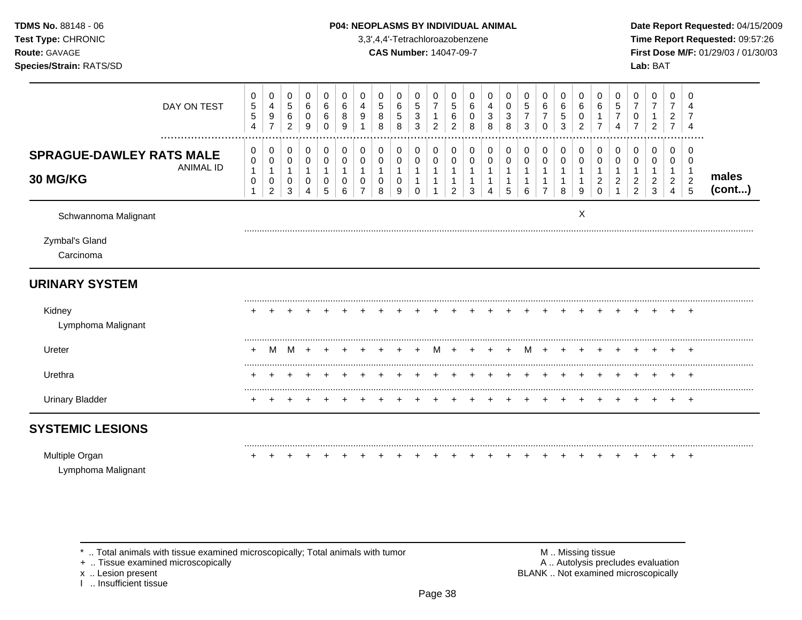| Test Type: CHRONIC<br>Route: GAVAGE<br>Species/Strain: RATS/SD  |                                             |                                                                 |                                         |                                                       |                                           |                                  |                                                     |                                          | 3,3',4,4'-Tetrachloroazobenzene<br><b>CAS Number: 14047-09-7</b> |                                            |                                                       |                                                                  |                                                                    |                             |                             |                                      |                                                          |                                               |                                                 |                                                         |                                          |                                                                    | Lab: BAT                                               |                                                            |                                                          | Time Report Requested: 09:57:26<br>First Dose M/F: 01/29/03 / 01/30/03 |
|-----------------------------------------------------------------|---------------------------------------------|-----------------------------------------------------------------|-----------------------------------------|-------------------------------------------------------|-------------------------------------------|----------------------------------|-----------------------------------------------------|------------------------------------------|------------------------------------------------------------------|--------------------------------------------|-------------------------------------------------------|------------------------------------------------------------------|--------------------------------------------------------------------|-----------------------------|-----------------------------|--------------------------------------|----------------------------------------------------------|-----------------------------------------------|-------------------------------------------------|---------------------------------------------------------|------------------------------------------|--------------------------------------------------------------------|--------------------------------------------------------|------------------------------------------------------------|----------------------------------------------------------|------------------------------------------------------------------------|
| DAY ON TEST                                                     | 0<br>$\mathbf 5$<br>5<br>4                  | 0<br>$\overline{4}$<br>9<br>$\overline{7}$                      | 0<br>$5\,$<br>$\,6\,$<br>$\overline{2}$ | 0<br>$\,6$<br>$\,0\,$<br>9                            | 0<br>6<br>6<br>0                          | $\Omega$<br>$\,6\,$<br>8<br>9    | 0<br>4<br>9<br>1                                    | 0<br>$\,$ 5 $\,$<br>8<br>8               | $\Omega$<br>6<br>5<br>8                                          | $\Omega$<br>5<br>3<br>3                    | 0<br>$\overline{7}$<br>$\mathbf{1}$<br>$\overline{c}$ | 0<br>$\sqrt{5}$<br>$\,6\,$<br>$\overline{2}$                     | $\Omega$<br>6<br>0<br>8                                            | $\Omega$<br>4<br>3<br>8     | 0<br>0<br>3<br>8            | $\Omega$<br>5<br>$\overline{7}$<br>3 | $\Omega$<br>6<br>$\overline{7}$<br>$\mathbf 0$           | $\Omega$<br>6<br>$\sqrt{5}$<br>3              | 0<br>6<br>0<br>$\overline{2}$                   | 0<br>6<br>$\overline{7}$                                | 0<br>5<br>$\overline{7}$<br>4            | 0<br>$\boldsymbol{7}$<br>$\pmb{0}$<br>$\overline{7}$               | $\mathbf 0$<br>$\overline{7}$<br>$\overline{2}$        | $\mathbf 0$<br>7<br>$\overline{a}$<br>$\overline{7}$       | $\Omega$<br>7<br>$\overline{4}$                          |                                                                        |
| <b>SPRAGUE-DAWLEY RATS MALE</b><br><b>ANIMAL ID</b><br>30 MG/KG | 0<br>0<br>$\mathbf{1}$<br>0<br>$\mathbf{1}$ | 0<br>$\pmb{0}$<br>$\mathbf{1}$<br>$\mathbf 0$<br>$\overline{c}$ | 0<br>0<br>$\mathbf{1}$<br>0<br>3        | 0<br>$\,0\,$<br>$\overline{1}$<br>0<br>$\overline{4}$ | 0<br>0<br>$\mathbf{1}$<br>0<br>$\sqrt{5}$ | 0<br>0<br>$\mathbf{1}$<br>0<br>6 | 0<br>$\,0\,$<br>$\mathbf{1}$<br>0<br>$\overline{7}$ | 0<br>$\pmb{0}$<br>$\mathbf{1}$<br>0<br>8 | 0<br>0<br>$\mathbf{1}$<br>0<br>9                                 | 0<br>0<br>$\mathbf{1}$<br>1<br>$\mathbf 0$ | 0<br>$\pmb{0}$<br>$\mathbf{1}$<br>$\mathbf{1}$        | 0<br>$\pmb{0}$<br>$\mathbf{1}$<br>$\mathbf{1}$<br>$\overline{2}$ | 0<br>$\mathbf 0$<br>$\overline{1}$<br>$\mathbf{1}$<br>$\mathbf{3}$ | 0<br>0<br>$\mathbf{1}$<br>4 | 0<br>0<br>$\mathbf{1}$<br>5 | 0<br>0<br>1<br>6                     | 0<br>0<br>$\mathbf{1}$<br>$\mathbf{1}$<br>$\overline{7}$ | 0<br>0<br>$\overline{1}$<br>$\mathbf{1}$<br>8 | 0<br>0<br>$\mathbf{1}$<br>$\mathbf{1}$<br>$9\,$ | 0<br>0<br>$\mathbf{1}$<br>$\overline{c}$<br>$\mathbf 0$ | 0<br>0<br>$\mathbf{1}$<br>$\overline{a}$ | 0<br>$\pmb{0}$<br>$\mathbf{1}$<br>$\overline{a}$<br>$\overline{2}$ | 0<br>0<br>$\mathbf{1}$<br>$\overline{c}$<br>$\sqrt{3}$ | 0<br>0<br>$\mathbf{1}$<br>$\overline{c}$<br>$\overline{4}$ | 0<br>0<br>$\overline{1}$<br>$\overline{2}$<br>$\sqrt{5}$ | males<br>$($ cont $)$                                                  |
| Schwannoma Malignant                                            |                                             |                                                                 |                                         |                                                       |                                           |                                  |                                                     |                                          |                                                                  |                                            |                                                       |                                                                  |                                                                    |                             |                             |                                      |                                                          |                                               | Χ                                               |                                                         |                                          |                                                                    |                                                        |                                                            |                                                          |                                                                        |
| Zymbal's Gland<br>Carcinoma                                     |                                             |                                                                 |                                         |                                                       |                                           |                                  |                                                     |                                          |                                                                  |                                            |                                                       |                                                                  |                                                                    |                             |                             |                                      |                                                          |                                               |                                                 |                                                         |                                          |                                                                    |                                                        |                                                            |                                                          |                                                                        |
| <b>URINARY SYSTEM</b>                                           |                                             |                                                                 |                                         |                                                       |                                           |                                  |                                                     |                                          |                                                                  |                                            |                                                       |                                                                  |                                                                    |                             |                             |                                      |                                                          |                                               |                                                 |                                                         |                                          |                                                                    |                                                        |                                                            |                                                          |                                                                        |
| Kidney<br>Lymphoma Malignant                                    |                                             |                                                                 |                                         |                                                       |                                           |                                  |                                                     |                                          |                                                                  |                                            |                                                       |                                                                  |                                                                    |                             |                             |                                      |                                                          |                                               |                                                 |                                                         |                                          |                                                                    |                                                        |                                                            |                                                          |                                                                        |
| Ureter                                                          | ٠                                           | M                                                               | M                                       |                                                       |                                           |                                  |                                                     |                                          |                                                                  |                                            | M                                                     | $+$                                                              |                                                                    |                             | $\pm$                       | M                                    | $+$                                                      |                                               |                                                 |                                                         |                                          |                                                                    |                                                        |                                                            |                                                          |                                                                        |
| Urethra                                                         |                                             | $\ddot{}$                                                       |                                         |                                                       |                                           |                                  |                                                     |                                          |                                                                  |                                            |                                                       |                                                                  |                                                                    |                             |                             | $\pm$                                | $\pm$                                                    | $\pm$                                         | $\ddot{}$                                       |                                                         | $+$                                      | $+$                                                                | $+$                                                    | $+$ $-$                                                    | $+$                                                      |                                                                        |
| <b>Urinary Bladder</b>                                          |                                             |                                                                 |                                         |                                                       |                                           |                                  |                                                     |                                          |                                                                  |                                            |                                                       |                                                                  |                                                                    |                             |                             |                                      |                                                          |                                               |                                                 |                                                         | $\div$                                   | $\pm$                                                              |                                                        |                                                            | $+$ $+$                                                  |                                                                        |
| <b>SYSTEMIC LESIONS</b>                                         |                                             |                                                                 |                                         |                                                       |                                           |                                  |                                                     |                                          |                                                                  |                                            |                                                       |                                                                  |                                                                    |                             |                             |                                      |                                                          |                                               |                                                 |                                                         |                                          |                                                                    |                                                        |                                                            |                                                          |                                                                        |
| Multiple Organ<br>Lymphoma Malignant                            |                                             |                                                                 |                                         |                                                       |                                           |                                  |                                                     |                                          |                                                                  |                                            |                                                       |                                                                  |                                                                    |                             |                             |                                      |                                                          |                                               |                                                 |                                                         |                                          |                                                                    |                                                        |                                                            | $+$ $+$                                                  |                                                                        |

**TDMS No.** 88148 - 06 **P04: NEOPLASMS BY INDIVIDUAL ANIMAL** Date Report Requested: 04/15/2009

 $*$  .. Total animals with tissue examined microscopically; Total animals with tumor  $\blacksquare$  M .. Missing tissue

x .. Lesion present<br>I .. Insufficient tissue

+ .. Tissue examined microscopically  $\blacksquare$  A .. Autolysis precludes evaluation M .. Missing tissue<br>A .. Autolysis precludes evaluation<br>BLANK .. Not examined microscopically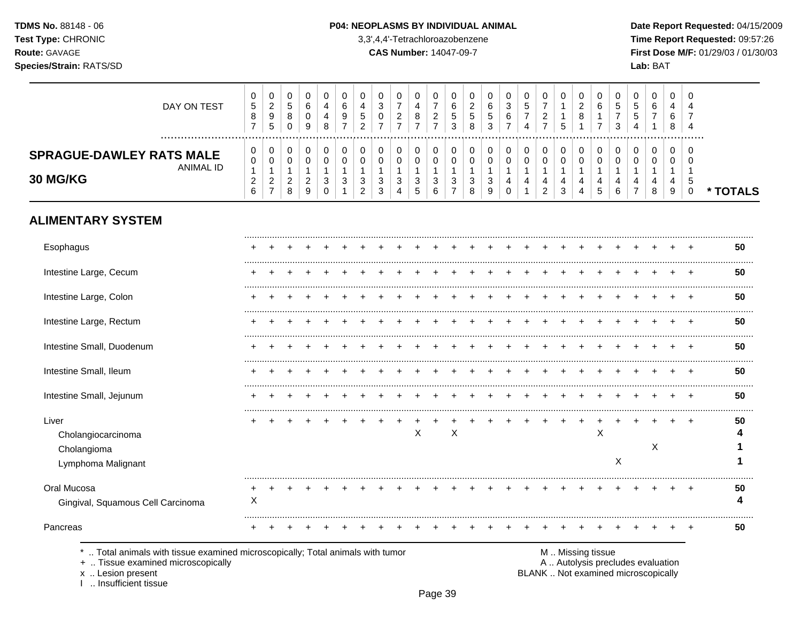### P04: NEOPLASMS BY INDIVIDUAL ANIMAL

3,3',4,4'-Tetrachloroazobenzene

**CAS Number: 14047-09-7** 

Date Report Requested: 04/15/2009 Time Report Requested: 09:57:26 First Dose M/F: 01/29/03 / 01/30/03 Lab: BAT

50

4

 $\mathbf{1}$ 

 $\mathbf{1}$ 

. . . . . . . . .

50

4

. . . . . . . .

50

| DAY ON TEST                                                  | 0<br>$\sqrt{5}$<br>8<br>$\overline{ }$        | 0<br>$\overline{c}$<br>$\boldsymbol{9}$<br>5 | 0<br>5<br>8<br>0              | 0<br>6<br>0<br>9                             | 0<br>4<br>4<br>8        | 0<br>6      | 0<br>4<br>5<br>2 | 0<br>3<br>0      | 0<br>$\overline{7}$<br>2<br>$\overline{ }$ | 0<br>4<br>8<br>$\overline{ }$ | 0<br>$\overline{7}$<br>$\boldsymbol{2}$<br>$\overline{ }$ | 0<br>$\,6$<br>5<br>3          | 0<br>$\overline{c}$<br>5<br>8 | 0<br>6<br>5<br>3 | 0<br>$\ensuremath{\mathsf{3}}$<br>6<br>7 | 0<br>$\sqrt{5}$<br>$\overline{7}$<br>4 | 0<br>$\overline{7}$<br>$\overline{c}$<br>$\overline{7}$ | 0<br>5           | 0<br>$\overline{c}$<br>8 | 0<br>6      | 0<br>5<br>3      | 0<br>5<br>5              | 0<br>6      | 0<br>4<br>6<br>8   | 0                        |          |
|--------------------------------------------------------------|-----------------------------------------------|----------------------------------------------|-------------------------------|----------------------------------------------|-------------------------|-------------|------------------|------------------|--------------------------------------------|-------------------------------|-----------------------------------------------------------|-------------------------------|-------------------------------|------------------|------------------------------------------|----------------------------------------|---------------------------------------------------------|------------------|--------------------------|-------------|------------------|--------------------------|-------------|--------------------|--------------------------|----------|
| <br><b>SPRAGUE-DAWLEY RATS MALE</b><br>ANIMAL ID<br>30 MG/KG | 0<br>0<br>$\mathbf{1}$<br>$\overline{2}$<br>6 | 0<br>0<br>$\frac{2}{7}$                      | 0<br>0<br>$\overline{c}$<br>8 | 0<br>$\mathbf 0$<br>1<br>$\overline{c}$<br>9 | 0<br>0<br>3<br>$\Omega$ | 0<br>0<br>3 | 0<br>3<br>2      | 0<br>0<br>3<br>3 | 0<br>0<br>3<br>4                           | $\pmb{0}$<br>0<br>3<br>5      | 0<br>0<br>1<br>3<br>6                                     | 0<br>0<br>3<br>$\overline{ }$ | 0<br>$\Omega$<br>3<br>8       | 0<br>0<br>3<br>9 | $\pmb{0}$<br>0<br>4<br>$\Omega$          | 0<br>0<br>4<br>1                       | 0<br>0<br>4<br>$\overline{2}$                           | 0<br>0<br>4<br>3 | 0<br>0                   | 0<br>4<br>5 | 0<br>0<br>4<br>6 | 0<br>0<br>$\overline{ }$ | 0<br>0<br>8 | 0<br>$\Omega$<br>9 | 0<br>C<br>5<br>$\pmb{0}$ | * TOTALS |
| <b>ALIMENTARY SYSTEM</b>                                     |                                               |                                              |                               |                                              |                         |             |                  |                  |                                            |                               |                                                           |                               |                               |                  |                                          |                                        |                                                         |                  |                          |             |                  |                          |             |                    |                          |          |
| Esophagus                                                    |                                               |                                              |                               |                                              |                         |             |                  |                  |                                            |                               |                                                           |                               |                               |                  |                                          |                                        |                                                         |                  |                          |             |                  |                          |             |                    |                          | 50       |
| Intestine Large, Cecum                                       |                                               |                                              |                               |                                              |                         |             |                  |                  |                                            |                               |                                                           |                               |                               |                  |                                          |                                        |                                                         |                  |                          |             |                  |                          |             |                    |                          | 50       |
| Intestine Large, Colon                                       |                                               |                                              |                               |                                              |                         |             |                  |                  |                                            |                               |                                                           |                               |                               |                  |                                          |                                        |                                                         |                  |                          |             |                  |                          |             |                    |                          | 50       |
| Intestine Large, Rectum                                      |                                               |                                              |                               |                                              |                         |             |                  |                  |                                            |                               |                                                           |                               |                               |                  |                                          |                                        |                                                         |                  |                          |             |                  |                          |             |                    |                          | 50       |
| Intestine Small, Duodenum                                    |                                               |                                              |                               |                                              |                         |             |                  |                  |                                            |                               |                                                           |                               |                               |                  |                                          |                                        |                                                         |                  |                          |             |                  |                          |             |                    |                          | <br>50   |
| Intestine Small, Ileum                                       |                                               |                                              |                               |                                              |                         |             |                  |                  |                                            |                               |                                                           |                               |                               |                  |                                          |                                        |                                                         |                  |                          |             |                  |                          |             |                    |                          | 50       |
| Intestine Small, Jejunum                                     |                                               |                                              |                               |                                              |                         |             |                  |                  |                                            |                               |                                                           |                               |                               |                  |                                          |                                        |                                                         |                  |                          |             |                  |                          |             |                    | $\pm$                    | 50       |

 $\ddot{+}$  $+$  $\ddot{+}$  $\ddot{+}$  $+$  $+$ 

 $\mathsf{X}$ 

 $\mathsf{X}$ 

 $\overline{+}$  $\ddot{}$  $\ddot{}$ 

Lymphoma Malignant Oral Mucosa Gingival, Squamous Cell Carcinoma

Cholangiocarcinoma

Cholangioma

### Pancreas

Liver

.. Total animals with tissue examined microscopically; Total animals with tumor

 $+$ X

+ .. Tissue examined microscopically

x .. Lesion present

I .. Insufficient tissue

M. Missing tissue

 $+$  $+$  $+$ 

 $\ddot{}$  $+$ 

A .. Autolysis precludes evaluation

 $+$ 

 $\sf X$ 

 $\mathsf{X}$ 

 $\ddot{}$ 

 $\mathsf{X}$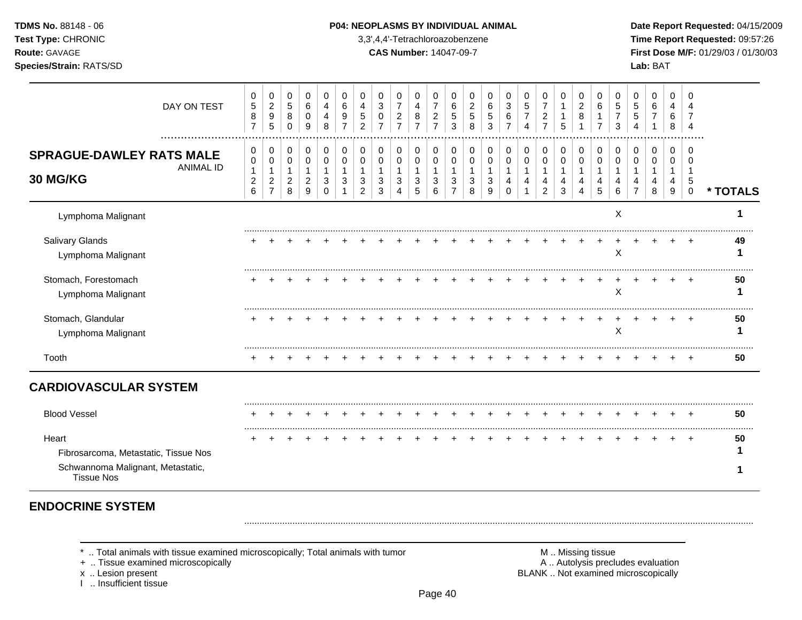| <b>TDMS No. 88148 - 06</b>     | <b>P04: NEOPLASMS BY INDIVIDUAL ANIMAL</b> | Date Repo         |
|--------------------------------|--------------------------------------------|-------------------|
| <b>Test Type: CHRONIC</b>      | 3,3',4,4'-Tetrachloroazobenzene            | Time Rep          |
| <b>Route: GAVAGE</b>           | <b>CAS Number: 14047-09-7</b>              | <b>First Dose</b> |
| <b>Species/Strain: RATS/SD</b> |                                            | Lab: BAT          |

# **P04: NEOPLASMS BY INDIVIDUAL ANIMAL Date Report Requested: 04/15/2009**

**Time Report Requested:** 09:57:26 **Route:** GAVAGE **CAS Number:** 14047-09-7 **First Dose M/F:** 01/29/03 / 01/30/03

| DAY ON TEST                                                                                             | 0<br>5<br>8<br>$\overline{7}$                         | $\mathbf 0$<br>$\boldsymbol{2}$<br>$\boldsymbol{9}$<br>5  | 0<br>$5\,$<br>8<br>$\Omega$                  | 0<br>6<br>0<br>9                   | $\,0\,$<br>$\overline{4}$<br>$\overline{4}$<br>8  | 0<br>$\,6\,$<br>9<br>7                | 0<br>4<br>5<br>$\overline{2}$        | 0<br>3<br>0                  | 0<br>$\overline{7}$<br>2 | 0<br>4<br>8<br>$\overline{7}$   | 0<br>$\overline{7}$<br>$\overline{c}$<br>$\overline{7}$ | $\mathbf 0$<br>$\,6$<br>5<br>3                          | 0<br>$\overline{c}$<br>5<br>8          | 0<br>6<br>5<br>3              | 0<br>3<br>6<br>$\overline{7}$       | $\pmb{0}$<br>5<br>$\overline{7}$<br>$\boldsymbol{\Lambda}$ | 0<br>$\overline{7}$<br>$\overline{2}$<br>$\overline{7}$ | 0<br>$\mathbf{1}$<br>1<br>5      | 0<br>$\sqrt{2}$<br>8                      | 0<br>6<br>7                  | 0<br>5<br>3             | 0<br>5<br>5        | 0<br>6<br>$\overline{7}$     | 0<br>4<br>6<br>8             | 0                        |          |
|---------------------------------------------------------------------------------------------------------|-------------------------------------------------------|-----------------------------------------------------------|----------------------------------------------|------------------------------------|---------------------------------------------------|---------------------------------------|--------------------------------------|------------------------------|--------------------------|---------------------------------|---------------------------------------------------------|---------------------------------------------------------|----------------------------------------|-------------------------------|-------------------------------------|------------------------------------------------------------|---------------------------------------------------------|----------------------------------|-------------------------------------------|------------------------------|-------------------------|--------------------|------------------------------|------------------------------|--------------------------|----------|
| <b>SPRAGUE-DAWLEY RATS MALE</b><br><b>ANIMAL ID</b><br>30 MG/KG                                         | 0<br>$\pmb{0}$<br>$\mathbf{1}$<br>$\overline{c}$<br>6 | 0<br>$\mathbf 0$<br>1<br>$\overline{2}$<br>$\overline{7}$ | 0<br>$\mathbf 0$<br>1<br>$\overline{c}$<br>8 | 0<br>0<br>1<br>$\overline{c}$<br>9 | 0<br>$\mathbf 0$<br>$\mathbf{1}$<br>3<br>$\Omega$ | 0<br>$\mathbf 0$<br>$\mathbf{1}$<br>3 | 0<br>$\Omega$<br>3<br>$\overline{2}$ | 0<br>$\Omega$<br>1<br>3<br>3 | 0<br>$\Omega$<br>3<br>4  | 0<br>$\mathbf 0$<br>1<br>3<br>5 | 0<br>0<br>$\mathbf{1}$<br>3<br>6                        | 0<br>$\mathbf 0$<br>$\mathbf{1}$<br>3<br>$\overline{7}$ | 0<br>$\Omega$<br>$\mathbf 1$<br>3<br>8 | 0<br>$\Omega$<br>-1<br>3<br>9 | 0<br>$\Omega$<br>1<br>4<br>$\Omega$ | 0<br>$\Omega$<br>4                                         | 0<br>$\mathbf 0$<br>$\mathbf{1}$<br>4<br>$\overline{2}$ | 0<br>0<br>$\mathbf{1}$<br>4<br>3 | 0<br>$\mathbf 0$<br>$\mathbf 1$<br>4<br>4 | 0<br>$\Omega$<br>1<br>4<br>5 | 0<br>$\Omega$<br>4<br>6 | 0<br>$\Omega$<br>4 | 0<br>$\Omega$<br>1<br>4<br>8 | 0<br>$\Omega$<br>1<br>4<br>9 | 0<br>∩<br>5<br>$\pmb{0}$ | * TOTALS |
| Lymphoma Malignant                                                                                      |                                                       |                                                           |                                              |                                    |                                                   |                                       |                                      |                              |                          |                                 |                                                         |                                                         |                                        |                               |                                     |                                                            |                                                         |                                  |                                           |                              | X                       |                    |                              |                              |                          |          |
| Salivary Glands<br>Lymphoma Malignant                                                                   |                                                       |                                                           |                                              |                                    |                                                   |                                       |                                      |                              |                          |                                 |                                                         |                                                         |                                        |                               |                                     |                                                            |                                                         |                                  |                                           |                              | X                       |                    |                              |                              |                          | 49       |
| Stomach, Forestomach<br>Lymphoma Malignant                                                              |                                                       |                                                           |                                              |                                    |                                                   |                                       |                                      |                              |                          |                                 |                                                         |                                                         |                                        |                               |                                     |                                                            |                                                         |                                  |                                           |                              | X                       |                    |                              |                              |                          | 50       |
| Stomach, Glandular<br>Lymphoma Malignant                                                                |                                                       |                                                           |                                              |                                    |                                                   |                                       |                                      |                              |                          |                                 |                                                         |                                                         |                                        |                               |                                     |                                                            |                                                         |                                  |                                           |                              | X                       |                    |                              |                              |                          | 50       |
| Tooth                                                                                                   |                                                       |                                                           |                                              |                                    |                                                   |                                       |                                      |                              |                          |                                 |                                                         |                                                         |                                        |                               |                                     |                                                            |                                                         |                                  |                                           |                              |                         |                    |                              |                              |                          | 50       |
| <b>CARDIOVASCULAR SYSTEM</b>                                                                            |                                                       |                                                           |                                              |                                    |                                                   |                                       |                                      |                              |                          |                                 |                                                         |                                                         |                                        |                               |                                     |                                                            |                                                         |                                  |                                           |                              |                         |                    |                              |                              |                          |          |
| <b>Blood Vessel</b>                                                                                     |                                                       |                                                           |                                              |                                    |                                                   |                                       |                                      |                              |                          |                                 |                                                         |                                                         |                                        |                               |                                     |                                                            |                                                         |                                  |                                           |                              |                         |                    |                              |                              |                          | 50       |
| Heart<br>Fibrosarcoma, Metastatic, Tissue Nos<br>Schwannoma Malignant, Metastatic,<br><b>Tissue Nos</b> |                                                       |                                                           |                                              |                                    |                                                   |                                       |                                      |                              |                          |                                 |                                                         |                                                         |                                        |                               |                                     |                                                            |                                                         |                                  |                                           |                              |                         |                    |                              |                              | $\ddot{}$                | 50       |

# **ENDOCRINE SYSTEM**

+ .. Tissue examined microscopically

x .. Lesion present<br>I .. Insufficient tissue

\* .. Total animals with tissue examined microscopically; Total animals with tumor **M** metal metal M .. Missing tissue<br>  $\blacksquare$  A .. Autolysis precludes evaluation<br>
A .. Autolysis precludes evaluation BLANK .. Not examined microscopically

.........................................................................................................................................................................................................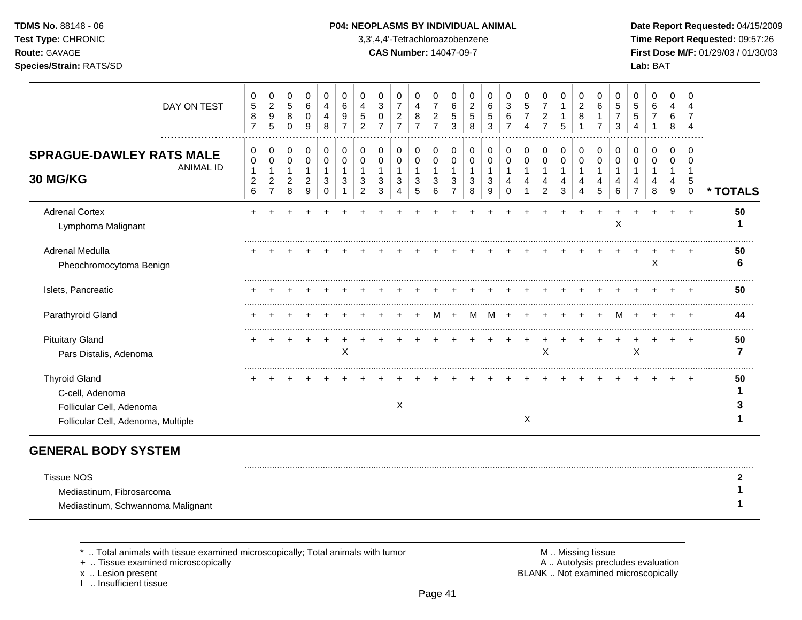# **TDMS No.** 88148 - 06 **P04: NEOPLASMS BY INDIVIDUAL ANIMAL** Date Report Requested: 04/15/2009

**Test Type:** CHRONIC 3,3',4,4'-Tetrachloroazobenzene **Time Report Requested:** 09:57:26 **Route:** GAVAGE **CAS Number:** 14047-09-7 **First Dose M/F:** 01/29/03 / 01/30/03

| DAY ON TEST                                                                                               | 0<br>$\,$ 5 $\,$<br>$\bf8$<br>$\overline{7}$ | 0<br>$\overline{a}$<br>9<br>$\overline{5}$                | 0<br>5<br>8<br>0                                 | 0<br>6<br>0<br>9                              | 0<br>4<br>8             | 0<br>6      | 0<br>4                   | 0<br>3<br>0      | 0<br>$\overline{7}$<br>$\overline{c}$<br>$\overline{ }$ | 0<br>4<br>8      | 0<br>$\overline{7}$<br>$\overline{c}$<br>$\overline{ }$ | 0<br>6<br>$\sqrt{5}$<br>3     | 0<br>$\overline{2}$<br>5<br>8 | 0<br>6<br>5<br>3 | 0<br>3<br>6             | 0<br>5 | 0<br>$\overline{7}$<br>$\overline{2}$<br>$\overline{7}$ | 0<br>1<br>5      | 0<br>$\overline{c}$<br>8 | 0<br>6      | 0<br>5<br>3 | 0<br>5 | 0<br>6      | 0<br>4<br>6<br>8 | <sup>n</sup>          |          |
|-----------------------------------------------------------------------------------------------------------|----------------------------------------------|-----------------------------------------------------------|--------------------------------------------------|-----------------------------------------------|-------------------------|-------------|--------------------------|------------------|---------------------------------------------------------|------------------|---------------------------------------------------------|-------------------------------|-------------------------------|------------------|-------------------------|--------|---------------------------------------------------------|------------------|--------------------------|-------------|-------------|--------|-------------|------------------|-----------------------|----------|
| .<br><b>SPRAGUE-DAWLEY RATS MALE</b><br><b>ANIMAL ID</b><br>30 MG/KG                                      | 0<br>$\,0\,$<br>$\overline{c}$<br>6          | 0<br>$\mathbf 0$<br>1<br>$\overline{c}$<br>$\overline{7}$ | 0<br>$\mathbf 0$<br>$\overline{\mathbf{c}}$<br>8 | 0<br>$\mathbf 0$<br>-1<br>$\overline{c}$<br>9 | 0<br>0<br>3<br>$\Omega$ | 0<br>0<br>3 | 0<br>3<br>$\overline{2}$ | 0<br>0<br>3<br>3 | 0<br>0<br>3<br>4                                        | 0<br>0<br>3<br>5 | 0<br>0<br>1<br>3<br>6                                   | 0<br>0<br>3<br>$\overline{ }$ | 0<br>0<br>3<br>8              | 0<br>0<br>3<br>9 | 0<br>0<br>4<br>$\Omega$ | 0<br>0 | 0<br>0<br>4<br>$\overline{2}$                           | 0<br>0<br>4<br>3 | 0<br>0<br>Δ              | 0<br>0<br>5 | 0<br>6      | 0<br>0 | 0<br>0<br>8 | 0<br>0<br>9      | ∩<br>5<br>$\mathbf 0$ | * TOTALS |
| <b>Adrenal Cortex</b><br>Lymphoma Malignant                                                               |                                              |                                                           |                                                  |                                               |                         |             |                          |                  |                                                         |                  |                                                         |                               |                               |                  |                         |        |                                                         |                  |                          |             | X           |        |             |                  |                       | 50       |
| Adrenal Medulla<br>Pheochromocytoma Benign                                                                |                                              |                                                           |                                                  |                                               |                         |             |                          |                  |                                                         |                  |                                                         |                               |                               |                  |                         |        |                                                         |                  |                          |             |             |        | X           |                  |                       | 50       |
| Islets, Pancreatic                                                                                        |                                              |                                                           |                                                  |                                               |                         |             |                          |                  |                                                         |                  |                                                         |                               |                               |                  |                         |        |                                                         |                  |                          |             |             |        |             |                  |                       | 50       |
| Parathyroid Gland                                                                                         |                                              |                                                           |                                                  |                                               |                         |             |                          |                  |                                                         |                  |                                                         |                               |                               |                  |                         |        |                                                         |                  |                          |             |             |        |             |                  |                       | 44       |
| <b>Pituitary Gland</b><br>Pars Distalis, Adenoma                                                          |                                              |                                                           |                                                  |                                               |                         | X           |                          |                  |                                                         |                  |                                                         |                               |                               |                  |                         |        | X                                                       |                  |                          |             |             | X      |             |                  |                       | 50       |
| <b>Thyroid Gland</b><br>C-cell, Adenoma<br>Follicular Cell, Adenoma<br>Follicular Cell, Adenoma, Multiple |                                              |                                                           |                                                  |                                               |                         |             |                          |                  | X                                                       |                  |                                                         |                               |                               |                  |                         | X      |                                                         |                  |                          |             |             |        |             |                  |                       | 50       |

# **GENERAL BODY SYSTEM**

| <b>Tissue NOS</b>                 |  |
|-----------------------------------|--|
| Mediastinum, Fibrosarcoma         |  |
| Mediastinum, Schwannoma Malignant |  |

+ .. Tissue examined microscopically

x .. Lesion present<br>I .. Insufficient tissue

\* .. Total animals with tissue examined microscopically; Total animals with tumor **M** metally more than M .. Missing tissue<br>  $\blacksquare$  Tissue examined microscopically BLANK .. Not examined microscopically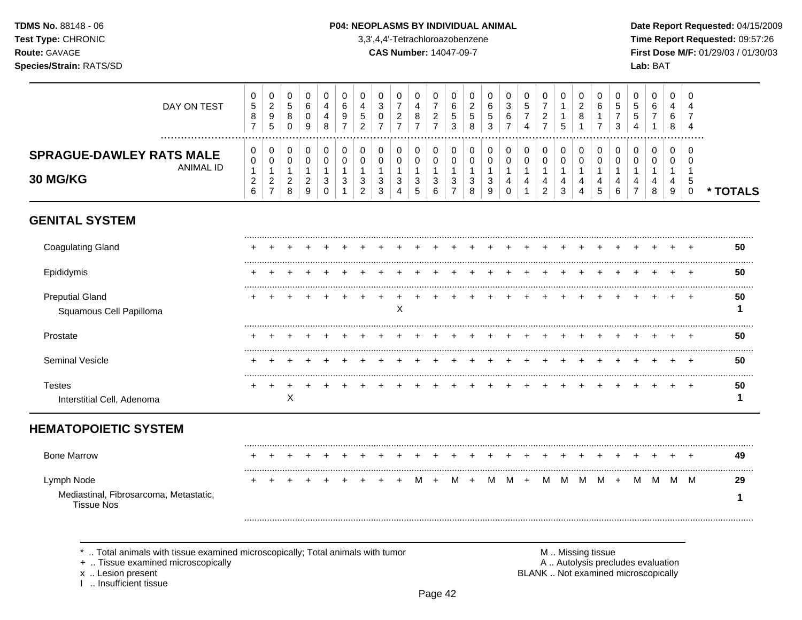#### P04: NEOPLASMS BY INDIVIDUAL ANIMAL

3,3',4,4'-Tetrachloroazobenzene

**CAS Number: 14047-09-7** 

Date Report Requested: 04/15/2009 Time Report Requested: 09:57:26 First Dose M/F: 01/29/03 / 01/30/03 Lab: BAT

| DAY ON TEST                                                                  | 0<br>$\sqrt{5}$<br>$\,8\,$<br>$\overline{7}$                     | 0<br>$\boldsymbol{2}$<br>$\boldsymbol{9}$<br>5             | 0<br>$\,$ 5 $\,$<br>8<br>$\mathbf 0$                    | 0<br>6<br>0<br>9                              | $\mathbf 0$<br>4<br>4<br>8                           | 0<br>6<br>9<br>$\overline{7}$ | 0<br>4<br>5<br>$\overline{2}$      | 0<br>3<br>0             | 0<br>$\overline{7}$<br>$\overline{c}$<br>$\overline{7}$ | 0<br>4<br>8<br>$\overline{7}$             | 0<br>$\overline{7}$<br>$\sqrt{2}$<br>$\overline{7}$ | 0<br>6<br>5<br>3                   | 0<br>2<br>$\sqrt{5}$<br>8        | 0<br>6<br>5<br>3                | 0<br>$\sqrt{3}$<br>$\,6\,$<br>$\overline{7}$ | 0<br>$\sqrt{5}$<br>$\overline{7}$<br>4                | 0<br>$\overline{7}$<br>$\sqrt{2}$<br>$\overline{7}$ | 0<br>1<br>$\mathbf{1}$<br>5                | 0<br>$\overline{c}$<br>8        | 0<br>6<br>-1     | 0<br>5<br>$\overline{7}$<br>3 | 0<br>$\sqrt{5}$<br>5                    | 0<br>6<br>$\overline{7}$<br>1     | 0<br>4<br>6<br>8                           | $\Omega$<br>4<br>7<br>4                      |          |
|------------------------------------------------------------------------------|------------------------------------------------------------------|------------------------------------------------------------|---------------------------------------------------------|-----------------------------------------------|------------------------------------------------------|-------------------------------|------------------------------------|-------------------------|---------------------------------------------------------|-------------------------------------------|-----------------------------------------------------|------------------------------------|----------------------------------|---------------------------------|----------------------------------------------|-------------------------------------------------------|-----------------------------------------------------|--------------------------------------------|---------------------------------|------------------|-------------------------------|-----------------------------------------|-----------------------------------|--------------------------------------------|----------------------------------------------|----------|
| <br><b>SPRAGUE-DAWLEY RATS MALE</b><br><b>ANIMAL ID</b><br>30 MG/KG          | 0<br>$\mathbf 0$<br>$\mathbf{1}$<br>$\sqrt{2}$<br>$6\phantom{1}$ | 0<br>0<br>$\mathbf{1}$<br>$\overline{a}$<br>$\overline{7}$ | 0<br>$\mathbf 0$<br>$\mathbf{1}$<br>$\overline{c}$<br>8 | 0<br>0<br>$\mathbf{1}$<br>$\overline{c}$<br>9 | 0<br>$\mathbf 0$<br>$\mathbf{1}$<br>3<br>$\mathbf 0$ | 0<br>$\mathbf 0$<br>-1<br>3   | 0<br>0<br>1<br>3<br>$\overline{2}$ | 0<br>$\Omega$<br>3<br>3 | 0<br>$\mathbf 0$<br>3<br>4                              | 0<br>$\mathbf 0$<br>$\mathbf 1$<br>3<br>5 | 0<br>$\mathbf 0$<br>$\mathbf{1}$<br>3<br>6          | 0<br>0<br>1<br>3<br>$\overline{7}$ | 0<br>0<br>$\mathbf{1}$<br>3<br>8 | 0<br>$\mathbf 0$<br>1<br>3<br>9 | 0<br>$\mathbf 0$<br>1<br>4<br>$\mathbf 0$    | 0<br>$\mathsf{O}$<br>$\mathbf 1$<br>4<br>$\mathbf{1}$ | 0<br>$\mathsf 0$<br>1<br>4<br>$\overline{2}$        | 0<br>$\mathbf 0$<br>$\mathbf{1}$<br>4<br>3 | 0<br>$\mathbf 0$<br>1<br>4<br>4 | 0<br>0<br>4<br>5 | 0<br>$\Omega$<br>1<br>4<br>6  | 0<br>$\mathbf 0$<br>4<br>$\overline{7}$ | 0<br>$\mathbf{0}$<br>-1<br>4<br>8 | 0<br>$\mathbf 0$<br>$\mathbf{1}$<br>4<br>9 | $\Omega$<br>$\Omega$<br>-1<br>5<br>$\pmb{0}$ | * TOTALS |
| <b>GENITAL SYSTEM</b>                                                        |                                                                  |                                                            |                                                         |                                               |                                                      |                               |                                    |                         |                                                         |                                           |                                                     |                                    |                                  |                                 |                                              |                                                       |                                                     |                                            |                                 |                  |                               |                                         |                                   |                                            |                                              |          |
| <b>Coagulating Gland</b>                                                     |                                                                  |                                                            |                                                         |                                               |                                                      |                               |                                    |                         |                                                         |                                           |                                                     |                                    |                                  |                                 |                                              |                                                       |                                                     |                                            |                                 |                  |                               |                                         |                                   |                                            |                                              | 50       |
| Epididymis                                                                   |                                                                  |                                                            |                                                         |                                               |                                                      |                               |                                    |                         |                                                         |                                           |                                                     |                                    |                                  |                                 |                                              |                                                       |                                                     |                                            |                                 |                  |                               |                                         |                                   |                                            |                                              | 50       |
| <b>Preputial Gland</b><br>Squamous Cell Papilloma                            |                                                                  |                                                            |                                                         |                                               |                                                      |                               |                                    |                         | X                                                       |                                           |                                                     |                                    |                                  |                                 |                                              |                                                       |                                                     |                                            |                                 |                  |                               |                                         |                                   |                                            |                                              | 50<br>1  |
| Prostate                                                                     |                                                                  |                                                            |                                                         |                                               |                                                      |                               |                                    |                         |                                                         |                                           |                                                     |                                    |                                  |                                 |                                              |                                                       |                                                     |                                            |                                 |                  |                               |                                         |                                   |                                            |                                              | 50       |
| Seminal Vesicle                                                              |                                                                  |                                                            |                                                         |                                               |                                                      |                               |                                    |                         |                                                         |                                           |                                                     |                                    |                                  |                                 |                                              |                                                       |                                                     |                                            |                                 |                  |                               |                                         |                                   |                                            |                                              | 50       |
| <b>Testes</b><br>Interstitial Cell, Adenoma                                  |                                                                  |                                                            | $\sf X$                                                 |                                               |                                                      |                               |                                    |                         |                                                         |                                           |                                                     |                                    |                                  |                                 |                                              |                                                       |                                                     |                                            |                                 |                  |                               |                                         |                                   |                                            |                                              | 50<br>1  |
| <b>HEMATOPOIETIC SYSTEM</b>                                                  |                                                                  |                                                            |                                                         |                                               |                                                      |                               |                                    |                         |                                                         |                                           |                                                     |                                    |                                  |                                 |                                              |                                                       |                                                     |                                            |                                 |                  |                               |                                         |                                   |                                            |                                              |          |
| <b>Bone Marrow</b>                                                           |                                                                  |                                                            |                                                         |                                               |                                                      |                               |                                    |                         |                                                         |                                           |                                                     |                                    |                                  |                                 |                                              |                                                       |                                                     |                                            |                                 |                  |                               |                                         |                                   |                                            |                                              | 49       |
| Lymph Node<br>Mediastinal, Fibrosarcoma, Metastatic,<br><b>Tissue Nos</b>    |                                                                  |                                                            |                                                         |                                               |                                                      |                               |                                    |                         |                                                         | M                                         |                                                     | м                                  |                                  | м                               | M                                            | $+$                                                   | M                                                   | M                                          | M                               | M                | $+$                           | м                                       | M                                 | M                                          | M                                            | 29<br>1  |
| Total animals with tissue examined microscopically: Total animals with tumor |                                                                  |                                                            |                                                         |                                               |                                                      |                               |                                    |                         |                                                         |                                           |                                                     |                                    |                                  |                                 |                                              |                                                       |                                                     |                                            |                                 | M Missing tissue |                               |                                         |                                   |                                            |                                              |          |

+ .. Tissue examined microscopically

x .. Lesion present<br>I .. Insufficient tissue

A .. Autolysis precludes evaluation BLANK .. Not examined microscopically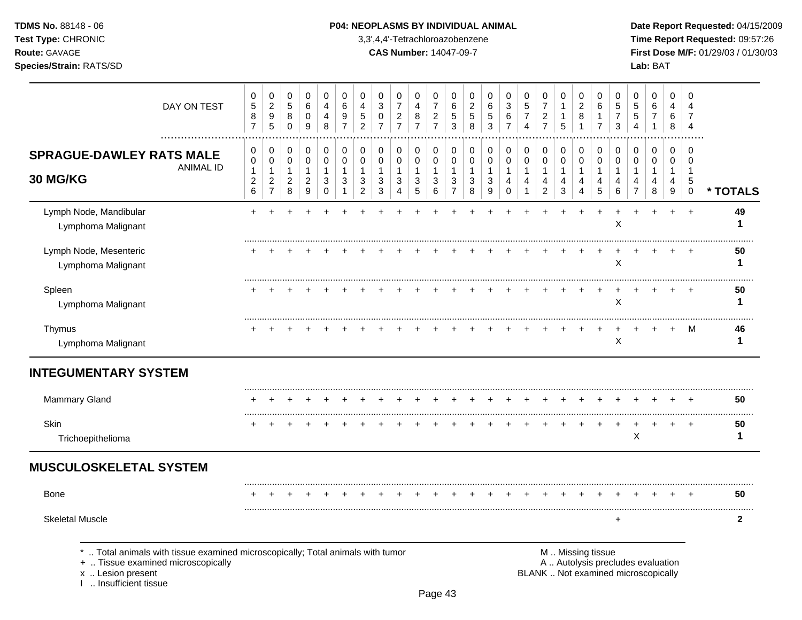# **TDMS No.** 88148 - 06 **P04: NEOPLASMS BY INDIVIDUAL ANIMAL** Date Report Requested: 04/15/2009

**Test Type:** CHRONIC 3,3',4,4'-Tetrachloroazobenzene **Time Report Requested:** 09:57:26 **Route:** GAVAGE **CAS Number:** 14047-09-7 **First Dose M/F:** 01/29/03 / 01/30/03

|                                                                                                                                                                   | 0                                                | 0                                                                          | 0                                                             | 0                                                               | $\mathbf 0$                                          | 0                                       | 0                                                         | 0                                                    | 0                                                           | 0                                                            | 0                                                    | 0                                                                            | 0                        | 0                                                                 | 0                                                          | 0                                                        | 0                                                             | 0                                                    | 0                                                    | 0                                       | 0                                                 | 0                                                                        | 0                                                | 0                                                         | $\Omega$                                          |              |
|-------------------------------------------------------------------------------------------------------------------------------------------------------------------|--------------------------------------------------|----------------------------------------------------------------------------|---------------------------------------------------------------|-----------------------------------------------------------------|------------------------------------------------------|-----------------------------------------|-----------------------------------------------------------|------------------------------------------------------|-------------------------------------------------------------|--------------------------------------------------------------|------------------------------------------------------|------------------------------------------------------------------------------|--------------------------|-------------------------------------------------------------------|------------------------------------------------------------|----------------------------------------------------------|---------------------------------------------------------------|------------------------------------------------------|------------------------------------------------------|-----------------------------------------|---------------------------------------------------|--------------------------------------------------------------------------|--------------------------------------------------|-----------------------------------------------------------|---------------------------------------------------|--------------|
| DAY ON TEST                                                                                                                                                       | $\sqrt{5}$<br>8<br>$\overline{7}$                | $\boldsymbol{2}$<br>$\mathsf g$<br>$\overline{5}$                          | $\sqrt{5}$<br>8<br>$\mathbf 0$                                | $\,6$<br>0<br>9                                                 | 4<br>$\overline{4}$<br>8                             | $\,6$<br>9<br>$\overline{7}$            | 4<br>$\sqrt{5}$<br>$\overline{c}$                         | 3<br>$\mathbf 0$<br>7                                | $\overline{7}$<br>$\overline{2}$<br>$\overline{7}$          | 4<br>8<br>$\overline{7}$                                     | $\boldsymbol{7}$<br>$\overline{c}$<br>$\overline{7}$ | 6<br>5<br>3                                                                  | $\overline{c}$<br>5<br>8 | $\,6$<br>$\sqrt{5}$<br>3                                          | 3<br>6<br>7                                                | $\sqrt{5}$<br>$\overline{7}$<br>$\overline{A}$           | $\boldsymbol{7}$<br>$\overline{c}$<br>$\overline{7}$          | $\mathbf{1}$<br>$\mathbf{1}$<br>5                    | $\boldsymbol{2}$<br>8                                | 6<br>1<br>$\overline{7}$                | $\sqrt{5}$<br>$\overline{7}$<br>3                 | 5<br>5                                                                   | $\,6$<br>$\overline{7}$                          | 4<br>6<br>8                                               | 4<br>7<br>4                                       |              |
| <b>SPRAGUE-DAWLEY RATS MALE</b><br><b>ANIMAL ID</b><br>30 MG/KG                                                                                                   | 0<br>$\mathbf 0$<br>1<br>$\overline{c}$<br>$\,6$ | $\pmb{0}$<br>$\pmb{0}$<br>$\mathbf{1}$<br>$\overline{c}$<br>$\overline{7}$ | 0<br>$\mathbf 0$<br>$\mathbf{1}$<br>$\overline{2}$<br>$\,8\,$ | $\pmb{0}$<br>$\mathsf 0$<br>$\mathbf{1}$<br>$\overline{2}$<br>9 | $\mathbf 0$<br>$\mathbf 0$<br>$\mathbf{1}$<br>3<br>0 | 0<br>$\pmb{0}$<br>$\mathbf 1$<br>3<br>1 | $\pmb{0}$<br>$\pmb{0}$<br>$\mathbf{1}$<br>3<br>$\sqrt{2}$ | $\mathbf 0$<br>$\mathbf 0$<br>$\mathbf{1}$<br>3<br>3 | $\,0\,$<br>$\pmb{0}$<br>$\mathbf{1}$<br>3<br>$\overline{4}$ | 0<br>$\pmb{0}$<br>$\mathbf{1}$<br>$\mathbf{3}$<br>$\sqrt{5}$ | $\pmb{0}$<br>$\mathsf 0$<br>1<br>3<br>6              | $\mathbf 0$<br>$\mathbf 0$<br>$\mathbf{1}$<br>$\mathbf{3}$<br>$\overline{7}$ | 0<br>0<br>1<br>3<br>8    | $\pmb{0}$<br>$\mathbf 0$<br>$\mathbf{1}$<br>3<br>$\boldsymbol{9}$ | $\mathbf 0$<br>$\mathbf 0$<br>$\mathbf 1$<br>4<br>$\Omega$ | $\,0\,$<br>$\pmb{0}$<br>$\mathbf{1}$<br>4<br>$\mathbf 1$ | $\mathbf 0$<br>$\mathbf 0$<br>$\mathbf{1}$<br>4<br>$\sqrt{2}$ | $\mathbf 0$<br>$\mathsf 0$<br>1<br>4<br>$\mathbf{3}$ | $\mathbf 0$<br>$\mathbf 0$<br>$\mathbf{1}$<br>4<br>4 | 0<br>$\pmb{0}$<br>$\mathbf 1$<br>4<br>5 | $\pmb{0}$<br>$\mathbf 0$<br>$\mathbf 1$<br>4<br>6 | $\mathbf 0$<br>$\mathbf 0$<br>$\mathbf 1$<br>4<br>$\overline{7}$         | $\pmb{0}$<br>$\pmb{0}$<br>$\mathbf{1}$<br>4<br>8 | $\mathbf 0$<br>0<br>$\mathbf{1}$<br>4<br>$\boldsymbol{9}$ | $\Omega$<br>0<br>$\overline{1}$<br>5<br>$\pmb{0}$ | * TOTALS     |
| Lymph Node, Mandibular<br>Lymphoma Malignant                                                                                                                      |                                                  |                                                                            |                                                               |                                                                 |                                                      |                                         |                                                           |                                                      |                                                             |                                                              |                                                      |                                                                              |                          |                                                                   |                                                            |                                                          |                                                               |                                                      |                                                      | ÷                                       | ÷<br>X                                            | ÷                                                                        |                                                  | $\ddot{}$                                                 | $\overline{+}$                                    | 49<br>1      |
| Lymph Node, Mesenteric<br>Lymphoma Malignant                                                                                                                      |                                                  |                                                                            |                                                               |                                                                 |                                                      |                                         |                                                           |                                                      |                                                             |                                                              |                                                      |                                                                              |                          |                                                                   |                                                            |                                                          |                                                               |                                                      |                                                      |                                         | X                                                 |                                                                          |                                                  |                                                           |                                                   | 50<br>1      |
| Spleen<br>Lymphoma Malignant                                                                                                                                      |                                                  |                                                                            |                                                               |                                                                 |                                                      |                                         |                                                           |                                                      |                                                             |                                                              |                                                      |                                                                              |                          |                                                                   |                                                            |                                                          |                                                               |                                                      |                                                      |                                         | Х                                                 |                                                                          |                                                  |                                                           |                                                   | 50<br>1      |
| Thymus<br>Lymphoma Malignant                                                                                                                                      |                                                  |                                                                            |                                                               |                                                                 |                                                      |                                         |                                                           |                                                      |                                                             |                                                              |                                                      |                                                                              |                          |                                                                   |                                                            |                                                          |                                                               |                                                      |                                                      |                                         | $\mathsf X$                                       |                                                                          |                                                  |                                                           | M                                                 | 46<br>1      |
| <b>INTEGUMENTARY SYSTEM</b>                                                                                                                                       |                                                  |                                                                            |                                                               |                                                                 |                                                      |                                         |                                                           |                                                      |                                                             |                                                              |                                                      |                                                                              |                          |                                                                   |                                                            |                                                          |                                                               |                                                      |                                                      |                                         |                                                   |                                                                          |                                                  |                                                           |                                                   |              |
| <b>Mammary Gland</b>                                                                                                                                              |                                                  |                                                                            |                                                               |                                                                 |                                                      |                                         |                                                           |                                                      |                                                             |                                                              |                                                      |                                                                              |                          |                                                                   |                                                            |                                                          |                                                               |                                                      |                                                      |                                         |                                                   |                                                                          |                                                  |                                                           |                                                   | 50           |
| Skin<br>Trichoepithelioma                                                                                                                                         |                                                  |                                                                            |                                                               |                                                                 |                                                      |                                         |                                                           |                                                      |                                                             |                                                              |                                                      |                                                                              |                          |                                                                   |                                                            |                                                          |                                                               |                                                      |                                                      |                                         |                                                   | X                                                                        |                                                  |                                                           |                                                   | 50<br>1      |
| <b>MUSCULOSKELETAL SYSTEM</b>                                                                                                                                     |                                                  |                                                                            |                                                               |                                                                 |                                                      |                                         |                                                           |                                                      |                                                             |                                                              |                                                      |                                                                              |                          |                                                                   |                                                            |                                                          |                                                               |                                                      |                                                      |                                         |                                                   |                                                                          |                                                  |                                                           |                                                   |              |
| <b>Bone</b>                                                                                                                                                       |                                                  |                                                                            |                                                               |                                                                 |                                                      |                                         |                                                           |                                                      |                                                             |                                                              |                                                      |                                                                              |                          |                                                                   |                                                            |                                                          |                                                               |                                                      |                                                      |                                         |                                                   |                                                                          |                                                  |                                                           |                                                   | 50           |
| <b>Skeletal Muscle</b>                                                                                                                                            |                                                  |                                                                            |                                                               |                                                                 |                                                      |                                         |                                                           |                                                      |                                                             |                                                              |                                                      |                                                                              |                          |                                                                   |                                                            |                                                          |                                                               |                                                      |                                                      |                                         | ÷                                                 |                                                                          |                                                  |                                                           |                                                   | $\mathbf{2}$ |
| Total animals with tissue examined microscopically; Total animals with tumor<br>+  Tissue examined microscopically<br>x  Lesion present<br>I  Insufficient tissue |                                                  |                                                                            |                                                               |                                                                 |                                                      |                                         |                                                           |                                                      |                                                             |                                                              |                                                      |                                                                              |                          |                                                                   |                                                            |                                                          |                                                               | M  Missing tissue                                    |                                                      |                                         |                                                   | A  Autolysis precludes evaluation<br>BLANK  Not examined microscopically |                                                  |                                                           |                                                   |              |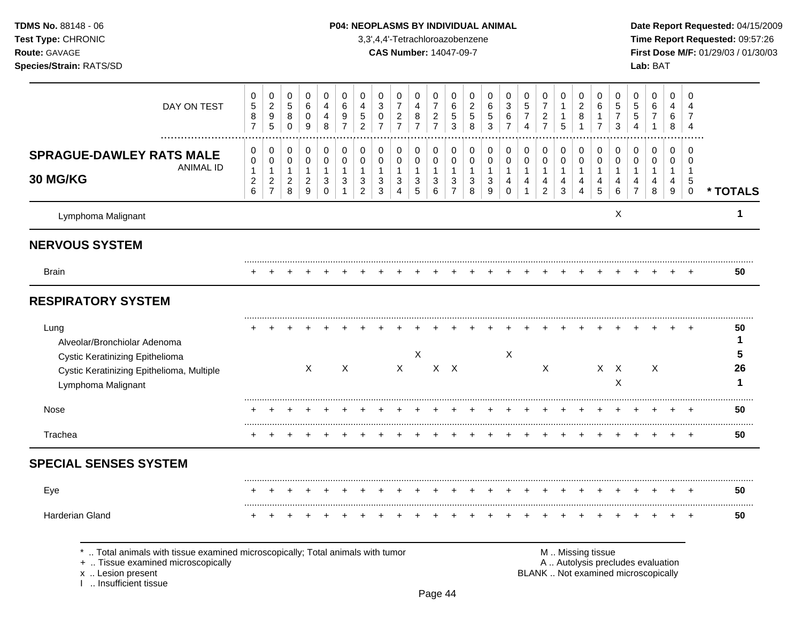Lymphoma Malignant X **1 NERVOUS SYSTEM** ......................................................................................................................................................................................................... Brain + + + + + + + + + + + + + + + + + + + + + + + + + **50 RESPIRATORY SYSTEM** ......................................................................................................................................................................................................... Lung + + + + + + + + + + + + + + + + + + + + + + + + + **50** Alveolar/Bronchiolar Adenoma **1** Cystic Keratinizing Epithelioma X X **5** Cystic Keratinizing Epithelioma, Multiple X X X X X X X X X **26** Lymphoma Malignant X **1** ......................................................................................................................................................................................................... Nose + + + + + + + + + + + + + + + + + + + + + + + + + **50** ......................................................................................................................................................................................................... Trachea + + + + + + + + + + + + + + + + + + + + + + + + + **50 SPECIAL SENSES SYSTEM** ......................................................................................................................................................................................................... Eye + + + + + + + + + + + + + + + + + + + + + + + + + **50** ......................................................................................................................................................................................................... Harderian Gland + + + + + + + + + + + + + + + + + + + + + + + + + **50 TDMS No.** 88148 - 06 **P04: NEOPLASMS BY INDIVIDUAL ANIMAL** Date Report Requested: 04/15/2009 **Test Type:** CHRONIC 3,3',4,4'-Tetrachloroazobenzene **Time Report Requested:** 09:57:26 **Route:** GAVAGE **CAS Number:** 14047-09-7 **First Dose M/F:** 01/29/03 / 01/30/03 **Species/Strain:** RATS/SD **Lab:** BAT DAY ON TEST  $\overline{2}$   $\overline{7}$   $\Omega$  ................................................................................................................................................................. **SPRAGUE-DAWLEY RATS MALE** ANIMAL ID **30 MG/KG \* TOTALS** \* .. Total animals with tissue examined microscopically; Total animals with tumor  $\blacksquare$  M .. Missing tissue<br>A .. Autolysis precling the microscopically A .. Autolysis precludes evaluation x .. Lesion present **BLANK** .. Not examined microscopically

I .. Insufficient tissue

Page 44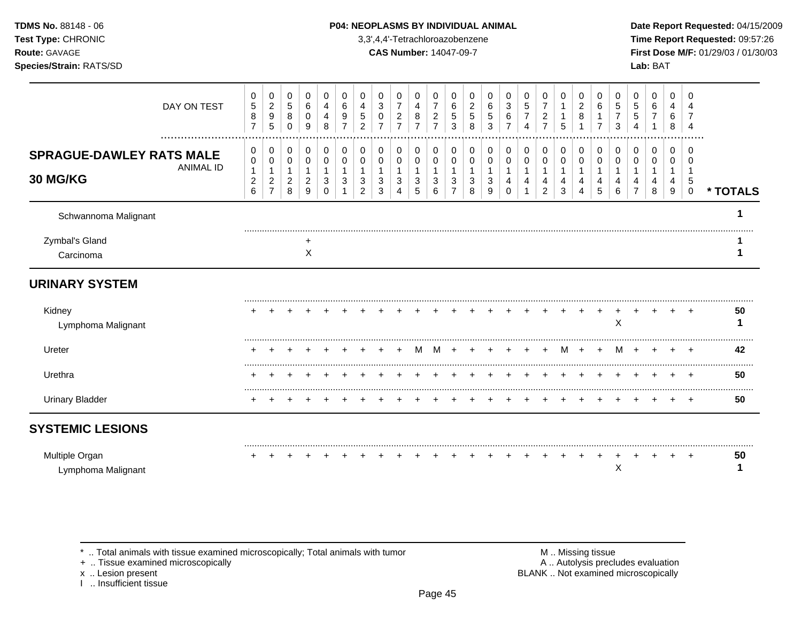| <b>TDMS No. 88148 - 06</b>     | <b>P04: NEOPLASMS BY INDIVIDUAL ANIMAL</b> | Date Rep         |
|--------------------------------|--------------------------------------------|------------------|
| <b>Test Type: CHRONIC</b>      | 3,3',4,4'-Tetrachloroazobenzene            | Time Rep         |
| <b>Route: GAVAGE</b>           | <b>CAS Number: 14047-09-7</b>              | <b>First Dos</b> |
| <b>Species/Strain: RATS/SD</b> |                                            | <b>Lab: BAT</b>  |

# **P04: NEOPLASMS BY INDIVIDUAL ANIMAL Date Report Requested: 04/15/2009**

**Time Report Requested:** 09:57:26 **CAS Number:** 14047-09-7 **First Dose M/F:** 01/29/03 / 01/30/03

|                                             | DAY ON TEST      | 0<br>$\mathbf 5$<br>8<br>$\overline{7}$       | $\mathbf 0$<br>$\overline{c}$<br>$\boldsymbol{9}$<br>$\overline{5}$ | 0<br>$\sqrt{5}$<br>8<br>$\mathbf 0$        | 0<br>6<br>$\mathbf 0$<br>9                                      | 0<br>4<br>4<br>8                | 0<br>6<br>9 | 0<br>5<br>2                   | 0<br>3<br>0<br>$\overline{7}$ | 0<br>$\overline{7}$<br>$\overline{c}$<br>$\overline{7}$ | 0<br>4<br>8<br>$\overline{7}$        | 0<br>$\overline{7}$<br>$\overline{c}$<br>7 | 0<br>6<br>5<br>3              | 0<br>2<br>5<br>8 | 0<br>6<br>5<br>3 | 0<br>3<br>$\,6$<br>7 | 0<br>$\sqrt{5}$<br>$\overline{7}$<br>4 | 0<br>$\overline{7}$<br>$\overline{c}$<br>$\overline{7}$ | 0<br>1<br>5                     | 0<br>$\overline{c}$<br>8 | 0<br>6           | 0<br>5<br>3 | 0<br>5<br>5      | 0<br>6<br>$\overline{7}$ | 0<br>4<br>6<br>8 | 0<br>4                           |          |
|---------------------------------------------|------------------|-----------------------------------------------|---------------------------------------------------------------------|--------------------------------------------|-----------------------------------------------------------------|---------------------------------|-------------|-------------------------------|-------------------------------|---------------------------------------------------------|--------------------------------------|--------------------------------------------|-------------------------------|------------------|------------------|----------------------|----------------------------------------|---------------------------------------------------------|---------------------------------|--------------------------|------------------|-------------|------------------|--------------------------|------------------|----------------------------------|----------|
| <b>SPRAGUE-DAWLEY RATS MALE</b><br>30 MG/KG | <b>ANIMAL ID</b> | 0<br>0<br>$\mathbf{1}$<br>$\overline{c}$<br>6 | 0<br>$\,0\,$<br>1<br>$\overline{c}$<br>$\overline{7}$               | 0<br>$\pmb{0}$<br>1<br>$\overline{a}$<br>8 | $\pmb{0}$<br>$\mathbf 0$<br>$\mathbf{1}$<br>$\overline{c}$<br>9 | 0<br>0<br>$\mathbf 1$<br>3<br>0 | 0<br>0<br>3 | 0<br>0<br>3<br>$\overline{c}$ | 0<br>0<br>3<br>3              | 0<br>0<br>3<br>4                                        | $\mathbf 0$<br>$\mathbf 0$<br>3<br>5 | 0<br>0<br>$\mathbf 1$<br>3<br>6            | 0<br>0<br>3<br>$\overline{7}$ | 0<br>0<br>3<br>8 | 0<br>0<br>3<br>9 | 0<br>0<br>$\Omega$   | 0<br>0<br>4                            | 0<br>0<br>1<br>4<br>$\overline{2}$                      | 0<br>$\mathbf 0$<br>1<br>4<br>3 | 0<br>$\,0\,$<br>4<br>4   | 0<br>0<br>4<br>5 | 0<br>0<br>6 | $\mathbf 0$<br>0 | 0<br>0<br>8              | 0<br>0<br>4<br>9 | 0<br>0<br>-1<br>5<br>$\mathbf 0$ | * TOTALS |
| Schwannoma Malignant                        |                  |                                               |                                                                     |                                            |                                                                 |                                 |             |                               |                               |                                                         |                                      |                                            |                               |                  |                  |                      |                                        |                                                         |                                 |                          |                  |             |                  |                          |                  |                                  |          |
| Zymbal's Gland<br>Carcinoma                 |                  |                                               |                                                                     |                                            | $\ddot{}$<br>X                                                  |                                 |             |                               |                               |                                                         |                                      |                                            |                               |                  |                  |                      |                                        |                                                         |                                 |                          |                  |             |                  |                          |                  |                                  |          |
| <b>URINARY SYSTEM</b>                       |                  |                                               |                                                                     |                                            |                                                                 |                                 |             |                               |                               |                                                         |                                      |                                            |                               |                  |                  |                      |                                        |                                                         |                                 |                          |                  |             |                  |                          |                  |                                  |          |
| Kidney<br>Lymphoma Malignant                |                  |                                               |                                                                     |                                            |                                                                 |                                 |             |                               |                               |                                                         |                                      |                                            |                               |                  |                  |                      |                                        |                                                         |                                 |                          |                  | Χ           |                  |                          |                  |                                  | 50       |
| Ureter                                      |                  |                                               |                                                                     |                                            |                                                                 |                                 |             |                               |                               |                                                         |                                      |                                            |                               |                  |                  |                      |                                        |                                                         | M                               |                          |                  | м           |                  |                          |                  |                                  | <br>42   |
| Urethra                                     |                  |                                               |                                                                     |                                            |                                                                 |                                 |             |                               |                               |                                                         |                                      |                                            |                               |                  |                  |                      |                                        |                                                         |                                 |                          |                  |             |                  |                          |                  |                                  | 50       |
| <b>Urinary Bladder</b>                      |                  |                                               |                                                                     |                                            |                                                                 |                                 |             |                               |                               |                                                         |                                      |                                            |                               |                  |                  |                      |                                        |                                                         |                                 |                          |                  |             |                  |                          |                  | $^+$                             | 50       |
| <b>SYSTEMIC LESIONS</b>                     |                  |                                               |                                                                     |                                            |                                                                 |                                 |             |                               |                               |                                                         |                                      |                                            |                               |                  |                  |                      |                                        |                                                         |                                 |                          |                  |             |                  |                          |                  |                                  |          |
| Multiple Organ<br>Lymphoma Malignant        |                  |                                               |                                                                     |                                            |                                                                 |                                 |             |                               |                               |                                                         |                                      |                                            |                               |                  |                  |                      |                                        |                                                         |                                 |                          |                  | X           |                  |                          |                  |                                  | 50       |

 $*$  .. Total animals with tissue examined microscopically; Total animals with tumor  $\blacksquare$  M .. Missing tissue

x .. Lesion present<br>I .. Insufficient tissue

+ .. Tissue examined microscopically  $\blacksquare$  A .. Autolysis precludes evaluation M .. Missing tissue<br>A .. Autolysis precludes evaluation<br>BLANK .. Not examined microscopically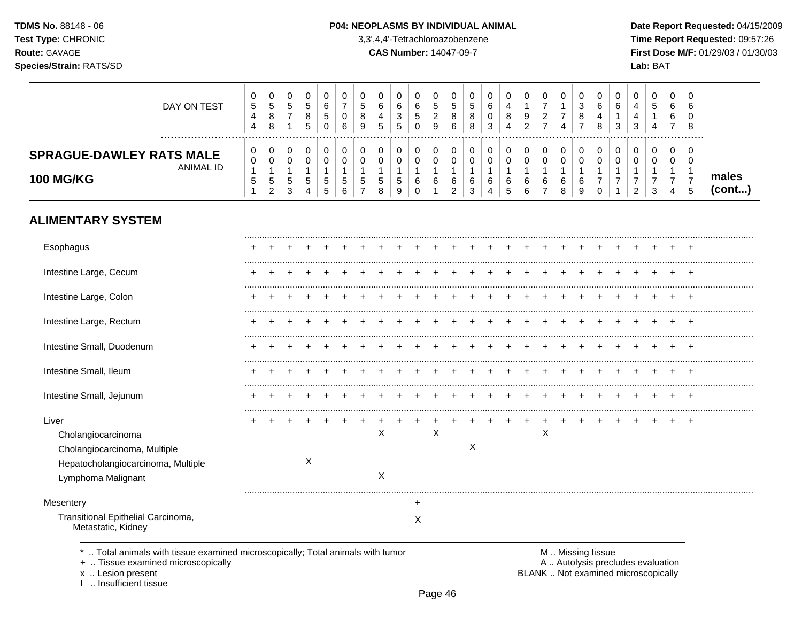### P04: NEOPLASMS BY INDIVIDUAL ANIMAL

3,3',4,4'-Tetrachloroazobenzene

**CAS Number: 14047-09-7** 

Date Report Requested: 04/15/2009 Time Report Requested: 09:57:26 First Dose M/F: 01/29/03 / 01/30/03 Lab: BAT

| DAY ON TEST                                                             | 0<br>5<br>4<br>4 | ັ<br>5<br>8<br>8      | ັ<br><sub>5</sub>      | 5<br><sub>5</sub> | υ<br>6<br>đ<br>O                        | υ<br>6 | J<br>8<br>9              | υ<br>⌒<br>ь<br>$\overline{a}$<br>IJ | 0<br>6<br>3<br><sub>5</sub> | U<br>6<br>C.<br>0 | υ<br>đ<br>∼<br>9 | ν<br>ັບ<br>ັບ<br>6 | J<br>o<br>8 | 6<br>3 | 0<br>9<br>റ<br>_ |   | v<br>4           | $\epsilon$<br>đ<br>8 | υ<br>6<br>4<br>8 | 6<br>ີ<br>ບ | ◡<br>-2<br>$\overline{\phantom{a}}$ | υ<br>∽<br>ິບ | 0<br>6<br>6<br>$\rightarrow$ | U<br>6<br>U<br>8 |                 |
|-------------------------------------------------------------------------|------------------|-----------------------|------------------------|-------------------|-----------------------------------------|--------|--------------------------|-------------------------------------|-----------------------------|-------------------|------------------|--------------------|-------------|--------|------------------|---|------------------|----------------------|------------------|-------------|-------------------------------------|--------------|------------------------------|------------------|-----------------|
| <b>SPRAGUE-DAWLEY RATS MALE</b><br><b>ANIMAL ID</b><br><b>100 MG/KG</b> | 0<br>0<br>b.     | ື<br>ັ<br>5<br>ົ<br>▵ | v<br>ັ<br>$\circ$<br>3 | 5<br>4            | 0<br>ა<br>∽<br>$\overline{\phantom{a}}$ | đ<br>h | $\overline{\phantom{a}}$ | υ<br>υ<br>J<br>8                    | 0<br>0<br><sub>5</sub><br>9 | U<br>υ<br>6<br>0  | u<br>u<br>6      | 6                  | 6           | 6<br>4 | 0<br>6<br>6      | 6 | v<br>ν<br>6<br>8 | 6<br>S               |                  |             | С<br>c                              | υ<br>υ<br>ີ  | 0<br>0<br>4                  | U<br>0<br>C      | males<br>(cont) |

# **ALIMENTARY SYSTEM**

| Esophagus                                                                                                               |  |   |  |        |        |   |   |  |   |  |  |  |  |
|-------------------------------------------------------------------------------------------------------------------------|--|---|--|--------|--------|---|---|--|---|--|--|--|--|
| Intestine Large, Cecum                                                                                                  |  |   |  |        |        |   |   |  |   |  |  |  |  |
| Intestine Large, Colon                                                                                                  |  |   |  |        |        |   |   |  |   |  |  |  |  |
| Intestine Large, Rectum                                                                                                 |  |   |  |        |        |   |   |  |   |  |  |  |  |
| Intestine Small, Duodenum                                                                                               |  |   |  |        |        |   |   |  |   |  |  |  |  |
| Intestine Small, Ileum                                                                                                  |  |   |  |        |        |   |   |  |   |  |  |  |  |
| Intestine Small, Jejunum                                                                                                |  |   |  |        |        |   |   |  |   |  |  |  |  |
| Liver<br>Cholangiocarcinoma<br>Cholangiocarcinoma, Multiple<br>Hepatocholangiocarcinoma, Multiple<br>Lymphoma Malignant |  | X |  | Χ<br>X |        | Х | X |  | Χ |  |  |  |  |
| Mesentery                                                                                                               |  |   |  |        | $\div$ |   |   |  |   |  |  |  |  |
| Transitional Epithelial Carcinoma,<br>Metastatic, Kidney                                                                |  |   |  |        | Х      |   |   |  |   |  |  |  |  |

\* .. Total animals with tissue examined microscopically; Total animals with tumor

+ .. Tissue examined microscopically

x .. Lesion present<br>I .. Insufficient tissue

M .. Missing tissue A .. Autolysis precludes evaluation BLANK .. Not examined microscopically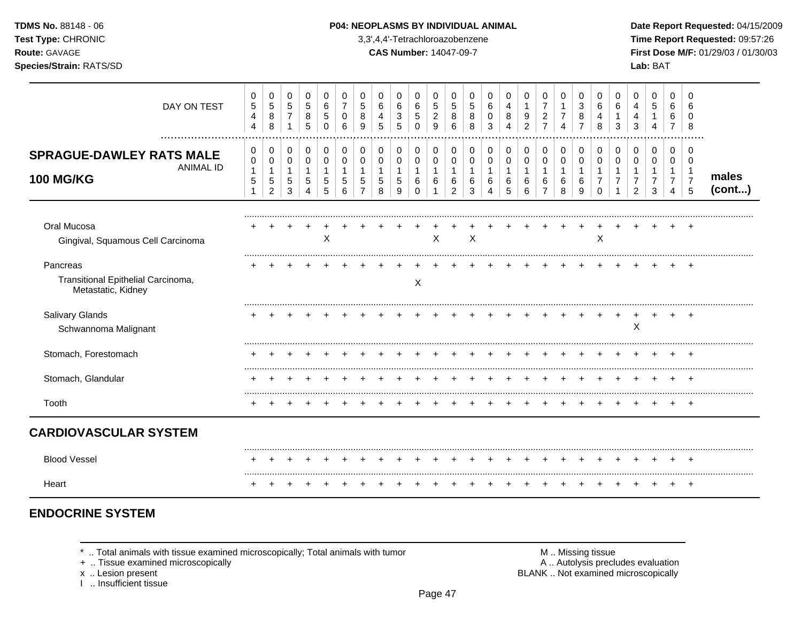| <b>TDMS No. 88148 - 06</b> |
|----------------------------|
| <b>Test Type: CHRONIC</b>  |
| <b>Route: GAVAGE</b>       |
|                            |

### **P04: NEOPLASMS BY INDIVIDUAL ANIMAL Date Report Requested: 04/15/2009**

**Time Report Requested:** 09:57:26 **Route:** GAVAGE **CAS Number:** 14047-09-7 **First Dose M/F:** 01/29/03 / 01/30/03 **Species/Strain:** RATS/SD **Lab:** BAT

| DAY ON TEST                                                                 | 0<br>$\mathbf 5$<br>$\overline{4}$<br>4       | 0<br>$\sqrt{5}$<br>$\bf 8$<br>8                                     | $\mathbf 0$<br>$\overline{5}$<br>$\overline{7}$<br>$\mathbf 1$ | 0<br>$\sqrt{5}$<br>$\bf 8$<br>5     | 0<br>$\,6\,$<br>5<br>$\Omega$                | 0<br>$\overline{7}$<br>0<br>6 | 0<br>5<br>8<br>9 | 0<br>6<br>4<br>5 | 0<br>6<br>3<br>5      | 0<br>6<br>$\sqrt{5}$<br>$\Omega$       | 0<br>$\sqrt{5}$<br>$\overline{c}$<br>9 | 0<br>$\sqrt{5}$<br>8<br>6                              | 0<br>5<br>8<br>8      | 0<br>6<br>0<br>3 | 0<br>4<br>8<br>Δ      | 0<br>$\mathbf{1}$<br>9<br>2 | 0<br>$\overline{7}$<br>$\overline{c}$<br>$\overline{7}$ | 0<br>1<br>$\overline{7}$<br>$\Delta$       | 0<br>$\mathbf{3}$<br>8<br>7               | 0<br>6<br>4<br>8   | 0<br>6<br>3   | 0<br>4<br>4<br>3         | 0<br>5<br>1<br>$\overline{4}$ | 0<br>6<br>6<br>$\overline{7}$                                      | 0<br>8                                                        |                 |
|-----------------------------------------------------------------------------|-----------------------------------------------|---------------------------------------------------------------------|----------------------------------------------------------------|-------------------------------------|----------------------------------------------|-------------------------------|------------------|------------------|-----------------------|----------------------------------------|----------------------------------------|--------------------------------------------------------|-----------------------|------------------|-----------------------|-----------------------------|---------------------------------------------------------|--------------------------------------------|-------------------------------------------|--------------------|---------------|--------------------------|-------------------------------|--------------------------------------------------------------------|---------------------------------------------------------------|-----------------|
| <br><b>SPRAGUE-DAWLEY RATS MALE</b><br><b>ANIMAL ID</b><br><b>100 MG/KG</b> | 0<br>$\pmb{0}$<br>$\mathbf{1}$<br>$\mathbf 5$ | $\,0\,$<br>$\pmb{0}$<br>$\mathbf 1$<br>$\sqrt{5}$<br>$\overline{2}$ | 0<br>$\mathbf 0$<br>1<br>$\,$ 5 $\,$<br>3                      | 0<br>$\pmb{0}$<br>$\mathbf{1}$<br>5 | 0<br>$\mathbf 0$<br>$\overline{1}$<br>5<br>5 | 0<br>0<br>1<br>5<br>6         | 0<br>0<br>5      | 0<br>0<br>5<br>8 | 0<br>0<br>1<br>5<br>9 | 0<br>$\mathbf 0$<br>1<br>6<br>$\Omega$ | 0<br>$\mathbf 0$<br>$\mathbf{1}$<br>6  | 0<br>$\mathbf 0$<br>$\mathbf 1$<br>6<br>$\overline{2}$ | 0<br>0<br>1<br>6<br>3 | 0<br>0<br>6<br>4 | 0<br>0<br>1<br>6<br>5 | 0<br>0<br>6<br>6            | 0<br>$\mathbf 0$<br>1<br>6<br>$\overline{7}$            | 0<br>$\mathbf 0$<br>$\mathbf{1}$<br>6<br>8 | 0<br>$\mathbf 0$<br>$\mathbf 1$<br>6<br>9 | 0<br>0<br>$\Omega$ | 0<br>$\Omega$ | 0<br>0<br>$\mathfrak{p}$ | 0<br>$\mathbf 0$<br>7<br>3    | 0<br>$\mathbf 0$<br>-1<br>$\overline{7}$<br>$\boldsymbol{\Lambda}$ | $\Omega$<br>$\Omega$<br>$\overline{1}$<br>$\overline{7}$<br>5 | males<br>(cont) |
| Oral Mucosa<br>Gingival, Squamous Cell Carcinoma                            |                                               |                                                                     |                                                                |                                     | X                                            |                               |                  |                  |                       |                                        | X                                      |                                                        | X                     |                  |                       |                             |                                                         |                                            |                                           | X                  |               |                          |                               |                                                                    |                                                               |                 |
| Pancreas<br>Transitional Epithelial Carcinoma,<br>Metastatic, Kidney        |                                               |                                                                     |                                                                |                                     |                                              |                               |                  |                  |                       | X                                      |                                        |                                                        |                       |                  |                       |                             |                                                         |                                            |                                           |                    |               |                          |                               |                                                                    |                                                               |                 |
| Salivary Glands<br>Schwannoma Malignant                                     |                                               |                                                                     |                                                                |                                     |                                              |                               |                  |                  |                       |                                        |                                        |                                                        |                       |                  |                       |                             |                                                         |                                            |                                           |                    |               | X                        |                               |                                                                    | +                                                             |                 |
| Stomach, Forestomach                                                        |                                               |                                                                     |                                                                |                                     |                                              |                               |                  |                  |                       |                                        |                                        |                                                        |                       |                  |                       |                             |                                                         |                                            |                                           |                    |               |                          |                               |                                                                    |                                                               |                 |
| Stomach, Glandular                                                          |                                               |                                                                     |                                                                |                                     |                                              |                               |                  |                  |                       |                                        |                                        |                                                        |                       |                  |                       |                             |                                                         |                                            |                                           |                    |               |                          |                               |                                                                    |                                                               |                 |
| Tooth                                                                       |                                               |                                                                     |                                                                |                                     |                                              |                               |                  |                  |                       |                                        |                                        |                                                        |                       |                  |                       |                             |                                                         |                                            |                                           |                    |               |                          |                               |                                                                    | $+$                                                           |                 |
| <b>CARDIOVASCULAR SYSTEM</b>                                                |                                               |                                                                     |                                                                |                                     |                                              |                               |                  |                  |                       |                                        |                                        |                                                        |                       |                  |                       |                             |                                                         |                                            |                                           |                    |               |                          |                               |                                                                    |                                                               |                 |
| <b>Blood Vessel</b>                                                         |                                               |                                                                     |                                                                |                                     |                                              |                               |                  |                  |                       |                                        |                                        |                                                        |                       |                  |                       |                             |                                                         |                                            |                                           |                    |               |                          |                               | $\pm$                                                              | $^{+}$                                                        |                 |
| Heart                                                                       |                                               |                                                                     |                                                                |                                     |                                              |                               |                  |                  |                       |                                        |                                        |                                                        |                       |                  |                       |                             |                                                         |                                            |                                           |                    |               |                          |                               |                                                                    |                                                               |                 |

# **ENDOCRINE SYSTEM**

 $*$  .. Total animals with tissue examined microscopically; Total animals with tumor  $\blacksquare$  M .. Missing tissue

x .. Lesion present<br>I .. Insufficient tissue

+ .. Tissue examined microscopically  $\blacksquare$  A .. Autolysis precludes evaluation M .. Missing tissue<br>A .. Autolysis precludes evaluation<br>BLANK .. Not examined microscopically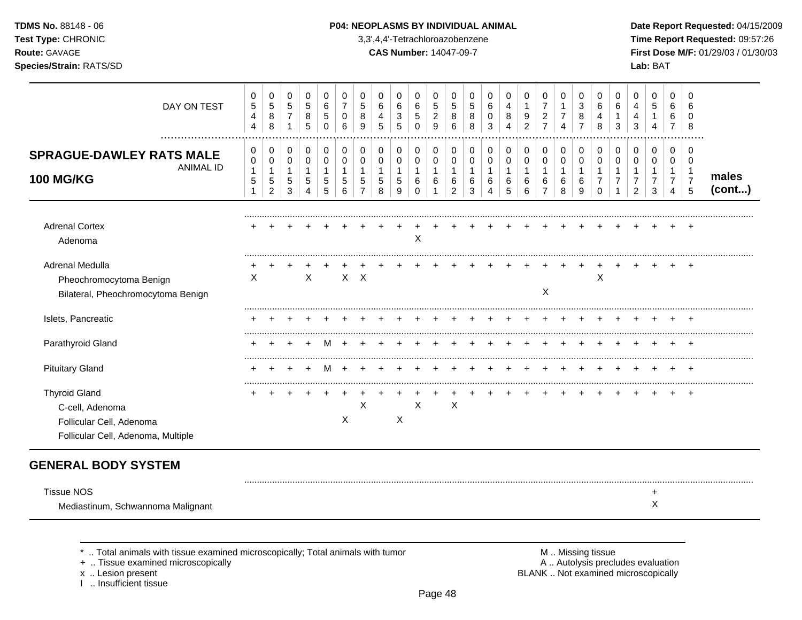| <b>TDMS No. 88148 - 06</b> |
|----------------------------|
| <b>Test Type: CHRONIC</b>  |
| <b>Route: GAVAGE</b>       |
|                            |

# **P04: NEOPLASMS BY INDIVIDUAL ANIMAL Date Report Requested: 04/15/2009**

**Time Report Requested:** 09:57:26 **Route:** GAVAGE **CAS Number:** 14047-09-7 **First Dose M/F:** 01/29/03 / 01/30/03 **Species/Strain:** RATS/SD **Lab:** BAT

| DAY ON TEST                                                                                               | 0<br>$\,$ 5 $\,$<br>$\overline{\mathbf{4}}$<br>4 | 0<br>$\sqrt{5}$<br>8<br>8                                         | 0<br>$5\phantom{.0}$<br>$\overline{7}$<br>$\mathbf{1}$ | $\mathbf 0$<br>$\overline{5}$<br>8<br>5 | 0<br>6<br>5<br>0                               | 0<br>$\overline{7}$<br>0<br>6          | $\mathbf 0$<br>5<br>8<br>9 | 0<br>6<br>4<br>5      | 0<br>6<br>3<br>5                 | 0<br>6<br>5<br>0                        | $\mathbf 0$<br>$\sqrt{5}$<br>$\overline{c}$<br>9 | 0<br>5<br>8<br>6                              | 0<br>5<br>8<br>8                | 0<br>6<br>$\Omega$<br>3            | 0<br>4<br>8<br>4      | 0<br>1<br>9<br>$\overline{c}$              | 0<br>$\overline{7}$<br>$\overline{c}$<br>$\overline{7}$ | 0<br>$\mathbf{1}$<br>$\overline{7}$<br>4 | 0<br>3<br>8<br>$\overline{7}$ | $\mathbf 0$<br>6<br>4<br>8                        | 0<br>6<br>3 | $\mathbf 0$<br>4<br>4<br>3 | 0<br>5                                       | 0<br>6<br>6<br>7                           | $\Omega$<br>6<br>$\Omega$<br>8                                |                 |
|-----------------------------------------------------------------------------------------------------------|--------------------------------------------------|-------------------------------------------------------------------|--------------------------------------------------------|-----------------------------------------|------------------------------------------------|----------------------------------------|----------------------------|-----------------------|----------------------------------|-----------------------------------------|--------------------------------------------------|-----------------------------------------------|---------------------------------|------------------------------------|-----------------------|--------------------------------------------|---------------------------------------------------------|------------------------------------------|-------------------------------|---------------------------------------------------|-------------|----------------------------|----------------------------------------------|--------------------------------------------|---------------------------------------------------------------|-----------------|
| <b>SPRAGUE-DAWLEY RATS MALE</b><br><b>ANIMAL ID</b><br><b>100 MG/KG</b>                                   | 0<br>$\mathbf 0$<br>$\mathbf{1}$<br>$\sqrt{5}$   | 0<br>$\mathbf 0$<br>$\mathbf{1}$<br>$\,$ 5 $\,$<br>$\overline{c}$ | 0<br>0<br>$\mathbf{1}$<br>5<br>3                       | 0<br>$\pmb{0}$<br>$\overline{1}$<br>5   | $\Omega$<br>$\Omega$<br>$\mathbf{1}$<br>5<br>5 | 0<br>$\Omega$<br>$\mathbf 1$<br>5<br>6 | $\mathbf 0$<br>0<br>1<br>5 | 0<br>0<br>1<br>5<br>8 | 0<br>0<br>$\mathbf{1}$<br>5<br>9 | 0<br>0<br>$\mathbf{1}$<br>6<br>$\Omega$ | 0<br>$\mathbf 0$<br>$\mathbf{1}$<br>6            | 0<br>0<br>$\mathbf{1}$<br>6<br>$\overline{2}$ | 0<br>0<br>$\mathbf 1$<br>6<br>3 | $\Omega$<br>0<br>$\mathbf{1}$<br>6 | 0<br>0<br>1<br>6<br>5 | 0<br>$\mathbf 0$<br>$\mathbf{1}$<br>6<br>6 | 0<br>$\pmb{0}$<br>$\mathbf{1}$<br>6<br>$\overline{7}$   | 0<br>$\pmb{0}$<br>$\mathbf{1}$<br>6<br>8 | 0<br>0<br>1<br>6<br>9         | 0<br>$\mathbf 0$<br>$\mathbf{1}$<br>7<br>$\Omega$ | 0<br>0<br>1 | $\mathbf 0$<br>0<br>2      | 0<br>$\mathbf 0$<br>1<br>$\overline{7}$<br>3 | 0<br>0<br>$\overline{7}$<br>$\overline{4}$ | $\Omega$<br>$\Omega$<br>$\overline{1}$<br>$\overline{7}$<br>5 | males<br>(cont) |
| <b>Adrenal Cortex</b><br>Adenoma                                                                          |                                                  |                                                                   |                                                        |                                         |                                                |                                        |                            |                       |                                  | $\mathsf X$                             |                                                  |                                               |                                 |                                    |                       |                                            |                                                         |                                          |                               |                                                   |             |                            |                                              |                                            |                                                               |                 |
| Adrenal Medulla<br>Pheochromocytoma Benign<br>Bilateral, Pheochromocytoma Benign                          | X                                                |                                                                   |                                                        | X                                       |                                                | $\mathsf{X}$                           | X                          |                       |                                  |                                         |                                                  |                                               |                                 |                                    |                       |                                            | X                                                       |                                          |                               | Χ                                                 |             |                            |                                              |                                            |                                                               |                 |
| Islets, Pancreatic                                                                                        |                                                  |                                                                   |                                                        |                                         |                                                |                                        |                            |                       |                                  |                                         |                                                  |                                               |                                 |                                    |                       |                                            |                                                         |                                          |                               |                                                   |             |                            |                                              |                                            |                                                               |                 |
| Parathyroid Gland                                                                                         |                                                  |                                                                   |                                                        |                                         |                                                |                                        |                            |                       |                                  |                                         |                                                  |                                               |                                 |                                    |                       |                                            |                                                         |                                          |                               |                                                   |             |                            |                                              |                                            |                                                               |                 |
| <b>Pituitary Gland</b>                                                                                    |                                                  |                                                                   |                                                        |                                         |                                                |                                        |                            |                       |                                  |                                         |                                                  |                                               |                                 |                                    |                       |                                            |                                                         |                                          |                               |                                                   |             |                            |                                              |                                            |                                                               |                 |
| <b>Thyroid Gland</b><br>C-cell, Adenoma<br>Follicular Cell, Adenoma<br>Follicular Cell, Adenoma, Multiple |                                                  |                                                                   |                                                        |                                         |                                                | X                                      | X                          |                       | X                                | X                                       |                                                  | $\mathsf X$                                   |                                 |                                    |                       |                                            |                                                         |                                          |                               |                                                   |             |                            |                                              |                                            |                                                               |                 |
| <b>GENERAL BODY SYSTEM</b>                                                                                |                                                  |                                                                   |                                                        |                                         |                                                |                                        |                            |                       |                                  |                                         |                                                  |                                               |                                 |                                    |                       |                                            |                                                         |                                          |                               |                                                   |             |                            |                                              |                                            |                                                               |                 |
| <b>Tissue NOS</b><br>Mediastinum, Schwannoma Malignant                                                    |                                                  |                                                                   |                                                        |                                         |                                                |                                        |                            |                       |                                  |                                         |                                                  |                                               |                                 |                                    |                       |                                            |                                                         |                                          |                               |                                                   |             |                            | +<br>Χ                                       |                                            |                                                               |                 |

+ .. Tissue examined microscopically

x .. Lesion present<br>I .. Insufficient tissue

\* .. Total animals with tissue examined microscopically; Total animals with tumor **M** metally more than M .. Missing tissue<br>  $\blacksquare$  Tissue examined microscopically BLANK .. Not examined microscopically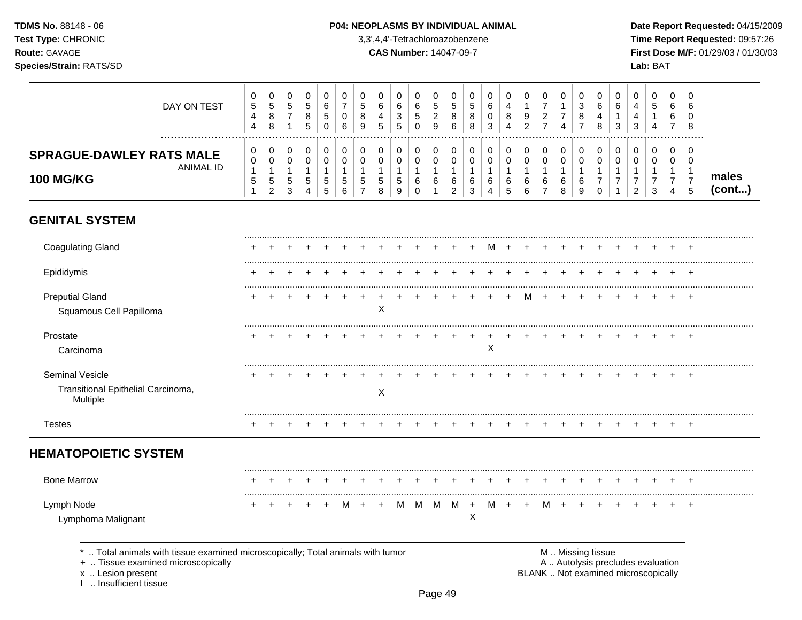#### P04: NEOPLASMS BY INDIVIDUAL ANIMAL

3,3',4,4'-Tetrachloroazobenzene

**CAS Number: 14047-09-7** 

Date Report Requested: 04/15/2009 Time Report Requested: 09:57:26 First Dose M/F: 01/29/03 / 01/30/03 Lab: BAT

| DAY ON TEST                                                                     | 0<br>$\sqrt{5}$<br>4<br>$\overline{4}$    | 0<br>$\sqrt{5}$<br>8<br>8                   | 0<br>$\sqrt{5}$<br>$\overline{7}$<br>$\mathbf{1}$    | 0<br>5<br>8<br>5                                      | 0<br>6<br>5<br>$\Omega$          | 0<br>$\overline{7}$<br>0<br>6 | 0<br>5<br>8<br>9                    | 0<br>6<br>4<br>$\overline{5}$    | 0<br>$\,6$<br>3<br>5            | 0<br>$\,6$<br>$\sqrt{5}$<br>$\Omega$ | 0<br>$\,$ 5 $\,$<br>$\overline{c}$<br>9 | 0<br>5<br>8<br>6                             | 0<br>5<br>8<br>8                            | 0<br>6<br>0<br>3                 | 0<br>4<br>8<br>Δ                | 0<br>9<br>2               | 0<br>$\overline{7}$<br>$\overline{c}$<br>$\overline{7}$ | 0<br>$\mathbf{1}$<br>$\overline{7}$<br>$\overline{4}$ | 0<br>$\sqrt{3}$<br>8<br>$\overline{7}$ | 0<br>6<br>4<br>8                                       | 0<br>6<br>-1<br>3           | 0<br>4<br>4<br>3                    | 0<br>5<br>4                       | 0<br>6<br>6<br>$\overline{7}$                             | 0<br>6<br>$\Omega$<br>8                                |                 |
|---------------------------------------------------------------------------------|-------------------------------------------|---------------------------------------------|------------------------------------------------------|-------------------------------------------------------|----------------------------------|-------------------------------|-------------------------------------|----------------------------------|---------------------------------|--------------------------------------|-----------------------------------------|----------------------------------------------|---------------------------------------------|----------------------------------|---------------------------------|---------------------------|---------------------------------------------------------|-------------------------------------------------------|----------------------------------------|--------------------------------------------------------|-----------------------------|-------------------------------------|-----------------------------------|-----------------------------------------------------------|--------------------------------------------------------|-----------------|
| <br><b>SPRAGUE-DAWLEY RATS MALE</b><br><b>ANIMAL ID</b><br><b>100 MG/KG</b>     | 0<br>0<br>$\mathbf{1}$<br>$\sqrt{5}$<br>1 | 0<br>0<br>1<br>$\sqrt{5}$<br>$\overline{2}$ | 0<br>0<br>$\mathbf{1}$<br>$\sqrt{5}$<br>$\mathbf{3}$ | 0<br>$\mathbf 0$<br>$\overline{1}$<br>$\sqrt{5}$<br>4 | 0<br>0<br>$\mathbf{1}$<br>5<br>5 | 0<br>0<br>1<br>5<br>6         | 0<br>0<br>-1<br>5<br>$\overline{7}$ | 0<br>0<br>$\mathbf{1}$<br>5<br>8 | 0<br>0<br>$\mathbf 1$<br>5<br>9 | 0<br>0<br>-1<br>6<br>$\mathbf 0$     | 0<br>0<br>$\mathbf 1$<br>6<br>1         | 0<br>0<br>$\mathbf 1$<br>6<br>$\overline{c}$ | 0<br>0<br>$\mathbf{1}$<br>6<br>$\mathbf{3}$ | 0<br>0<br>$\mathbf{1}$<br>6<br>4 | 0<br>$\mathbf 0$<br>1<br>6<br>5 | 0<br>0<br>1<br>6<br>$\,6$ | 0<br>0<br>1<br>6<br>$\overline{7}$                      | 0<br>0<br>$\mathbf{1}$<br>$\,6\,$<br>8                | 0<br>0<br>$\mathbf{1}$<br>6<br>9       | 0<br>0<br>$\mathbf 1$<br>$\overline{7}$<br>$\mathbf 0$ | $\mathbf 0$<br>0<br>-1<br>7 | 0<br>0<br>-1<br>7<br>$\overline{2}$ | $\mathbf 0$<br>$\Omega$<br>7<br>3 | $\mathbf 0$<br>0<br>1<br>$\overline{7}$<br>$\overline{4}$ | 0<br>0<br>$\mathbf{1}$<br>$\overline{7}$<br>$\sqrt{5}$ | males<br>(cont) |
| <b>GENITAL SYSTEM</b>                                                           |                                           |                                             |                                                      |                                                       |                                  |                               |                                     |                                  |                                 |                                      |                                         |                                              |                                             |                                  |                                 |                           |                                                         |                                                       |                                        |                                                        |                             |                                     |                                   |                                                           |                                                        |                 |
| <b>Coagulating Gland</b>                                                        |                                           |                                             |                                                      |                                                       |                                  |                               |                                     |                                  |                                 |                                      |                                         |                                              |                                             | м                                |                                 |                           |                                                         |                                                       |                                        |                                                        |                             |                                     |                                   |                                                           |                                                        |                 |
| Epididymis                                                                      |                                           |                                             |                                                      |                                                       |                                  |                               |                                     |                                  |                                 |                                      |                                         |                                              |                                             |                                  |                                 |                           |                                                         |                                                       |                                        |                                                        |                             |                                     |                                   |                                                           |                                                        |                 |
| <b>Preputial Gland</b><br>Squamous Cell Papilloma                               |                                           |                                             |                                                      |                                                       |                                  |                               |                                     | Χ                                |                                 |                                      |                                         |                                              |                                             |                                  |                                 | M                         | $\div$                                                  | $\div$                                                |                                        |                                                        |                             |                                     |                                   |                                                           | $\overline{ }$                                         |                 |
| Prostate<br>Carcinoma                                                           |                                           |                                             |                                                      |                                                       |                                  |                               |                                     |                                  |                                 |                                      |                                         |                                              |                                             | X                                |                                 |                           |                                                         |                                                       |                                        |                                                        |                             |                                     |                                   |                                                           | $\pm$                                                  |                 |
| Seminal Vesicle                                                                 |                                           |                                             |                                                      |                                                       |                                  |                               |                                     |                                  |                                 |                                      |                                         |                                              |                                             |                                  |                                 |                           |                                                         |                                                       |                                        |                                                        |                             |                                     |                                   |                                                           | $\ddot{}$                                              |                 |
| Transitional Epithelial Carcinoma,<br>Multiple                                  |                                           |                                             |                                                      |                                                       |                                  |                               |                                     | $\boldsymbol{X}$                 |                                 |                                      |                                         |                                              |                                             |                                  |                                 |                           |                                                         |                                                       |                                        |                                                        |                             |                                     |                                   |                                                           |                                                        |                 |
| <b>Testes</b>                                                                   |                                           |                                             |                                                      |                                                       |                                  |                               |                                     |                                  |                                 |                                      |                                         |                                              |                                             |                                  |                                 |                           |                                                         |                                                       |                                        | +                                                      |                             |                                     |                                   | $\ddot{}$                                                 | $^{+}$                                                 |                 |
| <b>HEMATOPOIETIC SYSTEM</b>                                                     |                                           |                                             |                                                      |                                                       |                                  |                               |                                     |                                  |                                 |                                      |                                         |                                              |                                             |                                  |                                 |                           |                                                         |                                                       |                                        |                                                        |                             |                                     |                                   |                                                           |                                                        |                 |
| <b>Bone Marrow</b>                                                              |                                           |                                             |                                                      |                                                       |                                  |                               |                                     |                                  |                                 |                                      |                                         |                                              |                                             |                                  |                                 |                           |                                                         |                                                       |                                        |                                                        |                             |                                     |                                   |                                                           |                                                        |                 |
| Lymph Node<br>Lymphoma Malignant                                                |                                           |                                             |                                                      |                                                       |                                  | м                             |                                     |                                  | M                               | M                                    | M                                       | M                                            | $\ddot{}$<br>X                              | м                                |                                 |                           | м                                                       | ÷                                                     |                                        |                                                        |                             |                                     |                                   |                                                           | $\overline{+}$                                         |                 |
| *  Total animals with tissue examined microscopically; Total animals with tumor |                                           |                                             |                                                      |                                                       |                                  |                               |                                     |                                  |                                 |                                      |                                         |                                              |                                             |                                  |                                 |                           |                                                         |                                                       |                                        | M  Missing tissue                                      |                             |                                     |                                   |                                                           |                                                        |                 |

+ .. Tissue examined microscopically

x .. Lesion present

I .. Insufficient tissue

M .. Missing tissue A .. Autolysis precludes evaluation BLANK .. Not examined microscopically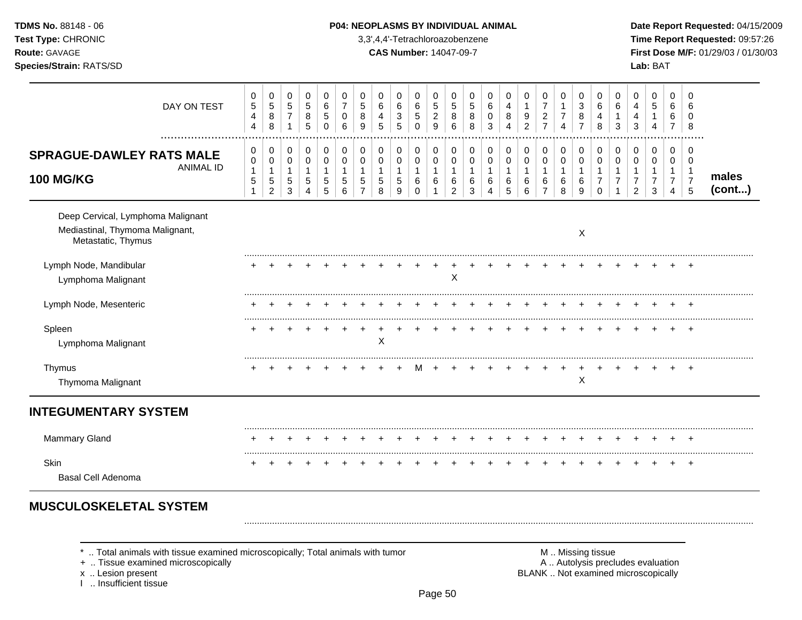| <b>TDMS No. 88148 - 06</b>     | <b>P04: NEOPLASMS BY INDIVIDUAL ANIMAL</b> | Date Rep         |
|--------------------------------|--------------------------------------------|------------------|
| <b>Test Type: CHRONIC</b>      | 3,3',4,4'-Tetrachloroazobenzene            | Time Rer         |
| <b>Route: GAVAGE</b>           | <b>CAS Number: 14047-09-7</b>              | <b>First Dos</b> |
| <b>Species/Strain: RATS/SD</b> |                                            | <b>Lab: BAT</b>  |

# **P04: NEOPLASMS BY INDIVIDUAL ANIMAL Date Report Requested:** 04/15/2009

**Time Report Requested:** 09:57:26 **CAS Number:** 14047-09-7 **First Dose M/F:** 01/29/03 / 01/30/03

| DAY ON TEST                                                                                                                                                       | 0<br>$\sqrt{5}$<br>$\overline{\mathbf{4}}$<br>$\overline{4}$    | 0<br>$\mathbf 5$<br>$\bf 8$<br>8                                 | 0<br>$\sqrt{5}$<br>$\overline{7}$<br>$\mathbf{1}$   | 0<br>5<br>8<br>5                           | $\mathbf 0$<br>6<br>$\sqrt{5}$<br>$\mathbf 0$        | 0<br>$\overline{7}$<br>$\mathbf 0$<br>6 | 0<br>5<br>8<br>9                                                 | 0<br>6<br>4<br>5                           | 0<br>6<br>$\ensuremath{\mathsf{3}}$<br>5 | 0<br>$\,6$<br>$\,$ 5 $\,$<br>$\mathsf 0$          | 0<br>$\,$ 5 $\,$<br>$\boldsymbol{2}$<br>$\boldsymbol{9}$ | 0<br>$\sqrt{5}$<br>$\bf8$<br>$\,6$                            | 0<br>$\,$ 5 $\,$<br>$\,8\,$<br>$\,8\,$     | 0<br>6<br>0<br>3                                                | 0<br>4<br>8<br>4                           | 0<br>$\mathbf{1}$<br>9<br>$\overline{2}$   | 0<br>$\overline{7}$<br>$\boldsymbol{2}$<br>$\overline{7}$ | 0<br>$\mathbf{1}$<br>$\boldsymbol{7}$<br>$\overline{4}$ | 0<br>3<br>$\bf 8$<br>$\overline{7}$            | 0<br>6<br>4<br>8                                                  | $\mathbf 0$<br>6<br>1<br>3           | 0<br>4<br>4<br>3                                                         | 0<br>$\sqrt{5}$<br>1<br>4                               | $\mathbf 0$<br>6<br>6<br>$\overline{7}$                              | $\mathbf 0$<br>6<br>$\Omega$<br>8                                   |                 |
|-------------------------------------------------------------------------------------------------------------------------------------------------------------------|-----------------------------------------------------------------|------------------------------------------------------------------|-----------------------------------------------------|--------------------------------------------|------------------------------------------------------|-----------------------------------------|------------------------------------------------------------------|--------------------------------------------|------------------------------------------|---------------------------------------------------|----------------------------------------------------------|---------------------------------------------------------------|--------------------------------------------|-----------------------------------------------------------------|--------------------------------------------|--------------------------------------------|-----------------------------------------------------------|---------------------------------------------------------|------------------------------------------------|-------------------------------------------------------------------|--------------------------------------|--------------------------------------------------------------------------|---------------------------------------------------------|----------------------------------------------------------------------|---------------------------------------------------------------------|-----------------|
| <b>SPRAGUE-DAWLEY RATS MALE</b><br><b>ANIMAL ID</b><br><b>100 MG/KG</b>                                                                                           | 0<br>$\mathbf 0$<br>$\mathbf{1}$<br>$\mathbf 5$<br>$\mathbf{1}$ | 0<br>$\mathbf 0$<br>$\mathbf{1}$<br>$\sqrt{5}$<br>$\overline{2}$ | 0<br>$\mathbf 0$<br>$\mathbf{1}$<br>$\sqrt{5}$<br>3 | 0<br>$\mathbf 0$<br>$\mathbf{1}$<br>5<br>4 | 0<br>$\mathbf 0$<br>$\mathbf{1}$<br>$\,$ 5 $\,$<br>5 | 0<br>$\mathbf 0$<br>1<br>5<br>6         | 0<br>$\mathbf 0$<br>$\mathbf{1}$<br>$\sqrt{5}$<br>$\overline{7}$ | 0<br>$\mathbf 0$<br>$\mathbf{1}$<br>5<br>8 | 0<br>$\mathbf 0$<br>1<br>5<br>9          | 0<br>$\mathbf 0$<br>$\mathbf{1}$<br>6<br>$\Omega$ | 0<br>$\mathbf 0$<br>$\mathbf{1}$<br>6<br>$\mathbf{1}$    | 0<br>$\mathbf 0$<br>$\mathbf{1}$<br>$\,6\,$<br>$\overline{c}$ | 0<br>$\pmb{0}$<br>$\overline{1}$<br>6<br>3 | 0<br>$\mathbf 0$<br>$\mathbf{1}$<br>6<br>$\boldsymbol{\Lambda}$ | 0<br>$\mathbf 0$<br>$\mathbf{1}$<br>6<br>5 | 0<br>$\mathbf 0$<br>$\mathbf{1}$<br>6<br>6 | 0<br>$\pmb{0}$<br>$\mathbf{1}$<br>6<br>$\overline{7}$     | 0<br>$\mathbf 0$<br>$\overline{1}$<br>$\,6$<br>8        | 0<br>$\mathbf 0$<br>$\mathbf{1}$<br>$\,6$<br>9 | 0<br>$\mathbf 0$<br>$\mathbf{1}$<br>$\overline{7}$<br>$\mathbf 0$ | 0<br>$\Omega$<br>1<br>$\overline{7}$ | 0<br>$\mathbf 0$<br>1<br>$\overline{7}$<br>$\overline{2}$                | 0<br>$\mathbf 0$<br>$\mathbf{1}$<br>$\overline{7}$<br>3 | 0<br>$\mathbf 0$<br>$\mathbf{1}$<br>$\overline{7}$<br>$\overline{4}$ | $\mathbf 0$<br>$\mathbf 0$<br>$\overline{1}$<br>$\overline{7}$<br>5 | males<br>(cont) |
| Deep Cervical, Lymphoma Malignant<br>Mediastinal, Thymoma Malignant,<br>Metastatic, Thymus                                                                        |                                                                 |                                                                  |                                                     |                                            |                                                      |                                         |                                                                  |                                            |                                          |                                                   |                                                          |                                                               |                                            |                                                                 |                                            |                                            |                                                           |                                                         | X                                              |                                                                   |                                      |                                                                          |                                                         |                                                                      |                                                                     |                 |
| Lymph Node, Mandibular<br>Lymphoma Malignant                                                                                                                      |                                                                 |                                                                  |                                                     |                                            |                                                      |                                         |                                                                  |                                            |                                          |                                                   |                                                          | $\pmb{\times}$                                                |                                            |                                                                 |                                            |                                            |                                                           |                                                         |                                                |                                                                   |                                      |                                                                          |                                                         |                                                                      |                                                                     |                 |
| Lymph Node, Mesenteric                                                                                                                                            |                                                                 |                                                                  |                                                     |                                            |                                                      |                                         |                                                                  |                                            |                                          |                                                   |                                                          |                                                               |                                            |                                                                 |                                            |                                            |                                                           |                                                         |                                                |                                                                   |                                      |                                                                          |                                                         |                                                                      |                                                                     |                 |
| Spleen<br>Lymphoma Malignant                                                                                                                                      |                                                                 |                                                                  |                                                     |                                            |                                                      |                                         |                                                                  | X                                          |                                          |                                                   |                                                          |                                                               |                                            |                                                                 |                                            |                                            |                                                           |                                                         |                                                |                                                                   |                                      |                                                                          |                                                         |                                                                      | $\overline{+}$                                                      |                 |
| Thymus<br>Thymoma Malignant                                                                                                                                       |                                                                 |                                                                  |                                                     |                                            |                                                      |                                         |                                                                  |                                            |                                          | м                                                 |                                                          |                                                               |                                            |                                                                 |                                            |                                            |                                                           |                                                         | $\mathsf X$                                    |                                                                   |                                      |                                                                          |                                                         |                                                                      | $\overline{+}$                                                      |                 |
| <b>INTEGUMENTARY SYSTEM</b>                                                                                                                                       |                                                                 |                                                                  |                                                     |                                            |                                                      |                                         |                                                                  |                                            |                                          |                                                   |                                                          |                                                               |                                            |                                                                 |                                            |                                            |                                                           |                                                         |                                                |                                                                   |                                      |                                                                          |                                                         |                                                                      |                                                                     |                 |
| <b>Mammary Gland</b>                                                                                                                                              |                                                                 |                                                                  |                                                     |                                            |                                                      |                                         |                                                                  |                                            |                                          |                                                   |                                                          |                                                               |                                            |                                                                 |                                            |                                            |                                                           |                                                         |                                                |                                                                   |                                      |                                                                          |                                                         |                                                                      |                                                                     |                 |
| <b>Skin</b><br><b>Basal Cell Adenoma</b>                                                                                                                          |                                                                 |                                                                  |                                                     |                                            |                                                      |                                         |                                                                  |                                            |                                          |                                                   |                                                          |                                                               |                                            |                                                                 |                                            |                                            |                                                           |                                                         |                                                |                                                                   |                                      |                                                                          |                                                         |                                                                      | $\div$                                                              |                 |
| <b>MUSCULOSKELETAL SYSTEM</b>                                                                                                                                     |                                                                 |                                                                  |                                                     |                                            |                                                      |                                         |                                                                  |                                            |                                          |                                                   |                                                          |                                                               |                                            |                                                                 |                                            |                                            |                                                           |                                                         |                                                |                                                                   |                                      |                                                                          |                                                         |                                                                      |                                                                     |                 |
| Total animals with tissue examined microscopically; Total animals with tumor<br>+  Tissue examined microscopically<br>x  Lesion present<br>I  Insufficient tissue |                                                                 |                                                                  |                                                     |                                            |                                                      |                                         |                                                                  |                                            |                                          |                                                   |                                                          |                                                               |                                            |                                                                 |                                            |                                            |                                                           |                                                         |                                                | M  Missing tissue                                                 |                                      | A  Autolysis precludes evaluation<br>BLANK  Not examined microscopically |                                                         |                                                                      |                                                                     |                 |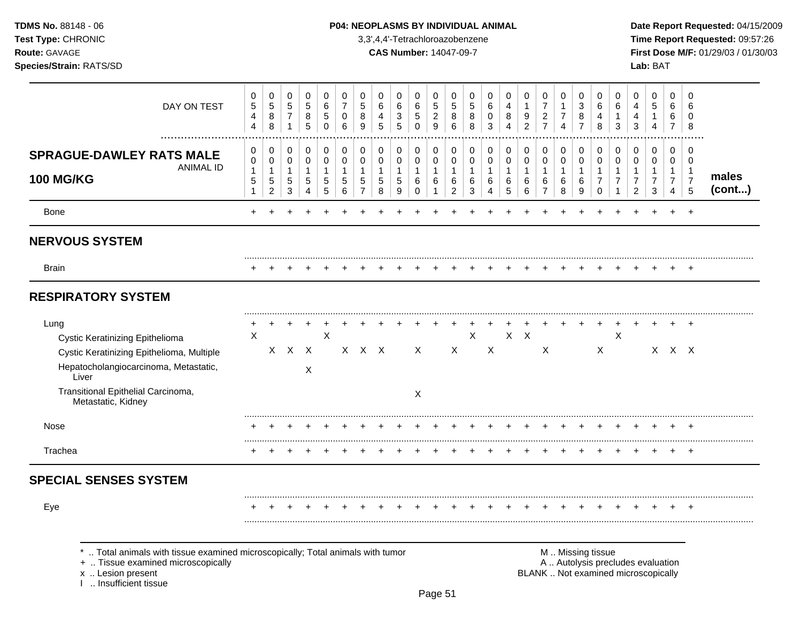| <b>TDMS No. 88148 - 06</b>     | <b>P04: NEOPLASMS BY INDIVIDUAL ANIMAL</b> | Date Rep         |
|--------------------------------|--------------------------------------------|------------------|
| <b>Test Type: CHRONIC</b>      | 3,3',4,4'-Tetrachloroazobenzene            | Time Rer         |
| <b>Route: GAVAGE</b>           | <b>CAS Number: 14047-09-7</b>              | <b>First Dos</b> |
| <b>Species/Strain: RATS/SD</b> |                                            | <b>Lab: BAT</b>  |

# **P04: NEOPLASMS BY INDIVIDUAL ANIMAL Date Report Requested:** 04/15/2009

**Time Report Requested:** 09:57:26 **CAS Number:** 14047-09-7 **First Dose M/F:** 01/29/03 / 01/30/03

| DAY ON TEST                                                                                                                                                                                        | 0<br>$\sqrt{5}$<br>4<br>4                           | $\pmb{0}$<br>$\,$ 5 $\,$<br>8<br>$\,8\,$                   | 0<br>$\sqrt{5}$<br>$\boldsymbol{7}$<br>$\mathbf{1}$ | $\mathbf 0$<br>$\sqrt{5}$<br>8<br>5                                    | $\mathbf 0$<br>6<br>5<br>$\mathbf 0$                          | 0<br>$\overline{7}$<br>$\pmb{0}$<br>$6\phantom{1}6$ | 0<br>$\sqrt{5}$<br>8<br>9                                        | 0<br>6<br>4<br>$\overline{5}$              | 0<br>6<br>$\ensuremath{\mathsf{3}}$<br>5 | $\mathbf 0$<br>6<br>5<br>$\mathbf 0$                 | 0<br>5<br>$\overline{\mathbf{c}}$<br>9    | 0<br>$\sqrt{5}$<br>8<br>6                     | 0<br>$\sqrt{5}$<br>8<br>8                 | $\pmb{0}$<br>6<br>$\,0\,$<br>$\mathbf{3}$  | 0<br>4<br>8<br>$\overline{4}$                               | $\mathbf 0$<br>$\mathbf{1}$<br>9<br>$\overline{c}$ | $\pmb{0}$<br>$\overline{7}$<br>$\overline{c}$<br>$\overline{7}$   | 0<br>$\mathbf{1}$<br>$\overline{7}$<br>$\overline{4}$  | 0<br>3<br>8<br>$\overline{7}$    | 0<br>6<br>4<br>8                                                                              | 0<br>6<br>1<br>3                             | 0<br>$\overline{4}$<br>4<br>$\mathfrak{Z}$                   | $\mathbf 0$<br>5<br>$\mathbf{1}$<br>$\overline{4}$      | 0<br>6<br>6<br>$\overline{7}$                              | $\mathbf 0$<br>6<br>0<br>$\bf8$               |                 |
|----------------------------------------------------------------------------------------------------------------------------------------------------------------------------------------------------|-----------------------------------------------------|------------------------------------------------------------|-----------------------------------------------------|------------------------------------------------------------------------|---------------------------------------------------------------|-----------------------------------------------------|------------------------------------------------------------------|--------------------------------------------|------------------------------------------|------------------------------------------------------|-------------------------------------------|-----------------------------------------------|-------------------------------------------|--------------------------------------------|-------------------------------------------------------------|----------------------------------------------------|-------------------------------------------------------------------|--------------------------------------------------------|----------------------------------|-----------------------------------------------------------------------------------------------|----------------------------------------------|--------------------------------------------------------------|---------------------------------------------------------|------------------------------------------------------------|-----------------------------------------------|-----------------|
| <b>SPRAGUE-DAWLEY RATS MALE</b><br><b>ANIMAL ID</b><br><b>100 MG/KG</b>                                                                                                                            | 0<br>0<br>$\mathbf{1}$<br>$\sqrt{5}$<br>$\mathbf 1$ | 0<br>$\pmb{0}$<br>$\mathbf{1}$<br>$\sqrt{5}$<br>$\sqrt{2}$ | 0<br>0<br>$\mathbf{1}$<br>$\sqrt{5}$<br>3           | $\pmb{0}$<br>$\pmb{0}$<br>$\mathbf{1}$<br>$\sqrt{5}$<br>$\overline{4}$ | $\mathbf 0$<br>$\mathbf 0$<br>$\mathbf{1}$<br>$\sqrt{5}$<br>5 | 0<br>$\pmb{0}$<br>$\mathbf{1}$<br>5<br>6            | 0<br>$\mathbf 0$<br>$\mathbf{1}$<br>$\sqrt{5}$<br>$\overline{7}$ | 0<br>0<br>$\mathbf{1}$<br>$\,$ 5 $\,$<br>8 | 0<br>0<br>$\mathbf{1}$<br>$5\,$<br>9     | 0<br>$\mathbf 0$<br>$\mathbf{1}$<br>6<br>$\mathbf 0$ | 0<br>$\mathbf 0$<br>$\mathbf 1$<br>6<br>1 | 0<br>0<br>$\mathbf{1}$<br>6<br>$\overline{2}$ | 0<br>$\mathbf 0$<br>$\mathbf 1$<br>6<br>3 | 0<br>$\mathsf 0$<br>$\mathbf{1}$<br>6<br>4 | 0<br>$\pmb{0}$<br>$\mathbf{1}$<br>$\,6\,$<br>$\overline{5}$ | 0<br>$\mathbf 0$<br>$\mathbf{1}$<br>6<br>6         | $\,0\,$<br>$\pmb{0}$<br>$\mathbf{1}$<br>$\,6\,$<br>$\overline{7}$ | $\pmb{0}$<br>$\pmb{0}$<br>$\mathbf{1}$<br>6<br>$\,8\,$ | 0<br>0<br>$\mathbf{1}$<br>6<br>9 | 0<br>$\mathbf 0$<br>1<br>$\overline{7}$<br>$\mathbf 0$                                        | 0<br>0<br>$\mathbf 1$<br>$\overline{7}$<br>1 | 0<br>0<br>$\mathbf{1}$<br>$\boldsymbol{7}$<br>$\overline{c}$ | 0<br>$\mathbf 0$<br>$\mathbf{1}$<br>$\overline{7}$<br>3 | 0<br>0<br>$\mathbf{1}$<br>$\overline{7}$<br>$\overline{4}$ | 0<br>$\mathbf 0$<br>-1<br>$\overline{7}$<br>5 | males<br>(cont) |
| Bone                                                                                                                                                                                               |                                                     |                                                            |                                                     |                                                                        |                                                               |                                                     |                                                                  |                                            |                                          |                                                      |                                           |                                               |                                           |                                            |                                                             |                                                    |                                                                   |                                                        |                                  |                                                                                               |                                              |                                                              |                                                         |                                                            | $+$                                           |                 |
| <b>NERVOUS SYSTEM</b>                                                                                                                                                                              |                                                     |                                                            |                                                     |                                                                        |                                                               |                                                     |                                                                  |                                            |                                          |                                                      |                                           |                                               |                                           |                                            |                                                             |                                                    |                                                                   |                                                        |                                  |                                                                                               |                                              |                                                              |                                                         |                                                            |                                               |                 |
| <b>Brain</b>                                                                                                                                                                                       |                                                     |                                                            |                                                     |                                                                        |                                                               |                                                     |                                                                  |                                            |                                          |                                                      |                                           |                                               |                                           |                                            |                                                             |                                                    |                                                                   |                                                        |                                  |                                                                                               |                                              |                                                              |                                                         |                                                            |                                               |                 |
| <b>RESPIRATORY SYSTEM</b>                                                                                                                                                                          |                                                     |                                                            |                                                     |                                                                        |                                                               |                                                     |                                                                  |                                            |                                          |                                                      |                                           |                                               |                                           |                                            |                                                             |                                                    |                                                                   |                                                        |                                  |                                                                                               |                                              |                                                              |                                                         |                                                            |                                               |                 |
| Lung<br>Cystic Keratinizing Epithelioma<br>Cystic Keratinizing Epithelioma, Multiple<br>Hepatocholangiocarcinoma, Metastatic,<br>Liver<br>Transitional Epithelial Carcinoma,<br>Metastatic, Kidney | X                                                   |                                                            | $X$ $X$ $X$                                         | Χ                                                                      | X                                                             |                                                     | $X$ $X$ $X$                                                      |                                            |                                          | $\times$<br>X                                        |                                           | $\mathsf{X}$                                  | X                                         | X                                          | X                                                           | $\mathsf{X}$                                       | X                                                                 |                                                        |                                  | $\mathsf{X}$                                                                                  | $\ddot{}$<br>X                               | $\ddot{}$                                                    |                                                         | $X \times X$                                               | $\div$                                        |                 |
| <b>Nose</b>                                                                                                                                                                                        |                                                     |                                                            |                                                     |                                                                        |                                                               |                                                     |                                                                  |                                            |                                          |                                                      |                                           |                                               |                                           |                                            |                                                             |                                                    |                                                                   |                                                        |                                  |                                                                                               |                                              |                                                              |                                                         |                                                            |                                               |                 |
| Trachea                                                                                                                                                                                            | ÷                                                   |                                                            |                                                     |                                                                        |                                                               |                                                     |                                                                  |                                            |                                          |                                                      |                                           |                                               |                                           |                                            |                                                             |                                                    |                                                                   |                                                        |                                  |                                                                                               |                                              |                                                              |                                                         | $\div$                                                     | $\pm$                                         |                 |
| <b>SPECIAL SENSES SYSTEM</b>                                                                                                                                                                       |                                                     |                                                            |                                                     |                                                                        |                                                               |                                                     |                                                                  |                                            |                                          |                                                      |                                           |                                               |                                           |                                            |                                                             |                                                    |                                                                   |                                                        |                                  |                                                                                               |                                              |                                                              |                                                         |                                                            |                                               |                 |
| Eye                                                                                                                                                                                                |                                                     |                                                            |                                                     |                                                                        |                                                               |                                                     |                                                                  |                                            |                                          |                                                      |                                           |                                               |                                           |                                            |                                                             |                                                    |                                                                   |                                                        |                                  |                                                                                               |                                              |                                                              |                                                         |                                                            |                                               |                 |
| Total animals with tissue examined microscopically; Total animals with tumor<br>+  Tissue examined microscopically<br>x  Lesion present<br>1  Insufficient tissue                                  |                                                     |                                                            |                                                     |                                                                        |                                                               |                                                     |                                                                  |                                            |                                          |                                                      |                                           |                                               |                                           |                                            |                                                             |                                                    |                                                                   |                                                        |                                  | M  Missing tissue<br>A  Autolysis precludes evaluation<br>BLANK  Not examined microscopically |                                              |                                                              |                                                         |                                                            |                                               |                 |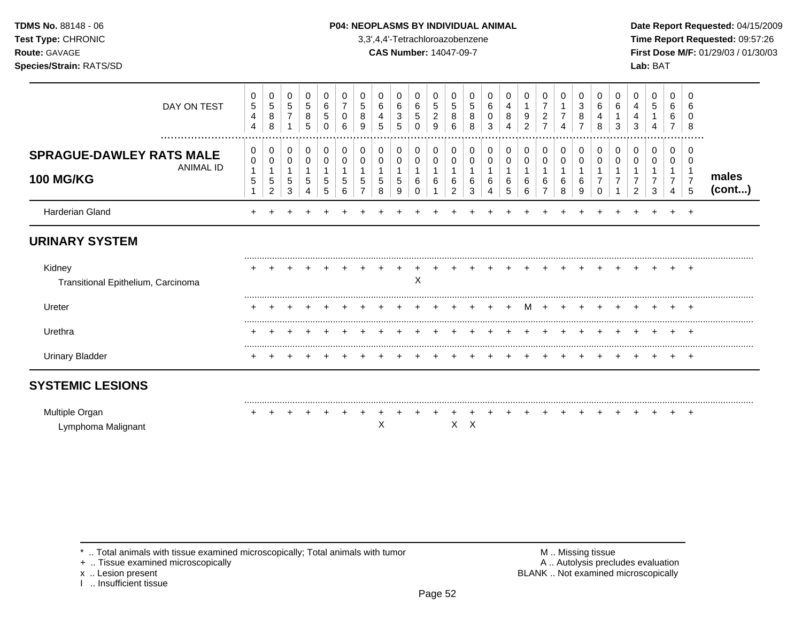### **TDMS No.** 88148 - 06 **P04: NEOPLASMS BY INDIVIDUAL ANIMAL** Date Report Requested: 04/15/2009

**Test Type:** CHRONIC 3,3',4,4'-Tetrachloroazobenzene **Time Report Requested:** 09:57:26 **Route:** GAVAGE **CAS Number:** 14047-09-7 **First Dose M/F:** 01/29/03 / 01/30/03

| DAY ON TEST                                                          | 0<br>$\sqrt{5}$<br>$\overline{4}$<br>4               | 0<br>5<br>8<br>8              | 0<br>$\sqrt{5}$<br>$\overline{7}$ | 0<br>$\,$ 5 $\,$<br>8<br>5 | 0<br>6<br>5<br>0 | 0<br>0<br>6      | 0<br>5<br>8<br>9 | 6<br>4<br>5 | 0<br>6<br>3<br>5 | 0<br>6<br>5<br>0 | 0<br>5<br>$\overline{2}$<br>9 | 0<br>5<br>8<br>6 | 0<br>5<br>8<br>8 | 6<br>0<br>3 | 0<br>4<br>8<br>4 | 0<br>9<br>$\overline{2}$ | 0<br>$\overline{7}$<br>$\overline{2}$<br>$\overline{7}$ | 0<br>$\overline{7}$ | 0<br>3<br>8      | 0<br>6<br>4<br>8 | 6<br>3 | 0<br>4<br>4<br>3 | 0<br>5<br>4 | 0<br>6<br>6<br>$\overline{ }$ | 6<br>0<br>8                   |                       |
|----------------------------------------------------------------------|------------------------------------------------------|-------------------------------|-----------------------------------|----------------------------|------------------|------------------|------------------|-------------|------------------|------------------|-------------------------------|------------------|------------------|-------------|------------------|--------------------------|---------------------------------------------------------|---------------------|------------------|------------------|--------|------------------|-------------|-------------------------------|-------------------------------|-----------------------|
| <br><b>SPRAGUE-DAWLEY RATS MALE</b><br>ANIMAL ID<br><b>100 MG/KG</b> | $\boldsymbol{0}$<br>$\mathbf 0$<br>$\mathbf{1}$<br>5 | 0<br>0<br>5<br>$\overline{2}$ | 0<br>$\mathbf 0$<br>5<br>3        | 0<br>$\mathbf 0$<br>5      | 0<br>0<br>5<br>5 | 0<br>0<br>5<br>6 | 0<br>5           | 0<br>đ<br>8 | 0<br>0<br>5<br>9 | 0<br>0<br>6<br>0 | 0<br>0<br>6                   | 0<br>0<br>6<br>2 | 0<br>6<br>3      | 0<br>6      | 0<br>6<br>5      | 0<br>0<br>6<br>6         | 0<br>0<br>6                                             | 0<br>0<br>6<br>8    | 0<br>0<br>6<br>9 | 0<br>0<br>0      | 0      | 0<br>0<br>2      | 0<br>0<br>3 | 0<br>0<br>4                   | .<br>0<br>$\overline{7}$<br>5 | males<br>$($ cont $)$ |
| Harderian Gland                                                      |                                                      |                               |                                   |                            |                  |                  |                  |             |                  |                  |                               |                  |                  |             |                  |                          |                                                         |                     |                  |                  |        |                  |             |                               |                               |                       |
| <b>URINARY SYSTEM</b>                                                |                                                      |                               |                                   |                            |                  |                  |                  |             |                  |                  |                               |                  |                  |             |                  |                          |                                                         |                     |                  |                  |        |                  |             |                               |                               |                       |
| Kidney<br>Transitional Epithelium, Carcinoma                         |                                                      |                               |                                   |                            |                  |                  |                  |             |                  | X                |                               |                  |                  |             |                  |                          |                                                         |                     |                  |                  |        |                  |             |                               |                               |                       |
| Ureter                                                               |                                                      |                               |                                   |                            |                  |                  |                  |             |                  |                  |                               |                  |                  |             |                  | M                        |                                                         |                     |                  |                  |        |                  |             |                               |                               |                       |
| Urethra                                                              |                                                      |                               |                                   |                            |                  |                  |                  |             |                  |                  |                               |                  |                  |             |                  |                          |                                                         |                     |                  |                  |        |                  |             |                               | +                             |                       |
| <b>Urinary Bladder</b>                                               |                                                      |                               |                                   |                            |                  |                  |                  |             |                  |                  |                               |                  |                  |             |                  |                          |                                                         |                     |                  |                  |        |                  |             | ÷                             | $\pm$                         |                       |

# **SYSTEMIC LESIONS**

| ∩nultinle Oroor ا |  |  |  |  |  |  |  |  |  |  |  |  |  |  |
|-------------------|--|--|--|--|--|--|--|--|--|--|--|--|--|--|
|                   |  |  |  |  |  |  |  |  |  |  |  |  |  |  |

+ .. Tissue examined microscopically

I .. Insufficient tissue

\* .. Total animals with tissue examined microscopically; Total animals with tumor <br>
+ .. Tissue examined microscopically<br>
+ .. Tissue examined microscopically x .. Lesion present **BLANK** .. Not examined microscopically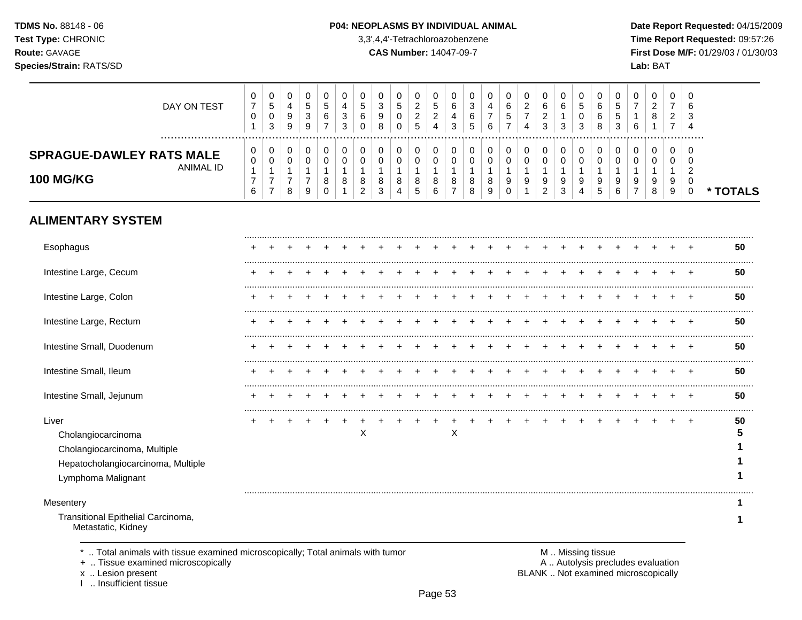#### P04: NEOPLASMS BY INDIVIDUAL ANIMAL

3,3',4,4'-Tetrachloroazobenzene

**CAS Number: 14047-09-7** 

Date Report Requested: 04/15/2009 Time Report Requested: 09:57:26 First Dose M/F: 01/29/03 / 01/30/03 Lab: BAT

| DAY ON TEST                                                                                                             | $\overline{0}$<br>$\boldsymbol{7}$<br>$\pmb{0}$<br>$\mathbf{1}$    | 0<br>$\sqrt{5}$<br>$\pmb{0}$<br>3                                    | 0<br>$\overline{a}$<br>$\boldsymbol{9}$<br>9              | 0<br>$\sqrt{5}$<br>3<br>9                     | 0<br>$\sqrt{5}$<br>6<br>$\overline{7}$ | 0<br>4<br>3<br>3                          | 0<br>$\sqrt{5}$<br>6<br>$\mathbf 0$               | 0<br>$\mathbf{3}$<br>9<br>8   | 0<br>$\,$ 5 $\,$<br>$\pmb{0}$<br>$\mathbf 0$                  | 0<br>$\sqrt{2}$<br>$\overline{c}$<br>5            | 0<br>$\mathbf 5$<br>$\overline{c}$<br>4            | 0<br>6<br>4<br>3                                        | 0<br>$\mathbf{3}$<br>$\,6$<br>5 | 0<br>$\overline{4}$<br>$\overline{7}$<br>6 | 0<br>$\,6\,$<br>5<br>$\overline{7}$  | 0<br>$\overline{c}$<br>$\overline{7}$<br>4 | 0<br>$\,6\,$<br>$\overline{c}$<br>3                           | 0<br>$\,6\,$<br>$\mathbf{1}$<br>3        | 0<br>$\sqrt{5}$<br>$\mathbf 0$<br>3                 | 0<br>6<br>6<br>8                          | 0<br>$\sqrt{5}$<br>$\sqrt{5}$<br>3 | 0<br>$\overline{7}$<br>6      | 0<br>$\overline{2}$<br>$\bf 8$<br>$\mathbf{1}$ | 0<br>$\overline{7}$<br>$\overline{2}$<br>$\overline{7}$ | 0<br>6<br>3<br>$\overline{4}$                          |          |
|-------------------------------------------------------------------------------------------------------------------------|--------------------------------------------------------------------|----------------------------------------------------------------------|-----------------------------------------------------------|-----------------------------------------------|----------------------------------------|-------------------------------------------|---------------------------------------------------|-------------------------------|---------------------------------------------------------------|---------------------------------------------------|----------------------------------------------------|---------------------------------------------------------|---------------------------------|--------------------------------------------|--------------------------------------|--------------------------------------------|---------------------------------------------------------------|------------------------------------------|-----------------------------------------------------|-------------------------------------------|------------------------------------|-------------------------------|------------------------------------------------|---------------------------------------------------------|--------------------------------------------------------|----------|
| .<br><b>SPRAGUE-DAWLEY RATS MALE</b><br><b>ANIMAL ID</b><br><b>100 MG/KG</b>                                            | 0<br>$\pmb{0}$<br>$\mathbf{1}$<br>$\overline{7}$<br>$6\phantom{a}$ | 0<br>$\pmb{0}$<br>$\mathbf{1}$<br>$\boldsymbol{7}$<br>$\overline{7}$ | 0<br>$\mathbf 0$<br>$\overline{1}$<br>$\overline{7}$<br>8 | 0<br>$\mathbf 0$<br>-1<br>$\overline{7}$<br>9 | 0<br>0<br>8<br>$\Omega$                | $\mathbf 0$<br>$\mathbf 0$<br>1<br>8<br>1 | $\mathbf 0$<br>$\mathbf 0$<br>8<br>$\overline{2}$ | 0<br>$\pmb{0}$<br>1<br>8<br>3 | $\pmb{0}$<br>$\pmb{0}$<br>$\mathbf{1}$<br>8<br>$\overline{4}$ | 0<br>$\pmb{0}$<br>$\mathbf{1}$<br>8<br>$\sqrt{5}$ | $\mathbf 0$<br>$\pmb{0}$<br>$\mathbf{1}$<br>8<br>6 | $\mathbf 0$<br>$\mathbf 0$<br>-1<br>8<br>$\overline{7}$ | 0<br>0<br>1<br>8<br>8           | $\pmb{0}$<br>$\mathbf 0$<br>8<br>9         | 0<br>$\pmb{0}$<br>1<br>9<br>$\Omega$ | $\pmb{0}$<br>$\pmb{0}$<br>1<br>9           | $\pmb{0}$<br>$\pmb{0}$<br>$\mathbf{1}$<br>9<br>$\overline{2}$ | 0<br>$\pmb{0}$<br>$\mathbf{1}$<br>9<br>3 | $\mathbf 0$<br>$\mathbf 0$<br>$\mathbf 1$<br>9<br>4 | $\mathbf 0$<br>$\mathbf 0$<br>1<br>9<br>5 | 0<br>$\mathbf 0$<br>9<br>6         | 0<br>0<br>9<br>$\overline{7}$ | $\mathbf 0$<br>0<br>$\mathbf{1}$<br>9<br>8     | $\mathbf 0$<br>0<br>$\mathbf{1}$<br>9<br>9              | 0<br>$\mathbf 0$<br>$\overline{2}$<br>0<br>$\mathbf 0$ | * TOTALS |
| <b>ALIMENTARY SYSTEM</b>                                                                                                |                                                                    |                                                                      |                                                           |                                               |                                        |                                           |                                                   |                               |                                                               |                                                   |                                                    |                                                         |                                 |                                            |                                      |                                            |                                                               |                                          |                                                     |                                           |                                    |                               |                                                |                                                         |                                                        |          |
| Esophagus                                                                                                               |                                                                    |                                                                      |                                                           |                                               |                                        |                                           |                                                   |                               |                                                               |                                                   |                                                    |                                                         |                                 |                                            |                                      |                                            |                                                               |                                          |                                                     |                                           |                                    |                               |                                                |                                                         |                                                        | 50       |
| Intestine Large, Cecum                                                                                                  |                                                                    |                                                                      |                                                           |                                               |                                        |                                           |                                                   |                               |                                                               |                                                   |                                                    |                                                         |                                 |                                            |                                      |                                            |                                                               |                                          |                                                     |                                           |                                    |                               |                                                |                                                         |                                                        | 50       |
| Intestine Large, Colon                                                                                                  |                                                                    |                                                                      |                                                           |                                               |                                        |                                           |                                                   |                               |                                                               |                                                   |                                                    |                                                         |                                 |                                            |                                      |                                            |                                                               |                                          |                                                     |                                           |                                    |                               |                                                |                                                         |                                                        | 50       |
| Intestine Large, Rectum                                                                                                 |                                                                    |                                                                      |                                                           |                                               |                                        |                                           |                                                   |                               |                                                               |                                                   |                                                    |                                                         |                                 |                                            |                                      |                                            |                                                               |                                          |                                                     |                                           |                                    |                               |                                                |                                                         | $\div$                                                 | 50       |
| Intestine Small, Duodenum                                                                                               |                                                                    |                                                                      |                                                           |                                               |                                        |                                           |                                                   |                               |                                                               |                                                   |                                                    |                                                         |                                 |                                            |                                      |                                            |                                                               |                                          |                                                     |                                           |                                    |                               |                                                |                                                         | $\ddot{}$                                              | 50       |
| Intestine Small, Ileum                                                                                                  |                                                                    |                                                                      |                                                           |                                               |                                        |                                           |                                                   |                               |                                                               |                                                   |                                                    |                                                         |                                 |                                            |                                      |                                            |                                                               |                                          |                                                     |                                           |                                    |                               |                                                |                                                         | $\pm$                                                  | 50       |
| Intestine Small, Jejunum                                                                                                |                                                                    |                                                                      |                                                           |                                               |                                        |                                           |                                                   |                               |                                                               |                                                   |                                                    |                                                         |                                 |                                            |                                      |                                            |                                                               |                                          |                                                     |                                           |                                    |                               |                                                |                                                         | $\div$                                                 | 50       |
| Liver<br>Cholangiocarcinoma<br>Cholangiocarcinoma, Multiple<br>Hepatocholangiocarcinoma, Multiple<br>Lymphoma Malignant |                                                                    |                                                                      |                                                           |                                               |                                        |                                           | X                                                 |                               |                                                               |                                                   |                                                    | X                                                       |                                 |                                            |                                      |                                            |                                                               |                                          |                                                     |                                           |                                    |                               |                                                |                                                         | $\ddot{}$                                              | 50<br>5  |
| Mesentery                                                                                                               |                                                                    |                                                                      |                                                           |                                               |                                        |                                           |                                                   |                               |                                                               |                                                   |                                                    |                                                         |                                 |                                            |                                      |                                            |                                                               |                                          |                                                     |                                           |                                    |                               |                                                |                                                         |                                                        | 1        |
| Transitional Epithelial Carcinoma,<br>Metastatic, Kidney                                                                |                                                                    |                                                                      |                                                           |                                               |                                        |                                           |                                                   |                               |                                                               |                                                   |                                                    |                                                         |                                 |                                            |                                      |                                            |                                                               |                                          |                                                     |                                           |                                    |                               |                                                |                                                         |                                                        |          |

\* .. Total animals with tissue examined microscopically; Total animals with tumor

+ .. Tissue examined microscopically

x .. Lesion present<br>I .. Insufficient tissue

M .. Missing tissue<br>A .. Autolysis precludes evaluation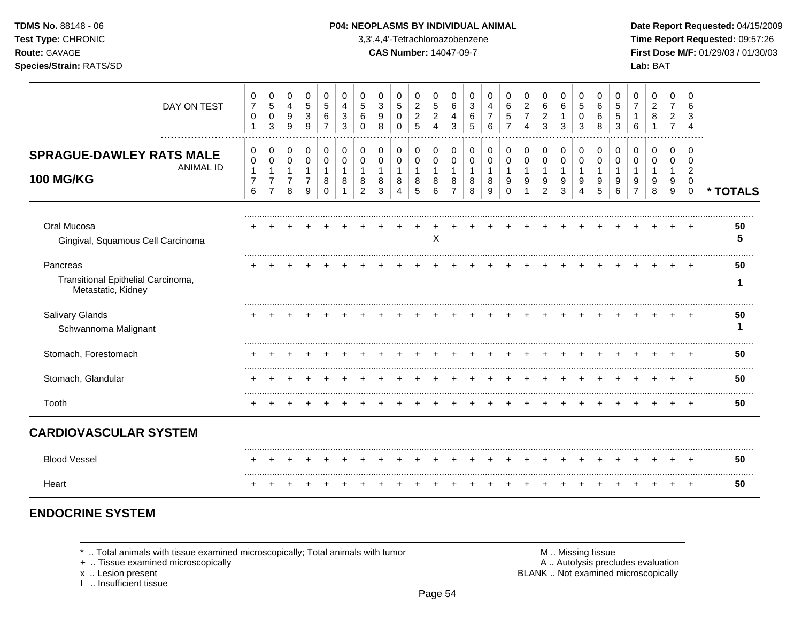**Test Type:** CHRONIC 3,3',4,4'-Tetrachloroazobenzene **Time Report Requested:** 09:57:26 **Route:** GAVAGE **CAS Number:** 14047-09-7 **First Dose M/F:** 01/29/03 / 01/30/03

| DAY ON TEST                                                             | 0<br>$\overline{7}$<br>0<br>$\mathbf{1}$              | 0<br>$\,$ 5 $\,$<br>$\mathbf 0$<br>3                                 | 0<br>$\overline{4}$<br>9<br>9                 | 0<br>$\,$ 5 $\,$<br>3<br>9         | 0<br>5<br>6             | 0<br>4<br>3<br>3 | 0<br>5<br>6                   | 0<br>$\mathbf{3}$<br>9<br>8   | 0<br>$\sqrt{5}$<br>0<br>$\Omega$           | 0<br>$\boldsymbol{2}$<br>$\boldsymbol{2}$<br>5 | $\Omega$<br>5<br>$\overline{2}$<br>4 | $\Omega$<br>6<br>4<br>3            | 0<br>3<br>6<br>5 | 0<br>4<br>6      | 0<br>6<br>5             | 0<br>$\overline{a}$<br>$\overline{7}$ | 0<br>6<br>$\overline{c}$<br>3 | 0<br>6<br>1<br>3                       | 0<br>$\overline{5}$<br>0<br>3                      | 0<br>6<br>6<br>8      | 0<br>5<br>5<br>3 | 0<br>$\overline{7}$ | 0<br>$\overline{c}$<br>8 | 0<br>$\overline{7}$<br>$\overline{2}$ | 0<br>6                                              |          |
|-------------------------------------------------------------------------|-------------------------------------------------------|----------------------------------------------------------------------|-----------------------------------------------|------------------------------------|-------------------------|------------------|-------------------------------|-------------------------------|--------------------------------------------|------------------------------------------------|--------------------------------------|------------------------------------|------------------|------------------|-------------------------|---------------------------------------|-------------------------------|----------------------------------------|----------------------------------------------------|-----------------------|------------------|---------------------|--------------------------|---------------------------------------|-----------------------------------------------------|----------|
| <b>SPRAGUE-DAWLEY RATS MALE</b><br><b>ANIMAL ID</b><br><b>100 MG/KG</b> | 0<br>$\pmb{0}$<br>$\mathbf{1}$<br>$\overline{7}$<br>6 | 0<br>$\mathbf 0$<br>$\mathbf{1}$<br>$\overline{7}$<br>$\overline{7}$ | 0<br>0<br>$\mathbf{1}$<br>$\overline{7}$<br>8 | 0<br>0<br>1<br>$\overline{7}$<br>9 | 0<br>0<br>8<br>$\Omega$ | 0<br>0<br>8      | 0<br>0<br>8<br>$\overline{2}$ | 0<br>$\pmb{0}$<br>1<br>8<br>3 | 0<br>$\mathbf 0$<br>$\mathbf{1}$<br>8<br>4 | 0<br>0<br>1<br>8<br>5                          | 0<br>0<br>1<br>8<br>6                | 0<br>0<br>1<br>8<br>$\overline{7}$ | 0<br>0<br>8<br>8 | 0<br>0<br>8<br>q | 0<br>0<br>9<br>$\Omega$ | 0<br>0<br>9                           | 0<br>$\pmb{0}$<br>9<br>2      | 0<br>$\,0\,$<br>$\mathbf{1}$<br>9<br>3 | 0<br>$\,0\,$<br>$\mathbf 1$<br>9<br>$\overline{4}$ | 0<br>0<br>1<br>9<br>5 | 0<br>0<br>9<br>6 | 0<br>0<br>9         | 0<br>0<br>9<br>8         | 0<br>0<br>9<br>9                      | 0<br>$\Omega$<br>$\overline{c}$<br>0<br>$\mathbf 0$ | * TOTALS |
| Oral Mucosa<br>Gingival, Squamous Cell Carcinoma                        |                                                       |                                                                      |                                               |                                    |                         |                  |                               |                               |                                            |                                                | X                                    |                                    |                  |                  |                         |                                       |                               |                                        |                                                    |                       |                  |                     |                          |                                       |                                                     | 50<br>5  |
| Pancreas<br>Transitional Epithelial Carcinoma,<br>Metastatic, Kidney    |                                                       |                                                                      |                                               |                                    |                         |                  |                               |                               |                                            |                                                |                                      |                                    |                  |                  |                         |                                       |                               |                                        |                                                    |                       |                  |                     |                          |                                       |                                                     | 50       |
| Salivary Glands<br>Schwannoma Malignant                                 |                                                       |                                                                      |                                               |                                    |                         |                  |                               |                               |                                            |                                                |                                      |                                    |                  |                  |                         |                                       |                               |                                        |                                                    |                       |                  |                     |                          |                                       |                                                     | 50       |
| Stomach, Forestomach                                                    |                                                       |                                                                      |                                               |                                    |                         |                  |                               |                               |                                            |                                                |                                      |                                    |                  |                  |                         |                                       |                               |                                        |                                                    |                       |                  |                     |                          |                                       |                                                     | 50       |
| Stomach, Glandular                                                      |                                                       |                                                                      |                                               |                                    |                         |                  |                               |                               |                                            |                                                |                                      |                                    |                  |                  |                         |                                       |                               |                                        |                                                    |                       |                  |                     |                          |                                       |                                                     | 50       |
| Tooth                                                                   | +                                                     |                                                                      |                                               |                                    |                         |                  |                               |                               |                                            |                                                |                                      |                                    |                  |                  |                         |                                       |                               |                                        |                                                    |                       |                  |                     |                          |                                       | $\div$                                              | 50       |
| <b>CARDIOVASCULAR SYSTEM</b>                                            |                                                       |                                                                      |                                               |                                    |                         |                  |                               |                               |                                            |                                                |                                      |                                    |                  |                  |                         |                                       |                               |                                        |                                                    |                       |                  |                     |                          |                                       |                                                     |          |
| <b>Blood Vessel</b>                                                     |                                                       |                                                                      |                                               |                                    |                         |                  |                               |                               |                                            |                                                |                                      |                                    |                  |                  |                         |                                       |                               |                                        |                                                    |                       |                  |                     | +                        |                                       | $^{+}$                                              | 50       |
| Heart                                                                   |                                                       |                                                                      |                                               |                                    |                         |                  |                               |                               |                                            |                                                |                                      |                                    |                  |                  |                         |                                       |                               |                                        |                                                    |                       |                  |                     |                          |                                       |                                                     | 50       |

# **ENDOCRINE SYSTEM**

\* .. Total animals with tissue examined microscopically; Total animals with tumor <br>
+ .. Tissue examined microscopically<br>
+ .. Tissue examined microscopically

+ .. Tissue examined microscopically

x .. Lesion present<br>I .. Insufficient tissue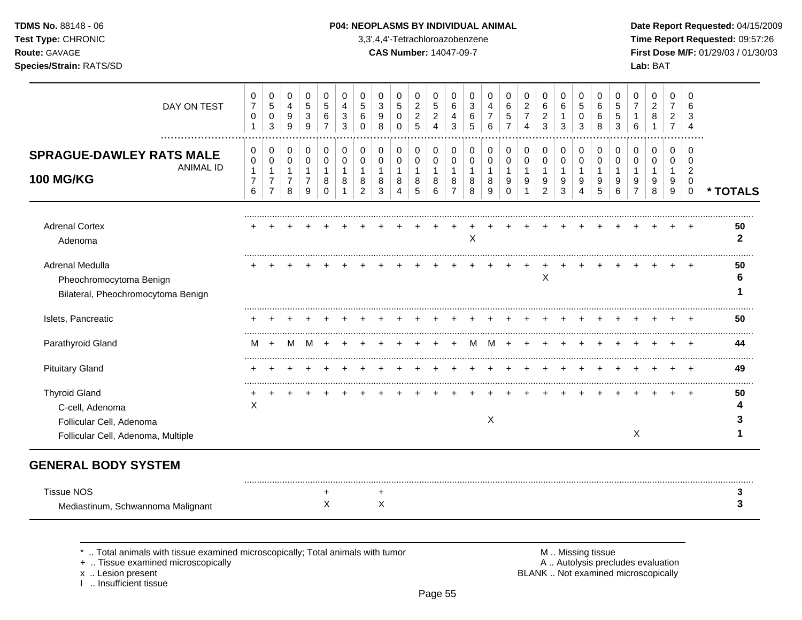**Test Type:** CHRONIC 3,3',4,4'-Tetrachloroazobenzene **Time Report Requested:** 09:57:26 **Route:** GAVAGE **CAS Number:** 14047-09-7 **First Dose M/F:** 01/29/03 / 01/30/03

| DAY ON TEST                                                                                               | 0<br>$\overline{7}$<br>0<br>$\mathbf{1}$      | 0<br>5<br>$\mathbf 0$<br>3                                | 0<br>$\overline{4}$<br>9<br>9                 | 0<br>$\sqrt{5}$<br>3<br>9                               | 0<br>5<br>6<br>7                       | 0<br>4<br>3<br>3 | 0<br>5<br>6<br>$\Omega$            | 0<br>$\mathfrak{S}$<br>9<br>8              | 0<br>$\overline{5}$<br>0<br>$\Omega$          | 0<br>$\boldsymbol{2}$<br>$\boldsymbol{2}$<br>5 | 0<br>5<br>$\overline{c}$<br>Δ             | $\Omega$<br>6<br>4<br>3                              | 0<br>3<br>6<br>5                     | 0<br>4<br>6                             | 0<br>6<br>5                            | 0<br>$\overline{2}$<br>$\overline{7}$<br>$\overline{\mathbf{4}}$ | 0<br>6<br>$\overline{c}$<br>3                         | 0<br>6<br>1<br>3                           | 0<br>$\overline{5}$<br>0<br>3                         | 0<br>6<br>6<br>8                           | 0<br>5<br>5<br>3      | 0<br>$\overline{7}$<br>6                                   | 0<br>$\overline{c}$<br>8 | 0<br>$\overline{7}$<br>$\overline{2}$ | 0<br>6                                                        |                    |
|-----------------------------------------------------------------------------------------------------------|-----------------------------------------------|-----------------------------------------------------------|-----------------------------------------------|---------------------------------------------------------|----------------------------------------|------------------|------------------------------------|--------------------------------------------|-----------------------------------------------|------------------------------------------------|-------------------------------------------|------------------------------------------------------|--------------------------------------|-----------------------------------------|----------------------------------------|------------------------------------------------------------------|-------------------------------------------------------|--------------------------------------------|-------------------------------------------------------|--------------------------------------------|-----------------------|------------------------------------------------------------|--------------------------|---------------------------------------|---------------------------------------------------------------|--------------------|
| .<br><b>SPRAGUE-DAWLEY RATS MALE</b><br><b>ANIMAL ID</b><br><b>100 MG/KG</b>                              | 0<br>0<br>$\mathbf{1}$<br>$\overline{7}$<br>6 | 0<br>0<br>$\mathbf 1$<br>$\overline{7}$<br>$\overline{7}$ | 0<br>0<br>$\mathbf{1}$<br>$\overline{7}$<br>8 | $\mathbf 0$<br>0<br>$\mathbf{1}$<br>$\overline{7}$<br>9 | 0<br>$\mathbf 0$<br>1<br>8<br>$\Omega$ | 0<br>0<br>8      | 0<br>0<br>1<br>8<br>$\overline{2}$ | 0<br>$\mathbf 0$<br>$\mathbf{1}$<br>8<br>3 | 0<br>0<br>$\mathbf{1}$<br>8<br>$\overline{4}$ | 0<br>0<br>$\mathbf{1}$<br>8<br>5               | $\Omega$<br>0<br>$\overline{1}$<br>8<br>6 | $\Omega$<br>0<br>$\mathbf{1}$<br>8<br>$\overline{7}$ | $\Omega$<br>$\Omega$<br>-1<br>8<br>8 | $\Omega$<br>0<br>$\mathbf{1}$<br>8<br>9 | 0<br>$\mathbf 0$<br>1<br>9<br>$\Omega$ | 0<br>0<br>$\mathbf 1$<br>9                                       | 0<br>$\pmb{0}$<br>$\mathbf{1}$<br>9<br>$\overline{c}$ | 0<br>$\pmb{0}$<br>$\overline{1}$<br>9<br>3 | 0<br>$\pmb{0}$<br>$\mathbf{1}$<br>9<br>$\overline{4}$ | 0<br>$\mathbf 0$<br>$\mathbf{1}$<br>9<br>5 | 0<br>0<br>1<br>9<br>6 | $\Omega$<br>$\Omega$<br>$\mathbf 1$<br>9<br>$\overline{7}$ | 0<br>0<br>1<br>9<br>8    | 0<br>0<br>-1<br>9<br>$9\,$            | 0<br>$\Omega$<br>$\overline{2}$<br>$\mathbf 0$<br>$\mathbf 0$ | * TOTALS           |
| <b>Adrenal Cortex</b><br>Adenoma                                                                          |                                               |                                                           |                                               |                                                         |                                        |                  |                                    |                                            |                                               |                                                |                                           |                                                      | $\pmb{\times}$                       |                                         |                                        |                                                                  |                                                       |                                            |                                                       |                                            |                       |                                                            |                          |                                       |                                                               | 50<br>$\mathbf{2}$ |
| Adrenal Medulla<br>Pheochromocytoma Benign<br>Bilateral, Pheochromocytoma Benign                          |                                               |                                                           |                                               |                                                         |                                        |                  |                                    |                                            |                                               |                                                |                                           |                                                      |                                      |                                         |                                        |                                                                  | Χ                                                     |                                            |                                                       |                                            |                       |                                                            |                          |                                       |                                                               | 50                 |
| Islets, Pancreatic                                                                                        |                                               |                                                           |                                               |                                                         |                                        |                  |                                    |                                            |                                               |                                                |                                           |                                                      |                                      |                                         |                                        |                                                                  |                                                       |                                            |                                                       |                                            |                       |                                                            |                          |                                       |                                                               | 50                 |
| Parathyroid Gland                                                                                         | м                                             |                                                           | м                                             |                                                         |                                        |                  |                                    |                                            |                                               |                                                |                                           |                                                      |                                      |                                         |                                        |                                                                  |                                                       |                                            |                                                       |                                            |                       |                                                            |                          |                                       |                                                               | 44                 |
| <b>Pituitary Gland</b>                                                                                    |                                               |                                                           |                                               |                                                         |                                        |                  |                                    |                                            |                                               |                                                |                                           |                                                      |                                      |                                         |                                        |                                                                  |                                                       |                                            |                                                       |                                            |                       |                                                            |                          |                                       |                                                               | 49                 |
| <b>Thyroid Gland</b><br>C-cell, Adenoma<br>Follicular Cell, Adenoma<br>Follicular Cell, Adenoma, Multiple | Χ                                             |                                                           |                                               |                                                         |                                        |                  |                                    |                                            |                                               |                                                |                                           |                                                      |                                      | X                                       |                                        |                                                                  |                                                       |                                            |                                                       |                                            |                       | $\mathsf{X}$                                               |                          |                                       |                                                               | 50                 |
| <b>GENERAL BODY SYSTEM</b>                                                                                |                                               |                                                           |                                               |                                                         |                                        |                  |                                    |                                            |                                               |                                                |                                           |                                                      |                                      |                                         |                                        |                                                                  |                                                       |                                            |                                                       |                                            |                       |                                                            |                          |                                       |                                                               |                    |
| <b>Tissue NOS</b><br>Mediastinum, Schwannoma Malignant                                                    |                                               |                                                           |                                               |                                                         | +<br>X                                 |                  |                                    | $\ddot{}$<br>X                             |                                               |                                                |                                           |                                                      |                                      |                                         |                                        |                                                                  |                                                       |                                            |                                                       |                                            |                       |                                                            |                          |                                       |                                                               |                    |

\* .. Total animals with tissue examined microscopically; Total animals with tumor **M** metally more than M .. Missing tissue<br>  $\blacksquare$  Tissue examined microscopically

+ .. Tissue examined microscopically

x .. Lesion present<br>I .. Insufficient tissue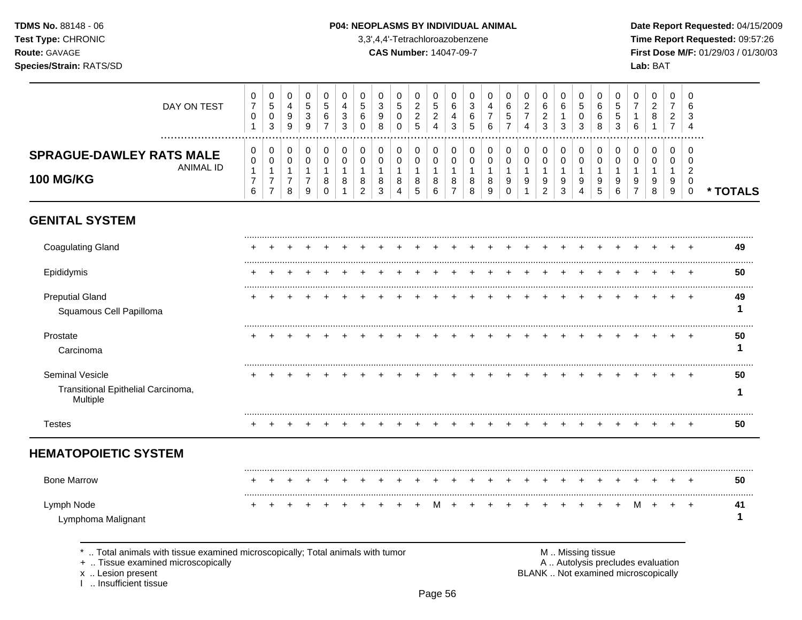### P04: NEOPLASMS BY INDIVIDUAL ANIMAL

3,3',4,4'-Tetrachloroazobenzene

**CAS Number: 14047-09-7** 

Date Report Requested: 04/15/2009 Time Report Requested: 09:57:26 First Dose M/F: 01/29/03 / 01/30/03 Lab: BAT

| DAY ON TEST<br>.                                                        | 0<br>$\overline{7}$<br>0<br>$\mathbf{1}$              | 0<br>$\sqrt{5}$<br>$\pmb{0}$<br>3                                    | 0<br>4<br>9<br>9                                        | $\mathbf 0$<br>5<br>$\sqrt{3}$<br>9                          | 0<br>5<br>6<br>7                           | 0<br>4<br>3<br>3        | 0<br>5<br>6<br>0                          | $\Omega$<br>3<br>9<br>8      | 0<br>5<br>0<br>$\Omega$         | 0<br>$\sqrt{2}$<br>$\sqrt{2}$<br>5         | 0<br>5<br>$\overline{2}$<br>$\overline{\mathbf{4}}$ | $\Omega$<br>6<br>4<br>3              | $\Omega$<br>3<br>6<br>5      | $\Omega$<br>4<br>$\overline{7}$<br>6    | 0<br>6<br>5                         | 0<br>$\boldsymbol{2}$<br>$\overline{7}$ | 0<br>6<br>$\overline{c}$<br>3 | 0<br>6<br>$\mathbf{1}$<br>3      | 0<br>$\sqrt{5}$<br>0<br>3                  | 0<br>6<br>6<br>8                           | 0<br>5<br>5<br>3              | 0<br>-1<br>6                  | 0<br>$\overline{c}$<br>8     | 0<br>$\overline{7}$<br>2<br>$\overline{7}$ | 0<br>6<br>3<br>4                          |          |
|-------------------------------------------------------------------------|-------------------------------------------------------|----------------------------------------------------------------------|---------------------------------------------------------|--------------------------------------------------------------|--------------------------------------------|-------------------------|-------------------------------------------|------------------------------|---------------------------------|--------------------------------------------|-----------------------------------------------------|--------------------------------------|------------------------------|-----------------------------------------|-------------------------------------|-----------------------------------------|-------------------------------|----------------------------------|--------------------------------------------|--------------------------------------------|-------------------------------|-------------------------------|------------------------------|--------------------------------------------|-------------------------------------------|----------|
| <b>SPRAGUE-DAWLEY RATS MALE</b><br><b>ANIMAL ID</b><br><b>100 MG/KG</b> | 0<br>$\pmb{0}$<br>$\mathbf{1}$<br>$\overline{7}$<br>6 | 0<br>$\mathbf 0$<br>$\mathbf{1}$<br>$\overline{7}$<br>$\overline{7}$ | 0<br>$\mathbf 0$<br>$\mathbf{1}$<br>$\overline{7}$<br>8 | 0<br>$\boldsymbol{0}$<br>$\mathbf{1}$<br>$\overline{7}$<br>9 | 0<br>$\mathbf 0$<br>$\mathbf{1}$<br>8<br>0 | 0<br>$\Omega$<br>1<br>8 | 0<br>$\Omega$<br>1<br>8<br>$\overline{2}$ | 0<br>$\Omega$<br>1<br>8<br>3 | 0<br>0<br>$\mathbf 1$<br>8<br>4 | 0<br>$\mathbf 0$<br>$\mathbf{1}$<br>8<br>5 | 0<br>$\mathbf 0$<br>$\mathbf{1}$<br>8<br>6          | 0<br>$\mathbf 0$<br>$\mathbf 1$<br>8 | 0<br>$\Omega$<br>1<br>8<br>8 | 0<br>$\Omega$<br>$\mathbf{1}$<br>8<br>9 | 0<br>$\Omega$<br>1<br>9<br>$\Omega$ | 0<br>$\Omega$<br>9                      | 0<br>0<br>1<br>9<br>2         | 0<br>0<br>$\mathbf{1}$<br>9<br>3 | 0<br>$\mathbf 0$<br>$\mathbf{1}$<br>9<br>4 | 0<br>$\mathbf 0$<br>$\mathbf{1}$<br>9<br>5 | 0<br>$\Omega$<br>-1<br>9<br>6 | 0<br>$\Omega$<br>-1<br>9<br>7 | 0<br>$\Omega$<br>1<br>9<br>8 | 0<br>$\Omega$<br>1<br>9<br>9               | 0<br>$\Omega$<br>$\overline{2}$<br>0<br>0 | * TOTALS |
| <b>GENITAL SYSTEM</b>                                                   |                                                       |                                                                      |                                                         |                                                              |                                            |                         |                                           |                              |                                 |                                            |                                                     |                                      |                              |                                         |                                     |                                         |                               |                                  |                                            |                                            |                               |                               |                              |                                            |                                           |          |
| <b>Coagulating Gland</b>                                                |                                                       |                                                                      |                                                         |                                                              |                                            |                         |                                           |                              |                                 |                                            |                                                     |                                      |                              |                                         |                                     |                                         |                               |                                  |                                            |                                            |                               |                               |                              |                                            |                                           | 49       |
| Epididymis                                                              |                                                       |                                                                      |                                                         |                                                              |                                            |                         |                                           |                              |                                 |                                            |                                                     |                                      |                              |                                         |                                     |                                         |                               |                                  |                                            |                                            |                               |                               |                              |                                            |                                           | 50       |
| <b>Preputial Gland</b><br>Squamous Cell Papilloma                       |                                                       |                                                                      |                                                         |                                                              |                                            |                         |                                           |                              |                                 |                                            |                                                     |                                      |                              |                                         |                                     |                                         |                               |                                  |                                            |                                            |                               |                               |                              |                                            |                                           | 49       |
| Prostate<br>Carcinoma                                                   |                                                       |                                                                      |                                                         |                                                              |                                            |                         |                                           |                              |                                 |                                            |                                                     |                                      |                              |                                         |                                     |                                         |                               |                                  |                                            |                                            |                               |                               |                              |                                            |                                           | 50       |
| Seminal Vesicle<br>Transitional Epithelial Carcinoma,<br>Multiple       |                                                       |                                                                      |                                                         |                                                              |                                            |                         |                                           |                              |                                 |                                            |                                                     |                                      |                              |                                         |                                     |                                         |                               |                                  |                                            |                                            |                               |                               |                              |                                            |                                           | 50       |
| <b>Testes</b>                                                           |                                                       |                                                                      |                                                         |                                                              |                                            |                         |                                           |                              |                                 |                                            |                                                     |                                      |                              |                                         |                                     |                                         |                               |                                  |                                            |                                            |                               |                               |                              |                                            |                                           | 50       |
| <b>HEMATOPOIETIC SYSTEM</b>                                             |                                                       |                                                                      |                                                         |                                                              |                                            |                         |                                           |                              |                                 |                                            |                                                     |                                      |                              |                                         |                                     |                                         |                               |                                  |                                            |                                            |                               |                               |                              |                                            |                                           |          |
| <b>Bone Marrow</b>                                                      |                                                       |                                                                      |                                                         |                                                              |                                            |                         |                                           |                              |                                 |                                            |                                                     |                                      |                              |                                         |                                     |                                         |                               |                                  |                                            |                                            |                               |                               |                              |                                            |                                           | 50       |
| Lymph Node<br>Lymphoma Malignant                                        |                                                       |                                                                      |                                                         |                                                              |                                            |                         |                                           |                              |                                 |                                            | м                                                   |                                      |                              |                                         |                                     |                                         |                               |                                  |                                            | $\div$                                     | +                             | м                             |                              |                                            | $\overline{ }$                            | 41       |

\* .. Total animals with tissue examined microscopically; Total animals with tumor

+ .. Tissue examined microscopically

x .. Lesion present<br>I .. Insufficient tissue

M .. Missing tissue<br>A .. Autolysis precludes evaluation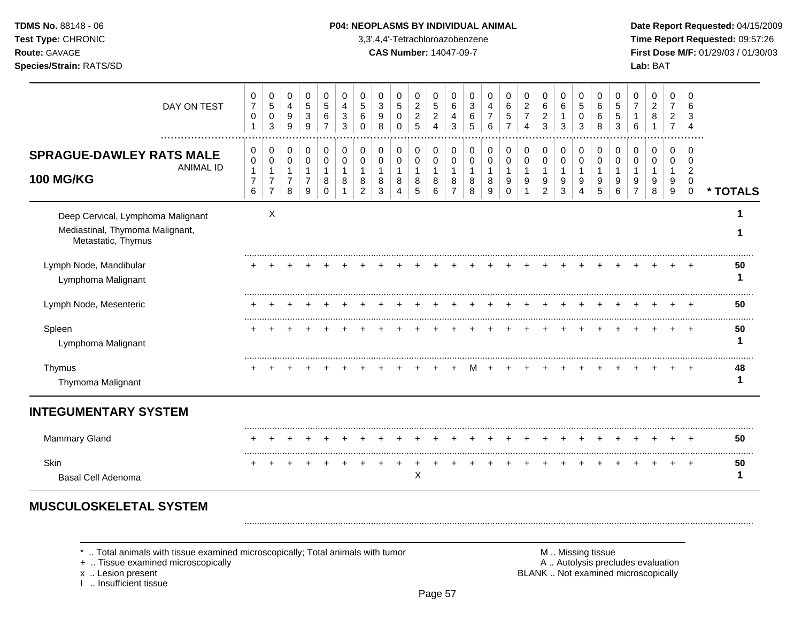### **TDMS No.** 88148 - 06 **P04: NEOPLASMS BY INDIVIDUAL ANIMAL** Date Report Requested: 04/15/2009

**Test Type:** CHRONIC 3,3',4,4'-Tetrachloroazobenzene **Time Report Requested:** 09:57:26 **Route:** GAVAGE **CAS Number:** 14047-09-7 **First Dose M/F:** 01/29/03 / 01/30/03

| DAY ON TEST                                                                                | 0<br>$\overline{7}$<br>0<br>-1           | 0<br>5<br>$\mathbf 0$<br>3                        | 0<br>4<br>9<br>9                              | 0<br>$\overline{5}$<br>$\ensuremath{\mathsf{3}}$<br>9   | 0<br>5<br>6<br>$\overline{7}$ | 0<br>4<br>3<br>3 | 0<br>5<br>6<br>0                   | 0<br>3<br>9<br>8 | 0<br>5<br>0<br>$\Omega$ | 0<br>$\overline{2}$<br>$\overline{c}$<br>5 | 0<br>5<br>$\overline{c}$<br>$\overline{4}$ | 0<br>6<br>4<br>3                   | 0<br>3<br>6<br>5      | $\Omega$<br>4<br>$\overline{7}$<br>6 | 0<br>6<br>5<br>$\overline{7}$ | 0<br>$\boldsymbol{2}$<br>$\overline{7}$<br>$\overline{4}$ | 0<br>6<br>$\overline{c}$<br>3                                         | $\Omega$<br>6<br>3    | 0<br>5<br>$\Omega$<br>3 | 0<br>6<br>6<br>8      | 0<br>5<br>5<br>3 | 0<br>$\overline{7}$<br>6                | 0<br>$\overline{2}$<br>8<br>1   | $\mathbf 0$<br>$\overline{7}$<br>$\overline{c}$<br>$\overline{7}$ | $\Omega$<br>6<br>3<br>$\overline{4}$                 |          |
|--------------------------------------------------------------------------------------------|------------------------------------------|---------------------------------------------------|-----------------------------------------------|---------------------------------------------------------|-------------------------------|------------------|------------------------------------|------------------|-------------------------|--------------------------------------------|--------------------------------------------|------------------------------------|-----------------------|--------------------------------------|-------------------------------|-----------------------------------------------------------|-----------------------------------------------------------------------|-----------------------|-------------------------|-----------------------|------------------|-----------------------------------------|---------------------------------|-------------------------------------------------------------------|------------------------------------------------------|----------|
| <b>SPRAGUE-DAWLEY RATS MALE</b><br><b>ANIMAL ID</b><br><b>100 MG/KG</b>                    | 0<br>0<br>1<br>$\overline{7}$<br>$\,6\,$ | 0<br>0<br>1<br>$\boldsymbol{7}$<br>$\overline{7}$ | 0<br>0<br>$\mathbf{1}$<br>$\overline{7}$<br>8 | 0<br>$\mathbf 0$<br>$\mathbf{1}$<br>$\overline{7}$<br>9 | 0<br>0<br>1<br>8<br>$\Omega$  | 0<br>0<br>8      | 0<br>0<br>1<br>8<br>$\overline{2}$ | 0<br>0<br>8<br>3 | 0<br>0<br>-1<br>8<br>Δ  | 0<br>$\mathbf 0$<br>1<br>8<br>5            | 0<br>$\pmb{0}$<br>-1<br>$\bf8$<br>6        | 0<br>0<br>1<br>8<br>$\overline{7}$ | 0<br>0<br>1<br>8<br>8 | 0<br>0<br>8<br>9                     | 0<br>0<br>9<br>$\Omega$       | 0<br>0<br>$\mathbf{1}$<br>9<br>1                          | 0<br>$\mathbf 0$<br>$\mathbf 1$<br>$\boldsymbol{9}$<br>$\overline{c}$ | 0<br>0<br>1<br>9<br>3 | 0<br>0<br>9<br>4        | 0<br>0<br>1<br>9<br>5 | 0<br>0<br>9<br>6 | 0<br>$\mathbf 0$<br>9<br>$\overline{7}$ | 0<br>0<br>1<br>$\mathsf g$<br>8 | 0<br>0<br>-1<br>9<br>9                                            | 0<br>0<br>$\overline{2}$<br>$\pmb{0}$<br>$\mathbf 0$ | * TOTALS |
| Deep Cervical, Lymphoma Malignant<br>Mediastinal, Thymoma Malignant,<br>Metastatic, Thymus |                                          | X                                                 |                                               |                                                         |                               |                  |                                    |                  |                         |                                            |                                            |                                    |                       |                                      |                               |                                                           |                                                                       |                       |                         |                       |                  |                                         |                                 |                                                                   |                                                      |          |
| Lymph Node, Mandibular<br>Lymphoma Malignant                                               |                                          |                                                   |                                               |                                                         |                               |                  |                                    |                  |                         |                                            |                                            |                                    |                       |                                      |                               |                                                           |                                                                       |                       |                         |                       |                  |                                         |                                 |                                                                   |                                                      | 50<br>1  |
| Lymph Node, Mesenteric                                                                     |                                          |                                                   |                                               |                                                         |                               |                  |                                    |                  |                         |                                            |                                            |                                    |                       |                                      |                               |                                                           |                                                                       |                       |                         |                       |                  |                                         |                                 |                                                                   |                                                      | 50       |
| Spleen<br>Lymphoma Malignant                                                               |                                          |                                                   |                                               |                                                         |                               |                  |                                    |                  |                         |                                            |                                            |                                    |                       |                                      |                               |                                                           |                                                                       |                       |                         |                       |                  |                                         |                                 |                                                                   |                                                      | 50<br>1  |
| Thymus<br>Thymoma Malignant                                                                |                                          |                                                   |                                               |                                                         |                               |                  |                                    |                  |                         |                                            |                                            |                                    |                       |                                      |                               |                                                           |                                                                       |                       |                         |                       |                  |                                         |                                 |                                                                   |                                                      | 48       |
| <b>INTEGUMENTARY SYSTEM</b>                                                                |                                          |                                                   |                                               |                                                         |                               |                  |                                    |                  |                         |                                            |                                            |                                    |                       |                                      |                               |                                                           |                                                                       |                       |                         |                       |                  |                                         |                                 |                                                                   |                                                      |          |
| <b>Mammary Gland</b>                                                                       |                                          |                                                   |                                               |                                                         |                               |                  |                                    |                  |                         |                                            |                                            |                                    |                       |                                      |                               |                                                           |                                                                       |                       |                         |                       |                  |                                         |                                 |                                                                   |                                                      | 50       |
| Skin<br><b>Basal Cell Adenoma</b>                                                          | $\ddot{}$                                | $\ddot{}$                                         |                                               |                                                         |                               |                  |                                    |                  | ٠                       | X                                          |                                            |                                    |                       |                                      |                               |                                                           |                                                                       |                       |                         |                       |                  |                                         |                                 | +                                                                 | $^{+}$                                               | 50<br>1  |

\* .. Total animals with tissue examined microscopically; Total animals with tumor **M** . M .. Missing tissue examined microscopically<br>
+ .. Tissue examined microscopically

+ .. Tissue examined microscopically

I .. Insufficient tissue

x .. Lesion present **BLANK** .. Not examined microscopically

.........................................................................................................................................................................................................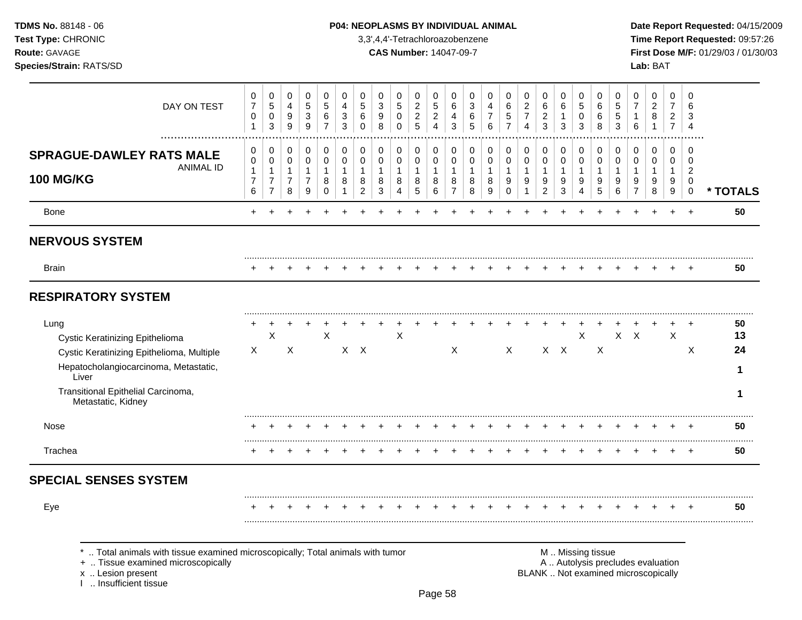# **TDMS No.** 88148 - 06 **P04: NEOPLASMS BY INDIVIDUAL ANIMAL** Date Report Requested: 04/15/2009

**Test Type:** CHRONIC 3,3',4,4'-Tetrachloroazobenzene **Time Report Requested:** 09:57:26 **Route:** GAVAGE **CAS Number:** 14047-09-7 **First Dose M/F:** 01/29/03 / 01/30/03

| DAY ON TEST                                                                                                                                                                                               | 0<br>$\overline{7}$<br>0<br>$\mathbf{1}$      | 0<br>$\sqrt{5}$<br>$\mathbf 0$<br>3                        | 0<br>4<br>9<br>$\boldsymbol{9}$                               | 0<br>$\overline{5}$<br>$\sqrt{3}$<br>$9\,$                           | $\mathbf 0$<br>$\overline{5}$<br>6<br>$\overline{7}$ | 0<br>$\overline{4}$<br>$\mathbf{3}$<br>$\mathbf{3}$ | 0<br>5<br>6<br>$\mathbf 0$                                        | 0<br>3<br>9<br>8                 | 0<br>5<br>$\pmb{0}$<br>$\Omega$ | 0<br>$\overline{c}$<br>$\overline{c}$<br>5 | 0<br>5<br>$\overline{c}$<br>$\overline{4}$ | 0<br>6<br>$\overline{\mathbf{4}}$<br>3        | 0<br>$\mathbf{3}$<br>6<br>5                | 0<br>$\overline{4}$<br>7<br>6    | 0<br>$\,6\,$<br>$\sqrt{5}$<br>$\overline{7}$ | 0<br>$\boldsymbol{2}$<br>$\overline{7}$<br>4 | 0<br>6<br>$\overline{c}$<br>3                 | 0<br>6<br>$\mathbf{1}$<br>3                | 0<br>$\sqrt{5}$<br>0<br>3                             | 0<br>6<br>6<br>8                   | 0<br>5<br>5<br>3                 | 0<br>$\overline{7}$<br>6                                                 | 0<br>$\overline{c}$<br>8<br>$\mathbf{1}$ | 0<br>$\overline{7}$<br>$\overline{2}$<br>$\overline{7}$ | $\Omega$<br>6<br>3<br>$\overline{4}$                           |                                     |
|-----------------------------------------------------------------------------------------------------------------------------------------------------------------------------------------------------------|-----------------------------------------------|------------------------------------------------------------|---------------------------------------------------------------|----------------------------------------------------------------------|------------------------------------------------------|-----------------------------------------------------|-------------------------------------------------------------------|----------------------------------|---------------------------------|--------------------------------------------|--------------------------------------------|-----------------------------------------------|--------------------------------------------|----------------------------------|----------------------------------------------|----------------------------------------------|-----------------------------------------------|--------------------------------------------|-------------------------------------------------------|------------------------------------|----------------------------------|--------------------------------------------------------------------------|------------------------------------------|---------------------------------------------------------|----------------------------------------------------------------|-------------------------------------|
| <br><b>SPRAGUE-DAWLEY RATS MALE</b><br><b>ANIMAL ID</b><br><b>100 MG/KG</b>                                                                                                                               | 0<br>0<br>$\mathbf{1}$<br>$\overline{7}$<br>6 | 0<br>0<br>$\mathbf{1}$<br>$\overline{7}$<br>$\overline{7}$ | 0<br>$\mathbf 0$<br>$\mathbf{1}$<br>$\overline{7}$<br>$\,8\,$ | 0<br>$\pmb{0}$<br>$\mathbf{1}$<br>$\overline{7}$<br>$\boldsymbol{9}$ | $\pmb{0}$<br>$\,0\,$<br>$\mathbf{1}$<br>8<br>0       | $\pmb{0}$<br>$\mathbf 0$<br>$\mathbf{1}$<br>8<br>1  | $\mathbf 0$<br>$\mathbf 0$<br>$\mathbf{1}$<br>8<br>$\overline{c}$ | 0<br>0<br>$\mathbf{1}$<br>8<br>3 | 0<br>0<br>$\mathbf 1$<br>8<br>4 | 0<br>0<br>$\mathbf{1}$<br>8<br>5           | 0<br>0<br>$\mathbf{1}$<br>8<br>6           | 0<br>0<br>$\mathbf{1}$<br>8<br>$\overline{7}$ | 0<br>$\pmb{0}$<br>$\overline{1}$<br>8<br>8 | 0<br>0<br>$\mathbf{1}$<br>8<br>9 | 0<br>0<br>$\mathbf{1}$<br>9<br>$\mathbf 0$   | 0<br>0<br>$\mathbf{1}$<br>9<br>-1            | 0<br>0<br>$\mathbf{1}$<br>9<br>$\overline{2}$ | 0<br>$\mathbf 0$<br>$\mathbf{1}$<br>9<br>3 | 0<br>$\pmb{0}$<br>$\mathbf{1}$<br>9<br>$\overline{4}$ | 0<br>0<br>$\overline{1}$<br>9<br>5 | 0<br>0<br>$\mathbf{1}$<br>9<br>6 | $\mathbf 0$<br>$\mathbf 0$<br>1<br>9<br>$\overline{7}$                   | 0<br>0<br>$\mathbf{1}$<br>9<br>8         | 0<br>0<br>$\mathbf{1}$<br>9<br>9                        | $\mathbf 0$<br>$\mathbf 0$<br>$\overline{2}$<br>0<br>$\pmb{0}$ | * TOTALS                            |
| <b>Bone</b>                                                                                                                                                                                               | +                                             |                                                            |                                                               |                                                                      |                                                      |                                                     |                                                                   |                                  |                                 |                                            |                                            |                                               |                                            |                                  |                                              |                                              |                                               |                                            |                                                       |                                    |                                  |                                                                          |                                          | $\ddot{}$                                               | $+$                                                            | 50                                  |
| <b>NERVOUS SYSTEM</b>                                                                                                                                                                                     |                                               |                                                            |                                                               |                                                                      |                                                      |                                                     |                                                                   |                                  |                                 |                                            |                                            |                                               |                                            |                                  |                                              |                                              |                                               |                                            |                                                       |                                    |                                  |                                                                          |                                          |                                                         |                                                                |                                     |
| <b>Brain</b>                                                                                                                                                                                              |                                               |                                                            |                                                               |                                                                      |                                                      |                                                     |                                                                   |                                  |                                 |                                            |                                            |                                               |                                            |                                  |                                              |                                              |                                               |                                            |                                                       |                                    |                                  |                                                                          |                                          |                                                         |                                                                | 50                                  |
| <b>RESPIRATORY SYSTEM</b>                                                                                                                                                                                 |                                               |                                                            |                                                               |                                                                      |                                                      |                                                     |                                                                   |                                  |                                 |                                            |                                            |                                               |                                            |                                  |                                              |                                              |                                               |                                            |                                                       |                                    |                                  |                                                                          |                                          |                                                         |                                                                |                                     |
| Lung<br><b>Cystic Keratinizing Epithelioma</b><br>Cystic Keratinizing Epithelioma, Multiple<br>Hepatocholangiocarcinoma, Metastatic,<br>Liver<br>Transitional Epithelial Carcinoma,<br>Metastatic, Kidney | $\mathsf X$                                   | X                                                          | $\boldsymbol{\mathsf{X}}$                                     |                                                                      | X                                                    |                                                     | $X$ $X$                                                           |                                  | X                               |                                            |                                            | X                                             |                                            |                                  | X                                            |                                              |                                               | $X$ $X$                                    | X                                                     | $\boldsymbol{\mathsf{X}}$          |                                  | $X$ $X$                                                                  |                                          | $\ddot{}$<br>X                                          | $\overline{ }$<br>X                                            | 50<br>13<br>24<br>-1<br>$\mathbf 1$ |
| <b>Nose</b>                                                                                                                                                                                               |                                               |                                                            |                                                               |                                                                      |                                                      |                                                     |                                                                   |                                  |                                 |                                            |                                            |                                               |                                            |                                  |                                              |                                              |                                               |                                            |                                                       |                                    |                                  |                                                                          |                                          |                                                         |                                                                | 50                                  |
| Trachea                                                                                                                                                                                                   |                                               |                                                            |                                                               |                                                                      |                                                      |                                                     |                                                                   |                                  |                                 |                                            |                                            |                                               |                                            |                                  |                                              |                                              |                                               |                                            |                                                       |                                    |                                  |                                                                          |                                          |                                                         | $\overline{+}$                                                 | 50                                  |
| <b>SPECIAL SENSES SYSTEM</b>                                                                                                                                                                              |                                               |                                                            |                                                               |                                                                      |                                                      |                                                     |                                                                   |                                  |                                 |                                            |                                            |                                               |                                            |                                  |                                              |                                              |                                               |                                            |                                                       |                                    |                                  |                                                                          |                                          |                                                         |                                                                |                                     |
| Eye                                                                                                                                                                                                       |                                               |                                                            |                                                               |                                                                      |                                                      |                                                     |                                                                   |                                  |                                 |                                            |                                            |                                               |                                            |                                  |                                              |                                              |                                               |                                            |                                                       |                                    |                                  |                                                                          |                                          |                                                         |                                                                | 50                                  |
| Total animals with tissue examined microscopically; Total animals with tumor<br>+  Tissue examined microscopically<br>x  Lesion present<br>1  Insufficient tissue                                         |                                               |                                                            |                                                               |                                                                      |                                                      |                                                     |                                                                   |                                  |                                 |                                            |                                            |                                               |                                            |                                  |                                              |                                              |                                               |                                            |                                                       | M  Missing tissue                  |                                  | A  Autolysis precludes evaluation<br>BLANK  Not examined microscopically |                                          |                                                         |                                                                |                                     |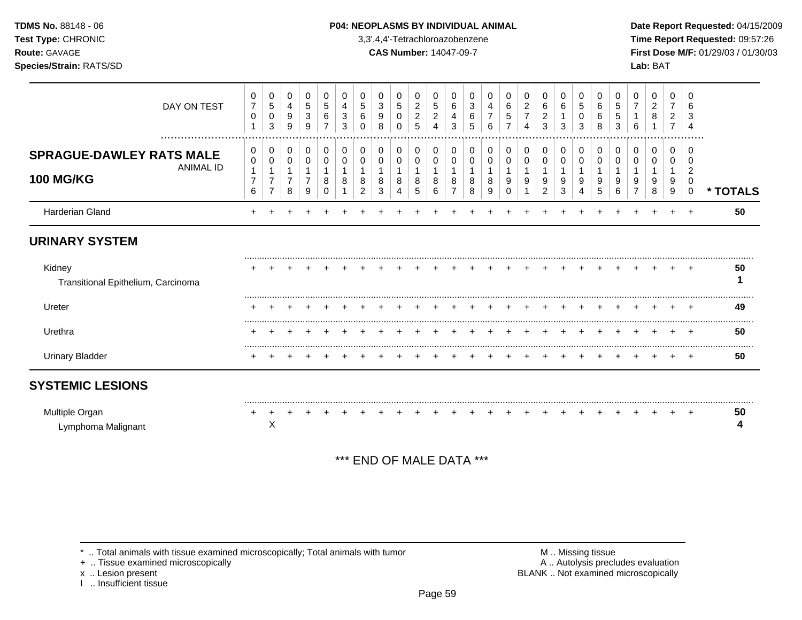### **TDMS No.** 88148 - 06 **P04: NEOPLASMS BY INDIVIDUAL ANIMAL** Date Report Requested: 04/15/2009

**Test Type:** CHRONIC 3,3',4,4'-Tetrachloroazobenzene **Time Report Requested:** 09:57:26 **Route:** GAVAGE **CAS Number:** 14047-09-7 **First Dose M/F:** 01/29/03 / 01/30/03

| DAY ON TEST<br>                                                         | 0<br>$\overline{7}$<br>0      | 0<br>5<br>0<br>3                           | 0<br>$\overline{4}$<br>9<br>9 | 0<br>$\overline{5}$<br>3<br>9              | 0<br>$\sqrt{5}$<br>6  | 0<br>4<br>3<br>3 | 0<br>5<br>6<br>$\Omega$ | 0<br>3<br>9<br>8 | 0<br>5<br>0<br>$\Omega$ | 0<br>$\overline{c}$<br>$\overline{c}$<br>5 | 0<br>$\sqrt{5}$<br>$\overline{c}$<br>4 | 0<br>6<br>4<br>3           | 0<br>3<br>6<br>5      | 0<br>4<br>6      | 0<br>$\,6$<br>5<br>$\overline{7}$ | 0<br>$\overline{2}$<br>7<br>4 | 0<br>$\,6\,$<br>$\overline{c}$<br>3 | 0<br>6<br>3           | 0<br>$\sqrt{5}$<br>0<br>3 | 0<br>6<br>6<br>8 | 0<br>5<br>5<br>3 | 0<br>6 | 0<br>$\overline{c}$<br>8 | 0<br>$\overline{7}$<br>2<br>$\overline{7}$ | 0<br>6                                           |          |
|-------------------------------------------------------------------------|-------------------------------|--------------------------------------------|-------------------------------|--------------------------------------------|-----------------------|------------------|-------------------------|------------------|-------------------------|--------------------------------------------|----------------------------------------|----------------------------|-----------------------|------------------|-----------------------------------|-------------------------------|-------------------------------------|-----------------------|---------------------------|------------------|------------------|--------|--------------------------|--------------------------------------------|--------------------------------------------------|----------|
| <b>SPRAGUE-DAWLEY RATS MALE</b><br><b>ANIMAL ID</b><br><b>100 MG/KG</b> | 0<br>0<br>$\overline{7}$<br>6 | 0<br>0<br>$\overline{7}$<br>$\overline{7}$ | 0<br>0<br>$\overline{7}$<br>8 | 0<br>$\pmb{0}$<br>1<br>$\overline{7}$<br>9 | 0<br>0<br>1<br>8<br>0 | 0<br>0<br>8      | 0<br>0<br>8<br>2        | 0<br>0<br>8<br>3 | 0<br>0<br>8<br>4        | 0<br>0<br>8<br>5                           | 0<br>0<br>-1<br>8<br>6                 | 0<br>0<br>$\mathbf 1$<br>8 | 0<br>0<br>1<br>8<br>8 | 0<br>0<br>8<br>9 | 0<br>0<br>9<br>0                  | 0<br>0<br>9                   | 0<br>0<br>-1<br>9<br>$\overline{2}$ | 0<br>0<br>1<br>9<br>3 | 0<br>0<br>9<br>4          | 0<br>0<br>9<br>5 | 0<br>0<br>9<br>6 | 0<br>0 | 0<br>0<br>9<br>8         | $\Omega$<br>$\Omega$<br>9<br>9             | O<br>$\overline{\mathbf{c}}$<br>0<br>$\mathbf 0$ | * TOTALS |
| Harderian Gland                                                         |                               |                                            |                               |                                            |                       |                  |                         |                  |                         |                                            |                                        |                            |                       |                  |                                   |                               |                                     |                       |                           |                  |                  |        |                          |                                            |                                                  | 50       |
| <b>URINARY SYSTEM</b>                                                   |                               |                                            |                               |                                            |                       |                  |                         |                  |                         |                                            |                                        |                            |                       |                  |                                   |                               |                                     |                       |                           |                  |                  |        |                          |                                            |                                                  |          |
| Kidney<br>Transitional Epithelium, Carcinoma                            |                               |                                            |                               |                                            |                       |                  |                         |                  |                         |                                            |                                        |                            |                       |                  |                                   |                               |                                     |                       |                           |                  |                  |        |                          |                                            |                                                  | 50       |
| Ureter                                                                  |                               |                                            |                               |                                            |                       |                  |                         |                  |                         |                                            |                                        |                            |                       |                  |                                   |                               |                                     |                       |                           |                  |                  |        |                          |                                            |                                                  | 49       |
| Urethra                                                                 |                               |                                            |                               |                                            |                       |                  |                         |                  |                         |                                            |                                        |                            |                       |                  |                                   |                               |                                     |                       |                           |                  |                  |        |                          |                                            |                                                  | 50       |
| <b>Urinary Bladder</b>                                                  |                               |                                            |                               |                                            |                       |                  |                         |                  |                         |                                            |                                        |                            |                       |                  |                                   |                               |                                     |                       |                           |                  |                  |        |                          |                                            |                                                  | 50       |
| <b>SYSTEMIC LESIONS</b>                                                 |                               |                                            |                               |                                            |                       |                  |                         |                  |                         |                                            |                                        |                            |                       |                  |                                   |                               |                                     |                       |                           |                  |                  |        |                          |                                            |                                                  |          |
| Multiple Organ<br>Lymphoma Malignant                                    |                               | X                                          |                               |                                            |                       |                  |                         |                  |                         |                                            |                                        |                            |                       |                  |                                   |                               |                                     |                       |                           |                  |                  |        |                          |                                            |                                                  | 50       |

\*\*\* END OF MALE DATA \*\*\*

\* .. Total animals with tissue examined microscopically; Total animals with tumor <br>
+ .. Tissue examined microscopically<br>
+ .. Tissue examined microscopically

+ .. Tissue examined microscopically

x .. Lesion present<br>I .. Insufficient tissue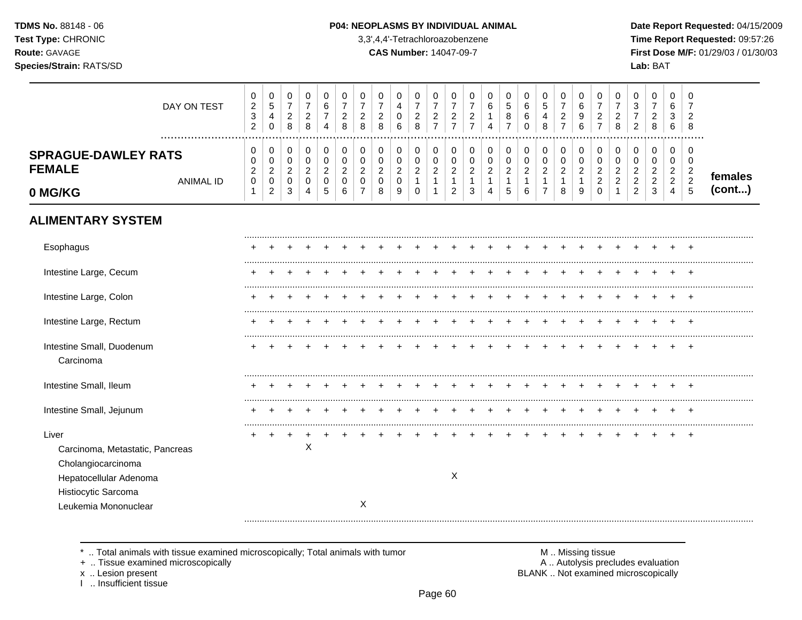#### P04: NEOPLASMS BY INDIVIDUAL ANIMAL

3,3',4,4'-Tetrachloroazobenzene

**CAS Number: 14047-09-7** 

Date Report Requested: 04/15/2009 Time Report Requested: 09:57:26 First Dose M/F: 01/29/03 / 01/30/03 Lab: BAT

| DAY ON TEST                                                                                                                             | $\pmb{0}$<br>$\sqrt{2}$<br>$\ensuremath{\mathsf{3}}$<br>$\overline{c}$ | $\pmb{0}$<br>$\mathbf 5$<br>4<br>$\mathbf 0$                      | $\pmb{0}$<br>$\overline{7}$<br>$\overline{c}$<br>8 | $\,0\,$<br>$\overline{7}$<br>$\overline{c}$<br>8               | 0<br>$\,6\,$<br>$\overline{7}$<br>4        | 0<br>$\overline{7}$<br>$\overline{c}$<br>8           | 0<br>$\overline{7}$<br>2<br>8                                         | 0<br>$\overline{7}$<br>2<br>8             | 0<br>4<br>0<br>6                             | $\pmb{0}$<br>$\overline{7}$<br>$\sqrt{2}$<br>$\,8\,$ | 0<br>$\overline{7}$<br>$\overline{c}$<br>$\overline{7}$ | 0<br>$\overline{7}$<br>$\overline{c}$<br>$\overline{7}$                  | 0<br>$\overline{7}$<br>$\overline{c}$<br>$\overline{7}$   | 0<br>6<br>1<br>4                              | 0<br>$\sqrt{5}$<br>8<br>$\overline{7}$                        | 0<br>6<br>6<br>$\Omega$                            | 0<br>$\sqrt{5}$<br>4<br>8                                    | 0<br>$\overline{7}$<br>$\overline{c}$<br>$\overline{7}$   | 0<br>6<br>9<br>6                                                | 0<br>$\overline{7}$<br>$\overline{c}$<br>$\overline{7}$   | 0<br>$\overline{7}$<br>$\overline{c}$<br>8         | 0<br>$\sqrt{3}$<br>7<br>$\overline{2}$      | 0<br>$\overline{7}$<br>$\overline{c}$<br>8                | $\pmb{0}$<br>6<br>3<br>6                                       | 0<br>7<br>$\overline{2}$<br>8                                   |                   |
|-----------------------------------------------------------------------------------------------------------------------------------------|------------------------------------------------------------------------|-------------------------------------------------------------------|----------------------------------------------------|----------------------------------------------------------------|--------------------------------------------|------------------------------------------------------|-----------------------------------------------------------------------|-------------------------------------------|----------------------------------------------|------------------------------------------------------|---------------------------------------------------------|--------------------------------------------------------------------------|-----------------------------------------------------------|-----------------------------------------------|---------------------------------------------------------------|----------------------------------------------------|--------------------------------------------------------------|-----------------------------------------------------------|-----------------------------------------------------------------|-----------------------------------------------------------|----------------------------------------------------|---------------------------------------------|-----------------------------------------------------------|----------------------------------------------------------------|-----------------------------------------------------------------|-------------------|
| <b>SPRAGUE-DAWLEY RATS</b><br><b>FEMALE</b><br><b>ANIMAL ID</b><br>0 MG/KG                                                              | 0<br>0<br>$\overline{c}$<br>$\pmb{0}$                                  | 0<br>$\mathbf 0$<br>$\overline{c}$<br>$\pmb{0}$<br>$\overline{c}$ | $\pmb{0}$<br>0<br>$\overline{c}$<br>0<br>3         | $\pmb{0}$<br>$\pmb{0}$<br>$\boldsymbol{2}$<br>$\mathbf 0$<br>4 | 0<br>$\pmb{0}$<br>$\overline{c}$<br>0<br>5 | $\pmb{0}$<br>$\mathbf 0$<br>$\overline{2}$<br>0<br>6 | $\pmb{0}$<br>$\Omega$<br>$\overline{c}$<br>$\Omega$<br>$\overline{7}$ | 0<br>$\Omega$<br>$\overline{2}$<br>0<br>8 | 0<br>0<br>$\overline{a}$<br>$\mathbf 0$<br>9 | 0<br>0<br>$\sqrt{2}$<br>$\mathbf{1}$<br>$\mathbf 0$  | 0<br>$\mathbf 0$<br>$\overline{c}$<br>$\mathbf{1}$<br>1 | $\,0\,$<br>$\pmb{0}$<br>$\overline{c}$<br>$\mathbf{1}$<br>$\overline{c}$ | 0<br>$\mathbf 0$<br>$\boldsymbol{2}$<br>$\mathbf{1}$<br>3 | 0<br>0<br>$\overline{2}$<br>$\mathbf{1}$<br>4 | $\mathbf 0$<br>$\mathbf 0$<br>$\sqrt{2}$<br>$\mathbf{1}$<br>5 | $\pmb{0}$<br>$\pmb{0}$<br>$\overline{c}$<br>1<br>6 | 0<br>0<br>$\boldsymbol{2}$<br>$\mathbf{1}$<br>$\overline{7}$ | 0<br>$\mathbf 0$<br>$\boldsymbol{2}$<br>$\mathbf{1}$<br>8 | $\pmb{0}$<br>$\pmb{0}$<br>$\boldsymbol{2}$<br>$\mathbf{1}$<br>9 | 0<br>$\mathbf 0$<br>$\overline{c}$<br>$\overline{c}$<br>0 | $\pmb{0}$<br>0<br>$\overline{2}$<br>$\overline{c}$ | 0<br>0<br>$\overline{c}$<br>$\sqrt{2}$<br>2 | 0<br>$\mathbf 0$<br>$\overline{2}$<br>$\overline{c}$<br>3 | 0<br>$\mathbf 0$<br>$\sqrt{2}$<br>$\sqrt{2}$<br>$\overline{4}$ | 0<br>$\Omega$<br>$\overline{c}$<br>$\sqrt{2}$<br>$\overline{5}$ | females<br>(cont) |
| <b>ALIMENTARY SYSTEM</b>                                                                                                                |                                                                        |                                                                   |                                                    |                                                                |                                            |                                                      |                                                                       |                                           |                                              |                                                      |                                                         |                                                                          |                                                           |                                               |                                                               |                                                    |                                                              |                                                           |                                                                 |                                                           |                                                    |                                             |                                                           |                                                                |                                                                 |                   |
| Esophagus                                                                                                                               |                                                                        |                                                                   |                                                    |                                                                |                                            |                                                      |                                                                       |                                           |                                              |                                                      |                                                         |                                                                          |                                                           |                                               |                                                               |                                                    |                                                              |                                                           |                                                                 |                                                           |                                                    |                                             |                                                           |                                                                |                                                                 |                   |
| Intestine Large, Cecum                                                                                                                  |                                                                        |                                                                   |                                                    |                                                                |                                            |                                                      |                                                                       |                                           |                                              |                                                      |                                                         |                                                                          |                                                           |                                               |                                                               |                                                    |                                                              |                                                           |                                                                 |                                                           |                                                    |                                             |                                                           |                                                                |                                                                 |                   |
| Intestine Large, Colon                                                                                                                  |                                                                        |                                                                   |                                                    |                                                                |                                            |                                                      |                                                                       |                                           |                                              |                                                      |                                                         |                                                                          |                                                           |                                               |                                                               |                                                    |                                                              |                                                           |                                                                 |                                                           |                                                    |                                             |                                                           |                                                                |                                                                 |                   |
| Intestine Large, Rectum                                                                                                                 |                                                                        |                                                                   |                                                    |                                                                |                                            |                                                      |                                                                       |                                           |                                              |                                                      |                                                         |                                                                          |                                                           |                                               |                                                               |                                                    |                                                              |                                                           |                                                                 |                                                           |                                                    |                                             |                                                           | $\pm$                                                          | $\pm$                                                           |                   |
| Intestine Small, Duodenum<br>Carcinoma                                                                                                  |                                                                        |                                                                   |                                                    |                                                                |                                            |                                                      |                                                                       |                                           |                                              |                                                      |                                                         |                                                                          |                                                           |                                               |                                                               |                                                    |                                                              |                                                           |                                                                 |                                                           |                                                    |                                             |                                                           |                                                                | $\pm$                                                           |                   |
| Intestine Small, Ileum                                                                                                                  |                                                                        |                                                                   |                                                    |                                                                |                                            |                                                      |                                                                       |                                           |                                              |                                                      |                                                         |                                                                          |                                                           |                                               |                                                               |                                                    |                                                              |                                                           |                                                                 |                                                           |                                                    |                                             |                                                           |                                                                |                                                                 |                   |
| Intestine Small, Jejunum                                                                                                                |                                                                        |                                                                   |                                                    |                                                                |                                            |                                                      |                                                                       |                                           |                                              |                                                      |                                                         |                                                                          |                                                           |                                               |                                                               |                                                    |                                                              |                                                           |                                                                 |                                                           |                                                    |                                             |                                                           |                                                                |                                                                 |                   |
| Liver<br>Carcinoma, Metastatic, Pancreas<br>Cholangiocarcinoma<br>Hepatocellular Adenoma<br>Histiocytic Sarcoma<br>Leukemia Mononuclear |                                                                        |                                                                   |                                                    | $\times$                                                       |                                            |                                                      | X                                                                     |                                           |                                              |                                                      |                                                         | X                                                                        |                                                           |                                               |                                                               |                                                    |                                                              |                                                           |                                                                 |                                                           |                                                    |                                             |                                                           |                                                                |                                                                 |                   |

.. Total animals with tissue examined microscopically; Total animals with tumor  $\star$ 

+ .. Tissue examined microscopically

x .. Lesion present<br>I .. Insufficient tissue

M .. Missing tissue<br>A .. Autolysis precludes evaluation BLANK .. Not examined microscopically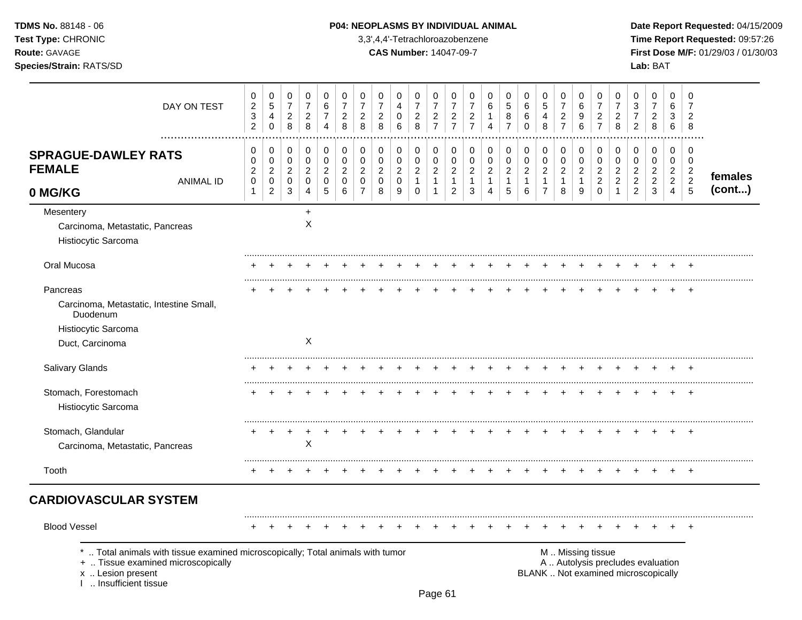# **TDMS No.** 88148 - 06 **P04: NEOPLASMS BY INDIVIDUAL ANIMAL** Date Report Requested: 04/15/2009

**Test Type:** CHRONIC 3,3',4,4'-Tetrachloroazobenzene **Time Report Requested:** 09:57:26 **Route:** GAVAGE **CAS Number:** 14047-09-7 **First Dose M/F:** 01/29/03 / 01/30/03

|                                                                                                                                                                   | DAY ON TEST      | 0<br>$\sqrt{2}$<br>$\ensuremath{\mathsf{3}}$<br>$\overline{2}$    | 0<br>$\,$ 5 $\,$<br>$\overline{4}$<br>$\pmb{0}$             | 0<br>$\overline{7}$<br>$\begin{array}{c} 2 \\ 8 \end{array}$ | 0<br>$\overline{7}$<br>$\overline{c}$<br>8         | $\mathbf 0$<br>6<br>7<br>4                               | 0<br>$\overline{7}$<br>$\overline{c}$<br>8               | 0<br>$\overline{7}$<br>$\overline{2}$<br>8                          | 0<br>$\overline{7}$<br>$\overline{c}$<br>8                         | 0<br>$\overline{4}$<br>$\pmb{0}$<br>6                | 0<br>$\overline{7}$<br>$_{\rm 8}^2$                               | $\mathbf 0$<br>$\overline{7}$<br>$\frac{2}{7}$                                 | 0<br>$\overline{7}$<br>$\frac{2}{7}$                               | 0<br>$\overline{7}$<br>$\overline{c}$<br>$\overline{7}$ | 0<br>6<br>1<br>4                                | 0<br>$\sqrt{5}$<br>8<br>$\overline{7}$                        | 0<br>6<br>6<br>$\Omega$                               | 0<br>$\sqrt{5}$<br>4<br>$\,8\,$                                      | $\mathbf 0$<br>$\overline{7}$<br>$\overline{c}$<br>$\overline{7}$   | 0<br>6<br>9<br>$\,6$                                                         | 0<br>$\overline{7}$<br>$\overline{c}$<br>$\overline{7}$                 | 0<br>$\overline{7}$<br>$\overline{c}$<br>8                   | 0<br>$\mathbf{3}$<br>$\overline{7}$<br>$\overline{c}$                | $\pmb{0}$<br>$\overline{7}$<br>$\overline{\mathbf{c}}$<br>8              | 0<br>6<br>3<br>$\,6\,$                                       | $\mathbf 0$<br>7<br>$\overline{c}$<br>8                                          |                   |
|-------------------------------------------------------------------------------------------------------------------------------------------------------------------|------------------|-------------------------------------------------------------------|-------------------------------------------------------------|--------------------------------------------------------------|----------------------------------------------------|----------------------------------------------------------|----------------------------------------------------------|---------------------------------------------------------------------|--------------------------------------------------------------------|------------------------------------------------------|-------------------------------------------------------------------|--------------------------------------------------------------------------------|--------------------------------------------------------------------|---------------------------------------------------------|-------------------------------------------------|---------------------------------------------------------------|-------------------------------------------------------|----------------------------------------------------------------------|---------------------------------------------------------------------|------------------------------------------------------------------------------|-------------------------------------------------------------------------|--------------------------------------------------------------|----------------------------------------------------------------------|--------------------------------------------------------------------------|--------------------------------------------------------------|----------------------------------------------------------------------------------|-------------------|
| <b>SPRAGUE-DAWLEY RATS</b><br><b>FEMALE</b><br>0 MG/KG                                                                                                            | <b>ANIMAL ID</b> | 0<br>$\mathbf 0$<br>$\boldsymbol{2}$<br>$\pmb{0}$<br>$\mathbf{1}$ | 0<br>$\pmb{0}$<br>$\sqrt{2}$<br>$\pmb{0}$<br>$\overline{c}$ | 0<br>$\pmb{0}$<br>$\sqrt{2}$<br>$\pmb{0}$<br>$\sqrt{3}$      | 0<br>$\mathbf 0$<br>$\sqrt{2}$<br>$\mathbf 0$<br>4 | $\,0\,$<br>$\pmb{0}$<br>$\overline{c}$<br>$\pmb{0}$<br>5 | 0<br>$\mathbf 0$<br>$\boldsymbol{2}$<br>$\mathbf 0$<br>6 | 0<br>$\mathbf 0$<br>$\overline{2}$<br>$\mathbf 0$<br>$\overline{7}$ | $\mathbf 0$<br>$\mathbf 0$<br>$\boldsymbol{2}$<br>$\mathbf 0$<br>8 | 0<br>$\pmb{0}$<br>$\overline{c}$<br>$\mathbf 0$<br>9 | 0<br>$\pmb{0}$<br>$\boldsymbol{2}$<br>$\mathbf{1}$<br>$\mathbf 0$ | $\mathbf 0$<br>$\mathbf 0$<br>$\overline{c}$<br>$\overline{1}$<br>$\mathbf{1}$ | 0<br>$\pmb{0}$<br>$\overline{c}$<br>$\mathbf{1}$<br>$\overline{c}$ | 0<br>0<br>$\boldsymbol{2}$<br>$\mathbf{1}$<br>3         | 0<br>0<br>$\boldsymbol{2}$<br>$\mathbf{1}$<br>4 | $\mathbf 0$<br>$\pmb{0}$<br>$\sqrt{2}$<br>$\overline{1}$<br>5 | 0<br>$\pmb{0}$<br>$\overline{c}$<br>$\mathbf{1}$<br>6 | 0<br>$\pmb{0}$<br>$\boldsymbol{2}$<br>$\mathbf{1}$<br>$\overline{7}$ | $\mathbf 0$<br>$\pmb{0}$<br>$\sqrt{2}$<br>$\overline{1}$<br>$\,8\,$ | $\,0\,$<br>$\pmb{0}$<br>$\boldsymbol{2}$<br>$\mathbf{1}$<br>$\boldsymbol{9}$ | 0<br>$\mathbf 0$<br>$\boldsymbol{2}$<br>$\boldsymbol{2}$<br>$\mathbf 0$ | 0<br>0<br>$\boldsymbol{2}$<br>$\overline{2}$<br>$\mathbf{1}$ | 0<br>$\mathbf 0$<br>$\sqrt{2}$<br>$\boldsymbol{2}$<br>$\overline{2}$ | 0<br>$\mathbf 0$<br>$\overline{c}$<br>$\boldsymbol{2}$<br>3              | 0<br>0<br>$\overline{a}$<br>$\overline{2}$<br>$\overline{4}$ | $\mathbf 0$<br>$\mathbf 0$<br>$\overline{c}$<br>$\overline{2}$<br>$\overline{5}$ | females<br>(cont) |
| Mesentery<br>Carcinoma, Metastatic, Pancreas<br>Histiocytic Sarcoma                                                                                               |                  |                                                                   |                                                             |                                                              | $\ddot{}$<br>$\times$                              |                                                          |                                                          |                                                                     |                                                                    |                                                      |                                                                   |                                                                                |                                                                    |                                                         |                                                 |                                                               |                                                       |                                                                      |                                                                     |                                                                              |                                                                         |                                                              |                                                                      |                                                                          |                                                              |                                                                                  |                   |
| Oral Mucosa                                                                                                                                                       |                  |                                                                   |                                                             |                                                              |                                                    |                                                          |                                                          |                                                                     |                                                                    |                                                      |                                                                   |                                                                                |                                                                    |                                                         |                                                 |                                                               |                                                       |                                                                      |                                                                     |                                                                              |                                                                         |                                                              |                                                                      |                                                                          |                                                              |                                                                                  |                   |
| Pancreas<br>Carcinoma, Metastatic, Intestine Small,<br>Duodenum<br>Histiocytic Sarcoma<br>Duct, Carcinoma                                                         |                  |                                                                   |                                                             |                                                              | $\boldsymbol{\mathsf{X}}$                          |                                                          |                                                          |                                                                     |                                                                    |                                                      |                                                                   |                                                                                |                                                                    |                                                         |                                                 |                                                               |                                                       |                                                                      |                                                                     |                                                                              |                                                                         |                                                              |                                                                      |                                                                          |                                                              | $\overline{+}$                                                                   |                   |
| Salivary Glands                                                                                                                                                   |                  |                                                                   |                                                             |                                                              |                                                    |                                                          |                                                          |                                                                     |                                                                    |                                                      |                                                                   |                                                                                |                                                                    |                                                         |                                                 |                                                               |                                                       |                                                                      |                                                                     |                                                                              |                                                                         |                                                              |                                                                      |                                                                          |                                                              |                                                                                  |                   |
| Stomach, Forestomach<br>Histiocytic Sarcoma                                                                                                                       |                  |                                                                   |                                                             |                                                              |                                                    |                                                          |                                                          |                                                                     |                                                                    |                                                      |                                                                   |                                                                                |                                                                    |                                                         |                                                 |                                                               |                                                       |                                                                      |                                                                     |                                                                              |                                                                         |                                                              |                                                                      |                                                                          |                                                              | $\overline{ }$                                                                   |                   |
| Stomach, Glandular<br>Carcinoma, Metastatic, Pancreas                                                                                                             |                  |                                                                   |                                                             | $\ddot{}$                                                    | X                                                  |                                                          |                                                          |                                                                     |                                                                    |                                                      |                                                                   |                                                                                |                                                                    |                                                         |                                                 |                                                               |                                                       |                                                                      |                                                                     |                                                                              |                                                                         |                                                              |                                                                      |                                                                          |                                                              |                                                                                  |                   |
| Tooth                                                                                                                                                             |                  |                                                                   |                                                             |                                                              |                                                    |                                                          |                                                          |                                                                     |                                                                    |                                                      |                                                                   |                                                                                |                                                                    |                                                         |                                                 |                                                               |                                                       |                                                                      |                                                                     |                                                                              |                                                                         |                                                              |                                                                      |                                                                          |                                                              |                                                                                  |                   |
| <b>CARDIOVASCULAR SYSTEM</b>                                                                                                                                      |                  |                                                                   |                                                             |                                                              |                                                    |                                                          |                                                          |                                                                     |                                                                    |                                                      |                                                                   |                                                                                |                                                                    |                                                         |                                                 |                                                               |                                                       |                                                                      |                                                                     |                                                                              |                                                                         |                                                              |                                                                      |                                                                          |                                                              |                                                                                  |                   |
| <b>Blood Vessel</b>                                                                                                                                               |                  |                                                                   |                                                             |                                                              |                                                    |                                                          |                                                          |                                                                     |                                                                    |                                                      |                                                                   |                                                                                |                                                                    |                                                         |                                                 |                                                               |                                                       |                                                                      |                                                                     |                                                                              |                                                                         |                                                              |                                                                      |                                                                          |                                                              |                                                                                  |                   |
| Total animals with tissue examined microscopically; Total animals with tumor<br>+  Tissue examined microscopically<br>x  Lesion present<br>I  Insufficient tissue |                  |                                                                   |                                                             |                                                              |                                                    |                                                          |                                                          |                                                                     |                                                                    |                                                      |                                                                   |                                                                                |                                                                    |                                                         |                                                 |                                                               |                                                       |                                                                      | M  Missing tissue                                                   |                                                                              |                                                                         |                                                              |                                                                      | A  Autolysis precludes evaluation<br>BLANK  Not examined microscopically |                                                              |                                                                                  |                   |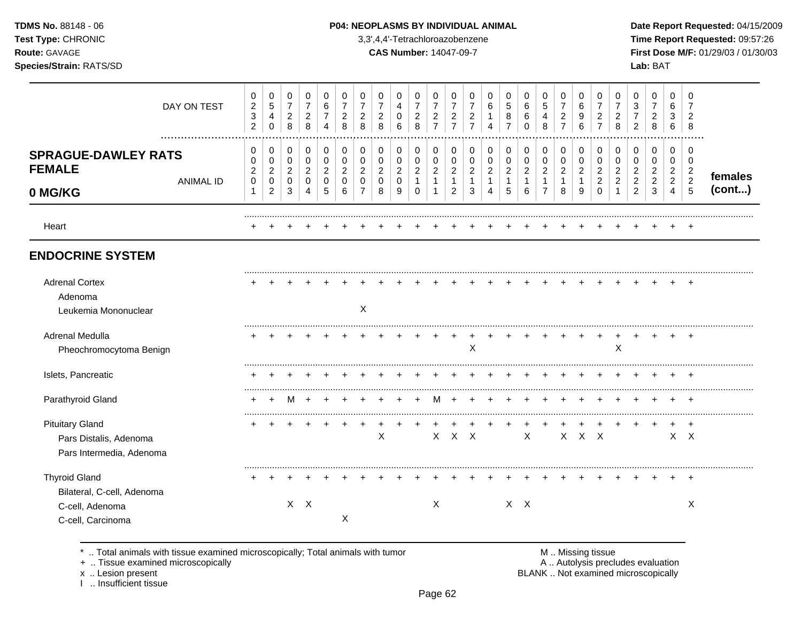# **TDMS No.** 88148 - 06 **P04: NEOPLASMS BY INDIVIDUAL ANIMAL** Date Report Requested: 04/15/2009

**Test Type:** CHRONIC 3,3',4,4'-Tetrachloroazobenzene **Time Report Requested:** 09:57:26 **Route:** GAVAGE **CAS Number:** 14047-09-7 **First Dose M/F:** 01/29/03 / 01/30/03 **Species/Strain:** RATS/SD **Lab:** BAT

|                                                                                            | DAY ON TEST<br>. | 0<br>$\overline{2}$<br>$\ensuremath{\mathsf{3}}$<br>$\overline{2}$ | $\pmb{0}$<br>$\sqrt{5}$<br>4<br>$\pmb{0}$ | 0<br>$\overline{7}$<br>$\boldsymbol{2}$<br>8  | 0<br>$\overline{7}$<br>$\boldsymbol{2}$<br>8      | 0<br>6<br>$\overline{7}$<br>4                     | 0<br>$\overline{7}$<br>$\overline{2}$<br>8 | 0<br>$\overline{7}$<br>$\overline{c}$<br>8        | $\mathbf 0$<br>$\overline{7}$<br>$\overline{c}$<br>8    | 0<br>4<br>$\mathbf 0$<br>6              | $\,0\,$<br>$\overline{7}$<br>$\overline{c}$<br>8 | 0<br>$\overline{7}$<br>$\boldsymbol{2}$<br>$\overline{7}$ | 0<br>$\overline{7}$<br>$\boldsymbol{2}$<br>$\overline{7}$ | 0<br>$\overline{7}$<br>$\overline{2}$<br>$\overline{7}$ | 0<br>6<br>1<br>4                         | 0<br>$\sqrt{5}$<br>8<br>$\overline{7}$         | 0<br>6<br>6<br>$\Omega$                          | $\mathbf 0$<br>$\sqrt{5}$<br>4<br>8              | 0<br>$\overline{7}$<br>$\overline{2}$<br>$\overline{7}$ | $\Omega$<br>6<br>9<br>6                    | 0<br>$\overline{7}$<br>$\overline{2}$<br>$\overline{7}$ | 0<br>7<br>$\overline{c}$<br>8                        | 0<br>3<br>$\overline{7}$<br>$\overline{2}$           | 0<br>$\overline{7}$<br>$\overline{c}$<br>8           | $\mathbf 0$<br>6<br>3<br>6                           | 0<br>$\overline{7}$<br>$\overline{c}$<br>8 |         |
|--------------------------------------------------------------------------------------------|------------------|--------------------------------------------------------------------|-------------------------------------------|-----------------------------------------------|---------------------------------------------------|---------------------------------------------------|--------------------------------------------|---------------------------------------------------|---------------------------------------------------------|-----------------------------------------|--------------------------------------------------|-----------------------------------------------------------|-----------------------------------------------------------|---------------------------------------------------------|------------------------------------------|------------------------------------------------|--------------------------------------------------|--------------------------------------------------|---------------------------------------------------------|--------------------------------------------|---------------------------------------------------------|------------------------------------------------------|------------------------------------------------------|------------------------------------------------------|------------------------------------------------------|--------------------------------------------|---------|
| <b>SPRAGUE-DAWLEY RATS</b><br><b>FEMALE</b>                                                | <b>ANIMAL ID</b> | 0<br>0<br>$\boldsymbol{2}$<br>$\pmb{0}$                            | 0<br>0<br>$\boldsymbol{2}$<br>$\pmb{0}$   | 0<br>$\mathbf 0$<br>$\sqrt{2}$<br>$\mathbf 0$ | 0<br>$\pmb{0}$<br>$\boldsymbol{2}$<br>$\mathbf 0$ | 0<br>$\mathbf 0$<br>$\overline{c}$<br>$\mathbf 0$ | 0<br>0<br>$\overline{c}$<br>$\mathbf 0$    | 0<br>$\mathbf 0$<br>$\overline{c}$<br>$\mathbf 0$ | $\pmb{0}$<br>$\pmb{0}$<br>$\overline{c}$<br>$\mathbf 0$ | 0<br>$\mathsf 0$<br>$\overline{c}$<br>0 | 0<br>$\pmb{0}$<br>$\overline{c}$<br>$\mathbf{1}$ | 0<br>$\pmb{0}$<br>$\boldsymbol{2}$<br>$\mathbf{1}$        | 0<br>$\pmb{0}$<br>$\overline{c}$<br>$\mathbf{1}$          | 0<br>$\mathbf 0$<br>$\overline{2}$<br>1                 | 0<br>0<br>$\overline{2}$<br>$\mathbf{1}$ | 0<br>$\mathbf 0$<br>$\sqrt{2}$<br>$\mathbf{1}$ | 0<br>$\pmb{0}$<br>$\overline{c}$<br>$\mathbf{1}$ | 0<br>$\mathbf 0$<br>$\sqrt{2}$<br>$\overline{1}$ | 0<br>0<br>$\overline{2}$<br>$\mathbf{1}$                | 0<br>0<br>$\boldsymbol{2}$<br>$\mathbf{1}$ | 0<br>$\mathbf 0$<br>$\overline{c}$<br>$\overline{c}$    | 0<br>$\mathbf 0$<br>$\overline{c}$<br>$\overline{2}$ | 0<br>$\mathbf 0$<br>$\overline{c}$<br>$\overline{c}$ | 0<br>$\mathbf 0$<br>$\overline{c}$<br>$\overline{c}$ | 0<br>$\mathbf 0$<br>$\overline{2}$<br>$\overline{2}$ | 0<br>0<br>$\overline{c}$<br>$\overline{2}$ | females |
| 0 MG/KG                                                                                    |                  | $\mathbf{1}$                                                       | $\overline{2}$                            | 3                                             | 4                                                 | 5                                                 | 6                                          | $\overline{7}$                                    | 8                                                       | 9                                       | $\mathbf 0$                                      | 1                                                         | $\overline{c}$                                            | 3                                                       | 4                                        | 5                                              | 6                                                | $\overline{7}$                                   | 8                                                       | 9                                          | $\Omega$                                                |                                                      | $\overline{2}$                                       | 3                                                    | $\overline{4}$                                       | $\sqrt{5}$                                 | (cont)  |
| Heart                                                                                      |                  |                                                                    |                                           |                                               |                                                   |                                                   |                                            |                                                   |                                                         |                                         |                                                  |                                                           |                                                           |                                                         |                                          |                                                |                                                  |                                                  |                                                         |                                            |                                                         |                                                      |                                                      |                                                      |                                                      |                                            |         |
| <b>ENDOCRINE SYSTEM</b>                                                                    |                  |                                                                    |                                           |                                               |                                                   |                                                   |                                            |                                                   |                                                         |                                         |                                                  |                                                           |                                                           |                                                         |                                          |                                                |                                                  |                                                  |                                                         |                                            |                                                         |                                                      |                                                      |                                                      |                                                      |                                            |         |
| <b>Adrenal Cortex</b><br>Adenoma<br>Leukemia Mononuclear                                   |                  |                                                                    |                                           |                                               |                                                   |                                                   |                                            | $\boldsymbol{\mathsf{X}}$                         |                                                         |                                         |                                                  |                                                           |                                                           |                                                         |                                          |                                                |                                                  |                                                  |                                                         |                                            |                                                         |                                                      |                                                      |                                                      |                                                      |                                            |         |
| Adrenal Medulla<br>Pheochromocytoma Benign                                                 |                  |                                                                    |                                           |                                               |                                                   |                                                   |                                            |                                                   |                                                         |                                         |                                                  |                                                           |                                                           | X                                                       |                                          |                                                |                                                  |                                                  |                                                         |                                            |                                                         | X                                                    |                                                      |                                                      |                                                      |                                            |         |
| Islets, Pancreatic                                                                         |                  |                                                                    |                                           |                                               |                                                   |                                                   |                                            |                                                   |                                                         |                                         |                                                  |                                                           |                                                           |                                                         |                                          |                                                |                                                  |                                                  |                                                         |                                            |                                                         |                                                      |                                                      |                                                      |                                                      | $\overline{1}$                             |         |
| Parathyroid Gland                                                                          |                  | $\ddot{}$                                                          | $\ddot{}$                                 | м                                             |                                                   |                                                   |                                            |                                                   |                                                         |                                         | $\div$                                           | M                                                         | $\ddot{}$                                                 |                                                         |                                          |                                                | $\ddot{}$                                        | $\ddot{}$                                        | $\div$                                                  |                                            | $\div$                                                  |                                                      |                                                      |                                                      | $\ddot{}$                                            | $^{+}$                                     |         |
| <b>Pituitary Gland</b><br>Pars Distalis, Adenoma<br>Pars Intermedia, Adenoma               |                  | +                                                                  |                                           |                                               |                                                   |                                                   |                                            |                                                   | $\mathsf X$                                             |                                         |                                                  | $\mathsf{X}$                                              | $\mathsf{X}$                                              | $\mathsf{X}$                                            |                                          |                                                | X                                                |                                                  | X                                                       | $X$ $X$                                    |                                                         |                                                      |                                                      |                                                      |                                                      | $\ddot{}$<br>$X$ $X$                       |         |
| <b>Thyroid Gland</b><br>Bilateral, C-cell, Adenoma<br>C-cell, Adenoma<br>C-cell, Carcinoma |                  |                                                                    |                                           |                                               | $X$ $X$                                           |                                                   | X                                          |                                                   |                                                         |                                         |                                                  | $\boldsymbol{X}$                                          |                                                           |                                                         |                                          | $X$ $X$                                        |                                                  |                                                  |                                                         |                                            |                                                         |                                                      |                                                      |                                                      |                                                      | $\overline{+}$<br>X                        |         |

\* .. Total animals with tissue examined microscopically; Total animals with tumor **M** metally more than M .. Missing tissue<br>  $\blacksquare$  Tissue examined microscopically

+ .. Tissue examined microscopically

x .. Lesion present<br>I .. Insufficient tissue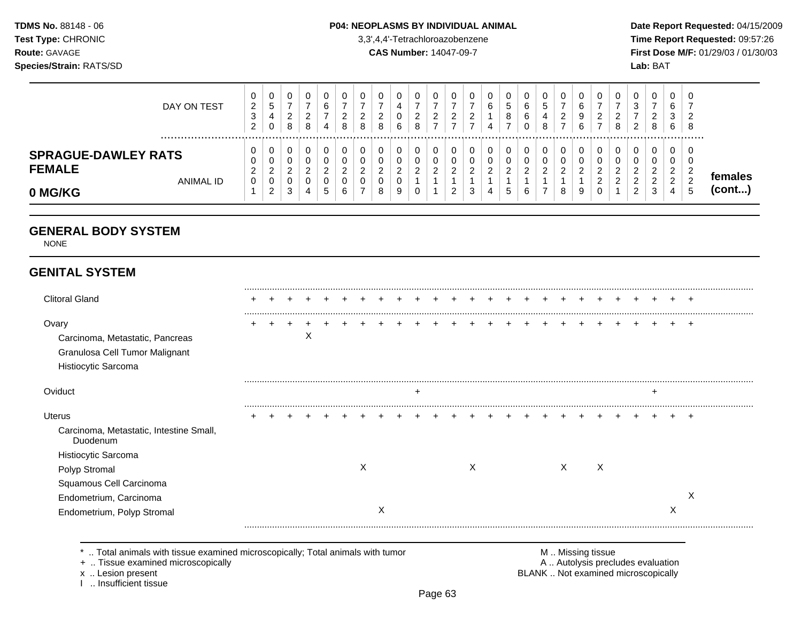### **TDMS No.** 88148 - 06 **P04: NEOPLASMS BY INDIVIDUAL ANIMAL Date Report Requested:** 04/15/2009

**Test Type:** CHRONIC 3,3',4,4'-Tetrachloroazobenzene **Time Report Requested:** 09:57:26 **Route:** GAVAGE **CAS Number:** 14047-09-7 **First Dose M/F:** 01/29/03 / 01/30/03

| DAY ON TEST                                                         | U<br>◠ | 2<br>ত<br>2      | 0<br>$\mathbf{p}$<br>4<br>0     | ▵<br>8 | v<br>⌒<br>$\sim$<br>8             | 6<br>-<br>4     | 0<br>ີ<br><u>.</u><br>8    | 0<br>ົ<br><u>_</u><br>8               | ν<br>$\sim$<br>8                  | U<br>4<br>ັບ<br>6 | <u>_</u><br>8 | υ<br>ີ<br><u>_</u>      | ∼                             | U<br>_ | υ<br>b<br>4           | v<br>J<br>8           | v<br>⌒<br>ь<br>$\sim$<br>ь<br>U | 0<br>G<br>8                  | ົ<br>$\epsilon$         | g                   | U<br>⌒<br><u>_</u>                | <b>U</b><br>◠<br><u>_</u><br>8    | J<br>ว<br>J<br>2                                     | 0<br>-<br>≏<br><u>_</u><br>8           | 0<br>6<br>3<br>6                            | 0<br>-<br>ົ<br>▴<br>8                          |                   |
|---------------------------------------------------------------------|--------|------------------|---------------------------------|--------|-----------------------------------|-----------------|----------------------------|---------------------------------------|-----------------------------------|-------------------|---------------|-------------------------|-------------------------------|--------|-----------------------|-----------------------|---------------------------------|------------------------------|-------------------------|---------------------|-----------------------------------|-----------------------------------|------------------------------------------------------|----------------------------------------|---------------------------------------------|------------------------------------------------|-------------------|
| <b>SPRAGUE-DAWLEY RATS</b><br><b>FEMALE</b><br>ANIMAL ID<br>0 MG/KG |        | v<br>v<br>∠<br>0 | 0<br>0<br>ົ<br>∠<br>0<br>າ<br>∠ | $\sim$ | v<br>v<br>ົ<br><u>.</u><br>ν<br>4 | $\sqrt{2}$<br>৩ | 0<br>0<br>ີ<br>▃<br>0<br>6 | 0<br>0<br><sup>o</sup><br>C<br>υ<br>- | υ<br>υ<br>າ<br><u>.</u><br>◡<br>8 | U<br>U<br>v<br>9  | ν<br>$\sim$   | υ<br>0<br>◠<br><u>.</u> | $\overline{\phantom{a}}$<br>c | ۍ      | υ<br>0<br>$\sim$<br>4 | v<br>U<br>ີ<br>▃<br>J | U<br>v<br>ົ<br>$\sim$<br>ь      | 0<br>0<br>ົ<br>$\rightarrow$ | $\sim$<br><u>_</u><br>8 | $\overline{ }$<br>g | 0<br>U<br>ົ<br>◠<br><u>.</u><br>U | 0<br>0<br>$\sim$<br>⌒<br><u>_</u> | U<br>0<br>ີ<br><u>.</u><br><u>_</u><br>ີ<br><u>.</u> | 0<br>$\Omega$<br>U<br>ົ<br>ົ<br>-<br>3 | 0<br>0<br>ົ<br>$\sim$<br>ົ<br><u>_</u><br>4 | 0<br>0<br>ົ<br><u>_</u><br>ົ<br><u>_</u><br>.5 | temales<br>(cont) |

# **GENERAL BODY SYSTEM**

NONE

# **GENITAL SYSTEM**

| <b>Clitoral Gland</b>                               |  |   |  |   |   |                |  |   |  |  |   |   |  |   |   |
|-----------------------------------------------------|--|---|--|---|---|----------------|--|---|--|--|---|---|--|---|---|
|                                                     |  |   |  |   |   |                |  |   |  |  |   |   |  |   |   |
| Ovary                                               |  |   |  |   |   |                |  |   |  |  |   |   |  |   |   |
| Carcinoma, Metastatic, Pancreas                     |  | ∧ |  |   |   |                |  |   |  |  |   |   |  |   |   |
| Granulosa Cell Tumor Malignant                      |  |   |  |   |   |                |  |   |  |  |   |   |  |   |   |
| Histiocytic Sarcoma                                 |  |   |  |   |   |                |  |   |  |  |   |   |  |   |   |
|                                                     |  |   |  |   |   |                |  |   |  |  |   |   |  |   |   |
| Oviduct                                             |  |   |  |   |   | $\overline{ }$ |  |   |  |  |   |   |  |   |   |
| <b>Uterus</b>                                       |  |   |  |   |   |                |  |   |  |  |   |   |  |   |   |
| Carcinoma, Metastatic, Intestine Small,<br>Duodenum |  |   |  |   |   |                |  |   |  |  |   |   |  |   |   |
| Histiocytic Sarcoma                                 |  |   |  |   |   |                |  |   |  |  |   |   |  |   |   |
| Polyp Stromal                                       |  |   |  | X |   |                |  | X |  |  | X | X |  |   |   |
| Squamous Cell Carcinoma                             |  |   |  |   |   |                |  |   |  |  |   |   |  |   |   |
| Endometrium, Carcinoma                              |  |   |  |   |   |                |  |   |  |  |   |   |  |   | ⋏ |
| Endometrium, Polyp Stromal                          |  |   |  |   | Х |                |  |   |  |  |   |   |  | ∧ |   |
|                                                     |  |   |  |   |   |                |  |   |  |  |   |   |  |   |   |

\* .. Total animals with tissue examined microscopically; Total animals with tumor <br>
+ .. Tissue examined microscopically<br>
+ .. Tissue examined microscopically

+ .. Tissue examined microscopically

I .. Insufficient tissue

x .. Lesion present **BLANK** .. Not examined microscopically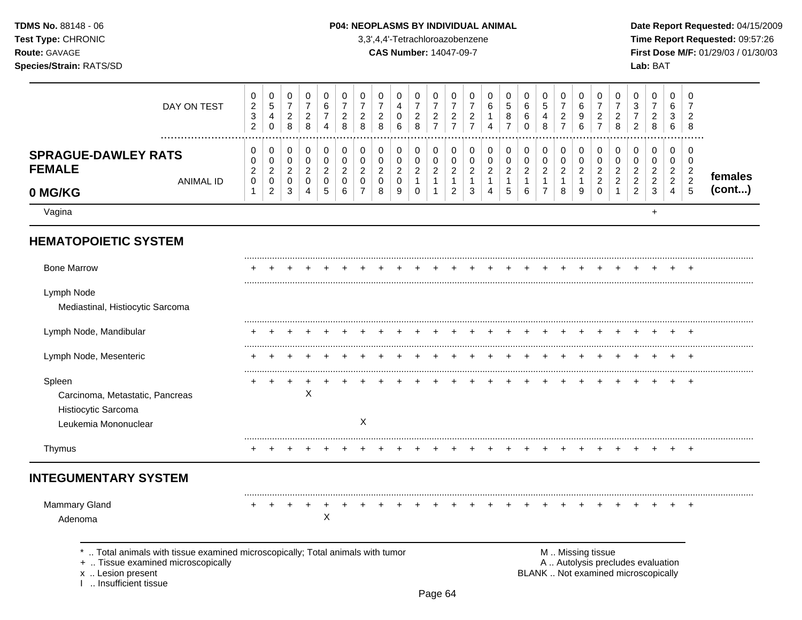| <b>TDMS No.</b> 88148 - 06 |
|----------------------------|
| Test Type: CHRONIC         |
| <b>Route:</b> GAVAGE       |
| Species/Strain: RATS/SD    |

### P04: NEOPLASMS BY INDIVIDUAL ANIMAL

3,3',4,4'-Tetrachloroazobenzene

**CAS Number: 14047-09-7** 

Date Report Requested: 04/15/2009 Time Report Requested: 09:57:26 First Dose M/F: 01/29/03 / 01/30/03 Lab: BAT

| DAY ON TEST                                                                                                                                                       | $\pmb{0}$<br>$\boldsymbol{2}$<br>$\ensuremath{\mathsf{3}}$<br>$\overline{c}$ | $\pmb{0}$<br>$\,$ 5 $\,$<br>$\overline{4}$<br>$\pmb{0}$ | $\pmb{0}$<br>$\overline{7}$<br>$\overline{a}$<br>8 | $\mathbf 0$<br>$\overline{7}$<br>$\overline{c}$<br>$\,8\,$ | 0<br>6<br>$\overline{7}$<br>$\overline{4}$ | 0<br>$\overline{7}$<br>$\boldsymbol{2}$<br>8 | $\pmb{0}$<br>$\overline{7}$<br>$\sqrt{2}$<br>8        | $\pmb{0}$<br>$\overline{7}$<br>$\sqrt{2}$<br>8  | $\pmb{0}$<br>4<br>$\mathbf 0$<br>$\,6\,$          | $\pmb{0}$<br>$\overline{7}$<br>$\sqrt{2}$<br>8 | 0<br>$\overline{7}$<br>$\overline{\mathbf{c}}$<br>$\overline{7}$ | $\pmb{0}$<br>$\overline{7}$<br>$\sqrt{2}$<br>$\overline{7}$ | 0<br>$\overline{7}$<br>$\overline{c}$<br>$\overline{7}$ | $\,0\,$<br>6<br>$\overline{4}$                     | $\,0\,$<br>$\sqrt{5}$<br>8<br>$\overline{7}$       | $\pmb{0}$<br>6<br>6<br>$\mathbf 0$                 | $\mathbf 0$<br>$\overline{5}$<br>4<br>8          | 0<br>$\overline{7}$<br>$\overline{c}$<br>$\overline{7}$ | 0<br>6<br>9<br>6                                 | 0<br>$\overline{7}$<br>$\overline{c}$<br>$\overline{7}$ | $\,0\,$<br>$\overline{7}$<br>$\boldsymbol{2}$<br>8   | $\mathbf 0$<br>$\sqrt{3}$<br>$\overline{7}$<br>$\overline{2}$ | $\mathbf 0$<br>$\overline{7}$<br>$\sqrt{2}$<br>$\,8\,$                   | $\pmb{0}$<br>6<br>3<br>6                   | 0<br>$\overline{7}$<br>$\overline{2}$<br>8 |         |
|-------------------------------------------------------------------------------------------------------------------------------------------------------------------|------------------------------------------------------------------------------|---------------------------------------------------------|----------------------------------------------------|------------------------------------------------------------|--------------------------------------------|----------------------------------------------|-------------------------------------------------------|-------------------------------------------------|---------------------------------------------------|------------------------------------------------|------------------------------------------------------------------|-------------------------------------------------------------|---------------------------------------------------------|----------------------------------------------------|----------------------------------------------------|----------------------------------------------------|--------------------------------------------------|---------------------------------------------------------|--------------------------------------------------|---------------------------------------------------------|------------------------------------------------------|---------------------------------------------------------------|--------------------------------------------------------------------------|--------------------------------------------|--------------------------------------------|---------|
| <b>SPRAGUE-DAWLEY RATS</b><br><b>FEMALE</b><br><b>ANIMAL ID</b>                                                                                                   | 0<br>$\pmb{0}$<br>$\overline{c}$<br>$\pmb{0}$                                | $\pmb{0}$<br>$\mathbf 0$<br>$\sqrt{2}$<br>$\mathbf 0$   | 0<br>0<br>$\overline{2}$<br>$\mathbf 0$            | 0<br>$\pmb{0}$<br>$\boldsymbol{2}$<br>$\mathbf 0$          | 0<br>0<br>$\overline{2}$<br>$\mathbf 0$    | 0<br>0<br>$\overline{c}$<br>0                | $\pmb{0}$<br>$\mathbf 0$<br>$\sqrt{2}$<br>$\mathbf 0$ | 0<br>$\pmb{0}$<br>$\overline{2}$<br>$\mathbf 0$ | 0<br>$\mathsf 0$<br>$\overline{2}$<br>$\mathbf 0$ | 0<br>0<br>$\overline{2}$<br>$\mathbf{1}$       | 0<br>0<br>$\boldsymbol{2}$<br>$\mathbf{1}$                       | 0<br>0<br>$\overline{2}$<br>$\mathbf{1}$                    | 0<br>0<br>$\overline{\mathbf{c}}$<br>$\mathbf{1}$       | 0<br>$\mathbf 0$<br>$\overline{c}$<br>$\mathbf{1}$ | 0<br>$\mathbf 0$<br>$\overline{2}$<br>$\mathbf{1}$ | 0<br>$\mathsf 0$<br>$\overline{2}$<br>$\mathbf{1}$ | 0<br>$\pmb{0}$<br>$\overline{2}$<br>$\mathbf{1}$ | 0<br>0<br>$\overline{2}$<br>$\mathbf{1}$                | $\pmb{0}$<br>0<br>$\overline{2}$<br>$\mathbf{1}$ | 0<br>0<br>$\sqrt{2}$<br>$\boldsymbol{2}$                | 0<br>$\mathsf 0$<br>$\overline{c}$<br>$\overline{c}$ | 0<br>0<br>$\overline{c}$<br>$\overline{c}$                    | 0<br>$\mathbf 0$<br>$\overline{2}$<br>$\overline{2}$                     | 0<br>0<br>$\overline{c}$<br>$\overline{c}$ | 0<br>0<br>$\overline{c}$<br>$\overline{2}$ | females |
| 0 MG/KG                                                                                                                                                           | $\mathbf{1}$                                                                 | $\sqrt{2}$                                              | 3                                                  | 4                                                          | 5                                          | 6                                            | $\overline{7}$                                        | 8                                               | 9                                                 | 0                                              | $\mathbf{1}$                                                     | $\overline{2}$                                              | 3                                                       | $\overline{4}$                                     | 5                                                  | 6                                                  | $\overline{7}$                                   | 8                                                       | 9                                                | $\Omega$                                                | $\mathbf{1}$                                         | $\boldsymbol{2}$                                              | 3                                                                        | $\overline{4}$                             | $\sqrt{5}$                                 | (cont)  |
| Vagina                                                                                                                                                            |                                                                              |                                                         |                                                    |                                                            |                                            |                                              |                                                       |                                                 |                                                   |                                                |                                                                  |                                                             |                                                         |                                                    |                                                    |                                                    |                                                  |                                                         |                                                  |                                                         |                                                      |                                                               | $\ddot{}$                                                                |                                            |                                            |         |
| <b>HEMATOPOIETIC SYSTEM</b>                                                                                                                                       |                                                                              |                                                         |                                                    |                                                            |                                            |                                              |                                                       |                                                 |                                                   |                                                |                                                                  |                                                             |                                                         |                                                    |                                                    |                                                    |                                                  |                                                         |                                                  |                                                         |                                                      |                                                               |                                                                          |                                            |                                            |         |
| <b>Bone Marrow</b>                                                                                                                                                |                                                                              |                                                         |                                                    |                                                            |                                            |                                              |                                                       |                                                 |                                                   |                                                |                                                                  |                                                             |                                                         |                                                    |                                                    |                                                    |                                                  |                                                         |                                                  |                                                         |                                                      |                                                               |                                                                          |                                            |                                            |         |
| Lymph Node<br>Mediastinal, Histiocytic Sarcoma                                                                                                                    |                                                                              |                                                         |                                                    |                                                            |                                            |                                              |                                                       |                                                 |                                                   |                                                |                                                                  |                                                             |                                                         |                                                    |                                                    |                                                    |                                                  |                                                         |                                                  |                                                         |                                                      |                                                               |                                                                          |                                            |                                            |         |
| Lymph Node, Mandibular                                                                                                                                            |                                                                              |                                                         |                                                    |                                                            |                                            |                                              |                                                       |                                                 |                                                   |                                                |                                                                  |                                                             |                                                         |                                                    |                                                    |                                                    |                                                  |                                                         |                                                  |                                                         |                                                      |                                                               |                                                                          |                                            |                                            |         |
| Lymph Node, Mesenteric                                                                                                                                            |                                                                              |                                                         |                                                    |                                                            |                                            |                                              |                                                       |                                                 |                                                   |                                                |                                                                  |                                                             |                                                         |                                                    |                                                    |                                                    |                                                  |                                                         |                                                  |                                                         |                                                      |                                                               |                                                                          | $\div$                                     | $\overline{+}$                             |         |
| Spleen<br>Carcinoma, Metastatic, Pancreas<br>Histiocytic Sarcoma<br>Leukemia Mononuclear                                                                          |                                                                              |                                                         |                                                    | $\sf X$                                                    |                                            |                                              | X                                                     |                                                 |                                                   |                                                |                                                                  |                                                             |                                                         |                                                    |                                                    |                                                    |                                                  |                                                         |                                                  |                                                         |                                                      |                                                               |                                                                          | $\div$                                     | $\ddot{}$                                  |         |
| Thymus                                                                                                                                                            |                                                                              |                                                         |                                                    |                                                            |                                            |                                              |                                                       |                                                 |                                                   |                                                |                                                                  |                                                             |                                                         |                                                    |                                                    |                                                    |                                                  |                                                         |                                                  |                                                         |                                                      |                                                               |                                                                          |                                            |                                            |         |
| <b>INTEGUMENTARY SYSTEM</b>                                                                                                                                       |                                                                              |                                                         |                                                    |                                                            |                                            |                                              |                                                       |                                                 |                                                   |                                                |                                                                  |                                                             |                                                         |                                                    |                                                    |                                                    |                                                  |                                                         |                                                  |                                                         |                                                      |                                                               |                                                                          |                                            |                                            |         |
| Mammary Gland<br>Adenoma                                                                                                                                          | $\ddot{}$                                                                    | $\ddot{}$                                               | $\ddot{}$                                          | $\div$                                                     | $\div$<br>$\mathsf X$                      |                                              |                                                       |                                                 |                                                   |                                                | ÷                                                                |                                                             |                                                         |                                                    | +                                                  | $\ddot{}$                                          | $\div$                                           | +                                                       |                                                  |                                                         | $\div$                                               | $\div$                                                        |                                                                          | $\div$                                     | $\div$                                     |         |
| Total animals with tissue examined microscopically; Total animals with tumor<br>+  Tissue examined microscopically<br>x  Lesion present<br>1  Insufficient tissue |                                                                              |                                                         |                                                    |                                                            |                                            |                                              |                                                       |                                                 |                                                   |                                                |                                                                  |                                                             |                                                         |                                                    |                                                    |                                                    |                                                  |                                                         |                                                  | M  Missing tissue                                       |                                                      |                                                               | A  Autolysis precludes evaluation<br>BLANK  Not examined microscopically |                                            |                                            |         |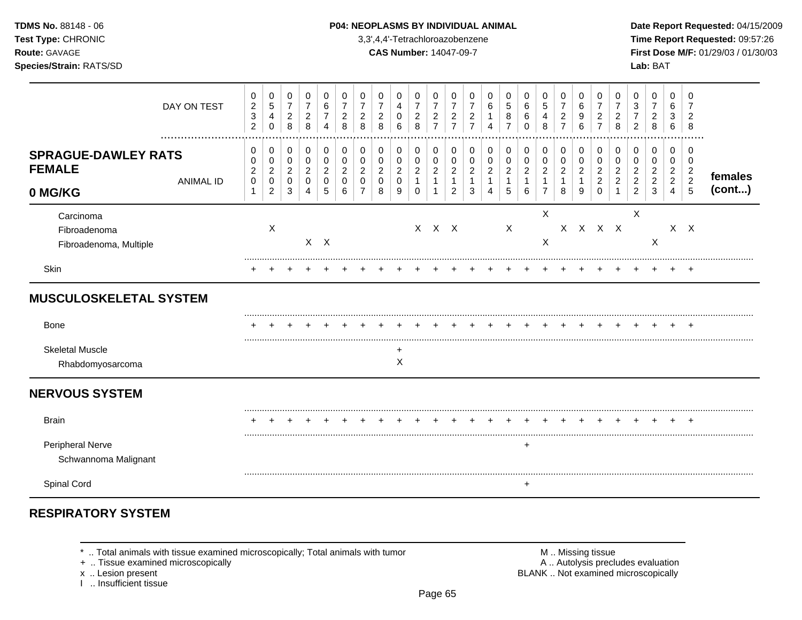### **TDMS No.** 88148 - 06 **P04: NEOPLASMS BY INDIVIDUAL ANIMAL** Date Report Requested: 04/15/2009

**Test Type:** CHRONIC 3,3',4,4'-Tetrachloroazobenzene **Time Report Requested:** 09:57:26 **Route:** GAVAGE **CAS Number:** 14047-09-7 **First Dose M/F:** 01/29/03 / 01/30/03

|                                                        | DAY ON TEST      | $\pmb{0}$<br>$\overline{c}$<br>$\sqrt{3}$<br>$\overline{c}$ | 0<br>$\overline{5}$<br>4<br>0                             | 0<br>$\boldsymbol{7}$<br>$\overline{2}$<br>$\,8\,$ | 0<br>$\overline{7}$<br>$\overline{2}$<br>8             | 0<br>6<br>$\overline{7}$<br>4 | 0<br>2<br>8                                      | 0<br>7<br>$\overline{c}$<br>8 | 0<br>$\overline{7}$<br>$\overline{c}$<br>8   | 0<br>4<br>0<br>6                                       | 0<br>$\boldsymbol{7}$<br>$\overline{c}$<br>8         | 0<br>$\overline{7}$<br>$\sqrt{2}$<br>$\overline{7}$ | 0<br>$\overline{7}$<br>$\overline{c}$<br>$\overline{7}$ | 0<br>$\overline{c}$<br>$\overline{7}$         | 0<br>6<br>Δ                      | 0<br>5<br>8                                                      | 0<br>$\,6$<br>6<br>$\Omega$        | 0<br>$\mathbf 5$<br>4<br>8                                 | 0<br>$\overline{7}$<br>$\overline{c}$<br>$\overline{7}$ | 0<br>$\,6\,$<br>9<br>6                        | 0<br>$\overline{7}$<br>$\overline{2}$<br>$\overline{7}$   | 0<br>$\overline{7}$<br>2<br>8              | 0<br>3<br>2                                                  | 0<br>$\overline{7}$<br>$\overline{2}$<br>8                | 0<br>6<br>3<br>6                                             | 0<br>2<br>8                                     |                   |
|--------------------------------------------------------|------------------|-------------------------------------------------------------|-----------------------------------------------------------|----------------------------------------------------|--------------------------------------------------------|-------------------------------|--------------------------------------------------|-------------------------------|----------------------------------------------|--------------------------------------------------------|------------------------------------------------------|-----------------------------------------------------|---------------------------------------------------------|-----------------------------------------------|----------------------------------|------------------------------------------------------------------|------------------------------------|------------------------------------------------------------|---------------------------------------------------------|-----------------------------------------------|-----------------------------------------------------------|--------------------------------------------|--------------------------------------------------------------|-----------------------------------------------------------|--------------------------------------------------------------|-------------------------------------------------|-------------------|
| <b>SPRAGUE-DAWLEY RATS</b><br><b>FEMALE</b><br>0 MG/KG | <b>ANIMAL ID</b> | 0<br>0<br>$\overline{c}$<br>0<br>1                          | 0<br>$\mathbf 0$<br>$\overline{2}$<br>0<br>$\overline{2}$ | 0<br>0<br>$\overline{2}$<br>0<br>3                 | 0<br>$\mathbf 0$<br>$\overline{c}$<br>$\mathbf 0$<br>4 | 0<br>0<br>2<br>$\Omega$<br>5  | 0<br>$\Omega$<br>$\overline{2}$<br>$\Omega$<br>6 | 0<br>0<br>2<br>$\Omega$       | 0<br>0<br>$\overline{2}$<br>$\mathbf 0$<br>8 | 0<br>$\mathbf 0$<br>$\overline{2}$<br>$\mathbf 0$<br>9 | 0<br>0<br>$\overline{c}$<br>$\mathbf{1}$<br>$\Omega$ | 0<br>$\mathbf 0$<br>$\overline{c}$<br>$\mathbf{1}$  | 0<br>0<br>$\overline{c}$<br>$\mathbf{1}$<br>2           | 0<br>$\mathbf 0$<br>$\overline{2}$<br>-1<br>3 | 0<br>0<br>2<br>$\mathbf{1}$<br>4 | 0<br>$\mathbf 0$<br>$\overline{\mathbf{c}}$<br>$\mathbf{1}$<br>5 | 0<br>0<br>$\overline{2}$<br>1<br>6 | 0<br>0<br>$\overline{c}$<br>$\mathbf{1}$<br>$\overline{7}$ | 0<br>$\mathbf 0$<br>$\overline{c}$<br>$\mathbf{1}$<br>8 | 0<br>0<br>$\overline{c}$<br>$\mathbf{1}$<br>9 | 0<br>$\mathbf 0$<br>$\overline{2}$<br>$\overline{2}$<br>0 | 0<br>0<br>$\overline{c}$<br>$\overline{c}$ | 0<br>0<br>$\overline{2}$<br>$\overline{2}$<br>$\overline{2}$ | 0<br>$\mathbf 0$<br>$\overline{2}$<br>$\overline{2}$<br>3 | 0<br>0<br>$\overline{c}$<br>$\overline{2}$<br>$\overline{4}$ | 0<br>$\mathbf 0$<br>$\frac{2}{2}$<br>$\sqrt{5}$ | females<br>(cont) |
| Carcinoma<br>Fibroadenoma<br>Fibroadenoma, Multiple    |                  |                                                             | X                                                         |                                                    |                                                        | $X$ $X$                       |                                                  |                               |                                              |                                                        |                                                      | $X$ $X$ $X$                                         |                                                         |                                               |                                  | $\mathsf X$                                                      |                                    | X<br>$\mathsf X$                                           |                                                         |                                               | X X X X                                                   |                                            | X                                                            | X                                                         |                                                              | $X$ $X$                                         |                   |
| Skin                                                   |                  |                                                             |                                                           |                                                    |                                                        |                               |                                                  |                               |                                              |                                                        |                                                      |                                                     |                                                         |                                               |                                  |                                                                  |                                    |                                                            |                                                         |                                               |                                                           |                                            |                                                              |                                                           |                                                              | $^+$                                            |                   |
| <b>MUSCULOSKELETAL SYSTEM</b>                          |                  |                                                             |                                                           |                                                    |                                                        |                               |                                                  |                               |                                              |                                                        |                                                      |                                                     |                                                         |                                               |                                  |                                                                  |                                    |                                                            |                                                         |                                               |                                                           |                                            |                                                              |                                                           |                                                              |                                                 |                   |
| Bone                                                   |                  |                                                             |                                                           |                                                    |                                                        |                               |                                                  |                               |                                              |                                                        |                                                      |                                                     |                                                         |                                               |                                  |                                                                  |                                    |                                                            |                                                         |                                               |                                                           |                                            |                                                              |                                                           |                                                              | +                                               |                   |
| <b>Skeletal Muscle</b><br>Rhabdomyosarcoma             |                  |                                                             |                                                           |                                                    |                                                        |                               |                                                  |                               |                                              | +<br>Χ                                                 |                                                      |                                                     |                                                         |                                               |                                  |                                                                  |                                    |                                                            |                                                         |                                               |                                                           |                                            |                                                              |                                                           |                                                              |                                                 |                   |
| <b>NERVOUS SYSTEM</b>                                  |                  |                                                             |                                                           |                                                    |                                                        |                               |                                                  |                               |                                              |                                                        |                                                      |                                                     |                                                         |                                               |                                  |                                                                  |                                    |                                                            |                                                         |                                               |                                                           |                                            |                                                              |                                                           |                                                              |                                                 |                   |
| <b>Brain</b>                                           |                  |                                                             |                                                           |                                                    |                                                        |                               |                                                  |                               |                                              |                                                        |                                                      |                                                     |                                                         |                                               |                                  |                                                                  |                                    |                                                            |                                                         |                                               |                                                           |                                            |                                                              |                                                           |                                                              |                                                 |                   |
| Peripheral Nerve<br>Schwannoma Malignant               |                  |                                                             |                                                           |                                                    |                                                        |                               |                                                  |                               |                                              |                                                        |                                                      |                                                     |                                                         |                                               |                                  |                                                                  | $\ddot{}$                          |                                                            |                                                         |                                               |                                                           |                                            |                                                              |                                                           |                                                              |                                                 |                   |
| Spinal Cord                                            |                  |                                                             |                                                           |                                                    |                                                        |                               |                                                  |                               |                                              |                                                        |                                                      |                                                     |                                                         |                                               |                                  |                                                                  | $\ddot{}$                          |                                                            |                                                         |                                               |                                                           |                                            |                                                              |                                                           |                                                              |                                                 |                   |

# **RESPIRATORY SYSTEM**

+ .. Tissue examined microscopically

I .. Insufficient tissue

\* .. Total animals with tissue examined microscopically; Total animals with tumor **M** metally more than M .. Missing tissue<br>  $\blacksquare$  Tissue examined microscopically x .. Lesion present **BLANK** .. Not examined microscopically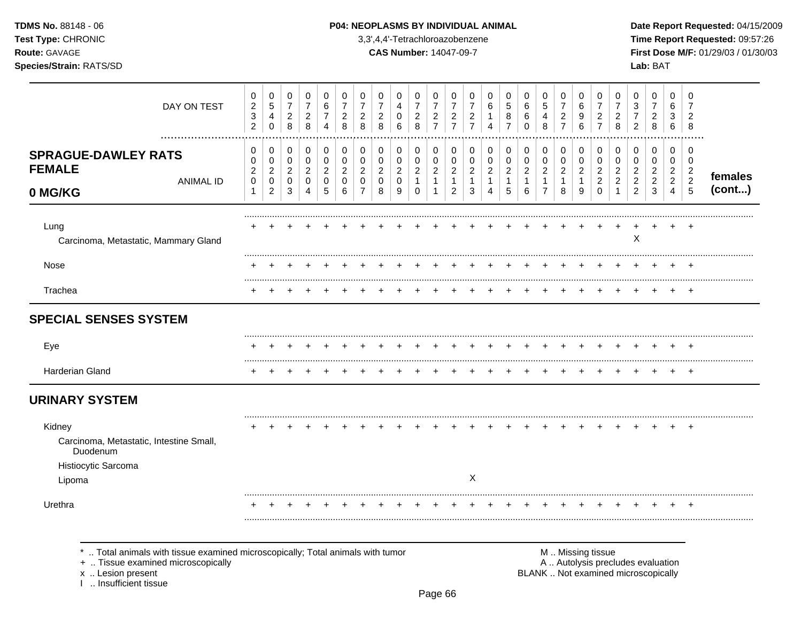### **TDMS No.** 88148 - 06 **P04: NEOPLASMS BY INDIVIDUAL ANIMAL** Date Report Requested: 04/15/2009

**Test Type:** CHRONIC 3,3',4,4'-Tetrachloroazobenzene **Time Report Requested:** 09:57:26 **Route:** GAVAGE **CAS Number:** 14047-09-7 **First Dose M/F:** 01/29/03 / 01/30/03

| DAY ON TEST                                                                                    | 0<br>$\boldsymbol{2}$<br>$\sqrt{3}$<br>$\overline{2}$ | 0<br>$\sqrt{5}$<br>$\overline{4}$<br>$\Omega$             | 0<br>$\boldsymbol{7}$<br>$\overline{a}$<br>8 | 0<br>$\overline{7}$<br>$\overline{2}$<br>8             | 0<br>$\,6\,$<br>$\overline{7}$<br>$\overline{4}$    | 0<br>$\overline{7}$<br>$\overline{2}$<br>8          | 0<br>$\overline{7}$<br>$\overline{c}$<br>8 | 0<br>$\overline{7}$<br>$\overline{c}$<br>8 | 0<br>$\overline{4}$<br>0<br>6                | 0<br>$\overline{7}$<br>$\overline{c}$<br>8           | 0<br>$\overline{7}$<br>$\overline{2}$<br>$\overline{7}$    | 0<br>$\overline{7}$<br>$\overline{c}$<br>$\overline{7}$ | 0<br>$\overline{7}$<br>$\overline{2}$<br>$\overline{7}$ | 0<br>6<br>4                                   | 0<br>$\sqrt{5}$<br>8<br>$\overline{7}$        | 0<br>6<br>6<br>$\Omega$                       | 0<br>$\sqrt{5}$<br>4<br>8                                          | 0<br>$\overline{7}$<br>$\overline{c}$<br>$\overline{7}$ | 0<br>6<br>9<br>6                                | 0<br>$\overline{7}$<br>$\overline{2}$<br>$\overline{7}$          | 0<br>$\overline{7}$<br>$\overline{c}$<br>8 | 0<br>3<br>$\overline{2}$                                     | 0<br>$\overline{7}$<br>$\overline{c}$<br>8      | 0<br>6<br>3<br>6                                                        | 0<br>$\overline{7}$<br>$\overline{2}$<br>8                   |                   |
|------------------------------------------------------------------------------------------------|-------------------------------------------------------|-----------------------------------------------------------|----------------------------------------------|--------------------------------------------------------|-----------------------------------------------------|-----------------------------------------------------|--------------------------------------------|--------------------------------------------|----------------------------------------------|------------------------------------------------------|------------------------------------------------------------|---------------------------------------------------------|---------------------------------------------------------|-----------------------------------------------|-----------------------------------------------|-----------------------------------------------|--------------------------------------------------------------------|---------------------------------------------------------|-------------------------------------------------|------------------------------------------------------------------|--------------------------------------------|--------------------------------------------------------------|-------------------------------------------------|-------------------------------------------------------------------------|--------------------------------------------------------------|-------------------|
| <b>SPRAGUE-DAWLEY RATS</b><br><b>FEMALE</b><br><b>ANIMAL ID</b><br>0 MG/KG                     | 0<br>0<br>$\boldsymbol{2}$<br>$\mathbf 0$<br>1        | 0<br>0<br>$\overline{2}$<br>$\mathbf 0$<br>$\overline{c}$ | 0<br>0<br>$\overline{c}$<br>$\mathbf 0$<br>3 | 0<br>0<br>$\overline{2}$<br>$\Omega$<br>$\overline{4}$ | 0<br>$\pmb{0}$<br>$\boldsymbol{2}$<br>$\Omega$<br>5 | 0<br>$\mathbf 0$<br>$\overline{2}$<br>$\Omega$<br>6 | 0<br>0<br>$\overline{2}$<br>$\Omega$<br>7  | 0<br>0<br>$\sqrt{2}$<br>$\Omega$<br>8      | 0<br>0<br>$\overline{2}$<br>$\mathbf 0$<br>9 | 0<br>0<br>$\overline{2}$<br>$\mathbf{1}$<br>$\Omega$ | 0<br>0<br>$\overline{2}$<br>$\overline{1}$<br>$\mathbf{1}$ | 0<br>0<br>$\overline{c}$<br>$\mathbf{1}$<br>2           | 0<br>0<br>$\overline{2}$<br>1<br>3                      | 0<br>0<br>$\overline{2}$<br>$\mathbf{1}$<br>4 | 0<br>0<br>$\overline{2}$<br>$\mathbf{1}$<br>5 | 0<br>0<br>$\overline{a}$<br>$\mathbf{1}$<br>6 | 0<br>$\pmb{0}$<br>$\overline{c}$<br>$\mathbf{1}$<br>$\overline{7}$ | 0<br>0<br>$\overline{2}$<br>$\mathbf{1}$<br>8           | 0<br>0<br>$\boldsymbol{2}$<br>$\mathbf{1}$<br>9 | 0<br>$\mathbf 0$<br>$\overline{c}$<br>$\overline{2}$<br>$\Omega$ | 0<br>0<br>$\overline{c}$<br>2              | 0<br>0<br>$\overline{2}$<br>$\overline{2}$<br>$\overline{2}$ | 0<br>0<br>$\overline{2}$<br>$\overline{2}$<br>3 | 0<br>$\mathbf{0}$<br>$\overline{2}$<br>$\overline{2}$<br>$\overline{4}$ | 0<br>0<br>$\overline{2}$<br>$\overline{2}$<br>$\overline{5}$ | females<br>(cont) |
| Lung<br>Carcinoma, Metastatic, Mammary Gland                                                   |                                                       |                                                           |                                              |                                                        |                                                     |                                                     |                                            |                                            |                                              |                                                      |                                                            |                                                         |                                                         |                                               |                                               |                                               |                                                                    |                                                         |                                                 |                                                                  |                                            | X                                                            |                                                 |                                                                         | $\overline{ }$                                               |                   |
| Nose                                                                                           |                                                       |                                                           |                                              |                                                        |                                                     |                                                     |                                            |                                            |                                              |                                                      |                                                            |                                                         |                                                         |                                               |                                               |                                               |                                                                    |                                                         |                                                 |                                                                  |                                            |                                                              |                                                 |                                                                         |                                                              |                   |
| Trachea                                                                                        |                                                       |                                                           |                                              |                                                        |                                                     |                                                     |                                            |                                            |                                              |                                                      |                                                            |                                                         |                                                         |                                               |                                               |                                               |                                                                    |                                                         |                                                 |                                                                  |                                            |                                                              |                                                 |                                                                         |                                                              |                   |
| <b>SPECIAL SENSES SYSTEM</b>                                                                   |                                                       |                                                           |                                              |                                                        |                                                     |                                                     |                                            |                                            |                                              |                                                      |                                                            |                                                         |                                                         |                                               |                                               |                                               |                                                                    |                                                         |                                                 |                                                                  |                                            |                                                              |                                                 |                                                                         |                                                              |                   |
| Eye                                                                                            |                                                       |                                                           |                                              |                                                        |                                                     |                                                     |                                            |                                            |                                              |                                                      |                                                            |                                                         |                                                         |                                               |                                               |                                               |                                                                    |                                                         |                                                 |                                                                  |                                            |                                                              |                                                 |                                                                         |                                                              |                   |
| Harderian Gland                                                                                |                                                       |                                                           |                                              |                                                        |                                                     |                                                     |                                            |                                            |                                              |                                                      |                                                            |                                                         |                                                         |                                               |                                               |                                               |                                                                    |                                                         |                                                 |                                                                  |                                            |                                                              |                                                 |                                                                         | ٠                                                            |                   |
| <b>URINARY SYSTEM</b>                                                                          |                                                       |                                                           |                                              |                                                        |                                                     |                                                     |                                            |                                            |                                              |                                                      |                                                            |                                                         |                                                         |                                               |                                               |                                               |                                                                    |                                                         |                                                 |                                                                  |                                            |                                                              |                                                 |                                                                         |                                                              |                   |
| Kidney<br>Carcinoma, Metastatic, Intestine Small,<br>Duodenum<br>Histiocytic Sarcoma<br>Lipoma |                                                       |                                                           |                                              |                                                        |                                                     |                                                     |                                            |                                            |                                              |                                                      |                                                            |                                                         | $\times$                                                |                                               |                                               |                                               |                                                                    |                                                         |                                                 |                                                                  |                                            |                                                              |                                                 |                                                                         | $\overline{+}$                                               |                   |
| Urethra                                                                                        |                                                       |                                                           |                                              |                                                        |                                                     |                                                     |                                            |                                            |                                              |                                                      |                                                            |                                                         |                                                         |                                               |                                               |                                               |                                                                    |                                                         |                                                 |                                                                  |                                            |                                                              |                                                 |                                                                         |                                                              |                   |

\* .. Total animals with tissue examined microscopically; Total animals with tumor **M** metally more than M .. Missing tissue<br>  $\blacksquare$  Tissue examined microscopically

+ .. Tissue examined microscopically

x .. Lesion present<br>I .. Insufficient tissue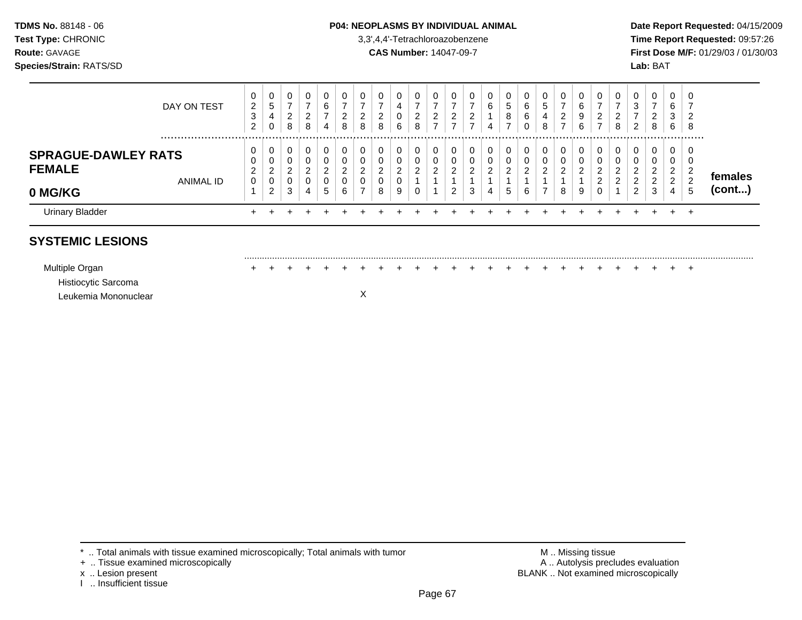### **TDMS No.** 88148 - 06 **P04: NEOPLASMS BY INDIVIDUAL ANIMAL Date Report Requested:** 04/15/2009

**Test Type:** CHRONIC 3,3',4,4'-Tetrachloroazobenzene **Time Report Requested:** 09:57:26 **Route:** GAVAGE **CAS Number:** 14047-09-7 **First Dose M/F:** 01/29/03 / 01/30/03

| DAY ON TEST                                                     | 0<br>$\overline{2}$<br>3<br>$\overline{2}$ | $\sim$<br>U<br>5<br>4<br>$\mathbf 0$                    | 0<br>ົ<br>∠<br>8      | υ<br>າ<br>8                    | 0<br>6<br>-<br>4           | $\mathbf 0$<br>⇁<br>2<br>8   | 2<br>8 | 0<br>-<br>$\sim$<br>8 | 0<br>4<br>$\sim$<br>U.<br>6     | 0<br>ົ<br>∠<br>8                    | υ<br>ົ<br>∠ | 0<br>ົ<br>∼ | 0<br>ົ<br><u>_</u> | 0<br>6<br>4 | 0<br>5<br>8<br>$\overline{ }$ | 0<br>6<br>6<br>0        | 0<br>5<br>4<br>8     | 0<br>$\overline{ }$<br>2<br>⇁ | 6<br>9<br>6 | 0<br>2<br>⇁                          | 0<br>$\overline{ }$<br>2<br>8 | 0<br>3<br>-<br>$\overline{2}$     | 0<br>$\rightarrow$<br>2<br>8 | 0<br>6<br>3<br>6      | -0<br>8 |         |
|-----------------------------------------------------------------|--------------------------------------------|---------------------------------------------------------|-----------------------|--------------------------------|----------------------------|------------------------------|--------|-----------------------|---------------------------------|-------------------------------------|-------------|-------------|--------------------|-------------|-------------------------------|-------------------------|----------------------|-------------------------------|-------------|--------------------------------------|-------------------------------|-----------------------------------|------------------------------|-----------------------|---------|---------|
| <b>SPRAGUE-DAWLEY RATS</b><br><b>FEMALE</b><br><b>ANIMAL ID</b> | 0<br>0<br>C<br>∠<br>0                      | υ<br>$\sim$<br>υ<br>$\sim$<br>$\epsilon$<br>$\sim$<br>U | 0<br>0<br>ົ<br>∠<br>0 | 0<br>$\sqrt{2}$<br>υ<br>າ<br>0 | 0<br>0<br>ົ<br>$\sim$<br>0 | 0<br>0<br>ົ<br><u>_</u><br>0 |        | 0<br>0<br>ົ<br>0      | 0<br>U<br>ົ<br>∼<br>$\sim$<br>U | 0<br>$\Omega$<br>U<br>◠<br><u>.</u> | ົ           | ົ           | 0<br>0<br>ົ        | 0<br>ົ      | 0<br>0<br>ົ<br><u>L</u>       | 0<br>0<br>ົ<br><u>_</u> | 0<br>ົ<br>$\epsilon$ | 0<br>0<br>ົ                   |             | 0<br>0<br>ົ<br>$\sim$<br>ົ<br>$\sim$ | -U<br>U<br>ົ<br>റ             | 0<br>0<br>ົ<br>∠<br>C<br><u>L</u> | 0<br>0<br>ົ<br>∠<br>ົ<br>∠   | 0<br>U<br>ົ<br>▵<br>2 | -0<br>n | females |
| 0 MG/KG                                                         |                                            | $\overline{2}$                                          | 3                     | 4                              | 5                          | 6                            | ⇁      | 8                     | 9                               | U                                   |             | ົ<br>∠      | 3                  | 4           | 5                             | 6                       |                      | 8                             | 9           | 0                                    |                               | $\overline{2}$                    | 3                            |                       | ು       | (cont)  |
| <b>Urinary Bladder</b>                                          |                                            |                                                         |                       |                                |                            |                              |        |                       |                                 |                                     |             |             |                    |             |                               |                         |                      |                               |             |                                      |                               |                                   |                              |                       | $\pm$   |         |

# **SYSTEMIC LESIONS**

......................................................................................................................................................................................................... Multiple Organ + + + + + + + + + + + + + + + + + + + + + + + + + Histiocytic Sarcoma

Leukemia Mononuclear X

\* .. Total animals with tissue examined microscopically; Total animals with tumor **M** . Missing tissue M .. Missing tissue<br>
A .. Tissue examined microscopically by the state of the state of the many control of the state of

- + .. Tissue examined microscopically
- 
- I .. Insufficient tissue

x .. Lesion present **BLANK** .. Not examined microscopically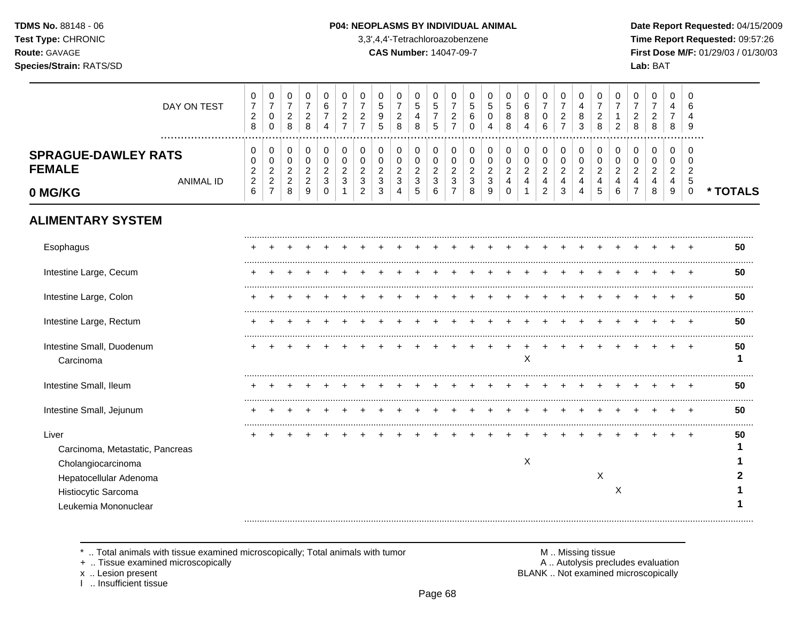#### P04: NEOPLASMS BY INDIVIDUAL ANIMAL

3,3',4,4'-Tetrachloroazobenzene

**CAS Number: 14047-09-7** 

Date Report Requested: 04/15/2009 Time Report Requested: 09:57:26 First Dose M/F: 01/29/03 / 01/30/03 Lab: BAT

| DAY ON TEST                                                                                                                             | 0<br>$\overline{7}$<br>$\overline{2}$<br>8                     | 0<br>$\overline{7}$<br>$\mathsf 0$<br>$\mathbf 0$              | 0<br>$\overline{7}$<br>$\boldsymbol{2}$<br>$\,8\,$        | 0<br>$\overline{7}$<br>$\sqrt{2}$<br>8                             | $\mathbf 0$<br>$\,6$<br>$\overline{7}$<br>4          | 0<br>$\overline{7}$<br>$\overline{c}$<br>$\overline{7}$ | 0<br>7<br>$\overline{c}$<br>$\overline{7}$   | 0<br>5<br>9<br>5                | 0<br>$\overline{7}$<br>$\overline{2}$<br>8                         | 0<br>$\,$ 5 $\,$<br>4<br>8         | 0<br>$\sqrt{5}$<br>$\overline{7}$<br>5              | $\mathbf 0$<br>$\overline{7}$<br>$\sqrt{2}$<br>$\overline{7}$  | 0<br>5<br>6<br>$\mathbf 0$                            | 0<br>5<br>$\mathbf 0$<br>4                            | 0<br>5<br>8<br>8                          | $\mathbf 0$<br>$\,6$<br>8<br>4                         | 0<br>7<br>0<br>6                                                      | 0<br>$\overline{7}$<br>$\boldsymbol{2}$<br>$\overline{7}$ | 0<br>4<br>8<br>3                                                     | 0<br>$\overline{7}$<br>$\overline{c}$<br>8 | 0<br>$\overline{7}$<br>$\mathbf{1}$<br>$\overline{2}$ | 0<br>$\overline{7}$<br>$\overline{c}$<br>8 | 0<br>$\overline{7}$<br>$\overline{2}$<br>8 | 0<br>$\overline{4}$<br>$\overline{7}$<br>8                              | 0<br>6<br>4<br>9                                                |          |
|-----------------------------------------------------------------------------------------------------------------------------------------|----------------------------------------------------------------|----------------------------------------------------------------|-----------------------------------------------------------|--------------------------------------------------------------------|------------------------------------------------------|---------------------------------------------------------|----------------------------------------------|---------------------------------|--------------------------------------------------------------------|------------------------------------|-----------------------------------------------------|----------------------------------------------------------------|-------------------------------------------------------|-------------------------------------------------------|-------------------------------------------|--------------------------------------------------------|-----------------------------------------------------------------------|-----------------------------------------------------------|----------------------------------------------------------------------|--------------------------------------------|-------------------------------------------------------|--------------------------------------------|--------------------------------------------|-------------------------------------------------------------------------|-----------------------------------------------------------------|----------|
| <b>SPRAGUE-DAWLEY RATS</b><br><b>FEMALE</b><br><b>ANIMAL ID</b><br>0 MG/KG                                                              | 0<br>0<br>$\overline{c}$<br>$\boldsymbol{2}$<br>$6\phantom{1}$ | 0<br>0<br>$\overline{c}$<br>$\boldsymbol{2}$<br>$\overline{7}$ | 0<br>$\pmb{0}$<br>$\overline{c}$<br>$\boldsymbol{2}$<br>8 | 0<br>$\pmb{0}$<br>$\overline{c}$<br>$\sqrt{2}$<br>$\boldsymbol{9}$ | 0<br>$\pmb{0}$<br>$\overline{c}$<br>3<br>$\mathbf 0$ | 0<br>$\mathbf 0$<br>$\overline{2}$<br>3                 | 0<br>$\mathbf 0$<br>2<br>3<br>$\overline{c}$ | 0<br>$\mathbf 0$<br>2<br>3<br>3 | 0<br>$\pmb{0}$<br>$\overline{c}$<br>$\mathbf{3}$<br>$\overline{4}$ | 0<br>0<br>$\overline{2}$<br>3<br>5 | 0<br>$\pmb{0}$<br>$\overline{c}$<br>$\sqrt{3}$<br>6 | 0<br>$\pmb{0}$<br>$\sqrt{2}$<br>$\mathbf{3}$<br>$\overline{7}$ | 0<br>$\pmb{0}$<br>$\overline{c}$<br>$\mathbf{3}$<br>8 | 0<br>$\mathbf 0$<br>$\overline{c}$<br>$\sqrt{3}$<br>9 | 0<br>0<br>$\overline{c}$<br>4<br>$\Omega$ | 0<br>$\mathbf 0$<br>$\boldsymbol{2}$<br>$\overline{4}$ | 0<br>0<br>$\overline{a}$<br>$\overline{\mathbf{4}}$<br>$\overline{2}$ | 0<br>$\pmb{0}$<br>$\boldsymbol{2}$<br>4<br>3              | 0<br>$\mathbf 0$<br>$\boldsymbol{2}$<br>$\overline{\mathbf{4}}$<br>4 | 0<br>$\pmb{0}$<br>$\overline{c}$<br>4<br>5 | 0<br>0<br>$\overline{2}$<br>4<br>6                    | 0<br>0<br>2<br>4                           | 0<br>0<br>$\overline{2}$<br>4<br>8         | 0<br>0<br>$\overline{c}$<br>$\overline{\mathbf{4}}$<br>$\boldsymbol{9}$ | 0<br>$\mathbf 0$<br>$\overline{2}$<br>$\sqrt{5}$<br>$\mathsf 0$ | * TOTALS |
| <b>ALIMENTARY SYSTEM</b>                                                                                                                |                                                                |                                                                |                                                           |                                                                    |                                                      |                                                         |                                              |                                 |                                                                    |                                    |                                                     |                                                                |                                                       |                                                       |                                           |                                                        |                                                                       |                                                           |                                                                      |                                            |                                                       |                                            |                                            |                                                                         |                                                                 |          |
| Esophagus                                                                                                                               |                                                                |                                                                |                                                           |                                                                    |                                                      |                                                         |                                              |                                 |                                                                    |                                    |                                                     |                                                                |                                                       |                                                       |                                           |                                                        |                                                                       |                                                           |                                                                      |                                            |                                                       |                                            |                                            |                                                                         |                                                                 | 50       |
| Intestine Large, Cecum                                                                                                                  |                                                                |                                                                |                                                           |                                                                    |                                                      |                                                         |                                              |                                 |                                                                    |                                    |                                                     |                                                                |                                                       |                                                       |                                           |                                                        |                                                                       |                                                           |                                                                      |                                            |                                                       |                                            |                                            |                                                                         |                                                                 | 50       |
| Intestine Large, Colon                                                                                                                  |                                                                |                                                                |                                                           |                                                                    |                                                      |                                                         |                                              |                                 |                                                                    |                                    |                                                     |                                                                |                                                       |                                                       |                                           |                                                        |                                                                       |                                                           |                                                                      |                                            |                                                       |                                            |                                            |                                                                         |                                                                 | 50       |
| Intestine Large, Rectum                                                                                                                 |                                                                |                                                                |                                                           |                                                                    |                                                      |                                                         |                                              |                                 |                                                                    |                                    |                                                     |                                                                |                                                       |                                                       |                                           |                                                        |                                                                       |                                                           |                                                                      |                                            |                                                       |                                            |                                            |                                                                         |                                                                 | 50       |
| Intestine Small, Duodenum<br>Carcinoma                                                                                                  |                                                                |                                                                |                                                           |                                                                    |                                                      |                                                         |                                              |                                 |                                                                    |                                    |                                                     |                                                                |                                                       |                                                       |                                           | $\boldsymbol{\mathsf{X}}$                              |                                                                       |                                                           |                                                                      |                                            |                                                       |                                            |                                            |                                                                         |                                                                 | 50<br>1  |
| Intestine Small, Ileum                                                                                                                  |                                                                |                                                                |                                                           |                                                                    |                                                      |                                                         |                                              |                                 |                                                                    |                                    |                                                     |                                                                |                                                       |                                                       |                                           |                                                        |                                                                       |                                                           |                                                                      |                                            |                                                       |                                            |                                            |                                                                         |                                                                 | 50       |
| Intestine Small, Jejunum                                                                                                                |                                                                |                                                                |                                                           |                                                                    |                                                      |                                                         |                                              |                                 |                                                                    |                                    |                                                     |                                                                |                                                       |                                                       |                                           |                                                        |                                                                       |                                                           |                                                                      |                                            |                                                       |                                            |                                            |                                                                         | $\overline{1}$                                                  | 50       |
| Liver<br>Carcinoma, Metastatic, Pancreas<br>Cholangiocarcinoma<br>Hepatocellular Adenoma<br>Histiocytic Sarcoma<br>Leukemia Mononuclear |                                                                |                                                                |                                                           |                                                                    |                                                      |                                                         |                                              |                                 |                                                                    |                                    |                                                     |                                                                |                                                       |                                                       |                                           | X                                                      |                                                                       |                                                           |                                                                      | X                                          | X                                                     |                                            |                                            |                                                                         |                                                                 | 50       |
|                                                                                                                                         |                                                                |                                                                |                                                           |                                                                    |                                                      |                                                         |                                              |                                 |                                                                    |                                    |                                                     |                                                                |                                                       |                                                       |                                           |                                                        |                                                                       |                                                           |                                                                      |                                            |                                                       |                                            |                                            |                                                                         |                                                                 |          |

\* .. Total animals with tissue examined microscopically; Total animals with tumor

+ .. Tissue examined microscopically

x .. Lesion present<br>I .. Insufficient tissue

M .. Missing tissue<br>A .. Autolysis precludes evaluation BLANK .. Not examined microscopically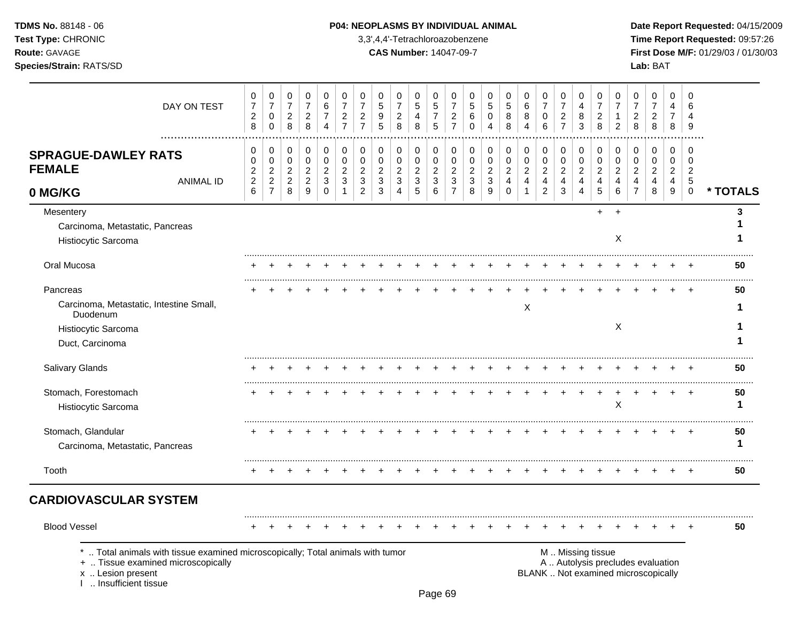# **TDMS No.** 88148 - 06 **P04: NEOPLASMS BY INDIVIDUAL ANIMAL** Date Report Requested: 04/15/2009

**Test Type:** CHRONIC 3,3',4,4'-Tetrachloroazobenzene **Time Report Requested:** 09:57:26 **Route:** GAVAGE **CAS Number:** 14047-09-7 **First Dose M/F:** 01/29/03 / 01/30/03

| DAY ON TEST                                                                                                                                                       | $\pmb{0}$<br>$\boldsymbol{7}$<br>$\overline{c}$<br>8 | $\mathbf 0$<br>$\overline{7}$<br>$\mathsf 0$<br>$\mathbf 0$ | $\mathbf 0$<br>$\overline{7}$<br>$\boldsymbol{2}$<br>8      | $\mathbf 0$<br>$\overline{7}$<br>$\sqrt{2}$<br>8                         | $\mathbf 0$<br>$\,6$<br>7<br>$\overline{4}$              | 0<br>$\overline{7}$<br>$\overline{c}$<br>$\overline{7}$ | 0<br>$\overline{7}$<br>$\overline{2}$<br>$\overline{7}$   | $\mathbf 0$<br>$\,$ 5 $\,$<br>$9\,$<br>5                          | 0<br>$\overline{7}$<br>$\sqrt{2}$<br>8                      | 0<br>$\sqrt{5}$<br>4<br>8                     | $\mathbf 0$<br>$\sqrt{5}$<br>$\overline{7}$<br>5          | 0<br>$\overline{7}$<br>$\overline{c}$<br>$\overline{7}$ | 0<br>$\sqrt{5}$<br>6<br>$\mathbf 0$                       | 0<br>5<br>$\mathbf 0$<br>4                              | 0<br>$\sqrt{5}$<br>$\bf8$<br>8                                            | $\mathbf 0$<br>$\,6\,$<br>$\bf 8$<br>$\overline{4}$      | $\mathbf 0$<br>$\boldsymbol{7}$<br>0<br>6                            | 0<br>$\overline{7}$<br>$\boldsymbol{2}$<br>$\overline{7}$            | 0<br>4<br>8<br>3                         | 0<br>$\overline{7}$<br>$\overline{2}$<br>8                | $\mathbf 0$<br>$\overline{7}$<br>1<br>2                   | 0<br>$\overline{7}$<br>$\overline{c}$<br>8                               | 0<br>$\overline{7}$<br>$\sqrt{2}$<br>8       | $\Omega$<br>4<br>7<br>8                      | $\Omega$<br>6<br>$\overline{4}$<br>9                 |               |
|-------------------------------------------------------------------------------------------------------------------------------------------------------------------|------------------------------------------------------|-------------------------------------------------------------|-------------------------------------------------------------|--------------------------------------------------------------------------|----------------------------------------------------------|---------------------------------------------------------|-----------------------------------------------------------|-------------------------------------------------------------------|-------------------------------------------------------------|-----------------------------------------------|-----------------------------------------------------------|---------------------------------------------------------|-----------------------------------------------------------|---------------------------------------------------------|---------------------------------------------------------------------------|----------------------------------------------------------|----------------------------------------------------------------------|----------------------------------------------------------------------|------------------------------------------|-----------------------------------------------------------|-----------------------------------------------------------|--------------------------------------------------------------------------|----------------------------------------------|----------------------------------------------|------------------------------------------------------|---------------|
| <b>SPRAGUE-DAWLEY RATS</b><br><b>FEMALE</b><br><b>ANIMAL ID</b><br>0 MG/KG                                                                                        | 0<br>0<br>$\boldsymbol{2}$<br>$\overline{c}$<br>6    | 0<br>0<br>$\sqrt{2}$<br>$\overline{2}$<br>$\overline{7}$    | 0<br>$\mathbf 0$<br>$\overline{c}$<br>$\sqrt{2}$<br>$\,8\,$ | 0<br>$\mathbf 0$<br>$\overline{2}$<br>$\overline{2}$<br>$\boldsymbol{9}$ | 0<br>$\mathbf 0$<br>$\boldsymbol{2}$<br>3<br>$\mathbf 0$ | 0<br>$\mathbf 0$<br>$\overline{c}$<br>3<br>1            | 0<br>$\mathbf 0$<br>$\overline{2}$<br>3<br>$\overline{2}$ | $\mathbf 0$<br>$\mathbf 0$<br>$\overline{2}$<br>$\mathbf{3}$<br>3 | 0<br>$\mathbf 0$<br>$\boldsymbol{2}$<br>$\mathfrak{Z}$<br>4 | 0<br>0<br>$\overline{c}$<br>$\mathbf{3}$<br>5 | 0<br>$\mathbf 0$<br>$\overline{c}$<br>$\mathfrak{Z}$<br>6 | 0<br>$\pmb{0}$<br>$\overline{c}$<br>3<br>$\overline{7}$ | 0<br>$\mathbf 0$<br>$\overline{c}$<br>$\mathfrak{S}$<br>8 | 0<br>$\mathbf 0$<br>$\boldsymbol{2}$<br>$\sqrt{3}$<br>9 | $\pmb{0}$<br>$\pmb{0}$<br>$\overline{c}$<br>$\overline{4}$<br>$\mathbf 0$ | 0<br>0<br>$\mathbf{2}$<br>$\overline{4}$<br>$\mathbf{1}$ | 0<br>$\pmb{0}$<br>$\overline{c}$<br>$\overline{4}$<br>$\overline{2}$ | 0<br>$\pmb{0}$<br>$\boldsymbol{2}$<br>$\overline{4}$<br>$\mathbf{3}$ | 0<br>$\mathbf 0$<br>$\sqrt{2}$<br>4<br>4 | 0<br>$\mathbf 0$<br>$\overline{c}$<br>$\overline{4}$<br>5 | 0<br>$\mathbf 0$<br>$\overline{c}$<br>$\overline{4}$<br>6 | 0<br>$\mathbf 0$<br>$\boldsymbol{2}$<br>$\overline{4}$<br>$\overline{7}$ | 0<br>$\mathbf 0$<br>$\overline{c}$<br>4<br>8 | 0<br>$\mathbf 0$<br>$\overline{2}$<br>4<br>9 | 0<br>$\mathbf 0$<br>$\overline{c}$<br>5<br>$\pmb{0}$ | * TOTALS      |
| Mesentery<br>Carcinoma, Metastatic, Pancreas<br>Histiocytic Sarcoma                                                                                               |                                                      |                                                             |                                                             |                                                                          |                                                          |                                                         |                                                           |                                                                   |                                                             |                                               |                                                           |                                                         |                                                           |                                                         |                                                                           |                                                          |                                                                      |                                                                      |                                          | $+$                                                       | $\ddot{}$<br>X                                            |                                                                          |                                              |                                              |                                                      | 3             |
| Oral Mucosa                                                                                                                                                       |                                                      |                                                             |                                                             |                                                                          |                                                          |                                                         |                                                           |                                                                   |                                                             |                                               |                                                           |                                                         |                                                           |                                                         |                                                                           |                                                          |                                                                      |                                                                      |                                          |                                                           |                                                           |                                                                          |                                              |                                              |                                                      | 50            |
| Pancreas<br>Carcinoma, Metastatic, Intestine Small,<br>Duodenum<br>Histiocytic Sarcoma                                                                            |                                                      |                                                             |                                                             |                                                                          |                                                          |                                                         |                                                           |                                                                   |                                                             |                                               |                                                           |                                                         |                                                           |                                                         |                                                                           | X                                                        |                                                                      |                                                                      |                                          |                                                           | $\boldsymbol{\mathsf{X}}$                                 |                                                                          |                                              |                                              | $\div$                                               | 50<br>1       |
| Duct, Carcinoma                                                                                                                                                   |                                                      |                                                             |                                                             |                                                                          |                                                          |                                                         |                                                           |                                                                   |                                                             |                                               |                                                           |                                                         |                                                           |                                                         |                                                                           |                                                          |                                                                      |                                                                      |                                          |                                                           |                                                           |                                                                          |                                              |                                              |                                                      |               |
| Salivary Glands<br>Stomach, Forestomach<br>Histiocytic Sarcoma                                                                                                    |                                                      |                                                             |                                                             |                                                                          |                                                          |                                                         |                                                           |                                                                   |                                                             |                                               |                                                           |                                                         |                                                           |                                                         |                                                                           |                                                          |                                                                      |                                                                      |                                          |                                                           | X                                                         |                                                                          |                                              |                                              |                                                      | 50<br>50<br>1 |
| Stomach, Glandular<br>Carcinoma, Metastatic, Pancreas                                                                                                             |                                                      |                                                             |                                                             |                                                                          |                                                          |                                                         |                                                           |                                                                   |                                                             |                                               |                                                           |                                                         |                                                           |                                                         |                                                                           |                                                          |                                                                      |                                                                      |                                          |                                                           |                                                           |                                                                          |                                              |                                              |                                                      | 50<br>1       |
| Tooth                                                                                                                                                             | +                                                    | $\overline{ }$                                              | +                                                           |                                                                          |                                                          |                                                         |                                                           |                                                                   |                                                             |                                               |                                                           | ÷                                                       |                                                           |                                                         |                                                                           | +                                                        | $\ddot{}$                                                            | $\ddot{}$                                                            |                                          |                                                           |                                                           | $\,^+$                                                                   | $\ddot{}$                                    |                                              | $\overline{ }$                                       | 50            |
| <b>CARDIOVASCULAR SYSTEM</b>                                                                                                                                      |                                                      |                                                             |                                                             |                                                                          |                                                          |                                                         |                                                           |                                                                   |                                                             |                                               |                                                           |                                                         |                                                           |                                                         |                                                                           |                                                          |                                                                      |                                                                      |                                          |                                                           |                                                           |                                                                          |                                              |                                              |                                                      |               |
| <b>Blood Vessel</b>                                                                                                                                               |                                                      |                                                             |                                                             |                                                                          |                                                          |                                                         |                                                           |                                                                   |                                                             |                                               |                                                           |                                                         |                                                           |                                                         |                                                                           |                                                          |                                                                      |                                                                      |                                          |                                                           |                                                           |                                                                          |                                              |                                              |                                                      | 50            |
| Total animals with tissue examined microscopically; Total animals with tumor<br>+  Tissue examined microscopically<br>x  Lesion present<br>1  Insufficient tissue |                                                      |                                                             |                                                             |                                                                          |                                                          |                                                         |                                                           |                                                                   |                                                             |                                               |                                                           |                                                         |                                                           |                                                         |                                                                           |                                                          |                                                                      |                                                                      |                                          | M  Missing tissue                                         |                                                           | A  Autolysis precludes evaluation<br>BLANK  Not examined microscopically |                                              |                                              |                                                      |               |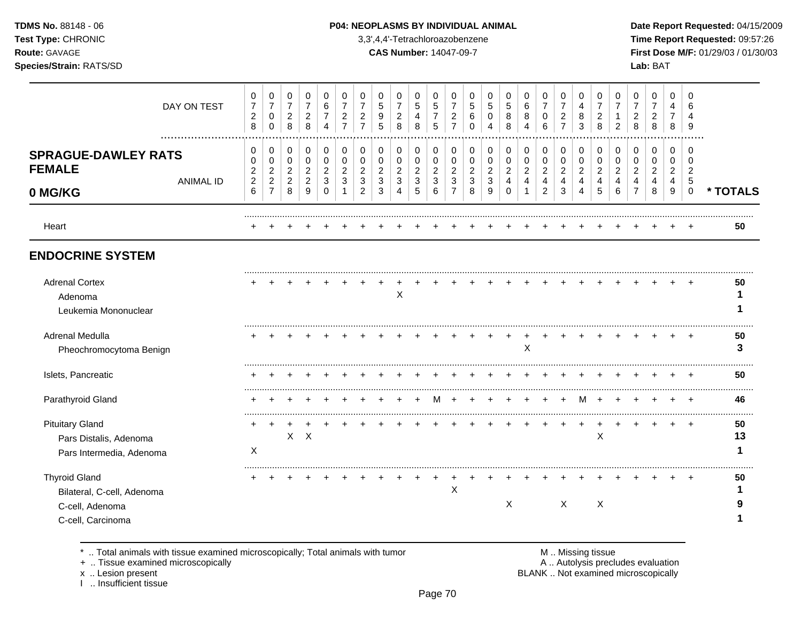# **TDMS No.** 88148 - 06 **P04: NEOPLASMS BY INDIVIDUAL ANIMAL** Date Report Requested: 04/15/2009

**Test Type:** CHRONIC 3,3',4,4'-Tetrachloroazobenzene **Time Report Requested:** 09:57:26 **Route:** GAVAGE **CAS Number:** 14047-09-7 **First Dose M/F:** 01/29/03 / 01/30/03 **Species/Strain:** RATS/SD **Lab:** BAT

|                                                                                            | DAY ON TEST      | 0<br>$\boldsymbol{7}$<br>$\overline{c}$<br>8         | 0<br>$\boldsymbol{7}$<br>0<br>$\mathbf 0$  | 0<br>$\overline{7}$<br>$\overline{c}$<br>8               | 0<br>$\overline{7}$<br>$\overline{c}$<br>8             | $\Omega$<br>6<br>7<br>$\overline{4}$    | 0<br>$\overline{7}$<br>$\overline{c}$<br>$\overline{7}$ | $\mathbf 0$<br>$\overline{7}$<br>$\overline{c}$<br>$\overline{7}$ | 0<br>5<br>9<br>5                                      | 0<br>$\overline{7}$<br>$\overline{c}$<br>8            | $\Omega$<br>5<br>4<br>8                        | 0<br>$\sqrt{5}$<br>$\overline{7}$<br>5   | 0<br>$\overline{7}$<br>$\overline{a}$<br>$\overline{7}$ | 0<br>5<br>6<br>$\Omega$                | 0<br>5<br>0<br>$\boldsymbol{\Lambda}$            | 0<br>$\sqrt{5}$<br>8<br>8                  | 0<br>$\,6\,$<br>$\,8\,$<br>$\boldsymbol{\Lambda}$    | 0<br>$\overline{7}$<br>0<br>6                        | 0<br>$\overline{7}$<br>$\overline{c}$<br>$\overline{7}$ | $\Omega$<br>4<br>8<br>3                                     | 0<br>$\overline{7}$<br>$\overline{a}$<br>8           | 0<br>$\overline{7}$<br>1<br>$\overline{2}$           | 0<br>$\overline{7}$<br>$\overline{c}$<br>8 | 0<br>$\overline{7}$<br>$\overline{c}$<br>8 | 0<br>4<br>$\overline{7}$<br>8             | $\Omega$<br>6<br>4<br>9              |          |
|--------------------------------------------------------------------------------------------|------------------|------------------------------------------------------|--------------------------------------------|----------------------------------------------------------|--------------------------------------------------------|-----------------------------------------|---------------------------------------------------------|-------------------------------------------------------------------|-------------------------------------------------------|-------------------------------------------------------|------------------------------------------------|------------------------------------------|---------------------------------------------------------|----------------------------------------|--------------------------------------------------|--------------------------------------------|------------------------------------------------------|------------------------------------------------------|---------------------------------------------------------|-------------------------------------------------------------|------------------------------------------------------|------------------------------------------------------|--------------------------------------------|--------------------------------------------|-------------------------------------------|--------------------------------------|----------|
| <b>SPRAGUE-DAWLEY RATS</b><br><b>FEMALE</b>                                                | <b>ANIMAL ID</b> | 0<br>$\mathbf 0$<br>$\overline{2}$<br>$\overline{c}$ | 0<br>0<br>$\overline{c}$<br>$\overline{c}$ | 0<br>$\mathbf 0$<br>$\boldsymbol{2}$<br>$\boldsymbol{2}$ | 0<br>$\mathbf 0$<br>$\overline{2}$<br>$\boldsymbol{2}$ | 0<br>$\mathbf 0$<br>$\overline{c}$<br>3 | 0<br>$\mathbf 0$<br>$\overline{c}$<br>3                 | 0<br>$\mathbf 0$<br>$\overline{c}$<br>$\sqrt{3}$                  | 0<br>0<br>$\overline{c}$<br>$\ensuremath{\mathsf{3}}$ | 0<br>0<br>$\overline{c}$<br>$\ensuremath{\mathsf{3}}$ | 0<br>$\mathbf 0$<br>$\sqrt{2}$<br>$\mathbf{3}$ | 0<br>0<br>$\overline{c}$<br>$\mathbf{3}$ | 0<br>$\mathbf 0$<br>$\overline{2}$<br>$\mathbf{3}$      | 0<br>0<br>$\overline{\mathbf{c}}$<br>3 | 0<br>$\mathbf 0$<br>$\overline{c}$<br>$\sqrt{3}$ | 0<br>0<br>$\overline{c}$<br>$\overline{4}$ | 0<br>$\mathbf 0$<br>$\overline{c}$<br>$\overline{a}$ | 0<br>$\mathbf 0$<br>$\overline{c}$<br>$\overline{4}$ | 0<br>$\mathbf 0$<br>$\sqrt{2}$<br>$\overline{4}$        | $\Omega$<br>$\mathbf 0$<br>$\overline{c}$<br>$\overline{4}$ | 0<br>$\mathbf 0$<br>$\overline{2}$<br>$\overline{4}$ | 0<br>$\mathbf 0$<br>$\overline{c}$<br>$\overline{4}$ | 0<br>$\mathbf 0$<br>$\overline{c}$<br>4    | 0<br>0<br>$\overline{c}$<br>4              | 0<br>$\mathbf 0$<br>$\boldsymbol{2}$<br>4 | 0<br>$\Omega$<br>$\overline{2}$<br>5 |          |
| 0 MG/KG                                                                                    |                  | 6                                                    | $\overline{7}$                             | 8                                                        | 9                                                      | $\Omega$                                | -1                                                      | $\overline{2}$                                                    | 3                                                     | 4                                                     | 5                                              | 6                                        | $\overline{7}$                                          | 8                                      | 9                                                | $\Omega$                                   | $\overline{1}$                                       | 2                                                    | 3                                                       | 4                                                           | 5                                                    | 6                                                    | 7                                          | 8                                          | 9                                         | $\mathbf 0$                          | * TOTALS |
| Heart                                                                                      |                  |                                                      |                                            |                                                          |                                                        |                                         |                                                         |                                                                   |                                                       |                                                       |                                                |                                          |                                                         |                                        |                                                  |                                            |                                                      |                                                      |                                                         |                                                             |                                                      |                                                      |                                            |                                            |                                           |                                      | 50       |
| <b>ENDOCRINE SYSTEM</b>                                                                    |                  |                                                      |                                            |                                                          |                                                        |                                         |                                                         |                                                                   |                                                       |                                                       |                                                |                                          |                                                         |                                        |                                                  |                                            |                                                      |                                                      |                                                         |                                                             |                                                      |                                                      |                                            |                                            |                                           |                                      |          |
| <b>Adrenal Cortex</b><br>Adenoma<br>Leukemia Mononuclear                                   |                  |                                                      |                                            |                                                          |                                                        |                                         |                                                         |                                                                   |                                                       | X                                                     |                                                |                                          |                                                         |                                        |                                                  |                                            |                                                      |                                                      |                                                         |                                                             |                                                      |                                                      |                                            |                                            |                                           |                                      | 50       |
| Adrenal Medulla<br>Pheochromocytoma Benign                                                 |                  |                                                      |                                            |                                                          |                                                        |                                         |                                                         |                                                                   |                                                       |                                                       |                                                |                                          |                                                         |                                        |                                                  | $\div$                                     | $\ddot{}$<br>Χ                                       |                                                      |                                                         |                                                             |                                                      |                                                      |                                            |                                            |                                           |                                      | 50<br>3  |
| Islets, Pancreatic                                                                         |                  |                                                      |                                            |                                                          |                                                        |                                         |                                                         |                                                                   |                                                       |                                                       |                                                |                                          |                                                         |                                        |                                                  |                                            |                                                      |                                                      |                                                         |                                                             |                                                      |                                                      |                                            |                                            |                                           |                                      | 50       |
| Parathyroid Gland                                                                          |                  |                                                      |                                            |                                                          |                                                        |                                         |                                                         |                                                                   |                                                       |                                                       |                                                | M                                        |                                                         |                                        |                                                  |                                            |                                                      |                                                      |                                                         | M                                                           |                                                      |                                                      |                                            |                                            |                                           |                                      | 46       |
| <b>Pituitary Gland</b><br>Pars Distalis, Adenoma<br>Pars Intermedia, Adenoma               |                  | X                                                    |                                            | $\sf X$                                                  | $\boldsymbol{\mathsf{X}}$                              |                                         |                                                         |                                                                   |                                                       |                                                       |                                                |                                          |                                                         |                                        |                                                  |                                            |                                                      |                                                      |                                                         |                                                             | X                                                    |                                                      |                                            |                                            |                                           |                                      | 50<br>13 |
| <b>Thyroid Gland</b><br>Bilateral, C-cell, Adenoma<br>C-cell, Adenoma<br>C-cell, Carcinoma |                  |                                                      |                                            |                                                          |                                                        |                                         |                                                         |                                                                   |                                                       |                                                       |                                                |                                          | $\pmb{\times}$                                          |                                        |                                                  | X                                          |                                                      |                                                      | $\boldsymbol{\mathsf{X}}$                               |                                                             | X                                                    |                                                      |                                            |                                            |                                           |                                      | 50       |

\* .. Total animals with tissue examined microscopically; Total animals with tumor **M** metally more than M .. Missing tissue<br>A .. Tissue examined microscopically

+ .. Tissue examined microscopically

x .. Lesion present<br>I .. Insufficient tissue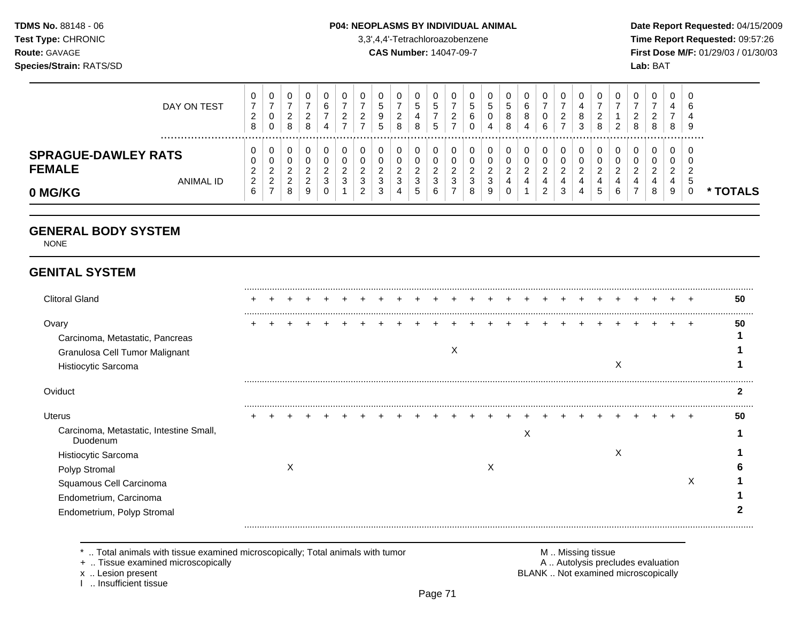### **TDMS No.** 88148 - 06 **P04: NEOPLASMS BY INDIVIDUAL ANIMAL** Date Report Requested: 04/15/2009

**Test Type:** CHRONIC 3,3',4,4'-Tetrachloroazobenzene **Time Report Requested:** 09:57:26 **Route:** GAVAGE **CAS Number:** 14047-09-7 **First Dose M/F:** 01/29/03 / 01/30/03

|                                             | DAY ON TEST | v<br><u>.</u><br>8      | 0<br>-<br>0<br>0          | ິ<br>_<br>8   | υ<br>ົ<br><u>.</u><br>8 | v<br>⌒<br>b<br>4             | 0<br>ົ<br>_           | <u>_</u>           | ÷      | 0<br>◠<br>8      | ◡<br>G<br>4<br>8             | U<br>∽<br>J<br>∽<br>J        | υ<br>_      | نٽ<br>b | <sub>5</sub><br>4  | ◡<br>8<br>$\circ$ | 0<br>6<br>8<br>4 | 0<br>0<br>6                  | υ<br>2                       | 4<br>8<br>3 | ν<br>ົ<br>$\sim$   | ົ<br>8 | 0<br>ົ<br>ے<br>8        | 0<br>4<br>8             | -9 |               |
|---------------------------------------------|-------------|-------------------------|---------------------------|---------------|-------------------------|------------------------------|-----------------------|--------------------|--------|------------------|------------------------------|------------------------------|-------------|---------|--------------------|-------------------|------------------|------------------------------|------------------------------|-------------|--------------------|--------|-------------------------|-------------------------|----|---------------|
| <b>SPRAGUE-DAWLEY RATS</b><br><b>FEMALE</b> | ANIMAL ID   | ັ<br>J<br><u>_</u><br>2 | 0<br>0<br>ີ<br>∠<br>ົ     | _             | 0<br>u<br>◠<br><u>_</u> | υ<br>υ<br>ີ<br><u>_</u><br>0 | 0<br>0<br>◠<br>_<br>3 | 0<br><u>_</u><br>ົ | 0<br>っ | 0<br>0<br>◠<br>3 | v<br>υ<br>◠<br><u>_</u><br>ົ | 0<br>J<br>ີ<br><u>.</u><br>ີ | υ<br>υ<br>◠ |         | ີ<br><u>_</u><br>◠ | c                 | 0<br>0<br>ີ<br>4 | 0<br>0<br>C<br><u>_</u><br>4 | 0<br>U<br>◠<br><u>.</u><br>4 | 4           | U<br>ົ<br><u>_</u> | C.     | 0<br>0<br>റ<br><u>_</u> | 0<br>U<br>ົ<br><u>_</u> |    |               |
| 0 MG/KG                                     |             | b                       | <u>_</u><br>$\rightarrow$ | <u>_</u><br>8 | $\epsilon$<br>9         | J<br>U                       |                       | C<br>◠<br>∠        | Ñ<br>3 | 4                | ັ<br>G                       | v<br>6                       |             | 8       | ັບ<br>9            |                   |                  | ົ<br>▵                       | 3                            | 4           | 4<br>6             | -      | 4<br>8                  | 4<br>9                  | ີວ | <b>TOTALS</b> |

# **GENERAL BODY SYSTEM**

NONE

# **GENITAL SYSTEM**

| <b>Clitoral Gland</b>                                                                             |  |   |  |  |  |  |   |   |   |  |  |   |  |   | 50 |
|---------------------------------------------------------------------------------------------------|--|---|--|--|--|--|---|---|---|--|--|---|--|---|----|
| Ovary<br>Carcinoma, Metastatic, Pancreas<br>Granulosa Cell Tumor Malignant<br>Histiocytic Sarcoma |  |   |  |  |  |  | X |   |   |  |  | ⋏ |  |   | 50 |
| Oviduct                                                                                           |  |   |  |  |  |  |   |   |   |  |  |   |  |   |    |
| <b>Uterus</b>                                                                                     |  |   |  |  |  |  |   |   |   |  |  |   |  |   | 50 |
| Carcinoma, Metastatic, Intestine Small,<br>Duodenum                                               |  |   |  |  |  |  |   |   | ∧ |  |  |   |  |   |    |
| Histiocytic Sarcoma                                                                               |  |   |  |  |  |  |   |   |   |  |  | X |  |   |    |
| Polyp Stromal                                                                                     |  | ⋏ |  |  |  |  |   | X |   |  |  |   |  |   |    |
| Squamous Cell Carcinoma                                                                           |  |   |  |  |  |  |   |   |   |  |  |   |  | X |    |
| Endometrium, Carcinoma                                                                            |  |   |  |  |  |  |   |   |   |  |  |   |  |   |    |
| Endometrium, Polyp Stromal                                                                        |  |   |  |  |  |  |   |   |   |  |  |   |  |   |    |

\* .. Total animals with tissue examined microscopically; Total animals with tumor **M** metally more than M .. Missing tissue<br>  $\blacksquare$  Tissue examined microscopically

+ .. Tissue examined microscopically

I .. Insufficient tissue

x .. Lesion present **BLANK** .. Not examined microscopically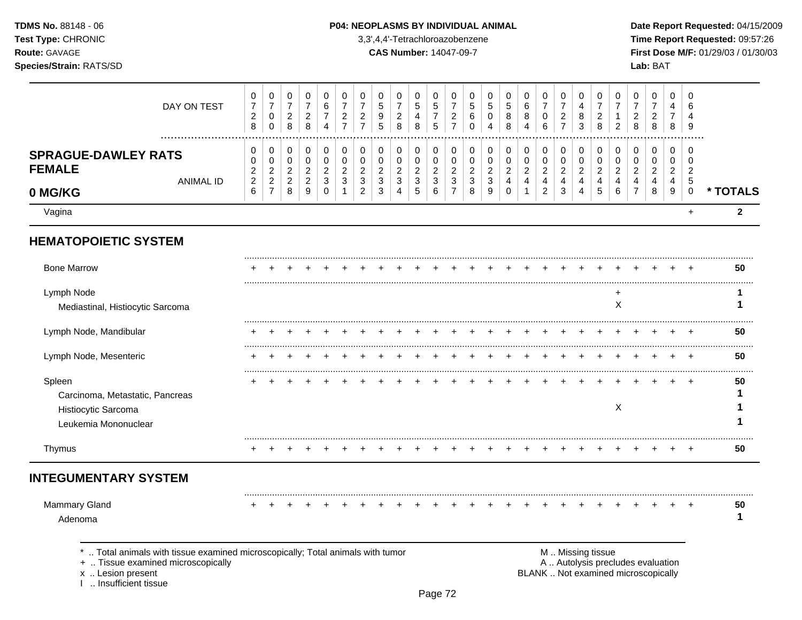I .. Insufficient tissue

### P04: NEOPLASMS BY INDIVIDUAL ANIMAL

3,3',4,4'-Tetrachloroazobenzene

**CAS Number: 14047-09-7** 

Date Report Requested: 04/15/2009 Time Report Requested: 09:57:26 First Dose M/F: 01/29/03 / 01/30/03 Lab: BAT

| DAY ON TEST                                                                                                                             | 0<br>$\overline{7}$<br>$\overline{c}$<br>8                                | 0<br>$\overline{7}$<br>$\pmb{0}$<br>$\mathbf 0$                        | 0<br>$\boldsymbol{7}$<br>$\overline{c}$<br>$\,8\,$          | 0<br>$\overline{7}$<br>$\overline{2}$<br>8                  | 0<br>$\,6$<br>$\overline{7}$<br>4                           | 0<br>$\overline{7}$<br>$\overline{c}$<br>$\overline{7}$ | 0<br>$\overline{7}$<br>$\overline{c}$<br>$\overline{7}$              | 0<br>$\sqrt{5}$<br>9<br>5                    | 0<br>$\overline{7}$<br>$\overline{c}$<br>8               | 0<br>$\mathbf 5$<br>$\overline{4}$<br>8               | 0<br>$\,$ 5 $\,$<br>$\boldsymbol{7}$<br>5     | 0<br>$\overline{7}$<br>$\overline{c}$<br>$\overline{7}$            | 0<br>5<br>$\,6$<br>$\mathbf 0$               | 0<br>$\sqrt{5}$<br>$\pmb{0}$<br>$\overline{4}$          | 0<br>$\sqrt{5}$<br>8<br>8                                          | 0<br>6<br>8<br>$\overline{4}$                | 0<br>$\overline{7}$<br>0<br>6                                            | 0<br>$\boldsymbol{7}$<br>$\overline{c}$<br>$\overline{7}$  | 0<br>4<br>8<br>3                                                                 | 0<br>7<br>$\overline{c}$<br>8                             | 0<br>$\overline{7}$<br>$\mathbf{1}$<br>$\overline{c}$                    | 0<br>$\overline{7}$<br>$\overline{c}$<br>8                | 0<br>$\overline{7}$<br>$\overline{c}$<br>8   | 0<br>4<br>$\overline{7}$<br>8                             | 0<br>6<br>4<br>9                                    |              |
|-----------------------------------------------------------------------------------------------------------------------------------------|---------------------------------------------------------------------------|------------------------------------------------------------------------|-------------------------------------------------------------|-------------------------------------------------------------|-------------------------------------------------------------|---------------------------------------------------------|----------------------------------------------------------------------|----------------------------------------------|----------------------------------------------------------|-------------------------------------------------------|-----------------------------------------------|--------------------------------------------------------------------|----------------------------------------------|---------------------------------------------------------|--------------------------------------------------------------------|----------------------------------------------|--------------------------------------------------------------------------|------------------------------------------------------------|----------------------------------------------------------------------------------|-----------------------------------------------------------|--------------------------------------------------------------------------|-----------------------------------------------------------|----------------------------------------------|-----------------------------------------------------------|-----------------------------------------------------|--------------|
| .<br><b>SPRAGUE-DAWLEY RATS</b><br><b>FEMALE</b><br><b>ANIMAL ID</b><br>0 MG/KG                                                         | 0<br>$\mathbf 0$<br>$\overline{c}$<br>$\boldsymbol{2}$<br>$6\phantom{1}6$ | 0<br>$\mathsf 0$<br>$\overline{c}$<br>$\overline{c}$<br>$\overline{7}$ | 0<br>$\mathbf 0$<br>$\overline{c}$<br>$\boldsymbol{2}$<br>8 | 0<br>$\pmb{0}$<br>$\boldsymbol{2}$<br>$\boldsymbol{2}$<br>9 | 0<br>$\mathbf 0$<br>$\sqrt{2}$<br>$\sqrt{3}$<br>$\mathbf 0$ | 0<br>$\mathbf 0$<br>$\overline{c}$<br>3                 | 0<br>$\mathbf 0$<br>$\overline{c}$<br>$\mathbf{3}$<br>$\overline{c}$ | 0<br>$\mathbf 0$<br>$\overline{c}$<br>3<br>3 | 0<br>0<br>$\overline{c}$<br>$\sqrt{3}$<br>$\overline{4}$ | 0<br>$\mathbf 0$<br>$\overline{c}$<br>$\sqrt{3}$<br>5 | 0<br>0<br>$\overline{c}$<br>$\mathbf{3}$<br>6 | 0<br>$\mathbf 0$<br>$\overline{c}$<br>$\sqrt{3}$<br>$\overline{7}$ | 0<br>$\mathbf 0$<br>$\overline{c}$<br>3<br>8 | 0<br>$\mathbf 0$<br>$\overline{c}$<br>$\mathbf{3}$<br>9 | 0<br>$\mathbf 0$<br>$\boldsymbol{2}$<br>$\overline{a}$<br>$\Omega$ | 0<br>$\pmb{0}$<br>$\boldsymbol{2}$<br>4<br>1 | 0<br>$\mathbf 0$<br>$\boldsymbol{2}$<br>$\overline{4}$<br>$\overline{2}$ | 0<br>0<br>$\overline{c}$<br>$\overline{4}$<br>$\mathbf{3}$ | $\mathbf 0$<br>$\mathbf 0$<br>$\overline{2}$<br>$\overline{4}$<br>$\overline{4}$ | 0<br>$\mathbf 0$<br>$\overline{2}$<br>$\overline{4}$<br>5 | 0<br>$\mathbf 0$<br>$\overline{c}$<br>$\overline{4}$<br>6                | 0<br>$\mathbf 0$<br>$\overline{2}$<br>4<br>$\overline{7}$ | 0<br>$\mathbf 0$<br>$\overline{c}$<br>4<br>8 | 0<br>$\mathbf 0$<br>$\overline{2}$<br>$\overline{4}$<br>9 | 0<br>0<br>$\overline{2}$<br>$\sqrt{5}$<br>$\pmb{0}$ | * TOTALS     |
| Vagina                                                                                                                                  |                                                                           |                                                                        |                                                             |                                                             |                                                             |                                                         |                                                                      |                                              |                                                          |                                                       |                                               |                                                                    |                                              |                                                         |                                                                    |                                              |                                                                          |                                                            |                                                                                  |                                                           |                                                                          |                                                           |                                              |                                                           | $+$                                                 | $\mathbf{2}$ |
| <b>HEMATOPOIETIC SYSTEM</b>                                                                                                             |                                                                           |                                                                        |                                                             |                                                             |                                                             |                                                         |                                                                      |                                              |                                                          |                                                       |                                               |                                                                    |                                              |                                                         |                                                                    |                                              |                                                                          |                                                            |                                                                                  |                                                           |                                                                          |                                                           |                                              |                                                           |                                                     |              |
| <b>Bone Marrow</b>                                                                                                                      |                                                                           |                                                                        |                                                             |                                                             |                                                             |                                                         |                                                                      |                                              |                                                          |                                                       |                                               |                                                                    |                                              |                                                         |                                                                    |                                              |                                                                          |                                                            |                                                                                  |                                                           |                                                                          |                                                           |                                              |                                                           |                                                     | 50           |
| Lymph Node<br>Mediastinal, Histiocytic Sarcoma                                                                                          |                                                                           |                                                                        |                                                             |                                                             |                                                             |                                                         |                                                                      |                                              |                                                          |                                                       |                                               |                                                                    |                                              |                                                         |                                                                    |                                              |                                                                          |                                                            |                                                                                  |                                                           | $\ddot{}$<br>X                                                           |                                                           |                                              |                                                           |                                                     | 1            |
| Lymph Node, Mandibular                                                                                                                  |                                                                           |                                                                        |                                                             |                                                             |                                                             |                                                         |                                                                      |                                              |                                                          |                                                       |                                               |                                                                    |                                              |                                                         |                                                                    |                                              | $\ddot{}$                                                                | $\pm$                                                      |                                                                                  |                                                           |                                                                          |                                                           |                                              |                                                           |                                                     | 50           |
| Lymph Node, Mesenteric                                                                                                                  |                                                                           |                                                                        |                                                             |                                                             |                                                             |                                                         |                                                                      |                                              |                                                          |                                                       |                                               |                                                                    |                                              |                                                         |                                                                    |                                              |                                                                          |                                                            |                                                                                  |                                                           |                                                                          |                                                           |                                              |                                                           |                                                     | 50           |
| Spleen<br>Carcinoma, Metastatic, Pancreas<br>Histiocytic Sarcoma                                                                        |                                                                           |                                                                        |                                                             |                                                             |                                                             |                                                         |                                                                      |                                              |                                                          |                                                       |                                               |                                                                    |                                              |                                                         |                                                                    |                                              |                                                                          |                                                            |                                                                                  |                                                           | X                                                                        |                                                           |                                              |                                                           |                                                     | 50           |
| Leukemia Mononuclear                                                                                                                    |                                                                           |                                                                        |                                                             |                                                             |                                                             |                                                         |                                                                      |                                              |                                                          |                                                       |                                               |                                                                    |                                              |                                                         |                                                                    |                                              |                                                                          |                                                            |                                                                                  |                                                           |                                                                          |                                                           |                                              |                                                           |                                                     |              |
| Thymus                                                                                                                                  |                                                                           |                                                                        |                                                             |                                                             |                                                             |                                                         |                                                                      |                                              |                                                          |                                                       |                                               |                                                                    |                                              |                                                         |                                                                    |                                              |                                                                          |                                                            |                                                                                  |                                                           |                                                                          |                                                           |                                              |                                                           | $\pm$                                               | 50           |
| <b>INTEGUMENTARY SYSTEM</b>                                                                                                             |                                                                           |                                                                        |                                                             |                                                             |                                                             |                                                         |                                                                      |                                              |                                                          |                                                       |                                               |                                                                    |                                              |                                                         |                                                                    |                                              |                                                                          |                                                            |                                                                                  |                                                           |                                                                          |                                                           |                                              |                                                           |                                                     |              |
| <b>Mammary Gland</b><br>Adenoma                                                                                                         |                                                                           |                                                                        |                                                             |                                                             |                                                             |                                                         |                                                                      |                                              |                                                          |                                                       |                                               |                                                                    |                                              |                                                         |                                                                    |                                              |                                                                          |                                                            |                                                                                  |                                                           |                                                                          |                                                           |                                              |                                                           |                                                     | 50<br>1      |
| Total animals with tissue examined microscopically; Total animals with tumor<br>+  Tissue examined microscopically<br>x  Lesion present |                                                                           |                                                                        |                                                             |                                                             |                                                             |                                                         |                                                                      |                                              |                                                          |                                                       |                                               |                                                                    |                                              |                                                         |                                                                    |                                              |                                                                          |                                                            |                                                                                  | M  Missing tissue                                         | A  Autolysis precludes evaluation<br>BLANK  Not examined microscopically |                                                           |                                              |                                                           |                                                     |              |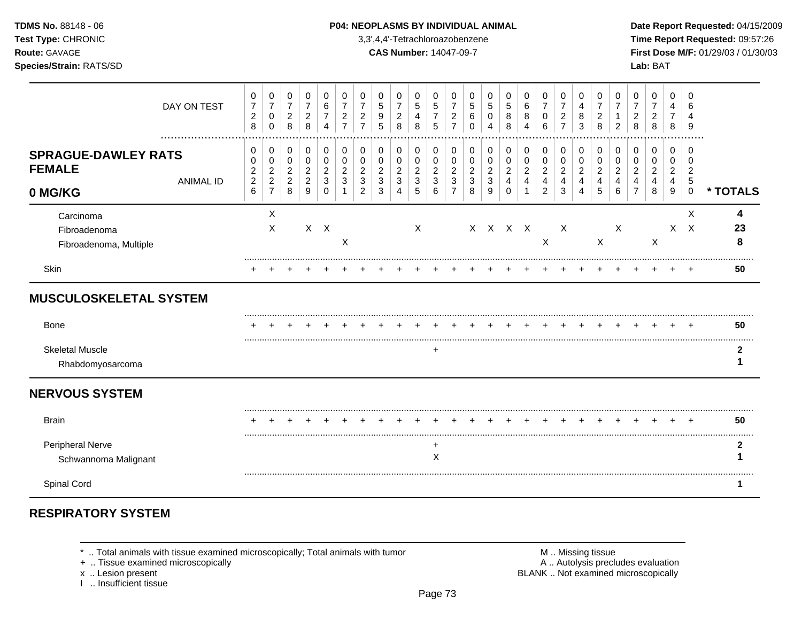### **TDMS No.** 88148 - 06 **P04: NEOPLASMS BY INDIVIDUAL ANIMAL** Date Report Requested: 04/15/2009

**Test Type:** CHRONIC 3,3',4,4'-Tetrachloroazobenzene **Time Report Requested:** 09:57:26 **Route:** GAVAGE **CAS Number:** 14047-09-7 **First Dose M/F:** 01/29/03 / 01/30/03

| DAY ON TEST                                                                | 0<br>$\overline{7}$<br>$\overline{c}$<br>8                       | 0<br>$\overline{7}$<br>0<br>$\mathbf 0$                      | 0<br>$\overline{7}$<br>$\overline{a}$<br>8      | 0<br>$\overline{7}$<br>$\overline{c}$<br>8        | 0<br>6<br>4                  | 0<br>2           | 0<br>7<br>2<br>$\overline{7}$ | 0<br>5<br>9<br>5                              | 0<br>$\overline{7}$<br>$\overline{c}$<br>8 | 0<br>$\,$ 5 $\,$<br>4<br>8         | 0<br>5<br>$\overline{7}$<br>5      | 0<br>$\overline{7}$<br>$\overline{c}$<br>$\overline{7}$ | 0<br>5<br>6<br>0      | 0<br>5<br>Δ           | 0<br>5<br>8<br>8                          | 0<br>6<br>8<br>4              | 0<br>$\overline{7}$<br>0<br>6                   | 0<br>$\overline{7}$<br>$\overline{c}$<br>$\overline{7}$ | 0<br>4<br>8<br>3                            | 0<br>$\overline{7}$<br>$\overline{c}$<br>8  | 0<br>2                | 0<br>2<br>8                                     | 0<br>2<br>8                        | 0<br>4<br>$\overline{7}$<br>8      | 0<br>6<br>4<br>9                                             |              |
|----------------------------------------------------------------------------|------------------------------------------------------------------|--------------------------------------------------------------|-------------------------------------------------|---------------------------------------------------|------------------------------|------------------|-------------------------------|-----------------------------------------------|--------------------------------------------|------------------------------------|------------------------------------|---------------------------------------------------------|-----------------------|-----------------------|-------------------------------------------|-------------------------------|-------------------------------------------------|---------------------------------------------------------|---------------------------------------------|---------------------------------------------|-----------------------|-------------------------------------------------|------------------------------------|------------------------------------|--------------------------------------------------------------|--------------|
| <b>SPRAGUE-DAWLEY RATS</b><br><b>FEMALE</b><br><b>ANIMAL ID</b><br>0 MG/KG | 0<br>0<br>$\boldsymbol{2}$<br>$\boldsymbol{2}$<br>$6\phantom{1}$ | 0<br>0<br>$\overline{2}$<br>$\overline{c}$<br>$\overline{7}$ | 0<br>0<br>$\overline{a}$<br>$\overline{c}$<br>8 | 0<br>0<br>$\overline{c}$<br>$\boldsymbol{2}$<br>9 | 0<br>0<br>2<br>3<br>$\Omega$ | 0<br>0<br>2<br>3 | 0<br>0<br>2<br>3<br>2         | 0<br>0<br>$\overline{c}$<br>$\mathbf{3}$<br>3 | 0<br>0<br>2<br>3<br>4                      | 0<br>0<br>$\overline{c}$<br>3<br>5 | 0<br>0<br>$\overline{c}$<br>3<br>6 | 0<br>0<br>$\overline{c}$<br>3<br>$\overline{7}$         | 0<br>0<br>2<br>3<br>8 | 0<br>0<br>2<br>3<br>9 | 0<br>0<br>$\overline{c}$<br>4<br>$\Omega$ | 0<br>0<br>$\overline{c}$<br>4 | 0<br>0<br>$\overline{c}$<br>4<br>$\overline{2}$ | 0<br>0<br>$\overline{c}$<br>4<br>3                      | 0<br>0<br>$\overline{\mathbf{c}}$<br>4<br>4 | 0<br>0<br>$\overline{\mathbf{c}}$<br>4<br>5 | 0<br>0<br>2<br>4<br>6 | 0<br>0<br>$\overline{2}$<br>4<br>$\overline{7}$ | 0<br>0<br>$\overline{2}$<br>4<br>8 | 0<br>0<br>$\overline{c}$<br>4<br>9 | $\Omega$<br>0<br>$\overline{2}$<br>$\sqrt{5}$<br>$\mathbf 0$ | * TOTALS     |
| Carcinoma<br>Fibroadenoma<br>Fibroadenoma, Multiple                        |                                                                  | X<br>X                                                       |                                                 |                                                   | $X$ $X$                      | X                |                               |                                               |                                            | X                                  |                                    |                                                         |                       | X X X X               |                                           |                               | X                                               | $\mathsf{X}$                                            |                                             | $\sf X$                                     | $\boldsymbol{X}$      |                                                 | $\boldsymbol{\mathsf{X}}$          |                                    | X<br>$X$ $X$                                                 | 4<br>23<br>8 |
| Skin                                                                       |                                                                  |                                                              |                                                 |                                                   |                              |                  |                               |                                               |                                            |                                    |                                    |                                                         |                       |                       |                                           |                               |                                                 |                                                         |                                             |                                             |                       |                                                 |                                    |                                    |                                                              | 50           |
| <b>MUSCULOSKELETAL SYSTEM</b>                                              |                                                                  |                                                              |                                                 |                                                   |                              |                  |                               |                                               |                                            |                                    |                                    |                                                         |                       |                       |                                           |                               |                                                 |                                                         |                                             |                                             |                       |                                                 |                                    |                                    |                                                              |              |
| Bone                                                                       |                                                                  |                                                              |                                                 |                                                   |                              |                  |                               |                                               |                                            |                                    |                                    |                                                         |                       |                       |                                           |                               |                                                 |                                                         |                                             |                                             |                       |                                                 |                                    |                                    |                                                              | 50           |
| <b>Skeletal Muscle</b><br>Rhabdomyosarcoma                                 |                                                                  |                                                              |                                                 |                                                   |                              |                  |                               |                                               |                                            |                                    | +                                  |                                                         |                       |                       |                                           |                               |                                                 |                                                         |                                             |                                             |                       |                                                 |                                    |                                    |                                                              | 2            |
| <b>NERVOUS SYSTEM</b>                                                      |                                                                  |                                                              |                                                 |                                                   |                              |                  |                               |                                               |                                            |                                    |                                    |                                                         |                       |                       |                                           |                               |                                                 |                                                         |                                             |                                             |                       |                                                 |                                    |                                    |                                                              |              |
| <b>Brain</b>                                                               |                                                                  |                                                              |                                                 |                                                   |                              |                  |                               |                                               |                                            |                                    |                                    |                                                         |                       |                       |                                           |                               |                                                 |                                                         |                                             |                                             |                       |                                                 |                                    |                                    |                                                              | 50           |
| <b>Peripheral Nerve</b><br>Schwannoma Malignant                            |                                                                  |                                                              |                                                 |                                                   |                              |                  |                               |                                               |                                            |                                    | ٠<br>X                             |                                                         |                       |                       |                                           |                               |                                                 |                                                         |                                             |                                             |                       |                                                 |                                    |                                    |                                                              |              |
| Spinal Cord                                                                |                                                                  |                                                              |                                                 |                                                   |                              |                  |                               |                                               |                                            |                                    |                                    |                                                         |                       |                       |                                           |                               |                                                 |                                                         |                                             |                                             |                       |                                                 |                                    |                                    |                                                              |              |

# **RESPIRATORY SYSTEM**

\* .. Total animals with tissue examined microscopically; Total animals with tumor **M** metally more than M .. Missing tissue<br>  $\blacksquare$  Tissue examined microscopically

+ .. Tissue examined microscopically

x .. Lesion present<br>I .. Insufficient tissue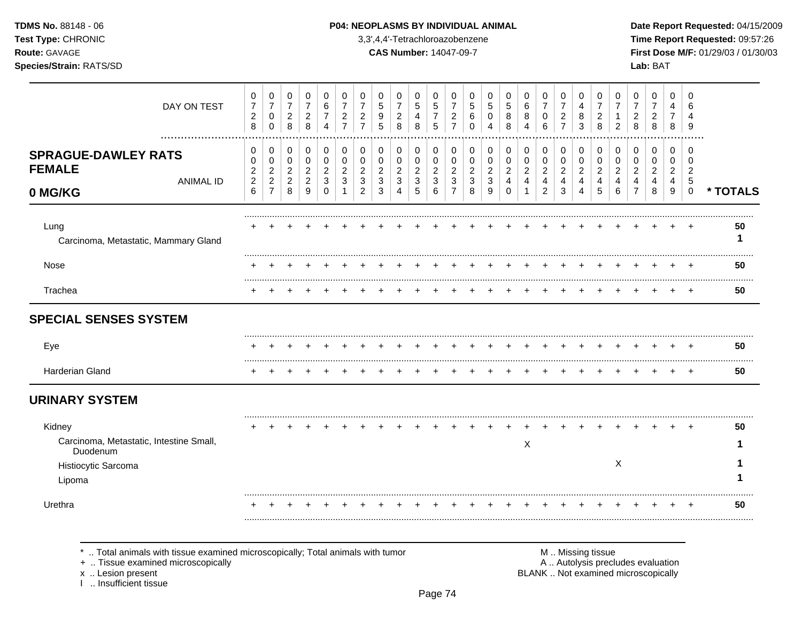### **TDMS No.** 88148 - 06 **P04: NEOPLASMS BY INDIVIDUAL ANIMAL** Date Report Requested: 04/15/2009

**Test Type:** CHRONIC 3,3',4,4'-Tetrachloroazobenzene **Time Report Requested:** 09:57:26 **Route:** GAVAGE **CAS Number:** 14047-09-7 **First Dose M/F:** 01/29/03 / 01/30/03

| DAY ON TEST                                                                                    | 0<br>$\overline{7}$<br>$\overline{c}$                                        | 0<br>$\overline{7}$<br>0                                                          | 0<br>$\overline{7}$<br>$\overline{2}$                          | 0<br>$\overline{7}$<br>$\overline{2}$                          | 0<br>6<br>7                                    | 0<br>$\overline{7}$<br>2<br>$\overline{7}$ | 0<br>$\overline{7}$<br>$\overline{c}$<br>$\overline{7}$ | 0<br>5<br>9                                                                 | 0<br>$\overline{7}$<br>$\overline{c}$              | 0<br>5<br>4                                        | 0<br>$\sqrt{5}$<br>$\overline{7}$                 | 0<br>$\overline{7}$<br>2<br>$\overline{7}$                | 0<br>5<br>6                                              | 0<br>5<br>0                             | 0<br>5<br>8                                         | 0<br>6<br>8                        | 0<br>$\overline{7}$<br>0                             | 0<br>$\overline{7}$<br>$\overline{c}$<br>$\overline{7}$ | 0<br>4<br>8                                                             | 0<br>$\overline{7}$<br>2                          | 0<br>$\overline{7}$                                         | 0<br>$\overline{7}$<br>$\overline{2}$                        | 0<br>$\overline{7}$<br>2                       | 0<br>4<br>7                             | 0<br>6                                                                   |          |
|------------------------------------------------------------------------------------------------|------------------------------------------------------------------------------|-----------------------------------------------------------------------------------|----------------------------------------------------------------|----------------------------------------------------------------|------------------------------------------------|--------------------------------------------|---------------------------------------------------------|-----------------------------------------------------------------------------|----------------------------------------------------|----------------------------------------------------|---------------------------------------------------|-----------------------------------------------------------|----------------------------------------------------------|-----------------------------------------|-----------------------------------------------------|------------------------------------|------------------------------------------------------|---------------------------------------------------------|-------------------------------------------------------------------------|---------------------------------------------------|-------------------------------------------------------------|--------------------------------------------------------------|------------------------------------------------|-----------------------------------------|--------------------------------------------------------------------------|----------|
| <b>SPRAGUE-DAWLEY RATS</b><br><b>FEMALE</b><br><b>ANIMAL ID</b><br>0 MG/KG                     | $\,8\,$<br>0<br>$\Omega$<br>$\overline{\mathbf{c}}$<br>$\boldsymbol{2}$<br>6 | $\mathbf 0$<br>0<br>$\mathbf 0$<br>$\sqrt{2}$<br>$\overline{2}$<br>$\overline{7}$ | 8<br>0<br>$\mathbf 0$<br>$\overline{c}$<br>$\overline{2}$<br>8 | 8<br>0<br>$\mathbf 0$<br>$\overline{2}$<br>$\overline{c}$<br>9 | 4<br>0<br>$\Omega$<br>$\overline{2}$<br>3<br>0 | 0<br>$\Omega$<br>$\overline{2}$<br>3       | 0<br>0<br>$\overline{c}$<br>3<br>$\overline{2}$         | 5<br>$\mathbf 0$<br>0<br>$\boldsymbol{2}$<br>$\ensuremath{\mathsf{3}}$<br>3 | 8<br>0<br>0<br>$\overline{c}$<br>$\mathbf{3}$<br>4 | 8<br>0<br>0<br>$\boldsymbol{2}$<br>$\sqrt{3}$<br>5 | 5<br>0<br>$\mathbf 0$<br>$\overline{2}$<br>3<br>6 | 0<br>$\mathbf 0$<br>$\overline{c}$<br>3<br>$\overline{7}$ | $\Omega$<br>0<br>$\mathbf 0$<br>$\overline{2}$<br>3<br>8 | 4<br>0<br>0<br>$\overline{c}$<br>3<br>9 | 8<br>$\mathbf 0$<br>0<br>$\overline{c}$<br>$\Omega$ | 4<br>0<br>0<br>$\overline{a}$<br>4 | 6<br>0<br>0<br>$\overline{2}$<br>4<br>$\overline{2}$ | 0<br>$\mathbf 0$<br>$\overline{2}$<br>4<br>3            | $\mathbf{3}$<br>0<br>$\pmb{0}$<br>$\overline{c}$<br>$\overline{4}$<br>4 | 8<br>0<br>$\mathbf 0$<br>$\overline{2}$<br>4<br>5 | $\overline{c}$<br>0<br>$\Omega$<br>$\overline{2}$<br>4<br>6 | 8<br>$\mathbf 0$<br>$\Omega$<br>$\sqrt{2}$<br>$\overline{4}$ | 8<br>0<br>$\Omega$<br>$\overline{2}$<br>4<br>8 | 8<br>0<br>0<br>$\overline{c}$<br>4<br>9 | 9<br>$\Omega$<br>$\Omega$<br>$\overline{2}$<br>$\sqrt{5}$<br>$\mathbf 0$ | * TOTALS |
| Lung<br>Carcinoma, Metastatic, Mammary Gland                                                   |                                                                              |                                                                                   |                                                                |                                                                |                                                |                                            |                                                         |                                                                             |                                                    |                                                    |                                                   |                                                           |                                                          |                                         |                                                     |                                    |                                                      |                                                         |                                                                         |                                                   |                                                             |                                                              |                                                |                                         |                                                                          | 50<br>1  |
| Nose                                                                                           |                                                                              |                                                                                   |                                                                |                                                                |                                                |                                            |                                                         |                                                                             |                                                    |                                                    |                                                   |                                                           |                                                          |                                         |                                                     |                                    |                                                      |                                                         |                                                                         |                                                   |                                                             |                                                              |                                                |                                         |                                                                          | 50       |
| Trachea                                                                                        |                                                                              |                                                                                   |                                                                |                                                                |                                                |                                            |                                                         |                                                                             |                                                    |                                                    |                                                   |                                                           |                                                          |                                         |                                                     |                                    |                                                      |                                                         |                                                                         |                                                   |                                                             |                                                              |                                                |                                         |                                                                          | 50       |
| <b>SPECIAL SENSES SYSTEM</b>                                                                   |                                                                              |                                                                                   |                                                                |                                                                |                                                |                                            |                                                         |                                                                             |                                                    |                                                    |                                                   |                                                           |                                                          |                                         |                                                     |                                    |                                                      |                                                         |                                                                         |                                                   |                                                             |                                                              |                                                |                                         |                                                                          |          |
| Eye                                                                                            |                                                                              |                                                                                   |                                                                |                                                                |                                                |                                            |                                                         |                                                                             |                                                    |                                                    |                                                   |                                                           |                                                          |                                         |                                                     |                                    |                                                      |                                                         |                                                                         |                                                   |                                                             |                                                              |                                                |                                         |                                                                          | 50       |
| Harderian Gland                                                                                |                                                                              |                                                                                   |                                                                |                                                                |                                                |                                            |                                                         |                                                                             |                                                    |                                                    |                                                   |                                                           |                                                          |                                         |                                                     |                                    |                                                      |                                                         |                                                                         |                                                   |                                                             |                                                              |                                                |                                         |                                                                          | 50       |
| <b>URINARY SYSTEM</b>                                                                          |                                                                              |                                                                                   |                                                                |                                                                |                                                |                                            |                                                         |                                                                             |                                                    |                                                    |                                                   |                                                           |                                                          |                                         |                                                     |                                    |                                                      |                                                         |                                                                         |                                                   |                                                             |                                                              |                                                |                                         |                                                                          |          |
| Kidney<br>Carcinoma, Metastatic, Intestine Small,<br>Duodenum<br>Histiocytic Sarcoma<br>Lipoma |                                                                              |                                                                                   |                                                                |                                                                |                                                |                                            |                                                         |                                                                             |                                                    |                                                    |                                                   |                                                           |                                                          |                                         |                                                     | X                                  |                                                      |                                                         |                                                                         |                                                   | X                                                           |                                                              |                                                |                                         |                                                                          | 50       |
| Urethra                                                                                        |                                                                              |                                                                                   |                                                                |                                                                |                                                |                                            |                                                         |                                                                             |                                                    |                                                    |                                                   |                                                           |                                                          |                                         |                                                     |                                    |                                                      |                                                         |                                                                         |                                                   |                                                             |                                                              |                                                |                                         |                                                                          | 50       |

\* .. Total animals with tissue examined microscopically; Total animals with tumor **M** metally more than M .. Missing tissue<br>  $\blacksquare$  Tissue examined microscopically

+ .. Tissue examined microscopically

x .. Lesion present<br>I .. Insufficient tissue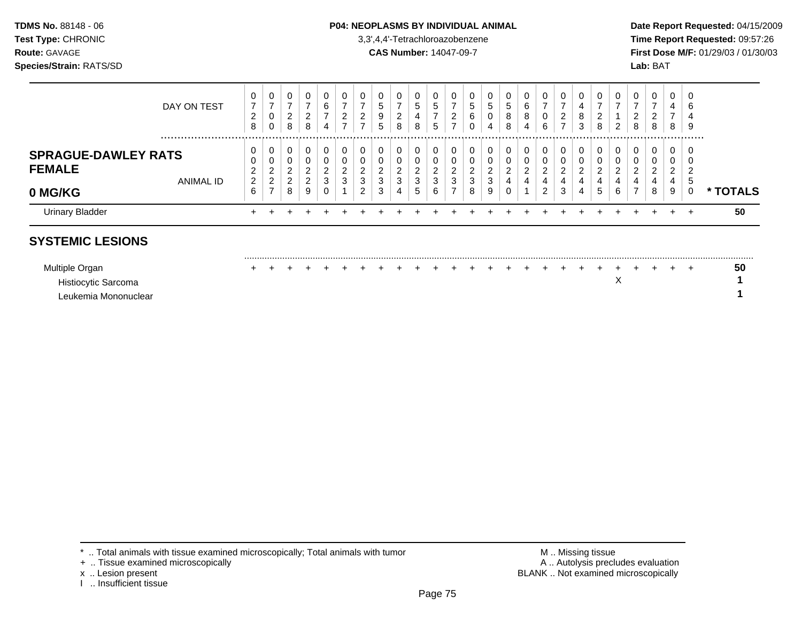### **TDMS No.** 88148 - 06 **P04: NEOPLASMS BY INDIVIDUAL ANIMAL** Date Report Requested: 04/15/2009

**Test Type:** CHRONIC 3,3',4,4'-Tetrachloroazobenzene **Time Report Requested:** 09:57:26 **Route:** GAVAGE **CAS Number:** 14047-09-7 **First Dose M/F:** 01/29/03 / 01/30/03

| <b>Urinary Bladder</b>     | $\pm$                                     |                               |                  |             |             |                                   |                           |                       |                            |                      |                 |               |                        |                   |                               |                  |                  |             |                  |                                   |                    |                              |                       | ÷           | $\div$         | 50            |
|----------------------------|-------------------------------------------|-------------------------------|------------------|-------------|-------------|-----------------------------------|---------------------------|-----------------------|----------------------------|----------------------|-----------------|---------------|------------------------|-------------------|-------------------------------|------------------|------------------|-------------|------------------|-----------------------------------|--------------------|------------------------------|-----------------------|-------------|----------------|---------------|
| 0 MG/KG                    | 6                                         | $\rightarrow$                 | 8                | 9           | 0           |                                   | റ<br>∠                    | 3                     | 4                          | 5                    | 6               |               | 8                      | 9                 | $\sim$<br>υ                   |                  | ົ<br>∠           | 3           | 4                | G                                 | 6                  | $\rightarrow$                | 8                     | 9           |                | <b>TOTALS</b> |
| <b>FEMALE</b><br>ANIMAL ID | 2<br>∼<br>$\overline{2}$                  | 2<br>C.<br>∼                  | 2<br>2           | $\sim$<br>∠ | ົ<br>3      | $\sim$<br>$\sim$<br>دت            | J<br>ົ<br>3               | υ<br>$\sim$<br>-<br>3 | ◡<br>$\sim$<br>$\sim$<br>J | ົ<br>$\epsilon$<br>3 | $\sqrt{2}$<br>3 | ◠<br>3        | U<br>$\sim$<br>ົ<br>J. | ν<br>C<br>∠<br>3  | υ<br>ົ<br>_<br>$\overline{4}$ | ົ<br>4           | ົ<br>∠<br>4      | ົ<br>4      | ົ<br>4           | ົ<br>4                            | u<br>◠             | $\sqrt{2}$<br>4              | $\sim$<br>4           | ົ<br>4      | $\sim$<br>. 5  |               |
| <b>SPRAGUE-DAWLEY RATS</b> | 0<br>0                                    | $\mathbf{0}$<br>0             | 0<br>0           |             | 0<br>0      | -0                                | C                         | U<br>$\sim$           | 0                          | 0<br>0               |                 |               | 0                      | 0                 | υ                             | 0                | 0<br>0           |             |                  | 0<br>0                            |                    |                              |                       | 0<br>U      | - 0            |               |
| DAY ON TEST                | 0<br>$\overline{7}$<br>റ<br><u>.</u><br>8 | 0<br>$\overline{ }$<br>0<br>0 | 0<br>⇁<br>2<br>8 | 8           | 0<br>6<br>4 | 0<br>⇁<br>$\sim$<br><u>_</u><br>⇁ | C<br>-<br>ົ<br>$\epsilon$ | 0<br>G<br>9<br>5      | 0<br>-<br>ົ<br>∼<br>8      | 0<br>5<br>4<br>8     | .5<br>-<br>đ    | 0<br><u>_</u> | υ<br>G<br>6<br>U       | ν<br>ົບ<br>U<br>4 | 0<br>G<br>8<br>8              | 0<br>6<br>8<br>4 | 0<br>⇁<br>0<br>6 | -<br>2<br>⇁ | U<br>4<br>8<br>3 | 0<br>⇁<br>$\sim$<br><u>.</u><br>8 | 0<br>າ<br><u>_</u> | U<br>-<br>ົ<br><u>_</u><br>8 | 0<br>$\sim$<br>▵<br>8 | 0<br>4<br>8 | - 0<br>6<br>-9 |               |
|                            |                                           |                               |                  |             |             |                                   |                           |                       |                            |                      |                 |               |                        |                   |                               |                  |                  |             |                  |                                   |                    |                              |                       |             |                |               |

## **SYSTEMIC LESIONS**

| Multiple Organ       |  |  |  |  |  |  |  |  |  |  |  |  | 50 |
|----------------------|--|--|--|--|--|--|--|--|--|--|--|--|----|
| Histiocytic Sarcoma  |  |  |  |  |  |  |  |  |  |  |  |  |    |
| Leukemia Mononuclear |  |  |  |  |  |  |  |  |  |  |  |  |    |

.........................................................................................................................................................................................................

- + .. Tissue examined microscopically
- 
- I .. Insufficient tissue

\* .. Total animals with tissue examined microscopically; Total animals with tumor <br>
+ .. Tissue examined microscopically<br>
+ .. Tissue examined microscopically x .. Lesion present **BLANK** .. Not examined microscopically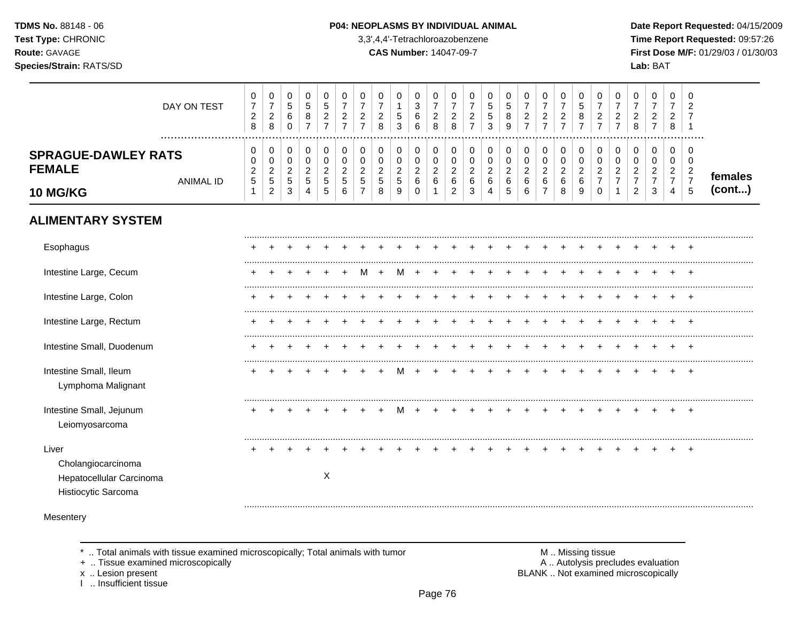TDMS No. 88148 - 06 Test Type: CHRONIC Route: GAVAGE Species/Strain: RATS/SD

#### P04: NEOPLASMS BY INDIVIDUAL ANIMAL

3,3',4,4'-Tetrachloroazobenzene

**CAS Number: 14047-09-7** 

Date Report Requested: 04/15/2009 Time Report Requested: 09:57:26 First Dose M/F: 01/29/03 / 01/30/03 Lab: BAT

| DAY ON TEST                                                           | $\pmb{0}$<br>$\boldsymbol{7}$<br>$\overline{c}$<br>$\,8\,$ | $\pmb{0}$<br>$\overline{\mathbf{7}}$<br>$\overline{c}$<br>$\,8\,$ | 0<br>$\,$ 5 $\,$<br>$\,6\,$<br>$\mathbf 0$                 | 0<br>$\sqrt{5}$<br>8<br>$\overline{7}$          | 0<br>$\sqrt{5}$<br>$\boldsymbol{2}$<br>$\overline{7}$    | 0<br>$\overline{7}$<br>$\overline{2}$<br>$\overline{7}$ | 0<br>$\overline{7}$<br>$\overline{c}$<br>$\overline{7}$ | $\pmb{0}$<br>$\overline{7}$<br>$\boldsymbol{2}$<br>8       | $\mathbf 0$<br>$\mathbf{1}$<br>5<br>3           | 0<br>$\mathbf{3}$<br>6<br>6           | 0<br>$\boldsymbol{7}$<br>$\sqrt{2}$<br>8            | 0<br>$\overline{7}$<br>$\overline{a}$<br>8  | 0<br>$\overline{7}$<br>$\overline{\mathbf{c}}$<br>$\overline{7}$ | 0<br>$\sqrt{5}$<br>$\sqrt{5}$<br>3                    | 0<br>$\sqrt{5}$<br>$\bf8$<br>9                        | $\pmb{0}$<br>$\overline{7}$<br>$\boldsymbol{2}$<br>$\overline{7}$ | 0<br>$\overline{7}$<br>$\overline{c}$<br>$\overline{7}$ | 0<br>$\overline{7}$<br>$\sqrt{2}$<br>$\overline{7}$ | $\mathbf 0$<br>$\,$ 5 $\,$<br>8<br>$\overline{7}$ | 0<br>$\boldsymbol{7}$<br>$\overline{c}$<br>$\overline{7}$ | 0<br>$\overline{7}$<br>$\overline{2}$<br>$\overline{7}$ | 0<br>$\overline{7}$<br>$\overline{c}$<br>8 | $\pmb{0}$<br>$\overline{7}$<br>$\overline{2}$<br>$\overline{7}$ | 0<br>$\overline{7}$<br>$\overline{c}$<br>8         | 0<br>$\overline{c}$<br>$\overline{7}$<br>$\mathbf{1}$          |         |
|-----------------------------------------------------------------------|------------------------------------------------------------|-------------------------------------------------------------------|------------------------------------------------------------|-------------------------------------------------|----------------------------------------------------------|---------------------------------------------------------|---------------------------------------------------------|------------------------------------------------------------|-------------------------------------------------|---------------------------------------|-----------------------------------------------------|---------------------------------------------|------------------------------------------------------------------|-------------------------------------------------------|-------------------------------------------------------|-------------------------------------------------------------------|---------------------------------------------------------|-----------------------------------------------------|---------------------------------------------------|-----------------------------------------------------------|---------------------------------------------------------|--------------------------------------------|-----------------------------------------------------------------|----------------------------------------------------|----------------------------------------------------------------|---------|
| <b>SPRAGUE-DAWLEY RATS</b><br><b>FEMALE</b><br><b>ANIMAL ID</b>       | 0<br>0<br>$\overline{c}$<br>5                              | $\mathbf 0$<br>$\pmb{0}$<br>$\overline{c}$<br>$\overline{5}$      | $\mathbf 0$<br>$\mathbf 0$<br>$\overline{c}$<br>$\sqrt{5}$ | $\mathbf 0$<br>$\pmb{0}$<br>$\overline{c}$<br>5 | $\mathbf 0$<br>$\pmb{0}$<br>$\overline{c}$<br>$\sqrt{5}$ | 0<br>$\mathbf 0$<br>$\overline{2}$<br>5                 | $\mathbf 0$<br>0<br>$\overline{2}$<br>$\sqrt{5}$        | $\mathbf 0$<br>$\mathbf 0$<br>$\overline{c}$<br>$\sqrt{5}$ | $\pmb{0}$<br>$\pmb{0}$<br>$\boldsymbol{2}$<br>5 | 0<br>$\pmb{0}$<br>$\overline{2}$<br>6 | $\pmb{0}$<br>$\pmb{0}$<br>$\overline{c}$<br>$\,6\,$ | 0<br>$\pmb{0}$<br>$\overline{a}$<br>$\,6\,$ | $\mathbf 0$<br>$\pmb{0}$<br>$\overline{c}$<br>$\,6\,$            | $\mathbf 0$<br>$\pmb{0}$<br>$\overline{c}$<br>$\,6\,$ | $\mathbf 0$<br>$\pmb{0}$<br>$\overline{c}$<br>$\,6\,$ | $\pmb{0}$<br>$\pmb{0}$<br>$\sqrt{2}$<br>$\,6\,$                   | 0<br>$\pmb{0}$<br>$\overline{c}$<br>$\,6\,$             | $\pmb{0}$<br>$\pmb{0}$<br>$\overline{a}$<br>$\,6\,$ | 0<br>$\pmb{0}$<br>$\overline{2}$<br>$\,6\,$       | 0<br>$\pmb{0}$<br>$\boldsymbol{2}$<br>$\overline{7}$      | 0<br>0<br>$\overline{2}$<br>7                           | $\mathbf 0$<br>0<br>2<br>$\overline{7}$    | 0<br>$\mathbf 0$<br>$\overline{2}$<br>$\overline{7}$            | $\pmb{0}$<br>0<br>$\overline{c}$<br>$\overline{7}$ | $\mathbf 0$<br>$\mathbf 0$<br>$\overline{c}$<br>$\overline{7}$ | females |
| <b>10 MG/KG</b>                                                       | $\mathbf{1}$                                               | $\overline{2}$                                                    | 3                                                          | 4                                               | $\sqrt{5}$                                               | 6                                                       | $\overline{7}$                                          | 8                                                          | 9                                               | $\Omega$                              | $\mathbf 1$                                         | $\overline{2}$                              | 3                                                                | $\overline{4}$                                        | 5                                                     | $\,6\,$                                                           | $\overline{7}$                                          | 8                                                   | 9                                                 | $\mathbf 0$                                               | 1                                                       | $\overline{c}$                             | 3                                                               | 4                                                  | 5                                                              | (cont)  |
| <b>ALIMENTARY SYSTEM</b>                                              |                                                            |                                                                   |                                                            |                                                 |                                                          |                                                         |                                                         |                                                            |                                                 |                                       |                                                     |                                             |                                                                  |                                                       |                                                       |                                                                   |                                                         |                                                     |                                                   |                                                           |                                                         |                                            |                                                                 |                                                    |                                                                |         |
| Esophagus                                                             |                                                            |                                                                   |                                                            |                                                 |                                                          |                                                         |                                                         |                                                            |                                                 |                                       |                                                     |                                             |                                                                  |                                                       |                                                       |                                                                   |                                                         |                                                     |                                                   |                                                           |                                                         |                                            |                                                                 |                                                    |                                                                |         |
| Intestine Large, Cecum                                                |                                                            |                                                                   |                                                            |                                                 |                                                          |                                                         | м                                                       | $\ddot{}$                                                  | M                                               | $\pm$                                 |                                                     |                                             |                                                                  |                                                       |                                                       |                                                                   |                                                         |                                                     |                                                   | $\pm$                                                     |                                                         |                                            |                                                                 | $\ddot{}$                                          | $+$                                                            |         |
| Intestine Large, Colon                                                |                                                            |                                                                   |                                                            |                                                 |                                                          |                                                         |                                                         |                                                            |                                                 |                                       |                                                     |                                             |                                                                  |                                                       |                                                       |                                                                   |                                                         |                                                     |                                                   |                                                           |                                                         |                                            |                                                                 |                                                    |                                                                |         |
| Intestine Large, Rectum                                               |                                                            |                                                                   |                                                            |                                                 |                                                          |                                                         |                                                         |                                                            |                                                 |                                       |                                                     |                                             |                                                                  |                                                       |                                                       |                                                                   |                                                         |                                                     |                                                   |                                                           |                                                         |                                            |                                                                 |                                                    |                                                                |         |
| Intestine Small, Duodenum                                             |                                                            |                                                                   |                                                            |                                                 |                                                          |                                                         |                                                         |                                                            |                                                 |                                       |                                                     |                                             |                                                                  |                                                       |                                                       |                                                                   |                                                         |                                                     |                                                   |                                                           |                                                         |                                            |                                                                 |                                                    |                                                                |         |
| Intestine Small, Ileum<br>Lymphoma Malignant                          |                                                            |                                                                   |                                                            |                                                 |                                                          |                                                         |                                                         |                                                            |                                                 |                                       |                                                     |                                             |                                                                  |                                                       |                                                       |                                                                   |                                                         |                                                     |                                                   |                                                           |                                                         |                                            |                                                                 |                                                    | $\pm$                                                          |         |
| Intestine Small, Jejunum<br>Leiomyosarcoma                            |                                                            |                                                                   |                                                            |                                                 |                                                          |                                                         |                                                         |                                                            | M                                               |                                       |                                                     |                                             |                                                                  |                                                       |                                                       |                                                                   |                                                         |                                                     |                                                   |                                                           |                                                         |                                            |                                                                 |                                                    | $^+$                                                           |         |
| Liver                                                                 |                                                            |                                                                   |                                                            |                                                 |                                                          |                                                         |                                                         |                                                            |                                                 |                                       |                                                     |                                             |                                                                  |                                                       |                                                       |                                                                   |                                                         |                                                     |                                                   |                                                           |                                                         |                                            |                                                                 |                                                    |                                                                |         |
| Cholangiocarcinoma<br>Hepatocellular Carcinoma<br>Histiocytic Sarcoma |                                                            |                                                                   |                                                            |                                                 | X                                                        |                                                         |                                                         |                                                            |                                                 |                                       |                                                     |                                             |                                                                  |                                                       |                                                       |                                                                   |                                                         |                                                     |                                                   |                                                           |                                                         |                                            |                                                                 |                                                    |                                                                |         |
| Mesentery                                                             |                                                            |                                                                   |                                                            |                                                 |                                                          |                                                         |                                                         |                                                            |                                                 |                                       |                                                     |                                             |                                                                  |                                                       |                                                       |                                                                   |                                                         |                                                     |                                                   |                                                           |                                                         |                                            |                                                                 |                                                    |                                                                |         |

.. Total animals with tissue examined microscopically; Total animals with tumor  $\star$ 

+ .. Tissue examined microscopically

x .. Lesion present<br>I .. Insufficient tissue

M .. Missing tissue A .. Autolysis precludes evaluation BLANK .. Not examined microscopically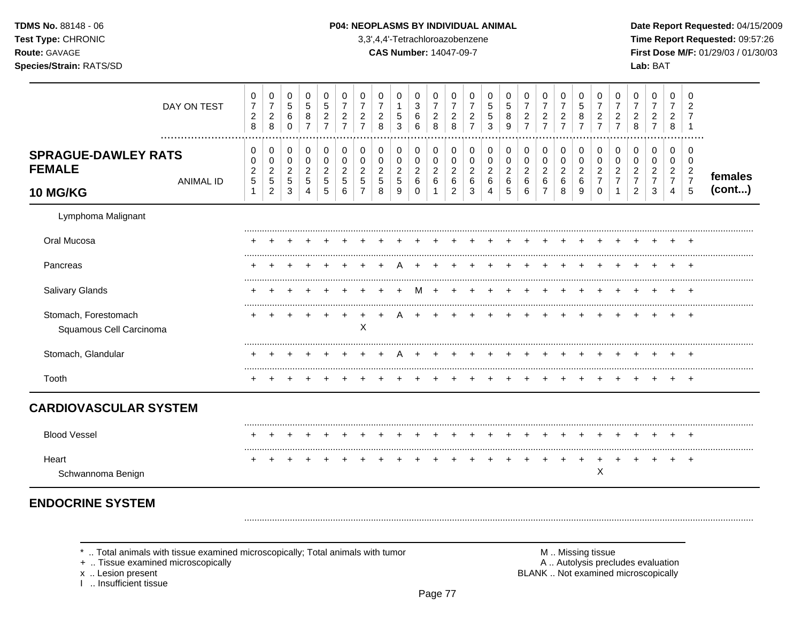| <b>TDMS No. 88148 - 06</b> |
|----------------------------|
| <b>Test Type: CHRONIC</b>  |
| <b>Route: GAVAGE</b>       |
| Species/Strain: RATS/SD    |

#### P04: NEOPLASMS BY INDIVIDUAL ANIMAL

3,3',4,4'-Tetrachloroazobenzene

**CAS Number: 14047-09-7** 

Date Report Requested: 04/15/2009 Time Report Requested: 09:57:26 First Dose M/F: 01/29/03 / 01/30/03 Lab: BAT

|                                                                | DAY ON TEST      | 0<br>$\overline{7}$<br>$\boldsymbol{2}$<br>8 | 0<br>$\overline{7}$<br>$\boldsymbol{2}$<br>8                       | 0<br>$\sqrt{5}$<br>$\,6\,$<br>$\Omega$                         | 0<br>$\sqrt{5}$<br>$\bf 8$<br>$\overline{7}$    | 0<br>5<br>$\boldsymbol{2}$<br>$\overline{7}$ | 0<br>$\overline{7}$<br>$\boldsymbol{2}$<br>$\overline{7}$ | 0<br>$\overline{7}$<br>$\overline{c}$<br>$\overline{7}$ | 0<br>$\overline{7}$<br>$\boldsymbol{2}$<br>8               | 0<br>1<br>$\sqrt{5}$<br>3                             | 0<br>$\mathbf{3}$<br>$\,6\,$<br>6                  | 0<br>$\overline{7}$<br>$\sqrt{2}$<br>8                  | 0<br>$\overline{7}$<br>$\overline{c}$<br>8      | 0<br>$\boldsymbol{2}$<br>$\overline{7}$ | 0<br>5<br>5<br>3                             | 0<br>5<br>8<br>9                                        | 0<br>$\overline{7}$<br>$\boldsymbol{2}$<br>$\overline{7}$ | 0<br>$\boldsymbol{7}$<br>$\frac{2}{7}$                        | 0<br>$\overline{7}$<br>$\sqrt{2}$<br>$\overline{7}$ | 0<br>5<br>8<br>$\overline{7}$              | 0<br>$\overline{7}$<br>$\overline{c}$<br>$\overline{7}$ | 0<br>$\overline{7}$<br>$\overline{c}$<br>$\overline{7}$ | 0<br>$\overline{7}$<br>$\boldsymbol{2}$<br>8                           | 0<br>$\overline{7}$<br>$\boldsymbol{2}$<br>$\overline{7}$ | 0<br>$\overline{7}$<br>$\overline{\mathbf{c}}$<br>8          | 0<br>$\overline{2}$                                                              |                   |
|----------------------------------------------------------------|------------------|----------------------------------------------|--------------------------------------------------------------------|----------------------------------------------------------------|-------------------------------------------------|----------------------------------------------|-----------------------------------------------------------|---------------------------------------------------------|------------------------------------------------------------|-------------------------------------------------------|----------------------------------------------------|---------------------------------------------------------|-------------------------------------------------|-----------------------------------------|----------------------------------------------|---------------------------------------------------------|-----------------------------------------------------------|---------------------------------------------------------------|-----------------------------------------------------|--------------------------------------------|---------------------------------------------------------|---------------------------------------------------------|------------------------------------------------------------------------|-----------------------------------------------------------|--------------------------------------------------------------|----------------------------------------------------------------------------------|-------------------|
| <b>SPRAGUE-DAWLEY RATS</b><br><b>FEMALE</b><br><b>10 MG/KG</b> | <b>ANIMAL ID</b> | 0<br>0<br>$\boldsymbol{2}$<br>$\sqrt{5}$     | 0<br>$\mathbf 0$<br>$\overline{2}$<br>$\sqrt{5}$<br>$\overline{c}$ | 0<br>$\mathbf 0$<br>$\overline{2}$<br>$\sqrt{5}$<br>$\sqrt{3}$ | 0<br>$\pmb{0}$<br>$\sqrt{2}$<br>$\sqrt{5}$<br>4 | 0<br>$\pmb{0}$<br>$\overline{c}$<br>5<br>5   | 0<br>0<br>2<br>5<br>6                                     | 0<br>$\mathbf 0$<br>$\overline{c}$<br>5<br>7            | 0<br>$\boldsymbol{0}$<br>$\overline{c}$<br>$\sqrt{5}$<br>8 | 0<br>$\mathbf 0$<br>$\overline{2}$<br>$\sqrt{5}$<br>9 | 0<br>$\mathbf 0$<br>$\overline{2}$<br>$\,6\,$<br>0 | 0<br>$\pmb{0}$<br>$\sqrt{2}$<br>$\,6\,$<br>$\mathbf{1}$ | 0<br>0<br>$\overline{c}$<br>6<br>$\overline{2}$ | 0<br>0<br>$\overline{2}$<br>6<br>3      | 0<br>$\mathbf 0$<br>$\overline{c}$<br>6<br>4 | 0<br>$\pmb{0}$<br>$\overline{c}$<br>6<br>$\overline{5}$ | 0<br>$\mathbf 0$<br>$\overline{2}$<br>$\,6\,$<br>6        | 0<br>$\pmb{0}$<br>$\overline{2}$<br>$\,6\,$<br>$\overline{7}$ | 0<br>$\pmb{0}$<br>$\sqrt{2}$<br>$\,6\,$<br>8        | 0<br>$\pmb{0}$<br>$\overline{c}$<br>6<br>9 | 0<br>0<br>2<br>$\overline{7}$<br>$\Omega$               | 0<br>$\mathbf 0$<br>$\overline{2}$<br>$\overline{7}$    | 0<br>$\mathbf 0$<br>$\overline{c}$<br>$\overline{7}$<br>$\overline{2}$ | 0<br>0<br>$\overline{2}$<br>$\overline{7}$<br>3           | 0<br>0<br>$\overline{a}$<br>$\overline{7}$<br>$\overline{4}$ | $\mathbf 0$<br>$\mathbf 0$<br>$\overline{2}$<br>$\overline{7}$<br>$\overline{5}$ | females<br>(cont) |
| Lymphoma Malignant                                             |                  |                                              |                                                                    |                                                                |                                                 |                                              |                                                           |                                                         |                                                            |                                                       |                                                    |                                                         |                                                 |                                         |                                              |                                                         |                                                           |                                                               |                                                     |                                            |                                                         |                                                         |                                                                        |                                                           |                                                              |                                                                                  |                   |
| Oral Mucosa                                                    |                  |                                              |                                                                    |                                                                |                                                 |                                              |                                                           |                                                         |                                                            |                                                       |                                                    |                                                         |                                                 |                                         |                                              |                                                         |                                                           |                                                               |                                                     |                                            |                                                         |                                                         |                                                                        |                                                           |                                                              |                                                                                  |                   |
| Pancreas                                                       |                  |                                              |                                                                    |                                                                |                                                 |                                              |                                                           |                                                         |                                                            |                                                       |                                                    |                                                         |                                                 |                                         |                                              |                                                         |                                                           |                                                               |                                                     |                                            |                                                         |                                                         |                                                                        |                                                           |                                                              |                                                                                  |                   |
| Salivary Glands                                                |                  |                                              |                                                                    |                                                                |                                                 |                                              |                                                           |                                                         |                                                            |                                                       | м                                                  |                                                         |                                                 |                                         |                                              |                                                         |                                                           |                                                               |                                                     |                                            |                                                         |                                                         |                                                                        |                                                           |                                                              | $\ddot{}$                                                                        |                   |
| Stomach, Forestomach<br>Squamous Cell Carcinoma                |                  |                                              |                                                                    |                                                                |                                                 |                                              |                                                           | X                                                       |                                                            |                                                       |                                                    |                                                         |                                                 |                                         |                                              |                                                         |                                                           |                                                               |                                                     |                                            |                                                         |                                                         |                                                                        |                                                           |                                                              | $\ddot{}$                                                                        |                   |
| Stomach, Glandular                                             |                  |                                              |                                                                    |                                                                |                                                 |                                              |                                                           |                                                         |                                                            |                                                       |                                                    |                                                         |                                                 |                                         |                                              |                                                         |                                                           |                                                               |                                                     |                                            |                                                         |                                                         |                                                                        |                                                           |                                                              |                                                                                  |                   |
| Tooth                                                          |                  |                                              |                                                                    |                                                                |                                                 |                                              |                                                           |                                                         |                                                            |                                                       |                                                    |                                                         |                                                 |                                         |                                              |                                                         |                                                           |                                                               |                                                     |                                            |                                                         |                                                         |                                                                        |                                                           |                                                              |                                                                                  |                   |
| <b>CARDIOVASCULAR SYSTEM</b>                                   |                  |                                              |                                                                    |                                                                |                                                 |                                              |                                                           |                                                         |                                                            |                                                       |                                                    |                                                         |                                                 |                                         |                                              |                                                         |                                                           |                                                               |                                                     |                                            |                                                         |                                                         |                                                                        |                                                           |                                                              |                                                                                  |                   |
| <b>Blood Vessel</b>                                            |                  |                                              |                                                                    |                                                                |                                                 |                                              |                                                           |                                                         |                                                            |                                                       |                                                    |                                                         |                                                 |                                         |                                              |                                                         |                                                           |                                                               |                                                     |                                            |                                                         |                                                         |                                                                        |                                                           |                                                              |                                                                                  |                   |
| Heart<br>Schwannoma Benign                                     |                  |                                              |                                                                    |                                                                |                                                 |                                              |                                                           |                                                         |                                                            |                                                       |                                                    |                                                         |                                                 |                                         |                                              |                                                         |                                                           |                                                               |                                                     |                                            | Χ                                                       |                                                         |                                                                        |                                                           |                                                              | $\pm$                                                                            |                   |
| <b>ENDOCRINE SYSTEM</b>                                        |                  |                                              |                                                                    |                                                                |                                                 |                                              |                                                           |                                                         |                                                            |                                                       |                                                    |                                                         |                                                 |                                         |                                              |                                                         |                                                           |                                                               |                                                     |                                            |                                                         |                                                         |                                                                        |                                                           |                                                              |                                                                                  |                   |

\* .. Total animals with tissue examined microscopically; Total animals with tumor + .. Tissue examined microscopically

x .. Lesion present<br>I .. Insufficient tissue

M .. Missing tissue<br>A .. Autolysis precludes evaluation BLANK .. Not examined microscopically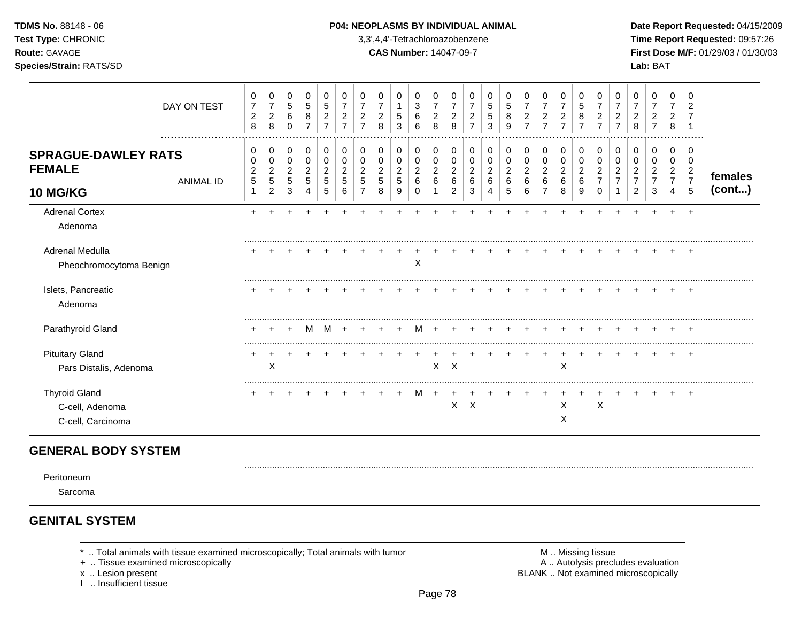### **TDMS No.** 88148 - 06 **P04: NEOPLASMS BY INDIVIDUAL ANIMAL Date Report Requested:** 04/15/2009

**Test Type:** CHRONIC 3,3',4,4'-Tetrachloroazobenzene **Time Report Requested:** 09:57:26 **Route:** GAVAGE **CAS Number:** 14047-09-7 **First Dose M/F:** 01/29/03 / 01/30/03 **Species/Strain:** RATS/SD **Lab:** BAT

|                                                                | DAY ON TEST<br>  | 0<br>$\overline{7}$<br>$\overline{c}$<br>$\bf8$ | 0<br>$\boldsymbol{7}$<br>$\overline{c}$<br>8    | 0<br>$\sqrt{5}$<br>6<br>$\mathbf 0$          | 0<br>$\sqrt{5}$<br>8<br>$\overline{7}$               | 0<br>$\sqrt{5}$<br>$\overline{c}$<br>$\overline{7}$ | 0<br>$\overline{7}$<br>$\overline{c}$<br>$\overline{7}$ | 0<br>$\overline{7}$<br>2<br>$\overline{7}$ | 0<br>$\overline{7}$<br>2<br>8      | 0<br>5<br>3                        | 0<br>$\mathbf{3}$<br>6<br>6                  | 0<br>$\overline{7}$<br>$\overline{a}$<br>8 | 0<br>$\overline{7}$<br>$\overline{c}$<br>8   | 0<br>$\overline{7}$<br>$\overline{c}$<br>$\overline{7}$ | 0<br>5<br>5<br>3                          | 0<br>5<br>8<br>9      | 0<br>$\overline{7}$<br>$\overline{c}$<br>$\overline{7}$ | 0<br>$\overline{7}$<br>$\overline{\mathbf{c}}$<br>$\overline{7}$ | 0<br>$\overline{7}$<br>$\overline{\mathbf{c}}$<br>$\overline{7}$ | 0<br>5<br>8<br>$\overline{7}$                       | 0<br>$\overline{7}$<br>$\overline{c}$<br>$\overline{7}$ | 0<br>$\overline{7}$<br>2<br>$\overline{7}$ | 0<br>2<br>8      | 0<br>2<br>$\overline{7}$ | 0<br>2<br>8                        | 0<br>2<br>.                  |                   |
|----------------------------------------------------------------|------------------|-------------------------------------------------|-------------------------------------------------|----------------------------------------------|------------------------------------------------------|-----------------------------------------------------|---------------------------------------------------------|--------------------------------------------|------------------------------------|------------------------------------|----------------------------------------------|--------------------------------------------|----------------------------------------------|---------------------------------------------------------|-------------------------------------------|-----------------------|---------------------------------------------------------|------------------------------------------------------------------|------------------------------------------------------------------|-----------------------------------------------------|---------------------------------------------------------|--------------------------------------------|------------------|--------------------------|------------------------------------|------------------------------|-------------------|
| <b>SPRAGUE-DAWLEY RATS</b><br><b>FEMALE</b><br><b>10 MG/KG</b> | <b>ANIMAL ID</b> | 0<br>0<br>$\overline{c}$<br>$\sqrt{5}$          | 0<br>0<br>$\overline{2}$<br>5<br>$\overline{c}$ | 0<br>0<br>$\overline{c}$<br>$\,$ 5 $\,$<br>3 | 0<br>$\pmb{0}$<br>$\overline{c}$<br>$\,$ 5 $\,$<br>4 | 0<br>$\mathbf 0$<br>$\overline{c}$<br>5<br>5        | 0<br>$\Omega$<br>$\overline{2}$<br>5<br>6               | 0<br>0<br>2                                | 0<br>0<br>$\overline{c}$<br>5<br>8 | 0<br>0<br>$\overline{c}$<br>5<br>9 | 0<br>$\mathbf 0$<br>$\overline{2}$<br>6<br>0 | 0<br>0<br>$\overline{c}$<br>6              | 0<br>$\mathbf 0$<br>$\overline{c}$<br>6<br>2 | 0<br>0<br>$\overline{c}$<br>6<br>3                      | 0<br>$\Omega$<br>$\overline{2}$<br>6<br>4 | 0<br>0<br>2<br>6<br>5 | 0<br>0<br>$\overline{c}$<br>6<br>6                      | 0<br>$\mathbf 0$<br>$\overline{\mathbf{c}}$<br>6                 | 0<br>$\pmb{0}$<br>$\overline{c}$<br>6<br>8                       | 0<br>$\pmb{0}$<br>$\overline{\mathbf{c}}$<br>6<br>9 | 0<br>0<br>$\overline{c}$<br>$\overline{7}$<br>0         | 0<br>0<br>2                                | 0<br>0<br>2<br>2 | 0<br>0<br>3              | 0<br>0<br>2<br>$\overline{7}$<br>4 | 0<br>0<br>$\frac{2}{7}$<br>5 | females<br>(cont) |
| <b>Adrenal Cortex</b><br>Adenoma                               |                  |                                                 |                                                 |                                              |                                                      |                                                     |                                                         |                                            |                                    |                                    |                                              |                                            |                                              |                                                         |                                           |                       |                                                         |                                                                  |                                                                  |                                                     |                                                         |                                            |                  |                          |                                    | $\ddot{}$                    |                   |
| Adrenal Medulla<br>Pheochromocytoma Benign                     |                  |                                                 |                                                 |                                              |                                                      |                                                     |                                                         |                                            |                                    |                                    | X                                            |                                            |                                              |                                                         |                                           |                       |                                                         |                                                                  |                                                                  |                                                     |                                                         |                                            |                  |                          |                                    | +                            |                   |
| Islets, Pancreatic<br>Adenoma                                  |                  |                                                 |                                                 |                                              |                                                      |                                                     |                                                         |                                            |                                    |                                    |                                              |                                            |                                              |                                                         |                                           |                       |                                                         |                                                                  |                                                                  |                                                     |                                                         |                                            |                  |                          |                                    |                              |                   |
| Parathyroid Gland                                              |                  |                                                 |                                                 |                                              |                                                      |                                                     |                                                         |                                            |                                    |                                    |                                              |                                            |                                              |                                                         |                                           |                       |                                                         |                                                                  |                                                                  |                                                     |                                                         |                                            |                  |                          |                                    |                              |                   |
| <b>Pituitary Gland</b><br>Pars Distalis, Adenoma               |                  |                                                 | X                                               |                                              |                                                      |                                                     |                                                         |                                            |                                    |                                    |                                              |                                            | $X$ $X$                                      |                                                         |                                           |                       |                                                         |                                                                  | X                                                                |                                                     |                                                         |                                            |                  |                          |                                    | +                            |                   |
| <b>Thyroid Gland</b><br>C-cell, Adenoma<br>C-cell, Carcinoma   |                  |                                                 |                                                 |                                              |                                                      |                                                     |                                                         |                                            |                                    | ÷                                  | M                                            | $+$                                        | X                                            | $\mathsf{X}$                                            |                                           |                       |                                                         |                                                                  | X<br>X                                                           |                                                     | $\boldsymbol{\mathsf{X}}$                               |                                            |                  |                          |                                    | $\pm$                        |                   |

# **GENERAL BODY SYSTEM**

Peritoneum

Sarcoma

# **GENITAL SYSTEM**

- 
- + .. Tissue examined microscopically
- 
- I .. Insufficient tissue

\* .. Total animals with tissue examined microscopically; Total animals with tumor **M** . Missing tissue M .. Missing tissue<br>  $\blacksquare$  . Tissue examined microscopically<br>  $\blacksquare$  . Autolysis precludes evaluation x .. Lesion present **BLANK** .. Not examined microscopically

.........................................................................................................................................................................................................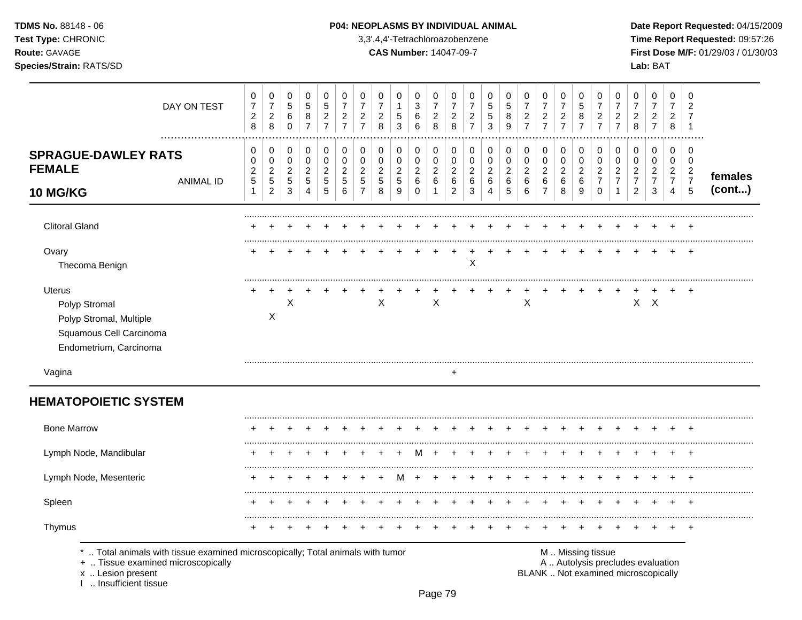TDMS No. 88148 - 06 Test Type: CHRONIC Route: GAVAGE

## Species/Strain: RATS/SD

I .. Insufficient tissue

#### P04: NEOPLASMS BY INDIVIDUAL ANIMAL

3,3',4,4'-Tetrachloroazobenzene

**CAS Number: 14047-09-7** 

Date Report Requested: 04/15/2009 Time Report Requested: 09:57:26 First Dose M/F: 01/29/03 / 01/30/03 Lab: BAT

| DAY ON TEST                                                                                                    | 0<br>$\boldsymbol{7}$<br>$\overline{c}$<br>8     | 0<br>$\boldsymbol{7}$<br>$\overline{c}$<br>$\,8\,$ | 0<br>$\sqrt{5}$<br>$\,6$<br>$\mathbf 0$                | 0<br>$\sqrt{5}$<br>$\,8\,$<br>$\overline{7}$                 | 0<br>$\sqrt{5}$<br>$\overline{c}$<br>$\overline{7}$ | 0<br>$\overline{7}$<br>$\overline{2}$<br>$\overline{7}$ | 0<br>$\overline{7}$<br>$\overline{c}$<br>$\overline{7}$ | 0<br>$\overline{7}$<br>$\overline{c}$<br>8 | 0<br>$\mathbf 1$<br>$\,$ 5 $\,$<br>3   | 0<br>$\ensuremath{\mathsf{3}}$<br>6<br>6 | 0<br>$\overline{7}$<br>$\overline{c}$<br>8 | 0<br>$\overline{7}$<br>$\sqrt{2}$<br>8 | 0<br>$\overline{7}$<br>$\overline{c}$<br>$\overline{7}$ | 0<br>$\sqrt{5}$<br>$\sqrt{5}$<br>$\mathbf{3}$ | 0<br>$\sqrt{5}$<br>8<br>$\overline{9}$        | 0<br>$\overline{7}$<br>$\boldsymbol{2}$<br>$\overline{7}$ | 0<br>$\overline{7}$<br>$\overline{c}$<br>$\overline{7}$ | 0<br>$\overline{7}$<br>$\overline{c}$<br>$\overline{7}$ | 0<br>$\,$ 5 $\,$<br>$\bf 8$<br>$\overline{7}$ | 0<br>$\overline{7}$<br>$\overline{2}$<br>$\overline{7}$ | 0<br>$\overline{7}$<br>$\overline{c}$<br>$\overline{7}$ | 0<br>$\overline{7}$<br>$\sqrt{2}$<br>8               | 0<br>$\overline{7}$<br>$\overline{c}$<br>$\overline{7}$ | $\mathbf 0$<br>$\overline{7}$<br>$\overline{2}$<br>8 | 0<br>$\overline{2}$<br>7<br>$\overline{1}$                     |         |
|----------------------------------------------------------------------------------------------------------------|--------------------------------------------------|----------------------------------------------------|--------------------------------------------------------|--------------------------------------------------------------|-----------------------------------------------------|---------------------------------------------------------|---------------------------------------------------------|--------------------------------------------|----------------------------------------|------------------------------------------|--------------------------------------------|----------------------------------------|---------------------------------------------------------|-----------------------------------------------|-----------------------------------------------|-----------------------------------------------------------|---------------------------------------------------------|---------------------------------------------------------|-----------------------------------------------|---------------------------------------------------------|---------------------------------------------------------|------------------------------------------------------|---------------------------------------------------------|------------------------------------------------------|----------------------------------------------------------------|---------|
| <br><b>SPRAGUE-DAWLEY RATS</b><br><b>FEMALE</b><br><b>ANIMAL ID</b>                                            | 0<br>$\mathbf 0$<br>$\overline{c}$<br>$\sqrt{5}$ | 0<br>0<br>$\sqrt{2}$<br>$\sqrt{5}$                 | $\boldsymbol{0}$<br>$\mathsf 0$<br>$\overline{c}$<br>5 | $\pmb{0}$<br>$\pmb{0}$<br>$\boldsymbol{2}$<br>$\overline{5}$ | 0<br>$\mathbf 0$<br>$\overline{c}$<br>$\sqrt{5}$    | 0<br>$\mathbf 0$<br>$\overline{2}$<br>5                 | 0<br>$\mathbf 0$<br>$\overline{c}$<br>5                 | 0<br>$\pmb{0}$<br>$\overline{c}$<br>5      | 0<br>0<br>$\overline{c}$<br>$\sqrt{5}$ | 0<br>$\mathbf 0$<br>$\overline{2}$<br>6  | 0<br>$\pmb{0}$<br>$\overline{c}$<br>6      | 0<br>0<br>$\overline{c}$<br>$\,6\,$    | 0<br>0<br>$\overline{c}$<br>$\,6$                       | 0<br>$\pmb{0}$<br>$\overline{c}$<br>$\,6\,$   | 0<br>$\mathsf 0$<br>$\overline{2}$<br>$\,6\,$ | 0<br>$\pmb{0}$<br>$\overline{a}$<br>6                     | 0<br>$\mathbf 0$<br>$\sqrt{2}$<br>$\,6\,$               | 0<br>$\pmb{0}$<br>$\overline{c}$<br>$\,6$               | 0<br>0<br>$\overline{c}$<br>$\,6\,$           | 0<br>$\mathbf 0$<br>$\overline{2}$<br>$\overline{7}$    | 0<br>$\pmb{0}$<br>$\overline{c}$<br>$\overline{7}$      | 0<br>$\mathbf 0$<br>$\overline{c}$<br>$\overline{7}$ | 0<br>0<br>$\overline{a}$<br>$\overline{7}$              | $\mathbf 0$<br>0<br>$\overline{2}$<br>$\overline{7}$ | $\mathbf 0$<br>$\mathbf 0$<br>$\overline{2}$<br>$\overline{7}$ | females |
| <b>10 MG/KG</b>                                                                                                | $\mathbf{1}$                                     | $\overline{c}$                                     | 3                                                      | 4                                                            | 5                                                   | 6                                                       | $\overline{7}$                                          | 8                                          | 9                                      | 0                                        | $\mathbf{1}$                               | $\overline{2}$                         | 3                                                       | 4                                             | 5                                             | 6                                                         | $\overline{7}$                                          | 8                                                       | 9                                             | $\Omega$                                                | $\mathbf 1$                                             | $\overline{c}$                                       | 3                                                       | $\overline{4}$                                       | 5                                                              | (cont)  |
| <b>Clitoral Gland</b>                                                                                          |                                                  |                                                    |                                                        |                                                              |                                                     |                                                         |                                                         |                                            |                                        |                                          |                                            |                                        |                                                         |                                               |                                               |                                                           |                                                         |                                                         |                                               |                                                         |                                                         |                                                      |                                                         |                                                      |                                                                |         |
| Ovary<br>Thecoma Benign                                                                                        |                                                  |                                                    |                                                        |                                                              |                                                     |                                                         |                                                         |                                            |                                        |                                          |                                            |                                        | $\mathsf X$                                             |                                               |                                               |                                                           |                                                         |                                                         |                                               |                                                         |                                                         |                                                      |                                                         |                                                      |                                                                |         |
| <b>Uterus</b><br>Polyp Stromal<br>Polyp Stromal, Multiple<br>Squamous Cell Carcinoma<br>Endometrium, Carcinoma |                                                  | $\ddot{}$<br>X                                     | X                                                      |                                                              |                                                     |                                                         |                                                         | X                                          |                                        |                                          | X                                          |                                        |                                                         |                                               |                                               | X                                                         |                                                         |                                                         |                                               |                                                         |                                                         |                                                      | $X$ $X$                                                 |                                                      |                                                                |         |
| Vagina                                                                                                         |                                                  |                                                    |                                                        |                                                              |                                                     |                                                         |                                                         |                                            |                                        |                                          |                                            | $\ddot{}$                              |                                                         |                                               |                                               |                                                           |                                                         |                                                         |                                               |                                                         |                                                         |                                                      |                                                         |                                                      |                                                                |         |
| <b>HEMATOPOIETIC SYSTEM</b>                                                                                    |                                                  |                                                    |                                                        |                                                              |                                                     |                                                         |                                                         |                                            |                                        |                                          |                                            |                                        |                                                         |                                               |                                               |                                                           |                                                         |                                                         |                                               |                                                         |                                                         |                                                      |                                                         |                                                      |                                                                |         |
| <b>Bone Marrow</b>                                                                                             |                                                  |                                                    |                                                        |                                                              |                                                     |                                                         |                                                         |                                            |                                        |                                          |                                            |                                        |                                                         |                                               |                                               |                                                           |                                                         |                                                         |                                               |                                                         |                                                         |                                                      |                                                         |                                                      |                                                                |         |
| Lymph Node, Mandibular                                                                                         |                                                  |                                                    |                                                        |                                                              |                                                     |                                                         |                                                         |                                            |                                        |                                          |                                            |                                        |                                                         |                                               |                                               |                                                           |                                                         |                                                         |                                               |                                                         |                                                         |                                                      |                                                         |                                                      |                                                                |         |
|                                                                                                                |                                                  |                                                    |                                                        |                                                              |                                                     |                                                         |                                                         |                                            |                                        |                                          |                                            |                                        |                                                         |                                               |                                               |                                                           |                                                         |                                                         |                                               |                                                         |                                                         |                                                      |                                                         |                                                      |                                                                |         |
| Lymph Node, Mesenteric                                                                                         |                                                  |                                                    |                                                        |                                                              |                                                     |                                                         |                                                         |                                            | м                                      |                                          |                                            |                                        |                                                         |                                               |                                               |                                                           |                                                         |                                                         |                                               |                                                         |                                                         |                                                      |                                                         |                                                      |                                                                |         |
| Spleen                                                                                                         |                                                  |                                                    |                                                        |                                                              |                                                     |                                                         |                                                         |                                            |                                        |                                          |                                            |                                        |                                                         |                                               |                                               |                                                           |                                                         |                                                         |                                               |                                                         |                                                         |                                                      |                                                         |                                                      |                                                                |         |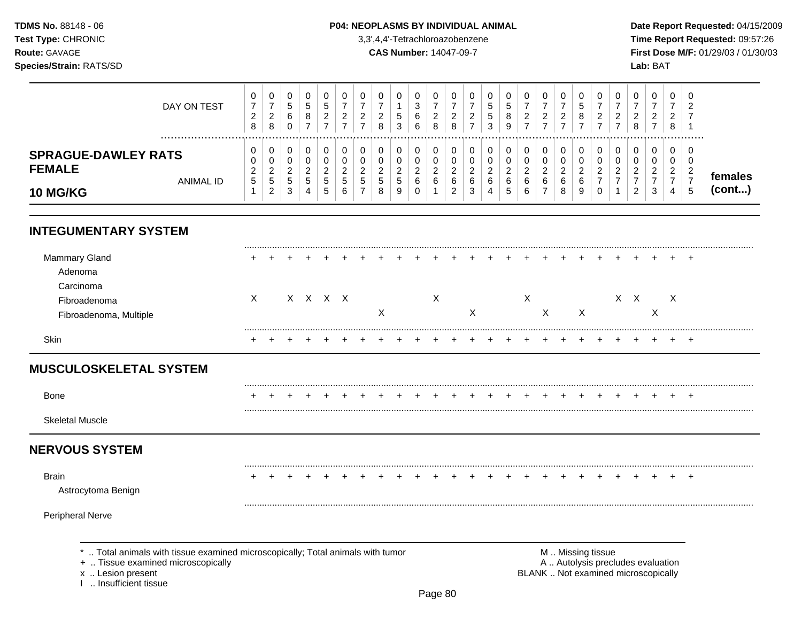### **TDMS No.** 88148 - 06 **P04: NEOPLASMS BY INDIVIDUAL ANIMAL** Date Report Requested: 04/15/2009

**Test Type:** CHRONIC 3,3',4,4'-Tetrachloroazobenzene **Time Report Requested:** 09:57:26 **Route:** GAVAGE **CAS Number:** 14047-09-7 **First Dose M/F:** 01/29/03 / 01/30/03

| DAY ON TEST                                                                            | 0<br>$\overline{7}$<br>$\overline{c}$<br>8 | 0<br>$\overline{z}$<br>$\overline{c}$<br>8 | 0<br>5<br>6<br>$\Omega$                     | 0<br>$\sqrt{5}$<br>8<br>$\overline{ }$ | 0<br>$\mathbf 5$<br>$\overline{2}$<br>⇁ | 0<br>$\overline{ }$<br>$\overline{2}$<br>⇁ | 0<br>$\overline{\phantom{0}}$<br>$\overline{2}$<br>$\overline{ }$ | $\mathbf 0$<br>⇁<br>2<br>8 | 0<br>5<br>3                     | 0<br>3<br>6<br>6      | $\mathbf 0$<br>$\overline{7}$<br>$\overline{a}$<br>8 | 0<br>$\overline{ }$<br>$\overline{2}$<br>8 | $\overline{ }$<br>2   | 5<br>5<br>3              | 0<br>5<br>8<br>9                  | 0<br>$\overline{7}$<br>$\overline{c}$<br>$\rightarrow$ | 0<br>$\overline{7}$<br>$\overline{c}$<br>$\overline{ }$ | 0<br>7<br>$\overline{c}$<br>⇁                | 0<br>5<br>8           | 0<br>$\overline{\phantom{0}}$<br>$\overline{2}$<br>$\overline{ }$ | 2<br>- | $\Omega$<br>$\overline{c}$<br>8      | 0<br>$\overline{ }$<br>$\overline{2}$<br>$\overline{ }$ | 0<br>7<br>2<br>8                                          | C<br>$\overline{2}$                             |                         |
|----------------------------------------------------------------------------------------|--------------------------------------------|--------------------------------------------|---------------------------------------------|----------------------------------------|-----------------------------------------|--------------------------------------------|-------------------------------------------------------------------|----------------------------|---------------------------------|-----------------------|------------------------------------------------------|--------------------------------------------|-----------------------|--------------------------|-----------------------------------|--------------------------------------------------------|---------------------------------------------------------|----------------------------------------------|-----------------------|-------------------------------------------------------------------|--------|--------------------------------------|---------------------------------------------------------|-----------------------------------------------------------|-------------------------------------------------|-------------------------|
| <br><b>SPRAGUE-DAWLEY RATS</b><br><b>FEMALE</b><br><b>ANIMAL ID</b><br><b>10 MG/KG</b> | 0<br>$\overline{c}$<br>$\overline{5}$      | $\overline{c}$<br>5<br>$\overline{2}$      | 0<br>0<br>$\overline{c}$<br>$\sqrt{5}$<br>3 | 0<br>0<br>$\overline{c}$<br>5<br>4     | 0<br>0<br>2<br>$\,$ 5 $\,$<br>5         | 0<br>0<br>$\overline{c}$<br>5<br>6         | 0<br>0<br>$\overline{2}$<br>5                                     | 2<br>5<br>8                | 0<br>0<br>2<br>$\,$ 5 $\,$<br>9 | 0<br>0<br>2<br>6<br>0 | 0<br>0<br>$\overline{c}$<br>6                        | 0<br>0<br>$\overline{2}$<br>6<br>2         | 0<br>0<br>2<br>6<br>3 | $\overline{c}$<br>6<br>4 | $\overline{\mathbf{c}}$<br>6<br>5 | 0<br>0<br>$\overline{c}$<br>6<br>6                     | 0<br>0<br>$\overline{2}$<br>6<br>$\overline{ }$         | $\mathbf 0$<br>0<br>$\overline{c}$<br>6<br>8 | 0<br>0<br>2<br>6<br>9 | 0<br>0<br>$\overline{2}$<br>$\overline{ }$                        |        | $\Omega$<br>0<br>2<br>$\overline{2}$ | 0<br>0<br>2<br>$\overline{\phantom{a}}$<br>3            | 0<br>0<br>$\overline{c}$<br>$\overline{\phantom{a}}$<br>4 | .<br>C<br>$\overline{c}$<br>$\overline{z}$<br>5 | females<br>$($ cont $)$ |
| <b>INTEGUMENTARY SYSTEM</b>                                                            |                                            |                                            |                                             |                                        |                                         |                                            |                                                                   |                            |                                 |                       |                                                      |                                            |                       |                          |                                   |                                                        |                                                         |                                              |                       |                                                                   |        |                                      |                                                         |                                                           |                                                 |                         |
| <b>Mammary Gland</b><br>Adenoma<br>Carcinoma<br>Fibroadenoma                           | $\mathsf{X}$                               |                                            |                                             |                                        | X X X X                                 |                                            |                                                                   |                            |                                 |                       | X                                                    |                                            |                       |                          |                                   | X                                                      |                                                         |                                              |                       |                                                                   |        | X X                                  |                                                         | X                                                         | $+$                                             |                         |
| Fibroadenoma, Multiple<br><b>Skin</b>                                                  |                                            |                                            |                                             |                                        |                                         |                                            |                                                                   | X                          |                                 |                       |                                                      |                                            | X                     |                          |                                   |                                                        | X                                                       |                                              | $\times$              |                                                                   |        |                                      | X                                                       |                                                           | $+$                                             |                         |

# **MUSCULOSKELETAL SYSTEM**

| <b>Bone</b>                                                                                                                                                         |  |  |  |  |  |  |  |  |                   |  |                                                                          |  |  |  |
|---------------------------------------------------------------------------------------------------------------------------------------------------------------------|--|--|--|--|--|--|--|--|-------------------|--|--------------------------------------------------------------------------|--|--|--|
| <b>Skeletal Muscle</b>                                                                                                                                              |  |  |  |  |  |  |  |  |                   |  |                                                                          |  |  |  |
| <b>NERVOUS SYSTEM</b>                                                                                                                                               |  |  |  |  |  |  |  |  |                   |  |                                                                          |  |  |  |
| <b>Brain</b><br>Astrocytoma Benign                                                                                                                                  |  |  |  |  |  |  |  |  |                   |  |                                                                          |  |  |  |
| <b>Peripheral Nerve</b>                                                                                                                                             |  |  |  |  |  |  |  |  |                   |  |                                                                          |  |  |  |
| *  Total animals with tissue examined microscopically; Total animals with tumor<br>+  Tissue examined microscopically<br>x  Lesion present<br>. Insufficient tissue |  |  |  |  |  |  |  |  | M  Missing tissue |  | A  Autolysis precludes evaluation<br>BLANK  Not examined microscopically |  |  |  |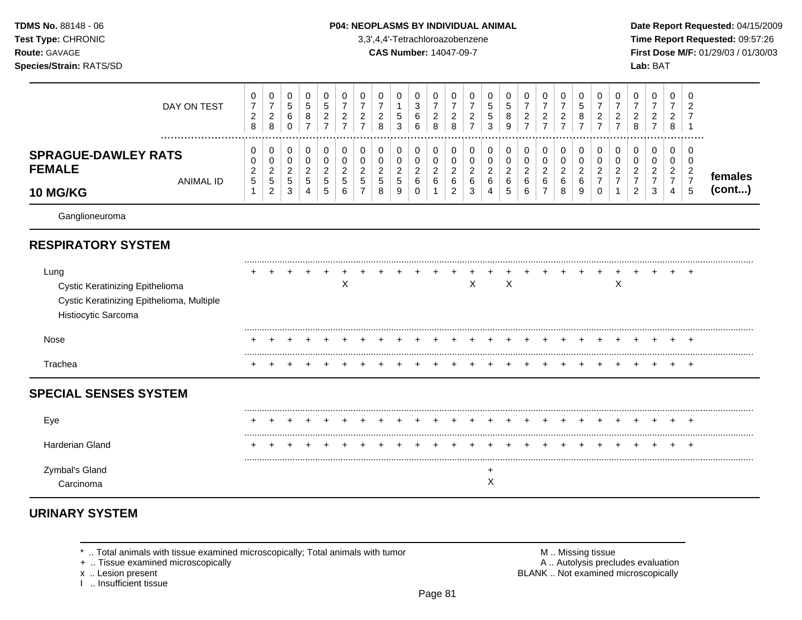### **TDMS No.** 88148 - 06 **P04: NEOPLASMS BY INDIVIDUAL ANIMAL** Date Report Requested: 04/15/2009

**Test Type:** CHRONIC 3,3',4,4'-Tetrachloroazobenzene **Time Report Requested:** 09:57:26 **Route:** GAVAGE **CAS Number:** 14047-09-7 **First Dose M/F:** 01/29/03 / 01/30/03

| DAY ON TEST                                                                                                        | 0<br>$\overline{7}$<br>$\overline{\mathbf{c}}$<br>8  | 0<br>$\overline{7}$<br>$\overline{c}$<br>8  | 0<br>5<br>$\,6$<br>$\mathbf 0$                      | 0<br>$\sqrt{5}$<br>8<br>$\overline{7}$              | 0<br>$\sqrt{5}$<br>$\overline{c}$<br>$\overline{7}$ | 0<br>$\overline{7}$<br>$\overline{c}$<br>$\overline{7}$ | 0<br>2                        | 0<br>$\overline{7}$<br>2<br>8      | 0<br>$\mathbf 5$<br>3                      | 0<br>$\ensuremath{\mathsf{3}}$<br>$\,6$<br>6 | 0<br>$\overline{7}$<br>$\overline{a}$<br>8 | 0<br>$\overline{7}$<br>$\overline{c}$<br>8      | 0<br>2<br>$\overline{7}$ | 0<br>5<br>5<br>3                   | 0<br>5<br>8<br>9      | 0<br>$\overline{7}$<br>$\overline{c}$<br>$\overline{7}$ | 0<br>$\overline{7}$<br>$\overline{c}$<br>$\overline{7}$       | 0<br>$\overline{7}$<br>$\boldsymbol{2}$<br>$\overline{7}$ | 0<br>$\sqrt{5}$<br>8<br>$\overline{7}$       | 0<br>$\overline{7}$<br>2<br>$\overline{7}$ | 0<br>2      | 0<br>$\overline{7}$<br>$\boldsymbol{2}$<br>8    | 0<br>$\overline{7}$<br>$\boldsymbol{2}$         | 0<br>$\overline{7}$<br>$\overline{c}$<br>8                   | 0<br>$\overline{2}$                                      |                   |
|--------------------------------------------------------------------------------------------------------------------|------------------------------------------------------|---------------------------------------------|-----------------------------------------------------|-----------------------------------------------------|-----------------------------------------------------|---------------------------------------------------------|-------------------------------|------------------------------------|--------------------------------------------|----------------------------------------------|--------------------------------------------|-------------------------------------------------|--------------------------|------------------------------------|-----------------------|---------------------------------------------------------|---------------------------------------------------------------|-----------------------------------------------------------|----------------------------------------------|--------------------------------------------|-------------|-------------------------------------------------|-------------------------------------------------|--------------------------------------------------------------|----------------------------------------------------------|-------------------|
| <b>SPRAGUE-DAWLEY RATS</b><br><b>FEMALE</b><br><b>ANIMAL ID</b><br><b>10 MG/KG</b>                                 | 0<br>0<br>$\overline{\mathbf{c}}$<br>$\sqrt{5}$<br>1 | 0<br>0<br>$\overline{c}$<br>$\sqrt{5}$<br>2 | 0<br>$\pmb{0}$<br>$\overline{2}$<br>$\sqrt{5}$<br>3 | 0<br>$\pmb{0}$<br>$\overline{c}$<br>$\sqrt{5}$<br>4 | 0<br>$\mathbf 0$<br>$\overline{c}$<br>5<br>5        | 0<br>$\pmb{0}$<br>$\overline{c}$<br>5<br>6              | 0<br>0<br>$\overline{2}$<br>5 | 0<br>0<br>$\overline{c}$<br>5<br>8 | 0<br>$\pmb{0}$<br>$\overline{c}$<br>5<br>9 | 0<br>0<br>$\overline{2}$<br>6<br>$\Omega$    | 0<br>$\mathbf 0$<br>$\overline{c}$<br>6    | 0<br>0<br>$\overline{2}$<br>6<br>$\overline{2}$ | 0<br>0<br>2<br>6<br>3    | 0<br>0<br>$\overline{c}$<br>6<br>4 | 0<br>0<br>2<br>6<br>5 | 0<br>0<br>$\overline{c}$<br>$\,6\,$<br>6                | 0<br>$\pmb{0}$<br>$\overline{c}$<br>$\,6\,$<br>$\overline{7}$ | 0<br>$\,0\,$<br>$\overline{c}$<br>6<br>8                  | 0<br>$\mathbf 0$<br>$\overline{c}$<br>6<br>9 | 0<br>0<br>2<br>7<br>0                      | 0<br>0<br>2 | 0<br>0<br>$\overline{c}$<br>$\overline{7}$<br>2 | 0<br>0<br>$\overline{2}$<br>$\overline{7}$<br>3 | 0<br>0<br>$\overline{c}$<br>$\overline{7}$<br>$\overline{4}$ | 0<br>0<br>$\overline{c}$<br>$\overline{7}$<br>$\sqrt{5}$ | females<br>(cont) |
| Ganglioneuroma                                                                                                     |                                                      |                                             |                                                     |                                                     |                                                     |                                                         |                               |                                    |                                            |                                              |                                            |                                                 |                          |                                    |                       |                                                         |                                                               |                                                           |                                              |                                            |             |                                                 |                                                 |                                                              |                                                          |                   |
| <b>RESPIRATORY SYSTEM</b>                                                                                          |                                                      |                                             |                                                     |                                                     |                                                     |                                                         |                               |                                    |                                            |                                              |                                            |                                                 |                          |                                    |                       |                                                         |                                                               |                                                           |                                              |                                            |             |                                                 |                                                 |                                                              |                                                          |                   |
| Lung<br><b>Cystic Keratinizing Epithelioma</b><br>Cystic Keratinizing Epithelioma, Multiple<br>Histiocytic Sarcoma |                                                      |                                             |                                                     |                                                     |                                                     | X                                                       |                               |                                    |                                            |                                              |                                            |                                                 | X                        |                                    | X                     |                                                         |                                                               |                                                           |                                              |                                            | X           |                                                 |                                                 |                                                              | $\div$                                                   |                   |
| Nose                                                                                                               |                                                      |                                             |                                                     |                                                     |                                                     |                                                         |                               |                                    |                                            |                                              |                                            |                                                 |                          |                                    |                       |                                                         |                                                               |                                                           |                                              |                                            |             |                                                 |                                                 |                                                              |                                                          |                   |
| Trachea                                                                                                            |                                                      |                                             |                                                     |                                                     |                                                     |                                                         |                               |                                    |                                            |                                              |                                            |                                                 |                          |                                    |                       |                                                         |                                                               |                                                           |                                              |                                            |             |                                                 |                                                 |                                                              |                                                          |                   |
| <b>SPECIAL SENSES SYSTEM</b>                                                                                       |                                                      |                                             |                                                     |                                                     |                                                     |                                                         |                               |                                    |                                            |                                              |                                            |                                                 |                          |                                    |                       |                                                         |                                                               |                                                           |                                              |                                            |             |                                                 |                                                 |                                                              |                                                          |                   |
| Eye                                                                                                                |                                                      |                                             |                                                     |                                                     |                                                     |                                                         |                               |                                    |                                            |                                              |                                            |                                                 |                          |                                    |                       |                                                         |                                                               |                                                           |                                              |                                            |             |                                                 | ٠                                               | $\pm$                                                        | +                                                        |                   |
| Harderian Gland                                                                                                    |                                                      |                                             |                                                     |                                                     |                                                     |                                                         |                               |                                    |                                            |                                              |                                            |                                                 |                          |                                    |                       |                                                         |                                                               |                                                           |                                              |                                            |             |                                                 |                                                 |                                                              | -1                                                       |                   |
| Zymbal's Gland<br>Carcinoma                                                                                        |                                                      |                                             |                                                     |                                                     |                                                     |                                                         |                               |                                    |                                            |                                              |                                            |                                                 |                          | $\ddot{}$<br>$\mathsf X$           |                       |                                                         |                                                               |                                                           |                                              |                                            |             |                                                 |                                                 |                                                              |                                                          |                   |

# **URINARY SYSTEM**

+ .. Tissue examined microscopically

x .. Lesion present<br>I .. Insufficient tissue

\* .. Total animals with tissue examined microscopically; Total animals with tumor **M** metally more than M .. Missing tissue<br>  $\blacksquare$  Tissue examined microscopically BLANK .. Not examined microscopically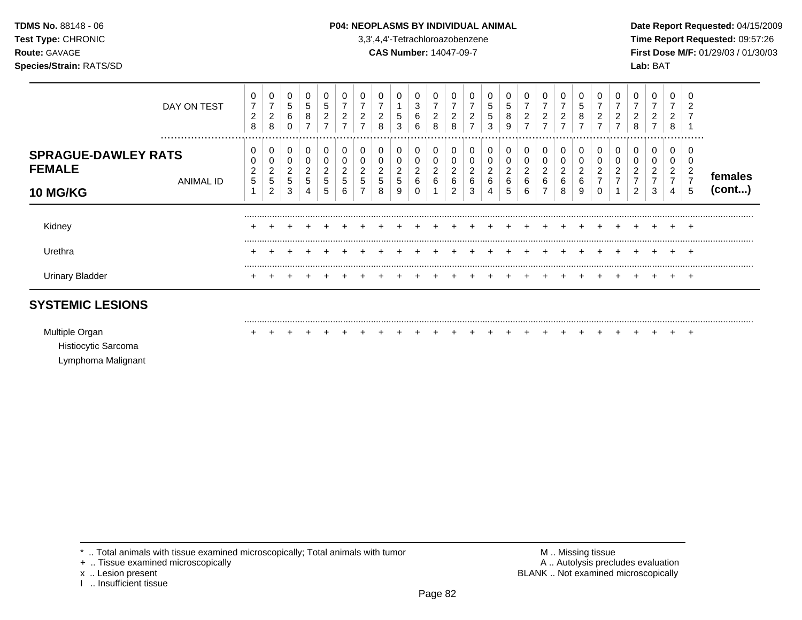### **TDMS No.** 88148 - 06 **P04: NEOPLASMS BY INDIVIDUAL ANIMAL Date Report Requested:** 04/15/2009

**Test Type:** CHRONIC 3,3',4,4'-Tetrachloroazobenzene **Time Report Requested:** 09:57:26 **Route:** GAVAGE **CAS Number:** 14047-09-7 **First Dose M/F:** 01/29/03 / 01/30/03

| DAY ON TEST                                                                     | 0<br>7<br>$\overline{2}$<br>8 | 0<br>$\overline{ }$<br>2<br>8 | 0<br>5<br>6<br>0      | 0<br>5<br>8<br>⇁           | 0<br>5<br>2                       | $\overline{ }$<br>2<br>⇁    | $\epsilon$  | 0<br>2<br>8                | 5<br>3 | 0<br>3<br>6<br>6      | $\overline{ }$<br>2<br>8 | 0<br>-<br>2<br>8                  | 0<br>$\overline{ }$<br>$\overline{c}$<br>$\overline{ }$ | 5<br>5<br>3 | 0<br>5<br>8<br>9                   | 0<br>$\overline{ }$<br>2<br>⇁ | 0<br>$\overline{ }$<br>2 | 0<br>⇁<br>$\overline{2}$        | 0<br>5<br>8           | 2<br>⇁      | ∠ | 0<br>ົ<br>∠<br>8 | 0<br>ົ<br>$\epsilon$<br>$\overline{ }$ | 0<br>-<br>ີ<br>∠<br>8              | 0<br>ົ<br>∠                                                  |                   |
|---------------------------------------------------------------------------------|-------------------------------|-------------------------------|-----------------------|----------------------------|-----------------------------------|-----------------------------|-------------|----------------------------|--------|-----------------------|--------------------------|-----------------------------------|---------------------------------------------------------|-------------|------------------------------------|-------------------------------|--------------------------|---------------------------------|-----------------------|-------------|---|------------------|----------------------------------------|------------------------------------|--------------------------------------------------------------|-------------------|
| <br><b>SPRAGUE-DAWLEY RATS</b><br><b>FEMALE</b><br>ANIMAL ID<br><b>10 MG/KG</b> | 0<br>0<br>$\overline{c}$<br>5 | 0<br>0<br>2<br>5<br>2         | 0<br>0<br>2<br>5<br>3 | υ<br>U<br>ົ<br>∠<br>5<br>4 | 0<br>0<br>$\Omega$<br>∠<br>5<br>5 | 0<br>ົ<br>∠<br>G.<br>⌒<br>b | ∠<br>G<br>- | 0<br>0<br>റ<br>∠<br>5<br>8 | 5<br>9 | 0<br>0<br>2<br>6<br>0 | U<br>U<br>ົ<br>∠<br>6    | 0<br>0<br>$\Omega$<br>∠<br>6<br>2 | 0<br>ົ<br>$\epsilon$<br>6<br>3                          | ∠<br>6<br>4 | 0<br>0<br>$\overline{c}$<br>6<br>5 | 2<br>6<br>6                   | 0<br>0<br>2<br>6         | 0<br>υ<br>ົ<br>∠<br>◠<br>b<br>8 | 0<br>◠<br>∠<br>6<br>9 | ົ<br>∠<br>⇁ | ∠ | 0<br>0<br>◠<br>2 | 0<br>0<br>ົ<br>$\epsilon$<br>3         | 0<br>0<br>2<br>$\overline{ }$<br>4 | <br>0<br>υ<br>$\overline{\mathbf{c}}$<br>$\overline{7}$<br>5 | females<br>(cont) |
| Kidney                                                                          | ٠                             |                               |                       |                            |                                   |                             |             |                            |        |                       |                          |                                   |                                                         |             |                                    |                               |                          |                                 |                       |             |   |                  |                                        |                                    | $\pm$                                                        |                   |
| Urethra<br><b>Urinary Bladder</b>                                               | ÷                             |                               |                       |                            |                                   |                             |             |                            |        |                       |                          |                                   |                                                         |             |                                    |                               |                          |                                 |                       |             |   |                  |                                        |                                    | $\div$<br>$\pm$                                              |                   |

## **SYSTEMIC LESIONS**

Multiple Organ + + + + + + + + + + + + + + + + + + + + + + + + +

.........................................................................................................................................................................................................

Histiocytic Sarcoma

Lymphoma Malignant

\* .. Total animals with tissue examined microscopically; Total animals with tumor **M** . Missing tissue M .. Missing tissue<br>
A .. Tissue examined microscopically by the state of the state of the many control of the state of

+ .. Tissue examined microscopically

I .. Insufficient tissue

x .. Lesion present **BLANK** .. Not examined microscopically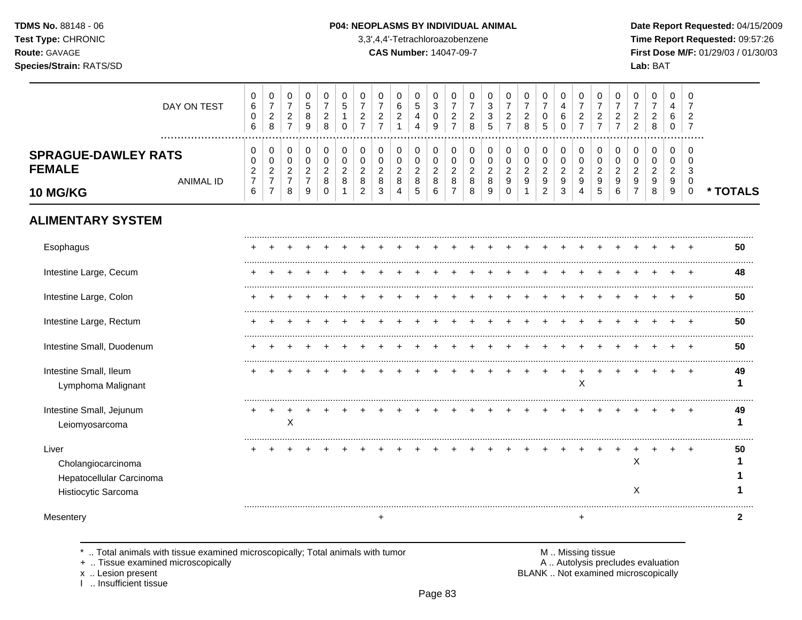TDMS No. 88148 - 06 Test Type: CHRONIC Route: GAVAGE Species/Strain: RATS/SD

#### P04: NEOPLASMS BY INDIVIDUAL ANIMAL

3,3',4,4'-Tetrachloroazobenzene

**CAS Number: 14047-09-7** 

Date Report Requested: 04/15/2009 Time Report Requested: 09:57:26 First Dose M/F: 01/29/03 / 01/30/03 Lab: BAT

| DAY ON TEST<br>.                                                               |                            | 0<br>$\,6$<br>$\mathbf 0$<br>6 | $\pmb{0}$<br>$\overline{7}$<br>$\overline{c}$<br>8   | $\pmb{0}$<br>$\boldsymbol{7}$<br>$\sqrt{2}$<br>$\overline{7}$ | $\pmb{0}$<br>5<br>8<br>9                             | 0<br>$\overline{7}$<br>$\boldsymbol{2}$<br>8 | 0<br>5<br>1<br>$\Omega$              | 0<br>7<br>$\overline{c}$<br>$\overline{7}$ | 0<br>$\overline{7}$<br>$\overline{c}$<br>$\overline{7}$ | 0<br>6<br>$\overline{c}$             | 0<br>$5\phantom{.0}$<br>4<br>4          | $\pmb{0}$<br>$\mathbf{3}$<br>0<br>9     | 0<br>$\overline{7}$<br>$\overline{c}$<br>$\overline{7}$ | 0<br>$\overline{7}$<br>$\overline{c}$<br>8 | 0<br>3<br>3<br>5                     | 0<br>$\overline{7}$<br>$\overline{c}$<br>$\overline{7}$ | 0<br>$\overline{7}$<br>$\overline{c}$<br>8 | $\boldsymbol{0}$<br>$\overline{7}$<br>0<br>5 | 0<br>4<br>6<br>$\Omega$                 | 0<br>$\overline{7}$<br>$\boldsymbol{2}$<br>$\overline{7}$ | 0<br>$\overline{7}$<br>$\overline{c}$<br>$\overline{7}$ | 0<br>$\overline{7}$<br>$\overline{c}$<br>$\overline{7}$ | 0<br>$\overline{7}$<br>$\overline{2}$<br>$\overline{2}$ | 0<br>7<br>$\overline{2}$<br>8        | 0<br>4<br>6<br>$\mathbf 0$           | 0<br>7<br>$\overline{2}$<br>$\overline{7}$ |              |
|--------------------------------------------------------------------------------|----------------------------|--------------------------------|------------------------------------------------------|---------------------------------------------------------------|------------------------------------------------------|----------------------------------------------|--------------------------------------|--------------------------------------------|---------------------------------------------------------|--------------------------------------|-----------------------------------------|-----------------------------------------|---------------------------------------------------------|--------------------------------------------|--------------------------------------|---------------------------------------------------------|--------------------------------------------|----------------------------------------------|-----------------------------------------|-----------------------------------------------------------|---------------------------------------------------------|---------------------------------------------------------|---------------------------------------------------------|--------------------------------------|--------------------------------------|--------------------------------------------|--------------|
| <b>SPRAGUE-DAWLEY RATS</b><br><b>FEMALE</b><br><b>ANIMAL ID</b>                | $\Omega$<br>$\overline{7}$ | 0<br>$\overline{c}$            | 0<br>$\mathbf 0$<br>$\overline{c}$<br>$\overline{7}$ | 0<br>$\mathbf 0$<br>$\sqrt{2}$<br>$\overline{7}$              | 0<br>$\mathbf 0$<br>$\overline{c}$<br>$\overline{7}$ | 0<br>$\mathbf 0$<br>$\boldsymbol{2}$<br>8    | 0<br>$\Omega$<br>$\overline{c}$<br>8 | 0<br>$\Omega$<br>$\overline{2}$<br>8       | 0<br>$\Omega$<br>$\overline{c}$<br>8                    | 0<br>$\Omega$<br>$\overline{c}$<br>8 | 0<br>$\mathbf 0$<br>$\overline{a}$<br>8 | 0<br>$\mathbf 0$<br>$\overline{c}$<br>8 | 0<br>$\mathbf 0$<br>$\sqrt{2}$<br>8                     | 0<br>$\mathbf 0$<br>$\overline{c}$<br>8    | 0<br>$\Omega$<br>$\overline{c}$<br>8 | 0<br>$\mathbf 0$<br>$\overline{a}$<br>9                 | 0<br>$\Omega$<br>$\overline{c}$<br>9       | 0<br>$\mathbf 0$<br>$\overline{c}$<br>9      | 0<br>$\mathbf 0$<br>$\overline{2}$<br>9 | 0<br>$\mathbf 0$<br>$\overline{a}$<br>9                   | 0<br>$\mathbf 0$<br>$\sqrt{2}$<br>9                     | 0<br>$\Omega$<br>$\overline{2}$<br>9                    | 0<br>$\Omega$<br>$\overline{2}$<br>9                    | 0<br>$\Omega$<br>$\overline{c}$<br>9 | 0<br>$\Omega$<br>$\overline{2}$<br>9 | 0<br>$\Omega$<br>3<br>$\mathbf 0$          |              |
| <b>10 MG/KG</b>                                                                | $6\phantom{1}6$            |                                | $\overline{7}$                                       | 8                                                             | 9                                                    | $\Omega$                                     |                                      | $\overline{2}$                             | 3                                                       | 4                                    | 5                                       | 6                                       | $\overline{7}$                                          | 8                                          | 9                                    | $\Omega$                                                |                                            | $\overline{2}$                               | 3                                       | 4                                                         | 5                                                       | 6                                                       | $\overline{7}$                                          | 8                                    | 9                                    | $\pmb{0}$                                  | * TOTALS     |
| <b>ALIMENTARY SYSTEM</b>                                                       |                            |                                |                                                      |                                                               |                                                      |                                              |                                      |                                            |                                                         |                                      |                                         |                                         |                                                         |                                            |                                      |                                                         |                                            |                                              |                                         |                                                           |                                                         |                                                         |                                                         |                                      |                                      |                                            |              |
| Esophagus                                                                      |                            |                                |                                                      |                                                               |                                                      |                                              |                                      |                                            |                                                         |                                      |                                         |                                         |                                                         |                                            |                                      |                                                         |                                            |                                              |                                         |                                                           |                                                         |                                                         |                                                         |                                      |                                      |                                            | 50           |
| Intestine Large, Cecum                                                         |                            |                                |                                                      |                                                               |                                                      |                                              |                                      |                                            |                                                         |                                      |                                         |                                         |                                                         |                                            |                                      |                                                         |                                            |                                              |                                         |                                                           |                                                         |                                                         |                                                         |                                      |                                      |                                            | 48           |
| Intestine Large, Colon                                                         |                            |                                |                                                      |                                                               |                                                      |                                              |                                      |                                            |                                                         |                                      |                                         |                                         |                                                         |                                            |                                      |                                                         |                                            |                                              |                                         |                                                           |                                                         |                                                         |                                                         |                                      |                                      |                                            | 50           |
| Intestine Large, Rectum                                                        |                            |                                |                                                      |                                                               |                                                      |                                              |                                      |                                            |                                                         |                                      |                                         |                                         |                                                         |                                            |                                      |                                                         |                                            |                                              |                                         |                                                           |                                                         |                                                         |                                                         |                                      |                                      |                                            | 50           |
| Intestine Small, Duodenum                                                      |                            |                                |                                                      |                                                               |                                                      |                                              |                                      |                                            |                                                         |                                      |                                         |                                         |                                                         |                                            |                                      |                                                         |                                            |                                              |                                         |                                                           |                                                         |                                                         |                                                         |                                      |                                      |                                            | 50           |
| Intestine Small, Ileum<br>Lymphoma Malignant                                   |                            |                                |                                                      |                                                               |                                                      |                                              |                                      |                                            |                                                         |                                      |                                         |                                         |                                                         |                                            |                                      |                                                         |                                            |                                              | $\ddot{}$                               | $\ddot{}$<br>X                                            |                                                         |                                                         |                                                         |                                      |                                      |                                            | 49<br>1      |
| Intestine Small, Jejunum<br>Leiomyosarcoma                                     |                            |                                |                                                      | $\sf X$                                                       |                                                      |                                              |                                      |                                            |                                                         |                                      |                                         |                                         |                                                         |                                            |                                      |                                                         |                                            |                                              |                                         |                                                           |                                                         |                                                         |                                                         |                                      |                                      |                                            | 49<br>1      |
| Liver<br>Cholangiocarcinoma<br>Hepatocellular Carcinoma<br>Histiocytic Sarcoma |                            |                                |                                                      |                                                               |                                                      |                                              |                                      |                                            |                                                         |                                      |                                         |                                         |                                                         |                                            |                                      |                                                         |                                            |                                              |                                         |                                                           |                                                         |                                                         | X<br>$\times$                                           |                                      |                                      | $\div$                                     | 50           |
| Mesentery                                                                      |                            |                                |                                                      |                                                               |                                                      |                                              |                                      |                                            | $\ddot{}$                                               |                                      |                                         |                                         |                                                         |                                            |                                      |                                                         |                                            |                                              |                                         | $+$                                                       |                                                         |                                                         |                                                         |                                      |                                      |                                            | $\mathbf{2}$ |

.. Total animals with tissue examined microscopically; Total animals with tumor  $\star$ 

+ .. Tissue examined microscopically

x .. Lesion present<br>I .. Insufficient tissue

M .. Missing tissue<br>A .. Autolysis precludes evaluation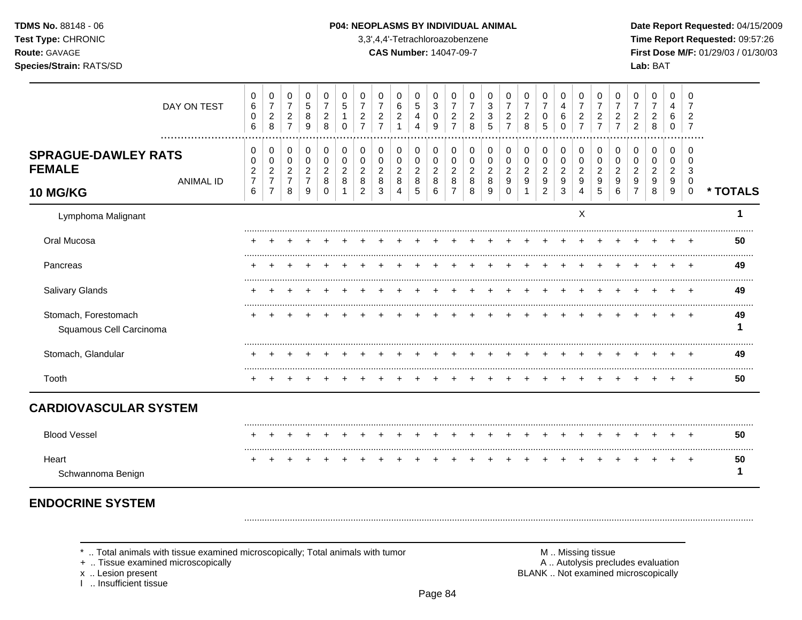TDMS No. 88148 - 06 Test Type: CHRONIC Route: GAVAGE

# Species/Strain: RATS/SD

#### P04: NEOPLASMS BY INDIVIDUAL ANIMAL

3,3',4,4'-Tetrachloroazobenzene

**CAS Number: 14047-09-7** 

Date Report Requested: 04/15/2009 Time Report Requested: 09:57:26 First Dose M/F: 01/29/03 / 01/30/03 Lab: BAT

|                                                         | DAY ON TEST          | 0<br>6<br>$\mathbf 0$<br>6                      | 0<br>$\boldsymbol{7}$<br>$\overline{c}$<br>8                 | 0<br>$\overline{7}$<br>$\overline{c}$<br>$\overline{7}$ | 0<br>$\overline{5}$<br>8<br>9                           | 0<br>$\overline{7}$<br>$\overline{2}$<br>8 | 0<br>5<br>$\Omega$            | 0<br>7<br>$\overline{2}$ | 0<br>$\overline{7}$<br>$\overline{c}$ | 0<br>6<br>$\overline{c}$           | 0<br>$\sqrt{5}$<br>4<br>4                  | 0<br>$\sqrt{3}$<br>0<br>9            | 0<br>$\overline{7}$<br>$\overline{c}$<br>$\overline{7}$ | 0<br>$\overline{7}$<br>$\overline{2}$<br>8 | 0<br>3<br>3<br>5      | 0<br>$\overline{7}$<br>$\overline{c}$     | 0<br>$\overline{7}$<br>$\sqrt{2}$<br>8 | 0<br>$\overline{7}$<br>0<br>5                           | 0<br>$\overline{4}$<br>$\,6$<br>0        | 0<br>$\overline{7}$<br>$\overline{c}$<br>$\overline{7}$ | 0<br>$\overline{7}$<br>$\overline{2}$<br>$\overline{7}$ | 0<br>7<br>$\overline{2}$ | 0<br>2<br>$\overline{2}$ | 0<br>7<br>$\overline{c}$<br>8      | 0<br>4<br>6<br>0                   | 0<br>7<br>$\overline{2}$<br>$\overline{7}$         |          |
|---------------------------------------------------------|----------------------|-------------------------------------------------|--------------------------------------------------------------|---------------------------------------------------------|---------------------------------------------------------|--------------------------------------------|-------------------------------|--------------------------|---------------------------------------|------------------------------------|--------------------------------------------|--------------------------------------|---------------------------------------------------------|--------------------------------------------|-----------------------|-------------------------------------------|----------------------------------------|---------------------------------------------------------|------------------------------------------|---------------------------------------------------------|---------------------------------------------------------|--------------------------|--------------------------|------------------------------------|------------------------------------|----------------------------------------------------|----------|
| <b>SPRAGUE-DAWLEY RATS</b><br><b>FEMALE</b><br>10 MG/KG | <br><b>ANIMAL ID</b> | 0<br>0<br>$\overline{c}$<br>$\overline{7}$<br>6 | 0<br>0<br>$\overline{c}$<br>$\overline{7}$<br>$\overline{7}$ | 0<br>$\pmb{0}$<br>$\overline{c}$<br>$\overline{7}$<br>8 | 0<br>$\pmb{0}$<br>$\overline{c}$<br>$\overline{7}$<br>9 | 0<br>0<br>$\overline{c}$<br>8<br>$\Omega$  | 0<br>0<br>$\overline{2}$<br>8 | 0<br>0<br>2<br>8<br>2    | 0<br>0<br>$\overline{c}$<br>8<br>3    | 0<br>0<br>$\overline{c}$<br>8<br>4 | 0<br>$\pmb{0}$<br>$\overline{c}$<br>8<br>5 | 0<br>0<br>$\boldsymbol{2}$<br>8<br>6 | 0<br>0<br>$\overline{c}$<br>8<br>7                      | 0<br>0<br>$\overline{2}$<br>8<br>8         | 0<br>0<br>2<br>8<br>9 | 0<br>0<br>$\overline{c}$<br>9<br>$\Omega$ | 0<br>0<br>$\overline{c}$<br>9          | 0<br>$\pmb{0}$<br>$\overline{c}$<br>9<br>$\overline{2}$ | 0<br>$\,0\,$<br>$\overline{c}$<br>9<br>3 | 0<br>0<br>$\overline{c}$<br>9<br>4                      | 0<br>0<br>$\overline{2}$<br>9<br>5                      | 0<br>0<br>2<br>9<br>6    | 0<br>0<br>2<br>9         | 0<br>0<br>$\overline{a}$<br>9<br>8 | 0<br>0<br>$\overline{2}$<br>9<br>9 | 0<br>$\Omega$<br>$\sqrt{3}$<br>0<br>$\overline{0}$ | * TOTALS |
| Lymphoma Malignant                                      |                      |                                                 |                                                              |                                                         |                                                         |                                            |                               |                          |                                       |                                    |                                            |                                      |                                                         |                                            |                       |                                           |                                        |                                                         |                                          | X                                                       |                                                         |                          |                          |                                    |                                    |                                                    | 1        |
| Oral Mucosa                                             |                      |                                                 |                                                              |                                                         |                                                         |                                            |                               |                          |                                       |                                    |                                            |                                      |                                                         |                                            |                       |                                           |                                        |                                                         |                                          |                                                         |                                                         |                          |                          |                                    |                                    |                                                    | 50       |
| Pancreas                                                |                      |                                                 |                                                              |                                                         |                                                         |                                            |                               |                          |                                       |                                    |                                            |                                      |                                                         |                                            |                       |                                           |                                        |                                                         |                                          |                                                         |                                                         |                          |                          |                                    |                                    |                                                    | 49       |
| Salivary Glands                                         |                      |                                                 |                                                              |                                                         |                                                         |                                            |                               |                          |                                       |                                    |                                            |                                      |                                                         |                                            |                       |                                           |                                        |                                                         |                                          |                                                         |                                                         |                          |                          |                                    |                                    |                                                    | 49       |
| Stomach, Forestomach<br>Squamous Cell Carcinoma         |                      |                                                 |                                                              |                                                         |                                                         |                                            |                               |                          |                                       |                                    |                                            |                                      |                                                         |                                            |                       |                                           |                                        |                                                         |                                          |                                                         |                                                         |                          |                          |                                    |                                    |                                                    | 49<br>1  |
| Stomach, Glandular                                      |                      |                                                 |                                                              |                                                         |                                                         |                                            |                               |                          |                                       |                                    |                                            |                                      |                                                         |                                            |                       |                                           |                                        |                                                         |                                          |                                                         |                                                         |                          |                          |                                    |                                    |                                                    | 49       |
| Tooth                                                   |                      |                                                 |                                                              |                                                         |                                                         |                                            |                               |                          |                                       |                                    |                                            |                                      |                                                         |                                            |                       |                                           |                                        |                                                         |                                          |                                                         |                                                         |                          |                          |                                    |                                    |                                                    | 50       |
| <b>CARDIOVASCULAR SYSTEM</b>                            |                      |                                                 |                                                              |                                                         |                                                         |                                            |                               |                          |                                       |                                    |                                            |                                      |                                                         |                                            |                       |                                           |                                        |                                                         |                                          |                                                         |                                                         |                          |                          |                                    |                                    |                                                    |          |
| <b>Blood Vessel</b>                                     |                      |                                                 |                                                              |                                                         |                                                         |                                            |                               |                          |                                       |                                    |                                            |                                      |                                                         |                                            |                       |                                           |                                        |                                                         |                                          |                                                         |                                                         |                          |                          |                                    |                                    |                                                    | 50       |
| Heart<br>Schwannoma Benign                              |                      |                                                 |                                                              |                                                         |                                                         |                                            |                               |                          |                                       |                                    |                                            |                                      |                                                         |                                            |                       |                                           |                                        |                                                         |                                          |                                                         |                                                         |                          |                          |                                    |                                    | $+$                                                | 50<br>1  |
|                                                         |                      |                                                 |                                                              |                                                         |                                                         |                                            |                               |                          |                                       |                                    |                                            |                                      |                                                         |                                            |                       |                                           |                                        |                                                         |                                          |                                                         |                                                         |                          |                          |                                    |                                    |                                                    |          |

# **ENDOCRINE SYSTEM**

\* .. Total animals with tissue examined microscopically; Total animals with tumor

+ .. Tissue examined microscopically

x .. Lesion present

1 .. Insufficient tissue

M .. Missing tissue A .. Autolysis precludes evaluation BLANK .. Not examined microscopically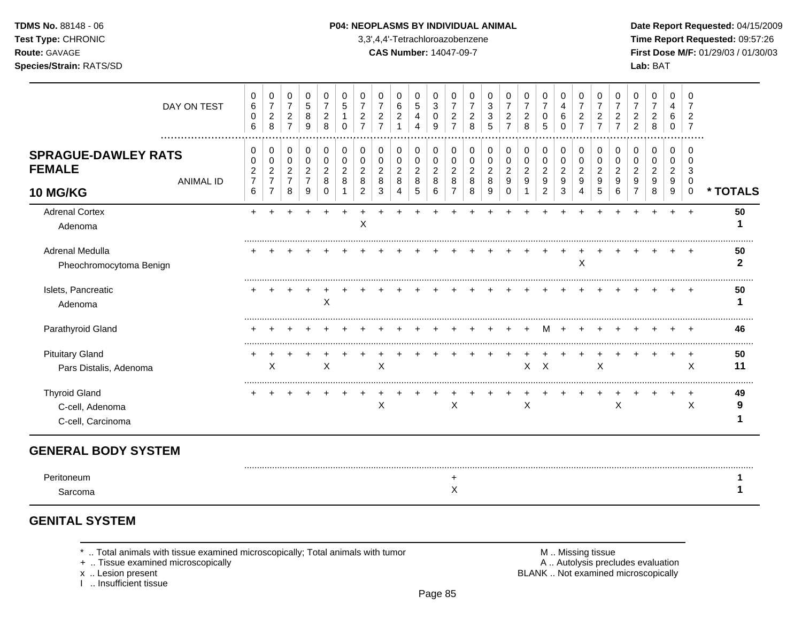### **TDMS No.** 88148 - 06 **P04: NEOPLASMS BY INDIVIDUAL ANIMAL** Date Report Requested: 04/15/2009

**Test Type:** CHRONIC 3,3',4,4'-Tetrachloroazobenzene **Time Report Requested:** 09:57:26 **Route:** GAVAGE **CAS Number:** 14047-09-7 **First Dose M/F:** 01/29/03 / 01/30/03

|                                                              | DAY ON TEST      | 0<br>$\,6\,$<br>0<br>6                          | 0<br>$\boldsymbol{7}$<br>$\overline{c}$<br>8             | 0<br>$\boldsymbol{7}$<br>$\overline{2}$<br>$\overline{7}$ | 0<br>$\,$ 5 $\,$<br>8<br>9                              | 0<br>$\overline{7}$<br>$\overline{c}$<br>8        | 0<br>5<br>0                        | 0<br>$\overline{7}$<br>$\overline{a}$<br>$\overline{7}$ | 0<br>$\overline{7}$<br>$\overline{c}$<br>$\overline{7}$ | 0<br>6<br>$\overline{2}$                     | 0<br>$\sqrt{5}$<br>4<br>4          | $\mathbf 0$<br>3<br>0<br>9                             | 0<br>$\overline{7}$<br>$\overline{c}$<br>$\overline{7}$   | 0<br>7<br>$\overline{2}$<br>8 | 0<br>3<br>3<br>5                   | 0<br>$\overline{7}$<br>$\overline{c}$               | 0<br>$\overline{7}$<br>$\overline{c}$<br>8 | 0<br>$\overline{7}$<br>$\mathbf 0$<br>5                     | 0<br>4<br>6<br>$\Omega$                  | 0<br>$\overline{7}$<br>$\overline{c}$<br>$\overline{7}$ | 0<br>$\overline{7}$<br>2<br>$\overline{7}$ | 0<br>$\overline{7}$<br>2<br>$\overline{7}$ | 0<br>$\overline{7}$<br>$\overline{2}$<br>$\overline{2}$ | 0<br>$\overline{7}$<br>2<br>8      | 0<br>4<br>6<br>0                             | 0<br>7<br>$\overline{2}$                                |          |
|--------------------------------------------------------------|------------------|-------------------------------------------------|----------------------------------------------------------|-----------------------------------------------------------|---------------------------------------------------------|---------------------------------------------------|------------------------------------|---------------------------------------------------------|---------------------------------------------------------|----------------------------------------------|------------------------------------|--------------------------------------------------------|-----------------------------------------------------------|-------------------------------|------------------------------------|-----------------------------------------------------|--------------------------------------------|-------------------------------------------------------------|------------------------------------------|---------------------------------------------------------|--------------------------------------------|--------------------------------------------|---------------------------------------------------------|------------------------------------|----------------------------------------------|---------------------------------------------------------|----------|
| <b>SPRAGUE-DAWLEY RATS</b><br><b>FEMALE</b><br>10 MG/KG      | <b>ANIMAL ID</b> | 0<br>0<br>$\overline{c}$<br>$\overline{7}$<br>6 | 0<br>0<br>$\sqrt{2}$<br>$\overline{7}$<br>$\overline{7}$ | 0<br>$\mathbf 0$<br>$\overline{a}$<br>$\overline{7}$<br>8 | 0<br>$\pmb{0}$<br>$\overline{2}$<br>$\overline{7}$<br>9 | 0<br>$\pmb{0}$<br>$\overline{c}$<br>8<br>$\Omega$ | 0<br>0<br>$\overline{2}$<br>8<br>1 | 0<br>0<br>$\overline{2}$<br>8<br>2                      | 0<br>0<br>$\overline{2}$<br>8<br>3                      | $\mathbf 0$<br>0<br>$\overline{2}$<br>8<br>4 | 0<br>0<br>$\overline{c}$<br>8<br>5 | $\mathbf 0$<br>$\mathbf 0$<br>$\overline{c}$<br>8<br>6 | 0<br>$\mathbf 0$<br>$\overline{c}$<br>8<br>$\overline{7}$ | 0<br>0<br>2<br>8<br>8         | 0<br>0<br>$\overline{c}$<br>8<br>9 | $\mathbf 0$<br>0<br>$\overline{c}$<br>9<br>$\Omega$ | 0<br>0<br>$\overline{c}$<br>9<br>1         | 0<br>$\pmb{0}$<br>$\boldsymbol{2}$<br>$\boldsymbol{9}$<br>2 | 0<br>$\mathbf 0$<br>$\sqrt{2}$<br>9<br>3 | 0<br>$\pmb{0}$<br>$\overline{c}$<br>9<br>4              | 0<br>$\mathbf 0$<br>2<br>9<br>5            | 0<br>0<br>$\overline{2}$<br>9<br>6         | 0<br>0<br>$\overline{2}$<br>9<br>7                      | 0<br>0<br>$\overline{c}$<br>9<br>8 | $\mathbf 0$<br>0<br>$\overline{2}$<br>9<br>9 | $\Omega$<br>$\Omega$<br>3<br>$\mathbf 0$<br>$\mathbf 0$ | * TOTALS |
| <b>Adrenal Cortex</b><br>Adenoma                             |                  |                                                 |                                                          |                                                           |                                                         |                                                   |                                    | Χ                                                       |                                                         |                                              |                                    |                                                        |                                                           |                               |                                    |                                                     |                                            |                                                             |                                          |                                                         |                                            |                                            |                                                         |                                    | ÷                                            | $\div$                                                  | 50       |
| Adrenal Medulla<br>Pheochromocytoma Benign                   |                  |                                                 |                                                          |                                                           |                                                         |                                                   |                                    |                                                         |                                                         |                                              |                                    |                                                        |                                                           |                               |                                    |                                                     |                                            |                                                             |                                          | X                                                       |                                            |                                            |                                                         |                                    |                                              |                                                         | 50<br>2  |
| Islets, Pancreatic<br>Adenoma                                |                  |                                                 |                                                          |                                                           |                                                         | X                                                 |                                    |                                                         |                                                         |                                              |                                    |                                                        |                                                           |                               |                                    |                                                     |                                            |                                                             |                                          |                                                         |                                            |                                            |                                                         |                                    |                                              |                                                         | 50       |
| Parathyroid Gland                                            |                  |                                                 |                                                          |                                                           |                                                         |                                                   |                                    |                                                         |                                                         |                                              |                                    |                                                        |                                                           |                               |                                    |                                                     |                                            | м                                                           |                                          |                                                         |                                            |                                            |                                                         |                                    |                                              |                                                         | 46       |
| <b>Pituitary Gland</b><br>Pars Distalis, Adenoma             |                  |                                                 | X                                                        |                                                           |                                                         | X                                                 |                                    |                                                         | X                                                       |                                              |                                    |                                                        |                                                           |                               |                                    |                                                     |                                            | $X$ $X$                                                     |                                          |                                                         | $\times$                                   |                                            |                                                         |                                    |                                              | $\ddot{}$<br>X                                          | 50<br>11 |
| <b>Thyroid Gland</b><br>C-cell, Adenoma<br>C-cell, Carcinoma |                  |                                                 |                                                          |                                                           |                                                         |                                                   |                                    |                                                         | X                                                       |                                              |                                    |                                                        | X                                                         |                               |                                    |                                                     | $\mathsf X$                                |                                                             |                                          |                                                         |                                            | $\mathsf X$                                |                                                         |                                    | $\ddot{}$                                    | $\ddot{}$<br>$\mathsf X$                                | 49<br>9  |
| <b>GENERAL BODY SYSTEM</b>                                   |                  |                                                 |                                                          |                                                           |                                                         |                                                   |                                    |                                                         |                                                         |                                              |                                    |                                                        |                                                           |                               |                                    |                                                     |                                            |                                                             |                                          |                                                         |                                            |                                            |                                                         |                                    |                                              |                                                         |          |
| Peritoneum<br>Sarcoma                                        |                  |                                                 |                                                          |                                                           |                                                         |                                                   |                                    |                                                         |                                                         |                                              |                                    |                                                        | $\ddot{}$<br>X                                            |                               |                                    |                                                     |                                            |                                                             |                                          |                                                         |                                            |                                            |                                                         |                                    |                                              |                                                         |          |

# **GENITAL SYSTEM**

\* .. Total animals with tissue examined microscopically; Total animals with tumor **M** metally more than M .. Missing tissue<br>  $\blacksquare$  Tissue examined microscopically

+ .. Tissue examined microscopically

x .. Lesion present<br>I .. Insufficient tissue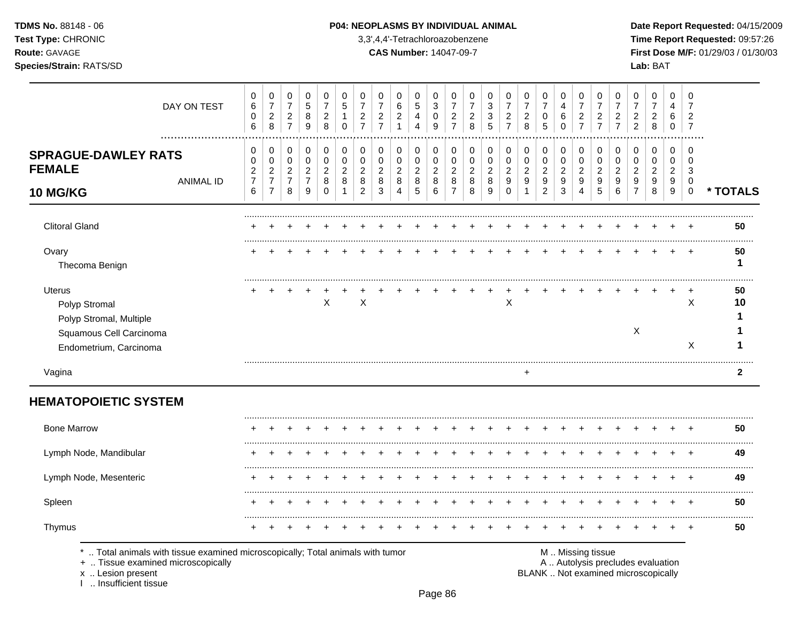TDMS No. 88148 - 06 Test Type: CHRONIC Route: GAVAGE

### Species/Strain: RATS/SD

#### P04: NEOPLASMS BY INDIVIDUAL ANIMAL

3,3',4,4'-Tetrachloroazobenzene

**CAS Number: 14047-09-7** 

Date Report Requested: 04/15/2009 Time Report Requested: 09:57:26 First Dose M/F: 01/29/03 / 01/30/03 Lab: BAT

| DAY ON TEST                                                          | 0<br>$\,6$<br>$\pmb{0}$<br>6                         | $\mathbf 0$<br>$\overline{7}$<br>$\sqrt{2}$<br>8 | $\boldsymbol{0}$<br>$\overline{7}$<br>$\sqrt{2}$<br>$\overline{7}$ | 0<br>$\mathbf 5$<br>$\bf8$<br>9              | 0<br>$\overline{7}$<br>$\boldsymbol{2}$<br>8 | 0<br>5<br>$\Omega$                      | 0<br>$\overline{7}$<br>$\overline{c}$<br>$\overline{7}$ | 0<br>$\overline{7}$<br>$\boldsymbol{2}$<br>$\overline{7}$ | 0<br>6<br>$\overline{c}$<br>$\mathbf{1}$               | 0<br>$\sqrt{5}$<br>$\overline{a}$<br>4    | 0<br>3<br>$\pmb{0}$<br>9      | 0<br>$\overline{7}$<br>$\boldsymbol{2}$<br>$\overline{7}$ | 0<br>$\overline{7}$<br>$\overline{c}$<br>8 | 0<br>3<br>$\ensuremath{\mathsf{3}}$<br>5 | 0<br>$\overline{7}$<br>$\boldsymbol{2}$<br>$\overline{7}$ | 0<br>$\overline{7}$<br>$\overline{c}$<br>8 | 0<br>$\overline{7}$<br>$\pmb{0}$<br>5              | 0<br>4<br>$\,6$<br>$\Omega$   | 0<br>$\overline{7}$<br>$\boldsymbol{2}$<br>$\overline{7}$ | 0<br>$\overline{7}$<br>$\overline{c}$<br>$\overline{7}$ | 0<br>$\overline{7}$<br>$\overline{c}$<br>$\overline{7}$ | 0<br>$\overline{7}$<br>$\boldsymbol{2}$<br>$\overline{2}$ | 0<br>$\overline{7}$<br>$\overline{c}$<br>8 | 0<br>$\overline{4}$<br>6<br>$\mathbf 0$ | 0<br>7<br>$\overline{2}$<br>$\overline{7}$ |              |
|----------------------------------------------------------------------|------------------------------------------------------|--------------------------------------------------|--------------------------------------------------------------------|----------------------------------------------|----------------------------------------------|-----------------------------------------|---------------------------------------------------------|-----------------------------------------------------------|--------------------------------------------------------|-------------------------------------------|-------------------------------|-----------------------------------------------------------|--------------------------------------------|------------------------------------------|-----------------------------------------------------------|--------------------------------------------|----------------------------------------------------|-------------------------------|-----------------------------------------------------------|---------------------------------------------------------|---------------------------------------------------------|-----------------------------------------------------------|--------------------------------------------|-----------------------------------------|--------------------------------------------|--------------|
| .<br><b>SPRAGUE-DAWLEY RATS</b><br><b>FEMALE</b><br><b>ANIMAL ID</b> | $\mathbf 0$<br>0<br>$\overline{c}$<br>$\overline{7}$ | 0<br>$\mathbf 0$<br>$\sqrt{2}$<br>$\overline{7}$ | 0<br>$\mathbf 0$<br>$\sqrt{2}$<br>$\overline{7}$                   | 0<br>0<br>$\boldsymbol{2}$<br>$\overline{7}$ | 0<br>$\mathbf 0$<br>$\overline{c}$<br>8      | 0<br>$\mathbf 0$<br>$\overline{c}$<br>8 | 0<br>0<br>$\overline{2}$<br>8                           | 0<br>$\mathbf 0$<br>$\overline{c}$<br>8                   | 0<br>$\mathbf 0$<br>$\overline{\mathbf{c}}$<br>$\,8\,$ | 0<br>$\mathbf 0$<br>$\sqrt{2}$<br>$\bf 8$ | 0<br>0<br>$\overline{c}$<br>8 | 0<br>0<br>$\overline{c}$<br>8                             | 0<br>0<br>$\overline{c}$<br>8              | 0<br>0<br>$\overline{a}$<br>8            | 0<br>$\mathbf 0$<br>$\overline{c}$<br>9                   | 0<br>0<br>$\overline{\mathbf{c}}$<br>9     | 0<br>$\mathbf 0$<br>$\sqrt{2}$<br>$\boldsymbol{9}$ | 0<br>0<br>$\overline{c}$<br>9 | 0<br>0<br>$\boldsymbol{2}$<br>9                           | 0<br>$\mathbf 0$<br>$\overline{c}$<br>9                 | 0<br>0<br>$\overline{c}$<br>9                           | 0<br>0<br>$\overline{c}$<br>9                             | 0<br>0<br>$\overline{c}$<br>9              | 0<br>$\mathbf 0$<br>$\sqrt{2}$<br>9     | $\Omega$<br>$\Omega$<br>3<br>0             |              |
| 10 MG/KG                                                             | $6\phantom{1}6$                                      | $\overline{7}$                                   | 8                                                                  | 9                                            | $\Omega$                                     |                                         | 2                                                       | 3                                                         | 4                                                      | 5                                         | 6                             | $\overline{7}$                                            | 8                                          | 9                                        | $\Omega$                                                  | $\mathbf{1}$                               | $\overline{c}$                                     | 3                             | $\overline{4}$                                            | 5                                                       | 6                                                       | $\overline{7}$                                            | 8                                          | 9                                       | $\mathbf 0$                                | * TOTALS     |
| <b>Clitoral Gland</b>                                                |                                                      |                                                  |                                                                    |                                              |                                              |                                         |                                                         |                                                           |                                                        |                                           |                               |                                                           |                                            |                                          |                                                           |                                            |                                                    |                               |                                                           |                                                         |                                                         |                                                           |                                            |                                         |                                            | 50           |
| Ovary<br>Thecoma Benign                                              |                                                      |                                                  |                                                                    |                                              |                                              |                                         |                                                         |                                                           |                                                        |                                           |                               |                                                           |                                            |                                          |                                                           |                                            |                                                    |                               |                                                           |                                                         |                                                         |                                                           |                                            |                                         |                                            | 50<br>1      |
| <b>Uterus</b><br>Polyp Stromal<br>Polyp Stromal, Multiple            |                                                      |                                                  |                                                                    |                                              | $\boldsymbol{\mathsf{X}}$                    |                                         | $\times$                                                |                                                           |                                                        |                                           |                               |                                                           |                                            |                                          | $\boldsymbol{\mathsf{X}}$                                 |                                            |                                                    |                               |                                                           |                                                         |                                                         |                                                           |                                            |                                         | X                                          | 50<br>10     |
| Squamous Cell Carcinoma<br>Endometrium, Carcinoma                    |                                                      |                                                  |                                                                    |                                              |                                              |                                         |                                                         |                                                           |                                                        |                                           |                               |                                                           |                                            |                                          |                                                           |                                            |                                                    |                               |                                                           |                                                         |                                                         | $\boldsymbol{\mathsf{X}}$                                 |                                            |                                         | X                                          |              |
| Vagina                                                               |                                                      |                                                  |                                                                    |                                              |                                              |                                         |                                                         |                                                           |                                                        |                                           |                               |                                                           |                                            |                                          |                                                           | $\ddot{}$                                  |                                                    |                               |                                                           |                                                         |                                                         |                                                           |                                            |                                         |                                            | $\mathbf{2}$ |
| <b>HEMATOPOIETIC SYSTEM</b>                                          |                                                      |                                                  |                                                                    |                                              |                                              |                                         |                                                         |                                                           |                                                        |                                           |                               |                                                           |                                            |                                          |                                                           |                                            |                                                    |                               |                                                           |                                                         |                                                         |                                                           |                                            |                                         |                                            |              |
| <b>Bone Marrow</b>                                                   |                                                      |                                                  |                                                                    |                                              |                                              |                                         |                                                         |                                                           |                                                        |                                           |                               |                                                           |                                            |                                          |                                                           |                                            |                                                    |                               |                                                           |                                                         |                                                         |                                                           |                                            |                                         |                                            | 50           |
| Lymph Node, Mandibular                                               |                                                      |                                                  |                                                                    |                                              |                                              |                                         |                                                         |                                                           |                                                        |                                           |                               |                                                           |                                            |                                          |                                                           |                                            |                                                    |                               |                                                           |                                                         |                                                         |                                                           |                                            |                                         |                                            | 49           |
| Lymph Node, Mesenteric                                               |                                                      |                                                  |                                                                    |                                              |                                              |                                         |                                                         |                                                           |                                                        |                                           |                               |                                                           |                                            |                                          |                                                           |                                            |                                                    |                               |                                                           |                                                         |                                                         |                                                           |                                            |                                         | $\div$                                     | 49           |
| Spleen                                                               |                                                      |                                                  |                                                                    |                                              |                                              |                                         |                                                         |                                                           |                                                        |                                           |                               |                                                           |                                            |                                          |                                                           |                                            |                                                    |                               |                                                           |                                                         |                                                         |                                                           |                                            |                                         |                                            | 50           |
|                                                                      |                                                      |                                                  |                                                                    |                                              |                                              |                                         |                                                         |                                                           |                                                        |                                           |                               |                                                           |                                            |                                          |                                                           |                                            |                                                    |                               |                                                           |                                                         |                                                         |                                                           |                                            |                                         |                                            |              |

+ .. Tissue examined microscopically

x .. Lesion present<br>I .. Insufficient tissue

A .. Autolysis precludes evaluation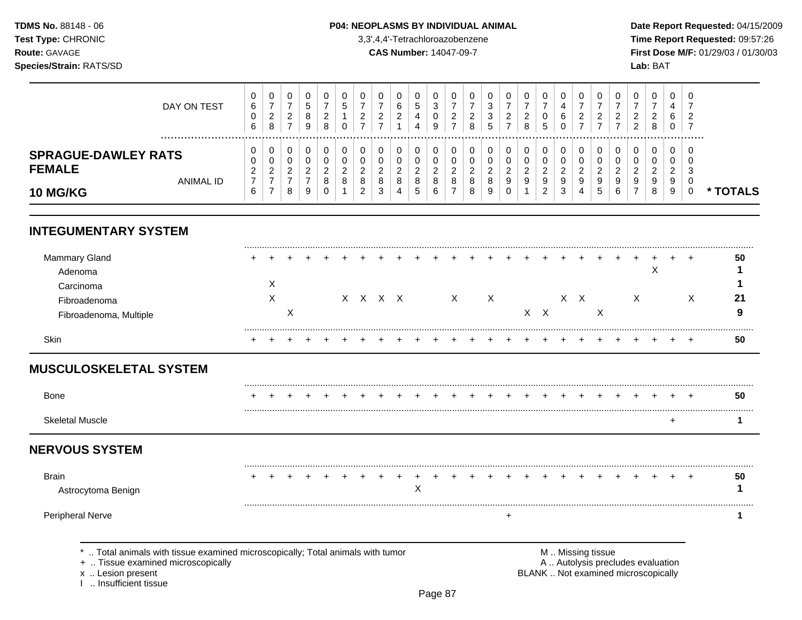### **TDMS No.** 88148 - 06 **P04: NEOPLASMS BY INDIVIDUAL ANIMAL** Date Report Requested: 04/15/2009

**Test Type:** CHRONIC 3,3',4,4'-Tetrachloroazobenzene **Time Report Requested:** 09:57:26 **Route:** GAVAGE **CAS Number:** 14047-09-7 **First Dose M/F:** 01/29/03 / 01/30/03

| DAY ON TEST                                              | v<br>6<br>6                  | 0<br>-<br>റ<br>∠<br>8        | U<br>ົ<br>∼<br>–        |   | 0<br>ົ<br><u>.</u><br>8 | G            | U<br><u>_</u><br>⇁           | ◡<br>c<br>_      | 0<br>6<br>റ<br>∠             | U<br>5<br>4<br>4      | చ<br>9  | <b>U</b><br>ົ | _<br>8           | U<br>າ<br>J<br>3<br>5        | υ<br>റ<br>_<br>-      | 0<br>ົ<br>∠<br>8             | U<br>0<br>.5          | 6                             | 0<br>ົ<br><u>_</u>           | - 0<br><u>_</u>          | U<br><u>_</u>           | υ<br>ີ<br>ົ      | 0<br>റ<br>$\sim$<br>8        | 0<br>4<br>6<br>U             | - G      |               |
|----------------------------------------------------------|------------------------------|------------------------------|-------------------------|---|-------------------------|--------------|------------------------------|------------------|------------------------------|-----------------------|---------|---------------|------------------|------------------------------|-----------------------|------------------------------|-----------------------|-------------------------------|------------------------------|--------------------------|-------------------------|------------------|------------------------------|------------------------------|----------|---------------|
| <b>SPRAGUE-DAWLEY RATS</b><br><b>FEMALE</b><br>ANIMAL ID | v<br>v<br>◠<br><u>_</u><br>⇁ | 0<br>0<br>ົ<br><u>_</u><br>- | U<br>U<br>ົ<br><u>_</u> | ∼ | 0<br>U<br>ີ             | ∼<br>$\circ$ | 0<br>0<br>◠<br><u>_</u><br>8 | 0<br>U<br>ີ<br>8 | 0<br>0<br>റ<br><u>L</u><br>8 | U<br>U<br>ົ<br>∼<br>8 |         | 0<br>0<br>c   | υ<br>n<br>_<br>8 | υ<br>0<br>ີ<br><u>_</u><br>8 | υ<br>υ<br>റ<br>_<br>9 | 0<br>0<br>റ<br><u>L</u><br>9 | U<br>U<br>ົ<br>∼<br>9 | $\overline{\phantom{a}}$<br>9 | 0<br>U<br>ີ<br><u>.</u><br>9 | -0<br>⌒<br><u>_</u><br>9 | 0<br>ີ<br><u>_</u><br>9 | 0<br>υ<br>ີ<br>9 | 0<br>0<br>റ<br><u>.</u><br>9 | U<br>υ<br>ົ<br><u>_</u><br>9 | - ს<br>ĸ |               |
| <b>10 MG/KG</b>                                          | 6                            | -                            | 8                       | 9 | $\circ$<br>0            | O            | ⌒<br><u>_</u>                | 3                | 4                            | .5                    | $\circ$ | $\circ$<br>-  | 8                | 9                            | υ                     |                              | ົ<br>∠                | చ                             | 4                            | G                        | 6                       | -                | 8                            | 9                            |          | <b>TOTALS</b> |

# **INTEGUMENTARY SYSTEM**

| Mammary Gland          | ÷ |   |   |  |  |         |  |   |    |  |  |   |   |   |   |          | 50  |
|------------------------|---|---|---|--|--|---------|--|---|----|--|--|---|---|---|---|----------|-----|
| Adenoma                |   |   |   |  |  |         |  |   |    |  |  |   |   |   | ⌒ |          |     |
| Carcinoma              |   | ㅅ |   |  |  |         |  |   |    |  |  |   |   |   |   |          |     |
| Fibroadenoma           |   | Х |   |  |  | x x x x |  | X | X. |  |  | X |   | X |   | X        | -21 |
| Fibroadenoma, Multiple |   |   | Χ |  |  |         |  |   |    |  |  |   | х |   |   |          | O   |
| Skin                   |   |   |   |  |  |         |  |   |    |  |  |   |   |   |   | <b>+</b> | 50  |

# **MUSCULOSKELETAL SYSTEM**

| <b>Bone</b>                                                                                                                                                    |  |  |  |  |   |  |  |  |                   |  |                                                                          |  | 50 |  |
|----------------------------------------------------------------------------------------------------------------------------------------------------------------|--|--|--|--|---|--|--|--|-------------------|--|--------------------------------------------------------------------------|--|----|--|
| <b>Skeletal Muscle</b>                                                                                                                                         |  |  |  |  |   |  |  |  |                   |  |                                                                          |  |    |  |
| <b>NERVOUS SYSTEM</b>                                                                                                                                          |  |  |  |  |   |  |  |  |                   |  |                                                                          |  |    |  |
| Brain<br>Astrocytoma Benign                                                                                                                                    |  |  |  |  | ∧ |  |  |  |                   |  |                                                                          |  | 50 |  |
| <b>Peripheral Nerve</b>                                                                                                                                        |  |  |  |  |   |  |  |  |                   |  |                                                                          |  |    |  |
| Total animals with tissue examined microscopically; Total animals with tumor<br>+  Tissue examined microscopically<br>x  Lesion present<br>Insufficient tissue |  |  |  |  |   |  |  |  | M  Missing tissue |  | A  Autolysis precludes evaluation<br>BLANK  Not examined microscopically |  |    |  |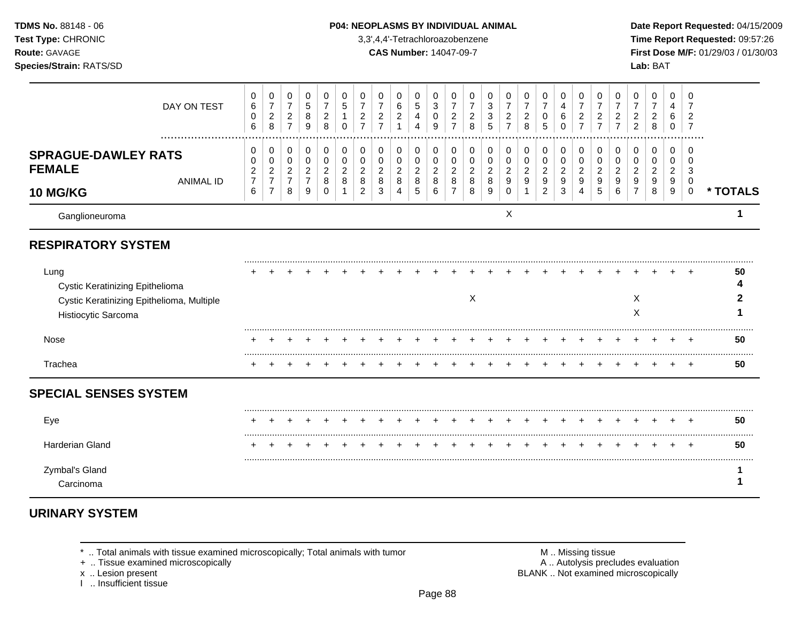| <b>TDMS No. 88148 - 06</b><br>Test Type: CHRONIC<br><b>Route: GAVAGE</b><br><b>Species/Strain: RATS/SD</b>     |                                        |                                                 |                                                            |                                                                  |                                                                |                                         |                                            |                                            |                  |                                         | <b>P04: NEOPLASMS BY INDIVIDUAL ANIMAL</b><br>3,3',4,4'-Tetrachloroazobenzene<br><b>CAS Number: 14047-09-7</b> |                                              |                                       |                              |                              |                                            |                       |                                 |                     |                            |                                       |                                                         | Date Rep<br><b>Time Rep</b><br><b>First Dos</b><br>Lab: BAT |  |
|----------------------------------------------------------------------------------------------------------------|----------------------------------------|-------------------------------------------------|------------------------------------------------------------|------------------------------------------------------------------|----------------------------------------------------------------|-----------------------------------------|--------------------------------------------|--------------------------------------------|------------------|-----------------------------------------|----------------------------------------------------------------------------------------------------------------|----------------------------------------------|---------------------------------------|------------------------------|------------------------------|--------------------------------------------|-----------------------|---------------------------------|---------------------|----------------------------|---------------------------------------|---------------------------------------------------------|-------------------------------------------------------------|--|
| DAY ON TEST                                                                                                    | 0<br>6<br>0<br>6                       | $\overline{7}$<br>2<br>8                        | $\mathbf 0$<br>$\overline{ }$<br>$\overline{2}$<br>7       | 0<br>5<br>8<br>9                                                 | $\mathbf 0$<br>$\overline{\phantom{a}}$<br>$\overline{2}$<br>8 | 0<br>5<br>0                             | 0<br>$\overline{ }$<br>$\overline{2}$<br>⇁ | 0<br>$\overline{ }$<br>$\overline{2}$<br>⇁ | 0<br>6<br>2      | -0<br>5<br>4<br>4                       | $\mathbf 0$<br>3<br>0<br>9                                                                                     | $\overline{ }$<br>2<br>$\overline{ }$        | 0<br>$\overline{ }$<br>2<br>8         | 0<br>3<br>3<br>5             | 0<br>$\overline{ }$<br>2     | 0<br>$\overline{ }$<br>$\overline{2}$<br>8 | 0<br>⇁<br>0<br>5      | $\Omega$<br>4<br>6<br>0         | ⇁<br>$\overline{2}$ | $\Omega$<br>$\overline{2}$ | 0<br>$\overline{2}$<br>$\overline{7}$ | 0<br>$\overline{ }$<br>$\overline{2}$<br>$\overline{2}$ | 2<br>8                                                      |  |
| <b>SPRAGUE-DAWLEY RATS</b><br><b>FEMALE</b><br>ANIMAL ID<br>$\overline{10}$ $\overline{100}$ $\overline{1170}$ | 0<br>$\overline{2}$<br>7<br>$\epsilon$ | 0<br>0<br>$\overline{2}$<br>$\overline{7}$<br>⇁ | 0<br>$\overline{2}$<br>$\overline{\phantom{a}}$<br>$\circ$ | 0<br>0<br>$\overline{2}$<br>$\overline{\phantom{a}}$<br>$\Omega$ | 0<br>0<br>$\overline{2}$<br>8<br>$\Omega$                      | 0<br>$\mathbf 0$<br>$\overline{2}$<br>8 | 0<br>0<br>$\overline{2}$<br>8<br>ົ         | 0<br>0<br>2<br>8<br>ົ                      | 0<br>0<br>2<br>8 | 0<br>$\mathbf 0$<br>$\overline{2}$<br>8 | 0<br>$\mathbf 0$<br>$\overline{2}$<br>8<br>c                                                                   | 0<br>0<br>ົ<br>8<br>$\overline{\phantom{a}}$ | 0<br>$\mathbf 0$<br>2<br>8<br>$\circ$ | 0<br>0<br>2<br>8<br>$\Omega$ | 0<br>0<br>2<br>9<br>$\Omega$ | 0<br>0<br>2<br>9                           | 0<br>0<br>2<br>9<br>ົ | $\mathbf 0$<br>0<br>2<br>9<br>◠ | 9                   | $\Omega$<br>9              | 0<br>9<br>c                           | 0<br>0<br>$\overline{2}$<br>9<br>$\overline{ }$         | 0<br>0<br>2<br>9<br>$\circ$                                 |  |

### **P04: NEOPLASMS BY INDIVIDUAL ANIMAL Date Report Requested: 04/15/2009**

**Time Report Requested:** 09:57:26 **CAS Number:** 14047-09-7 **First Dose M/F:** 01/29/03 / 01/30/03

|                                                                                                             | DAY ON TEST      | 0<br>$\,6\,$<br>$\mathbf 0$<br>6                | $\mathbf 0$<br>$\overline{7}$<br>$\sqrt{2}$<br>8                       | 0<br>$\overline{7}$<br>$\overline{c}$<br>$\overline{7}$ | 0<br>$\sqrt{5}$<br>8<br>9                       | 0<br>$\overline{7}$<br>$\overline{c}$<br>8 | 0<br>5<br>$\Omega$            | 0<br>$\overline{7}$<br>$\overline{c}$<br>$\overline{7}$ | 0<br>$\overline{7}$<br>$\overline{c}$<br>$\overline{7}$ | 0<br>$\,6\,$<br>$\overline{c}$<br>1               | 0<br>5<br>4<br>4                             | 0<br>$\mathbf{3}$<br>0<br>9        | 0<br>$\overline{7}$<br>$\overline{c}$<br>$\overline{7}$ | 0<br>$\overline{7}$<br>$\overline{c}$<br>8 | 0<br>$\mathbf{3}$<br>3<br>5                  | 0<br>$\overline{7}$<br>$\overline{c}$<br>$\overline{7}$ | 0<br>$\overline{7}$<br>$\overline{c}$<br>8 | 0<br>$\overline{7}$<br>0<br>5                             | 0<br>$\overline{4}$<br>6<br>$\Omega$ | 0<br>$\overline{7}$<br>$\overline{2}$<br>$\overline{7}$ | 0<br>$\overline{7}$<br>$\overline{2}$<br>$\overline{7}$ | 0<br>$\overline{7}$<br>$\overline{c}$<br>$\overline{7}$ | 0<br>$\overline{7}$<br>$\overline{2}$<br>$\overline{2}$ | 0<br>$\overline{7}$<br>$\overline{c}$<br>8 | 0<br>4<br>6<br>0                   | 0<br>$\overline{2}$<br>$\overline{7}$ |          |
|-------------------------------------------------------------------------------------------------------------|------------------|-------------------------------------------------|------------------------------------------------------------------------|---------------------------------------------------------|-------------------------------------------------|--------------------------------------------|-------------------------------|---------------------------------------------------------|---------------------------------------------------------|---------------------------------------------------|----------------------------------------------|------------------------------------|---------------------------------------------------------|--------------------------------------------|----------------------------------------------|---------------------------------------------------------|--------------------------------------------|-----------------------------------------------------------|--------------------------------------|---------------------------------------------------------|---------------------------------------------------------|---------------------------------------------------------|---------------------------------------------------------|--------------------------------------------|------------------------------------|---------------------------------------|----------|
| <b>SPRAGUE-DAWLEY RATS</b><br><b>FEMALE</b><br><b>10 MG/KG</b>                                              | <b>ANIMAL ID</b> | 0<br>0<br>$\overline{c}$<br>$\overline{7}$<br>6 | 0<br>$\mathbf 0$<br>$\overline{c}$<br>$\overline{7}$<br>$\overline{7}$ | 0<br>0<br>$\overline{c}$<br>7<br>8                      | 0<br>0<br>$\overline{c}$<br>$\overline{7}$<br>9 | 0<br>0<br>$\overline{2}$<br>8<br>0         | 0<br>0<br>$\overline{2}$<br>8 | 0<br>$\mathbf 0$<br>$\overline{c}$<br>8<br>2            | 0<br>0<br>$\overline{c}$<br>8<br>3                      | 0<br>$\mathbf 0$<br>$\overline{c}$<br>$\bf8$<br>4 | 0<br>$\mathbf 0$<br>$\overline{2}$<br>8<br>5 | 0<br>0<br>$\overline{c}$<br>8<br>6 | 0<br>0<br>$\overline{2}$<br>8                           | 0<br>0<br>$\overline{a}$<br>8<br>8         | 0<br>$\mathbf 0$<br>$\overline{2}$<br>8<br>9 | 0<br>$\pmb{0}$<br>$\overline{c}$<br>9<br>$\Omega$       | 0<br>$\mathbf 0$<br>$\overline{c}$<br>9    | 0<br>$\mathbf 0$<br>$\overline{c}$<br>9<br>$\overline{a}$ | 0<br>0<br>$\overline{2}$<br>9<br>3   | 0<br>0<br>$\overline{2}$<br>9                           | 0<br>0<br>$\overline{c}$<br>9<br>5                      | 0<br>0<br>$\overline{2}$<br>9<br>6                      | 0<br>0<br>$\overline{c}$<br>9<br>7                      | 0<br>0<br>$\overline{2}$<br>9<br>8         | 0<br>0<br>$\overline{2}$<br>9<br>9 | $\Omega$<br>$\Omega$<br>3<br>0<br>0   | * TOTALS |
| Ganglioneuroma                                                                                              |                  |                                                 |                                                                        |                                                         |                                                 |                                            |                               |                                                         |                                                         |                                                   |                                              |                                    |                                                         |                                            |                                              | X                                                       |                                            |                                                           |                                      |                                                         |                                                         |                                                         |                                                         |                                            |                                    |                                       |          |
| <b>RESPIRATORY SYSTEM</b>                                                                                   |                  |                                                 |                                                                        |                                                         |                                                 |                                            |                               |                                                         |                                                         |                                                   |                                              |                                    |                                                         |                                            |                                              |                                                         |                                            |                                                           |                                      |                                                         |                                                         |                                                         |                                                         |                                            |                                    |                                       |          |
| Lung<br>Cystic Keratinizing Epithelioma<br>Cystic Keratinizing Epithelioma, Multiple<br>Histiocytic Sarcoma |                  |                                                 |                                                                        |                                                         |                                                 |                                            |                               |                                                         |                                                         |                                                   |                                              |                                    |                                                         | X                                          |                                              |                                                         |                                            |                                                           |                                      |                                                         |                                                         |                                                         | X<br>X                                                  |                                            |                                    |                                       | 50       |
| Nose                                                                                                        |                  |                                                 |                                                                        |                                                         |                                                 |                                            |                               |                                                         |                                                         |                                                   |                                              |                                    |                                                         |                                            |                                              |                                                         |                                            |                                                           |                                      |                                                         |                                                         |                                                         |                                                         |                                            |                                    |                                       | 50       |
| Trachea                                                                                                     |                  |                                                 |                                                                        |                                                         |                                                 |                                            |                               |                                                         |                                                         |                                                   |                                              |                                    |                                                         |                                            |                                              |                                                         |                                            |                                                           |                                      |                                                         |                                                         |                                                         |                                                         |                                            |                                    |                                       | 50       |
| <b>SPECIAL SENSES SYSTEM</b>                                                                                |                  |                                                 |                                                                        |                                                         |                                                 |                                            |                               |                                                         |                                                         |                                                   |                                              |                                    |                                                         |                                            |                                              |                                                         |                                            |                                                           |                                      |                                                         |                                                         |                                                         |                                                         |                                            |                                    |                                       |          |
| Eye                                                                                                         |                  |                                                 |                                                                        |                                                         |                                                 |                                            |                               |                                                         |                                                         |                                                   |                                              |                                    |                                                         |                                            |                                              |                                                         |                                            |                                                           |                                      |                                                         |                                                         |                                                         |                                                         |                                            |                                    |                                       | 50       |
| <b>Harderian Gland</b>                                                                                      |                  | ٠                                               |                                                                        |                                                         |                                                 |                                            |                               |                                                         |                                                         |                                                   |                                              |                                    |                                                         |                                            |                                              |                                                         |                                            |                                                           |                                      |                                                         |                                                         |                                                         |                                                         |                                            | $\pm$                              | $^+$                                  | 50       |
| Zymbal's Gland<br>Carcinoma                                                                                 |                  |                                                 |                                                                        |                                                         |                                                 |                                            |                               |                                                         |                                                         |                                                   |                                              |                                    |                                                         |                                            |                                              |                                                         |                                            |                                                           |                                      |                                                         |                                                         |                                                         |                                                         |                                            |                                    |                                       |          |

# **URINARY SYSTEM**

+ .. Tissue examined microscopically

x .. Lesion present<br>I .. Insufficient tissue

\* .. Total animals with tissue examined microscopically; Total animals with tumor <br>
+ .. Tissue examined microscopically<br>
+ .. Tissue examined microscopically BLANK .. Not examined microscopically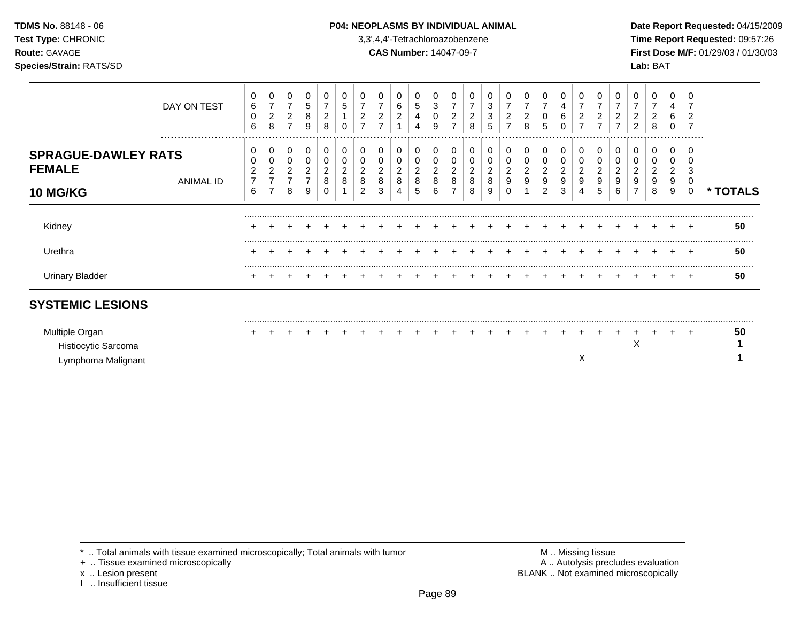### **TDMS No.** 88148 - 06 **P04: NEOPLASMS BY INDIVIDUAL ANIMAL** Date Report Requested: 04/15/2009

**Test Type:** CHRONIC 3,3',4,4'-Tetrachloroazobenzene **Time Report Requested:** 09:57:26 **Route:** GAVAGE **CAS Number:** 14047-09-7 **First Dose M/F:** 01/29/03 / 01/30/03 **Species/Strain:** RATS/SD **Lab:** BAT

| DAY ON TEST                                                                     | 0<br>6<br>0<br>6         | $\overline{7}$<br>$\overline{\mathbf{c}}$<br>8 | ົ<br>∠           | 5<br>8<br>9 | 2<br>8 | đ | ົ<br>∠      | 2           | 6<br>$\overline{2}$ | 5<br>4           | 3<br>9      | 2<br>⇁ | ∠<br>8      | 0<br>3<br>3<br>5      | 2           | 7<br>2<br>8      | 7<br>0<br>5                | 4<br>6                |        | ∠ | ∠   | 2<br>2 | 0<br>⇁<br>$\overline{c}$<br>8 | 4<br>6           | ∠                |               |
|---------------------------------------------------------------------------------|--------------------------|------------------------------------------------|------------------|-------------|--------|---|-------------|-------------|---------------------|------------------|-------------|--------|-------------|-----------------------|-------------|------------------|----------------------------|-----------------------|--------|---|-----|--------|-------------------------------|------------------|------------------|---------------|
| <br><b>SPRAGUE-DAWLEY RATS</b><br><b>FEMALE</b><br>ANIMAL ID<br><b>10 MG/KG</b> | 0<br>$\overline{ }$<br>6 | 0<br>2<br>$\overline{ }$                       | 0<br>∠<br>⇁<br>8 | 0<br>9      | 0<br>8 |   | 0<br>8<br>ົ | 0<br>8<br>3 | 0<br>2<br>8<br>4    | 0<br>ົ<br>∠<br>8 | 0<br>8<br>6 | 0<br>8 | ∠<br>8<br>8 | 0<br>0<br>2<br>8<br>9 | 0<br>2<br>9 | 0<br>0<br>2<br>9 | 0<br>0<br>2<br>9<br>ົ<br>∠ | 0<br>0<br>2<br>9<br>3 | 0      |   | 6   | 0<br>9 | 0<br>0<br>2<br>9<br>8         | 0<br>∠<br>9<br>9 | .<br>3<br>0<br>0 | <b>TOTALS</b> |
| Kidney                                                                          |                          |                                                |                  |             |        |   |             |             |                     |                  |             |        |             |                       |             |                  |                            |                       |        |   |     |        |                               |                  | $\pm$            | 50            |
| Urethra                                                                         |                          |                                                |                  |             |        |   |             |             |                     |                  |             |        |             |                       |             |                  |                            |                       |        |   |     |        |                               |                  |                  | 50            |
| <b>Urinary Bladder</b>                                                          |                          |                                                |                  |             |        |   |             |             |                     |                  |             |        |             | $+$                   |             | $\ddot{}$        | $+$                        | $+$                   | $\div$ |   | $+$ |        |                               |                  | $+$              | 50            |
| <b>SYSTEMIC LESIONS</b>                                                         |                          |                                                |                  |             |        |   |             |             |                     |                  |             |        |             |                       |             |                  |                            |                       |        |   |     |        |                               |                  |                  |               |
| $\mathbf{A}$                                                                    |                          |                                                |                  |             |        |   |             |             |                     |                  |             |        |             |                       |             |                  |                            |                       |        |   |     |        |                               |                  |                  | <b>ra</b>     |

| Multiple Organ      |  |  |  |  |  |  |  |  |  |  |  |  |  | 50 |
|---------------------|--|--|--|--|--|--|--|--|--|--|--|--|--|----|
| Histiocytic Sarcoma |  |  |  |  |  |  |  |  |  |  |  |  |  |    |
| Lymphoma Malignant  |  |  |  |  |  |  |  |  |  |  |  |  |  |    |

\* .. Total animals with tissue examined microscopically; Total animals with tumor <br>
+ .. Tissue examined microscopically<br>
+ .. Tissue examined microscopically

+ .. Tissue examined microscopically

x .. Lesion present<br>I .. Insufficient tissue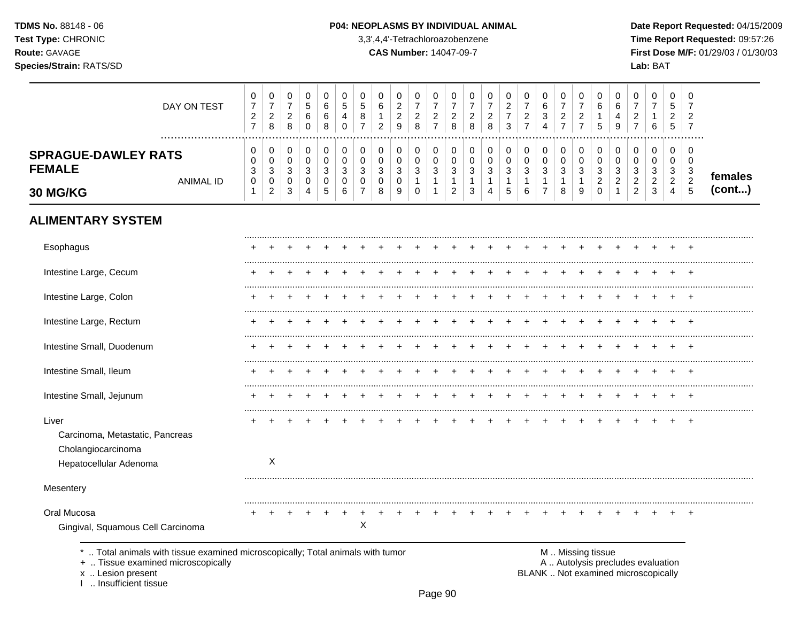TDMS No. 88148 - 06 Test Type: CHRONIC Route: GAVAGE Species/Strain: RATS/SD

#### P04: NEOPLASMS BY INDIVIDUAL ANIMAL

3,3',4,4'-Tetrachloroazobenzene

**CAS Number: 14047-09-7** 

Date Report Requested: 04/15/2009 Time Report Requested: 09:57:26 First Dose M/F: 01/29/03 / 01/30/03 Lab: BAT

 $\overline{\phantom{a}}$  $\overline{\phantom{a}}$  $\overline{\phantom{a}}$ 

| DAY ON TEST                                                                                                        | 0<br>$\overline{7}$<br>$\boldsymbol{2}$<br>$\overline{7}$ | 0<br>$\boldsymbol{7}$<br>$\sqrt{2}$<br>8 | 0<br>$\boldsymbol{7}$<br>$\sqrt{2}$<br>8    | 0<br>$\mathbf 5$<br>6<br>$\Omega$ | 0<br>$\,6$<br>$\,6\,$<br>8     | 0<br>$\mathbf 5$<br>4<br>$\Omega$ | 0<br>5<br>8<br>$\overline{7}$ | $\mathbf 0$<br>6<br>$\mathbf{1}$<br>$\overline{2}$ | 0<br>$\overline{c}$<br>$\overline{c}$<br>9 | 0<br>$\boldsymbol{7}$<br>$\overline{c}$<br>8 | 0<br>$\overline{7}$<br>$\overline{c}$<br>$\overline{7}$ | 0<br>$\overline{7}$<br>$\overline{c}$<br>8 | 0<br>7<br>$\overline{c}$<br>8 | 0<br>$\overline{7}$<br>$\sqrt{2}$<br>$\,8\,$ | 0<br>$\overline{\mathbf{c}}$<br>$\overline{7}$<br>3 | 0<br>$\overline{7}$<br>$\boldsymbol{2}$<br>$\overline{7}$ | 0<br>6<br>$\mathbf{3}$<br>4                 | 0<br>$\overline{7}$<br>$\overline{a}$<br>$\overline{7}$ | 0<br>$\overline{7}$<br>$\sqrt{2}$<br>$\overline{7}$ | 0<br>6<br>$\mathbf{1}$<br>5 | $\mathbf 0$<br>6<br>$\overline{4}$<br>9 | 0<br>$\overline{7}$<br>$\overline{2}$<br>$\overline{7}$ | $\Omega$<br>$\overline{7}$<br>1<br>6 | 0<br>5<br>$\overline{c}$<br>5    | 0<br>7<br>$\overline{c}$<br>$\overline{7}$ |         |
|--------------------------------------------------------------------------------------------------------------------|-----------------------------------------------------------|------------------------------------------|---------------------------------------------|-----------------------------------|--------------------------------|-----------------------------------|-------------------------------|----------------------------------------------------|--------------------------------------------|----------------------------------------------|---------------------------------------------------------|--------------------------------------------|-------------------------------|----------------------------------------------|-----------------------------------------------------|-----------------------------------------------------------|---------------------------------------------|---------------------------------------------------------|-----------------------------------------------------|-----------------------------|-----------------------------------------|---------------------------------------------------------|--------------------------------------|----------------------------------|--------------------------------------------|---------|
| <b>SPRAGUE-DAWLEY RATS</b><br><b>FEMALE</b>                                                                        | 0<br>0<br>3                                               | 0<br>0<br>$\ensuremath{\mathsf{3}}$      | 0<br>$\pmb{0}$<br>$\ensuremath{\mathsf{3}}$ | 0<br>0<br>$\mathbf{3}$            | 0<br>$\pmb{0}$<br>$\mathbf{3}$ | 0<br>$\mathbf 0$<br>3             | 0<br>0<br>3                   | 0<br>$\mathbf 0$<br>$\sqrt{3}$                     | 0<br>$\pmb{0}$<br>3                        | 0<br>$\pmb{0}$<br>3                          | $\Omega$<br>0<br>$\mathbf{3}$                           | 0<br>0<br>$\sqrt{3}$                       | 0<br>0<br>3                   | 0<br>0<br>$\ensuremath{\mathsf{3}}$          | 0<br>0<br>$\mathbf{3}$                              | 0<br>$\pmb{0}$<br>$\mathbf{3}$                            | 0<br>$\pmb{0}$<br>$\ensuremath{\mathsf{3}}$ | 0<br>0<br>$\sqrt{3}$                                    | 0<br>$\pmb{0}$<br>$\ensuremath{\mathsf{3}}$         | 0<br>0<br>$\sqrt{3}$        | 0<br>0<br>3                             | 0<br>0<br>3                                             | 0<br>0<br>3                          | 0<br>0<br>3                      | 0<br>$\mathbf 0$<br>3                      | females |
| <b>ANIMAL ID</b><br><b>30 MG/KG</b>                                                                                | 0                                                         | $\mathbf 0$<br>$\overline{c}$            | $\boldsymbol{0}$<br>$\mathbf{3}$            | 0<br>4                            | $\pmb{0}$<br>5                 | $\mathbf 0$<br>6                  | $\mathbf 0$                   | $\mathbf 0$<br>8                                   | 0<br>9                                     | $\overline{1}$<br>0                          | $\mathbf{1}$<br>$\mathbf{1}$                            | $\mathbf{1}$<br>$\overline{c}$             | $\mathbf{1}$<br>3             | $\mathbf{1}$<br>4                            | $\mathbf{1}$<br>5                                   | $\mathbf{1}$<br>6                                         | $\mathbf{1}$<br>$\overline{7}$              | $\mathbf{1}$<br>8                                       | $\mathbf{1}$<br>9                                   | $\overline{2}$<br>0         | $\overline{2}$<br>1                     | $\overline{2}$<br>$\overline{2}$                        | $\boldsymbol{2}$<br>3                | $\overline{2}$<br>$\overline{4}$ | $\sqrt{2}$<br>$\overline{5}$               | (cont)  |
| <b>ALIMENTARY SYSTEM</b>                                                                                           |                                                           |                                          |                                             |                                   |                                |                                   |                               |                                                    |                                            |                                              |                                                         |                                            |                               |                                              |                                                     |                                                           |                                             |                                                         |                                                     |                             |                                         |                                                         |                                      |                                  |                                            |         |
| Esophagus                                                                                                          |                                                           |                                          |                                             |                                   |                                |                                   |                               |                                                    |                                            |                                              |                                                         |                                            |                               |                                              |                                                     |                                                           |                                             |                                                         |                                                     |                             |                                         |                                                         |                                      |                                  |                                            |         |
| Intestine Large, Cecum                                                                                             |                                                           |                                          |                                             |                                   |                                |                                   |                               |                                                    |                                            |                                              |                                                         |                                            |                               |                                              |                                                     |                                                           |                                             |                                                         |                                                     |                             |                                         |                                                         |                                      |                                  |                                            |         |
| Intestine Large, Colon                                                                                             |                                                           |                                          |                                             |                                   |                                |                                   |                               |                                                    |                                            |                                              |                                                         |                                            |                               |                                              |                                                     |                                                           |                                             |                                                         |                                                     |                             |                                         |                                                         |                                      |                                  |                                            |         |
| Intestine Large, Rectum                                                                                            |                                                           |                                          |                                             |                                   |                                |                                   |                               |                                                    |                                            |                                              |                                                         |                                            |                               |                                              |                                                     |                                                           |                                             |                                                         |                                                     |                             |                                         |                                                         |                                      |                                  |                                            |         |
| Intestine Small, Duodenum                                                                                          |                                                           |                                          |                                             |                                   |                                |                                   |                               |                                                    |                                            |                                              |                                                         |                                            |                               |                                              |                                                     |                                                           |                                             |                                                         |                                                     |                             |                                         |                                                         |                                      |                                  |                                            |         |
| Intestine Small, Ileum                                                                                             |                                                           |                                          |                                             |                                   |                                |                                   |                               |                                                    |                                            |                                              |                                                         |                                            |                               |                                              |                                                     |                                                           |                                             |                                                         |                                                     |                             |                                         |                                                         |                                      |                                  |                                            |         |
| Intestine Small, Jejunum                                                                                           |                                                           |                                          |                                             |                                   |                                |                                   |                               |                                                    |                                            |                                              |                                                         |                                            |                               |                                              |                                                     |                                                           |                                             |                                                         |                                                     |                             |                                         |                                                         |                                      |                                  |                                            |         |
| Liver<br>Carcinoma, Metastatic, Pancreas<br>Cholangiocarcinoma<br>Hepatocellular Adenoma                           |                                                           | X                                        |                                             |                                   |                                |                                   |                               |                                                    |                                            |                                              |                                                         |                                            |                               |                                              |                                                     |                                                           |                                             |                                                         |                                                     |                             |                                         |                                                         |                                      |                                  | $\ddot{}$                                  |         |
| Mesentery                                                                                                          |                                                           |                                          |                                             |                                   |                                |                                   |                               |                                                    |                                            |                                              |                                                         |                                            |                               |                                              |                                                     |                                                           |                                             |                                                         |                                                     |                             |                                         |                                                         |                                      |                                  |                                            |         |
| Oral Mucosa<br>Gingival, Squamous Cell Carcinoma                                                                   |                                                           |                                          |                                             |                                   |                                |                                   | X                             |                                                    |                                            |                                              |                                                         |                                            |                               |                                              |                                                     |                                                           |                                             |                                                         |                                                     |                             |                                         |                                                         |                                      |                                  | $\overline{ }$                             |         |
| Total animals with tissue examined microscopically; Total animals with tumor<br>+  Tissue examined microscopically |                                                           |                                          |                                             |                                   |                                |                                   |                               |                                                    |                                            |                                              |                                                         |                                            |                               |                                              |                                                     |                                                           |                                             |                                                         |                                                     | M  Missing tissue           |                                         | A  Autolysis precludes evaluation                       |                                      |                                  |                                            |         |

x .. Lesion present<br>I .. Insufficient tissue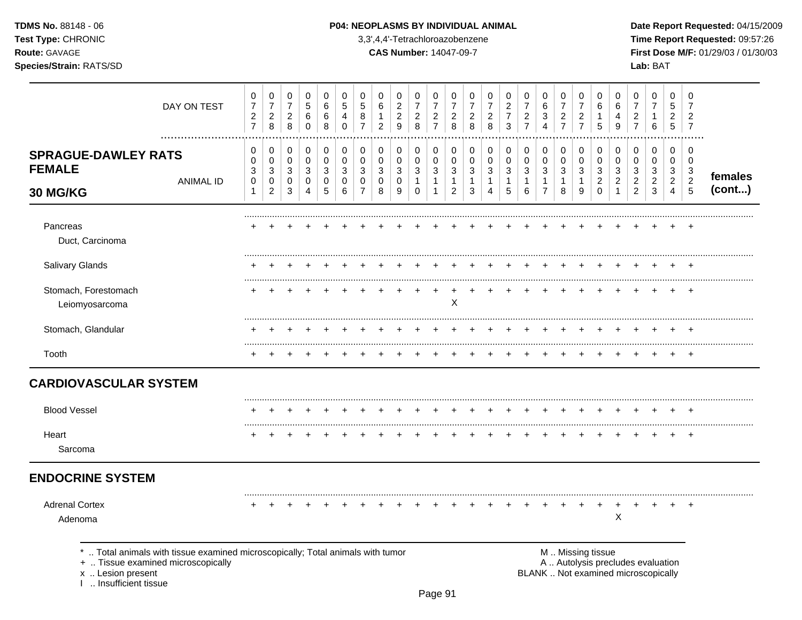### **TDMS No.** 88148 - 06 **P04: NEOPLASMS BY INDIVIDUAL ANIMAL** Date Report Requested: 04/15/2009

**Test Type:** CHRONIC 3,3',4,4'-Tetrachloroazobenzene **Time Report Requested:** 09:57:26 **Route:** GAVAGE **CAS Number:** 14047-09-7 **First Dose M/F:** 01/29/03 / 01/30/03

| DAY ON TEST                                                                                                                                                       | 0<br>$\boldsymbol{7}$<br>$\overline{c}$<br>$\overline{7}$ | 0<br>$\boldsymbol{7}$<br>$\sqrt{2}$<br>8      | 0<br>$\boldsymbol{7}$<br>$\boldsymbol{2}$<br>8      | 0<br>$\mathbf 5$<br>$\,6\,$<br>$\mathbf 0$ | $\,0\,$<br>$\,6$<br>6<br>8               | 0<br>$\,$ 5 $\,$<br>4<br>0      | 0<br>$\mathbf 5$<br>8<br>$\overline{7}$                 | 0<br>6<br>1<br>$\overline{2}$                        | 0<br>$\sqrt{2}$<br>$\sqrt{2}$<br>9     | 0<br>$\boldsymbol{7}$<br>$\overline{c}$<br>8    | 0<br>$\overline{7}$<br>$\overline{c}$<br>$\overline{7}$        | 0<br>$\overline{7}$<br>$\sqrt{2}$<br>8        | 0<br>$\overline{7}$<br>$\overline{c}$<br>8          | 0<br>$\overline{7}$<br>$\overline{c}$<br>8             | 0<br>$\overline{c}$<br>$\overline{7}$<br>$\mathbf{3}$ | 0<br>$\overline{7}$<br>$\sqrt{2}$<br>$\overline{7}$ | 0<br>6<br>$\mathbf{3}$<br>$\overline{4}$                         | 0<br>$\overline{7}$<br>$\sqrt{2}$<br>$\overline{7}$ | 0<br>$\boldsymbol{7}$<br>$\sqrt{2}$<br>$\overline{7}$ | 0<br>6<br>$\mathbf{1}$<br>5                         | 0<br>6<br>4<br>9                              | 0<br>$\overline{7}$<br>$\overline{c}$<br>$\overline{7}$                  | 0<br>7<br>1<br>6                              | $\mathbf 0$<br>5<br>$\overline{a}$<br>$\overline{5}$ | 0<br>$\overline{7}$<br>$\overline{2}$<br>$\overline{7}$  |                   |
|-------------------------------------------------------------------------------------------------------------------------------------------------------------------|-----------------------------------------------------------|-----------------------------------------------|-----------------------------------------------------|--------------------------------------------|------------------------------------------|---------------------------------|---------------------------------------------------------|------------------------------------------------------|----------------------------------------|-------------------------------------------------|----------------------------------------------------------------|-----------------------------------------------|-----------------------------------------------------|--------------------------------------------------------|-------------------------------------------------------|-----------------------------------------------------|------------------------------------------------------------------|-----------------------------------------------------|-------------------------------------------------------|-----------------------------------------------------|-----------------------------------------------|--------------------------------------------------------------------------|-----------------------------------------------|------------------------------------------------------|----------------------------------------------------------|-------------------|
| <b>SPRAGUE-DAWLEY RATS</b><br><b>FEMALE</b><br><b>ANIMAL ID</b><br>30 MG/KG                                                                                       | 0<br>0<br>$\mathbf{3}$<br>$\mathbf 0$<br>$\mathbf{1}$     | 0<br>0<br>$\mathbf{3}$<br>0<br>$\overline{c}$ | 0<br>$\pmb{0}$<br>$\mathbf{3}$<br>0<br>$\mathbf{3}$ | 0<br>$\pmb{0}$<br>$\mathbf{3}$<br>0<br>4   | 0<br>$\pmb{0}$<br>$\mathbf{3}$<br>0<br>5 | 0<br>$\mathbf 0$<br>3<br>0<br>6 | 0<br>$\mathbf 0$<br>$\mathbf{3}$<br>0<br>$\overline{7}$ | 0<br>$\mathbf 0$<br>$\mathbf{3}$<br>$\mathbf 0$<br>8 | 0<br>$\pmb{0}$<br>$\sqrt{3}$<br>0<br>9 | 0<br>$\pmb{0}$<br>3<br>$\mathbf{1}$<br>$\Omega$ | 0<br>$\pmb{0}$<br>$\mathbf{3}$<br>$\mathbf{1}$<br>$\mathbf{1}$ | 0<br>0<br>3<br>$\mathbf{1}$<br>$\overline{c}$ | 0<br>$\pmb{0}$<br>$\mathbf{3}$<br>$\mathbf{1}$<br>3 | 0<br>0<br>$\sqrt{3}$<br>$\mathbf{1}$<br>$\overline{4}$ | 0<br>$\pmb{0}$<br>$\sqrt{3}$<br>1<br>5                | 0<br>$\pmb{0}$<br>$\mathbf{3}$<br>$\mathbf{1}$<br>6 | 0<br>$\pmb{0}$<br>$\mathbf{3}$<br>$\mathbf{1}$<br>$\overline{7}$ | 0<br>$\pmb{0}$<br>$\sqrt{3}$<br>$\mathbf{1}$<br>8   | 0<br>$\pmb{0}$<br>3<br>$\mathbf{1}$<br>9              | 0<br>$\mathbf 0$<br>3<br>$\overline{c}$<br>$\Omega$ | 0<br>0<br>3<br>$\overline{c}$<br>$\mathbf{1}$ | 0<br>$\mathbf 0$<br>$\sqrt{3}$<br>$\overline{c}$<br>$\overline{2}$       | 0<br>0<br>3<br>$\overline{2}$<br>$\mathbf{3}$ | 0<br>0<br>3<br>$\overline{2}$<br>4                   | 0<br>0<br>$\mathbf{3}$<br>$\boldsymbol{2}$<br>$\sqrt{5}$ | females<br>(cont) |
| Pancreas<br>Duct, Carcinoma                                                                                                                                       |                                                           |                                               |                                                     |                                            |                                          |                                 |                                                         |                                                      |                                        |                                                 |                                                                |                                               |                                                     |                                                        |                                                       |                                                     |                                                                  |                                                     |                                                       |                                                     |                                               |                                                                          |                                               |                                                      |                                                          |                   |
| Salivary Glands                                                                                                                                                   |                                                           |                                               |                                                     |                                            |                                          |                                 |                                                         |                                                      |                                        |                                                 |                                                                |                                               |                                                     |                                                        |                                                       |                                                     |                                                                  |                                                     |                                                       |                                                     |                                               |                                                                          |                                               |                                                      |                                                          |                   |
| Stomach, Forestomach<br>Leiomyosarcoma                                                                                                                            |                                                           |                                               |                                                     |                                            |                                          |                                 |                                                         |                                                      |                                        |                                                 |                                                                | X                                             |                                                     |                                                        |                                                       |                                                     |                                                                  |                                                     |                                                       |                                                     |                                               |                                                                          |                                               |                                                      | $\div$                                                   |                   |
| Stomach, Glandular                                                                                                                                                |                                                           |                                               |                                                     |                                            |                                          |                                 |                                                         |                                                      |                                        |                                                 |                                                                |                                               |                                                     |                                                        |                                                       |                                                     |                                                                  |                                                     |                                                       |                                                     |                                               |                                                                          |                                               |                                                      |                                                          |                   |
| Tooth                                                                                                                                                             |                                                           |                                               |                                                     |                                            |                                          |                                 |                                                         |                                                      |                                        |                                                 |                                                                |                                               |                                                     |                                                        |                                                       |                                                     |                                                                  |                                                     |                                                       |                                                     |                                               |                                                                          |                                               |                                                      |                                                          |                   |
| <b>CARDIOVASCULAR SYSTEM</b>                                                                                                                                      |                                                           |                                               |                                                     |                                            |                                          |                                 |                                                         |                                                      |                                        |                                                 |                                                                |                                               |                                                     |                                                        |                                                       |                                                     |                                                                  |                                                     |                                                       |                                                     |                                               |                                                                          |                                               |                                                      |                                                          |                   |
| <b>Blood Vessel</b>                                                                                                                                               |                                                           |                                               |                                                     |                                            |                                          |                                 |                                                         |                                                      |                                        |                                                 |                                                                |                                               |                                                     |                                                        |                                                       |                                                     |                                                                  |                                                     |                                                       |                                                     |                                               |                                                                          |                                               |                                                      |                                                          |                   |
| Heart<br>Sarcoma                                                                                                                                                  | ÷                                                         | +                                             |                                                     |                                            |                                          |                                 |                                                         |                                                      |                                        |                                                 |                                                                |                                               |                                                     |                                                        |                                                       |                                                     |                                                                  |                                                     |                                                       |                                                     |                                               |                                                                          | ÷                                             | $\pm$                                                | $+$                                                      |                   |
| <b>ENDOCRINE SYSTEM</b>                                                                                                                                           |                                                           |                                               |                                                     |                                            |                                          |                                 |                                                         |                                                      |                                        |                                                 |                                                                |                                               |                                                     |                                                        |                                                       |                                                     |                                                                  |                                                     |                                                       |                                                     |                                               |                                                                          |                                               |                                                      |                                                          |                   |
| <b>Adrenal Cortex</b><br>Adenoma                                                                                                                                  |                                                           |                                               |                                                     |                                            |                                          |                                 |                                                         |                                                      |                                        |                                                 |                                                                |                                               |                                                     |                                                        |                                                       |                                                     |                                                                  |                                                     |                                                       |                                                     | X                                             |                                                                          |                                               |                                                      |                                                          |                   |
| Total animals with tissue examined microscopically; Total animals with tumor<br>+  Tissue examined microscopically<br>x  Lesion present<br>1  Insufficient tissue |                                                           |                                               |                                                     |                                            |                                          |                                 |                                                         |                                                      |                                        |                                                 |                                                                |                                               |                                                     |                                                        |                                                       |                                                     |                                                                  |                                                     | M  Missing tissue                                     |                                                     |                                               | A  Autolysis precludes evaluation<br>BLANK  Not examined microscopically |                                               |                                                      |                                                          |                   |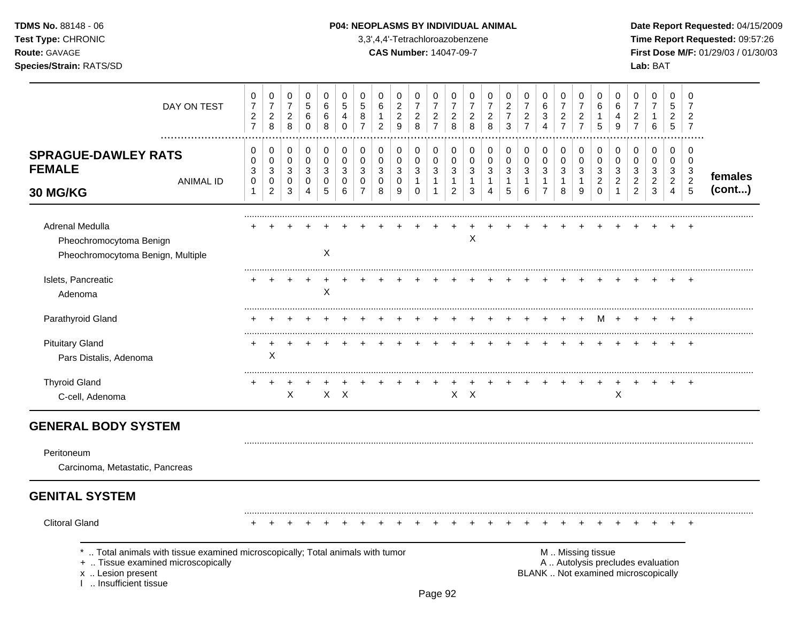### **TDMS No.** 88148 - 06 **P04: NEOPLASMS BY INDIVIDUAL ANIMAL** Date Report Requested: 04/15/2009

**Test Type:** CHRONIC 3,3',4,4'-Tetrachloroazobenzene **Time Report Requested:** 09:57:26 **Route:** GAVAGE **CAS Number:** 14047-09-7 **First Dose M/F:** 01/29/03 / 01/30/03 **Species/Strain:** RATS/SD **Lab:** BAT

| DAY ON TEST                                                                                                                                                          | 0<br>$\overline{7}$<br>$\boldsymbol{2}$<br>$\overline{7}$ | $\pmb{0}$<br>$\overline{7}$<br>$\sqrt{2}$<br>$\,8\,$  | 0<br>$\boldsymbol{7}$<br>$\overline{2}$<br>8 | $\mathbf 0$<br>$\sqrt{5}$<br>6<br>$\mathbf 0$ | 0<br>6<br>6<br>8                | $\mathbf 0$<br>5<br>4<br>$\Omega$          | 0<br>$\overline{5}$<br>$\,8\,$<br>$\overline{7}$        | $\mathbf 0$<br>$\,6$<br>$\mathbf{1}$<br>$\overline{2}$ | 0<br>$\overline{c}$<br>$\sqrt{2}$<br>$\mathsf g$ | 0<br>$\overline{7}$<br>$\overline{c}$<br>8 | 0<br>$\overline{7}$<br>$\sqrt{2}$<br>$\overline{7}$                      | 0<br>$\overline{7}$<br>$\overline{2}$<br>8              | 0<br>$\overline{7}$<br>$\overline{a}$<br>8 | 0<br>$\overline{7}$<br>$\overline{c}$<br>8                    | 0<br>$\overline{c}$<br>$\overline{7}$<br>$\mathbf{3}$ | 0<br>$\boldsymbol{7}$<br>$\sqrt{2}$<br>$\overline{7}$ | $\mathbf 0$<br>$\,6\,$<br>3<br>4                                 | 0<br>$\overline{7}$<br>$\sqrt{2}$<br>$\overline{7}$ | $\mathbf 0$<br>$\overline{7}$<br>$\overline{c}$<br>$\overline{7}$ | 0<br>6<br>$\mathbf{1}$<br>5                                    | $\mathbf 0$<br>6<br>4<br>9                              | 0<br>$\overline{7}$<br>$\overline{c}$<br>$\overline{7}$ | 0<br>$\overline{7}$<br>$\mathbf{1}$<br>6                                 | 0<br>$\sqrt{5}$<br>$\overline{a}$<br>5 | $\mathbf 0$<br>$\overline{7}$<br>$\overline{2}$<br>$\overline{7}$ |                   |
|----------------------------------------------------------------------------------------------------------------------------------------------------------------------|-----------------------------------------------------------|-------------------------------------------------------|----------------------------------------------|-----------------------------------------------|---------------------------------|--------------------------------------------|---------------------------------------------------------|--------------------------------------------------------|--------------------------------------------------|--------------------------------------------|--------------------------------------------------------------------------|---------------------------------------------------------|--------------------------------------------|---------------------------------------------------------------|-------------------------------------------------------|-------------------------------------------------------|------------------------------------------------------------------|-----------------------------------------------------|-------------------------------------------------------------------|----------------------------------------------------------------|---------------------------------------------------------|---------------------------------------------------------|--------------------------------------------------------------------------|----------------------------------------|-------------------------------------------------------------------|-------------------|
| <b>SPRAGUE-DAWLEY RATS</b><br><b>FEMALE</b><br><b>ANIMAL ID</b><br>30 MG/KG                                                                                          | 0<br>0<br>3<br>$\pmb{0}$<br>$\mathbf{1}$                  | 0<br>0<br>$\mathbf{3}$<br>$\pmb{0}$<br>$\overline{2}$ | 0<br>$\pmb{0}$<br>$\mathbf{3}$<br>0<br>3     | 0<br>$\pmb{0}$<br>3<br>0<br>4                 | 0<br>$\mathbf 0$<br>3<br>0<br>5 | 0<br>$\mathbf 0$<br>$\mathbf{3}$<br>0<br>6 | 0<br>$\mathbf 0$<br>$\mathbf{3}$<br>0<br>$\overline{7}$ | 0<br>$\mathbf 0$<br>3<br>$\mathbf 0$<br>8              | 0<br>0<br>3<br>0<br>9                            | 0<br>0<br>3<br>$\mathbf{1}$<br>$\Omega$    | 0<br>$\mathsf{O}\xspace$<br>$\mathbf{3}$<br>$\mathbf{1}$<br>$\mathbf{1}$ | 0<br>$\mathbf 0$<br>3<br>$\mathbf{1}$<br>$\overline{2}$ | 0<br>$\mathbf 0$<br>$\sqrt{3}$<br>1<br>3   | 0<br>$\pmb{0}$<br>$\mathbf{3}$<br>1<br>$\boldsymbol{\Lambda}$ | 0<br>$\pmb{0}$<br>3<br>$\mathbf{1}$<br>5              | 0<br>$\pmb{0}$<br>$\mathbf{3}$<br>$\mathbf{1}$<br>6   | 0<br>$\pmb{0}$<br>$\mathbf{3}$<br>$\mathbf{1}$<br>$\overline{7}$ | 0<br>$\mathbf 0$<br>3<br>$\mathbf{1}$<br>8          | 0<br>$\mathbf 0$<br>$\mathbf{3}$<br>$\mathbf{1}$<br>9             | 0<br>$\mathbf 0$<br>$\mathbf{3}$<br>$\overline{c}$<br>$\Omega$ | 0<br>$\mathbf 0$<br>3<br>$\overline{2}$<br>$\mathbf{1}$ | 0<br>0<br>3<br>$\overline{a}$<br>$\overline{2}$         | 0<br>$\mathbf 0$<br>$\mathbf{3}$<br>$\overline{2}$<br>3                  | 0<br>0<br>3<br>$\overline{2}$<br>4     | $\mathbf 0$<br>$\Omega$<br>3<br>$\overline{c}$<br>$\overline{5}$  | females<br>(cont) |
| Adrenal Medulla<br>Pheochromocytoma Benign<br>Pheochromocytoma Benign, Multiple                                                                                      |                                                           |                                                       |                                              |                                               | $\times$                        |                                            |                                                         |                                                        |                                                  |                                            |                                                                          |                                                         | X                                          |                                                               |                                                       |                                                       |                                                                  |                                                     |                                                                   |                                                                |                                                         |                                                         |                                                                          |                                        |                                                                   |                   |
| Islets, Pancreatic<br>Adenoma                                                                                                                                        |                                                           |                                                       |                                              |                                               | X                               |                                            |                                                         |                                                        |                                                  |                                            |                                                                          |                                                         |                                            |                                                               |                                                       |                                                       |                                                                  |                                                     |                                                                   |                                                                |                                                         |                                                         |                                                                          |                                        |                                                                   |                   |
| Parathyroid Gland                                                                                                                                                    |                                                           |                                                       |                                              |                                               |                                 |                                            |                                                         |                                                        |                                                  |                                            |                                                                          |                                                         |                                            |                                                               |                                                       |                                                       |                                                                  |                                                     |                                                                   |                                                                |                                                         |                                                         |                                                                          |                                        |                                                                   |                   |
| <b>Pituitary Gland</b><br>Pars Distalis, Adenoma                                                                                                                     |                                                           | X                                                     |                                              |                                               |                                 |                                            |                                                         |                                                        |                                                  |                                            |                                                                          |                                                         |                                            |                                                               |                                                       |                                                       |                                                                  |                                                     |                                                                   |                                                                |                                                         |                                                         |                                                                          |                                        |                                                                   |                   |
| <b>Thyroid Gland</b><br>C-cell, Adenoma                                                                                                                              |                                                           |                                                       | X                                            |                                               |                                 | $X$ $X$                                    |                                                         |                                                        |                                                  |                                            |                                                                          |                                                         | $X$ $X$                                    |                                                               |                                                       |                                                       |                                                                  |                                                     |                                                                   |                                                                | X                                                       |                                                         |                                                                          |                                        |                                                                   |                   |
| <b>GENERAL BODY SYSTEM</b>                                                                                                                                           |                                                           |                                                       |                                              |                                               |                                 |                                            |                                                         |                                                        |                                                  |                                            |                                                                          |                                                         |                                            |                                                               |                                                       |                                                       |                                                                  |                                                     |                                                                   |                                                                |                                                         |                                                         |                                                                          |                                        |                                                                   |                   |
| Peritoneum<br>Carcinoma, Metastatic, Pancreas                                                                                                                        |                                                           |                                                       |                                              |                                               |                                 |                                            |                                                         |                                                        |                                                  |                                            |                                                                          |                                                         |                                            |                                                               |                                                       |                                                       |                                                                  |                                                     |                                                                   |                                                                |                                                         |                                                         |                                                                          |                                        |                                                                   |                   |
| <b>GENITAL SYSTEM</b>                                                                                                                                                |                                                           |                                                       |                                              |                                               |                                 |                                            |                                                         |                                                        |                                                  |                                            |                                                                          |                                                         |                                            |                                                               |                                                       |                                                       |                                                                  |                                                     |                                                                   |                                                                |                                                         |                                                         |                                                                          |                                        |                                                                   |                   |
| <b>Clitoral Gland</b>                                                                                                                                                |                                                           |                                                       |                                              |                                               |                                 |                                            |                                                         |                                                        |                                                  |                                            |                                                                          |                                                         |                                            |                                                               |                                                       |                                                       |                                                                  |                                                     |                                                                   |                                                                |                                                         |                                                         |                                                                          |                                        |                                                                   |                   |
| *  Total animals with tissue examined microscopically; Total animals with tumor<br>+  Tissue examined microscopically<br>x  Lesion present<br>I  Insufficient tissue |                                                           |                                                       |                                              |                                               |                                 |                                            |                                                         |                                                        |                                                  |                                            |                                                                          |                                                         |                                            |                                                               |                                                       |                                                       |                                                                  |                                                     | M  Missing tissue                                                 |                                                                |                                                         |                                                         | A  Autolysis precludes evaluation<br>BLANK  Not examined microscopically |                                        |                                                                   |                   |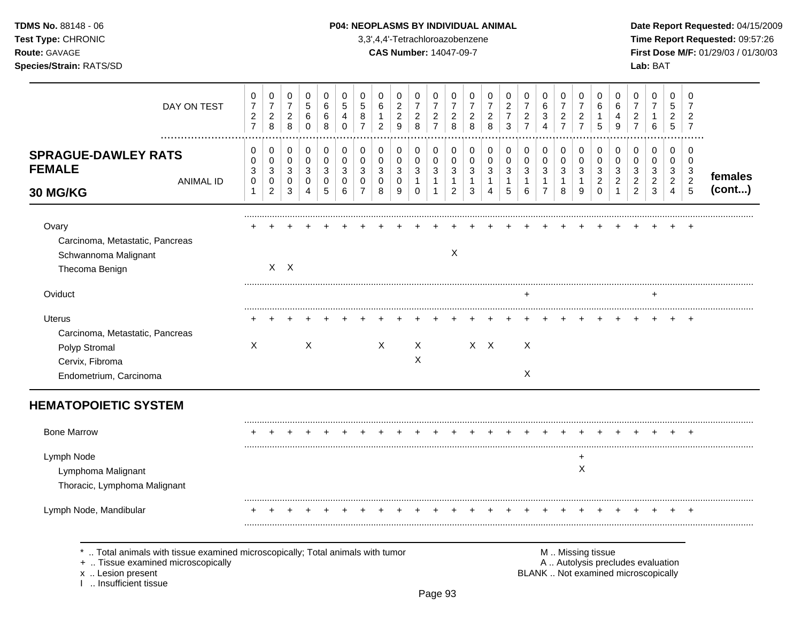TDMS No. 88148 - 06 Test Type: CHRONIC Route: GAVAGE

## Species/Strain: RATS/SD

### P04: NEOPLASMS BY INDIVIDUAL ANIMAL

3,3',4,4'-Tetrachloroazobenzene

**CAS Number: 14047-09-7** 

Date Report Requested: 04/15/2009 Time Report Requested: 09:57:26 First Dose M/F: 01/29/03 / 01/30/03 Lab: BAT

| DAY ON TEST                                                                                                                                                       | 0<br>$\overline{7}$<br>$\sqrt{2}$<br>$\overline{7}$ | 0<br>$\boldsymbol{7}$<br>$\overline{c}$<br>8 | $\pmb{0}$<br>$\overline{7}$<br>$\sqrt{2}$<br>8 | 0<br>5<br>6<br>$\mathbf 0$      | 0<br>6<br>6<br>8                | $\mathbf 0$<br>5<br>4<br>$\mathbf 0$ | 0<br>5<br>8<br>$\overline{7}$                       | 0<br>6<br>1<br>$\overline{2}$              | 0<br>$\overline{c}$<br>$\sqrt{2}$<br>9 | 0<br>$\overline{7}$<br>$\overline{c}$<br>8 | 0<br>$\overline{7}$<br>$\sqrt{2}$<br>$\overline{7}$    | 0<br>7<br>$\overline{2}$<br>8                 | 0<br>$\overline{7}$<br>$\overline{c}$<br>8  | 0<br>$\overline{7}$<br>$\sqrt{2}$<br>8   | 0<br>$\overline{c}$<br>$\overline{7}$<br>3    | 0<br>$\overline{7}$<br>$\overline{c}$<br>$\overline{7}$ | 0<br>$\,6\,$<br>$\ensuremath{\mathsf{3}}$<br>$\overline{4}$        | 0<br>$\overline{7}$<br>$\sqrt{2}$<br>$\overline{7}$ | 0<br>7<br>$\overline{2}$<br>$\overline{7}$ | 0<br>6<br>$\mathbf{1}$<br>5                         | 0<br>6<br>4<br>9                 | 0<br>$\overline{7}$<br>$\boldsymbol{2}$<br>$\overline{7}$                | $\mathbf 0$<br>$\overline{7}$<br>$\mathbf{1}$<br>$\,6\,$ | 0<br>5<br>$\overline{2}$<br>5      | 0<br>7<br>2<br>$\overline{7}$                                  |                   |
|-------------------------------------------------------------------------------------------------------------------------------------------------------------------|-----------------------------------------------------|----------------------------------------------|------------------------------------------------|---------------------------------|---------------------------------|--------------------------------------|-----------------------------------------------------|--------------------------------------------|----------------------------------------|--------------------------------------------|--------------------------------------------------------|-----------------------------------------------|---------------------------------------------|------------------------------------------|-----------------------------------------------|---------------------------------------------------------|--------------------------------------------------------------------|-----------------------------------------------------|--------------------------------------------|-----------------------------------------------------|----------------------------------|--------------------------------------------------------------------------|----------------------------------------------------------|------------------------------------|----------------------------------------------------------------|-------------------|
| <b>SPRAGUE-DAWLEY RATS</b><br><b>FEMALE</b><br><b>ANIMAL ID</b><br>30 MG/KG                                                                                       | 0<br>0<br>3<br>$\mathbf 0$<br>$\mathbf{1}$          | 0<br>0<br>3<br>0<br>$\overline{c}$           | 0<br>0<br>3<br>0<br>3                          | 0<br>$\mathbf 0$<br>3<br>0<br>4 | 0<br>$\mathbf 0$<br>3<br>0<br>5 | 0<br>0<br>3<br>$\mathbf 0$<br>6      | 0<br>$\mathbf 0$<br>3<br>$\Omega$<br>$\overline{7}$ | 0<br>$\mathbf 0$<br>$\mathbf{3}$<br>0<br>8 | 0<br>0<br>3<br>0<br>9                  | 0<br>0<br>3<br>$\mathbf{1}$<br>$\Omega$    | 0<br>0<br>$\mathbf{3}$<br>$\mathbf{1}$<br>$\mathbf{1}$ | 0<br>0<br>3<br>$\mathbf{1}$<br>$\overline{2}$ | 0<br>0<br>$\mathbf{3}$<br>$\mathbf{1}$<br>3 | 0<br>$\mathbf 0$<br>$\sqrt{3}$<br>1<br>4 | 0<br>0<br>$\mathfrak{S}$<br>$\mathbf{1}$<br>5 | 0<br>0<br>3<br>$\mathbf{1}$<br>6                        | 0<br>$\mathbf 0$<br>$\mathbf{3}$<br>$\mathbf{1}$<br>$\overline{7}$ | 0<br>$\mathbf 0$<br>3<br>$\mathbf{1}$<br>8          | 0<br>$\mathbf 0$<br>3<br>$\mathbf{1}$<br>9 | 0<br>$\mathbf 0$<br>3<br>$\overline{c}$<br>$\Omega$ | 0<br>0<br>3<br>2<br>$\mathbf{1}$ | 0<br>0<br>$\mathbf{3}$<br>$\overline{c}$<br>$\overline{c}$               | 0<br>0<br>$\mathbf{3}$<br>$\overline{c}$<br>$\mathbf{3}$ | 0<br>0<br>3<br>$\overline{2}$<br>4 | 0<br>$\mathbf 0$<br>$\sqrt{3}$<br>$\overline{2}$<br>$\sqrt{5}$ | females<br>(cont) |
| Ovary<br>Carcinoma, Metastatic, Pancreas<br>Schwannoma Malignant<br>Thecoma Benign                                                                                |                                                     |                                              | $X$ $X$                                        |                                 |                                 |                                      |                                                     |                                            |                                        |                                            |                                                        | $\times$                                      |                                             |                                          |                                               |                                                         |                                                                    |                                                     |                                            |                                                     |                                  |                                                                          |                                                          |                                    |                                                                |                   |
| Oviduct                                                                                                                                                           |                                                     |                                              |                                                |                                 |                                 |                                      |                                                     |                                            |                                        |                                            |                                                        |                                               |                                             |                                          |                                               | +                                                       |                                                                    |                                                     |                                            |                                                     |                                  |                                                                          | +                                                        |                                    |                                                                |                   |
| <b>Uterus</b><br>Carcinoma, Metastatic, Pancreas<br>Polyp Stromal<br>Cervix, Fibroma<br>Endometrium, Carcinoma                                                    | X                                                   |                                              |                                                | $\mathsf{X}$                    |                                 |                                      |                                                     | X                                          |                                        | X<br>X                                     |                                                        |                                               |                                             | $X$ $X$                                  |                                               | X<br>$\times$                                           |                                                                    |                                                     |                                            |                                                     |                                  |                                                                          |                                                          |                                    |                                                                |                   |
| <b>HEMATOPOIETIC SYSTEM</b>                                                                                                                                       |                                                     |                                              |                                                |                                 |                                 |                                      |                                                     |                                            |                                        |                                            |                                                        |                                               |                                             |                                          |                                               |                                                         |                                                                    |                                                     |                                            |                                                     |                                  |                                                                          |                                                          |                                    |                                                                |                   |
| <b>Bone Marrow</b>                                                                                                                                                |                                                     |                                              |                                                |                                 |                                 |                                      |                                                     |                                            |                                        |                                            |                                                        |                                               |                                             |                                          |                                               |                                                         |                                                                    |                                                     |                                            |                                                     |                                  |                                                                          |                                                          |                                    |                                                                |                   |
| Lymph Node<br>Lymphoma Malignant<br>Thoracic, Lymphoma Malignant                                                                                                  |                                                     |                                              |                                                |                                 |                                 |                                      |                                                     |                                            |                                        |                                            |                                                        |                                               |                                             |                                          |                                               |                                                         |                                                                    |                                                     | $\ddot{}$<br>X                             |                                                     |                                  |                                                                          |                                                          |                                    |                                                                |                   |
| Lymph Node, Mandibular                                                                                                                                            |                                                     |                                              |                                                |                                 |                                 |                                      |                                                     |                                            |                                        |                                            |                                                        |                                               |                                             |                                          |                                               |                                                         |                                                                    |                                                     |                                            |                                                     |                                  |                                                                          |                                                          |                                    |                                                                |                   |
| Total animals with tissue examined microscopically; Total animals with tumor<br>+  Tissue examined microscopically<br>x  Lesion present<br>1  Insufficient tissue |                                                     |                                              |                                                |                                 |                                 |                                      |                                                     |                                            |                                        |                                            |                                                        |                                               |                                             |                                          |                                               |                                                         |                                                                    |                                                     | M  Missing tissue                          |                                                     |                                  | A  Autolysis precludes evaluation<br>BLANK  Not examined microscopically |                                                          |                                    |                                                                |                   |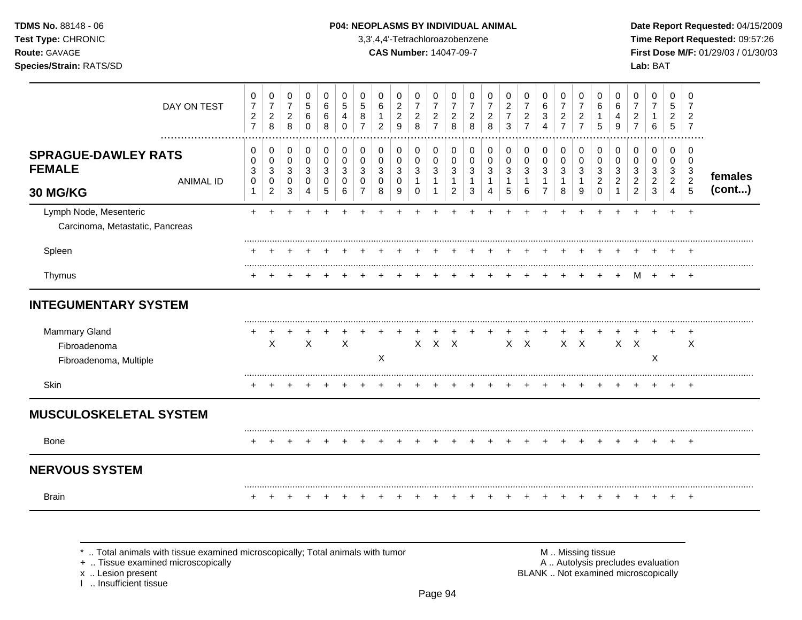### **TDMS No.** 88148 - 06 **P04: NEOPLASMS BY INDIVIDUAL ANIMAL** Date Report Requested: 04/15/2009

**Test Type:** CHRONIC 3,3',4,4'-Tetrachloroazobenzene **Time Report Requested:** 09:57:26 **Route:** GAVAGE **CAS Number:** 14047-09-7 **First Dose M/F:** 01/29/03 / 01/30/03

| DAY ON TEST                                                                 | 0<br>$\overline{7}$<br>$\overline{c}$<br>$\overline{7}$ | 0<br>$\overline{7}$<br>$\overline{c}$<br>8            | 0<br>$\overline{7}$<br>$\overline{a}$<br>8 | 0<br>$\sqrt{5}$<br>6<br>$\mathbf 0$   | $\mathbf 0$<br>$\,6\,$<br>6<br>8           | 0<br>$\sqrt{5}$<br>4<br>0       | 0<br>5<br>8                            | 0<br>6<br>2                         | 0<br>$\overline{c}$<br>$\overline{c}$<br>9 | 0<br>$\overline{7}$<br>$\overline{2}$<br>8 | 0<br>$\overline{7}$<br>$\overline{a}$<br>$\overline{7}$ | 0<br>$\overline{7}$<br>$\overline{2}$<br>8                | 0<br>$\overline{7}$<br>$\overline{\mathbf{c}}$<br>8 | 0<br>$\overline{7}$<br>$\overline{c}$<br>8 | 0<br>$\overline{c}$<br>$\overline{7}$<br>3 | 0<br>$\overline{7}$<br>$\overline{\mathbf{c}}$<br>$\overline{7}$ | 0<br>6<br>3<br>$\overline{A}$                                  | 0<br>$\overline{7}$<br>$\overline{a}$<br>$\overline{7}$ | 0<br>$\overline{7}$<br>$\overline{c}$<br>$\overline{7}$ | 0<br>6<br>1<br>5             | 0<br>6<br>4<br>9 | 0<br>$\overline{7}$<br>2<br>$\overline{7}$                         | 0<br>$\overline{7}$<br>6                  | 0<br>5<br>$\overline{2}$<br>5                                              | 0<br>$\overline{7}$<br>$\overline{2}$<br>$\overline{7}$       |                   |
|-----------------------------------------------------------------------------|---------------------------------------------------------|-------------------------------------------------------|--------------------------------------------|---------------------------------------|--------------------------------------------|---------------------------------|----------------------------------------|-------------------------------------|--------------------------------------------|--------------------------------------------|---------------------------------------------------------|-----------------------------------------------------------|-----------------------------------------------------|--------------------------------------------|--------------------------------------------|------------------------------------------------------------------|----------------------------------------------------------------|---------------------------------------------------------|---------------------------------------------------------|------------------------------|------------------|--------------------------------------------------------------------|-------------------------------------------|----------------------------------------------------------------------------|---------------------------------------------------------------|-------------------|
| <b>SPRAGUE-DAWLEY RATS</b><br><b>FEMALE</b><br><b>ANIMAL ID</b><br>30 MG/KG | 0<br>0<br>3<br>0<br>$\mathbf 1$                         | 0<br>$\mathbf 0$<br>$\sqrt{3}$<br>0<br>$\overline{c}$ | 0<br>0<br>3<br>0<br>3                      | $\pmb{0}$<br>$\pmb{0}$<br>3<br>0<br>4 | 0<br>$\mathbf 0$<br>$\mathbf{3}$<br>0<br>5 | 0<br>$\mathbf 0$<br>3<br>0<br>6 | $\pmb{0}$<br>$\Omega$<br>3<br>$\Omega$ | 0<br>$\Omega$<br>3<br>$\Omega$<br>8 | $\pmb{0}$<br>$\mathbf 0$<br>3<br>0<br>9    | 0<br>0<br>3<br>$\mathbf{1}$<br>$\Omega$    | 0<br>0<br>$\mathsf 3$<br>$\mathbf{1}$<br>$\mathbf{1}$   | 0<br>$\mathbf 0$<br>3<br>$\overline{1}$<br>$\overline{c}$ | 0<br>0<br>3<br>1<br>3                               | $\pmb{0}$<br>0<br>3<br>4                   | 0<br>0<br>$\sqrt{3}$<br>$\mathbf 1$<br>5   | 0<br>0<br>$\sqrt{3}$<br>6                                        | $\pmb{0}$<br>$\mathbf 0$<br>3<br>$\mathbf 1$<br>$\overline{7}$ | 0<br>$\mathbf 0$<br>$\mathbf{3}$<br>$\mathbf{1}$<br>8   | 0<br>$\mathbf 0$<br>3<br>1<br>9                         | 0<br>0<br>3<br>2<br>$\Omega$ | 0<br>0<br>3<br>2 | $\pmb{0}$<br>0<br>$\mathbf{3}$<br>$\overline{c}$<br>$\overline{2}$ | 0<br>$\Omega$<br>3<br>$\overline{c}$<br>3 | $\pmb{0}$<br>$\mathbf 0$<br>$\sqrt{3}$<br>$\overline{a}$<br>$\overline{4}$ | 0<br>$\Omega$<br>$\mathbf{3}$<br>$\overline{2}$<br>$\sqrt{5}$ | females<br>(cont) |
| Lymph Node, Mesenteric<br>Carcinoma, Metastatic, Pancreas                   | $+$                                                     |                                                       |                                            |                                       |                                            |                                 |                                        |                                     |                                            |                                            |                                                         |                                                           |                                                     |                                            |                                            |                                                                  |                                                                |                                                         |                                                         |                              |                  |                                                                    |                                           | $\ddot{}$                                                                  | $\overline{+}$                                                |                   |
| Spleen                                                                      |                                                         |                                                       |                                            |                                       |                                            |                                 |                                        |                                     |                                            |                                            |                                                         |                                                           |                                                     |                                            |                                            |                                                                  |                                                                |                                                         |                                                         |                              |                  |                                                                    |                                           |                                                                            |                                                               |                   |
| Thymus                                                                      |                                                         |                                                       |                                            |                                       |                                            |                                 |                                        |                                     |                                            |                                            |                                                         |                                                           |                                                     |                                            |                                            |                                                                  |                                                                |                                                         |                                                         |                              |                  | м                                                                  | $\overline{ }$                            |                                                                            |                                                               |                   |
| <b>INTEGUMENTARY SYSTEM</b>                                                 |                                                         |                                                       |                                            |                                       |                                            |                                 |                                        |                                     |                                            |                                            |                                                         |                                                           |                                                     |                                            |                                            |                                                                  |                                                                |                                                         |                                                         |                              |                  |                                                                    |                                           |                                                                            |                                                               |                   |
| <b>Mammary Gland</b><br>Fibroadenoma<br>Fibroadenoma, Multiple              |                                                         | X                                                     |                                            | $\boldsymbol{\mathsf{X}}$             |                                            | $\times$                        |                                        | $\boldsymbol{\mathsf{X}}$           |                                            | $\mathsf{X}$                               | $X$ $X$                                                 |                                                           |                                                     |                                            | $X$ $X$                                    |                                                                  |                                                                | $X$ $X$                                                 |                                                         |                              | X                | $\times$                                                           | $\mathsf X$                               |                                                                            | $\times$                                                      |                   |
| Skin                                                                        |                                                         |                                                       |                                            |                                       |                                            |                                 |                                        |                                     |                                            |                                            |                                                         |                                                           |                                                     |                                            |                                            |                                                                  |                                                                |                                                         |                                                         |                              |                  |                                                                    |                                           |                                                                            |                                                               |                   |
| <b>MUSCULOSKELETAL SYSTEM</b>                                               |                                                         |                                                       |                                            |                                       |                                            |                                 |                                        |                                     |                                            |                                            |                                                         |                                                           |                                                     |                                            |                                            |                                                                  |                                                                |                                                         |                                                         |                              |                  |                                                                    |                                           |                                                                            |                                                               |                   |
| Bone                                                                        |                                                         |                                                       |                                            |                                       |                                            |                                 |                                        |                                     |                                            |                                            |                                                         |                                                           |                                                     |                                            |                                            |                                                                  |                                                                |                                                         |                                                         |                              |                  |                                                                    |                                           | $\ddot{}$                                                                  | $^{+}$                                                        |                   |
| <b>NERVOUS SYSTEM</b>                                                       |                                                         |                                                       |                                            |                                       |                                            |                                 |                                        |                                     |                                            |                                            |                                                         |                                                           |                                                     |                                            |                                            |                                                                  |                                                                |                                                         |                                                         |                              |                  |                                                                    |                                           |                                                                            |                                                               |                   |
| <b>Brain</b>                                                                |                                                         |                                                       |                                            |                                       |                                            |                                 |                                        |                                     |                                            |                                            |                                                         |                                                           |                                                     |                                            |                                            |                                                                  |                                                                |                                                         |                                                         |                              |                  |                                                                    | $\div$                                    | $\ddot{}$                                                                  | $^{+}$                                                        |                   |

+ .. Tissue examined microscopically

x .. Lesion present<br>I .. Insufficient tissue

\* .. Total animals with tissue examined microscopically; Total animals with tumor M .. Missing tissue M .. Missing tissue<br>
+ .. Tissue examined microscopically BLANK .. Not examined microscopically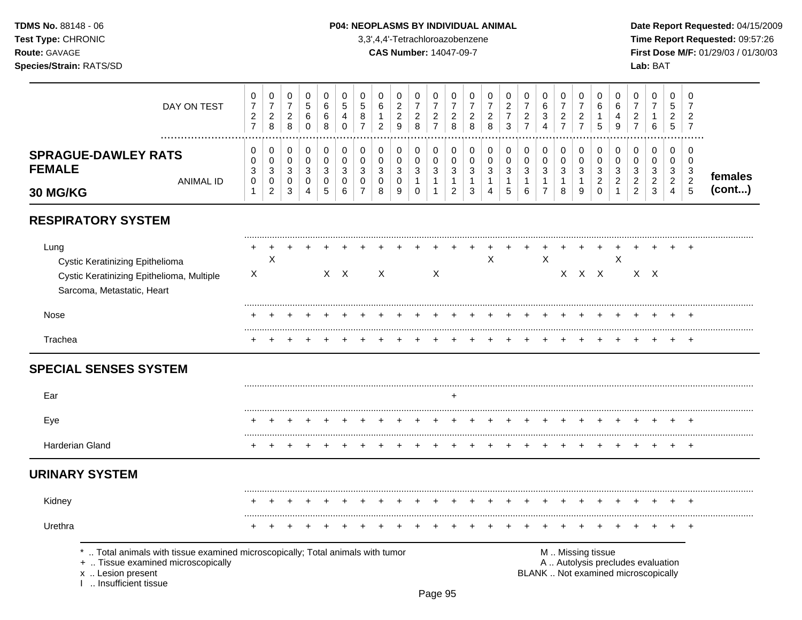### **TDMS No.** 88148 - 06 **P04: NEOPLASMS BY INDIVIDUAL ANIMAL** Date Report Requested: 04/15/2009

**Test Type:** CHRONIC 3,3',4,4'-Tetrachloroazobenzene **Time Report Requested:** 09:57:26 **Route:** GAVAGE **CAS Number:** 14047-09-7 **First Dose M/F:** 01/29/03 / 01/30/03

| DAY ON TEST                                                                                                                                                       | 0<br>$\boldsymbol{7}$<br>$\frac{2}{7}$           | $\pmb{0}$<br>$\overline{7}$<br>$_{\rm 2}^2$ | 0<br>$\overline{7}$<br>$\overline{a}$<br>$\,8\,$ | 0<br>$\sqrt{5}$<br>6<br>$\pmb{0}$                  | 0<br>6<br>6<br>$\,8\,$                      | 0<br>5<br>4<br>$\pmb{0}$          | 0<br>$\sqrt{5}$<br>8<br>$\overline{7}$ | 0<br>6<br>$\mathbf{1}$<br>$\overline{c}$ | 0<br>$\boldsymbol{2}$<br>$\mathbf 2$<br>$\mathsf g$ | 0<br>$\overline{7}$<br>$\begin{array}{c} 2 \\ 8 \end{array}$ | 0<br>$\overline{7}$<br>$\frac{2}{7}$                     | 0<br>$\overline{7}$<br>$\overline{\mathbf{c}}$<br>8 | 0<br>$\overline{7}$<br>$\overline{c}$<br>$\,8\,$ | 0<br>$\overline{7}$<br>$\overline{c}$<br>8                          | 0<br>$\boldsymbol{2}$<br>$\overline{7}$<br>3 | 0<br>$\overline{7}$<br>$\overline{c}$<br>$\overline{7}$ | 0<br>$\,6\,$<br>3<br>$\overline{4}$ | 0<br>$\overline{7}$<br>$\frac{2}{7}$         | 0<br>$\overline{7}$<br>$\overline{c}$<br>$\overline{7}$ | 0<br>6<br>1<br>$\sqrt{5}$                          | 0<br>6<br>$\overline{4}$<br>9                        | 0<br>$\overline{7}$<br>$\overline{\mathbf{c}}$<br>$\overline{7}$         | 0<br>$\overline{7}$<br>1<br>$\,6$                            | $\Omega$<br>5<br>$\overline{c}$<br>5              | 0<br>7<br>$\overline{c}$<br>$\overline{7}$           |         |
|-------------------------------------------------------------------------------------------------------------------------------------------------------------------|--------------------------------------------------|---------------------------------------------|--------------------------------------------------|----------------------------------------------------|---------------------------------------------|-----------------------------------|----------------------------------------|------------------------------------------|-----------------------------------------------------|--------------------------------------------------------------|----------------------------------------------------------|-----------------------------------------------------|--------------------------------------------------|---------------------------------------------------------------------|----------------------------------------------|---------------------------------------------------------|-------------------------------------|----------------------------------------------|---------------------------------------------------------|----------------------------------------------------|------------------------------------------------------|--------------------------------------------------------------------------|--------------------------------------------------------------|---------------------------------------------------|------------------------------------------------------|---------|
| <b>SPRAGUE-DAWLEY RATS</b><br><b>FEMALE</b><br><b>ANIMAL ID</b>                                                                                                   | 0<br>0<br>$\ensuremath{\mathsf{3}}$<br>$\pmb{0}$ | 0<br>$\pmb{0}$<br>$\sqrt{3}$<br>$\pmb{0}$   | 0<br>$\mathbf 0$<br>$\mathbf{3}$<br>$\mathbf 0$  | 0<br>$\pmb{0}$<br>$\mathbf{3}$<br>$\boldsymbol{0}$ | 0<br>$\pmb{0}$<br>$\sqrt{3}$<br>$\mathbf 0$ | 0<br>$\,0\,$<br>$\mathbf{3}$<br>0 | $\mathbf 0$<br>$\pmb{0}$<br>3<br>0     | 0<br>$\mathbf 0$<br>$\mathbf{3}$<br>0    | 0<br>0<br>$\sqrt{3}$<br>$\mathbf 0$                 | 0<br>0<br>3<br>$\mathbf{1}$                                  | $\mathbf 0$<br>$\mathbf 0$<br>$\sqrt{3}$<br>$\mathbf{1}$ | 0<br>$\pmb{0}$<br>$\sqrt{3}$<br>$\mathbf{1}$        | 0<br>0<br>$\sqrt{3}$<br>$\mathbf{1}$             | $\pmb{0}$<br>$\pmb{0}$<br>$\ensuremath{\mathsf{3}}$<br>$\mathbf{1}$ | 0<br>$\pmb{0}$<br>$\sqrt{3}$<br>$\mathbf{1}$ | 0<br>$\pmb{0}$<br>$\mathbf{3}$<br>$\mathbf{1}$          | 0<br>$\pmb{0}$<br>3<br>$\mathbf{1}$ | 0<br>$\pmb{0}$<br>$\sqrt{3}$<br>$\mathbf{1}$ | 0<br>$\,0\,$<br>$\sqrt{3}$<br>$\mathbf{1}$              | $\mathbf 0$<br>0<br>$\mathbf{3}$<br>$\overline{c}$ | 0<br>$\mathbf 0$<br>$\mathbf{3}$<br>$\boldsymbol{2}$ | 0<br>0<br>$\ensuremath{\mathsf{3}}$<br>$\overline{2}$                    | $\mathbf 0$<br>$\mathbf 0$<br>$\mathbf{3}$<br>$\overline{c}$ | $\mathbf 0$<br>$\mathbf 0$<br>3<br>$\overline{2}$ | 0<br>$\mathbf 0$<br>$\mathbf{3}$<br>$\boldsymbol{2}$ | females |
| 30 MG/KG                                                                                                                                                          | $\mathbf{1}$                                     | $\overline{c}$                              | $\mathbf{3}$                                     | $\overline{4}$                                     | $\sqrt{5}$                                  | 6                                 | $\overline{7}$                         | 8                                        | $\boldsymbol{9}$                                    | $\mathbf 0$                                                  | $\mathbf{1}$                                             | $\overline{c}$                                      | 3                                                | $\overline{4}$                                                      | 5                                            | 6                                                       | $\overline{7}$                      | 8                                            | 9                                                       | $\Omega$                                           | $\mathbf{1}$                                         | $\overline{2}$                                                           | $\mathbf{3}$                                                 | $\overline{4}$                                    | $\overline{5}$                                       | (cont)  |
| <b>RESPIRATORY SYSTEM</b>                                                                                                                                         |                                                  |                                             |                                                  |                                                    |                                             |                                   |                                        |                                          |                                                     |                                                              |                                                          |                                                     |                                                  |                                                                     |                                              |                                                         |                                     |                                              |                                                         |                                                    |                                                      |                                                                          |                                                              |                                                   |                                                      |         |
| Lung<br>Cystic Keratinizing Epithelioma<br>Cystic Keratinizing Epithelioma, Multiple<br>Sarcoma, Metastatic, Heart                                                | $\boldsymbol{\mathsf{X}}$                        | X                                           |                                                  |                                                    |                                             | $X$ $X$                           |                                        | X                                        |                                                     |                                                              | X                                                        |                                                     |                                                  | X                                                                   |                                              |                                                         | $\mathsf X$                         |                                              | X X X                                                   |                                                    | X                                                    |                                                                          | $X$ $X$                                                      |                                                   |                                                      |         |
| Nose                                                                                                                                                              |                                                  |                                             |                                                  |                                                    |                                             |                                   |                                        |                                          |                                                     |                                                              |                                                          |                                                     |                                                  |                                                                     |                                              |                                                         |                                     |                                              |                                                         |                                                    |                                                      |                                                                          |                                                              |                                                   |                                                      |         |
| Trachea                                                                                                                                                           |                                                  |                                             |                                                  |                                                    |                                             |                                   |                                        |                                          |                                                     |                                                              |                                                          |                                                     |                                                  |                                                                     |                                              |                                                         |                                     |                                              |                                                         |                                                    |                                                      |                                                                          |                                                              |                                                   | $\pm$                                                |         |
| <b>SPECIAL SENSES SYSTEM</b>                                                                                                                                      |                                                  |                                             |                                                  |                                                    |                                             |                                   |                                        |                                          |                                                     |                                                              |                                                          |                                                     |                                                  |                                                                     |                                              |                                                         |                                     |                                              |                                                         |                                                    |                                                      |                                                                          |                                                              |                                                   |                                                      |         |
| Ear                                                                                                                                                               |                                                  |                                             |                                                  |                                                    |                                             |                                   |                                        |                                          |                                                     |                                                              |                                                          | $\div$                                              |                                                  |                                                                     |                                              |                                                         |                                     |                                              |                                                         |                                                    |                                                      |                                                                          |                                                              |                                                   |                                                      |         |
| Eye                                                                                                                                                               |                                                  |                                             |                                                  |                                                    |                                             |                                   |                                        |                                          |                                                     |                                                              |                                                          |                                                     |                                                  |                                                                     |                                              |                                                         |                                     |                                              |                                                         |                                                    |                                                      |                                                                          |                                                              |                                                   |                                                      |         |
| Harderian Gland                                                                                                                                                   |                                                  |                                             |                                                  |                                                    |                                             |                                   |                                        |                                          |                                                     |                                                              |                                                          |                                                     |                                                  |                                                                     |                                              |                                                         |                                     |                                              |                                                         |                                                    |                                                      |                                                                          | +                                                            |                                                   | $\overline{ }$                                       |         |
| <b>URINARY SYSTEM</b>                                                                                                                                             |                                                  |                                             |                                                  |                                                    |                                             |                                   |                                        |                                          |                                                     |                                                              |                                                          |                                                     |                                                  |                                                                     |                                              |                                                         |                                     |                                              |                                                         |                                                    |                                                      |                                                                          |                                                              |                                                   |                                                      |         |
| Kidney                                                                                                                                                            |                                                  |                                             |                                                  |                                                    |                                             |                                   |                                        |                                          |                                                     |                                                              |                                                          |                                                     |                                                  |                                                                     |                                              |                                                         |                                     |                                              |                                                         |                                                    |                                                      |                                                                          |                                                              |                                                   |                                                      |         |
| Urethra                                                                                                                                                           |                                                  |                                             |                                                  |                                                    |                                             |                                   |                                        |                                          |                                                     |                                                              |                                                          |                                                     |                                                  |                                                                     |                                              |                                                         |                                     |                                              |                                                         |                                                    |                                                      |                                                                          |                                                              |                                                   |                                                      |         |
| Total animals with tissue examined microscopically; Total animals with tumor<br>+  Tissue examined microscopically<br>x  Lesion present<br>I  Insufficient tissue |                                                  |                                             |                                                  |                                                    |                                             |                                   |                                        |                                          |                                                     |                                                              |                                                          |                                                     |                                                  |                                                                     |                                              |                                                         |                                     |                                              |                                                         | M  Missing tissue                                  |                                                      | A  Autolysis precludes evaluation<br>BLANK  Not examined microscopically |                                                              |                                                   |                                                      |         |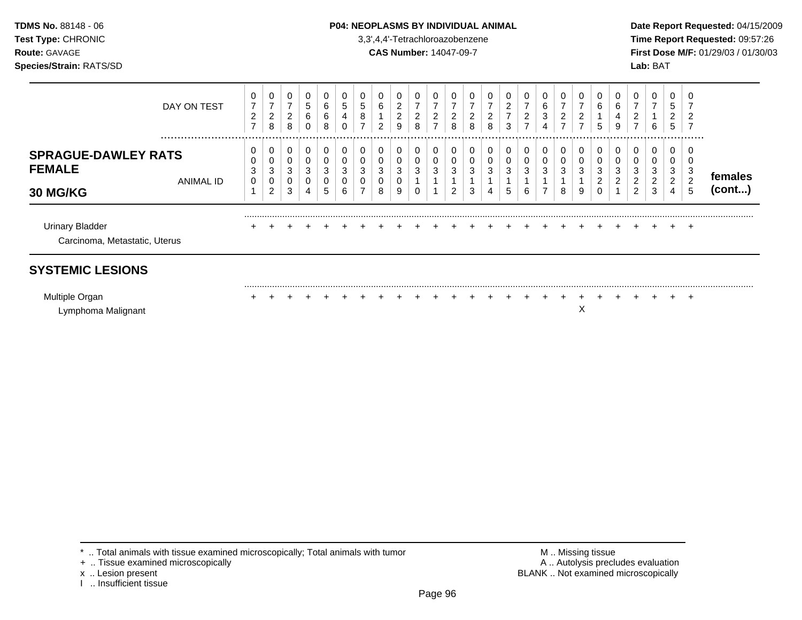### **TDMS No.** 88148 - 06 **P04: NEOPLASMS BY INDIVIDUAL ANIMAL** Date Report Requested: 04/15/2009

**Test Type:** CHRONIC 3,3',4,4'-Tetrachloroazobenzene **Time Report Requested:** 09:57:26 **Route:** GAVAGE **CAS Number:** 14047-09-7 **First Dose M/F:** 01/29/03 / 01/30/03

| DAY ON TEST                                                                     | 0<br>$\overline{7}$<br>$\overline{2}$<br>$\overline{ }$ | 0<br>$\overline{7}$<br>$\overline{a}$<br>8 | 0<br>$\overline{7}$<br>$\overline{2}$<br>8 | 0<br>5<br>6<br>0      | 0<br>6<br>6<br>8      | 0<br>5<br>4<br>0 | 5<br>8<br>$\overline{ }$ | 0<br>6<br>$\overline{2}$ | $\mathbf 0$<br>$\overline{c}$<br>$\overline{2}$<br>9 | 0<br>$\overline{7}$<br>$\overline{c}$<br>8 | 7<br>ົ<br>∠<br>⇁ | ົ<br>∠<br>8               | 0<br>⇁<br>2<br>8 | 2<br>8      | $\overline{2}$<br>$\overline{\phantom{a}}$<br>3 | 0<br>$\overline{ }$<br>2<br>$\overline{ }$ | 0<br>6<br>3<br>4 | 0<br>7<br>$\overline{c}$<br>7 | 0<br>2<br>⇁      | 0<br>6<br>5      | 6<br>9 | 0<br>⇁<br>2<br>⇁                   | 0<br>6                | 0<br>5<br>2<br>5      | 0<br>2<br>$\overline{7}$               |                   |
|---------------------------------------------------------------------------------|---------------------------------------------------------|--------------------------------------------|--------------------------------------------|-----------------------|-----------------------|------------------|--------------------------|--------------------------|------------------------------------------------------|--------------------------------------------|------------------|---------------------------|------------------|-------------|-------------------------------------------------|--------------------------------------------|------------------|-------------------------------|------------------|------------------|--------|------------------------------------|-----------------------|-----------------------|----------------------------------------|-------------------|
| <br><b>SPRAGUE-DAWLEY RATS</b><br><b>FEMALE</b><br>ANIMAL ID<br><b>30 MG/KG</b> | 0<br>3<br>0                                             | 0<br>0<br>3<br>0<br>$\overline{2}$         | 0<br>0<br>3<br>0<br>3                      | 0<br>0<br>3<br>0<br>4 | 0<br>0<br>3<br>0<br>5 | 0<br>0<br>3<br>6 | 0<br>3<br>-              | 0<br>3<br>8              | 0<br>3<br>9                                          | 0<br>0<br>3<br>0                           | $\mathbf 0$<br>3 | 0<br>0<br>3<br>$\sqrt{2}$ | 0<br>0<br>3<br>3 | 0<br>3<br>4 | 0<br>3<br>5                                     | 0<br>0<br>3<br>6                           | 0<br>0<br>3      | 0<br>0<br>3<br>8              | 0<br>0<br>3<br>9 | 0<br>0<br>3<br>2 | ∠      | 0<br>0<br>3<br>$\overline{2}$<br>2 | 0<br>0<br>3<br>2<br>3 | 0<br>0<br>3<br>2<br>4 | <br>0<br>0<br>3<br>$\overline{2}$<br>5 | females<br>(cont) |
| <b>Urinary Bladder</b><br>Carcinoma, Metastatic, Uterus                         |                                                         |                                            | $\div$                                     |                       |                       |                  |                          |                          |                                                      |                                            |                  |                           |                  |             |                                                 | $\ddot{}$                                  | $\div$           |                               | $+$              |                  |        |                                    |                       | $\pm$                 | $+$                                    |                   |
| <b>SYSTEMIC LESIONS</b>                                                         |                                                         |                                            |                                            |                       |                       |                  |                          |                          |                                                      |                                            |                  |                           |                  |             |                                                 |                                            |                  |                               |                  |                  |        |                                    |                       |                       |                                        |                   |
| Multiple Organ<br>Lymphoma Malignant                                            |                                                         |                                            |                                            |                       |                       |                  |                          |                          |                                                      |                                            |                  |                           |                  |             |                                                 |                                            |                  |                               | X                |                  |        |                                    |                       |                       | $\div$                                 |                   |

+ .. Tissue examined microscopically

x .. Lesion present<br>I .. Insufficient tissue

\* .. Total animals with tissue examined microscopically; Total animals with tumor <br>
+ .. Tissue examined microscopically<br>
+ .. Tissue examined microscopically BLANK .. Not examined microscopically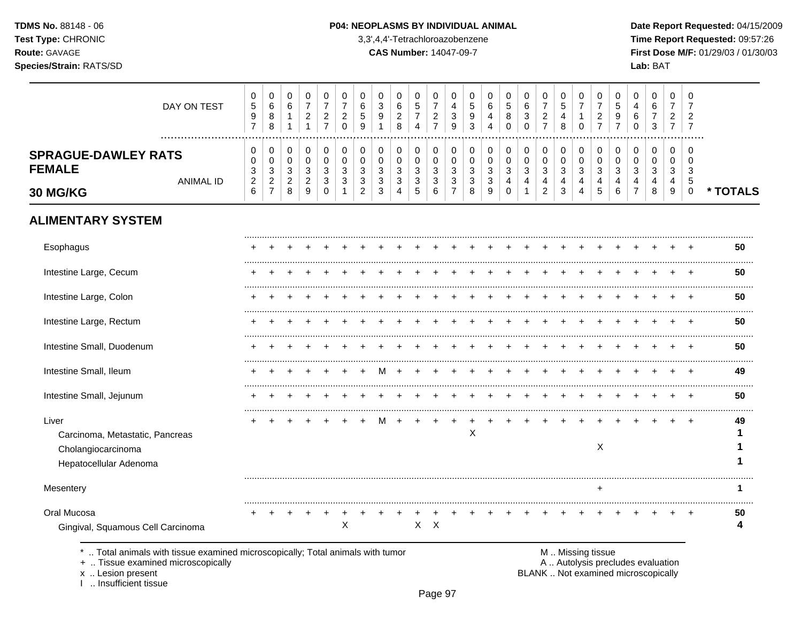TDMS No. 88148 - 06 Test Type: CHRONIC Route: GAVAGE Species/Strain: RATS/SD

#### P04: NEOPLASMS BY INDIVIDUAL ANIMAL

3,3',4,4'-Tetrachloroazobenzene

**CAS Number: 14047-09-7** 

Date Report Requested: 04/15/2009 Time Report Requested: 09:57:26 First Dose M/F: 01/29/03 / 01/30/03 Lab: BAT

| DAY ON TEST                                                                              | 0<br>$\,$ 5 $\,$<br>9<br>$\overline{7}$                        | 0<br>$\,6\,$<br>8<br>8                                          | 0<br>6<br>$\mathbf{1}$<br>1                           | 0<br>$\overline{7}$<br>$\overline{c}$<br>$\mathbf{1}$ | 0<br>$\overline{7}$<br>$\overline{c}$<br>$\overline{7}$ | 0<br>$\overline{7}$<br>$\overline{c}$<br>$\mathbf 0$ | 0<br>6<br>5<br>9         | 0<br>$\mathbf{3}$<br>9   | 0<br>$\,6\,$<br>$\overline{c}$<br>8                    | 0<br>$\sqrt{5}$<br>$\overline{7}$<br>$\overline{4}$ | 0<br>$\overline{7}$<br>$\overline{2}$<br>$\overline{7}$ | 0<br>4<br>$\mathbf{3}$<br>9 | 0<br>$\,$ 5 $\,$<br>9<br>3 | 0<br>6<br>4<br>$\overline{4}$        | 0<br>$\,$ 5 $\,$<br>8<br>$\mathbf 0$    | 0<br>$\,6\,$<br>$\mathbf{3}$<br>$\Omega$          | 0<br>$\overline{7}$<br>$\overline{c}$<br>$\overline{7}$      | 0<br>$\sqrt{5}$<br>4<br>8                     | 0<br>$\overline{7}$<br>$\mathbf{1}$<br>$\Omega$   | 0<br>$\overline{7}$<br>$\overline{c}$<br>$\overline{7}$ | 0<br>5<br>9<br>$\overline{7}$        | 0<br>4<br>6<br>$\Omega$ | 0<br>6<br>7<br>3                     | 0<br>$\overline{7}$<br>2<br>$\overline{7}$ | 0<br>$\overline{7}$<br>$\overline{c}$<br>$\overline{7}$ |          |
|------------------------------------------------------------------------------------------|----------------------------------------------------------------|-----------------------------------------------------------------|-------------------------------------------------------|-------------------------------------------------------|---------------------------------------------------------|------------------------------------------------------|--------------------------|--------------------------|--------------------------------------------------------|-----------------------------------------------------|---------------------------------------------------------|-----------------------------|----------------------------|--------------------------------------|-----------------------------------------|---------------------------------------------------|--------------------------------------------------------------|-----------------------------------------------|---------------------------------------------------|---------------------------------------------------------|--------------------------------------|-------------------------|--------------------------------------|--------------------------------------------|---------------------------------------------------------|----------|
| <br><b>SPRAGUE-DAWLEY RATS</b><br><b>FEMALE</b><br><b>ANIMAL ID</b>                      | 0<br>$\Omega$<br>$\ensuremath{\mathsf{3}}$<br>$\boldsymbol{2}$ | 0<br>$\mathbf 0$<br>$\ensuremath{\mathsf{3}}$<br>$\overline{a}$ | 0<br>0<br>$\ensuremath{\mathsf{3}}$<br>$\overline{c}$ | 0<br>$\mathbf 0$<br>$\mathbf{3}$<br>$\overline{c}$    | $\mathbf 0$<br>$\mathbf 0$<br>3<br>$\mathbf{3}$         | $\pmb{0}$<br>$\mathbf 0$<br>3<br>3                   | $\pmb{0}$<br>0<br>3<br>3 | $\pmb{0}$<br>0<br>3<br>3 | $\pmb{0}$<br>$\pmb{0}$<br>$\mathbf{3}$<br>$\mathbf{3}$ | 0<br>$\mathbf 0$<br>3<br>3                          | 0<br>0<br>3<br>$\sqrt{3}$                               | 0<br>0<br>3<br>$\sqrt{3}$   | 0<br>0<br>3<br>3           | $\mathbf 0$<br>$\mathbf 0$<br>3<br>3 | 0<br>$\mathbf 0$<br>3<br>$\overline{4}$ | $\mathbf 0$<br>$\mathbf 0$<br>3<br>$\overline{4}$ | $\mathbf 0$<br>$\mathbf 0$<br>$\ensuremath{\mathsf{3}}$<br>4 | $\mathbf 0$<br>$\mathbf 0$<br>$\sqrt{3}$<br>4 | $\mathbf 0$<br>$\mathbf 0$<br>3<br>$\overline{4}$ | $\mathbf 0$<br>$\mathbf 0$<br>3<br>$\overline{4}$       | 0<br>$\Omega$<br>3<br>$\overline{4}$ | 0<br>$\Omega$<br>3<br>4 | 0<br>$\Omega$<br>3<br>$\overline{4}$ | 0<br>$\Omega$<br>3<br>4                    | 0<br>$\Omega$<br>3<br>$\sqrt{5}$                        |          |
| 30 MG/KG                                                                                 | 6                                                              | $\overline{7}$                                                  | 8                                                     | 9                                                     | 0                                                       | 1                                                    | 2                        | 3                        | 4                                                      | 5                                                   | 6                                                       | $\overline{7}$              | 8                          | 9                                    | $\Omega$                                | $\mathbf 1$                                       | $\overline{c}$                                               | $\mathfrak{S}$                                | $\overline{4}$                                    | 5                                                       | 6                                    | $\overline{7}$          | 8                                    | 9                                          | $\mathbf 0$                                             | * TOTALS |
| <b>ALIMENTARY SYSTEM</b>                                                                 |                                                                |                                                                 |                                                       |                                                       |                                                         |                                                      |                          |                          |                                                        |                                                     |                                                         |                             |                            |                                      |                                         |                                                   |                                                              |                                               |                                                   |                                                         |                                      |                         |                                      |                                            |                                                         |          |
| Esophagus                                                                                |                                                                |                                                                 |                                                       |                                                       |                                                         |                                                      |                          |                          |                                                        |                                                     |                                                         |                             |                            |                                      |                                         |                                                   |                                                              |                                               |                                                   |                                                         |                                      |                         |                                      |                                            |                                                         | 50       |
| Intestine Large, Cecum                                                                   |                                                                |                                                                 |                                                       |                                                       |                                                         |                                                      |                          |                          |                                                        |                                                     |                                                         |                             |                            |                                      |                                         |                                                   |                                                              |                                               |                                                   |                                                         |                                      |                         |                                      |                                            |                                                         | 50       |
| Intestine Large, Colon                                                                   |                                                                |                                                                 |                                                       |                                                       |                                                         |                                                      |                          |                          |                                                        |                                                     |                                                         |                             |                            |                                      |                                         |                                                   |                                                              |                                               |                                                   |                                                         |                                      |                         |                                      |                                            |                                                         | 50       |
| Intestine Large, Rectum                                                                  |                                                                |                                                                 |                                                       |                                                       |                                                         |                                                      |                          |                          |                                                        |                                                     |                                                         |                             |                            |                                      |                                         |                                                   |                                                              |                                               |                                                   |                                                         |                                      |                         |                                      |                                            |                                                         | 50       |
| Intestine Small, Duodenum                                                                |                                                                |                                                                 |                                                       |                                                       |                                                         |                                                      |                          |                          |                                                        |                                                     |                                                         |                             |                            |                                      |                                         |                                                   |                                                              |                                               |                                                   |                                                         |                                      |                         |                                      |                                            |                                                         | 50       |
| Intestine Small, Ileum                                                                   |                                                                |                                                                 |                                                       |                                                       |                                                         |                                                      |                          |                          |                                                        |                                                     |                                                         |                             |                            |                                      |                                         |                                                   |                                                              |                                               |                                                   |                                                         |                                      |                         |                                      |                                            |                                                         | 49       |
| Intestine Small, Jejunum                                                                 |                                                                |                                                                 |                                                       |                                                       |                                                         |                                                      |                          |                          |                                                        |                                                     |                                                         |                             |                            |                                      |                                         |                                                   |                                                              |                                               |                                                   |                                                         |                                      |                         |                                      |                                            |                                                         | 50       |
| Liver<br>Carcinoma, Metastatic, Pancreas<br>Cholangiocarcinoma<br>Hepatocellular Adenoma |                                                                |                                                                 |                                                       |                                                       |                                                         |                                                      |                          |                          |                                                        |                                                     |                                                         |                             | X                          |                                      |                                         |                                                   |                                                              |                                               |                                                   | X                                                       |                                      |                         |                                      |                                            |                                                         | 49       |
| Mesentery                                                                                |                                                                |                                                                 |                                                       |                                                       |                                                         |                                                      |                          |                          |                                                        |                                                     |                                                         |                             |                            |                                      |                                         |                                                   |                                                              |                                               |                                                   |                                                         |                                      |                         |                                      |                                            |                                                         | 1        |
| Oral Mucosa<br>Gingival, Squamous Cell Carcinoma                                         |                                                                |                                                                 |                                                       |                                                       |                                                         | $\mathsf{X}$                                         |                          |                          |                                                        |                                                     | $X$ $X$                                                 |                             |                            |                                      |                                         |                                                   |                                                              |                                               |                                                   |                                                         |                                      |                         |                                      |                                            |                                                         | 50<br>Δ  |
|                                                                                          |                                                                |                                                                 |                                                       |                                                       |                                                         |                                                      |                          |                          |                                                        |                                                     |                                                         |                             |                            |                                      |                                         |                                                   |                                                              |                                               |                                                   |                                                         |                                      |                         |                                      |                                            |                                                         |          |

\* .. Total animals with tissue examined microscopically; Total animals with tumor

+ .. Tissue examined microscopically

x .. Lesion present<br>I .. Insufficient tissue

M .. Missing tissue

A .. Autolysis precludes evaluation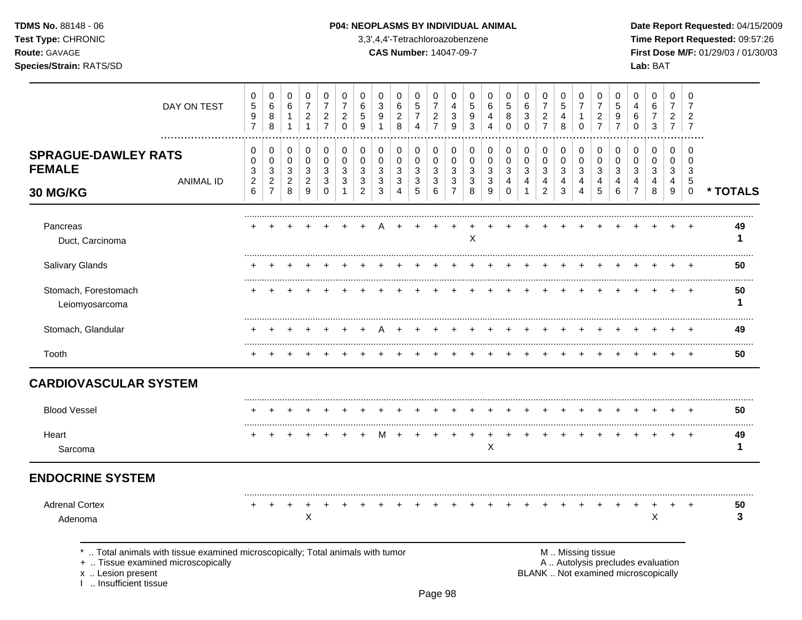### **TDMS No.** 88148 - 06 **P04: NEOPLASMS BY INDIVIDUAL ANIMAL** Date Report Requested: 04/15/2009

**Test Type:** CHRONIC 3,3',4,4'-Tetrachloroazobenzene **Time Report Requested:** 09:57:26 **Route:** GAVAGE **CAS Number:** 14047-09-7 **First Dose M/F:** 01/29/03 / 01/30/03 **Species/Strain:** RATS/SD **Lab:** BAT

|                                                         | DAY ON TEST                                                                                                        | 0<br>$\sqrt{5}$<br>9<br>$\overline{7}$                 | 0<br>$\,6$<br>8<br>8                                    | 0<br>$\,6\,$<br>$\mathbf 1$<br>1                        | $\pmb{0}$<br>$\overline{7}$<br>$\overline{c}$<br>$\mathbf{1}$ | 0<br>$\overline{7}$<br>$\overline{c}$<br>$\overline{7}$       | 0<br>$\overline{7}$<br>$\boldsymbol{2}$<br>$\mathbf 0$ | 0<br>6<br>5<br>9                   | $\mathbf 0$<br>$\mathbf{3}$<br>9<br>1 | 0<br>6<br>$\overline{c}$<br>8                | 0<br>$\sqrt{5}$<br>$\overline{7}$<br>$\overline{4}$ | 0<br>$\overline{7}$<br>$\overline{\mathbf{c}}$<br>$\overline{7}$ | 0<br>4<br>3<br>$\boldsymbol{9}$                       | 0<br>$\sqrt{5}$<br>9<br>3                  | 0<br>6<br>4<br>4      | 0<br>$\overline{5}$<br>8<br>$\mathbf 0$                | 0<br>$\,6$<br>3<br>$\Omega$             | 0<br>$\overline{7}$<br>$\frac{2}{7}$         | 0<br>5<br>4<br>8                | 0<br>$\overline{7}$<br>$\mathbf{1}$<br>$\mathbf 0$ | 0<br>$\overline{7}$<br>$\overline{c}$<br>$\overline{7}$ | 0<br>5<br>9<br>$\overline{7}$   | 0<br>4<br>6<br>0                                       | 0<br>6<br>7<br>3              | 0<br>$\overline{7}$<br>$\overline{c}$<br>$\overline{7}$ | 0<br>$\overline{7}$<br>$\overline{\mathbf{c}}$<br>$\overline{7}$ |          |
|---------------------------------------------------------|--------------------------------------------------------------------------------------------------------------------|--------------------------------------------------------|---------------------------------------------------------|---------------------------------------------------------|---------------------------------------------------------------|---------------------------------------------------------------|--------------------------------------------------------|------------------------------------|---------------------------------------|----------------------------------------------|-----------------------------------------------------|------------------------------------------------------------------|-------------------------------------------------------|--------------------------------------------|-----------------------|--------------------------------------------------------|-----------------------------------------|----------------------------------------------|---------------------------------|----------------------------------------------------|---------------------------------------------------------|---------------------------------|--------------------------------------------------------|-------------------------------|---------------------------------------------------------|------------------------------------------------------------------|----------|
| <b>SPRAGUE-DAWLEY RATS</b><br><b>FEMALE</b><br>30 MG/KG | <b>ANIMAL ID</b>                                                                                                   | 0<br>$\mathbf 0$<br>3<br>$\sqrt{2}$<br>$6\phantom{1}6$ | 0<br>$\pmb{0}$<br>3<br>$\overline{c}$<br>$\overline{7}$ | 0<br>$\pmb{0}$<br>$\mathbf{3}$<br>$\boldsymbol{2}$<br>8 | 0<br>$\pmb{0}$<br>3<br>$\overline{c}$<br>$\boldsymbol{9}$     | 0<br>$\pmb{0}$<br>$\mathbf{3}$<br>$\mathbf{3}$<br>$\mathbf 0$ | 0<br>$\mathbf 0$<br>3<br>3<br>1                        | 0<br>0<br>3<br>3<br>$\overline{c}$ | 0<br>$\Omega$<br>3<br>3<br>3          | 0<br>$\mathbf 0$<br>3<br>3<br>$\overline{4}$ | 0<br>$\pmb{0}$<br>$\mathbf{3}$<br>3<br>$\sqrt{5}$   | 0<br>$\pmb{0}$<br>3<br>3<br>6                                    | 0<br>$\pmb{0}$<br>3<br>$\mathbf{3}$<br>$\overline{7}$ | 0<br>$\mathbf 0$<br>$\mathbf{3}$<br>3<br>8 | 0<br>0<br>3<br>3<br>9 | 0<br>$\mathbf 0$<br>3<br>$\overline{4}$<br>$\mathbf 0$ | 0<br>$\pmb{0}$<br>3<br>4<br>$\mathbf 1$ | 0<br>$\mathbf 0$<br>3<br>4<br>$\overline{2}$ | 0<br>$\mathbf 0$<br>3<br>4<br>3 | 0<br>$\pmb{0}$<br>3<br>4<br>$\overline{4}$         | 0<br>$\mathbf 0$<br>3<br>4<br>5                         | 0<br>$\mathbf 0$<br>3<br>4<br>6 | 0<br>$\Omega$<br>3<br>$\overline{4}$<br>$\overline{7}$ | 0<br>$\pmb{0}$<br>3<br>4<br>8 | 0<br>$\pmb{0}$<br>3<br>4<br>9                           | 0<br>$\Omega$<br>3<br>$\sqrt{5}$<br>$\mathbf 0$                  | * TOTALS |
| Pancreas<br>Duct, Carcinoma                             |                                                                                                                    |                                                        |                                                         |                                                         |                                                               |                                                               |                                                        |                                    |                                       |                                              |                                                     |                                                                  |                                                       | Χ                                          |                       |                                                        |                                         |                                              |                                 |                                                    |                                                         |                                 |                                                        |                               |                                                         |                                                                  | 49<br>1  |
| Salivary Glands                                         |                                                                                                                    |                                                        |                                                         |                                                         |                                                               |                                                               |                                                        |                                    |                                       |                                              |                                                     |                                                                  |                                                       |                                            |                       |                                                        |                                         |                                              |                                 |                                                    |                                                         |                                 |                                                        |                               |                                                         |                                                                  | 50       |
| Stomach, Forestomach<br>Leiomyosarcoma                  |                                                                                                                    |                                                        |                                                         |                                                         |                                                               |                                                               |                                                        |                                    |                                       |                                              |                                                     |                                                                  |                                                       |                                            |                       |                                                        |                                         |                                              |                                 |                                                    |                                                         |                                 |                                                        |                               | $\ddot{}$                                               | $\ddot{}$                                                        | 50<br>1  |
| Stomach, Glandular                                      |                                                                                                                    |                                                        |                                                         |                                                         |                                                               |                                                               |                                                        |                                    |                                       |                                              |                                                     |                                                                  |                                                       |                                            |                       |                                                        |                                         |                                              |                                 |                                                    |                                                         |                                 |                                                        |                               |                                                         | $\div$                                                           | 49       |
| Tooth                                                   |                                                                                                                    |                                                        |                                                         |                                                         |                                                               |                                                               |                                                        |                                    |                                       |                                              |                                                     |                                                                  |                                                       |                                            |                       |                                                        |                                         |                                              |                                 |                                                    |                                                         |                                 |                                                        |                               |                                                         |                                                                  | 50       |
| <b>CARDIOVASCULAR SYSTEM</b>                            |                                                                                                                    |                                                        |                                                         |                                                         |                                                               |                                                               |                                                        |                                    |                                       |                                              |                                                     |                                                                  |                                                       |                                            |                       |                                                        |                                         |                                              |                                 |                                                    |                                                         |                                 |                                                        |                               |                                                         |                                                                  |          |
| <b>Blood Vessel</b>                                     |                                                                                                                    |                                                        |                                                         |                                                         |                                                               |                                                               |                                                        |                                    |                                       |                                              |                                                     |                                                                  |                                                       |                                            |                       |                                                        |                                         |                                              |                                 |                                                    |                                                         |                                 |                                                        |                               |                                                         |                                                                  | 50       |
| Heart<br>Sarcoma                                        |                                                                                                                    |                                                        |                                                         |                                                         |                                                               |                                                               |                                                        |                                    |                                       |                                              |                                                     |                                                                  |                                                       |                                            | X                     |                                                        |                                         |                                              |                                 |                                                    |                                                         |                                 |                                                        |                               | $\div$                                                  | $\overline{ }$                                                   | 49<br>1  |
| <b>ENDOCRINE SYSTEM</b>                                 |                                                                                                                    |                                                        |                                                         |                                                         |                                                               |                                                               |                                                        |                                    |                                       |                                              |                                                     |                                                                  |                                                       |                                            |                       |                                                        |                                         |                                              |                                 |                                                    |                                                         |                                 |                                                        |                               |                                                         |                                                                  |          |
| <b>Adrenal Cortex</b><br>Adenoma                        |                                                                                                                    |                                                        | $\pm$                                                   | $\ddot{}$                                               | $\cdot$<br>$\boldsymbol{\mathsf{X}}$                          |                                                               |                                                        |                                    |                                       |                                              |                                                     |                                                                  |                                                       |                                            |                       |                                                        |                                         |                                              |                                 |                                                    |                                                         |                                 |                                                        | +<br>X                        | +                                                       |                                                                  | 50<br>3  |
|                                                         | Total animals with tissue examined microscopically; Total animals with tumor<br>+  Tissue examined microscopically |                                                        |                                                         |                                                         |                                                               |                                                               |                                                        |                                    |                                       |                                              |                                                     |                                                                  |                                                       |                                            |                       |                                                        |                                         |                                              |                                 | M  Missing tissue                                  |                                                         |                                 | A  Autolysis precludes evaluation                      |                               |                                                         |                                                                  |          |

x .. Lesion present<br>I .. Insufficient tissue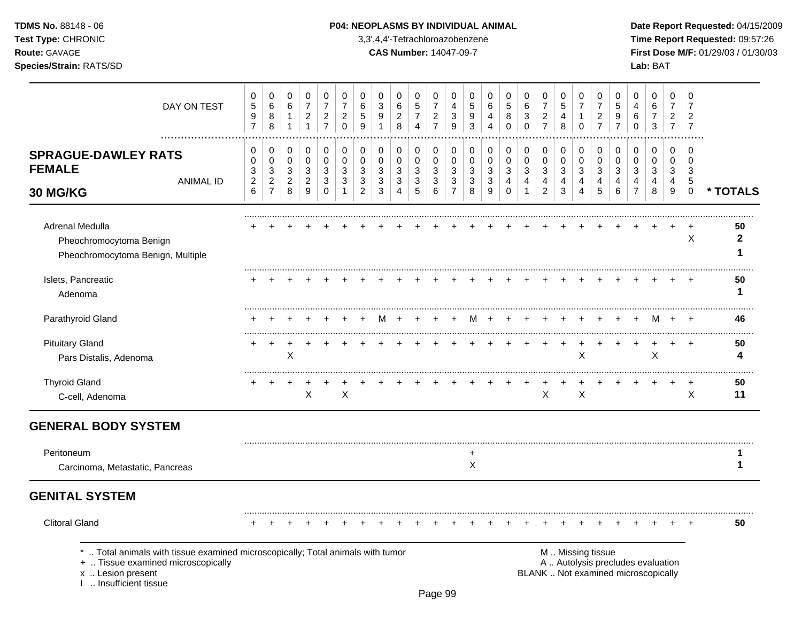### **TDMS No.** 88148 - 06 **P04: NEOPLASMS BY INDIVIDUAL ANIMAL** Date Report Requested: 04/15/2009

**Test Type:** CHRONIC 3,3',4,4'-Tetrachloroazobenzene **Time Report Requested:** 09:57:26 **Route:** GAVAGE **CAS Number:** 14047-09-7 **First Dose M/F:** 01/29/03 / 01/30/03 **Species/Strain:** RATS/SD **Lab:** BAT

| DAY ON TEST                                                                                                                                                    | 0<br>$\,$ 5 $\,$<br>$\mathsf g$<br>$\overline{7}$             | $\pmb{0}$<br>$\,6\,$<br>8<br>8              | 0<br>6<br>$\mathbf{1}$<br>$\mathbf{1}$         | 0<br>$\overline{7}$<br>$\boldsymbol{2}$<br>$\mathbf{1}$ | 0<br>$\overline{7}$<br>$\overline{c}$<br>$\overline{7}$ | 0<br>$\overline{7}$<br>$\overline{c}$<br>$\mathbf 0$     | 0<br>6<br>5<br>9                                         | 0<br>3<br>$\boldsymbol{9}$<br>1 | 0<br>6<br>$\overline{c}$<br>8 | 0<br>5<br>$\overline{7}$<br>$\overline{4}$     | 0<br>$\overline{7}$<br>$\boldsymbol{2}$<br>$\overline{7}$ | 0<br>4<br>3<br>9                    | 0<br>5<br>9<br>3         | 0<br>$\,6\,$<br>$\overline{4}$<br>$\overline{4}$ | 0<br>$\sqrt{5}$<br>8<br>$\mathbf 0$ | 0<br>$\,6\,$<br>$\ensuremath{\mathsf{3}}$<br>$\mathsf 0$      | 0<br>$\overline{7}$<br>$\frac{2}{7}$               | 0<br>5<br>4<br>8                                 | 0<br>$\overline{7}$<br>$\overline{1}$<br>$\mathbf 0$       | 0<br>$\overline{7}$<br>$\overline{c}$<br>$\overline{7}$  | 0<br>$\sqrt{5}$<br>9<br>$\overline{7}$ | 0<br>4<br>6<br>$\mathbf 0$              | 0<br>$\,6\,$<br>$\overline{7}$<br>$\mathbf{3}$                           | $\mathbf 0$<br>$\overline{7}$<br>$\overline{c}$<br>$\overline{7}$ | 0<br>$\overline{7}$<br>$\overline{2}$<br>$\overline{7}$ |                         |
|----------------------------------------------------------------------------------------------------------------------------------------------------------------|---------------------------------------------------------------|---------------------------------------------|------------------------------------------------|---------------------------------------------------------|---------------------------------------------------------|----------------------------------------------------------|----------------------------------------------------------|---------------------------------|-------------------------------|------------------------------------------------|-----------------------------------------------------------|-------------------------------------|--------------------------|--------------------------------------------------|-------------------------------------|---------------------------------------------------------------|----------------------------------------------------|--------------------------------------------------|------------------------------------------------------------|----------------------------------------------------------|----------------------------------------|-----------------------------------------|--------------------------------------------------------------------------|-------------------------------------------------------------------|---------------------------------------------------------|-------------------------|
| .<br><b>SPRAGUE-DAWLEY RATS</b><br><b>FEMALE</b><br><b>ANIMAL ID</b>                                                                                           | 0<br>$\pmb{0}$<br>$\ensuremath{\mathsf{3}}$<br>$\overline{c}$ | 0<br>$\pmb{0}$<br>$\mathbf 3$<br>$\sqrt{2}$ | 0<br>$\pmb{0}$<br>$\sqrt{3}$<br>$\overline{c}$ | 0<br>$\mathbf 0$<br>$\mathbf{3}$<br>$\boldsymbol{2}$    | 0<br>$\mathbf 0$<br>3<br>3                              | $\pmb{0}$<br>$\mathbf 0$<br>$\mathbf{3}$<br>$\mathbf{3}$ | $\pmb{0}$<br>$\mathbf 0$<br>$\mathbf{3}$<br>$\mathbf{3}$ | 0<br>0<br>3<br>$\mathbf{3}$     | 0<br>$\mathbf 0$<br>3<br>3    | 0<br>$\mathbf 0$<br>$\sqrt{3}$<br>$\mathbf{3}$ | 0<br>$\pmb{0}$<br>$\mathbf{3}$<br>$\mathbf{3}$            | 0<br>$\mathbf 0$<br>3<br>$\sqrt{3}$ | 0<br>$\pmb{0}$<br>3<br>3 | 0<br>$\mathbf 0$<br>$\mathbf{3}$<br>$\sqrt{3}$   | 0<br>$\pmb{0}$<br>$\mathbf{3}$<br>4 | 0<br>$\pmb{0}$<br>$\ensuremath{\mathsf{3}}$<br>$\overline{4}$ | 0<br>$\mathbf 0$<br>$\ensuremath{\mathsf{3}}$<br>4 | 0<br>$\mathsf 0$<br>3<br>$\overline{\mathbf{4}}$ | $\mathbf 0$<br>$\pmb{0}$<br>$\mathbf{3}$<br>$\overline{4}$ | $\pmb{0}$<br>$\pmb{0}$<br>$\mathbf{3}$<br>$\overline{4}$ | 0<br>$\mathbf 0$<br>3<br>4             | 0<br>$\mathbf 0$<br>3<br>$\overline{4}$ | 0<br>$\pmb{0}$<br>$\ensuremath{\mathsf{3}}$<br>$\overline{4}$            | $\mathbf 0$<br>0<br>$\sqrt{3}$<br>4                               | $\Omega$<br>$\mathbf 0$<br>3<br>$\overline{5}$          |                         |
| 30 MG/KG                                                                                                                                                       | $\,6$                                                         | $\overline{7}$                              | 8                                              | 9                                                       | $\mathbf 0$                                             |                                                          | $\overline{2}$                                           | 3                               | 4                             | 5                                              | 6                                                         | $\overline{7}$                      | 8                        | 9                                                | $\Omega$                            |                                                               | $\overline{2}$                                     | 3                                                | $\overline{4}$                                             | 5                                                        | 6                                      | $\overline{7}$                          | 8                                                                        | 9                                                                 | $\mathbf 0$                                             | * TOTALS                |
| Adrenal Medulla<br>Pheochromocytoma Benign<br>Pheochromocytoma Benign, Multiple                                                                                |                                                               |                                             |                                                |                                                         |                                                         |                                                          |                                                          |                                 |                               |                                                |                                                           |                                     |                          |                                                  |                                     |                                                               |                                                    |                                                  |                                                            |                                                          |                                        |                                         |                                                                          |                                                                   | X                                                       | 50<br>$\mathbf{2}$<br>1 |
| Islets, Pancreatic<br>Adenoma                                                                                                                                  |                                                               |                                             |                                                |                                                         |                                                         |                                                          |                                                          |                                 |                               |                                                |                                                           |                                     |                          |                                                  |                                     |                                                               |                                                    |                                                  |                                                            |                                                          |                                        |                                         |                                                                          |                                                                   |                                                         | 50<br>1                 |
| Parathyroid Gland                                                                                                                                              |                                                               |                                             |                                                |                                                         |                                                         |                                                          |                                                          |                                 |                               |                                                |                                                           |                                     | м                        |                                                  |                                     |                                                               |                                                    |                                                  |                                                            |                                                          |                                        |                                         | м                                                                        |                                                                   |                                                         | 46                      |
| <b>Pituitary Gland</b><br>Pars Distalis, Adenoma                                                                                                               |                                                               |                                             | X                                              |                                                         |                                                         |                                                          |                                                          |                                 |                               |                                                |                                                           |                                     |                          |                                                  |                                     |                                                               |                                                    |                                                  | X                                                          |                                                          |                                        |                                         | X                                                                        |                                                                   |                                                         | 50<br>4                 |
| <b>Thyroid Gland</b><br>C-cell, Adenoma                                                                                                                        |                                                               | $\ddot{}$                                   |                                                | $\mathsf{X}$                                            |                                                         | X                                                        |                                                          |                                 |                               |                                                |                                                           |                                     |                          |                                                  |                                     |                                                               | X                                                  |                                                  | X                                                          |                                                          |                                        |                                         |                                                                          |                                                                   | $\ddot{}$<br>X                                          | 50<br>11                |
| <b>GENERAL BODY SYSTEM</b>                                                                                                                                     |                                                               |                                             |                                                |                                                         |                                                         |                                                          |                                                          |                                 |                               |                                                |                                                           |                                     |                          |                                                  |                                     |                                                               |                                                    |                                                  |                                                            |                                                          |                                        |                                         |                                                                          |                                                                   |                                                         |                         |
| Peritoneum<br>Carcinoma, Metastatic, Pancreas                                                                                                                  |                                                               |                                             |                                                |                                                         |                                                         |                                                          |                                                          |                                 |                               |                                                |                                                           |                                     | $\ddot{}$<br>X           |                                                  |                                     |                                                               |                                                    |                                                  |                                                            |                                                          |                                        |                                         |                                                                          |                                                                   |                                                         | $\mathbf 1$             |
| <b>GENITAL SYSTEM</b>                                                                                                                                          |                                                               |                                             |                                                |                                                         |                                                         |                                                          |                                                          |                                 |                               |                                                |                                                           |                                     |                          |                                                  |                                     |                                                               |                                                    |                                                  |                                                            |                                                          |                                        |                                         |                                                                          |                                                                   |                                                         |                         |
| <b>Clitoral Gland</b>                                                                                                                                          | $\div$                                                        | $\div$                                      |                                                |                                                         |                                                         |                                                          |                                                          |                                 |                               |                                                |                                                           |                                     |                          |                                                  |                                     |                                                               |                                                    |                                                  |                                                            |                                                          |                                        |                                         |                                                                          |                                                                   |                                                         | 50                      |
| Total animals with tissue examined microscopically; Total animals with tumor<br>+  Tissue examined microscopically<br>x  Lesion present<br>Insufficient tissue |                                                               |                                             |                                                |                                                         |                                                         |                                                          |                                                          |                                 |                               |                                                |                                                           |                                     |                          |                                                  |                                     |                                                               |                                                    |                                                  |                                                            | M  Missing tissue                                        |                                        |                                         | A  Autolysis precludes evaluation<br>BLANK  Not examined microscopically |                                                                   |                                                         |                         |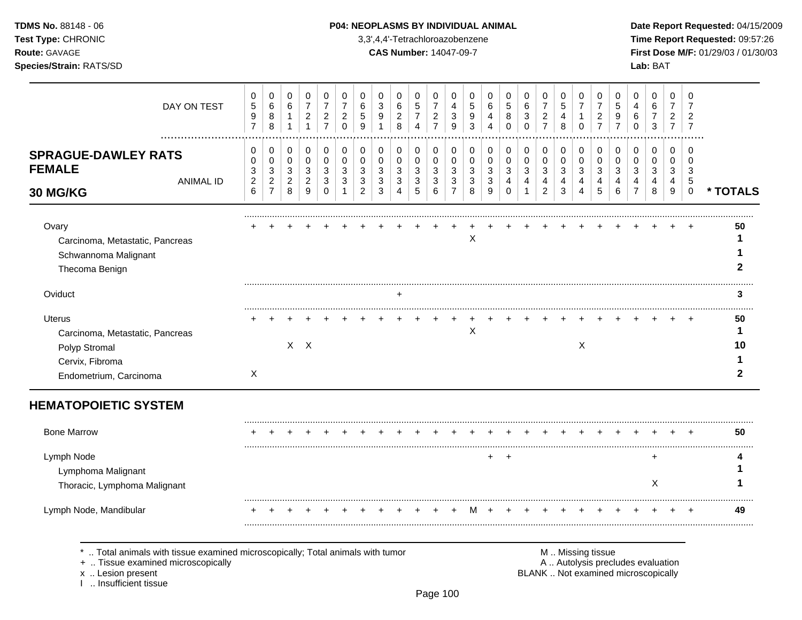| <b>TDMS No. 88148 - 06</b>                       |
|--------------------------------------------------|
| <b>Test Type: CHRONIC</b>                        |
| <b>Route: GAVAGE</b>                             |
| $\sim$ $\sim$ $\sim$ $\sim$ $\sim$ $\sim$ $\sim$ |

### **P04: NEOPLASMS BY INDIVIDUAL ANIMAL Date Report Requested: 04/15/2009**

**Time Report Requested:** 09:57:26 **CAS Number:** 14047-09-7 **First Dose M/F:** 01/29/03 / 01/30/03 **Species/Strain:** RATS/SD **Lab:** BAT

| DAY ON TEST                                                                                                        | 0<br>$\mathbf 5$<br>$\boldsymbol{9}$<br>$\overline{7}$                 | 0<br>6<br>$\,8\,$<br>8                                                  | 0<br>$\,6$<br>$\mathbf{1}$<br>1                   | 0<br>$\boldsymbol{7}$<br>$\overline{c}$<br>$\mathbf{1}$            | 0<br>$\overline{7}$<br>$\boldsymbol{2}$<br>$\overline{7}$ | 0<br>7<br>$\overline{c}$<br>$\mathbf 0$ | 0<br>6<br>5<br>9                   | 0<br>3<br>9                     | 0<br>6<br>$\boldsymbol{2}$<br>8 | 0<br>$\sqrt{5}$<br>$\boldsymbol{7}$<br>$\overline{4}$ | 0<br>$\overline{7}$<br>$\overline{c}$<br>$\overline{7}$ | 0<br>4<br>3<br>9                                                     | 0<br>$\mathbf 5$<br>9<br>3 | 0<br>6<br>4<br>4      | 0<br>$\overline{5}$<br>8<br>$\Omega$                           | 0<br>6<br>3<br>$\Omega$ | 0<br>$\boldsymbol{7}$<br>$\overline{\mathbf{c}}$<br>$\overline{7}$ | 0<br>$\mathbf 5$<br>4<br>8                              | 0<br>$\overline{7}$<br>$\mathbf{1}$<br>$\Omega$ | 0<br>$\overline{7}$<br>$\overline{c}$<br>$\overline{7}$ | 0<br>5<br>9<br>$\overline{7}$ | 0<br>4<br>6<br>$\Omega$            | 0<br>6<br>$\overline{7}$<br>3 | 0<br>$\overline{7}$<br>$\overline{a}$<br>$\overline{7}$ | 0<br>$\overline{7}$<br>2<br>$\overline{7}$ |                    |
|--------------------------------------------------------------------------------------------------------------------|------------------------------------------------------------------------|-------------------------------------------------------------------------|---------------------------------------------------|--------------------------------------------------------------------|-----------------------------------------------------------|-----------------------------------------|------------------------------------|---------------------------------|---------------------------------|-------------------------------------------------------|---------------------------------------------------------|----------------------------------------------------------------------|----------------------------|-----------------------|----------------------------------------------------------------|-------------------------|--------------------------------------------------------------------|---------------------------------------------------------|-------------------------------------------------|---------------------------------------------------------|-------------------------------|------------------------------------|-------------------------------|---------------------------------------------------------|--------------------------------------------|--------------------|
| <b>SPRAGUE-DAWLEY RATS</b><br><b>FEMALE</b><br><b>ANIMAL ID</b>                                                    | $\mathbf 0$<br>0<br>$\ensuremath{\mathsf{3}}$<br>$\boldsymbol{2}$<br>6 | 0<br>0<br>$\ensuremath{\mathsf{3}}$<br>$\overline{c}$<br>$\overline{7}$ | 0<br>$\mathbf 0$<br>$\sqrt{3}$<br>$\sqrt{2}$<br>8 | 0<br>$\pmb{0}$<br>$\ensuremath{\mathsf{3}}$<br>$\overline{2}$<br>9 | 0<br>$\mathbf 0$<br>3<br>3<br>$\mathbf 0$                 | 0<br>0<br>3<br>3                        | 0<br>0<br>3<br>3<br>$\overline{2}$ | 0<br>$\mathbf 0$<br>3<br>3<br>3 | 0<br>$\mathbf 0$<br>3<br>3<br>4 | 0<br>0<br>3<br>3<br>5                                 | 0<br>$\mathbf 0$<br>$\sqrt{3}$<br>3<br>6                | 0<br>$\mathbf 0$<br>3<br>$\ensuremath{\mathsf{3}}$<br>$\overline{7}$ | 0<br>0<br>3<br>3<br>8      | 0<br>0<br>3<br>3<br>9 | 0<br>$\mathbf 0$<br>$\ensuremath{\mathsf{3}}$<br>4<br>$\Omega$ | 0<br>0<br>3<br>4        | 0<br>$\mathbf 0$<br>$\sqrt{3}$<br>4<br>$\overline{c}$              | 0<br>$\mathbf 0$<br>$\ensuremath{\mathsf{3}}$<br>4<br>3 | 0<br>$\pmb{0}$<br>3<br>4<br>4                   | 0<br>$\mathbf 0$<br>3<br>4<br>5                         | 0<br>0<br>3<br>4<br>6         | 0<br>0<br>3<br>4<br>$\overline{7}$ | 0<br>0<br>3<br>4<br>8         | 0<br>0<br>3<br>$\overline{4}$<br>9                      | $\Omega$<br>0<br>3<br>5<br>$\mathbf 0$     | * TOTALS           |
| 30 MG/KG                                                                                                           |                                                                        |                                                                         |                                                   |                                                                    |                                                           |                                         |                                    |                                 |                                 |                                                       |                                                         |                                                                      |                            |                       |                                                                |                         |                                                                    |                                                         |                                                 |                                                         |                               |                                    |                               |                                                         |                                            |                    |
| Ovary<br>Carcinoma, Metastatic, Pancreas<br>Schwannoma Malignant<br>Thecoma Benign                                 |                                                                        |                                                                         |                                                   |                                                                    |                                                           |                                         |                                    |                                 |                                 |                                                       |                                                         |                                                                      | Χ                          |                       |                                                                |                         |                                                                    |                                                         |                                                 |                                                         |                               |                                    |                               |                                                         |                                            | 50<br>1<br>2       |
| Oviduct                                                                                                            |                                                                        |                                                                         |                                                   |                                                                    |                                                           |                                         |                                    |                                 | $\ddot{}$                       |                                                       |                                                         |                                                                      |                            |                       |                                                                |                         |                                                                    |                                                         |                                                 |                                                         |                               |                                    |                               |                                                         |                                            | 3                  |
| Uterus<br>Carcinoma, Metastatic, Pancreas<br>Polyp Stromal<br>Cervix, Fibroma<br>Endometrium, Carcinoma            | $\boldsymbol{\mathsf{X}}$                                              |                                                                         |                                                   | $X$ $X$                                                            |                                                           |                                         |                                    |                                 |                                 |                                                       |                                                         |                                                                      | Χ                          |                       |                                                                |                         |                                                                    |                                                         | Χ                                               |                                                         |                               |                                    |                               |                                                         |                                            | 50<br>1<br>10<br>2 |
| <b>HEMATOPOIETIC SYSTEM</b>                                                                                        |                                                                        |                                                                         |                                                   |                                                                    |                                                           |                                         |                                    |                                 |                                 |                                                       |                                                         |                                                                      |                            |                       |                                                                |                         |                                                                    |                                                         |                                                 |                                                         |                               |                                    |                               |                                                         |                                            |                    |
| <b>Bone Marrow</b>                                                                                                 |                                                                        |                                                                         |                                                   |                                                                    |                                                           |                                         |                                    |                                 |                                 |                                                       |                                                         |                                                                      |                            |                       |                                                                |                         |                                                                    |                                                         |                                                 |                                                         |                               |                                    |                               |                                                         |                                            | 50                 |
| Lymph Node<br>Lymphoma Malignant<br>Thoracic, Lymphoma Malignant                                                   |                                                                        |                                                                         |                                                   |                                                                    |                                                           |                                         |                                    |                                 |                                 |                                                       |                                                         |                                                                      |                            | $\ddot{}$             | $\ddot{}$                                                      |                         |                                                                    |                                                         |                                                 |                                                         |                               |                                    | $\ddot{}$<br>X                |                                                         |                                            | 1                  |
| Lymph Node, Mandibular                                                                                             |                                                                        |                                                                         |                                                   |                                                                    |                                                           |                                         |                                    |                                 |                                 |                                                       |                                                         |                                                                      |                            |                       |                                                                |                         |                                                                    |                                                         |                                                 |                                                         |                               |                                    |                               |                                                         |                                            | 49                 |
| Total animals with tissue examined microscopically; Total animals with tumor<br>+  Tissue examined microscopically |                                                                        |                                                                         |                                                   |                                                                    |                                                           |                                         |                                    |                                 |                                 |                                                       |                                                         |                                                                      |                            |                       |                                                                |                         |                                                                    | M  Missing tissue                                       |                                                 |                                                         |                               | A  Autolysis precludes evaluation  |                               |                                                         |                                            |                    |

x .. Lesion present<br>I .. Insufficient tissue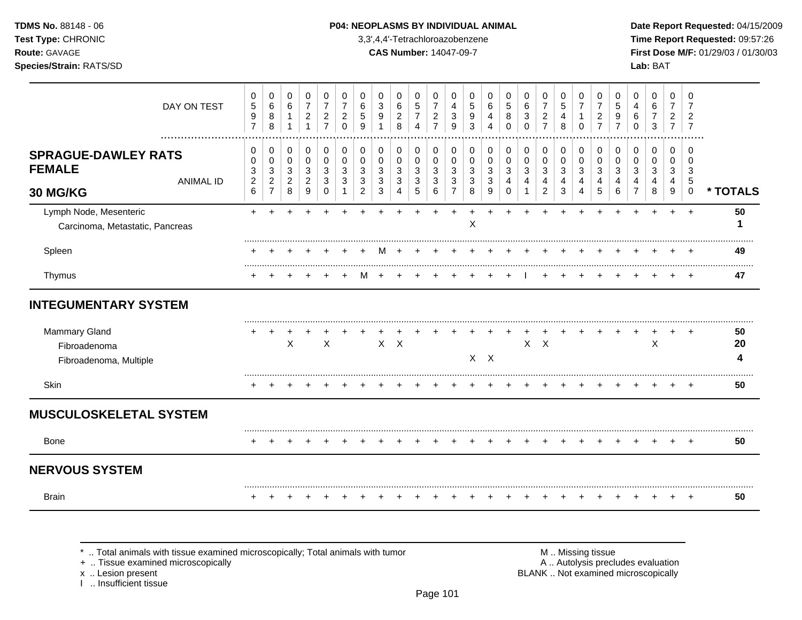### **TDMS No.** 88148 - 06 **P04: NEOPLASMS BY INDIVIDUAL ANIMAL** Date Report Requested: 04/15/2009

**Test Type:** CHRONIC 3,3',4,4'-Tetrachloroazobenzene **Time Report Requested:** 09:57:26 **Route:** GAVAGE **CAS Number:** 14047-09-7 **First Dose M/F:** 01/29/03 / 01/30/03 **Species/Strain:** RATS/SD **Lab:** BAT

| <b>Brain</b>                                                   |                  |                                                        |                                                            |                                               |                                                     |                                                                           |                                                   |                                    |                                        |                               |                                                             |                                                         |                                               |                       |                       |                                         |                            |                                                         |                                          |                                  |                               |                               |                  |                       |                                            | $\pm$                                        | 50       |
|----------------------------------------------------------------|------------------|--------------------------------------------------------|------------------------------------------------------------|-----------------------------------------------|-----------------------------------------------------|---------------------------------------------------------------------------|---------------------------------------------------|------------------------------------|----------------------------------------|-------------------------------|-------------------------------------------------------------|---------------------------------------------------------|-----------------------------------------------|-----------------------|-----------------------|-----------------------------------------|----------------------------|---------------------------------------------------------|------------------------------------------|----------------------------------|-------------------------------|-------------------------------|------------------|-----------------------|--------------------------------------------|----------------------------------------------|----------|
| <b>NERVOUS SYSTEM</b>                                          |                  |                                                        |                                                            |                                               |                                                     |                                                                           |                                                   |                                    |                                        |                               |                                                             |                                                         |                                               |                       |                       |                                         |                            |                                                         |                                          |                                  |                               |                               |                  |                       |                                            |                                              |          |
| Bone                                                           |                  |                                                        |                                                            |                                               |                                                     |                                                                           |                                                   |                                    |                                        |                               |                                                             |                                                         |                                               |                       |                       |                                         |                            |                                                         |                                          |                                  |                               |                               |                  |                       |                                            |                                              | 50       |
| <b>MUSCULOSKELETAL SYSTEM</b>                                  |                  |                                                        |                                                            |                                               |                                                     |                                                                           |                                                   |                                    |                                        |                               |                                                             |                                                         |                                               |                       |                       |                                         |                            |                                                         |                                          |                                  |                               |                               |                  |                       |                                            |                                              |          |
| Skin                                                           |                  |                                                        |                                                            |                                               |                                                     |                                                                           |                                                   |                                    |                                        |                               |                                                             |                                                         |                                               |                       |                       |                                         |                            |                                                         |                                          |                                  |                               |                               |                  |                       |                                            |                                              | 50       |
| Fibroadenoma, Multiple                                         |                  |                                                        |                                                            |                                               |                                                     |                                                                           |                                                   |                                    |                                        |                               |                                                             |                                                         |                                               |                       | $X$ $X$               |                                         |                            |                                                         |                                          |                                  |                               |                               |                  |                       |                                            |                                              |          |
| <b>Mammary Gland</b><br>Fibroadenoma                           |                  |                                                        |                                                            | $\mathsf{X}$                                  |                                                     | $\boldsymbol{\mathsf{X}}$                                                 |                                                   |                                    |                                        | $X$ $X$                       |                                                             |                                                         |                                               |                       |                       |                                         | $\mathsf{X}$               | $\mathsf{X}$                                            |                                          |                                  |                               |                               |                  | X                     |                                            |                                              | 50<br>20 |
| <b>INTEGUMENTARY SYSTEM</b>                                    |                  |                                                        |                                                            |                                               |                                                     |                                                                           |                                                   |                                    |                                        |                               |                                                             |                                                         |                                               |                       |                       |                                         |                            |                                                         |                                          |                                  |                               |                               |                  |                       |                                            |                                              |          |
| Thymus                                                         |                  |                                                        |                                                            |                                               |                                                     |                                                                           |                                                   |                                    |                                        |                               |                                                             |                                                         |                                               |                       |                       |                                         |                            |                                                         |                                          |                                  |                               |                               |                  |                       |                                            |                                              | 47       |
| Spleen                                                         |                  |                                                        |                                                            |                                               |                                                     |                                                                           |                                                   |                                    |                                        |                               |                                                             |                                                         |                                               |                       |                       |                                         |                            |                                                         |                                          |                                  |                               |                               |                  |                       |                                            |                                              | 49       |
| Lymph Node, Mesenteric<br>Carcinoma, Metastatic, Pancreas      |                  | $+$                                                    | $\div$                                                     | ÷                                             |                                                     | ÷                                                                         |                                                   |                                    |                                        |                               |                                                             |                                                         |                                               | X                     |                       |                                         |                            |                                                         |                                          |                                  |                               | +                             | ÷                | $\ddot{}$             | $+$                                        | $+$                                          | 50       |
| <b>SPRAGUE-DAWLEY RATS</b><br><b>FEMALE</b><br><b>30 MG/KG</b> | <b>ANIMAL ID</b> | 0<br>0<br>3<br>$\overline{c}$<br>6                     | 0<br>0<br>$\mathbf{3}$<br>$\overline{a}$<br>$\overline{7}$ | 0<br>0<br>$\mathbf{3}$<br>$\overline{2}$<br>8 | 0<br>$\pmb{0}$<br>$\sqrt{3}$<br>$\overline{c}$<br>9 | 0<br>$\pmb{0}$<br>$\mathbf{3}$<br>3<br>$\Omega$                           | 0<br>$\mathbf 0$<br>3<br>3                        | 0<br>0<br>3<br>3<br>$\overline{2}$ | $\mathbf 0$<br>$\Omega$<br>3<br>3<br>3 | 0<br>0<br>3<br>3<br>4         | 0<br>0<br>$\mathbf{3}$<br>3<br>5                            | 0<br>0<br>3<br>3<br>6                                   | 0<br>0<br>$\mathbf{3}$<br>3<br>$\overline{7}$ | 0<br>0<br>3<br>3<br>8 | 0<br>0<br>3<br>3<br>9 | 0<br>0<br>$\mathbf{3}$<br>4<br>$\Omega$ | $\mathbf 0$<br>0<br>3<br>4 | 0<br>0<br>$\sqrt{3}$<br>4<br>2                          | 0<br>$\pmb{0}$<br>$\mathbf{3}$<br>4<br>3 | 0<br>0<br>$\mathbf{3}$<br>4<br>4 | 0<br>0<br>3<br>4<br>5         | 0<br>0<br>3<br>4<br>6         | 0<br>0<br>3<br>4 | 0<br>0<br>3<br>4<br>8 | $\mathbf 0$<br>0<br>3<br>4<br>9            | $\Omega$<br>0<br>3<br>$\sqrt{5}$<br>$\Omega$ | * TOTALS |
|                                                                | DAY ON TEST      | 0<br>$\,$ 5 $\,$<br>$\boldsymbol{9}$<br>$\overline{7}$ | 0<br>$\,6\,$<br>8<br>8                                     | 0<br>6<br>$\mathbf{1}$                        | 0<br>$\overline{7}$<br>$\boldsymbol{2}$<br>1        | 0<br>$\overline{\mathbf{7}}$<br>$\overline{\mathbf{c}}$<br>$\overline{7}$ | 0<br>$\overline{7}$<br>$\overline{c}$<br>$\Omega$ | 0<br>6<br>5<br>9                   | 0<br>3<br>9                            | 0<br>6<br>$\overline{c}$<br>8 | 0<br>$\sqrt{5}$<br>$\overline{7}$<br>$\boldsymbol{\Lambda}$ | 0<br>$\overline{7}$<br>$\overline{c}$<br>$\overline{7}$ | 0<br>4<br>3<br>9                              | 0<br>5<br>9<br>3      | 0<br>6<br>4           | 0<br>$\sqrt{5}$<br>8<br>$\Omega$        | 0<br>6<br>3<br>$\Omega$    | 0<br>$\overline{7}$<br>$\overline{c}$<br>$\overline{7}$ | 0<br>$\,$ 5 $\,$<br>4<br>8               | 0<br>$\overline{7}$<br>$\Omega$  | 0<br>7<br>2<br>$\overline{7}$ | 0<br>5<br>9<br>$\overline{7}$ | 0<br>4<br>6<br>0 | 0<br>6<br>3           | 0<br>$\overline{7}$<br>2<br>$\overline{7}$ | 0<br>7<br>$\mathfrak{p}$<br>7                |          |

+ .. Tissue examined microscopically

x .. Lesion present<br>I .. Insufficient tissue

\* .. Total animals with tissue examined microscopically; Total animals with tumor **M** metally more than M .. Missing tissue<br>  $\blacksquare$  Tissue examined microscopically BLANK .. Not examined microscopically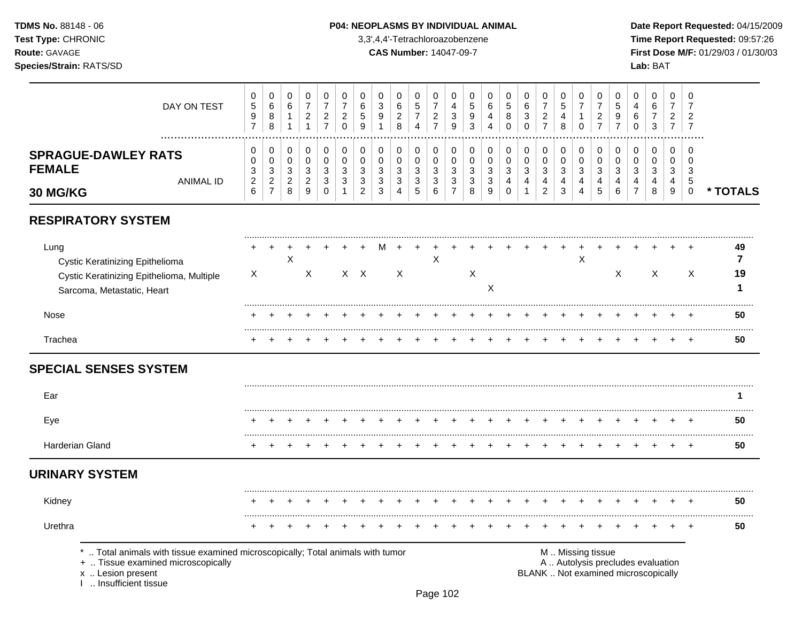### **TDMS No.** 88148 - 06 **P04: NEOPLASMS BY INDIVIDUAL ANIMAL** Date Report Requested: 04/15/2009

**Test Type:** CHRONIC 3,3',4,4'-Tetrachloroazobenzene **Time Report Requested:** 09:57:26 **Route:** GAVAGE **CAS Number:** 14047-09-7 **First Dose M/F:** 01/29/03 / 01/30/03

|                                                                                                                    | DAY ON TEST                                                                                                        | 0<br>$\sqrt{5}$<br>9<br>$\overline{7}$ | $\pmb{0}$<br>$\,6\,$<br>$\,8\,$<br>8 | 0<br>$\,6$<br>$\mathbf{1}$<br>$\mathbf{1}$ | $\pmb{0}$<br>$\overline{7}$<br>$\overline{c}$<br>$\mathbf{1}$   | $\pmb{0}$<br>$\overline{7}$<br>$\overline{c}$<br>$\overline{7}$ | $\,0\,$<br>$\overline{7}$<br>$\overline{c}$<br>$\mathbf 0$      | $\mathbf 0$<br>6<br>5<br>9 | 0<br>3<br>9<br>1            | 0<br>$\,6$<br>$\overline{c}$<br>8              | 0<br>5<br>$\boldsymbol{7}$<br>$\overline{4}$ | $\,0\,$<br>$\overline{7}$<br>$\overline{c}$<br>$\overline{7}$ | $\mathbf 0$<br>4<br>$\ensuremath{\mathsf{3}}$<br>$\boldsymbol{9}$ | 0<br>$\mathbf 5$<br>9<br>3                          | 0<br>6<br>4<br>$\overline{4}$                       | 0<br>5<br>8<br>$\mathbf 0$ | $\pmb{0}$<br>$\,6\,$<br>3<br>$\mathsf 0$                | $\,0\,$<br>$\overline{7}$<br>$\overline{c}$<br>$\overline{7}$ | $\boldsymbol{0}$<br>5<br>$\overline{\mathbf{4}}$<br>8 | 0<br>$\overline{7}$<br>$\mathbf{1}$<br>$\mathbf 0$ | 0<br>$\overline{7}$<br>$\overline{c}$<br>$\overline{7}$ | 0<br>5<br>9<br>$\overline{7}$ | 0<br>4<br>6<br>$\mathbf 0$                                               | $\,0\,$<br>6<br>$\overline{7}$<br>3                | $\pmb{0}$<br>$\overline{7}$<br>$\overline{c}$<br>$\overline{7}$ | 0<br>7<br>2<br>$\overline{7}$               |                    |
|--------------------------------------------------------------------------------------------------------------------|--------------------------------------------------------------------------------------------------------------------|----------------------------------------|--------------------------------------|--------------------------------------------|-----------------------------------------------------------------|-----------------------------------------------------------------|-----------------------------------------------------------------|----------------------------|-----------------------------|------------------------------------------------|----------------------------------------------|---------------------------------------------------------------|-------------------------------------------------------------------|-----------------------------------------------------|-----------------------------------------------------|----------------------------|---------------------------------------------------------|---------------------------------------------------------------|-------------------------------------------------------|----------------------------------------------------|---------------------------------------------------------|-------------------------------|--------------------------------------------------------------------------|----------------------------------------------------|-----------------------------------------------------------------|---------------------------------------------|--------------------|
| <b>SPRAGUE-DAWLEY RATS</b><br><b>FEMALE</b>                                                                        | <b>ANIMAL ID</b>                                                                                                   | 0<br>0<br>$\frac{3}{2}$                | 0<br>0<br>$\sqrt{3}$<br>$\sqrt{2}$   | 0<br>$\pmb{0}$<br>3<br>$\overline{2}$      | 0<br>$\mathsf 0$<br>$\ensuremath{\mathsf{3}}$<br>$\overline{c}$ | 0<br>$\pmb{0}$<br>3<br>3                                        | $\,0\,$<br>$\pmb{0}$<br>$\ensuremath{\mathsf{3}}$<br>$\sqrt{3}$ | $\pmb{0}$<br>0<br>3<br>3   | 0<br>0<br>3<br>$\mathbf{3}$ | 0<br>$\mathbf 0$<br>$\sqrt{3}$<br>$\mathbf{3}$ | 0<br>0<br>$\mathbf{3}$<br>$\mathbf{3}$       | 0<br>0<br>$\sqrt{3}$<br>$\mathbf{3}$                          | 0<br>0<br>$\sqrt{3}$<br>$\sqrt{3}$                                | 0<br>0<br>$\ensuremath{\mathsf{3}}$<br>$\mathbf{3}$ | 0<br>0<br>$\mathbf{3}$<br>$\ensuremath{\mathsf{3}}$ | 0<br>0<br>3<br>4           | 0<br>$\pmb{0}$<br>$\sqrt{3}$<br>$\overline{\mathbf{4}}$ | 0<br>$\mathsf 0$<br>$\sqrt{3}$<br>$\overline{4}$              | 0<br>0<br>3<br>4                                      | 0<br>0<br>$\sqrt{3}$<br>4                          | 0<br>0<br>3<br>$\overline{4}$                           | 0<br>0<br>3<br>4              | 0<br>$\mathbf 0$<br>3<br>4                                               | 0<br>$\mathbf 0$<br>$\mathbf{3}$<br>$\overline{4}$ | 0<br>0<br>$\mathbf{3}$<br>$\overline{4}$                        | 0<br>$\Omega$<br>$\mathbf{3}$<br>$\sqrt{5}$ |                    |
| 30 MG/KG                                                                                                           |                                                                                                                    | 6                                      | $\overline{7}$                       | 8                                          | 9                                                               | 0                                                               | $\mathbf{1}$                                                    | $\overline{c}$             | 3                           |                                                | $\sqrt{5}$                                   | 6                                                             | $\overline{7}$                                                    | $\,8\,$                                             | 9                                                   | $\Omega$                   |                                                         | $\overline{2}$                                                | 3                                                     | 4                                                  | 5                                                       | 6                             | $\overline{7}$                                                           | 8                                                  | 9                                                               | $\mathbf 0$                                 | * TOTALS           |
| <b>RESPIRATORY SYSTEM</b>                                                                                          |                                                                                                                    |                                        |                                      |                                            |                                                                 |                                                                 |                                                                 |                            |                             |                                                |                                              |                                                               |                                                                   |                                                     |                                                     |                            |                                                         |                                                               |                                                       |                                                    |                                                         |                               |                                                                          |                                                    |                                                                 |                                             |                    |
| Lung<br>Cystic Keratinizing Epithelioma<br>Cystic Keratinizing Epithelioma, Multiple<br>Sarcoma, Metastatic, Heart |                                                                                                                    | X                                      |                                      | $\pmb{\times}$                             | X                                                               |                                                                 |                                                                 | $X \times$                 |                             | X                                              |                                              | $\mathsf X$                                                   |                                                                   | X                                                   | $\times$                                            |                            |                                                         |                                                               |                                                       | $\boldsymbol{\mathsf{X}}$                          |                                                         | X                             |                                                                          | X                                                  |                                                                 | X                                           | 49<br>7<br>19<br>1 |
| Nose                                                                                                               |                                                                                                                    |                                        |                                      |                                            |                                                                 |                                                                 |                                                                 |                            |                             |                                                |                                              |                                                               |                                                                   |                                                     |                                                     |                            |                                                         |                                                               |                                                       |                                                    |                                                         |                               |                                                                          |                                                    |                                                                 |                                             | 50                 |
| Trachea                                                                                                            |                                                                                                                    |                                        |                                      |                                            |                                                                 |                                                                 |                                                                 |                            |                             |                                                |                                              |                                                               |                                                                   |                                                     |                                                     |                            |                                                         |                                                               |                                                       |                                                    |                                                         |                               |                                                                          |                                                    |                                                                 |                                             | 50                 |
| <b>SPECIAL SENSES SYSTEM</b>                                                                                       |                                                                                                                    |                                        |                                      |                                            |                                                                 |                                                                 |                                                                 |                            |                             |                                                |                                              |                                                               |                                                                   |                                                     |                                                     |                            |                                                         |                                                               |                                                       |                                                    |                                                         |                               |                                                                          |                                                    |                                                                 |                                             |                    |
| Ear                                                                                                                |                                                                                                                    |                                        |                                      |                                            |                                                                 |                                                                 |                                                                 |                            |                             |                                                |                                              |                                                               |                                                                   |                                                     |                                                     |                            |                                                         |                                                               |                                                       |                                                    |                                                         |                               |                                                                          |                                                    |                                                                 |                                             |                    |
| Eye                                                                                                                |                                                                                                                    |                                        |                                      |                                            |                                                                 |                                                                 |                                                                 |                            |                             |                                                |                                              |                                                               |                                                                   |                                                     |                                                     |                            |                                                         |                                                               |                                                       |                                                    |                                                         |                               |                                                                          |                                                    |                                                                 |                                             | 50                 |
| Harderian Gland                                                                                                    |                                                                                                                    |                                        |                                      |                                            |                                                                 |                                                                 |                                                                 |                            |                             |                                                |                                              |                                                               |                                                                   |                                                     |                                                     |                            |                                                         |                                                               |                                                       |                                                    |                                                         |                               |                                                                          |                                                    |                                                                 | $\ddot{}$                                   | 50                 |
| <b>URINARY SYSTEM</b>                                                                                              |                                                                                                                    |                                        |                                      |                                            |                                                                 |                                                                 |                                                                 |                            |                             |                                                |                                              |                                                               |                                                                   |                                                     |                                                     |                            |                                                         |                                                               |                                                       |                                                    |                                                         |                               |                                                                          |                                                    |                                                                 |                                             |                    |
| Kidney                                                                                                             |                                                                                                                    |                                        |                                      |                                            |                                                                 |                                                                 |                                                                 |                            |                             |                                                |                                              |                                                               |                                                                   |                                                     |                                                     |                            |                                                         |                                                               |                                                       |                                                    |                                                         |                               |                                                                          |                                                    |                                                                 | $\pm$                                       | 50                 |
| Urethra                                                                                                            |                                                                                                                    |                                        |                                      |                                            |                                                                 |                                                                 |                                                                 |                            |                             |                                                |                                              |                                                               |                                                                   |                                                     |                                                     |                            |                                                         |                                                               |                                                       |                                                    |                                                         |                               |                                                                          |                                                    |                                                                 |                                             | 50                 |
| x  Lesion present<br>Insufficient tissue                                                                           | Total animals with tissue examined microscopically; Total animals with tumor<br>+  Tissue examined microscopically |                                        |                                      |                                            |                                                                 |                                                                 |                                                                 |                            |                             |                                                |                                              |                                                               |                                                                   |                                                     |                                                     |                            |                                                         |                                                               | M  Missing tissue                                     |                                                    |                                                         |                               | A  Autolysis precludes evaluation<br>BLANK  Not examined microscopically |                                                    |                                                                 |                                             |                    |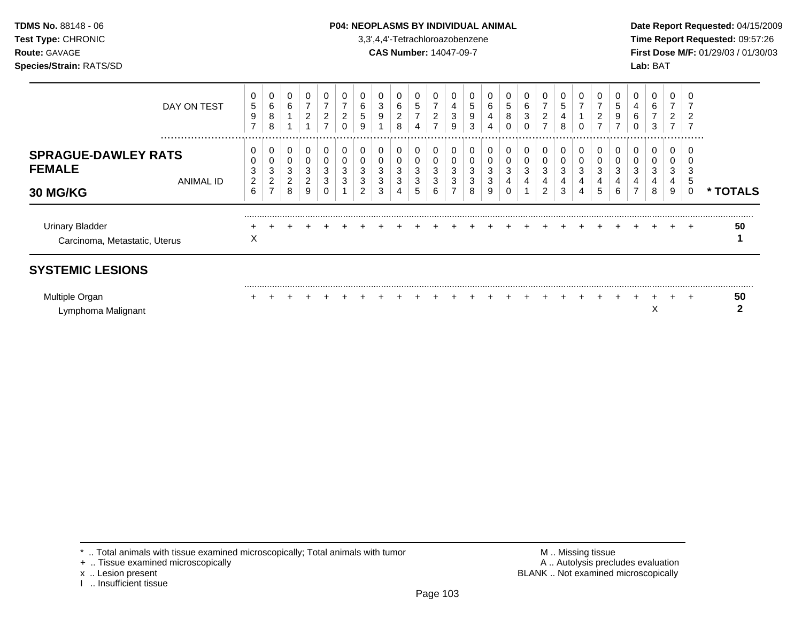### **TDMS No.** 88148 - 06 **P04: NEOPLASMS BY INDIVIDUAL ANIMAL** Date Report Requested: 04/15/2009

**Test Type:** CHRONIC 3,3',4,4'-Tetrachloroazobenzene **Time Report Requested:** 09:57:26 **Route:** GAVAGE **CAS Number:** 14047-09-7 **First Dose M/F:** 01/29/03 / 01/30/03

| DAY ON TEST                                                                     | 0<br>5<br>9                                          | 0<br>6<br>8                             | 0<br>6                             | 0<br>$\overline{7}$<br>$\overline{c}$ | 0<br>$\overline{c}$        | 0<br>⇁<br>2           | 6<br>5           | υ<br>3<br>9 | 0<br>6<br>2                | 0<br>5<br>$\overline{7}$   | 7<br>$\overline{2}$                               | 4<br>3                     | 0<br>5<br>9                | 6<br>4           | υ<br>5<br>8 | 0<br>6<br>3           | 0<br>$\overline{7}$<br>$\overline{c}$   | 5<br>4                |                            | 0<br>2                                       | 5<br>9      | υ<br>4<br>6 | 0<br>6<br>$\overline{ }$   | 0<br>$\overline{ }$<br>$\overline{c}$   |                       |          |
|---------------------------------------------------------------------------------|------------------------------------------------------|-----------------------------------------|------------------------------------|---------------------------------------|----------------------------|-----------------------|------------------|-------------|----------------------------|----------------------------|---------------------------------------------------|----------------------------|----------------------------|------------------|-------------|-----------------------|-----------------------------------------|-----------------------|----------------------------|----------------------------------------------|-------------|-------------|----------------------------|-----------------------------------------|-----------------------|----------|
| <br><b>SPRAGUE-DAWLEY RATS</b><br><b>FEMALE</b><br>ANIMAL ID<br><b>30 MG/KG</b> | $\overline{ }$<br>0<br>0<br>3<br>$\overline{c}$<br>6 | 8<br>0<br>0<br>3<br>2<br>$\overline{ }$ | 0<br>0<br>3<br>$\overline{2}$<br>8 | 0<br>0<br>3<br>2<br>9                 | ⇁<br>0<br>0<br>3<br>3<br>0 | 0<br>0<br>0<br>3<br>3 | 9<br>3<br>3<br>2 | 3<br>3<br>3 | 8<br>0<br>0<br>3<br>3<br>4 | 4<br>0<br>0<br>3<br>3<br>5 | $\overline{ }$<br>0<br>$\mathbf 0$<br>3<br>3<br>6 | 9<br>0<br>0<br>3<br>3<br>⇁ | 3<br>0<br>0<br>3<br>3<br>8 | 4<br>3<br>3<br>9 | 3<br>4      | 0<br>0<br>0<br>3<br>4 | $\overline{ }$<br>0<br>0<br>3<br>4<br>2 | 8<br>0<br>3<br>4<br>3 | 0<br>0<br>0<br>3<br>4<br>4 | $\overline{\phantom{a}}$<br>0<br>3<br>4<br>5 | 3<br>4<br>6 | 3<br>4<br>⇁ | 3<br>0<br>0<br>3<br>4<br>8 | $\overline{7}$<br>0<br>0<br>3<br>4<br>9 | 7<br>.<br>ა<br>G<br>0 | * TOTALS |
| <b>Urinary Bladder</b><br>Carcinoma, Metastatic, Uterus                         | X                                                    |                                         |                                    |                                       |                            |                       |                  |             |                            |                            |                                                   |                            |                            |                  |             |                       |                                         |                       |                            |                                              |             |             |                            |                                         | $\ddot{}$             | 50       |
| <b>SYSTEMIC LESIONS</b><br>Multiple Organ<br>Lymphoma Malignant                 |                                                      |                                         |                                    |                                       |                            |                       |                  |             |                            |                            |                                                   |                            |                            |                  |             |                       |                                         |                       |                            |                                              |             |             | ∧                          |                                         | $\ddot{}$             | 50       |

+ .. Tissue examined microscopically

x .. Lesion present<br>I .. Insufficient tissue

\* .. Total animals with tissue examined microscopically; Total animals with tumor **M** metally more than M .. Missing tissue<br>  $\blacksquare$  Tissue examined microscopically BLANK .. Not examined microscopically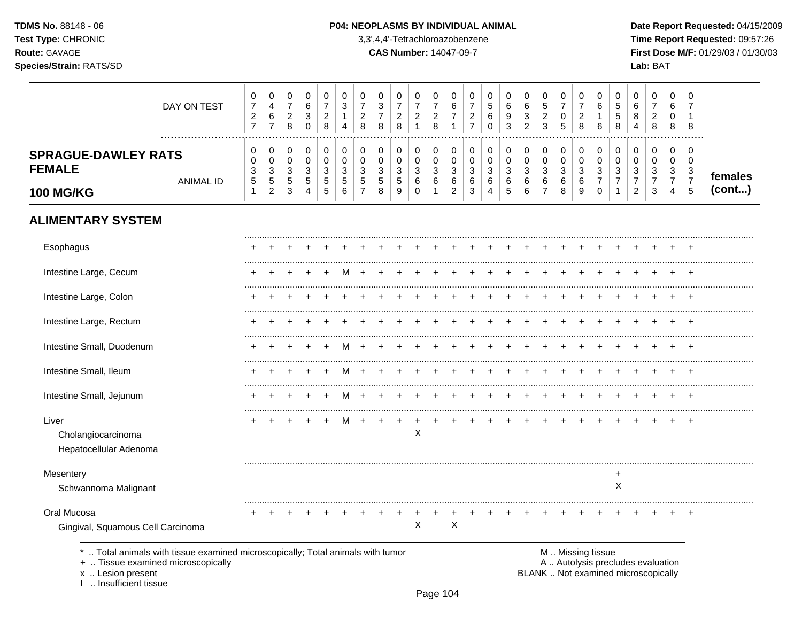TDMS No. 88148 - 06 Test Type: CHRONIC Route: GAVAGE Species/Strain: RATS/SD

#### P04: NEOPLASMS BY INDIVIDUAL ANIMAL

3,3',4,4'-Tetrachloroazobenzene

**CAS Number: 14047-09-7** 

Date Report Requested: 04/15/2009 Time Report Requested: 09:57:26 First Dose M/F: 01/29/03 / 01/30/03 Lab: BAT

| DAY ON TEST                                                                                                                                                    | 0<br>$\overline{7}$<br>$\boldsymbol{2}$<br>$\overline{7}$ | 0<br>4<br>$\,6\,$<br>$\overline{7}$                            | 0<br>$\boldsymbol{7}$<br>$\sqrt{2}$<br>8                      | 0<br>$\,6$<br>$\mathbf{3}$<br>$\mathbf 0$               | $\,0\,$<br>$\overline{7}$<br>$\sqrt{2}$<br>8      | 0<br>$\mathbf{3}$<br>$\mathbf{1}$<br>4    | 0<br>$\overline{7}$<br>$\sqrt{2}$<br>8 | 0<br>$\sqrt{3}$<br>$\overline{7}$<br>8 | 0<br>$\overline{7}$<br>$\overline{\mathbf{c}}$<br>8              | 0<br>$\boldsymbol{7}$<br>$\sqrt{2}$<br>$\overline{1}$ | 0<br>$\boldsymbol{7}$<br>$\sqrt{2}$<br>8 | 0<br>$\,6$<br>$\boldsymbol{7}$<br>$\mathbf{1}$                | 0<br>$\overline{7}$<br>$\sqrt{2}$<br>$\overline{7}$ | 0<br>$\,$ 5 $\,$<br>$\,6\,$<br>$\mathbf 0$                | 0<br>$\,6$<br>$\boldsymbol{9}$<br>$\mathbf{3}$ | $\pmb{0}$<br>$\,6$<br>$\ensuremath{\mathsf{3}}$<br>$\overline{2}$ | 0<br>$\mathbf 5$<br>$\sqrt{2}$<br>$\mathbf{3}$   | 0<br>$\overline{7}$<br>$\mathsf{O}\xspace$<br>5 | $\mathbf 0$<br>$\overline{7}$<br>$\sqrt{2}$<br>8            | 0<br>$\,6\,$<br>$\mathbf{1}$<br>6                   | $\mathbf 0$<br>$\sqrt{5}$<br>$\,$ 5 $\,$<br>8 | 0<br>6<br>8<br>4                                                         | 0<br>$\overline{7}$<br>$\boldsymbol{2}$<br>8            | 0<br>6<br>$\mathbf 0$<br>8         | 0<br>$\overline{7}$<br>$\mathbf 1$<br>8                           |                   |
|----------------------------------------------------------------------------------------------------------------------------------------------------------------|-----------------------------------------------------------|----------------------------------------------------------------|---------------------------------------------------------------|---------------------------------------------------------|---------------------------------------------------|-------------------------------------------|----------------------------------------|----------------------------------------|------------------------------------------------------------------|-------------------------------------------------------|------------------------------------------|---------------------------------------------------------------|-----------------------------------------------------|-----------------------------------------------------------|------------------------------------------------|-------------------------------------------------------------------|--------------------------------------------------|-------------------------------------------------|-------------------------------------------------------------|-----------------------------------------------------|-----------------------------------------------|--------------------------------------------------------------------------|---------------------------------------------------------|------------------------------------|-------------------------------------------------------------------|-------------------|
| <b>SPRAGUE-DAWLEY RATS</b><br><b>FEMALE</b><br><b>ANIMAL ID</b><br><b>100 MG/KG</b>                                                                            | 0<br>0<br>3<br>5<br>$\mathbf{1}$                          | 0<br>$\mathbf 0$<br>$\sqrt{3}$<br>$\sqrt{5}$<br>$\overline{2}$ | 0<br>$\pmb{0}$<br>$\mathbf{3}$<br>$\,$ 5 $\,$<br>$\mathbf{3}$ | 0<br>$\mathbf 0$<br>$\mathbf{3}$<br>5<br>$\overline{4}$ | 0<br>$\pmb{0}$<br>$\mathbf{3}$<br>$\sqrt{5}$<br>5 | 0<br>$\mathbf 0$<br>3<br>$\mathbf 5$<br>6 | 0<br>0<br>3<br>5<br>$\overline{7}$     | 0<br>0<br>$\mathbf{3}$<br>5<br>8       | 0<br>$\mathbf 0$<br>$\ensuremath{\mathsf{3}}$<br>$\sqrt{5}$<br>9 | 0<br>0<br>$\mathbf{3}$<br>$\,6$<br>$\Omega$           | 0<br>0<br>3<br>6<br>$\mathbf{1}$         | 0<br>$\mathbf 0$<br>$\mathbf{3}$<br>$\,6\,$<br>$\overline{2}$ | 0<br>0<br>$\mathbf{3}$<br>6<br>3                    | 0<br>$\pmb{0}$<br>$\mathbf{3}$<br>$\,6$<br>$\overline{4}$ | 0<br>$\pmb{0}$<br>$\sqrt{3}$<br>6<br>5         | $\pmb{0}$<br>$\pmb{0}$<br>$\sqrt{3}$<br>6<br>6                    | 0<br>$\pmb{0}$<br>3<br>$\,6\,$<br>$\overline{7}$ | 0<br>0<br>3<br>6<br>8                           | 0<br>$\mathbf 0$<br>$\ensuremath{\mathsf{3}}$<br>$\,6$<br>9 | 0<br>$\mathbf 0$<br>3<br>$\overline{7}$<br>$\Omega$ | 0<br>$\mathbf 0$<br>3<br>7<br>$\mathbf{1}$    | 0<br>$\mathbf 0$<br>$\mathbf{3}$<br>7<br>$\overline{2}$                  | 0<br>$\mathbf 0$<br>$\mathbf{3}$<br>$\overline{7}$<br>3 | 0<br>0<br>3<br>$\overline{7}$<br>4 | $\mathbf 0$<br>$\mathbf 0$<br>3<br>$\boldsymbol{7}$<br>$\sqrt{5}$ | females<br>(cont) |
| <b>ALIMENTARY SYSTEM</b>                                                                                                                                       |                                                           |                                                                |                                                               |                                                         |                                                   |                                           |                                        |                                        |                                                                  |                                                       |                                          |                                                               |                                                     |                                                           |                                                |                                                                   |                                                  |                                                 |                                                             |                                                     |                                               |                                                                          |                                                         |                                    |                                                                   |                   |
| Esophagus                                                                                                                                                      |                                                           |                                                                |                                                               |                                                         |                                                   |                                           |                                        |                                        |                                                                  |                                                       |                                          |                                                               |                                                     |                                                           |                                                |                                                                   |                                                  |                                                 |                                                             |                                                     |                                               |                                                                          |                                                         |                                    |                                                                   |                   |
| Intestine Large, Cecum                                                                                                                                         |                                                           |                                                                |                                                               |                                                         |                                                   |                                           |                                        |                                        |                                                                  |                                                       |                                          |                                                               |                                                     |                                                           |                                                |                                                                   |                                                  |                                                 |                                                             |                                                     |                                               |                                                                          |                                                         |                                    |                                                                   |                   |
| Intestine Large, Colon                                                                                                                                         |                                                           |                                                                |                                                               |                                                         |                                                   |                                           |                                        |                                        |                                                                  |                                                       |                                          |                                                               |                                                     |                                                           |                                                |                                                                   |                                                  |                                                 |                                                             |                                                     |                                               |                                                                          |                                                         |                                    |                                                                   |                   |
| Intestine Large, Rectum                                                                                                                                        |                                                           |                                                                |                                                               |                                                         |                                                   |                                           |                                        |                                        |                                                                  |                                                       |                                          |                                                               |                                                     |                                                           |                                                |                                                                   |                                                  |                                                 |                                                             |                                                     |                                               |                                                                          |                                                         |                                    |                                                                   |                   |
| Intestine Small, Duodenum                                                                                                                                      |                                                           |                                                                |                                                               |                                                         |                                                   |                                           |                                        |                                        |                                                                  |                                                       |                                          |                                                               |                                                     |                                                           |                                                |                                                                   |                                                  |                                                 |                                                             |                                                     |                                               |                                                                          |                                                         |                                    |                                                                   |                   |
| Intestine Small, Ileum                                                                                                                                         |                                                           |                                                                |                                                               |                                                         |                                                   |                                           |                                        |                                        |                                                                  |                                                       |                                          |                                                               |                                                     |                                                           |                                                |                                                                   |                                                  |                                                 |                                                             |                                                     |                                               |                                                                          |                                                         |                                    |                                                                   |                   |
| Intestine Small, Jejunum                                                                                                                                       |                                                           |                                                                |                                                               |                                                         |                                                   |                                           |                                        |                                        |                                                                  |                                                       |                                          |                                                               |                                                     |                                                           |                                                |                                                                   |                                                  |                                                 |                                                             |                                                     |                                               |                                                                          |                                                         |                                    |                                                                   |                   |
| Liver<br>Cholangiocarcinoma<br>Hepatocellular Adenoma                                                                                                          |                                                           |                                                                |                                                               |                                                         |                                                   |                                           |                                        |                                        |                                                                  | $\mathsf X$                                           |                                          |                                                               |                                                     |                                                           |                                                |                                                                   |                                                  |                                                 |                                                             |                                                     |                                               |                                                                          |                                                         |                                    | $\ddot{}$                                                         |                   |
| Mesentery<br>Schwannoma Malignant                                                                                                                              |                                                           |                                                                |                                                               |                                                         |                                                   |                                           |                                        |                                        |                                                                  |                                                       |                                          |                                                               |                                                     |                                                           |                                                |                                                                   |                                                  |                                                 |                                                             |                                                     | $\ddot{}$<br>X                                |                                                                          |                                                         |                                    |                                                                   |                   |
| Oral Mucosa<br>Gingival, Squamous Cell Carcinoma                                                                                                               |                                                           |                                                                |                                                               |                                                         |                                                   |                                           |                                        |                                        |                                                                  | $\pmb{\times}$                                        |                                          | $\boldsymbol{\mathsf{X}}$                                     |                                                     |                                                           |                                                |                                                                   |                                                  |                                                 |                                                             |                                                     |                                               |                                                                          |                                                         |                                    |                                                                   |                   |
| Total animals with tissue examined microscopically; Total animals with tumor<br>+  Tissue examined microscopically<br>x  Lesion present<br>Insufficient tissue |                                                           |                                                                |                                                               |                                                         |                                                   |                                           |                                        |                                        |                                                                  |                                                       |                                          |                                                               |                                                     |                                                           |                                                |                                                                   |                                                  |                                                 |                                                             | M  Missing tissue                                   |                                               | A  Autolysis precludes evaluation<br>BLANK  Not examined microscopically |                                                         |                                    |                                                                   |                   |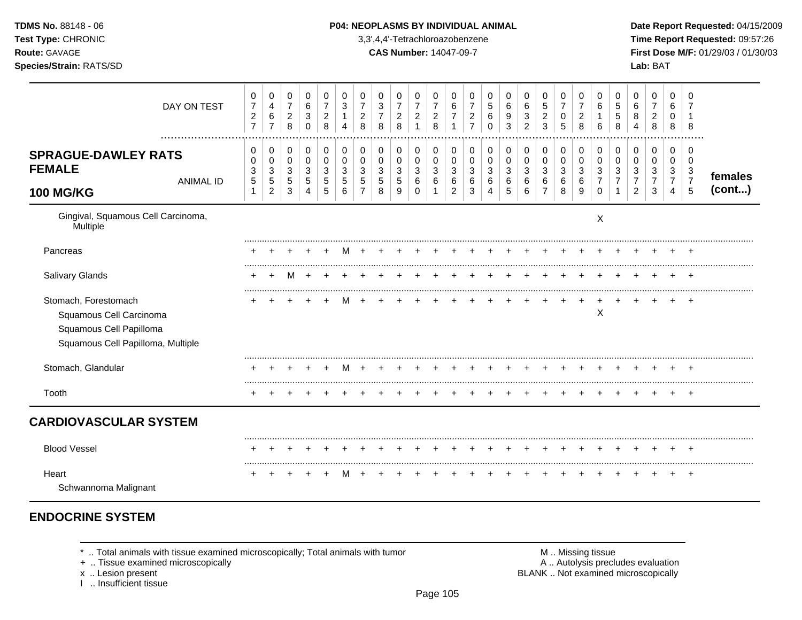| TDMS No. 88148 - 06<br>Test Type: CHRONIC<br>Route: GAVAGE<br>Species/Strain: RATS/SD                           |                                                         |                                                                              |                                                                       |                                                                         |                                                     |                                                                  |                                                                 |                                          | 3,3',4,4'-Tetrachloroazobenzene<br><b>CAS Number: 14047-09-7</b> |                                                                    |                                              |                                                                         |                                                     | P04: NEOPLASMS BY INDIVIDUAL ANIMAL    |                                                 |                                                                     |                                                        |                                               |                                                            |                                                                 |                                                                   |                                                           | Lab: BAT                                            |                                                                     |                                                           | Date Report Requested: 04/15/2009<br>Time Report Requested: 09:57:26<br>First Dose M/F: 01/29/03 / 01/30/03 |
|-----------------------------------------------------------------------------------------------------------------|---------------------------------------------------------|------------------------------------------------------------------------------|-----------------------------------------------------------------------|-------------------------------------------------------------------------|-----------------------------------------------------|------------------------------------------------------------------|-----------------------------------------------------------------|------------------------------------------|------------------------------------------------------------------|--------------------------------------------------------------------|----------------------------------------------|-------------------------------------------------------------------------|-----------------------------------------------------|----------------------------------------|-------------------------------------------------|---------------------------------------------------------------------|--------------------------------------------------------|-----------------------------------------------|------------------------------------------------------------|-----------------------------------------------------------------|-------------------------------------------------------------------|-----------------------------------------------------------|-----------------------------------------------------|---------------------------------------------------------------------|-----------------------------------------------------------|-------------------------------------------------------------------------------------------------------------|
| DAY ON TEST                                                                                                     | 0<br>$\overline{7}$<br>$\overline{c}$<br>$\overline{7}$ | 0<br>$\overline{\mathbf{4}}$<br>$\,6\,$<br>$\overline{7}$                    | 0<br>$\overline{7}$<br>$\boldsymbol{2}$<br>8                          | 0<br>$\,6\,$<br>$\ensuremath{\mathsf{3}}$<br>$\mathbf 0$                | 0<br>$\overline{7}$<br>$\sqrt{2}$<br>8              | 0<br>$\ensuremath{\mathsf{3}}$<br>$\mathbf{1}$<br>$\overline{4}$ | 0<br>$\overline{7}$<br>$\sqrt{2}$<br>8                          | 0<br>3<br>$\overline{7}$<br>8            | 0<br>$\overline{7}$<br>$\overline{c}$<br>8                       | 0<br>$\overline{7}$<br>$\boldsymbol{2}$<br>$\mathbf{1}$            | 0<br>$\overline{7}$<br>$\boldsymbol{2}$<br>8 | 0<br>$\,6\,$<br>$\overline{7}$<br>$\mathbf{1}$                          | 0<br>$\overline{7}$<br>$\sqrt{2}$<br>$\overline{7}$ | 0<br>$\sqrt{5}$<br>$\,6\,$<br>$\Omega$ | $\mathbf 0$<br>$\,6\,$<br>$\boldsymbol{9}$<br>3 | 0<br>$6\phantom{1}6$<br>$\ensuremath{\mathsf{3}}$<br>$\overline{2}$ | $\Omega$<br>$\sqrt{5}$<br>$\overline{\mathbf{c}}$<br>3 | 0<br>$\overline{7}$<br>0<br>5                 | 0<br>$\overline{7}$<br>$\sqrt{2}$<br>8                     | 0<br>$\,6\,$<br>$\mathbf{1}$<br>$\,6\,$                         | $\mathbf 0$<br>$\overline{5}$<br>$\sqrt{5}$<br>8                  | 0<br>6<br>8<br>4                                          | $\Omega$<br>$\overline{7}$<br>$\boldsymbol{2}$<br>8 | 0<br>6<br>$\mathbf 0$<br>8                                          | $\Omega$<br>8                                             |                                                                                                             |
| <br><b>SPRAGUE-DAWLEY RATS</b><br><b>FEMALE</b><br><b>ANIMAL ID</b><br><b>100 MG/KG</b>                         | 0<br>$\Omega$<br>3<br>5<br>$\mathbf{1}$                 | $\mathbf 0$<br>$\mathbf 0$<br>$\mathbf{3}$<br>$\sqrt{5}$<br>$\boldsymbol{2}$ | $\mathbf 0$<br>$\mathbf 0$<br>$\sqrt{3}$<br>$\,$ 5 $\,$<br>$\sqrt{3}$ | $\mathbf 0$<br>$\mathbf 0$<br>3<br>$\sqrt{5}$<br>$\boldsymbol{\Lambda}$ | $\mathbf 0$<br>$\mathbf 0$<br>3<br>$\,$ 5 $\,$<br>5 | $\mathbf 0$<br>$\pmb{0}$<br>3<br>$\sqrt{5}$<br>6                 | $\mathbf 0$<br>$\mathbf 0$<br>3<br>$\sqrt{5}$<br>$\overline{7}$ | 0<br>$\mathbf 0$<br>3<br>$\sqrt{5}$<br>8 | 0<br>$\mathbf 0$<br>3<br>5<br>9                                  | $\mathbf 0$<br>$\mathbf 0$<br>$\mathbf{3}$<br>$\,6$<br>$\mathbf 0$ | 0<br>0<br>3<br>$\,6\,$                       | $\mathbf 0$<br>$\mathbf 0$<br>$\mathbf{3}$<br>$\,6\,$<br>$\overline{c}$ | 0<br>$\mathbf 0$<br>3<br>6<br>3                     | $\mathbf 0$<br>$\mathbf 0$<br>3<br>6   | 0<br>$\mathbf 0$<br>3<br>$\,6\,$<br>5           | $\mathbf 0$<br>$\pmb{0}$<br>$\ensuremath{\mathsf{3}}$<br>6<br>6     | 0<br>$\mathbf 0$<br>3<br>6<br>$\overline{7}$           | $\mathbf 0$<br>$\mathbf 0$<br>3<br>$\,6$<br>8 | $\mathbf 0$<br>$\mathbf 0$<br>$\mathbf{3}$<br>$\,6\,$<br>9 | 0<br>$\mathbf 0$<br>$\sqrt{3}$<br>$\overline{7}$<br>$\mathbf 0$ | $\mathbf 0$<br>$\mathbf 0$<br>$\mathbf{3}$<br>$\overline{7}$<br>1 | 0<br>$\mathbf 0$<br>3<br>$\overline{7}$<br>$\overline{2}$ | $\mathbf 0$<br>$\Omega$<br>3<br>$\overline{7}$<br>3 | $\mathbf 0$<br>$\mathbf 0$<br>3<br>$\overline{7}$<br>$\overline{4}$ | $\Omega$<br>$\Omega$<br>3<br>$\overline{7}$<br>$\sqrt{5}$ | females<br>(cont)                                                                                           |
| Gingival, Squamous Cell Carcinoma,<br>Multiple                                                                  |                                                         |                                                                              |                                                                       |                                                                         |                                                     |                                                                  |                                                                 |                                          |                                                                  |                                                                    |                                              |                                                                         |                                                     |                                        |                                                 |                                                                     |                                                        |                                               |                                                            | $\boldsymbol{\mathsf{X}}$                                       |                                                                   |                                                           |                                                     |                                                                     |                                                           |                                                                                                             |
| Pancreas                                                                                                        |                                                         |                                                                              |                                                                       |                                                                         |                                                     | M                                                                | $+$                                                             |                                          |                                                                  |                                                                    |                                              |                                                                         |                                                     |                                        |                                                 |                                                                     |                                                        |                                               |                                                            |                                                                 |                                                                   |                                                           |                                                     |                                                                     |                                                           |                                                                                                             |
| Salivary Glands                                                                                                 |                                                         | $\pm$                                                                        | M                                                                     |                                                                         |                                                     |                                                                  |                                                                 |                                          |                                                                  |                                                                    |                                              |                                                                         |                                                     |                                        |                                                 |                                                                     |                                                        |                                               |                                                            | $\div$                                                          | $\ddot{}$                                                         |                                                           |                                                     |                                                                     | $+$                                                       |                                                                                                             |
| Stomach, Forestomach<br>Squamous Cell Carcinoma<br>Squamous Cell Papilloma<br>Squamous Cell Papilloma, Multiple |                                                         |                                                                              |                                                                       |                                                                         |                                                     | M                                                                | $+$                                                             |                                          |                                                                  |                                                                    |                                              |                                                                         |                                                     |                                        |                                                 |                                                                     | $\ddot{}$                                              | $+$                                           | $\overline{+}$                                             | $\ddot{}$<br>X                                                  | $+$                                                               | $+$                                                       |                                                     |                                                                     |                                                           |                                                                                                             |
| Stomach, Glandular                                                                                              | +                                                       | $\pm$                                                                        |                                                                       |                                                                         | $\ddot{}$                                           |                                                                  | M +                                                             | $\ddot{}$                                |                                                                  |                                                                    | $\pm$                                        |                                                                         | $\pm$                                               |                                        |                                                 |                                                                     | $\ddot{}$                                              | $+$                                           | $\overline{+}$                                             | $\pm$                                                           | $\pm$                                                             | $\pm$                                                     |                                                     | $\ddot{}$                                                           | $\overline{+}$                                            |                                                                                                             |
| Tooth                                                                                                           |                                                         |                                                                              |                                                                       |                                                                         |                                                     |                                                                  |                                                                 |                                          |                                                                  |                                                                    |                                              |                                                                         |                                                     |                                        |                                                 |                                                                     |                                                        |                                               |                                                            |                                                                 |                                                                   |                                                           |                                                     |                                                                     | $+$                                                       |                                                                                                             |
| <b>CARDIOVASCULAR SYSTEM</b>                                                                                    |                                                         |                                                                              |                                                                       |                                                                         |                                                     |                                                                  |                                                                 |                                          |                                                                  |                                                                    |                                              |                                                                         |                                                     |                                        |                                                 |                                                                     |                                                        |                                               |                                                            |                                                                 |                                                                   |                                                           |                                                     |                                                                     |                                                           |                                                                                                             |
| <b>Blood Vessel</b>                                                                                             |                                                         |                                                                              |                                                                       |                                                                         |                                                     |                                                                  |                                                                 |                                          |                                                                  |                                                                    |                                              |                                                                         |                                                     |                                        |                                                 |                                                                     |                                                        |                                               |                                                            |                                                                 |                                                                   |                                                           |                                                     |                                                                     | $\div$                                                    |                                                                                                             |
| Heart<br>Schwannoma Malignant                                                                                   | $\ddot{}$                                               |                                                                              |                                                                       |                                                                         |                                                     | м                                                                |                                                                 |                                          |                                                                  |                                                                    |                                              |                                                                         |                                                     |                                        |                                                 |                                                                     |                                                        |                                               |                                                            |                                                                 |                                                                   |                                                           |                                                     |                                                                     | $+$                                                       |                                                                                                             |

# **ENDOCRINE SYSTEM**

 $*$  .. Total animals with tissue examined microscopically; Total animals with tumor  $\blacksquare$  M .. Missing tissue

x .. Lesion present<br>I .. Insufficient tissue

+ .. Tissue examined microscopically  $\blacksquare$  A .. Autolysis precludes evaluation M .. Missing tissue<br>A .. Autolysis precludes evaluation<br>BLANK .. Not examined microscopically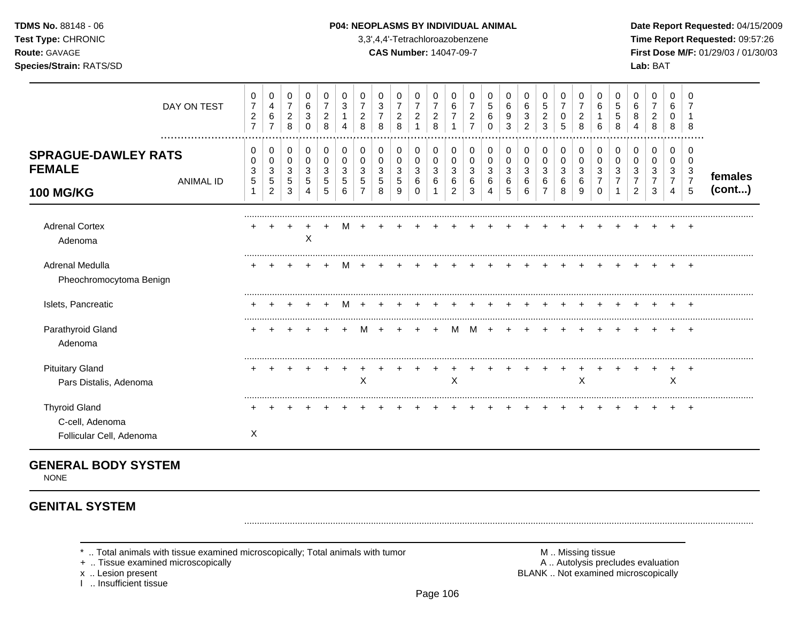### **TDMS No.** 88148 - 06 **P04: NEOPLASMS BY INDIVIDUAL ANIMAL Date Report Requested:** 04/15/2009

**Test Type:** CHRONIC 3,3',4,4'-Tetrachloroazobenzene **Time Report Requested:** 09:57:26 **Route:** GAVAGE **CAS Number:** 14047-09-7 **First Dose M/F:** 01/29/03 / 01/30/03

|                                                                 | DAY ON TEST<br>  | 0<br>$\overline{7}$<br>$\overline{c}$<br>$\overline{7}$ | 0<br>4<br>6<br>$\overline{7}$ | 0<br>$\overline{7}$<br>$\overline{c}$<br>8 | 0<br>6<br>3<br>0      | 0<br>$\overline{7}$<br>$\boldsymbol{2}$<br>8 | 0<br>3<br>4      | 0<br>2<br>8 | 0<br>3<br>8           | 0<br>$\overline{7}$<br>2<br>8 | 0<br>$\overline{7}$<br>$\overline{c}$ | 0<br>7<br>$\overline{c}$<br>8 | 0<br>6                | 0<br>2                | 0<br>5<br>6<br>0      | 0<br>6<br>3      | 0<br>6<br>3<br>2            | 0<br>5<br>$\overline{\mathbf{c}}$<br>3 | 0<br>$\overline{7}$<br>0<br>5 | 0<br>$\overline{7}$<br>$\overline{c}$<br>8 | 0<br>6<br>6      | 0<br>5<br>5<br>8 | 0<br>6 | 0<br>$\overline{2}$<br>8   | 0<br>6<br>0<br>8                   | 0<br>8                                                 |                   |
|-----------------------------------------------------------------|------------------|---------------------------------------------------------|-------------------------------|--------------------------------------------|-----------------------|----------------------------------------------|------------------|-------------|-----------------------|-------------------------------|---------------------------------------|-------------------------------|-----------------------|-----------------------|-----------------------|------------------|-----------------------------|----------------------------------------|-------------------------------|--------------------------------------------|------------------|------------------|--------|----------------------------|------------------------------------|--------------------------------------------------------|-------------------|
| <b>SPRAGUE-DAWLEY RATS</b><br><b>FEMALE</b><br><b>100 MG/KG</b> | <b>ANIMAL ID</b> | 0<br>0<br>3<br>5                                        | 0<br>0<br>3<br>5<br>2         | 0<br>0<br>3<br>5<br>3                      | 0<br>0<br>3<br>5<br>4 | $\,0\,$<br>0<br>3<br>5<br>5                  | 0<br>0<br>3<br>6 | 0           | 0<br>0<br>3<br>5<br>8 | 0<br>0<br>3<br>5<br>9         | 0<br>0<br>3<br>6<br>$\Omega$          | 0<br>0<br>3<br>6              | 0<br>0<br>3<br>6<br>2 | 0<br>0<br>3<br>6<br>3 | 0<br>0<br>3<br>6<br>4 | 0<br>3<br>6<br>5 | $\,0\,$<br>0<br>3<br>6<br>6 | 0<br>0<br>3<br>6                       | $\pmb{0}$<br>0<br>3<br>6<br>8 | 0<br>0<br>3<br>6<br>9                      | 0<br>0<br>3<br>0 | 0<br>0<br>3      | 0<br>2 | $\mathbf 0$<br>0<br>3<br>3 | 0<br>0<br>3<br>$\overline{7}$<br>4 | 0<br>0<br>$\mathbf{3}$<br>$\overline{7}$<br>$\sqrt{5}$ | females<br>(cont) |
| <b>Adrenal Cortex</b><br>Adenoma                                |                  |                                                         |                               |                                            | Χ                     |                                              |                  |             |                       |                               |                                       |                               |                       |                       |                       |                  |                             |                                        |                               |                                            |                  |                  |        |                            |                                    |                                                        |                   |
| Adrenal Medulla<br>Pheochromocytoma Benign                      |                  |                                                         |                               |                                            |                       |                                              |                  |             |                       |                               |                                       |                               |                       |                       |                       |                  |                             |                                        |                               |                                            |                  |                  |        |                            |                                    |                                                        |                   |
| Islets, Pancreatic                                              |                  |                                                         |                               |                                            |                       |                                              |                  |             |                       |                               |                                       |                               |                       |                       |                       |                  |                             |                                        |                               |                                            |                  |                  |        |                            |                                    |                                                        |                   |
| Parathyroid Gland<br>Adenoma                                    |                  |                                                         |                               |                                            |                       |                                              |                  |             |                       |                               |                                       |                               |                       |                       |                       |                  |                             |                                        |                               |                                            |                  |                  |        |                            |                                    | $\overline{+}$                                         |                   |
| <b>Pituitary Gland</b><br>Pars Distalis, Adenoma                |                  |                                                         |                               |                                            |                       |                                              |                  | X           |                       |                               |                                       |                               | X                     |                       |                       |                  |                             |                                        |                               | X                                          |                  |                  |        |                            | X                                  | $\pm$                                                  |                   |
| <b>Thyroid Gland</b><br>C-cell, Adenoma                         |                  |                                                         |                               |                                            |                       |                                              |                  |             |                       |                               |                                       |                               |                       |                       |                       |                  |                             |                                        |                               |                                            |                  |                  |        |                            |                                    | $\pm$                                                  |                   |
| Follicular Cell, Adenoma                                        |                  | Χ                                                       |                               |                                            |                       |                                              |                  |             |                       |                               |                                       |                               |                       |                       |                       |                  |                             |                                        |                               |                                            |                  |                  |        |                            |                                    |                                                        |                   |

# **GENERAL BODY SYSTEM**

NONE

# **GENITAL SYSTEM**

- \* .. Total animals with tissue examined microscopically; Total animals with tumor **M** . Missing tissue M .. Missing tissue<br>  $\blacksquare$  . Tissue examined microscopically<br>  $\blacksquare$  . Autolysis precludes evaluation
- + .. Tissue examined microscopically
- 
- I .. Insufficient tissue

x .. Lesion present **BLANK** .. Not examined microscopically

.........................................................................................................................................................................................................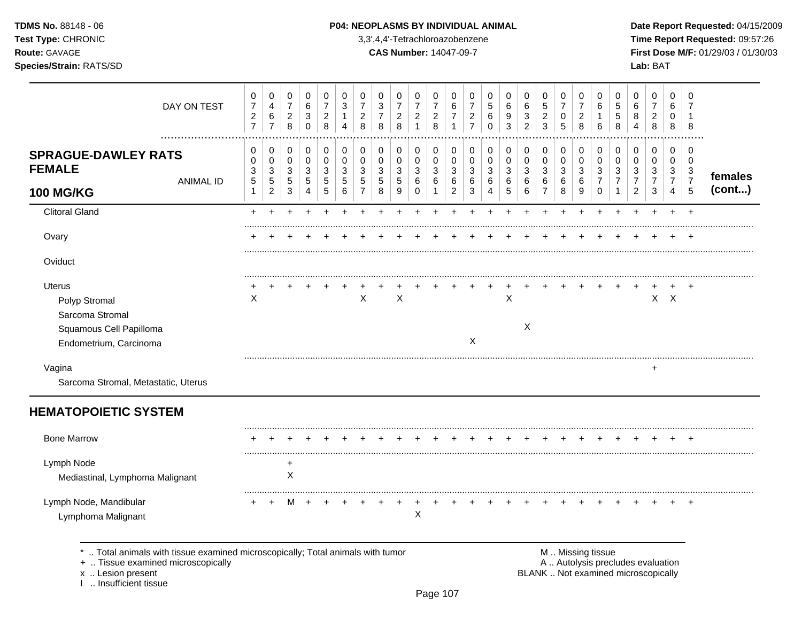### **TDMS No.** 88148 - 06 **P04: NEOPLASMS BY INDIVIDUAL ANIMAL** Date Report Requested: 04/15/2009

**Test Type:** CHRONIC 3,3',4,4'-Tetrachloroazobenzene **Time Report Requested:** 09:57:26 **Route:** GAVAGE **CAS Number:** 14047-09-7 **First Dose M/F:** 01/29/03 / 01/30/03

| DAY ON TEST                                                                     | 0<br>$\overline{7}$<br>$\sqrt{2}$<br>$\overline{7}$ | 0<br>$\overline{\mathbf{4}}$<br>$\,6\,$<br>$\overline{7}$ | 0<br>$\overline{7}$<br>$_{\rm 2}^2$  | 0<br>$\,6$<br>$\ensuremath{\mathsf{3}}$<br>$\pmb{0}$ | 0<br>$\boldsymbol{7}$<br>$\overline{c}$<br>8 | 0<br>3<br>1<br>4           | 0<br>$\overline{7}$<br>$\overline{c}$<br>8 | 0<br>$\ensuremath{\mathsf{3}}$<br>$\overline{7}$<br>8 | 0<br>$\overline{7}$<br>$\overline{c}$<br>8 | 0<br>$\overline{7}$<br>$\overline{c}$<br>$\mathbf{1}$ | 0<br>$\boldsymbol{7}$<br>$\boldsymbol{2}$<br>8 | 0<br>$\,6\,$<br>$\overline{7}$<br>$\mathbf{1}$ | 0<br>$\overline{7}$<br>$\overline{c}$<br>$\overline{7}$ | 0<br>5<br>6<br>$\mathbf 0$ | 0<br>$\,6\,$<br>9<br>3     | 0<br>6<br>3<br>$\overline{2}$ | 0<br>$\,$ 5 $\,$<br>$\frac{2}{3}$           | 0<br>$\overline{7}$<br>0<br>5 | 0<br>$\boldsymbol{7}$<br>$\boldsymbol{2}$<br>8 | 0<br>6<br>1<br>6           | 0<br>$\mathbf 5$<br>5<br>8    | 0<br>6<br>8<br>4                        | 0<br>$\overline{7}$<br>$\overline{c}$<br>8 | 0<br>6<br>0<br>8                | 0<br>$\overline{7}$<br>í<br>8                     |         |
|---------------------------------------------------------------------------------|-----------------------------------------------------|-----------------------------------------------------------|--------------------------------------|------------------------------------------------------|----------------------------------------------|----------------------------|--------------------------------------------|-------------------------------------------------------|--------------------------------------------|-------------------------------------------------------|------------------------------------------------|------------------------------------------------|---------------------------------------------------------|----------------------------|----------------------------|-------------------------------|---------------------------------------------|-------------------------------|------------------------------------------------|----------------------------|-------------------------------|-----------------------------------------|--------------------------------------------|---------------------------------|---------------------------------------------------|---------|
| <b>SPRAGUE-DAWLEY RATS</b><br><b>FEMALE</b><br><b>ANIMAL ID</b>                 | 0<br>0<br>3<br>5                                    | 0<br>$\pmb{0}$<br>3<br>$\sqrt{5}$                         | 0<br>0<br>$\mathbf{3}$<br>$\sqrt{5}$ | 0<br>$\mathbf 0$<br>3<br>5                           | 0<br>$\pmb{0}$<br>3<br>$\sqrt{5}$            | 0<br>$\mathbf 0$<br>3<br>5 | 0<br>0<br>3<br>5                           | 0<br>$\mathbf 0$<br>$\mathbf{3}$<br>$\sqrt{5}$        | 0<br>$\pmb{0}$<br>3<br>5                   | 0<br>0<br>$\sqrt{3}$<br>$\,6$                         | 0<br>$\mathbf 0$<br>$\mathbf{3}$<br>6          | 0<br>0<br>3<br>6                               | 0<br>$\mathbf 0$<br>3<br>6                              | 0<br>0<br>3<br>$\,6$       | 0<br>$\mathbf 0$<br>3<br>6 | 0<br>0<br>3<br>6              | 0<br>$\mathbf 0$<br>$\mathbf{3}$<br>$\,6\,$ | 0<br>$\mathbf 0$<br>3<br>6    | 0<br>$\pmb{0}$<br>3<br>6                       | 0<br>$\mathbf 0$<br>3<br>7 | 0<br>0<br>3<br>$\overline{7}$ | 0<br>$\mathbf 0$<br>3<br>$\overline{7}$ | 0<br>$\mathbf 0$<br>3<br>$\overline{7}$    | 0<br>0<br>3<br>$\boldsymbol{7}$ | $\mathbf 0$<br>$\mathbf 0$<br>3<br>$\overline{7}$ | females |
| <b>100 MG/KG</b>                                                                | $\mathbf{1}$                                        | $\overline{2}$                                            | 3                                    | $\overline{4}$                                       | 5                                            | 6                          | $\overline{7}$                             | 8                                                     | 9                                          | $\mathbf 0$                                           | $\mathbf{1}$                                   | $\overline{2}$                                 | 3                                                       | $\overline{4}$             | 5                          | 6                             | $\overline{7}$                              | 8                             | 9                                              | $\mathbf 0$                | $\mathbf{1}$                  | 2                                       | 3                                          | $\overline{4}$                  | 5                                                 | (cont)  |
| <b>Clitoral Gland</b>                                                           | $\ddot{}$                                           |                                                           |                                      |                                                      |                                              |                            |                                            |                                                       |                                            |                                                       |                                                |                                                |                                                         |                            |                            |                               |                                             |                               |                                                | ÷.                         |                               |                                         | $\div$                                     | $\ddot{}$                       | $+$                                               |         |
| Ovary                                                                           |                                                     |                                                           |                                      |                                                      |                                              |                            |                                            |                                                       |                                            |                                                       |                                                |                                                |                                                         |                            |                            |                               |                                             |                               |                                                |                            |                               |                                         |                                            |                                 |                                                   |         |
| Oviduct                                                                         |                                                     |                                                           |                                      |                                                      |                                              |                            |                                            |                                                       |                                            |                                                       |                                                |                                                |                                                         |                            |                            |                               |                                             |                               |                                                |                            |                               |                                         |                                            |                                 |                                                   |         |
| Uterus<br>Polyp Stromal<br>Sarcoma Stromal<br>Squamous Cell Papilloma           | Χ                                                   |                                                           |                                      |                                                      |                                              |                            | X                                          |                                                       | $\sf X$                                    |                                                       |                                                |                                                |                                                         |                            | X                          | X                             |                                             |                               |                                                |                            |                               |                                         | $\mathsf{X}$                               | $\mathsf{X}$                    |                                                   |         |
| Endometrium, Carcinoma                                                          |                                                     |                                                           |                                      |                                                      |                                              |                            |                                            |                                                       |                                            |                                                       |                                                |                                                | X                                                       |                            |                            |                               |                                             |                               |                                                |                            |                               |                                         |                                            |                                 |                                                   |         |
| Vagina<br>Sarcoma Stromal, Metastatic, Uterus                                   |                                                     |                                                           |                                      |                                                      |                                              |                            |                                            |                                                       |                                            |                                                       |                                                |                                                |                                                         |                            |                            |                               |                                             |                               |                                                |                            |                               |                                         |                                            |                                 |                                                   |         |
| <b>HEMATOPOIETIC SYSTEM</b>                                                     |                                                     |                                                           |                                      |                                                      |                                              |                            |                                            |                                                       |                                            |                                                       |                                                |                                                |                                                         |                            |                            |                               |                                             |                               |                                                |                            |                               |                                         |                                            |                                 |                                                   |         |
| <b>Bone Marrow</b>                                                              |                                                     |                                                           |                                      |                                                      |                                              |                            |                                            |                                                       |                                            |                                                       |                                                |                                                |                                                         |                            |                            |                               |                                             |                               |                                                |                            |                               |                                         |                                            |                                 | $\div$                                            |         |
| Lymph Node<br>Mediastinal, Lymphoma Malignant                                   |                                                     |                                                           | +<br>$\pmb{\times}$                  |                                                      |                                              |                            |                                            |                                                       |                                            |                                                       |                                                |                                                |                                                         |                            |                            |                               |                                             |                               |                                                |                            |                               |                                         |                                            |                                 |                                                   |         |
| Lymph Node, Mandibular<br>Lymphoma Malignant                                    |                                                     |                                                           | м                                    |                                                      |                                              |                            |                                            |                                                       |                                            | X                                                     |                                                |                                                |                                                         |                            |                            |                               |                                             |                               |                                                |                            |                               |                                         |                                            |                                 | $\div$                                            |         |
| *  Total animals with tissue examined microscopically; Total animals with tumor |                                                     |                                                           |                                      |                                                      |                                              |                            |                                            |                                                       |                                            |                                                       |                                                |                                                |                                                         |                            |                            |                               |                                             |                               | M  Missing tissue                              |                            |                               |                                         |                                            |                                 |                                                   |         |

x .. Lesion present<br>I .. Insufficient tissue

+ ... Tissue examined microscopically and conservation with the conservation and the conservation of the conservation of the conservation of the conservation of the conservation of the conservation of the conservation of t BLANK .. Not examined microscopically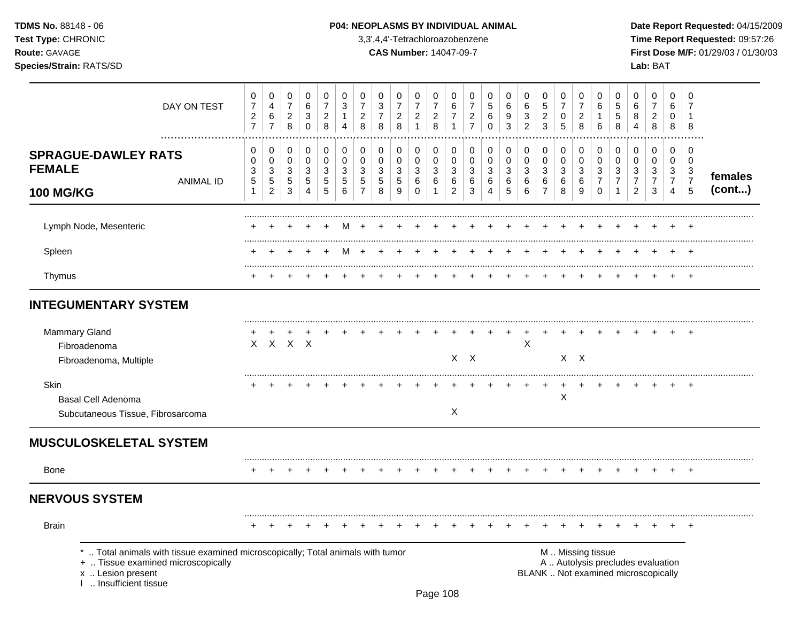### **TDMS No.** 88148 - 06 **P04: NEOPLASMS BY INDIVIDUAL ANIMAL** Date Report Requested: 04/15/2009

**Test Type:** CHRONIC 3,3',4,4'-Tetrachloroazobenzene **Time Report Requested:** 09:57:26 **Route:** GAVAGE **CAS Number:** 14047-09-7 **First Dose M/F:** 01/29/03 / 01/30/03

| DAY ON TEST                                                                                                                                                          | 0<br>$\overline{7}$<br>$\overline{2}$<br>$\overline{7}$ | 0<br>4<br>6<br>$\overline{7}$     | 0<br>$\boldsymbol{7}$<br>$\overline{a}$<br>8 | 0<br>$\,6$<br>3<br>$\mathbf 0$                | 0<br>$\overline{7}$<br>$\overline{2}$<br>8 | 0<br>3<br>$\mathbf{1}$<br>$\overline{4}$ | 0<br>$\overline{7}$<br>$\overline{2}$<br>8 | 0<br>$\ensuremath{\mathsf{3}}$<br>$\overline{7}$<br>8 | 0<br>$\overline{7}$<br>$\overline{c}$<br>$\,8\,$ | 0<br>$\overline{7}$<br>$\overline{2}$<br>$\mathbf{1}$ | 0<br>$\overline{7}$<br>$\overline{c}$<br>8 | 0<br>6<br>$\overline{7}$<br>$\mathbf{1}$ | 0<br>$\overline{7}$<br>$\overline{c}$<br>$\overline{7}$ | 0<br>5<br>6<br>$\Omega$          | 0<br>6<br>9<br>3       | 0<br>$\,6$<br>$\mathbf{3}$<br>$\overline{2}$  | 0<br>$\sqrt{5}$<br>$\overline{2}$<br>3 | 0<br>$\overline{7}$<br>$\mathbf 0$<br>5 | 0<br>$\overline{7}$<br>$\overline{2}$<br>8 | 0<br>6<br>$\mathbf{1}$<br>$\,6\,$ | 0<br>5<br>5<br>8               | 0<br>6<br>8<br>4                 | 0<br>$\overline{7}$<br>$\overline{2}$<br>8                               | 0<br>6<br>0<br>8                 | $\Omega$<br>7<br>$\overline{1}$ |         |
|----------------------------------------------------------------------------------------------------------------------------------------------------------------------|---------------------------------------------------------|-----------------------------------|----------------------------------------------|-----------------------------------------------|--------------------------------------------|------------------------------------------|--------------------------------------------|-------------------------------------------------------|--------------------------------------------------|-------------------------------------------------------|--------------------------------------------|------------------------------------------|---------------------------------------------------------|----------------------------------|------------------------|-----------------------------------------------|----------------------------------------|-----------------------------------------|--------------------------------------------|-----------------------------------|--------------------------------|----------------------------------|--------------------------------------------------------------------------|----------------------------------|---------------------------------|---------|
|                                                                                                                                                                      |                                                         |                                   |                                              |                                               |                                            |                                          |                                            |                                                       |                                                  |                                                       |                                            |                                          |                                                         |                                  |                        |                                               |                                        |                                         |                                            |                                   |                                |                                  |                                                                          |                                  | 8                               |         |
| <b>SPRAGUE-DAWLEY RATS</b><br><b>FEMALE</b>                                                                                                                          | 0<br>0<br>3                                             | 0<br>0<br>3                       | 0<br>0<br>3                                  | 0<br>$\mathbf 0$<br>$\ensuremath{\mathsf{3}}$ | 0<br>$\mathbf 0$<br>3                      | 0<br>0<br>3                              | 0<br>$\mathbf 0$<br>3                      | 0<br>0<br>3                                           | 0<br>$\pmb{0}$<br>3                              | 0<br>$\mathbf 0$<br>$\mathbf{3}$                      | 0<br>$\pmb{0}$<br>$\sqrt{3}$               | 0<br>$\mathbf 0$<br>3                    | 0<br>0<br>3                                             | 0<br>$\mathbf 0$<br>$\mathbf{3}$ | 0<br>0<br>$\mathbf{3}$ | 0<br>$\mathbf 0$<br>$\ensuremath{\mathsf{3}}$ | 0<br>$\pmb{0}$<br>$\sqrt{3}$           | $\mathbf 0$<br>$\mathbf 0$<br>3         | $\pmb{0}$<br>$\pmb{0}$<br>3                | 0<br>$\mathbf 0$<br>$\sqrt{3}$    | 0<br>0<br>3                    | 0<br>0<br>3                      | 0<br>0<br>3                                                              | $\mathbf 0$<br>$\mathbf 0$<br>3  | $\mathbf 0$<br>$\mathbf 0$<br>3 | females |
| <b>ANIMAL ID</b><br><b>100 MG/KG</b>                                                                                                                                 | $\sqrt{5}$<br>$\mathbf{1}$                              | $5\phantom{.0}$<br>$\overline{c}$ | $\sqrt{5}$<br>3                              | 5<br>$\overline{4}$                           | 5<br>5                                     | 5<br>6                                   | 5<br>$\overline{7}$                        | 5<br>8                                                | $\sqrt{5}$<br>9                                  | 6<br>$\Omega$                                         | 6<br>$\mathbf{1}$                          | 6<br>$\overline{c}$                      | 6<br>3                                                  | 6<br>$\boldsymbol{\Lambda}$      | 6<br>5                 | 6<br>6                                        | 6<br>$\overline{7}$                    | 6<br>8                                  | 6<br>9                                     | $\overline{7}$<br>$\Omega$        | $\overline{7}$<br>$\mathbf{1}$ | $\overline{7}$<br>$\overline{2}$ | $\overline{7}$<br>3                                                      | $\overline{7}$<br>$\overline{4}$ | $\overline{7}$<br>5             | (cont)  |
| Lymph Node, Mesenteric                                                                                                                                               |                                                         |                                   |                                              |                                               |                                            |                                          |                                            |                                                       |                                                  |                                                       |                                            |                                          |                                                         |                                  |                        |                                               |                                        |                                         |                                            |                                   |                                |                                  |                                                                          |                                  |                                 |         |
| Spleen                                                                                                                                                               |                                                         |                                   |                                              |                                               |                                            |                                          |                                            |                                                       |                                                  |                                                       |                                            |                                          |                                                         |                                  |                        |                                               |                                        |                                         |                                            |                                   |                                |                                  |                                                                          |                                  |                                 |         |
| Thymus                                                                                                                                                               |                                                         |                                   |                                              |                                               |                                            |                                          |                                            |                                                       |                                                  |                                                       |                                            |                                          |                                                         |                                  |                        |                                               |                                        |                                         |                                            |                                   |                                |                                  |                                                                          |                                  | $\div$                          |         |
| <b>INTEGUMENTARY SYSTEM</b>                                                                                                                                          |                                                         |                                   |                                              |                                               |                                            |                                          |                                            |                                                       |                                                  |                                                       |                                            |                                          |                                                         |                                  |                        |                                               |                                        |                                         |                                            |                                   |                                |                                  |                                                                          |                                  |                                 |         |
| <b>Mammary Gland</b><br>Fibroadenoma<br>Fibroadenoma, Multiple                                                                                                       |                                                         |                                   | $X$ $X$ $X$ $X$                              |                                               |                                            |                                          |                                            |                                                       |                                                  |                                                       |                                            |                                          | $X$ $X$                                                 |                                  |                        | $\boldsymbol{\mathsf{X}}$                     |                                        |                                         | $X \times$                                 |                                   |                                |                                  |                                                                          |                                  |                                 |         |
| Skin<br><b>Basal Cell Adenoma</b><br>Subcutaneous Tissue, Fibrosarcoma                                                                                               |                                                         |                                   |                                              |                                               |                                            |                                          |                                            |                                                       |                                                  |                                                       |                                            | $\mathsf{X}$                             |                                                         |                                  |                        |                                               |                                        | $\ddot{}$<br>$\boldsymbol{\mathsf{X}}$  | $\ddot{}$                                  | $\pm$                             |                                |                                  |                                                                          |                                  |                                 |         |
| <b>MUSCULOSKELETAL SYSTEM</b>                                                                                                                                        |                                                         |                                   |                                              |                                               |                                            |                                          |                                            |                                                       |                                                  |                                                       |                                            |                                          |                                                         |                                  |                        |                                               |                                        |                                         |                                            |                                   |                                |                                  |                                                                          |                                  |                                 |         |
| <b>Bone</b>                                                                                                                                                          |                                                         |                                   |                                              |                                               |                                            |                                          |                                            |                                                       |                                                  |                                                       |                                            |                                          |                                                         |                                  |                        |                                               |                                        |                                         |                                            |                                   |                                |                                  |                                                                          | $+$                              | $\overline{+}$                  |         |
| <b>NERVOUS SYSTEM</b>                                                                                                                                                |                                                         |                                   |                                              |                                               |                                            |                                          |                                            |                                                       |                                                  |                                                       |                                            |                                          |                                                         |                                  |                        |                                               |                                        |                                         |                                            |                                   |                                |                                  |                                                                          |                                  |                                 |         |
| <b>Brain</b>                                                                                                                                                         | $\ddot{}$                                               | +                                 | $\ddot{}$                                    |                                               |                                            |                                          |                                            |                                                       |                                                  |                                                       |                                            |                                          |                                                         | $\ddot{}$                        | +                      | $\ddot{}$                                     |                                        |                                         |                                            |                                   |                                | +                                |                                                                          | $+$                              | $\ddot{}$                       |         |
| *  Total animals with tissue examined microscopically; Total animals with tumor<br>+  Tissue examined microscopically<br>x  Lesion present<br>I  Insufficient tissue |                                                         |                                   |                                              |                                               |                                            |                                          |                                            |                                                       |                                                  |                                                       |                                            |                                          |                                                         |                                  |                        |                                               |                                        |                                         | M  Missing tissue                          |                                   |                                |                                  | A  Autolysis precludes evaluation<br>BLANK  Not examined microscopically |                                  |                                 |         |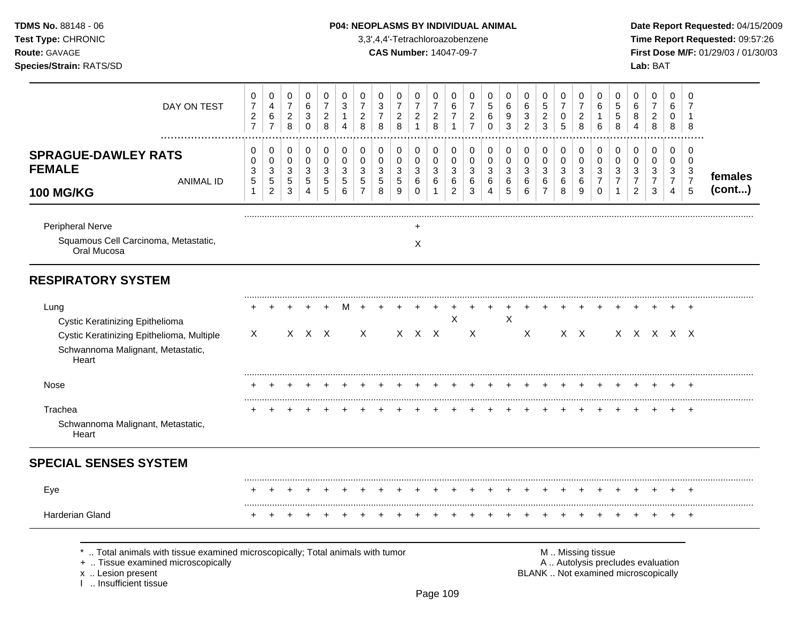## **TDMS No.** 88148 - 06 **P04: NEOPLASMS BY INDIVIDUAL ANIMAL** Date Report Requested: 04/15/2009

**Test Type:** CHRONIC 3,3',4,4'-Tetrachloroazobenzene **Time Report Requested:** 09:57:26 **Route:** GAVAGE **CAS Number:** 14047-09-7 **First Dose M/F:** 01/29/03 / 01/30/03

| DAY ON TEST                                                                                                                                                       | 0<br>$\overline{7}$<br>$\overline{c}$<br>$\overline{7}$       | 0<br>4<br>6<br>$\overline{7}$                       | $\pmb{0}$<br>$\boldsymbol{7}$<br>$\overline{c}$<br>8 | $\pmb{0}$<br>6<br>3<br>$\mathbf 0$         | 0<br>$\overline{7}$<br>$\boldsymbol{2}$<br>8 | $\mathbf 0$<br>3<br>$\overline{1}$<br>4                       | 0<br>$\overline{7}$<br>$\overline{c}$<br>8   | $\,0\,$<br>$\ensuremath{\mathsf{3}}$<br>$\overline{7}$<br>8 | $\pmb{0}$<br>$\overline{7}$<br>$\overline{2}$<br>8 | 0<br>$\boldsymbol{7}$<br>$\overline{2}$<br>$\overline{1}$ | 0<br>$\overline{7}$<br>$\overline{c}$<br>$\,8\,$ | 0<br>6<br>$\overline{7}$<br>$\mathbf{1}$     | 0<br>$\overline{7}$<br>$\overline{\mathbf{c}}$<br>$\overline{7}$ | $\mathbf 0$<br>$\sqrt{5}$<br>6<br>$\mathbf 0$          | 0<br>$\,6$<br>9<br>3  | 0<br>6<br>$\sqrt{3}$<br>$\overline{2}$ | 0<br>$\sqrt{5}$<br>$\overline{c}$<br>3              | 0<br>$\overline{7}$<br>0<br>$5\phantom{.0}$           | 0<br>7<br>$\overline{c}$<br>8                                                                 | 0<br>6<br>6                                         | $\pmb{0}$<br>$\sqrt{5}$<br>$\sqrt{5}$<br>8                     | $\mathbf 0$<br>$\,6$<br>8<br>$\overline{4}$                    | $\mathbf 0$<br>$\overline{7}$<br>$\overline{a}$<br>8  | $\mathbf 0$<br>6<br>0<br>8                                        | 0<br>7<br>$\mathbf{1}$<br>8                             |                   |
|-------------------------------------------------------------------------------------------------------------------------------------------------------------------|---------------------------------------------------------------|-----------------------------------------------------|------------------------------------------------------|--------------------------------------------|----------------------------------------------|---------------------------------------------------------------|----------------------------------------------|-------------------------------------------------------------|----------------------------------------------------|-----------------------------------------------------------|--------------------------------------------------|----------------------------------------------|------------------------------------------------------------------|--------------------------------------------------------|-----------------------|----------------------------------------|-----------------------------------------------------|-------------------------------------------------------|-----------------------------------------------------------------------------------------------|-----------------------------------------------------|----------------------------------------------------------------|----------------------------------------------------------------|-------------------------------------------------------|-------------------------------------------------------------------|---------------------------------------------------------|-------------------|
| <b>SPRAGUE-DAWLEY RATS</b><br><b>FEMALE</b><br><b>ANIMAL ID</b><br><b>100 MG/KG</b>                                                                               | $\mathbf 0$<br>$\mathbf 0$<br>$\sqrt{3}$<br>5<br>$\mathbf{1}$ | 0<br>$\pmb{0}$<br>$\sqrt{3}$<br>5<br>$\overline{2}$ | 0<br>0<br>$\sqrt{3}$<br>$\,$ 5 $\,$<br>$\sqrt{3}$    | 0<br>$\pmb{0}$<br>3<br>$\overline{5}$<br>4 | 0<br>$\pmb{0}$<br>$\,$ 3 $\,$<br>5<br>5      | $\mathbf 0$<br>$\mathbf 0$<br>$\mathbf{3}$<br>$\sqrt{5}$<br>6 | 0<br>$\mathbf 0$<br>3<br>5<br>$\overline{7}$ | $\pmb{0}$<br>$\pmb{0}$<br>$\sqrt{3}$<br>5<br>8              | 0<br>0<br>$\sqrt{3}$<br>$\,$ 5 $\,$<br>9           | 0<br>0<br>3<br>6<br>$\mathbf 0$                           | 0<br>$\mathbf 0$<br>3<br>6<br>1                  | 0<br>$\mathbf 0$<br>3<br>6<br>$\overline{c}$ | 0<br>0<br>3<br>6<br>3                                            | $\mathbf 0$<br>$\mathbf 0$<br>3<br>6<br>$\overline{4}$ | 0<br>0<br>3<br>6<br>5 | 0<br>$\pmb{0}$<br>$\sqrt{3}$<br>6<br>6 | 0<br>$\pmb{0}$<br>$\sqrt{3}$<br>6<br>$\overline{7}$ | 0<br>$\pmb{0}$<br>$\ensuremath{\mathsf{3}}$<br>6<br>8 | 0<br>0<br>$\sqrt{3}$<br>$\,6\,$<br>9                                                          | 0<br>$\mathbf 0$<br>3<br>$\overline{7}$<br>$\Omega$ | 0<br>$\pmb{0}$<br>$\sqrt{3}$<br>$\overline{7}$<br>$\mathbf{1}$ | 0<br>$\mathbf 0$<br>$\sqrt{3}$<br>$\overline{7}$<br>$\sqrt{2}$ | 0<br>$\mathbf 0$<br>$\sqrt{3}$<br>$\overline{7}$<br>3 | $\pmb{0}$<br>$\mathbf 0$<br>3<br>$\overline{7}$<br>$\overline{4}$ | 0<br>$\mathbf 0$<br>$\mathbf{3}$<br>$\overline{7}$<br>5 | females<br>(cont) |
| Peripheral Nerve<br>Squamous Cell Carcinoma, Metastatic,<br>Oral Mucosa                                                                                           |                                                               |                                                     |                                                      |                                            |                                              |                                                               |                                              |                                                             |                                                    | X                                                         |                                                  |                                              |                                                                  |                                                        |                       |                                        |                                                     |                                                       |                                                                                               |                                                     |                                                                |                                                                |                                                       |                                                                   |                                                         |                   |
| <b>RESPIRATORY SYSTEM</b>                                                                                                                                         |                                                               |                                                     |                                                      |                                            |                                              |                                                               |                                              |                                                             |                                                    |                                                           |                                                  |                                              |                                                                  |                                                        |                       |                                        |                                                     |                                                       |                                                                                               |                                                     |                                                                |                                                                |                                                       |                                                                   |                                                         |                   |
| Lung<br>Cystic Keratinizing Epithelioma<br>Cystic Keratinizing Epithelioma, Multiple<br>Schwannoma Malignant, Metastatic,<br>Heart                                | $\times$                                                      |                                                     |                                                      | $X \times X$                               |                                              |                                                               | $\times$                                     |                                                             |                                                    | $X$ $X$ $X$                                               |                                                  | X                                            | X                                                                |                                                        | X                     | X                                      |                                                     |                                                       | $X \times$                                                                                    |                                                     |                                                                |                                                                |                                                       | x x x x x                                                         |                                                         |                   |
| <b>Nose</b>                                                                                                                                                       |                                                               |                                                     |                                                      |                                            |                                              |                                                               |                                              |                                                             |                                                    |                                                           |                                                  |                                              |                                                                  |                                                        |                       |                                        |                                                     |                                                       |                                                                                               |                                                     |                                                                |                                                                |                                                       |                                                                   |                                                         |                   |
| Trachea<br>Schwannoma Malignant, Metastatic,<br>Heart                                                                                                             |                                                               |                                                     |                                                      |                                            |                                              |                                                               |                                              |                                                             |                                                    |                                                           |                                                  |                                              |                                                                  |                                                        |                       |                                        |                                                     |                                                       |                                                                                               |                                                     |                                                                |                                                                |                                                       | $\div$                                                            | $\div$                                                  |                   |
| <b>SPECIAL SENSES SYSTEM</b>                                                                                                                                      |                                                               |                                                     |                                                      |                                            |                                              |                                                               |                                              |                                                             |                                                    |                                                           |                                                  |                                              |                                                                  |                                                        |                       |                                        |                                                     |                                                       |                                                                                               |                                                     |                                                                |                                                                |                                                       |                                                                   |                                                         |                   |
| Eye                                                                                                                                                               |                                                               |                                                     |                                                      |                                            |                                              |                                                               |                                              |                                                             |                                                    |                                                           |                                                  |                                              |                                                                  |                                                        |                       |                                        |                                                     |                                                       |                                                                                               |                                                     |                                                                |                                                                |                                                       |                                                                   |                                                         |                   |
| Harderian Gland                                                                                                                                                   |                                                               |                                                     |                                                      |                                            |                                              |                                                               |                                              |                                                             |                                                    |                                                           |                                                  |                                              |                                                                  |                                                        |                       |                                        |                                                     |                                                       |                                                                                               |                                                     |                                                                |                                                                |                                                       |                                                                   | $\ddot{}$                                               |                   |
| Total animals with tissue examined microscopically; Total animals with tumor<br>+  Tissue examined microscopically<br>x  Lesion present<br>1  Insufficient tissue |                                                               |                                                     |                                                      |                                            |                                              |                                                               |                                              |                                                             |                                                    |                                                           |                                                  |                                              |                                                                  |                                                        |                       |                                        |                                                     |                                                       | M  Missing tissue<br>A  Autolysis precludes evaluation<br>BLANK  Not examined microscopically |                                                     |                                                                |                                                                |                                                       |                                                                   |                                                         |                   |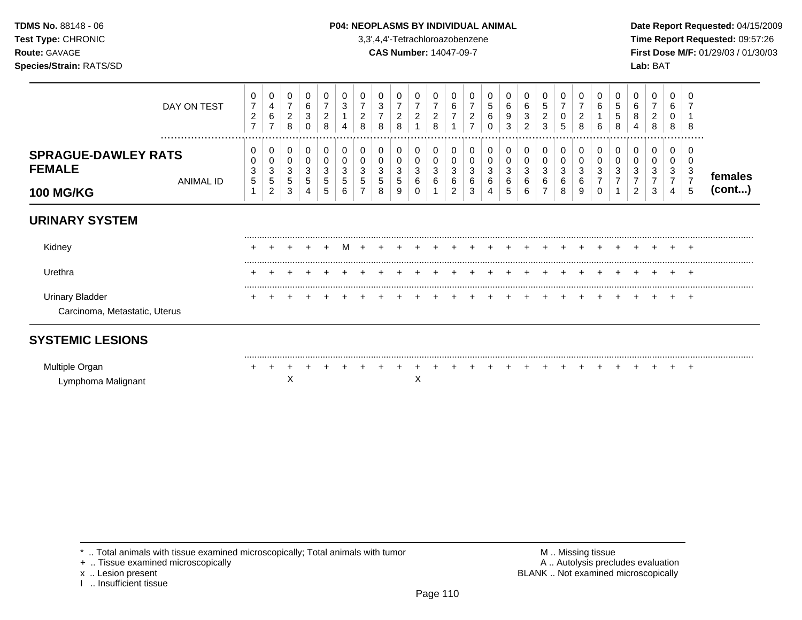## **TDMS No.** 88148 - 06 **P04: NEOPLASMS BY INDIVIDUAL ANIMAL** Date Report Requested: 04/15/2009

**Test Type:** CHRONIC 3,3',4,4'-Tetrachloroazobenzene **Time Report Requested:** 09:57:26 **Route:** GAVAGE **CAS Number:** 14047-09-7 **First Dose M/F:** 01/29/03 / 01/30/03

|                                                                 | DAY ON TEST          | 0<br>$\overline{7}$<br>$\overline{\mathbf{c}}$<br>$\overline{7}$ | 0<br>4<br>6<br>$\overline{7}$      | 0<br>$\overline{7}$<br>$\overline{\mathbf{c}}$<br>8 | 0<br>6<br>$\mathbf{3}$<br>0         | 0<br>$\overline{7}$<br>$\boldsymbol{2}$<br>8 | 0<br>$\mathbf{3}$<br>4 | 0<br>$\overline{7}$<br>$\overline{c}$<br>8 | 3<br>8                | 0<br>2<br>8           | 0<br>7<br>$\overline{c}$     | 0<br>7<br>$\overline{c}$<br>8 | 0<br>6<br>$\overline{7}$<br>4 | 0<br>7<br>$\overline{\mathbf{c}}$<br>$\overline{ }$ | 0<br>5<br>6<br>0      | 0<br>6<br>9<br>3 | 0<br>6<br>3<br>$\overline{2}$ | 0<br>5<br>2<br>3      | 0<br>$\overline{7}$<br>0<br>5 | 0<br>$\overline{7}$<br>$\overline{c}$<br>8 | 0<br>6<br>6      | 0<br>5<br>5<br>8 | 0<br>6<br>8<br>4         | 0<br>$\overline{7}$<br>$\overline{a}$<br>8 | 0<br>6<br>0<br>8                   | 8                                                       |                   |
|-----------------------------------------------------------------|----------------------|------------------------------------------------------------------|------------------------------------|-----------------------------------------------------|-------------------------------------|----------------------------------------------|------------------------|--------------------------------------------|-----------------------|-----------------------|------------------------------|-------------------------------|-------------------------------|-----------------------------------------------------|-----------------------|------------------|-------------------------------|-----------------------|-------------------------------|--------------------------------------------|------------------|------------------|--------------------------|--------------------------------------------|------------------------------------|---------------------------------------------------------|-------------------|
| <b>SPRAGUE-DAWLEY RATS</b><br><b>FEMALE</b><br><b>100 MG/KG</b> | <br><b>ANIMAL ID</b> | 0<br>3<br>5                                                      | 0<br>0<br>3<br>5<br>$\overline{2}$ | 0<br>0<br>3<br>5<br>3                               | 0<br>0<br>3<br>$5\phantom{.0}$<br>4 | 0<br>0<br>3<br>5<br>5                        | 0<br>0<br>3<br>5<br>6  | 0<br>0<br>3<br>5                           | 0<br>0<br>3<br>5<br>8 | 0<br>0<br>3<br>5<br>9 | 0<br>0<br>3<br>6<br>$\Omega$ | 0<br>0<br>3<br>6              | 0<br>0<br>3<br>6<br>2         | 0<br>0<br>3<br>6<br>3                               | 0<br>0<br>3<br>6<br>4 | 0<br>3<br>6<br>5 | 0<br>0<br>3<br>6<br>6         | 0<br>0<br>3<br>6<br>7 | 0<br>0<br>3<br>6<br>8         | 0<br>0<br>3<br>6<br>9                      | 0<br>0<br>3<br>0 | 0<br>0<br>3      | 0<br>3<br>$\overline{2}$ | 0<br>0<br>3<br>$\overline{7}$<br>3         | 0<br>0<br>3<br>$\overline{7}$<br>4 | <br><sup>0</sup><br>$\mathbf{3}$<br>$\overline{7}$<br>5 | females<br>(cont) |
| <b>URINARY SYSTEM</b>                                           |                      |                                                                  |                                    |                                                     |                                     |                                              |                        |                                            |                       |                       |                              |                               |                               |                                                     |                       |                  |                               |                       |                               |                                            |                  |                  |                          |                                            |                                    |                                                         |                   |
| Kidney                                                          |                      |                                                                  |                                    |                                                     |                                     |                                              | M                      |                                            |                       |                       |                              |                               |                               |                                                     |                       |                  |                               |                       |                               |                                            |                  |                  |                          |                                            |                                    | $\div$                                                  |                   |
| Urethra                                                         |                      | ٠                                                                |                                    |                                                     |                                     |                                              |                        |                                            |                       |                       |                              |                               |                               |                                                     |                       |                  |                               |                       |                               |                                            |                  |                  |                          |                                            |                                    | $\div$                                                  |                   |
| <b>Urinary Bladder</b><br>Carcinoma, Metastatic, Uterus         |                      |                                                                  |                                    |                                                     |                                     |                                              |                        |                                            |                       |                       |                              |                               |                               |                                                     |                       |                  |                               |                       |                               |                                            |                  |                  |                          |                                            |                                    | $+$                                                     |                   |
| <b>SYSTEMIC LESIONS</b>                                         |                      |                                                                  |                                    |                                                     |                                     |                                              |                        |                                            |                       |                       |                              |                               |                               |                                                     |                       |                  |                               |                       |                               |                                            |                  |                  |                          |                                            |                                    |                                                         |                   |
| Multiple Organ<br>Lymphoma Malignant                            |                      |                                                                  |                                    | X                                                   |                                     |                                              |                        |                                            |                       |                       | Χ                            |                               |                               |                                                     |                       |                  |                               |                       |                               |                                            |                  |                  |                          |                                            |                                    | $\ddot{}$                                               |                   |

\* .. Total animals with tissue examined microscopically; Total animals with tumor <br>
+ .. Tissue examined microscopically<br>
+ .. Tissue examined microscopically

+ .. Tissue examined microscopically

x .. Lesion present<br>I .. Insufficient tissue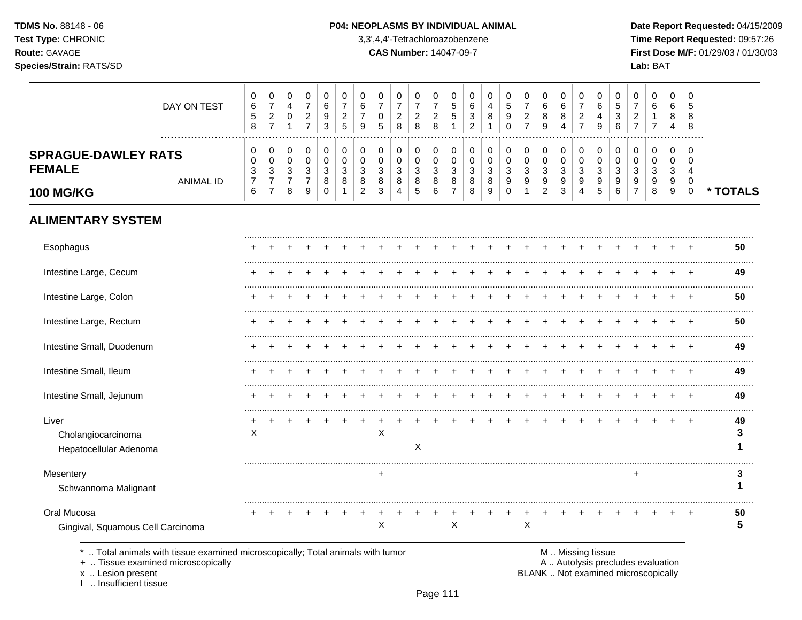TDMS No. 88148 - 06 Test Type: CHRONIC Route: GAVAGE Species/Strain: RATS/SD

#### P04: NEOPLASMS BY INDIVIDUAL ANIMAL

3,3',4,4'-Tetrachloroazobenzene

**CAS Number: 14047-09-7** 

Date Report Requested: 04/15/2009 Time Report Requested: 09:57:26 First Dose M/F: 01/29/03 / 01/30/03 Lab: BAT

| DAY ON TEST                                                                  | 0<br>6<br>$\sqrt{5}$<br>8 | 0<br>$\overline{7}$<br>$\overline{c}$<br>$\overline{7}$ | 0<br>$\overline{4}$<br>0<br>$\mathbf{1}$ | 0<br>$\overline{7}$<br>$\overline{\mathbf{c}}$<br>$\overline{7}$ | 0<br>6<br>9<br>3      | 0<br>$\overline{7}$<br>$\overline{c}$<br>5 | 0<br>6<br>9         | 0<br>$\overline{7}$<br>0<br>5 | 0<br>$\overline{7}$<br>$\overline{a}$<br>8 | 0<br>$\overline{7}$<br>$\overline{c}$<br>8 | 0<br>$\overline{7}$<br>$\overline{c}$<br>8 | 0<br>5<br>5<br>1    | 0<br>6<br>3<br>$\overline{2}$ | $\mathbf 0$<br>$\overline{4}$<br>8<br>1 | 0<br>5<br>9<br>$\Omega$ | 0<br>$\overline{7}$<br>$\overline{c}$<br>$\overline{7}$ | 0<br>6<br>8<br>9                   | 0<br>6<br>8<br>4      | 0<br>$\overline{7}$<br>$\overline{c}$<br>$\overline{7}$ | 0<br>6<br>4<br>9      | 0<br>5<br>3<br>6   | 0<br>$\overline{7}$<br>2<br>$\overline{7}$ | 0<br>6<br>1<br>$\overline{7}$ | 0<br>6<br>8<br>4 | $\Omega$<br>5<br>8<br>8 |          |
|------------------------------------------------------------------------------|---------------------------|---------------------------------------------------------|------------------------------------------|------------------------------------------------------------------|-----------------------|--------------------------------------------|---------------------|-------------------------------|--------------------------------------------|--------------------------------------------|--------------------------------------------|---------------------|-------------------------------|-----------------------------------------|-------------------------|---------------------------------------------------------|------------------------------------|-----------------------|---------------------------------------------------------|-----------------------|--------------------|--------------------------------------------|-------------------------------|------------------|-------------------------|----------|
| <b>SPRAGUE-DAWLEY RATS</b><br><b>FEMALE</b>                                  | 0<br>0<br>3               | 0<br>0<br>3                                             | 0<br>$\pmb{0}$<br>3                      | 0<br>$\pmb{0}$<br>3                                              | 0<br>$\mathbf 0$<br>3 | 0<br>0<br>3                                | 0<br>0<br>3         | 0<br>0<br>3                   | 0<br>0<br>3                                | 0<br>$\pmb{0}$<br>3                        | 0<br>$\pmb{0}$<br>3                        | 0<br>0<br>3         | 0<br>0<br>3                   | 0<br>$\mathbf 0$<br>3                   | 0<br>$\mathbf 0$<br>3   | 0<br>0<br>3                                             | 0<br>$\mathbf 0$<br>3              | 0<br>$\mathbf 0$<br>3 | 0<br>$\pmb{0}$<br>3                                     | 0<br>$\mathbf 0$<br>3 | 0<br>$\Omega$<br>3 | 0<br>0<br>3                                | 0<br>$\mathbf 0$<br>3         | 0<br>0<br>3      | 0<br>$\Omega$<br>4      |          |
| <b>ANIMAL ID</b><br><b>100 MG/KG</b>                                         | $\boldsymbol{7}$<br>6     | $\overline{7}$<br>$\overline{7}$                        | $\overline{7}$<br>8                      | $\overline{7}$<br>9                                              | 8<br>$\Omega$         | 8                                          | 8<br>$\overline{2}$ | 8<br>3                        | 8<br>4                                     | 8<br>5                                     | 8<br>6                                     | 8<br>$\overline{7}$ | 8<br>8                        | 8<br>9                                  | 9<br>$\Omega$           | 9                                                       | $\boldsymbol{9}$<br>$\overline{c}$ | 9<br>$\sqrt{3}$       | 9<br>4                                                  | 9<br>5                | 9<br>6             | 9<br>$\overline{7}$                        | 9<br>8                        | 9<br>9           | 0<br>$\mathbf 0$        | * TOTALS |
| <b>ALIMENTARY SYSTEM</b>                                                     |                           |                                                         |                                          |                                                                  |                       |                                            |                     |                               |                                            |                                            |                                            |                     |                               |                                         |                         |                                                         |                                    |                       |                                                         |                       |                    |                                            |                               |                  |                         |          |
| Esophagus                                                                    |                           |                                                         |                                          |                                                                  |                       |                                            |                     |                               |                                            |                                            |                                            |                     |                               |                                         |                         |                                                         |                                    |                       |                                                         |                       |                    |                                            |                               |                  |                         | 50       |
| Intestine Large, Cecum                                                       |                           |                                                         |                                          |                                                                  |                       |                                            |                     |                               |                                            |                                            |                                            |                     |                               |                                         |                         |                                                         |                                    |                       |                                                         |                       |                    |                                            |                               |                  |                         | 49       |
| Intestine Large, Colon                                                       |                           |                                                         |                                          |                                                                  |                       |                                            |                     |                               |                                            |                                            |                                            |                     |                               |                                         |                         |                                                         |                                    |                       |                                                         |                       |                    |                                            |                               |                  |                         | 50       |
| Intestine Large, Rectum                                                      |                           |                                                         |                                          |                                                                  |                       |                                            |                     |                               |                                            |                                            |                                            |                     |                               |                                         |                         |                                                         |                                    |                       |                                                         |                       |                    |                                            |                               |                  |                         | 50       |
| Intestine Small, Duodenum                                                    |                           |                                                         |                                          |                                                                  |                       |                                            |                     |                               |                                            |                                            |                                            |                     |                               |                                         |                         |                                                         |                                    |                       |                                                         |                       |                    |                                            |                               |                  |                         | 49       |
| Intestine Small, Ileum                                                       |                           |                                                         |                                          |                                                                  |                       |                                            |                     |                               |                                            |                                            |                                            |                     |                               |                                         |                         |                                                         |                                    |                       |                                                         |                       |                    |                                            |                               |                  |                         | 49       |
| Intestine Small, Jejunum                                                     |                           |                                                         |                                          |                                                                  |                       |                                            |                     |                               |                                            |                                            |                                            |                     |                               |                                         |                         |                                                         |                                    |                       |                                                         |                       |                    |                                            |                               |                  |                         | 49       |
| Liver<br>Cholangiocarcinoma<br>Hepatocellular Adenoma                        | X                         |                                                         |                                          |                                                                  |                       |                                            |                     | X                             |                                            | X                                          |                                            |                     |                               |                                         |                         |                                                         |                                    |                       |                                                         |                       |                    |                                            |                               |                  |                         | 49<br>3  |
| Mesentery<br>Schwannoma Malignant                                            |                           |                                                         |                                          |                                                                  |                       |                                            |                     | +                             |                                            |                                            |                                            |                     |                               |                                         |                         |                                                         |                                    |                       |                                                         |                       |                    | ÷                                          |                               |                  |                         | 3        |
| Oral Mucosa<br>Gingival, Squamous Cell Carcinoma                             |                           |                                                         |                                          |                                                                  |                       |                                            |                     | X                             |                                            |                                            |                                            | X                   |                               |                                         |                         | $\sf X$                                                 |                                    |                       |                                                         |                       |                    |                                            |                               |                  |                         | 50<br>5  |
| Total animals with tissue examined microscopically; Total animals with tumor |                           |                                                         |                                          |                                                                  |                       |                                            |                     |                               |                                            |                                            |                                            |                     |                               |                                         |                         |                                                         |                                    | M  Missing tissue     |                                                         |                       |                    |                                            |                               |                  |                         |          |

+ .. Tissue examined microscopically

x .. Lesion present

I .. Insufficient tissue

M .. Missing tissue

A .. Autolysis precludes evaluation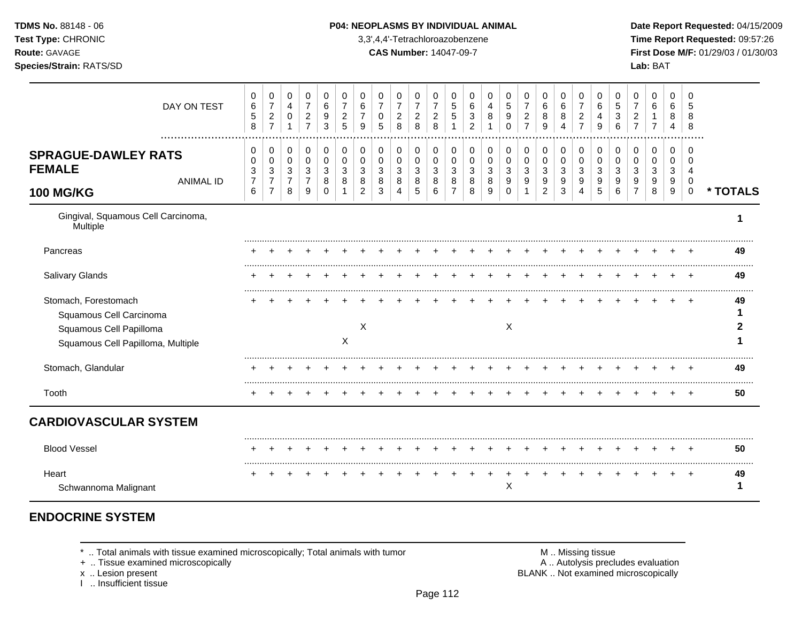| <b>TDMS No. 88148 - 06</b>     | <b>P04: NEOPLASMS BY INDIVIDUAL ANIMAL</b> | Date Repo         |
|--------------------------------|--------------------------------------------|-------------------|
| <b>Test Type: CHRONIC</b>      | 3,3',4,4'-Tetrachloroazobenzene            | Time Rep          |
| <b>Route: GAVAGE</b>           | <b>CAS Number: 14047-09-7</b>              | <b>First Dose</b> |
| <b>Species/Strain: RATS/SD</b> |                                            | Lab: BAT          |

## **TDMS No.** 88148 - 06 **P04: NEOPLASMS BY INDIVIDUAL ANIMAL** Date Report Requested: 04/15/2009

**Test Type:** CHRONIC 3,3',4,4'-Tetrachloroazobenzene **Time Report Requested:** 09:57:26 **Route:** GAVAGE **CAS Number:** 14047-09-7 **First Dose M/F:** 01/29/03 / 01/30/03

| DAY ON TEST<br>.                                                                                                | 0<br>6<br>$\sqrt{5}$<br>8          | 0<br>$\overline{7}$<br>$\overline{2}$<br>$\overline{7}$ | 0<br>$\overline{4}$<br>$\mathbf 0$           | 0<br>$\overline{7}$<br>$\overline{c}$<br>$\overline{7}$ | 0<br>$\,6\,$<br>9<br>3               | 0<br>$\overline{7}$<br>$\overline{2}$<br>5 | 0<br>6<br>$\overline{7}$<br>9 | 0<br>$\overline{7}$<br>0<br>5 | 0<br>$\overline{7}$<br>$\overline{c}$<br>8 | 0<br>$\overline{7}$<br>$\overline{c}$<br>8 | 0<br>$\overline{7}$<br>$\overline{c}$<br>8 | 0<br>$\overline{5}$<br>5                     | 0<br>6<br>3<br>2                | 0<br>4<br>8           | 0<br>5<br>9<br>$\Omega$              | 0<br>$\overline{7}$<br>$\overline{c}$<br>$\overline{7}$ | 0<br>6<br>8<br>9                              | 0<br>6<br>8<br>4              | 0<br>$\overline{7}$<br>$\overline{c}$<br>$\overline{7}$ | 0<br>6<br>4<br>9                | 0<br>5<br>3<br>6      | 0<br>$\overline{7}$<br>2           | 0<br>6                | 0<br>6<br>8           | 0<br>5<br>8<br>8                                    |          |
|-----------------------------------------------------------------------------------------------------------------|------------------------------------|---------------------------------------------------------|----------------------------------------------|---------------------------------------------------------|--------------------------------------|--------------------------------------------|-------------------------------|-------------------------------|--------------------------------------------|--------------------------------------------|--------------------------------------------|----------------------------------------------|---------------------------------|-----------------------|--------------------------------------|---------------------------------------------------------|-----------------------------------------------|-------------------------------|---------------------------------------------------------|---------------------------------|-----------------------|------------------------------------|-----------------------|-----------------------|-----------------------------------------------------|----------|
| <b>SPRAGUE-DAWLEY RATS</b><br><b>FEMALE</b><br><b>ANIMAL ID</b><br><b>100 MG/KG</b>                             | 0<br>0<br>3<br>$\overline{7}$<br>6 | 0<br>0<br>3<br>$\overline{7}$<br>$\overline{7}$         | 0<br>$\mathbf 0$<br>3<br>$\overline{7}$<br>8 | 0<br>$\pmb{0}$<br>3<br>$\overline{7}$<br>9              | 0<br>$\pmb{0}$<br>3<br>8<br>$\Omega$ | $\mathbf 0$<br>$\mathbf 0$<br>3<br>8       | 0<br>0<br>3<br>8<br>2         | 0<br>0<br>3<br>8<br>3         | 0<br>0<br>3<br>8<br>$\boldsymbol{\Lambda}$ | 0<br>$\mathbf 0$<br>3<br>8<br>5            | 0<br>0<br>3<br>8<br>6                      | 0<br>$\mathbf 0$<br>3<br>8<br>$\overline{7}$ | 0<br>$\mathbf 0$<br>3<br>8<br>8 | 0<br>0<br>3<br>8<br>9 | 0<br>$\pmb{0}$<br>3<br>9<br>$\Omega$ | 0<br>0<br>3<br>9                                        | 0<br>0<br>$\mathbf{3}$<br>9<br>$\overline{2}$ | 0<br>$\pmb{0}$<br>3<br>9<br>3 | 0<br>$\pmb{0}$<br>3<br>9<br>4                           | 0<br>$\mathbf 0$<br>3<br>9<br>5 | 0<br>0<br>3<br>9<br>6 | 0<br>0<br>3<br>9<br>$\overline{7}$ | 0<br>0<br>3<br>9<br>8 | 0<br>0<br>3<br>9<br>9 | 0<br>$\Omega$<br>$\overline{4}$<br>0<br>$\mathbf 0$ | * TOTALS |
| Gingival, Squamous Cell Carcinoma,<br>Multiple                                                                  |                                    |                                                         |                                              |                                                         |                                      |                                            |                               |                               |                                            |                                            |                                            |                                              |                                 |                       |                                      |                                                         |                                               |                               |                                                         |                                 |                       |                                    |                       |                       |                                                     |          |
| Pancreas                                                                                                        |                                    |                                                         |                                              |                                                         |                                      |                                            |                               |                               |                                            |                                            |                                            |                                              |                                 |                       |                                      |                                                         |                                               |                               |                                                         |                                 |                       |                                    |                       |                       |                                                     | 49       |
| Salivary Glands                                                                                                 |                                    |                                                         |                                              |                                                         |                                      |                                            |                               |                               |                                            |                                            |                                            |                                              |                                 |                       |                                      |                                                         |                                               |                               |                                                         |                                 |                       |                                    |                       |                       |                                                     | 49       |
| Stomach, Forestomach<br>Squamous Cell Carcinoma<br>Squamous Cell Papilloma<br>Squamous Cell Papilloma, Multiple |                                    |                                                         |                                              |                                                         |                                      | Χ                                          | $\times$                      |                               |                                            |                                            |                                            |                                              |                                 |                       | X                                    |                                                         |                                               |                               |                                                         |                                 |                       |                                    |                       |                       |                                                     | 49       |
| Stomach, Glandular                                                                                              |                                    |                                                         |                                              |                                                         |                                      |                                            |                               |                               |                                            |                                            |                                            |                                              |                                 |                       |                                      |                                                         |                                               |                               |                                                         |                                 |                       |                                    |                       |                       |                                                     | 49       |
| Tooth                                                                                                           |                                    |                                                         |                                              |                                                         |                                      |                                            |                               |                               |                                            |                                            |                                            |                                              |                                 |                       |                                      |                                                         |                                               |                               |                                                         |                                 |                       |                                    |                       |                       |                                                     | 50       |
| <b>CARDIOVASCULAR SYSTEM</b>                                                                                    |                                    |                                                         |                                              |                                                         |                                      |                                            |                               |                               |                                            |                                            |                                            |                                              |                                 |                       |                                      |                                                         |                                               |                               |                                                         |                                 |                       |                                    |                       |                       |                                                     |          |
| <b>Blood Vessel</b>                                                                                             |                                    |                                                         |                                              |                                                         |                                      |                                            |                               |                               |                                            |                                            |                                            |                                              |                                 |                       |                                      |                                                         |                                               |                               |                                                         |                                 |                       |                                    |                       |                       |                                                     | 50       |
| Heart<br>Schwannoma Malignant                                                                                   |                                    |                                                         |                                              |                                                         |                                      |                                            |                               |                               |                                            |                                            |                                            |                                              |                                 |                       | X                                    |                                                         |                                               |                               |                                                         |                                 |                       |                                    |                       |                       |                                                     | 49       |

# **ENDOCRINE SYSTEM**

\* .. Total animals with tissue examined microscopically; Total animals with tumor **M** metal metal M .. Missing tissue<br>  $\blacksquare$  A .. Autolysis precludes evaluation<br>
A .. Autolysis precludes evaluation

+ .. Tissue examined microscopically

x .. Lesion present<br>I .. Insufficient tissue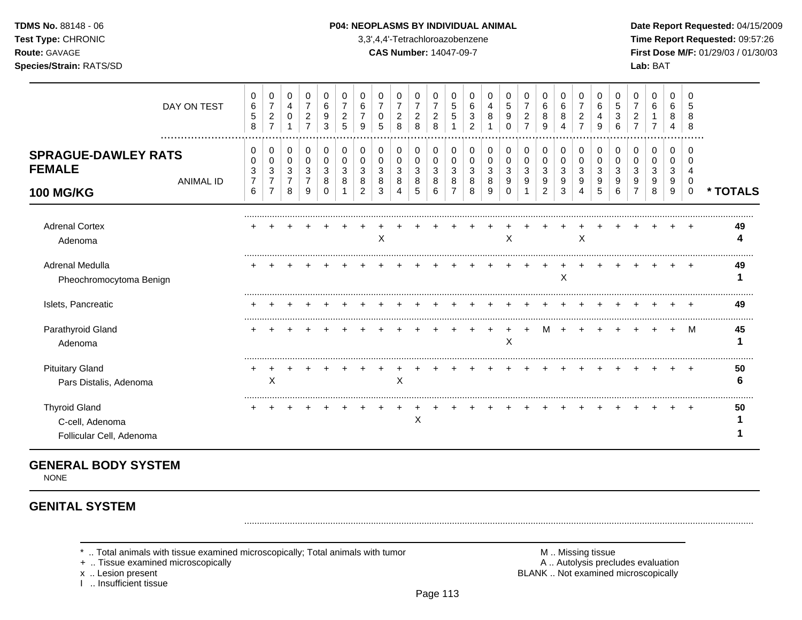#### **TDMS No.** 88148 - 06 **P04: NEOPLASMS BY INDIVIDUAL ANIMAL Date Report Requested:** 04/15/2009

**Test Type:** CHRONIC 3,3',4,4'-Tetrachloroazobenzene **Time Report Requested:** 09:57:26 **Route:** GAVAGE **CAS Number:** 14047-09-7 **First Dose M/F:** 01/29/03 / 01/30/03

|                                                                     | DAY ON TEST      | 0<br>$\,6\,$<br>$\sqrt{5}$<br>8               | 0<br>$\overline{7}$<br>$\overline{2}$<br>$\overline{7}$ | 0<br>4<br>0                        | 0<br>7<br>2<br>$\overline{ }$ | 0<br>6<br>9<br>3      | 0<br>2<br>5 | 0<br>6<br>9           | 0<br>$\overline{7}$<br>0<br>5 | 0<br>$\overline{7}$<br>$\overline{c}$<br>8 | 0<br>$\overline{7}$<br>$\overline{\mathbf{c}}$<br>8 | 0<br>$\overline{7}$<br>$\overline{c}$<br>8 | 0<br>5<br>5      | 0<br>6<br>3<br>$\overline{2}$ | 0<br>4           | 0<br>5<br>9<br>$\Omega$ | 0<br>$\overline{7}$<br>$\overline{c}$<br>$\overline{7}$ | 0<br>$\,6\,$<br>8<br>9 | 0<br>6<br>8<br>4      | 0<br>$\overline{7}$<br>2<br>7 | 0<br>6<br>9           | 0<br>5<br>6 | 0<br>2           | 0<br>6                | 0<br>6<br>8<br>4      | 0<br>5<br>8<br>8                |          |
|---------------------------------------------------------------------|------------------|-----------------------------------------------|---------------------------------------------------------|------------------------------------|-------------------------------|-----------------------|-------------|-----------------------|-------------------------------|--------------------------------------------|-----------------------------------------------------|--------------------------------------------|------------------|-------------------------------|------------------|-------------------------|---------------------------------------------------------|------------------------|-----------------------|-------------------------------|-----------------------|-------------|------------------|-----------------------|-----------------------|---------------------------------|----------|
| <b>SPRAGUE-DAWLEY RATS</b><br><b>FEMALE</b><br><b>100 MG/KG</b>     | <b>ANIMAL ID</b> | $\mathbf{0}$<br>0<br>3<br>$\overline{7}$<br>6 | 0<br>0<br>3<br>$\overline{7}$<br>$\overline{7}$         | 0<br>0<br>3<br>$\overline{7}$<br>8 | 0<br>0<br>3<br>9              | 0<br>0<br>3<br>8<br>0 | 0<br>0<br>8 | 0<br>0<br>3<br>8<br>2 | 0<br>0<br>3<br>8<br>3         | 0<br>0<br>3<br>8<br>4                      | 0<br>0<br>3<br>8<br>5                               | 0<br>0<br>3<br>8<br>6                      | 0<br>0<br>3<br>8 | 0<br>3<br>8<br>8              | 0<br>3<br>8<br>9 | 0<br>0<br>3<br>9<br>0   | 0<br>0<br>3<br>9                                        | 0<br>0<br>3<br>9<br>2  | 0<br>0<br>3<br>9<br>3 | 0<br>0<br>3<br>9              | 0<br>0<br>3<br>9<br>5 | 0<br>6      | 0<br>0<br>3<br>9 | 0<br>0<br>3<br>9<br>8 | 0<br>0<br>3<br>9<br>9 | 0<br>0<br>4<br>0<br>$\mathbf 0$ | * TOTALS |
| <b>Adrenal Cortex</b><br>Adenoma                                    |                  |                                               |                                                         |                                    |                               |                       |             |                       | X                             |                                            |                                                     |                                            |                  |                               |                  | X                       |                                                         |                        |                       | X                             |                       |             |                  |                       |                       |                                 | 49       |
| Adrenal Medulla<br>Pheochromocytoma Benign                          |                  |                                               |                                                         |                                    |                               |                       |             |                       |                               |                                            |                                                     |                                            |                  |                               |                  |                         |                                                         |                        | X                     |                               |                       |             |                  |                       |                       |                                 | 49       |
| Islets, Pancreatic                                                  |                  |                                               |                                                         |                                    |                               |                       |             |                       |                               |                                            |                                                     |                                            |                  |                               |                  |                         |                                                         |                        |                       |                               |                       |             |                  |                       |                       |                                 | 49       |
| Parathyroid Gland<br>Adenoma                                        |                  |                                               |                                                         |                                    |                               |                       |             |                       |                               |                                            |                                                     |                                            |                  |                               |                  | X                       |                                                         | м                      |                       |                               |                       |             |                  |                       |                       | M                               | 45       |
| <b>Pituitary Gland</b><br>Pars Distalis, Adenoma                    |                  |                                               | X                                                       |                                    |                               |                       |             |                       |                               | Χ                                          |                                                     |                                            |                  |                               |                  |                         |                                                         |                        |                       |                               |                       |             |                  |                       |                       |                                 | 50       |
| <b>Thyroid Gland</b><br>C-cell, Adenoma<br>Follicular Cell, Adenoma |                  |                                               |                                                         |                                    |                               |                       |             |                       |                               |                                            | Х                                                   |                                            |                  |                               |                  |                         |                                                         |                        |                       |                               |                       |             |                  |                       |                       |                                 | 50       |

## **GENERAL BODY SYSTEM**

NONE

# **GENITAL SYSTEM**

\* .. Total animals with tissue examined microscopically; Total animals with tumor **M** . Missing tissue M .. Missing tissue<br>  $\blacksquare$  . Tissue examined microscopically<br>  $\blacksquare$  . Autolysis precludes evaluation

+ .. Tissue examined microscopically

I .. Insufficient tissue

x .. Lesion present **BLANK** .. Not examined microscopically

.........................................................................................................................................................................................................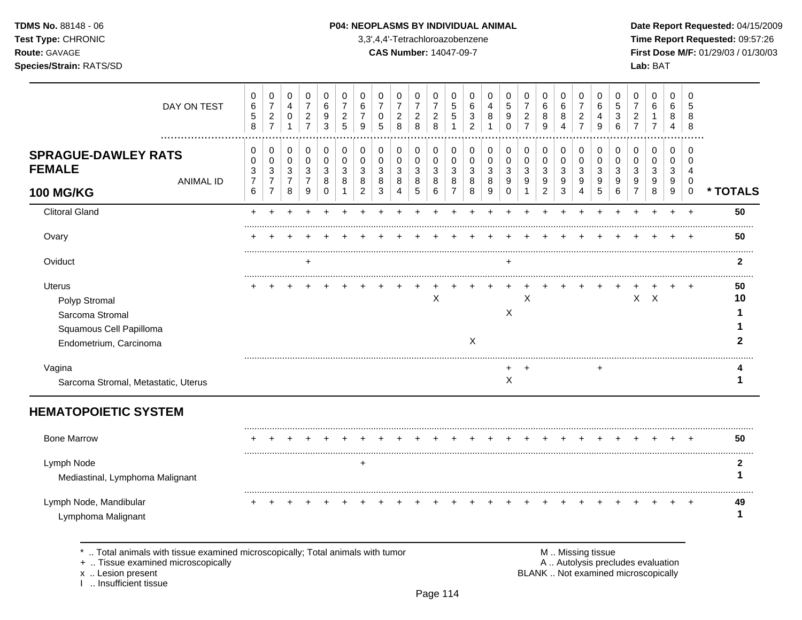## **TDMS No.** 88148 - 06 **P04: NEOPLASMS BY INDIVIDUAL ANIMAL** Date Report Requested: 04/15/2009

**Test Type:** CHRONIC 3,3',4,4'-Tetrachloroazobenzene **Time Report Requested:** 09:57:26 **Route:** GAVAGE **CAS Number:** 14047-09-7 **First Dose M/F:** 01/29/03 / 01/30/03

| DAY ON TEST                                                                                            | 0<br>$\,6$<br>$\,$ 5 $\,$<br>8         | 0<br>$\boldsymbol{7}$<br>$\overline{2}$<br>$\overline{7}$            | 0<br>$\overline{4}$<br>0<br>$\mathbf{1}$ | 0<br>$\overline{7}$<br>$\overline{c}$<br>$\overline{7}$ | 0<br>6<br>9<br>3         | 0<br>$\overline{7}$<br>$\overline{a}$<br>5 | 0<br>6<br>9      | 0<br>$\overline{7}$<br>0<br>5                   | 0<br>$\overline{7}$<br>$\overline{c}$<br>8 | 0<br>$\boldsymbol{7}$<br>$\overline{c}$<br>8 | 0<br>$\overline{7}$<br>$\overline{c}$<br>8 | 0<br>$\mathbf 5$<br>5              | 0<br>6<br>3<br>$\overline{2}$ | 0<br>4<br>8      | 0<br>$\sqrt{5}$<br>9<br>$\Omega$              | 0<br>$\overline{7}$<br>$\overline{c}$<br>$\overline{7}$ | 0<br>6<br>8<br>9                                     | 0<br>$\,6$<br>8<br>4                            | 0<br>$\overline{7}$<br>$\overline{c}$<br>$\overline{7}$ | 0<br>6<br>4<br>9 | 0<br>$\mathbf 5$<br>3<br>6 | 0<br>$\overline{7}$<br>$\overline{c}$<br>$\overline{7}$       | 0<br>$\,6$<br>1<br>$\overline{7}$ | 0<br>6<br>8<br>4           | 0<br>5<br>8<br>8               |              |
|--------------------------------------------------------------------------------------------------------|----------------------------------------|----------------------------------------------------------------------|------------------------------------------|---------------------------------------------------------|--------------------------|--------------------------------------------|------------------|-------------------------------------------------|--------------------------------------------|----------------------------------------------|--------------------------------------------|------------------------------------|-------------------------------|------------------|-----------------------------------------------|---------------------------------------------------------|------------------------------------------------------|-------------------------------------------------|---------------------------------------------------------|------------------|----------------------------|---------------------------------------------------------------|-----------------------------------|----------------------------|--------------------------------|--------------|
| <b>SPRAGUE-DAWLEY RATS</b><br><b>FEMALE</b><br><b>ANIMAL ID</b>                                        | 0<br>0<br>$\sqrt{3}$<br>$\overline{7}$ | 0<br>$\mathbf 0$<br>$\mathbf{3}$<br>$\overline{7}$<br>$\overline{7}$ | 0<br>0<br>$\sqrt{3}$<br>$\overline{7}$   | 0<br>$\mathbf 0$<br>$\sqrt{3}$<br>$\overline{7}$        | 0<br>$\pmb{0}$<br>3<br>8 | 0<br>$\mathbf 0$<br>3<br>8                 | 0<br>0<br>3<br>8 | $\mathbf 0$<br>$\mathbf 0$<br>$\mathbf{3}$<br>8 | 0<br>0<br>3<br>8                           | 0<br>0<br>$\sqrt{3}$<br>8                    | 0<br>$\mathbf 0$<br>$\sqrt{3}$<br>8        | 0<br>0<br>3<br>8<br>$\overline{7}$ | 0<br>0<br>$\mathbf{3}$<br>8   | 0<br>0<br>3<br>8 | $\pmb{0}$<br>$\pmb{0}$<br>$\mathfrak{S}$<br>9 | 0<br>0<br>3<br>9                                        | 0<br>$\mathbf 0$<br>$\mathbf{3}$<br>$\boldsymbol{9}$ | $\mathbf 0$<br>$\mathbf 0$<br>$\mathbf{3}$<br>9 | 0<br>0<br>3<br>9                                        | 0<br>0<br>3<br>9 | $\pmb{0}$<br>0<br>3<br>9   | $\pmb{0}$<br>$\pmb{0}$<br>$\mathbf{3}$<br>9<br>$\overline{7}$ | 0<br>$\mathbf 0$<br>3<br>9<br>8   | $\mathbf 0$<br>0<br>3<br>9 | $\Omega$<br>$\Omega$<br>4<br>0 |              |
| <b>100 MG/KG</b>                                                                                       | 6                                      |                                                                      | 8                                        | 9                                                       | $\Omega$                 |                                            | $\overline{2}$   | 3                                               | 4                                          | 5                                            | 6                                          |                                    | 8                             | 9                | $\Omega$                                      | $\mathbf{1}$                                            | $\overline{2}$                                       | 3                                               | 4                                                       | 5                | 6                          |                                                               |                                   | 9                          | $\pmb{0}$                      | * TOTALS     |
| <b>Clitoral Gland</b>                                                                                  | $\ddot{}$                              |                                                                      |                                          |                                                         |                          |                                            |                  |                                                 |                                            |                                              |                                            |                                    |                               |                  |                                               |                                                         |                                                      |                                                 |                                                         |                  |                            | $\div$                                                        | $\ddot{}$                         | $\ddot{}$                  | $\overline{+}$                 | 50           |
| Ovary                                                                                                  |                                        |                                                                      |                                          |                                                         |                          |                                            |                  |                                                 |                                            |                                              |                                            |                                    |                               |                  |                                               |                                                         |                                                      |                                                 |                                                         |                  |                            |                                                               |                                   |                            |                                | 50           |
| Oviduct                                                                                                |                                        |                                                                      |                                          | $\ddot{}$                                               |                          |                                            |                  |                                                 |                                            |                                              |                                            |                                    |                               |                  | +                                             |                                                         |                                                      |                                                 |                                                         |                  |                            |                                                               |                                   |                            |                                | $\mathbf{2}$ |
| <b>Uterus</b><br>Polyp Stromal<br>Sarcoma Stromal<br>Squamous Cell Papilloma<br>Endometrium, Carcinoma |                                        |                                                                      |                                          |                                                         |                          |                                            |                  |                                                 |                                            |                                              | X                                          |                                    | X                             |                  | $\boldsymbol{\mathsf{X}}$                     | X                                                       |                                                      |                                                 |                                                         |                  |                            |                                                               | $X$ $X$                           |                            |                                | 50<br>10     |
| Vagina<br>Sarcoma Stromal, Metastatic, Uterus                                                          |                                        |                                                                      |                                          |                                                         |                          |                                            |                  |                                                 |                                            |                                              |                                            |                                    |                               |                  | X                                             |                                                         |                                                      |                                                 |                                                         |                  |                            |                                                               |                                   |                            |                                |              |
| <b>HEMATOPOIETIC SYSTEM</b>                                                                            |                                        |                                                                      |                                          |                                                         |                          |                                            |                  |                                                 |                                            |                                              |                                            |                                    |                               |                  |                                               |                                                         |                                                      |                                                 |                                                         |                  |                            |                                                               |                                   |                            |                                |              |
| <b>Bone Marrow</b>                                                                                     |                                        |                                                                      |                                          |                                                         |                          |                                            |                  |                                                 |                                            |                                              |                                            |                                    |                               |                  |                                               |                                                         |                                                      |                                                 |                                                         |                  |                            |                                                               |                                   |                            |                                | 50           |
| Lymph Node<br>Mediastinal, Lymphoma Malignant                                                          |                                        |                                                                      |                                          |                                                         |                          |                                            | +                |                                                 |                                            |                                              |                                            |                                    |                               |                  |                                               |                                                         |                                                      |                                                 |                                                         |                  |                            |                                                               |                                   |                            |                                | 2<br>1       |
| Lymph Node, Mandibular<br>Lymphoma Malignant                                                           |                                        |                                                                      |                                          |                                                         |                          |                                            |                  |                                                 |                                            |                                              |                                            |                                    |                               |                  |                                               |                                                         |                                                      |                                                 |                                                         |                  |                            |                                                               |                                   |                            |                                | 49<br>1      |

\* .. Total animals with tissue examined microscopically; Total animals with tumor <br>
+ .. Tissue examined microscopically<br>
+ .. Tissue examined microscopically

+ .. Tissue examined microscopically

x .. Lesion present<br>I .. Insufficient tissue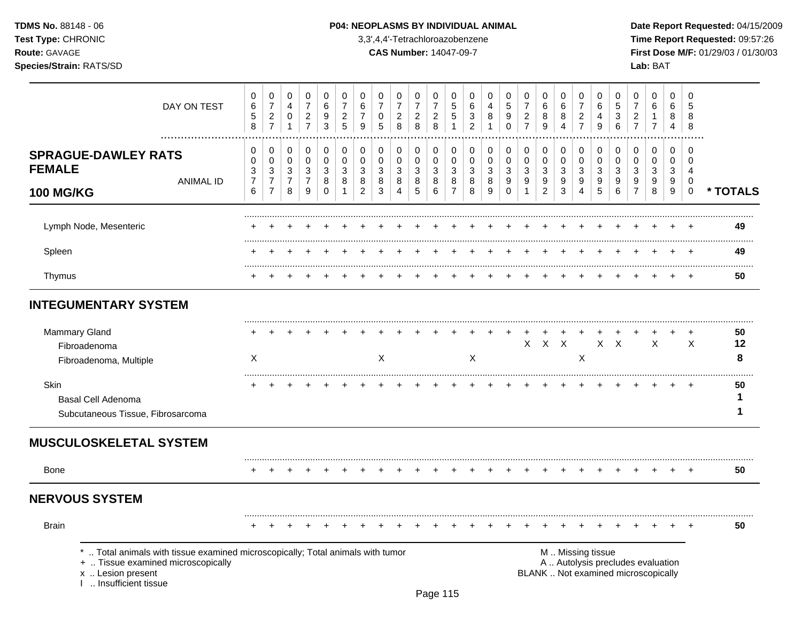## **TDMS No.** 88148 - 06 **P04: NEOPLASMS BY INDIVIDUAL ANIMAL** Date Report Requested: 04/15/2009

**Test Type:** CHRONIC 3,3',4,4'-Tetrachloroazobenzene **Time Report Requested:** 09:57:26 **Route:** GAVAGE **CAS Number:** 14047-09-7 **First Dose M/F:** 01/29/03 / 01/30/03 **Species/Strain:** RATS/SD **Lab:** BAT

| DAY ON TEST                                                                                                                                                       | 0<br>$\,6$<br>$\,$ 5 $\,$<br>$\,8\,$                              | 0<br>$\overline{7}$<br>$\sqrt{2}$<br>$\overline{7}$ | 0<br>4<br>$\mathbf 0$<br>$\mathbf{1}$ | 0<br>$\overline{7}$<br>$\sqrt{2}$<br>$\overline{7}$ | 0<br>$\,6$<br>$\boldsymbol{9}$<br>$\mathbf{3}$ | 0<br>$\overline{7}$<br>$\overline{c}$<br>5 | 0<br>6<br>$\boldsymbol{7}$<br>9    | 0<br>$\overline{7}$<br>0<br>5             | 0<br>$\overline{7}$<br>$\overline{c}$<br>8 | 0<br>$\boldsymbol{7}$<br>$\sqrt{2}$<br>8 | 0<br>$\overline{7}$<br>$\sqrt{2}$<br>8 | 0<br>$\overline{5}$<br>$\sqrt{5}$<br>$\mathbf{1}$ | 0<br>6<br>3<br>$\overline{c}$ | 0<br>4<br>8<br>$\mathbf{1}$ | $\mathbf 0$<br>$\overline{5}$<br>$\boldsymbol{9}$<br>$\mathbf 0$ | 0<br>$\overline{7}$<br>$\boldsymbol{2}$<br>$\overline{7}$ | 0<br>$\,6$<br>8<br>9                                        | 0<br>6<br>8<br>4                | 0<br>$\overline{7}$<br>$\boldsymbol{2}$<br>$\overline{7}$ | $\mathbf 0$<br>6<br>4<br>9      | 0<br>5<br>3<br>6                                     | 0<br>$\overline{7}$<br>$\overline{a}$<br>$\overline{7}$                  | 0<br>6<br>$\mathbf 1$<br>$\overline{7}$ | 0<br>6<br>8<br>4      | $\mathbf 0$<br>5<br>8<br>8                              |               |
|-------------------------------------------------------------------------------------------------------------------------------------------------------------------|-------------------------------------------------------------------|-----------------------------------------------------|---------------------------------------|-----------------------------------------------------|------------------------------------------------|--------------------------------------------|------------------------------------|-------------------------------------------|--------------------------------------------|------------------------------------------|----------------------------------------|---------------------------------------------------|-------------------------------|-----------------------------|------------------------------------------------------------------|-----------------------------------------------------------|-------------------------------------------------------------|---------------------------------|-----------------------------------------------------------|---------------------------------|------------------------------------------------------|--------------------------------------------------------------------------|-----------------------------------------|-----------------------|---------------------------------------------------------|---------------|
| <b>SPRAGUE-DAWLEY RATS</b><br><b>FEMALE</b><br><b>ANIMAL ID</b><br><b>100 MG/KG</b>                                                                               | $\mathbf 0$<br>$\Omega$<br>3<br>$\overline{7}$<br>$6\phantom{1}6$ | 0<br>0<br>3<br>$\overline{7}$<br>$\overline{7}$     | 0<br>0<br>3<br>$\overline{7}$<br>8    | 0<br>$\mathbf 0$<br>3<br>$\overline{7}$<br>9        | $\,0\,$<br>$\pmb{0}$<br>3<br>8<br>$\mathbf 0$  | 0<br>0<br>3<br>8<br>1                      | 0<br>0<br>3<br>8<br>$\overline{2}$ | $\mathbf 0$<br>$\mathbf 0$<br>3<br>8<br>3 | 0<br>$\mathbf 0$<br>3<br>8<br>4            | 0<br>0<br>3<br>8<br>$\sqrt{5}$           | 0<br>$\mathbf 0$<br>3<br>8<br>6        | 0<br>0<br>3<br>8<br>$\overline{7}$                | 0<br>0<br>3<br>8<br>8         | 0<br>0<br>3<br>8<br>9       | $\mathbf 0$<br>$\mathbf 0$<br>3<br>9<br>$\Omega$                 | 0<br>0<br>3<br>9<br>1                                     | 0<br>$\mathbf 0$<br>$\mathbf{3}$<br>$9\,$<br>$\overline{2}$ | 0<br>$\mathbf 0$<br>3<br>9<br>3 | 0<br>$\pmb{0}$<br>3<br>9<br>$\overline{4}$                | 0<br>$\mathbf 0$<br>3<br>9<br>5 | $\mathbf 0$<br>$\mathbf 0$<br>$\mathbf{3}$<br>9<br>6 | $\mathbf 0$<br>$\mathbf 0$<br>3<br>9<br>$\overline{7}$                   | 0<br>$\mathbf 0$<br>3<br>9<br>8         | 0<br>0<br>3<br>9<br>9 | $\Omega$<br>$\Omega$<br>4<br>$\mathbf 0$<br>$\mathbf 0$ | * TOTALS      |
| Lymph Node, Mesenteric                                                                                                                                            |                                                                   |                                                     |                                       |                                                     |                                                |                                            |                                    |                                           |                                            |                                          |                                        |                                                   |                               |                             |                                                                  |                                                           |                                                             |                                 |                                                           |                                 |                                                      |                                                                          |                                         |                       |                                                         | 49            |
| Spleen                                                                                                                                                            |                                                                   |                                                     |                                       |                                                     |                                                |                                            |                                    |                                           |                                            |                                          |                                        |                                                   |                               |                             |                                                                  |                                                           |                                                             |                                 |                                                           |                                 |                                                      |                                                                          |                                         |                       |                                                         | 49            |
| Thymus                                                                                                                                                            |                                                                   |                                                     |                                       |                                                     |                                                |                                            |                                    |                                           |                                            |                                          |                                        |                                                   |                               |                             |                                                                  |                                                           |                                                             |                                 |                                                           |                                 |                                                      |                                                                          |                                         |                       |                                                         | 50            |
| <b>INTEGUMENTARY SYSTEM</b>                                                                                                                                       |                                                                   |                                                     |                                       |                                                     |                                                |                                            |                                    |                                           |                                            |                                          |                                        |                                                   |                               |                             |                                                                  |                                                           |                                                             |                                 |                                                           |                                 |                                                      |                                                                          |                                         |                       |                                                         |               |
| Mammary Gland<br>Fibroadenoma<br>Fibroadenoma, Multiple                                                                                                           | X                                                                 |                                                     |                                       |                                                     |                                                |                                            |                                    | X                                         |                                            |                                          |                                        |                                                   | X                             |                             |                                                                  | $\mathsf{X}$                                              | $\mathsf{X}$                                                | $\mathsf{X}$                    | X                                                         |                                 | $X$ $X$                                              |                                                                          | $\sf X$                                 |                       | $\times$                                                | 50<br>12<br>8 |
| Skin<br>Basal Cell Adenoma<br>Subcutaneous Tissue, Fibrosarcoma                                                                                                   |                                                                   |                                                     |                                       |                                                     |                                                |                                            |                                    |                                           |                                            |                                          |                                        |                                                   |                               |                             |                                                                  |                                                           |                                                             |                                 |                                                           |                                 |                                                      |                                                                          |                                         |                       |                                                         | 50<br>1<br>1  |
| <b>MUSCULOSKELETAL SYSTEM</b>                                                                                                                                     |                                                                   |                                                     |                                       |                                                     |                                                |                                            |                                    |                                           |                                            |                                          |                                        |                                                   |                               |                             |                                                                  |                                                           |                                                             |                                 |                                                           |                                 |                                                      |                                                                          |                                         |                       |                                                         |               |
| <b>Bone</b>                                                                                                                                                       |                                                                   |                                                     |                                       |                                                     |                                                |                                            |                                    |                                           |                                            |                                          |                                        |                                                   |                               |                             |                                                                  |                                                           |                                                             |                                 |                                                           |                                 |                                                      |                                                                          |                                         |                       |                                                         | 50            |
| <b>NERVOUS SYSTEM</b>                                                                                                                                             |                                                                   |                                                     |                                       |                                                     |                                                |                                            |                                    |                                           |                                            |                                          |                                        |                                                   |                               |                             |                                                                  |                                                           |                                                             |                                 |                                                           |                                 |                                                      |                                                                          |                                         |                       |                                                         |               |
| <b>Brain</b>                                                                                                                                                      |                                                                   |                                                     |                                       |                                                     |                                                |                                            |                                    |                                           |                                            |                                          |                                        |                                                   |                               |                             |                                                                  |                                                           |                                                             |                                 |                                                           |                                 |                                                      |                                                                          |                                         |                       |                                                         | 50            |
| Total animals with tissue examined microscopically; Total animals with tumor<br>+  Tissue examined microscopically<br>x  Lesion present<br>1  Insufficient tissue |                                                                   |                                                     |                                       |                                                     |                                                |                                            |                                    |                                           |                                            |                                          |                                        |                                                   |                               |                             |                                                                  |                                                           |                                                             |                                 |                                                           | M  Missing tissue               |                                                      | A  Autolysis precludes evaluation<br>BLANK  Not examined microscopically |                                         |                       |                                                         |               |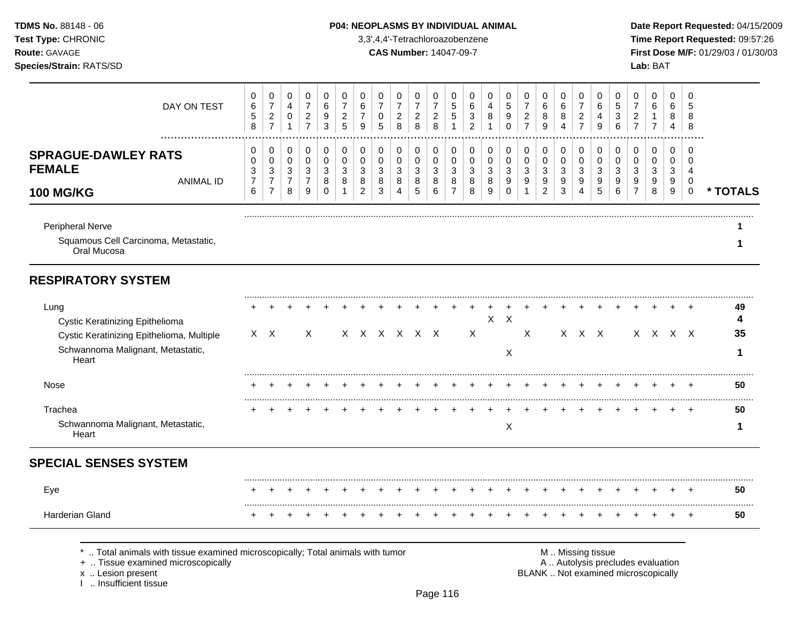## **TDMS No.** 88148 - 06 **P04: NEOPLASMS BY INDIVIDUAL ANIMAL** Date Report Requested: 04/15/2009

**Test Type:** CHRONIC 3,3',4,4'-Tetrachloroazobenzene **Time Report Requested:** 09:57:26 **Route:** GAVAGE **CAS Number:** 14047-09-7 **First Dose M/F:** 01/29/03 / 01/30/03

| DAY ON TEST                                                                                                                        | 0<br>6<br>5<br>8                   | $\mathbf 0$<br>$\overline{7}$<br>$\sqrt{2}$<br>$\overline{7}$      | 0<br>4<br>$\mathbf 0$<br>$\mathbf{1}$                              | 0<br>$\overline{7}$<br>$\overline{c}$<br>$\overline{7}$            | $\pmb{0}$<br>6<br>9<br>$\mathbf{3}$       | 0<br>$\overline{7}$<br>$\overline{c}$<br>5       | 0<br>6<br>$\overline{7}$<br>9                | 0<br>$\overline{7}$<br>0<br>5   | 0<br>$\overline{7}$<br>$\overline{c}$<br>8 | 0<br>$\overline{7}$<br>$\overline{2}$<br>8 | 0<br>$\overline{7}$<br>$\boldsymbol{2}$<br>8          | 0<br>5<br>5<br>1                                                     | 0<br>6<br>3<br>$\overline{c}$ | 0<br>4<br>8<br>$\mathbf{1}$ | 0<br>5<br>9<br>$\mathbf 0$                                     | 0<br>$\overline{7}$<br>$\overline{c}$<br>$\overline{7}$ | 0<br>6<br>8<br>$\boldsymbol{9}$                                                   | 0<br>6<br>8<br>4                                          | 0<br>$\overline{7}$<br>$\overline{c}$<br>$\overline{7}$ | 0<br>6<br>$\overline{4}$<br>9                        | 0<br>5<br>3<br>6                 | $\mathbf 0$<br>$\overline{7}$<br>$\overline{c}$<br>$\overline{7}$ | 0<br>6<br>1<br>$\overline{7}$ | 0<br>6<br>8<br>4                         | $\mathbf 0$<br>5<br>8<br>8                                           |                     |
|------------------------------------------------------------------------------------------------------------------------------------|------------------------------------|--------------------------------------------------------------------|--------------------------------------------------------------------|--------------------------------------------------------------------|-------------------------------------------|--------------------------------------------------|----------------------------------------------|---------------------------------|--------------------------------------------|--------------------------------------------|-------------------------------------------------------|----------------------------------------------------------------------|-------------------------------|-----------------------------|----------------------------------------------------------------|---------------------------------------------------------|-----------------------------------------------------------------------------------|-----------------------------------------------------------|---------------------------------------------------------|------------------------------------------------------|----------------------------------|-------------------------------------------------------------------|-------------------------------|------------------------------------------|----------------------------------------------------------------------|---------------------|
| <b>SPRAGUE-DAWLEY RATS</b><br><b>FEMALE</b><br><b>ANIMAL ID</b><br><b>100 MG/KG</b>                                                | 0<br>0<br>3<br>$\overline{7}$<br>6 | 0<br>$\mathbf 0$<br>$\sqrt{3}$<br>$\overline{7}$<br>$\overline{7}$ | 0<br>$\pmb{0}$<br>$\ensuremath{\mathsf{3}}$<br>$\overline{7}$<br>8 | 0<br>$\pmb{0}$<br>$\ensuremath{\mathsf{3}}$<br>$\overline{7}$<br>9 | 0<br>$\mathbf 0$<br>3<br>8<br>$\mathbf 0$ | 0<br>$\mathbf 0$<br>3<br>$\,8\,$<br>$\mathbf{1}$ | 0<br>$\mathbf 0$<br>3<br>8<br>$\overline{2}$ | 0<br>$\mathbf 0$<br>3<br>8<br>3 | 0<br>$\pmb{0}$<br>$\sqrt{3}$<br>8<br>4     | 0<br>0<br>$\mathbf{3}$<br>8<br>$\sqrt{5}$  | 0<br>$\pmb{0}$<br>$\ensuremath{\mathsf{3}}$<br>8<br>6 | 0<br>$\mathbf 0$<br>$\ensuremath{\mathsf{3}}$<br>8<br>$\overline{7}$ | 0<br>0<br>3<br>$\bf8$<br>8    | 0<br>0<br>3<br>8<br>9       | 0<br>$\mathbf 0$<br>$\sqrt{3}$<br>$\boldsymbol{9}$<br>$\Omega$ | 0<br>$\pmb{0}$<br>3<br>9<br>1                           | 0<br>$\pmb{0}$<br>$\ensuremath{\mathsf{3}}$<br>$\boldsymbol{9}$<br>$\overline{2}$ | 0<br>$\pmb{0}$<br>$\ensuremath{\mathsf{3}}$<br>$9\,$<br>3 | 0<br>0<br>$\sqrt{3}$<br>9<br>4                          | $\mathbf 0$<br>$\mathbf 0$<br>$\mathbf{3}$<br>9<br>5 | 0<br>0<br>$\mathbf{3}$<br>9<br>6 | 0<br>$\mathbf 0$<br>3<br>$\boldsymbol{9}$<br>$\overline{7}$       | 0<br>0<br>3<br>9<br>8         | 0<br>$\mathbf 0$<br>$\sqrt{3}$<br>9<br>9 | $\Omega$<br>$\Omega$<br>$\overline{4}$<br>$\mathbf 0$<br>$\mathbf 0$ | * TOTALS            |
| Peripheral Nerve<br>Squamous Cell Carcinoma, Metastatic,<br>Oral Mucosa                                                            |                                    |                                                                    |                                                                    |                                                                    |                                           |                                                  |                                              |                                 |                                            |                                            |                                                       |                                                                      |                               |                             |                                                                |                                                         |                                                                                   |                                                           |                                                         |                                                      |                                  |                                                                   |                               |                                          |                                                                      | 1                   |
| <b>RESPIRATORY SYSTEM</b>                                                                                                          |                                    |                                                                    |                                                                    |                                                                    |                                           |                                                  |                                              |                                 |                                            |                                            |                                                       |                                                                      |                               |                             |                                                                |                                                         |                                                                                   |                                                           |                                                         |                                                      |                                  |                                                                   |                               |                                          |                                                                      |                     |
| Lung<br>Cystic Keratinizing Epithelioma<br>Cystic Keratinizing Epithelioma, Multiple<br>Schwannoma Malignant, Metastatic,<br>Heart |                                    | $X \times$                                                         |                                                                    | X                                                                  |                                           |                                                  |                                              |                                 | X X X X X X                                |                                            |                                                       |                                                                      | X                             | $\mathsf{X}^-$              | $\boldsymbol{\mathsf{X}}$<br>X                                 | $\times$                                                |                                                                                   |                                                           | $X$ $X$ $X$                                             |                                                      |                                  |                                                                   |                               | X X X X                                  |                                                                      | 49<br>4<br>35<br>-1 |
| <b>Nose</b>                                                                                                                        |                                    |                                                                    |                                                                    |                                                                    |                                           |                                                  |                                              |                                 |                                            |                                            |                                                       |                                                                      |                               |                             |                                                                |                                                         |                                                                                   |                                                           |                                                         |                                                      |                                  |                                                                   |                               |                                          |                                                                      | 50                  |
| Trachea<br>Schwannoma Malignant, Metastatic,<br>Heart                                                                              |                                    |                                                                    |                                                                    |                                                                    |                                           |                                                  |                                              |                                 |                                            |                                            |                                                       |                                                                      |                               |                             | $\boldsymbol{\mathsf{X}}$                                      |                                                         |                                                                                   |                                                           |                                                         |                                                      |                                  |                                                                   |                               |                                          | $\ddot{}$                                                            | 50<br>1             |
| <b>SPECIAL SENSES SYSTEM</b>                                                                                                       |                                    |                                                                    |                                                                    |                                                                    |                                           |                                                  |                                              |                                 |                                            |                                            |                                                       |                                                                      |                               |                             |                                                                |                                                         |                                                                                   |                                                           |                                                         |                                                      |                                  |                                                                   |                               |                                          |                                                                      |                     |
| Eye                                                                                                                                |                                    |                                                                    |                                                                    |                                                                    |                                           |                                                  |                                              |                                 |                                            |                                            |                                                       |                                                                      |                               |                             |                                                                |                                                         |                                                                                   |                                                           |                                                         |                                                      |                                  |                                                                   |                               |                                          |                                                                      | 50                  |
| Harderian Gland                                                                                                                    |                                    |                                                                    |                                                                    |                                                                    |                                           |                                                  |                                              |                                 |                                            |                                            |                                                       |                                                                      |                               |                             |                                                                |                                                         |                                                                                   |                                                           |                                                         |                                                      |                                  |                                                                   |                               |                                          |                                                                      | 50                  |

x .. Lesion present<br>I .. Insufficient tissue